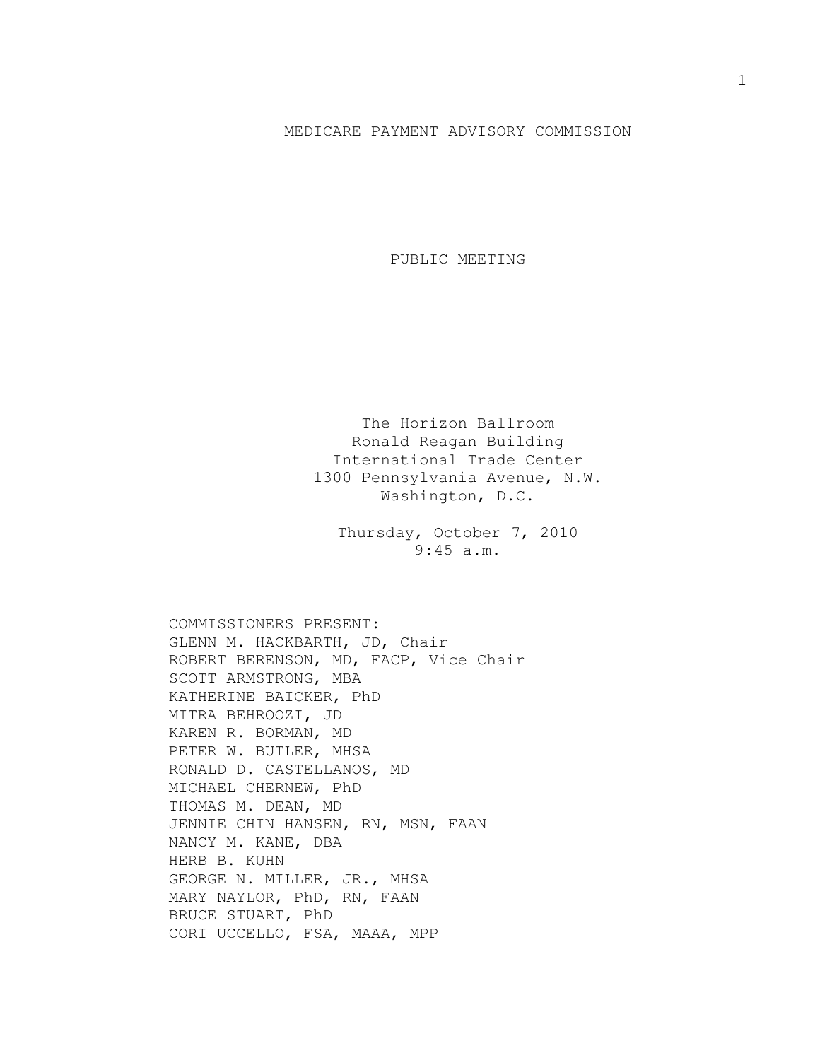## MEDICARE PAYMENT ADVISORY COMMISSION

PUBLIC MEETING

The Horizon Ballroom Ronald Reagan Building International Trade Center 1300 Pennsylvania Avenue, N.W. Washington, D.C.

Thursday, October 7, 2010 9:45 a.m.

COMMISSIONERS PRESENT: GLENN M. HACKBARTH, JD, Chair ROBERT BERENSON, MD, FACP, Vice Chair SCOTT ARMSTRONG, MBA KATHERINE BAICKER, PhD MITRA BEHROOZI, JD KAREN R. BORMAN, MD PETER W. BUTLER, MHSA RONALD D. CASTELLANOS, MD MICHAEL CHERNEW, PhD THOMAS M. DEAN, MD JENNIE CHIN HANSEN, RN, MSN, FAAN NANCY M. KANE, DBA HERB B. KUHN GEORGE N. MILLER, JR., MHSA MARY NAYLOR, PhD, RN, FAAN BRUCE STUART, PhD CORI UCCELLO, FSA, MAAA, MPP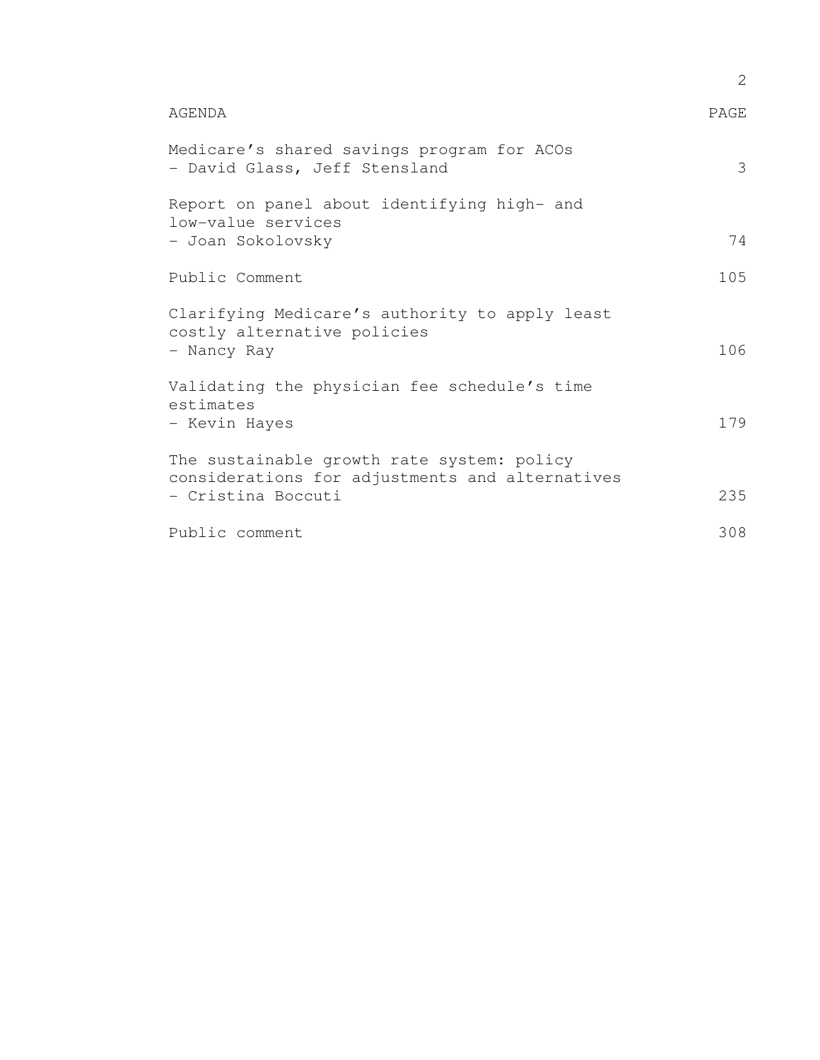|                                                                                               | 2    |
|-----------------------------------------------------------------------------------------------|------|
| AGENDA                                                                                        | PAGE |
| Medicare's shared savings program for ACOs<br>- David Glass, Jeff Stensland                   | 3    |
| Report on panel about identifying high- and<br>low-value services                             |      |
| - Joan Sokolovsky                                                                             | 74   |
| Public Comment                                                                                | 105  |
| Clarifying Medicare's authority to apply least<br>costly alternative policies                 |      |
| - Nancy Ray                                                                                   | 106  |
| Validating the physician fee schedule's time<br>estimates                                     |      |
| - Kevin Hayes                                                                                 | 179  |
| The sustainable growth rate system: policy<br>considerations for adjustments and alternatives |      |
| - Cristina Boccuti                                                                            | 235  |
| Public comment                                                                                | 308  |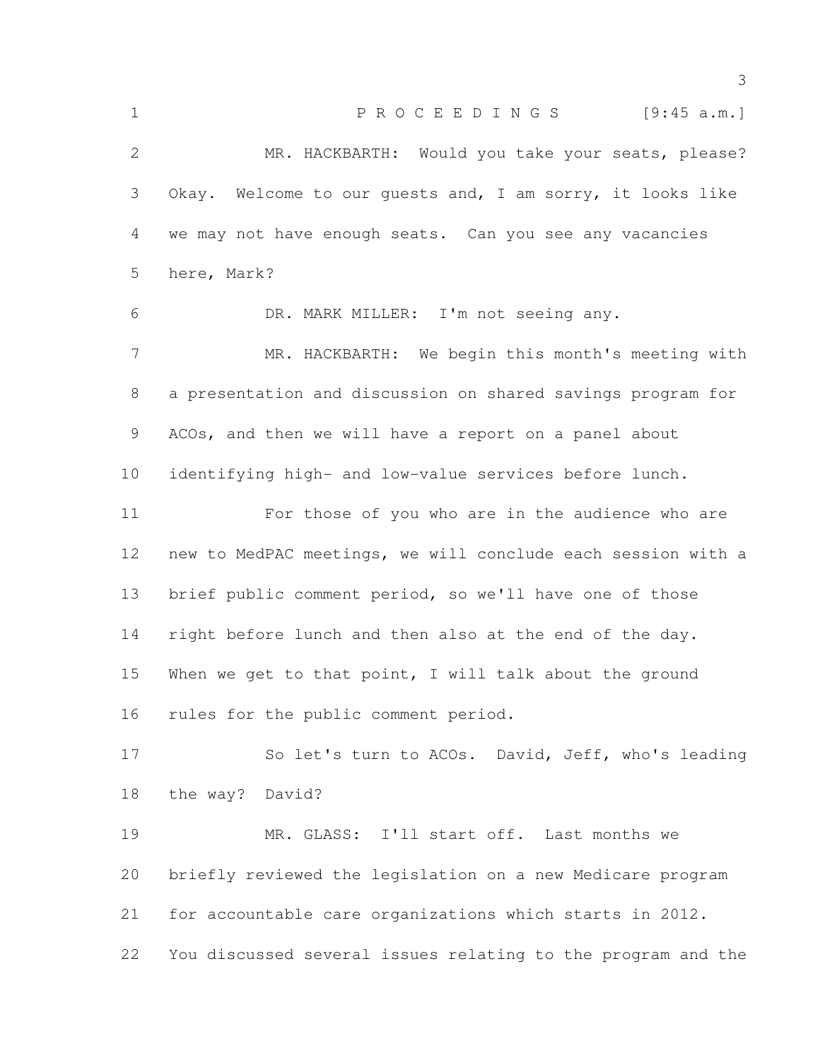1 P R O C E E D I N G S [9:45 a.m.] MR. HACKBARTH: Would you take your seats, please? Okay. Welcome to our guests and, I am sorry, it looks like we may not have enough seats. Can you see any vacancies here, Mark? DR. MARK MILLER: I'm not seeing any. MR. HACKBARTH: We begin this month's meeting with a presentation and discussion on shared savings program for ACOs, and then we will have a report on a panel about identifying high- and low-value services before lunch. For those of you who are in the audience who are new to MedPAC meetings, we will conclude each session with a brief public comment period, so we'll have one of those right before lunch and then also at the end of the day. When we get to that point, I will talk about the ground rules for the public comment period. So let's turn to ACOs. David, Jeff, who's leading the way? David? MR. GLASS: I'll start off. Last months we briefly reviewed the legislation on a new Medicare program for accountable care organizations which starts in 2012. You discussed several issues relating to the program and the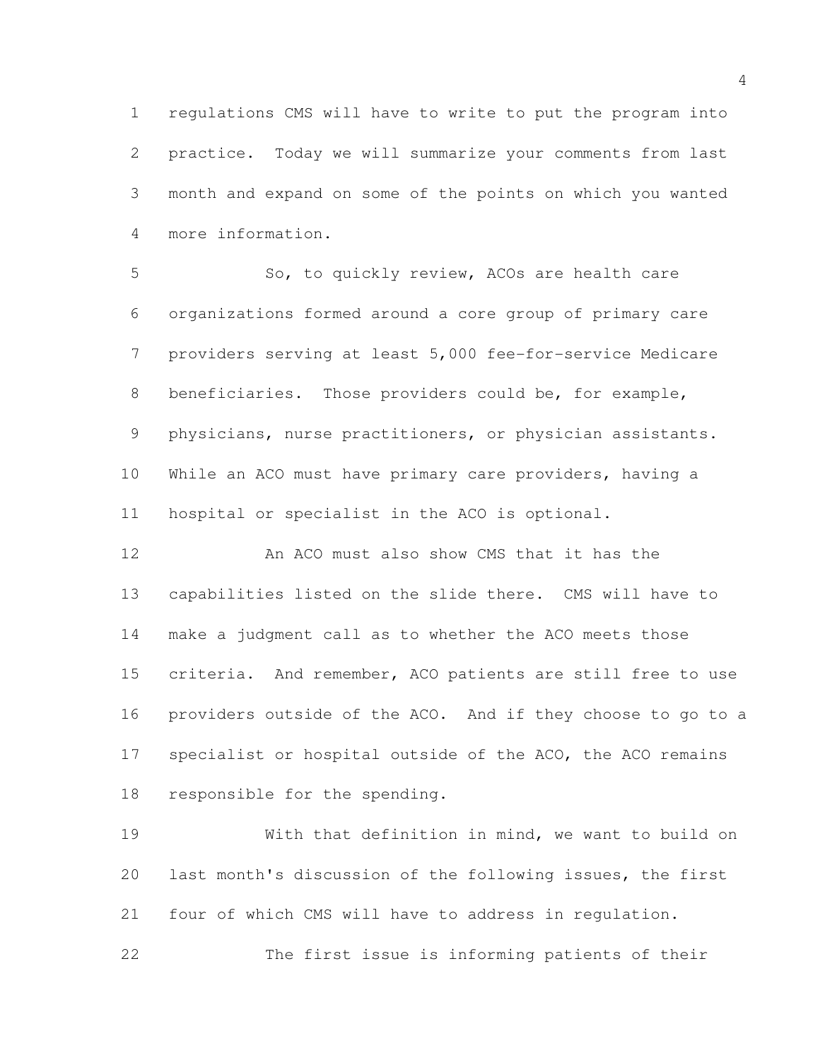regulations CMS will have to write to put the program into practice. Today we will summarize your comments from last month and expand on some of the points on which you wanted more information.

 So, to quickly review, ACOs are health care organizations formed around a core group of primary care providers serving at least 5,000 fee-for-service Medicare 8 beneficiaries. Those providers could be, for example, physicians, nurse practitioners, or physician assistants. While an ACO must have primary care providers, having a hospital or specialist in the ACO is optional.

 An ACO must also show CMS that it has the capabilities listed on the slide there. CMS will have to make a judgment call as to whether the ACO meets those criteria. And remember, ACO patients are still free to use providers outside of the ACO. And if they choose to go to a 17 specialist or hospital outside of the ACO, the ACO remains responsible for the spending.

 With that definition in mind, we want to build on last month's discussion of the following issues, the first four of which CMS will have to address in regulation.

The first issue is informing patients of their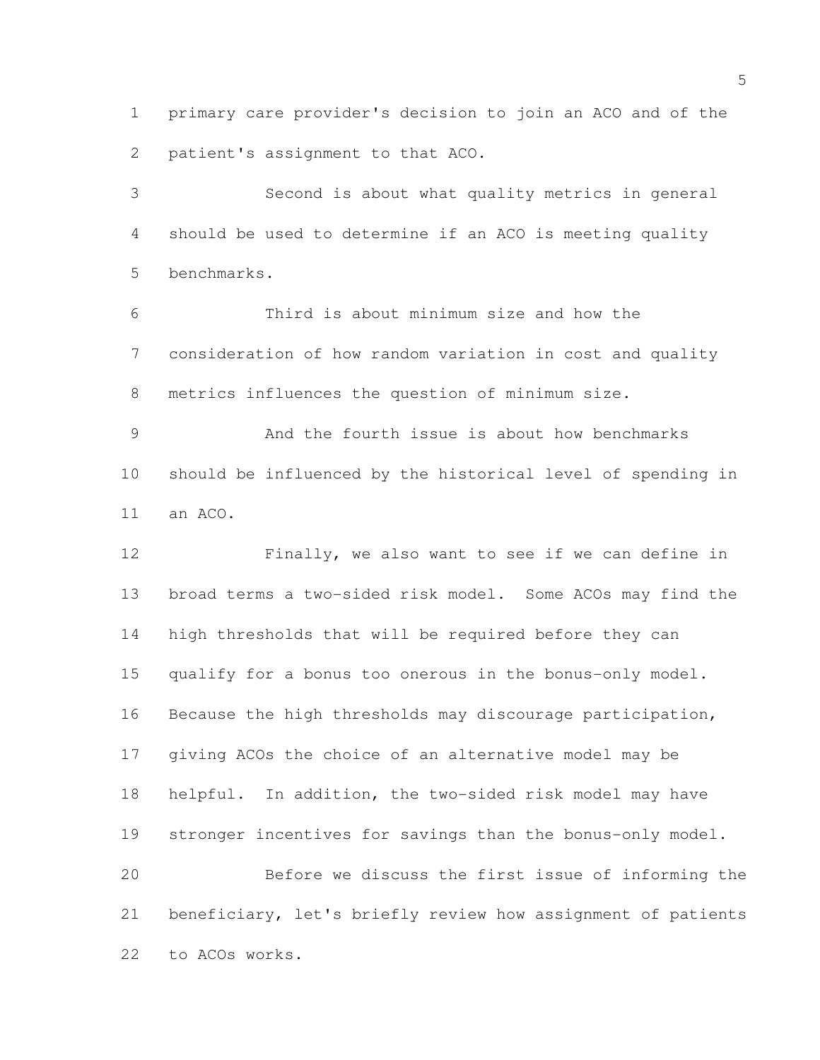primary care provider's decision to join an ACO and of the patient's assignment to that ACO.

 Second is about what quality metrics in general should be used to determine if an ACO is meeting quality benchmarks.

 Third is about minimum size and how the consideration of how random variation in cost and quality metrics influences the question of minimum size.

 And the fourth issue is about how benchmarks should be influenced by the historical level of spending in an ACO.

 Finally, we also want to see if we can define in broad terms a two-sided risk model. Some ACOs may find the high thresholds that will be required before they can qualify for a bonus too onerous in the bonus-only model. Because the high thresholds may discourage participation, giving ACOs the choice of an alternative model may be helpful. In addition, the two-sided risk model may have stronger incentives for savings than the bonus-only model. Before we discuss the first issue of informing the beneficiary, let's briefly review how assignment of patients to ACOs works.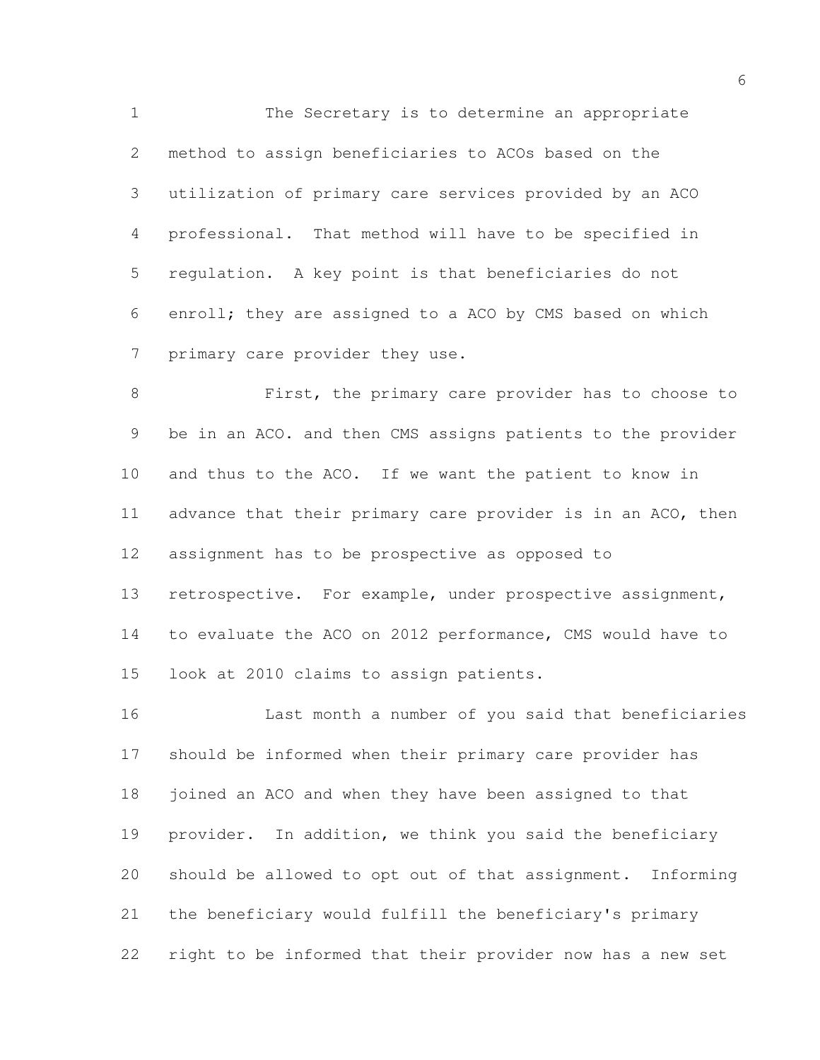The Secretary is to determine an appropriate method to assign beneficiaries to ACOs based on the utilization of primary care services provided by an ACO professional. That method will have to be specified in regulation. A key point is that beneficiaries do not enroll; they are assigned to a ACO by CMS based on which primary care provider they use.

 First, the primary care provider has to choose to be in an ACO. and then CMS assigns patients to the provider and thus to the ACO. If we want the patient to know in advance that their primary care provider is in an ACO, then assignment has to be prospective as opposed to 13 retrospective. For example, under prospective assignment, to evaluate the ACO on 2012 performance, CMS would have to look at 2010 claims to assign patients.

 Last month a number of you said that beneficiaries should be informed when their primary care provider has joined an ACO and when they have been assigned to that provider. In addition, we think you said the beneficiary should be allowed to opt out of that assignment. Informing the beneficiary would fulfill the beneficiary's primary right to be informed that their provider now has a new set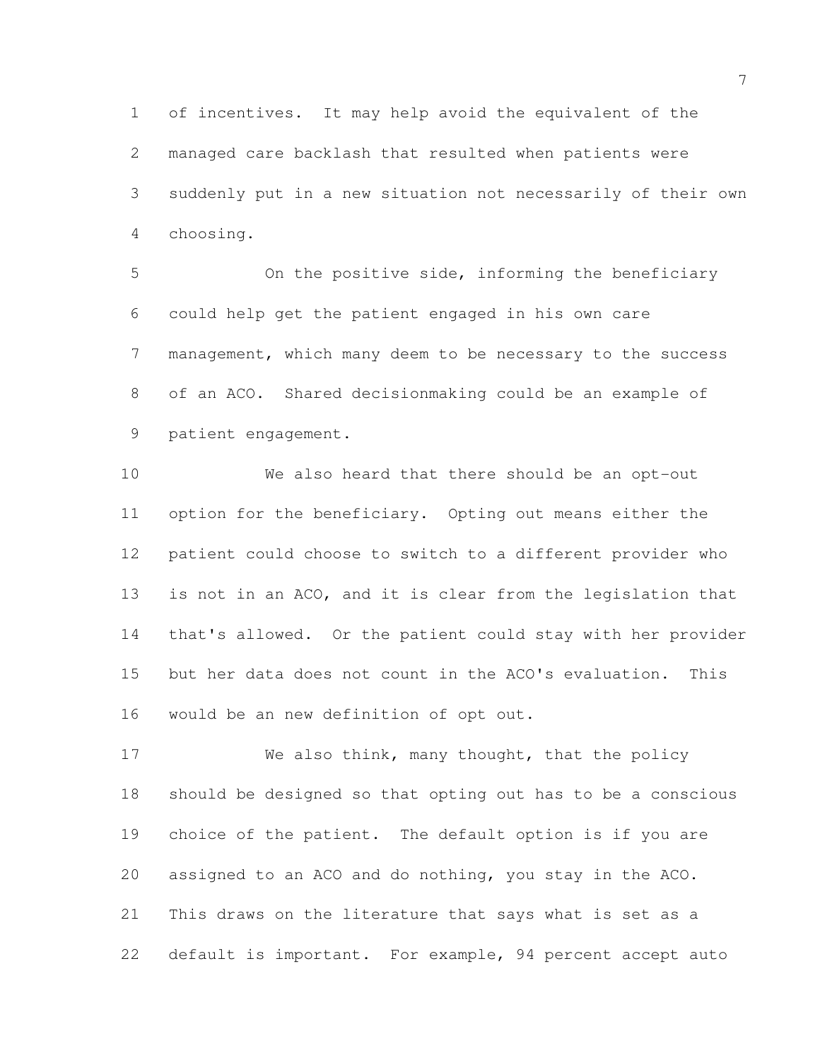of incentives. It may help avoid the equivalent of the managed care backlash that resulted when patients were suddenly put in a new situation not necessarily of their own choosing.

 On the positive side, informing the beneficiary could help get the patient engaged in his own care management, which many deem to be necessary to the success of an ACO. Shared decisionmaking could be an example of patient engagement.

 We also heard that there should be an opt-out option for the beneficiary. Opting out means either the patient could choose to switch to a different provider who is not in an ACO, and it is clear from the legislation that that's allowed. Or the patient could stay with her provider but her data does not count in the ACO's evaluation. This would be an new definition of opt out.

17 We also think, many thought, that the policy should be designed so that opting out has to be a conscious choice of the patient. The default option is if you are assigned to an ACO and do nothing, you stay in the ACO. This draws on the literature that says what is set as a default is important. For example, 94 percent accept auto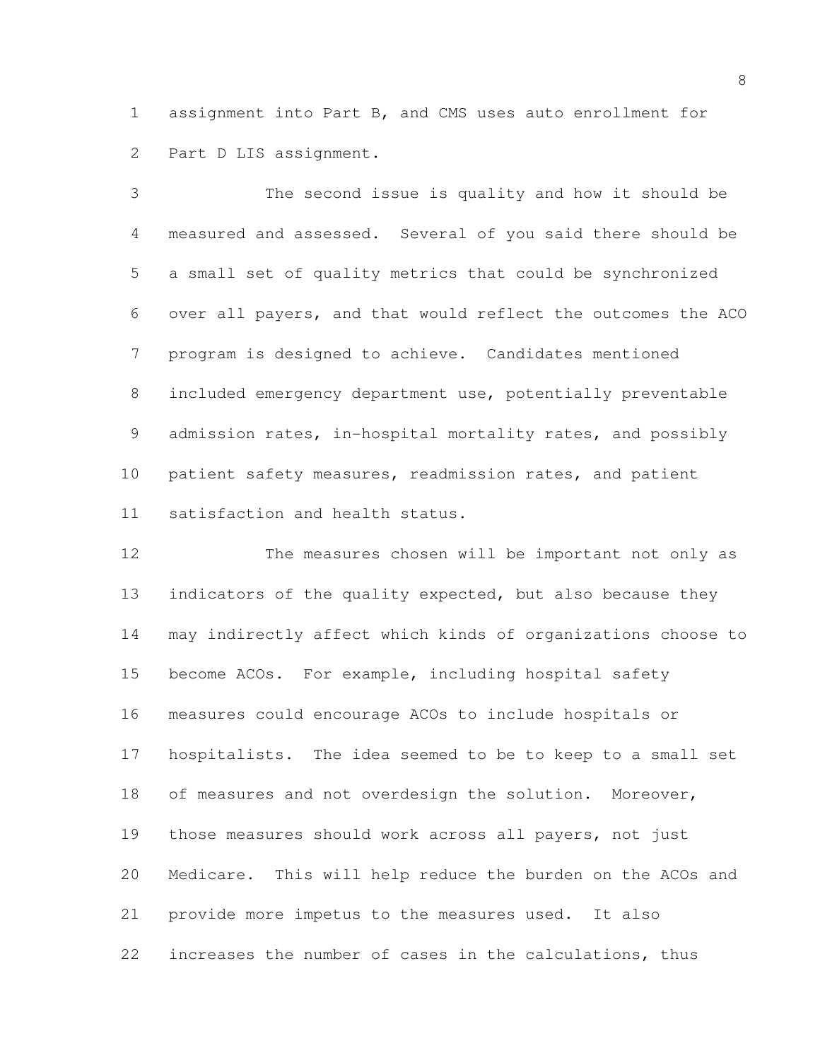assignment into Part B, and CMS uses auto enrollment for Part D LIS assignment.

 The second issue is quality and how it should be measured and assessed. Several of you said there should be a small set of quality metrics that could be synchronized over all payers, and that would reflect the outcomes the ACO program is designed to achieve. Candidates mentioned included emergency department use, potentially preventable admission rates, in-hospital mortality rates, and possibly patient safety measures, readmission rates, and patient satisfaction and health status.

 The measures chosen will be important not only as 13 indicators of the quality expected, but also because they may indirectly affect which kinds of organizations choose to become ACOs. For example, including hospital safety measures could encourage ACOs to include hospitals or hospitalists. The idea seemed to be to keep to a small set 18 of measures and not overdesign the solution. Moreover, those measures should work across all payers, not just Medicare. This will help reduce the burden on the ACOs and provide more impetus to the measures used. It also increases the number of cases in the calculations, thus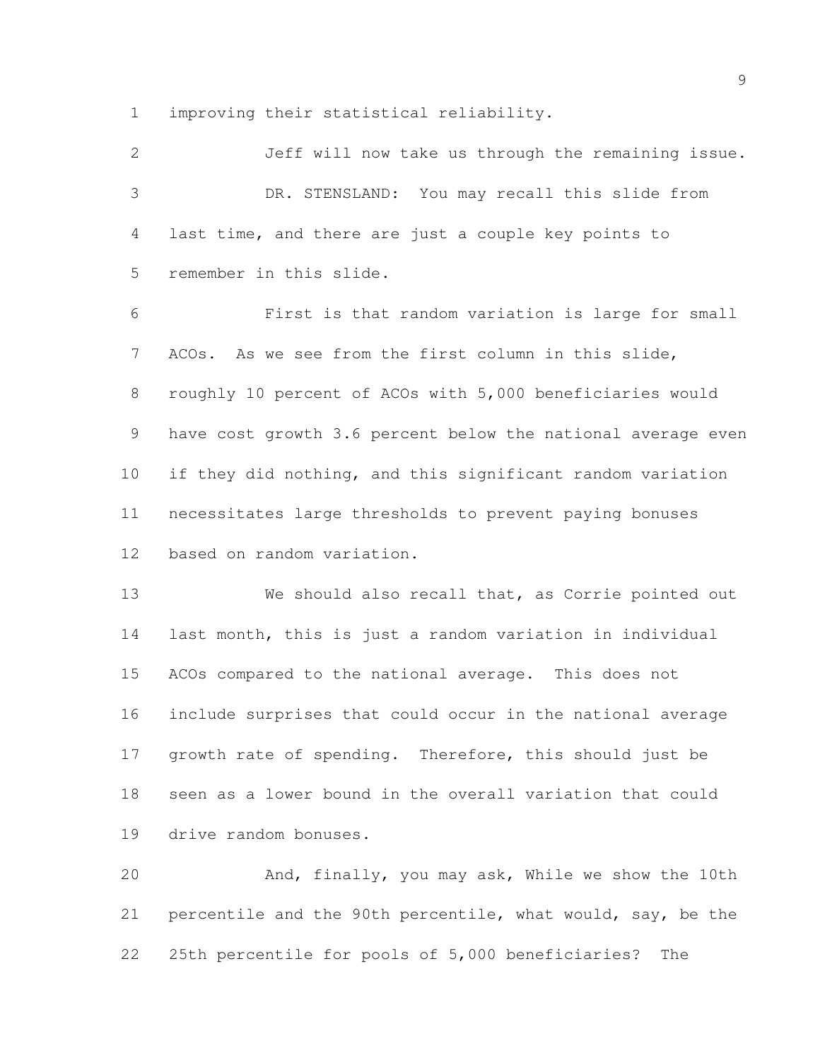improving their statistical reliability.

| 2  | Jeff will now take us through the remaining issue.           |
|----|--------------------------------------------------------------|
| 3  | DR. STENSLAND: You may recall this slide from                |
| 4  | last time, and there are just a couple key points to         |
| 5  | remember in this slide.                                      |
| 6  | First is that random variation is large for small            |
| 7  | ACOs. As we see from the first column in this slide,         |
| 8  | roughly 10 percent of ACOs with 5,000 beneficiaries would    |
| 9  | have cost growth 3.6 percent below the national average even |
| 10 | if they did nothing, and this significant random variation   |
| 11 | necessitates large thresholds to prevent paying bonuses      |
| 12 | based on random variation.                                   |
| 13 | We should also recall that, as Corrie pointed out            |
| 14 | last month, this is just a random variation in individual    |
| 15 | ACOs compared to the national average. This does not         |
| 16 | include surprises that could occur in the national average   |
| 17 | growth rate of spending. Therefore, this should just be      |
| 18 | seen as a lower bound in the overall variation that could    |
| 19 | drive random bonuses.                                        |
| 20 | And, finally, you may ask, While we show the 10th            |

 percentile and the 90th percentile, what would, say, be the 25th percentile for pools of 5,000 beneficiaries? The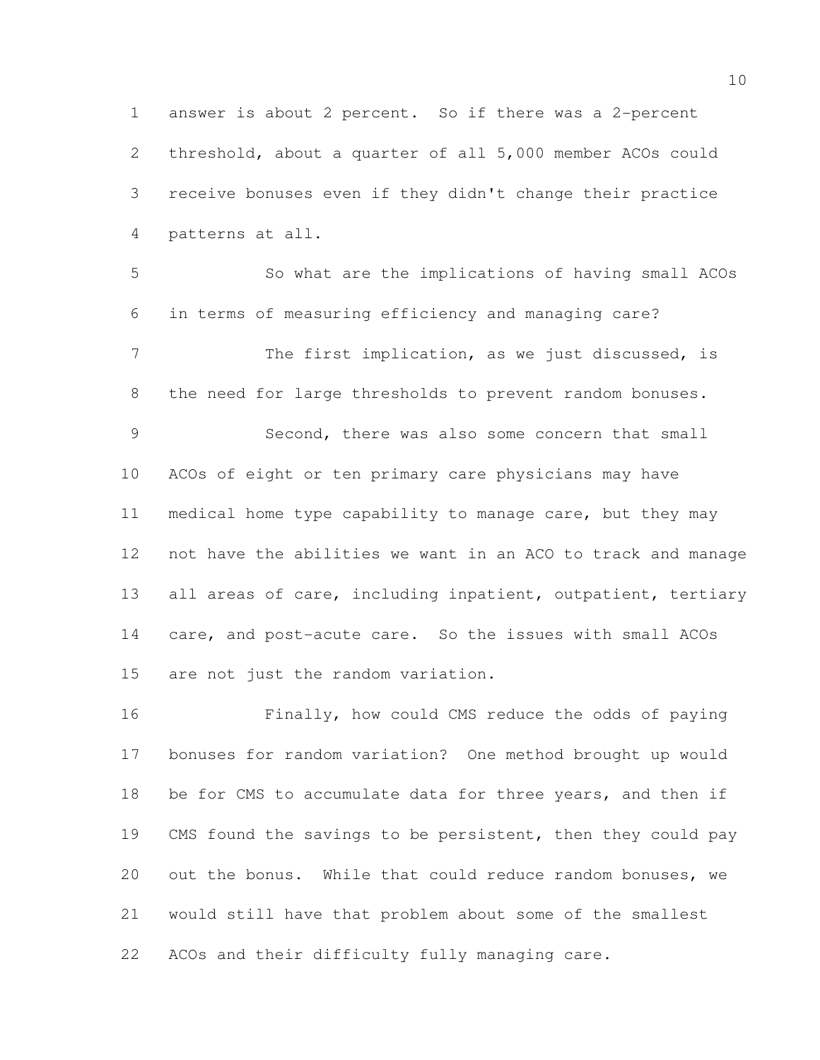answer is about 2 percent. So if there was a 2-percent threshold, about a quarter of all 5,000 member ACOs could receive bonuses even if they didn't change their practice patterns at all.

 So what are the implications of having small ACOs in terms of measuring efficiency and managing care? 7 The first implication, as we just discussed, is the need for large thresholds to prevent random bonuses. Second, there was also some concern that small ACOs of eight or ten primary care physicians may have medical home type capability to manage care, but they may not have the abilities we want in an ACO to track and manage 13 all areas of care, including inpatient, outpatient, tertiary care, and post-acute care. So the issues with small ACOs are not just the random variation.

 Finally, how could CMS reduce the odds of paying bonuses for random variation? One method brought up would 18 be for CMS to accumulate data for three years, and then if 19 CMS found the savings to be persistent, then they could pay out the bonus. While that could reduce random bonuses, we would still have that problem about some of the smallest ACOs and their difficulty fully managing care.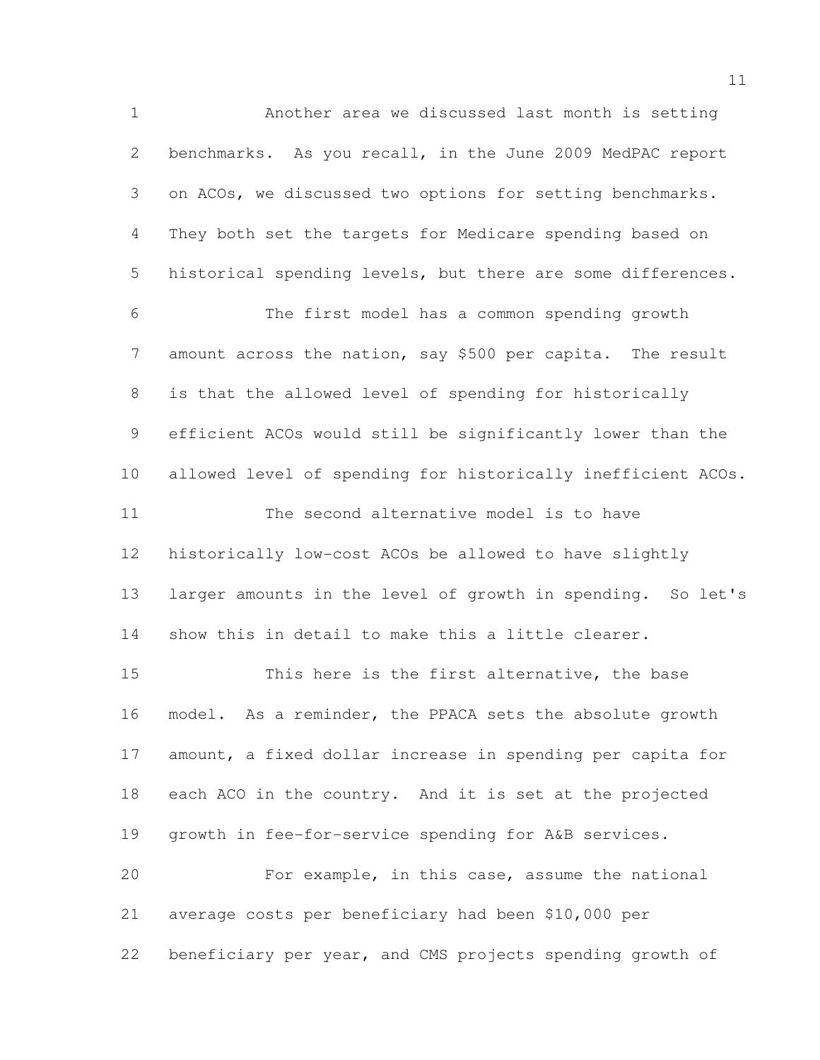Another area we discussed last month is setting benchmarks. As you recall, in the June 2009 MedPAC report on ACOs, we discussed two options for setting benchmarks. They both set the targets for Medicare spending based on historical spending levels, but there are some differences. The first model has a common spending growth amount across the nation, say \$500 per capita. The result is that the allowed level of spending for historically efficient ACOs would still be significantly lower than the allowed level of spending for historically inefficient ACOs. The second alternative model is to have historically low-cost ACOs be allowed to have slightly larger amounts in the level of growth in spending. So let's show this in detail to make this a little clearer. This here is the first alternative, the base model. As a reminder, the PPACA sets the absolute growth 17 amount, a fixed dollar increase in spending per capita for each ACO in the country. And it is set at the projected growth in fee-for-service spending for A&B services. For example, in this case, assume the national average costs per beneficiary had been \$10,000 per beneficiary per year, and CMS projects spending growth of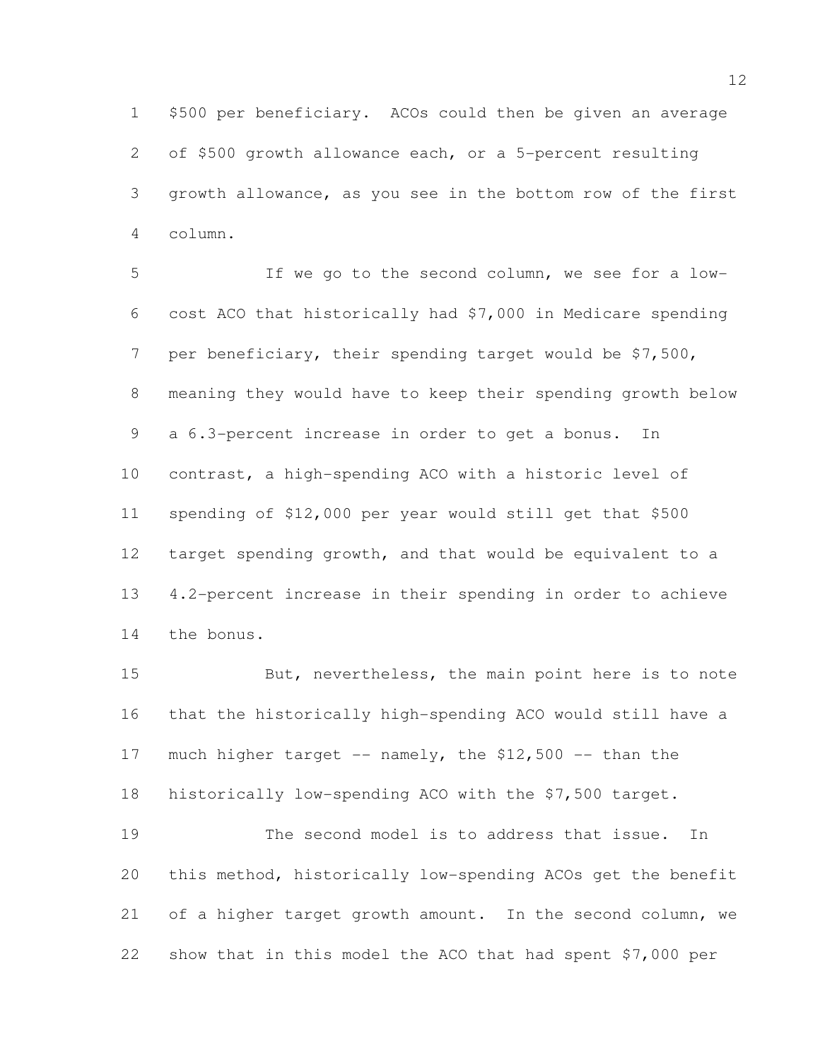\$500 per beneficiary. ACOs could then be given an average of \$500 growth allowance each, or a 5-percent resulting growth allowance, as you see in the bottom row of the first column.

 If we go to the second column, we see for a low- cost ACO that historically had \$7,000 in Medicare spending per beneficiary, their spending target would be \$7,500, meaning they would have to keep their spending growth below a 6.3-percent increase in order to get a bonus. In contrast, a high-spending ACO with a historic level of spending of \$12,000 per year would still get that \$500 target spending growth, and that would be equivalent to a 4.2-percent increase in their spending in order to achieve the bonus.

 But, nevertheless, the main point here is to note that the historically high-spending ACO would still have a 17 much higher target  $--$  namely, the \$12,500  $--$  than the historically low-spending ACO with the \$7,500 target. The second model is to address that issue. In

 this method, historically low-spending ACOs get the benefit 21 of a higher target growth amount. In the second column, we show that in this model the ACO that had spent \$7,000 per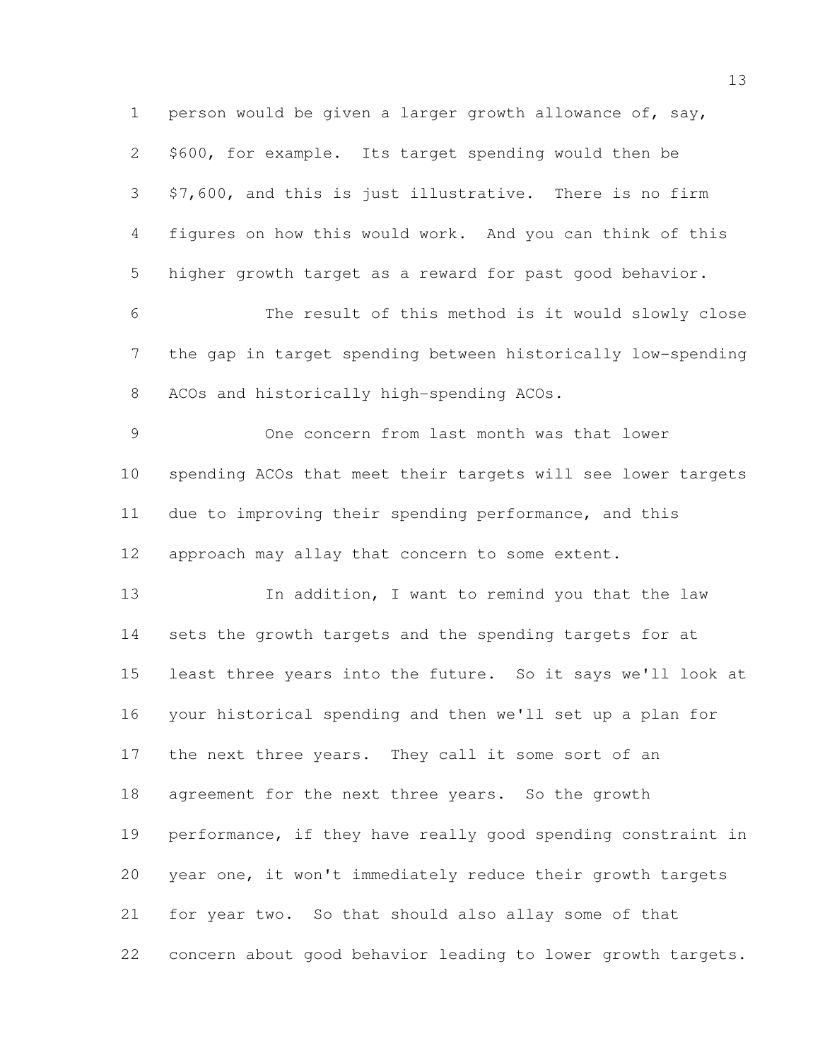person would be given a larger growth allowance of, say, \$600, for example. Its target spending would then be \$7,600, and this is just illustrative. There is no firm figures on how this would work. And you can think of this higher growth target as a reward for past good behavior. The result of this method is it would slowly close the gap in target spending between historically low-spending ACOs and historically high-spending ACOs. One concern from last month was that lower spending ACOs that meet their targets will see lower targets due to improving their spending performance, and this 12 approach may allay that concern to some extent. 13 In addition, I want to remind you that the law sets the growth targets and the spending targets for at least three years into the future. So it says we'll look at your historical spending and then we'll set up a plan for the next three years. They call it some sort of an agreement for the next three years. So the growth performance, if they have really good spending constraint in year one, it won't immediately reduce their growth targets for year two. So that should also allay some of that concern about good behavior leading to lower growth targets.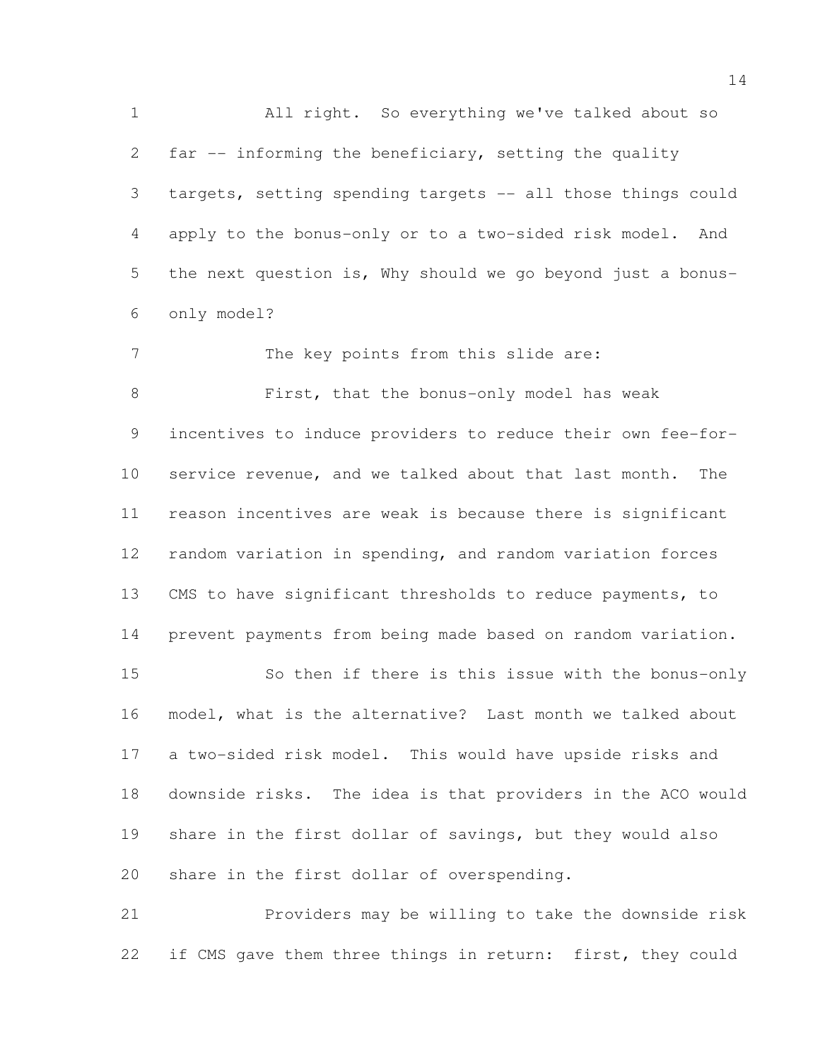All right. So everything we've talked about so far -- informing the beneficiary, setting the quality targets, setting spending targets -- all those things could apply to the bonus-only or to a two-sided risk model. And the next question is, Why should we go beyond just a bonus- only model? 7 The key points from this slide are: 8 First, that the bonus-only model has weak incentives to induce providers to reduce their own fee-for- service revenue, and we talked about that last month. The reason incentives are weak is because there is significant random variation in spending, and random variation forces CMS to have significant thresholds to reduce payments, to prevent payments from being made based on random variation. So then if there is this issue with the bonus-only model, what is the alternative? Last month we talked about a two-sided risk model. This would have upside risks and downside risks. The idea is that providers in the ACO would share in the first dollar of savings, but they would also share in the first dollar of overspending. Providers may be willing to take the downside risk

22 if CMS gave them three things in return: first, they could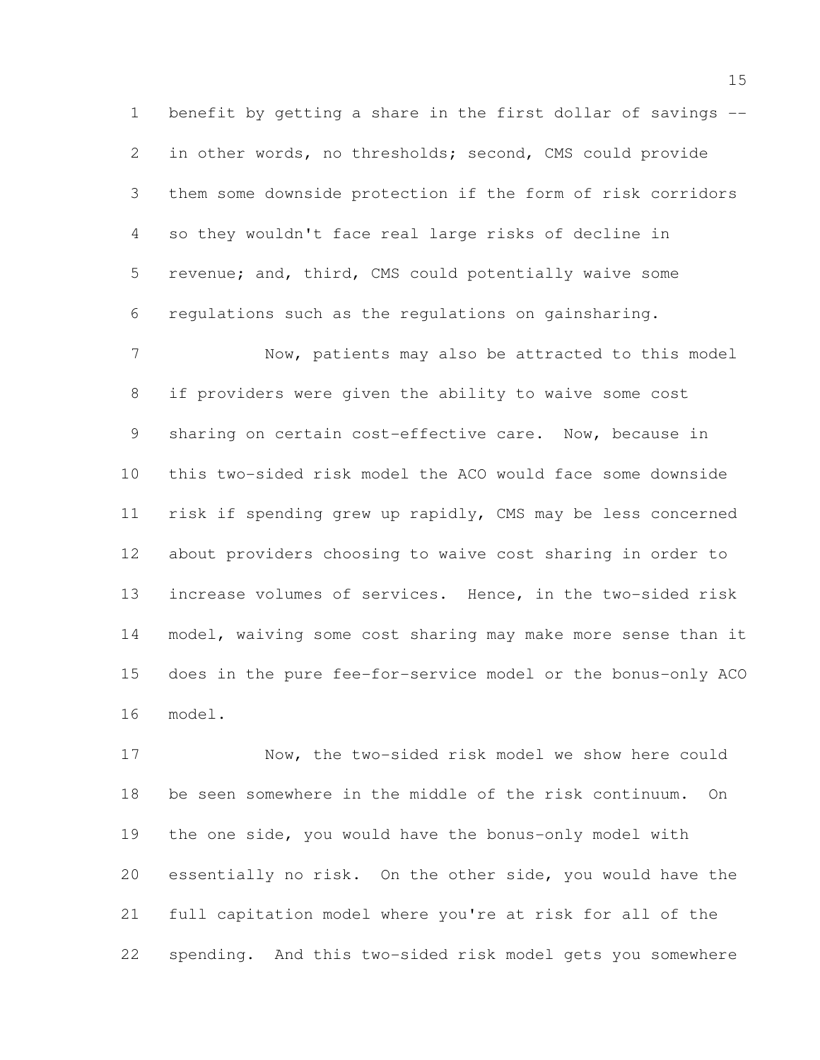benefit by getting a share in the first dollar of savings -- in other words, no thresholds; second, CMS could provide them some downside protection if the form of risk corridors so they wouldn't face real large risks of decline in revenue; and, third, CMS could potentially waive some regulations such as the regulations on gainsharing.

 Now, patients may also be attracted to this model if providers were given the ability to waive some cost sharing on certain cost-effective care. Now, because in this two-sided risk model the ACO would face some downside risk if spending grew up rapidly, CMS may be less concerned about providers choosing to waive cost sharing in order to increase volumes of services. Hence, in the two-sided risk model, waiving some cost sharing may make more sense than it does in the pure fee-for-service model or the bonus-only ACO model.

 Now, the two-sided risk model we show here could be seen somewhere in the middle of the risk continuum. On the one side, you would have the bonus-only model with essentially no risk. On the other side, you would have the full capitation model where you're at risk for all of the spending. And this two-sided risk model gets you somewhere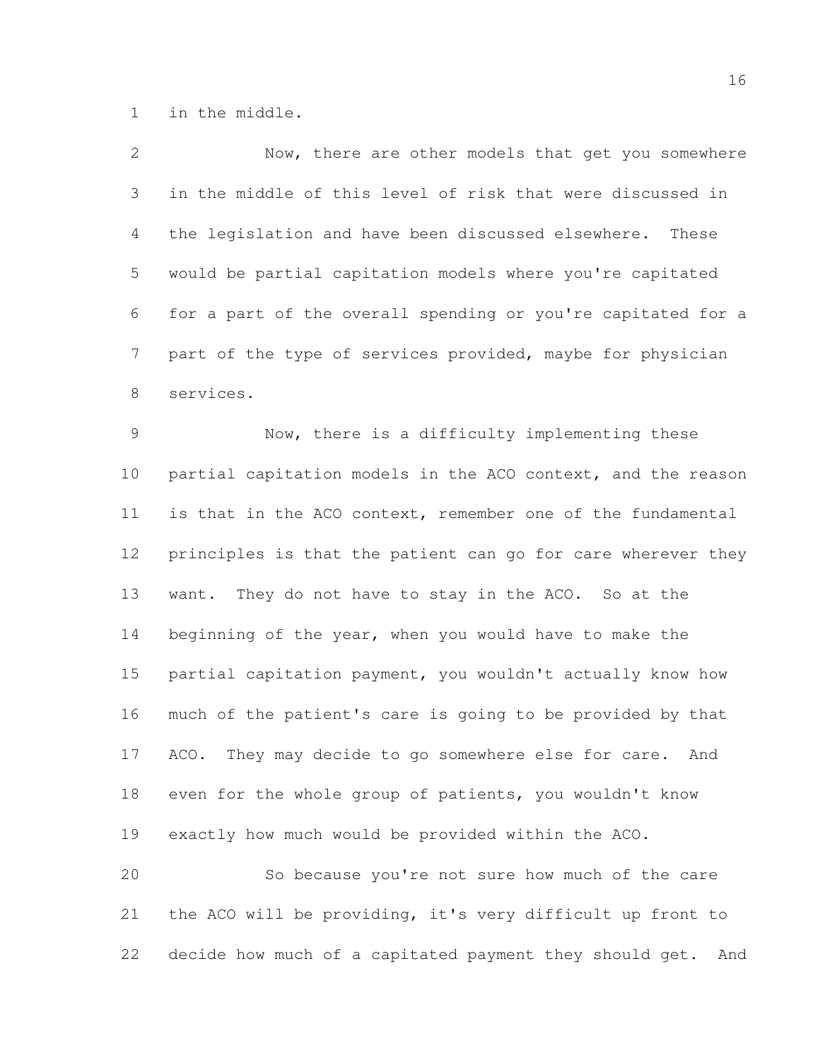in the middle.

| 2              | Now, there are other models that get you somewhere             |
|----------------|----------------------------------------------------------------|
| 3              | in the middle of this level of risk that were discussed in     |
| $\overline{4}$ | the legislation and have been discussed elsewhere. These       |
| 5              | would be partial capitation models where you're capitated      |
| 6              | for a part of the overall spending or you're capitated for a   |
| $\overline{7}$ | part of the type of services provided, maybe for physician     |
| $\,8\,$        | services.                                                      |
| $\mathsf 9$    | Now, there is a difficulty implementing these                  |
| 10             | partial capitation models in the ACO context, and the reason   |
| 11             | is that in the ACO context, remember one of the fundamental    |
| 12             | principles is that the patient can go for care wherever they   |
| 13             | want. They do not have to stay in the ACO. So at the           |
| 14             | beginning of the year, when you would have to make the         |
| 15             | partial capitation payment, you wouldn't actually know how     |
| 16             | much of the patient's care is going to be provided by that     |
| 17             | ACO. They may decide to go somewhere else for care.<br>And     |
| 18             | even for the whole group of patients, you wouldn't know        |
| 19             | exactly how much would be provided within the ACO.             |
| 20             | So because you're not sure how much of the care                |
| 21             | the ACO will be providing, it's very difficult up front to     |
| 22             | decide how much of a capitated payment they should get.<br>And |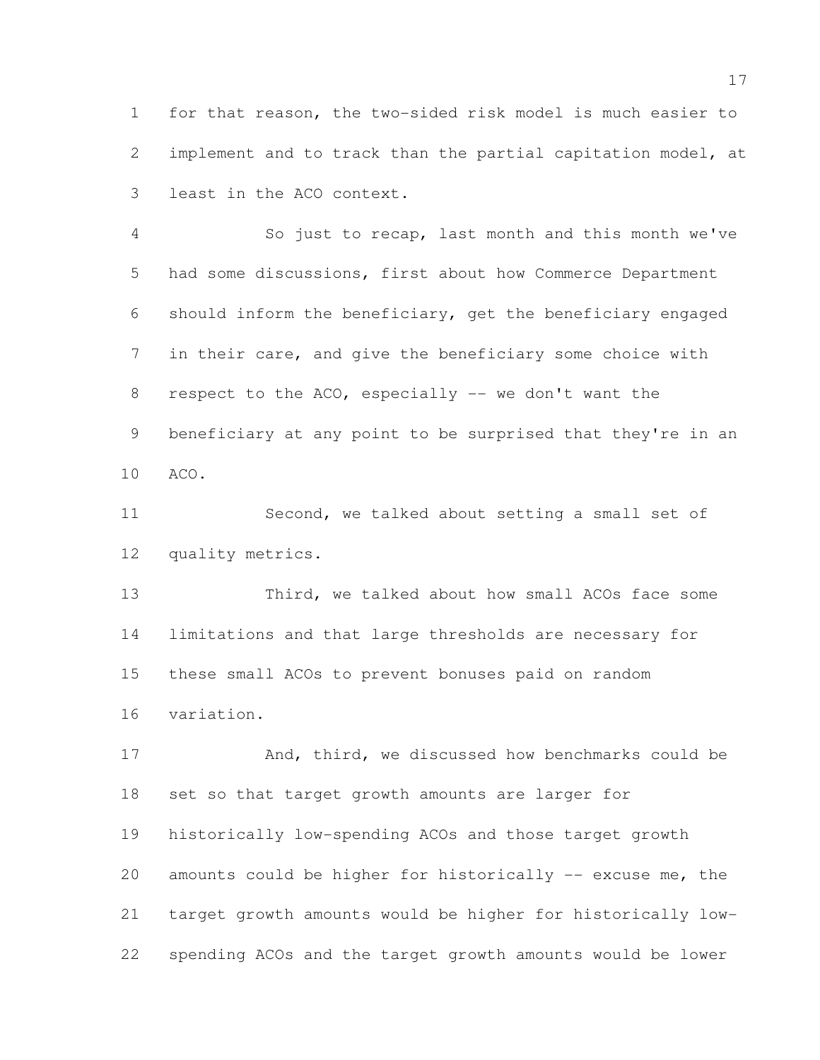for that reason, the two-sided risk model is much easier to implement and to track than the partial capitation model, at least in the ACO context.

 So just to recap, last month and this month we've had some discussions, first about how Commerce Department should inform the beneficiary, get the beneficiary engaged in their care, and give the beneficiary some choice with respect to the ACO, especially -- we don't want the beneficiary at any point to be surprised that they're in an ACO.

 Second, we talked about setting a small set of quality metrics.

13 Third, we talked about how small ACOs face some limitations and that large thresholds are necessary for these small ACOs to prevent bonuses paid on random variation.

17 And, third, we discussed how benchmarks could be set so that target growth amounts are larger for historically low-spending ACOs and those target growth amounts could be higher for historically -- excuse me, the target growth amounts would be higher for historically low-spending ACOs and the target growth amounts would be lower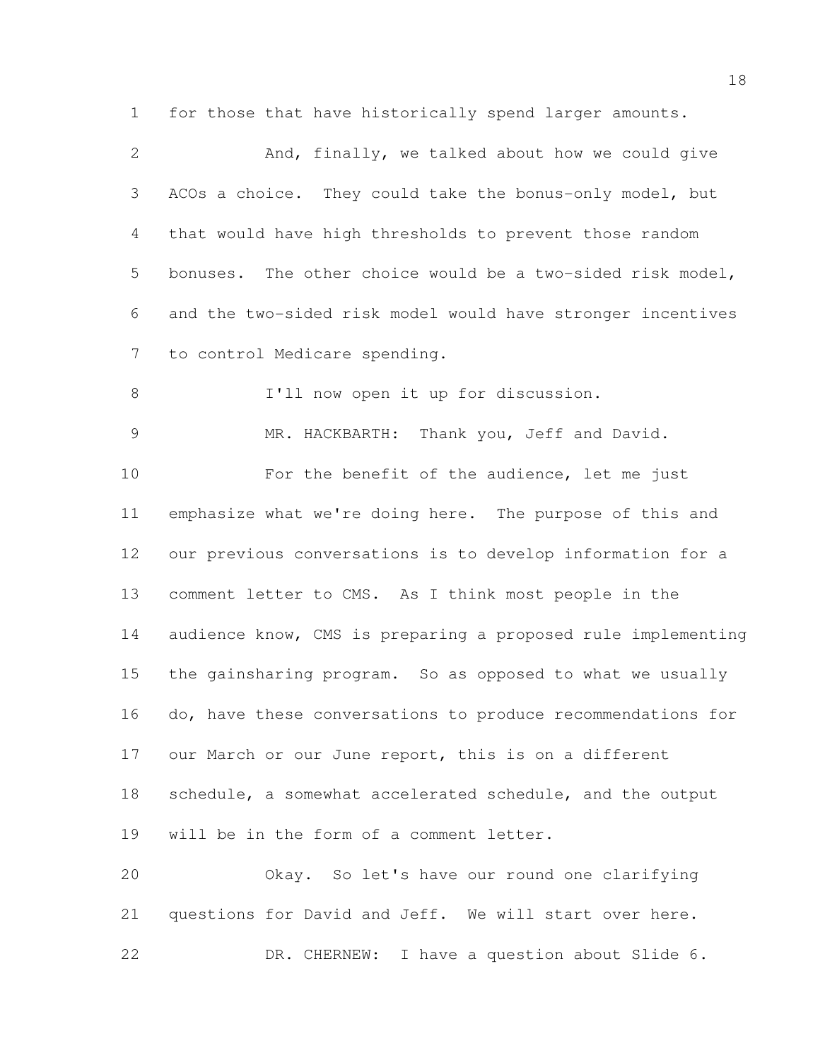for those that have historically spend larger amounts.

| $\mathbf{2}$   | And, finally, we talked about how we could give              |
|----------------|--------------------------------------------------------------|
| 3              | ACOs a choice. They could take the bonus-only model, but     |
| $\overline{4}$ | that would have high thresholds to prevent those random      |
| 5              | bonuses. The other choice would be a two-sided risk model,   |
| 6              | and the two-sided risk model would have stronger incentives  |
| 7              | to control Medicare spending.                                |
| $\,8\,$        | I'll now open it up for discussion.                          |
| $\overline{9}$ | MR. HACKBARTH: Thank you, Jeff and David.                    |
| 10             | For the benefit of the audience, let me just                 |
| 11             | emphasize what we're doing here. The purpose of this and     |
| 12             | our previous conversations is to develop information for a   |
| 13             | comment letter to CMS. As I think most people in the         |
| 14             | audience know, CMS is preparing a proposed rule implementing |
| 15             | the gainsharing program. So as opposed to what we usually    |
| 16             | do, have these conversations to produce recommendations for  |
| 17             | our March or our June report, this is on a different         |
| 18             | schedule, a somewhat accelerated schedule, and the output    |
| 19             | will be in the form of a comment letter.                     |
| 20             | Okay. So let's have our round one clarifying                 |
| 21             | questions for David and Jeff. We will start over here.       |
| 22             | DR. CHERNEW: I have a question about Slide 6.                |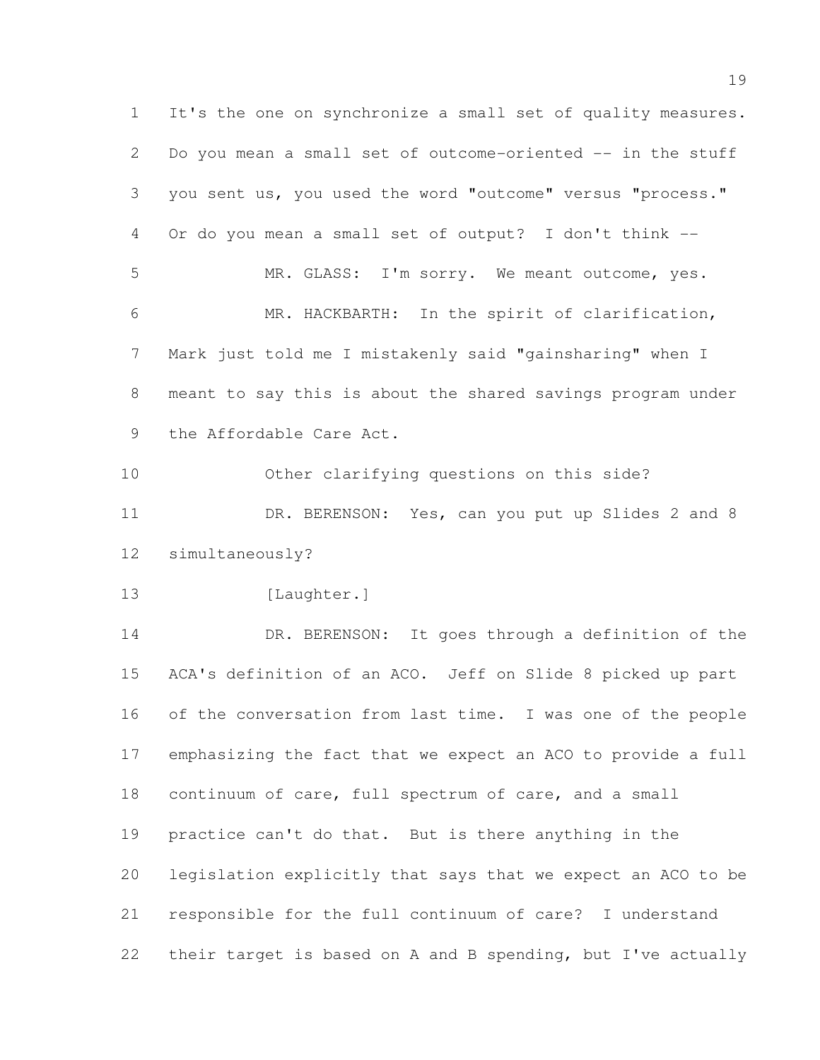It's the one on synchronize a small set of quality measures. Do you mean a small set of outcome-oriented -- in the stuff you sent us, you used the word "outcome" versus "process." Or do you mean a small set of output? I don't think -- MR. GLASS: I'm sorry. We meant outcome, yes. MR. HACKBARTH: In the spirit of clarification, Mark just told me I mistakenly said "gainsharing" when I meant to say this is about the shared savings program under the Affordable Care Act. Other clarifying questions on this side? 11 DR. BERENSON: Yes, can you put up Slides 2 and 8 simultaneously? 13 [Laughter.] DR. BERENSON: It goes through a definition of the ACA's definition of an ACO. Jeff on Slide 8 picked up part of the conversation from last time. I was one of the people emphasizing the fact that we expect an ACO to provide a full continuum of care, full spectrum of care, and a small practice can't do that. But is there anything in the legislation explicitly that says that we expect an ACO to be responsible for the full continuum of care? I understand their target is based on A and B spending, but I've actually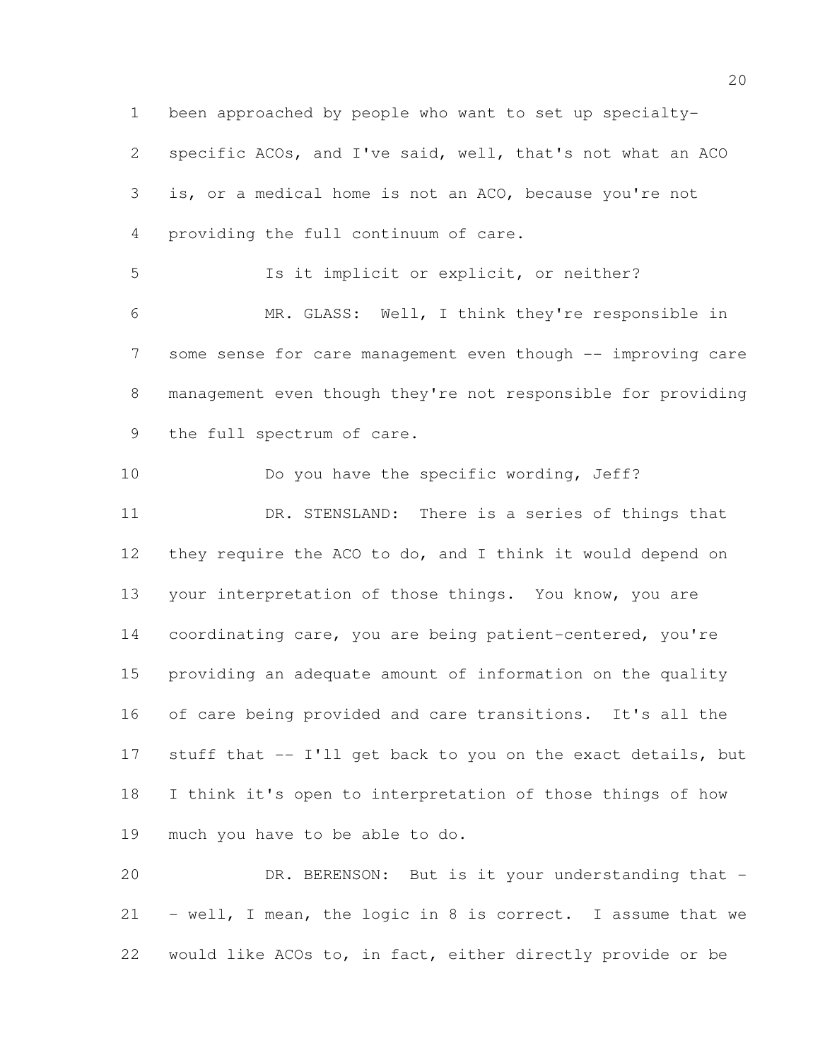been approached by people who want to set up specialty- specific ACOs, and I've said, well, that's not what an ACO is, or a medical home is not an ACO, because you're not providing the full continuum of care.

 Is it implicit or explicit, or neither? MR. GLASS: Well, I think they're responsible in 7 some sense for care management even though -- improving care management even though they're not responsible for providing the full spectrum of care.

10 Do you have the specific wording, Jeff? DR. STENSLAND: There is a series of things that they require the ACO to do, and I think it would depend on your interpretation of those things. You know, you are coordinating care, you are being patient-centered, you're providing an adequate amount of information on the quality of care being provided and care transitions. It's all the stuff that -- I'll get back to you on the exact details, but I think it's open to interpretation of those things of how much you have to be able to do.

20 DR. BERENSON: But is it your understanding that - - well, I mean, the logic in 8 is correct. I assume that we would like ACOs to, in fact, either directly provide or be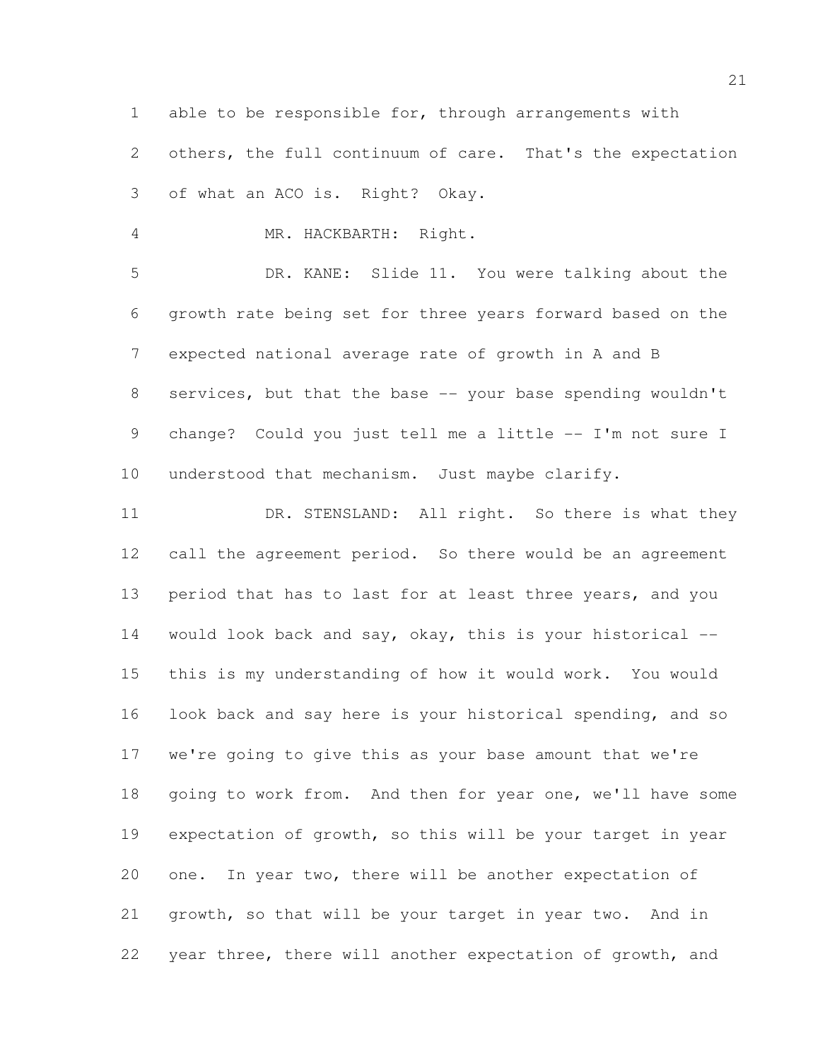able to be responsible for, through arrangements with

 others, the full continuum of care. That's the expectation of what an ACO is. Right? Okay.

MR. HACKBARTH: Right.

 DR. KANE: Slide 11. You were talking about the growth rate being set for three years forward based on the expected national average rate of growth in A and B services, but that the base -- your base spending wouldn't 9 change? Could you just tell me a little -- I'm not sure I understood that mechanism. Just maybe clarify.

11 DR. STENSLAND: All right. So there is what they 12 call the agreement period. So there would be an agreement period that has to last for at least three years, and you would look back and say, okay, this is your historical -- this is my understanding of how it would work. You would look back and say here is your historical spending, and so we're going to give this as your base amount that we're 18 going to work from. And then for year one, we'll have some expectation of growth, so this will be your target in year one. In year two, there will be another expectation of growth, so that will be your target in year two. And in year three, there will another expectation of growth, and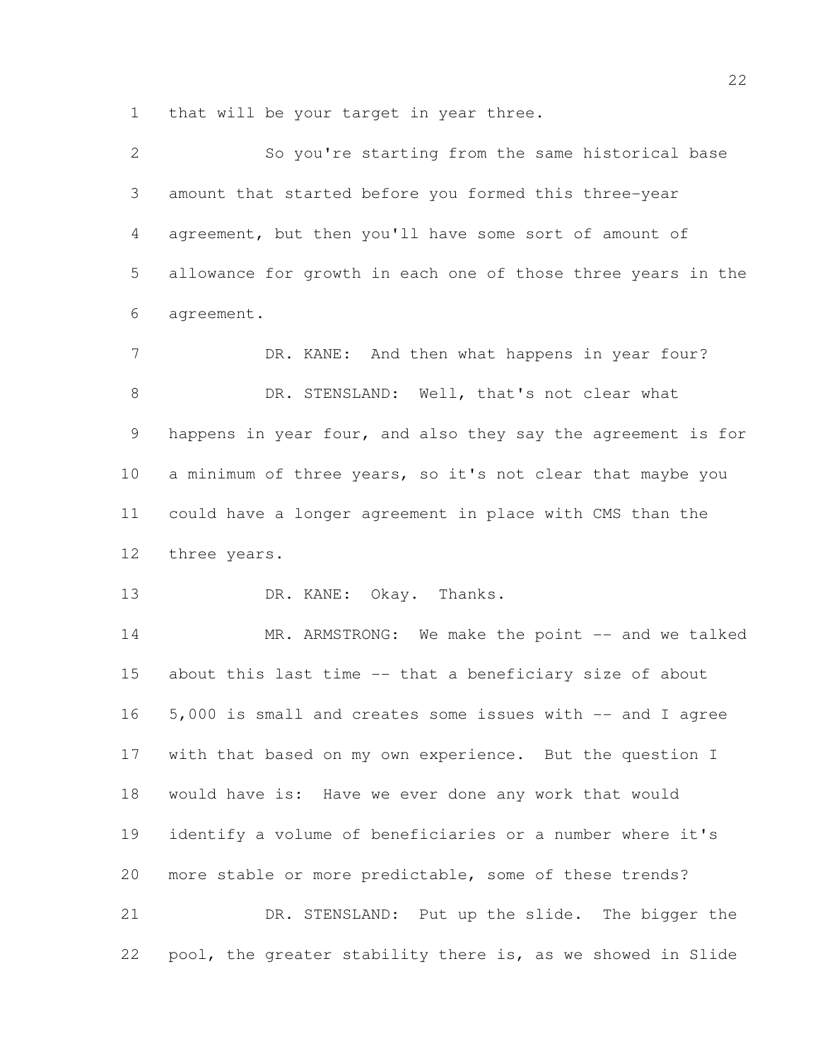that will be your target in year three.

| $\mathbf{2}$    | So you're starting from the same historical base             |
|-----------------|--------------------------------------------------------------|
| 3               | amount that started before you formed this three-year        |
| $\overline{4}$  | agreement, but then you'll have some sort of amount of       |
| 5               | allowance for growth in each one of those three years in the |
| 6               | agreement.                                                   |
| $7\phantom{.0}$ | DR. KANE: And then what happens in year four?                |
| $\,8\,$         | DR. STENSLAND: Well, that's not clear what                   |
| 9               | happens in year four, and also they say the agreement is for |
| 10              | a minimum of three years, so it's not clear that maybe you   |
| 11              | could have a longer agreement in place with CMS than the     |
| 12 <sup>°</sup> | three years.                                                 |
| 13              | DR. KANE: Okay. Thanks.                                      |
| 14              | MR. ARMSTRONG: We make the point -- and we talked            |
| 15              | about this last time -- that a beneficiary size of about     |
| 16              | 5,000 is small and creates some issues with -- and I agree   |
| 17              | with that based on my own experience. But the question I     |
| 18              | would have is: Have we ever done any work that would         |
| 19              | identify a volume of beneficiaries or a number where it's    |
| 20              | more stable or more predictable, some of these trends?       |
| 21              | DR. STENSLAND: Put up the slide. The bigger the              |
| 22              | pool, the greater stability there is, as we showed in Slide  |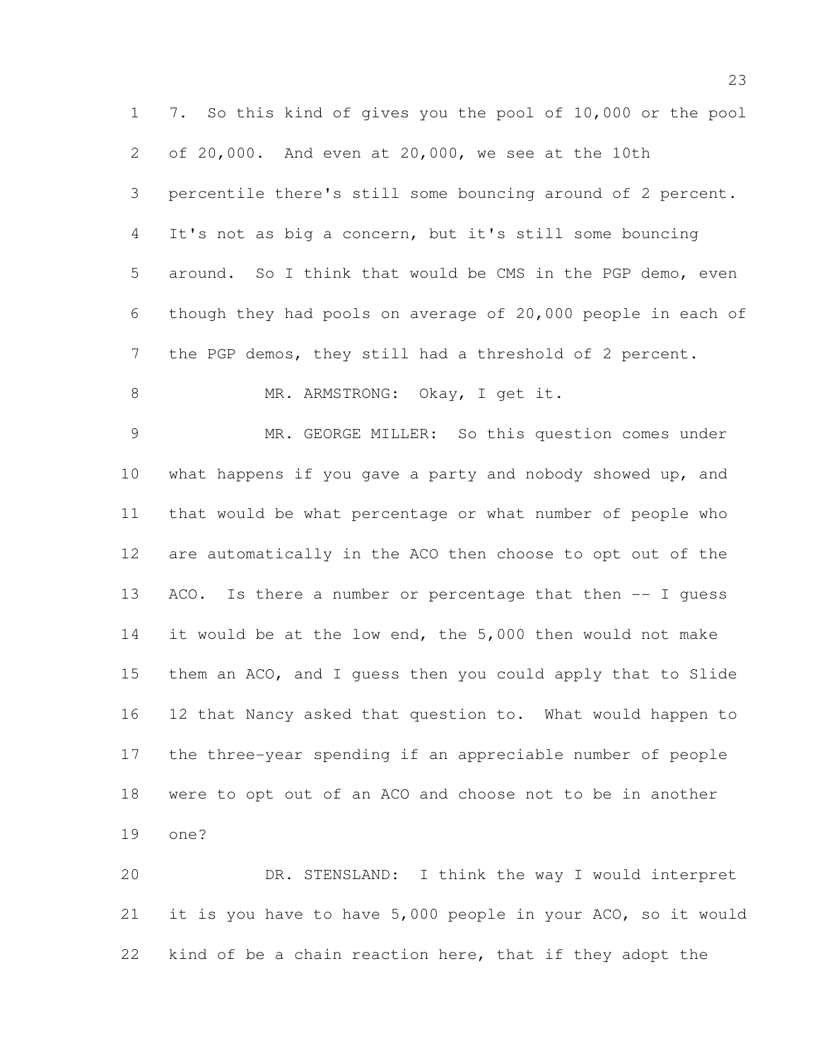7. So this kind of gives you the pool of 10,000 or the pool of 20,000. And even at 20,000, we see at the 10th percentile there's still some bouncing around of 2 percent. It's not as big a concern, but it's still some bouncing around. So I think that would be CMS in the PGP demo, even though they had pools on average of 20,000 people in each of the PGP demos, they still had a threshold of 2 percent. 8 MR. ARMSTRONG: Okay, I get it. MR. GEORGE MILLER: So this question comes under what happens if you gave a party and nobody showed up, and that would be what percentage or what number of people who are automatically in the ACO then choose to opt out of the ACO. Is there a number or percentage that then -- I guess it would be at the low end, the 5,000 then would not make them an ACO, and I guess then you could apply that to Slide 12 that Nancy asked that question to. What would happen to the three-year spending if an appreciable number of people

were to opt out of an ACO and choose not to be in another

one?

 DR. STENSLAND: I think the way I would interpret it is you have to have 5,000 people in your ACO, so it would kind of be a chain reaction here, that if they adopt the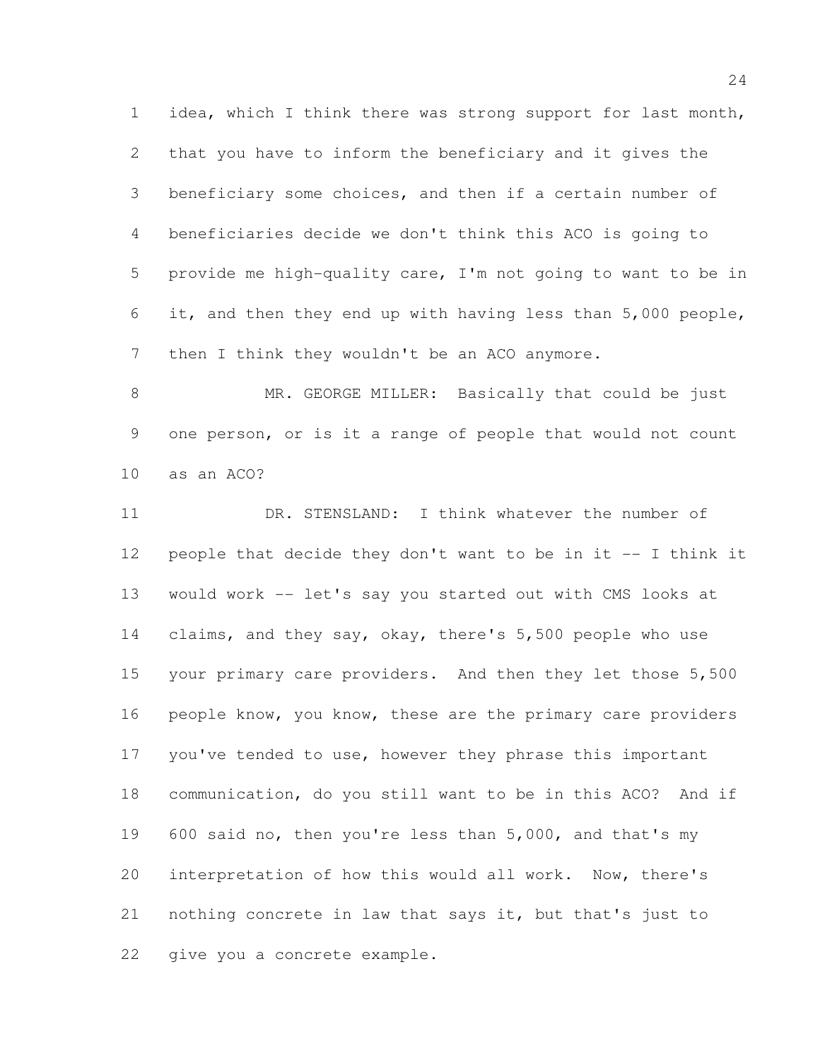idea, which I think there was strong support for last month, that you have to inform the beneficiary and it gives the beneficiary some choices, and then if a certain number of beneficiaries decide we don't think this ACO is going to provide me high-quality care, I'm not going to want to be in it, and then they end up with having less than 5,000 people, 7 then I think they wouldn't be an ACO anymore.

8 MR. GEORGE MILLER: Basically that could be just one person, or is it a range of people that would not count as an ACO?

 DR. STENSLAND: I think whatever the number of people that decide they don't want to be in it -- I think it would work -- let's say you started out with CMS looks at claims, and they say, okay, there's 5,500 people who use 15 your primary care providers. And then they let those 5,500 16 people know, you know, these are the primary care providers you've tended to use, however they phrase this important communication, do you still want to be in this ACO? And if 600 said no, then you're less than 5,000, and that's my interpretation of how this would all work. Now, there's nothing concrete in law that says it, but that's just to give you a concrete example.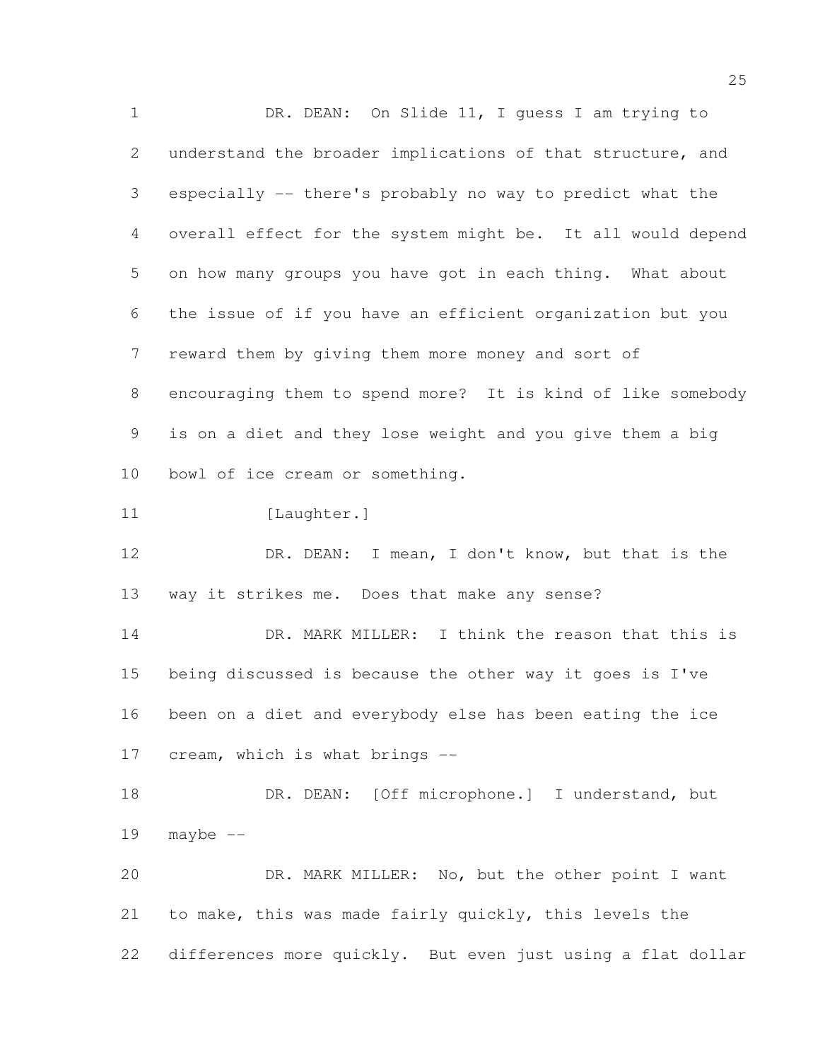1 DR. DEAN: On Slide 11, I guess I am trying to understand the broader implications of that structure, and especially -- there's probably no way to predict what the overall effect for the system might be. It all would depend on how many groups you have got in each thing. What about the issue of if you have an efficient organization but you reward them by giving them more money and sort of encouraging them to spend more? It is kind of like somebody is on a diet and they lose weight and you give them a big bowl of ice cream or something. 11 [Laughter.] DR. DEAN: I mean, I don't know, but that is the way it strikes me. Does that make any sense? DR. MARK MILLER: I think the reason that this is being discussed is because the other way it goes is I've been on a diet and everybody else has been eating the ice cream, which is what brings -- 18 DR. DEAN: [Off microphone.] I understand, but maybe  $--$  DR. MARK MILLER: No, but the other point I want to make, this was made fairly quickly, this levels the differences more quickly. But even just using a flat dollar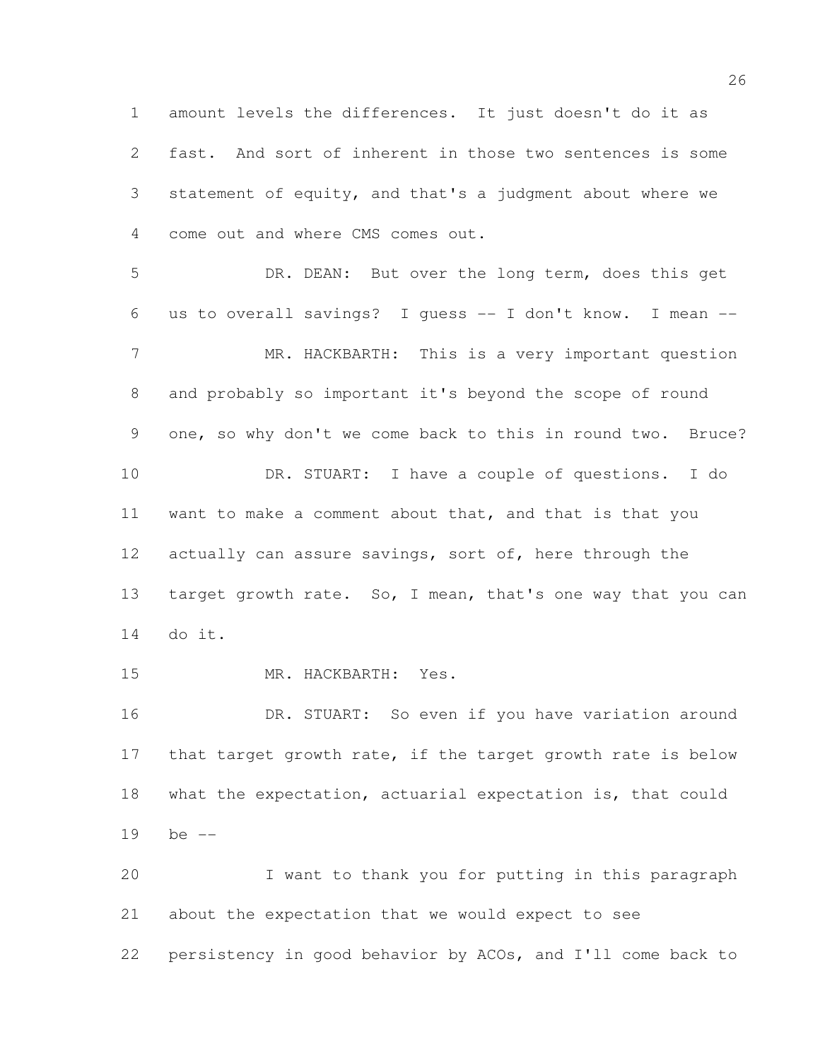amount levels the differences. It just doesn't do it as fast. And sort of inherent in those two sentences is some statement of equity, and that's a judgment about where we come out and where CMS comes out. DR. DEAN: But over the long term, does this get

 us to overall savings? I guess -- I don't know. I mean -- MR. HACKBARTH: This is a very important question and probably so important it's beyond the scope of round one, so why don't we come back to this in round two. Bruce? DR. STUART: I have a couple of questions. I do want to make a comment about that, and that is that you actually can assure savings, sort of, here through the 13 target growth rate. So, I mean, that's one way that you can do it.

MR. HACKBARTH: Yes.

16 DR. STUART: So even if you have variation around 17 that target growth rate, if the target growth rate is below what the expectation, actuarial expectation is, that could be --

 I want to thank you for putting in this paragraph about the expectation that we would expect to see persistency in good behavior by ACOs, and I'll come back to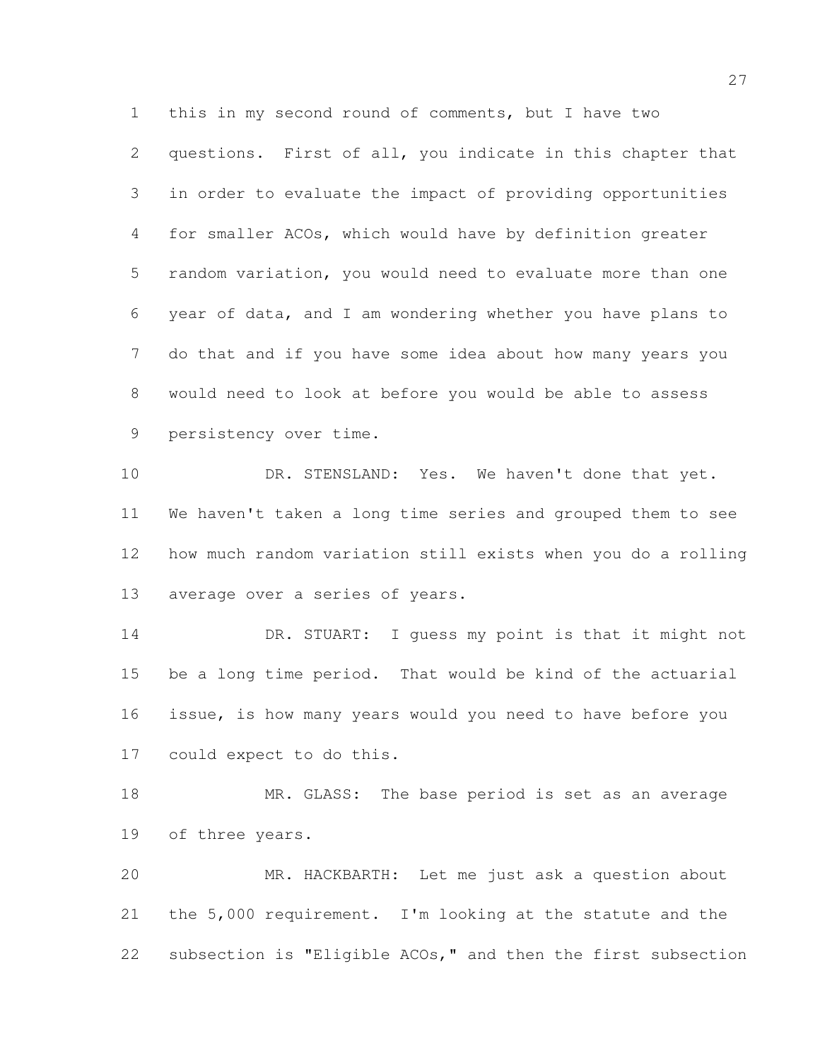this in my second round of comments, but I have two questions. First of all, you indicate in this chapter that in order to evaluate the impact of providing opportunities for smaller ACOs, which would have by definition greater random variation, you would need to evaluate more than one year of data, and I am wondering whether you have plans to do that and if you have some idea about how many years you would need to look at before you would be able to assess persistency over time.

10 DR. STENSLAND: Yes. We haven't done that yet. We haven't taken a long time series and grouped them to see how much random variation still exists when you do a rolling average over a series of years.

14 DR. STUART: I quess my point is that it might not be a long time period. That would be kind of the actuarial issue, is how many years would you need to have before you could expect to do this.

18 MR. GLASS: The base period is set as an average of three years.

 MR. HACKBARTH: Let me just ask a question about the 5,000 requirement. I'm looking at the statute and the subsection is "Eligible ACOs," and then the first subsection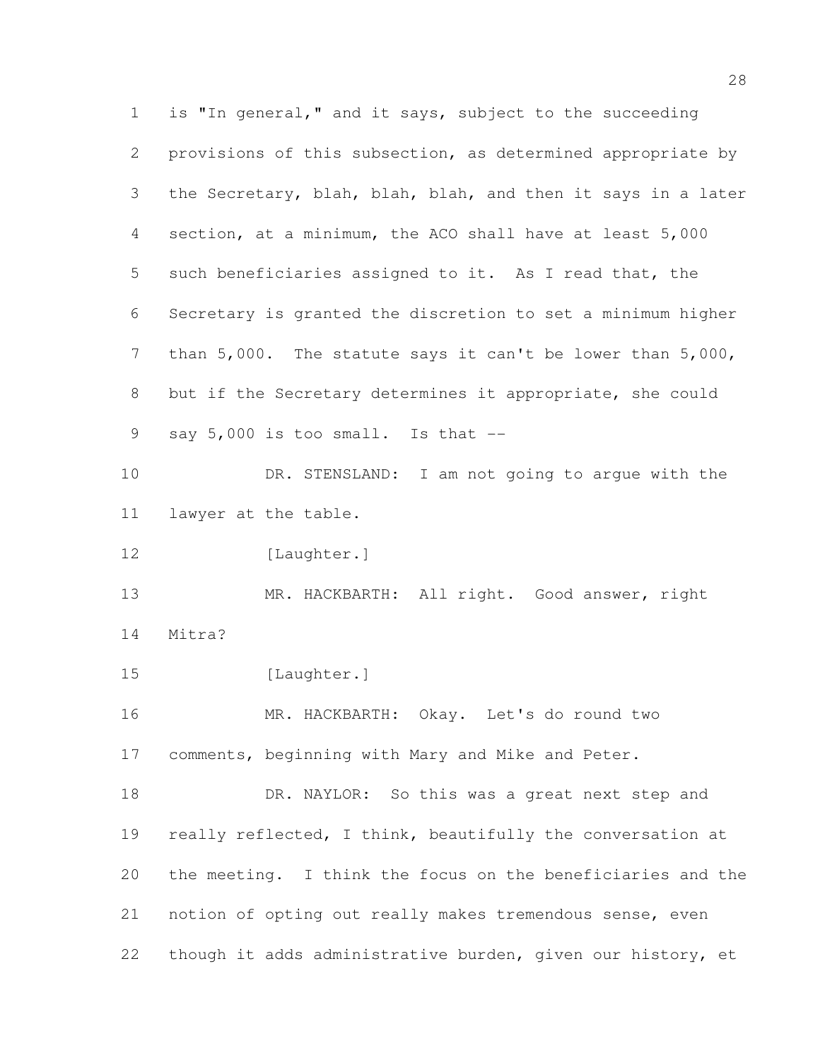is "In general," and it says, subject to the succeeding provisions of this subsection, as determined appropriate by the Secretary, blah, blah, blah, and then it says in a later section, at a minimum, the ACO shall have at least 5,000 such beneficiaries assigned to it. As I read that, the Secretary is granted the discretion to set a minimum higher than 5,000. The statute says it can't be lower than 5,000, but if the Secretary determines it appropriate, she could 9 say 5,000 is too small. Is that -- DR. STENSLAND: I am not going to argue with the lawyer at the table. 12 [Laughter.] 13 MR. HACKBARTH: All right. Good answer, right Mitra? 15 [Laughter.] MR. HACKBARTH: Okay. Let's do round two comments, beginning with Mary and Mike and Peter. 18 DR. NAYLOR: So this was a great next step and 19 really reflected, I think, beautifully the conversation at the meeting. I think the focus on the beneficiaries and the notion of opting out really makes tremendous sense, even though it adds administrative burden, given our history, et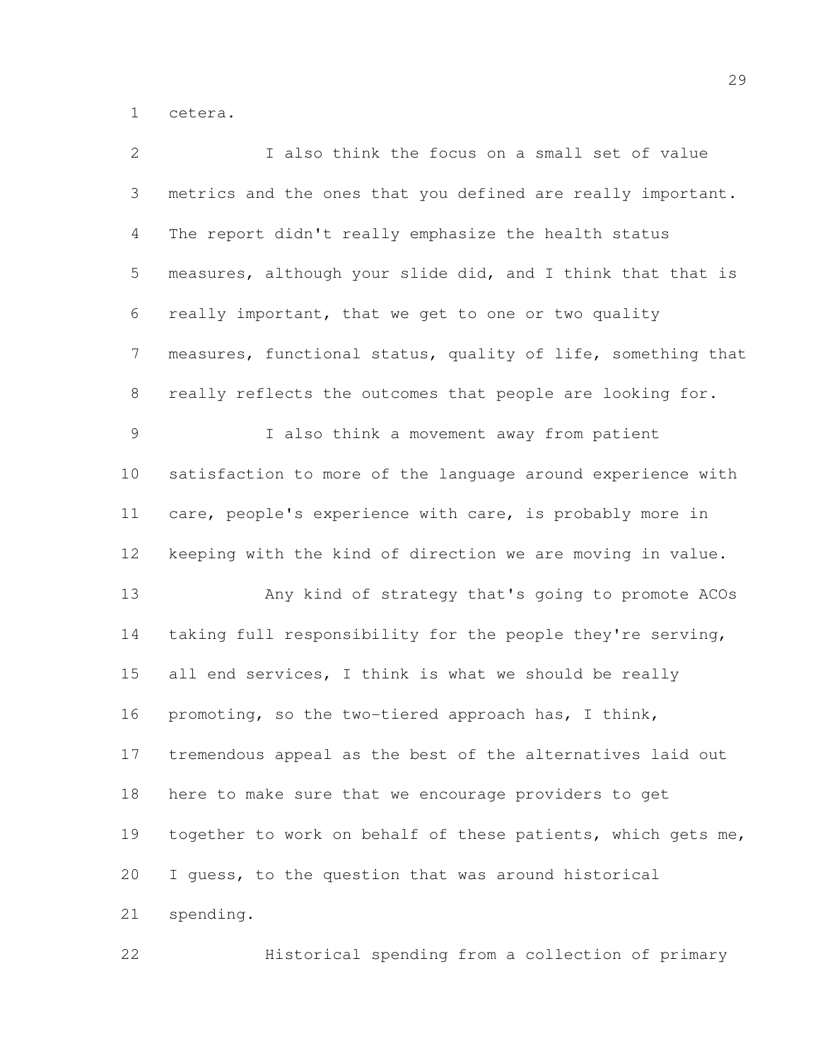cetera.

| $\overline{2}$ | I also think the focus on a small set of value               |
|----------------|--------------------------------------------------------------|
| 3              | metrics and the ones that you defined are really important.  |
| 4              | The report didn't really emphasize the health status         |
| 5              | measures, although your slide did, and I think that that is  |
| 6              | really important, that we get to one or two quality          |
| 7              | measures, functional status, quality of life, something that |
| 8              | really reflects the outcomes that people are looking for.    |
| 9              | I also think a movement away from patient                    |
| 10             | satisfaction to more of the language around experience with  |
| 11             | care, people's experience with care, is probably more in     |
| 12             | keeping with the kind of direction we are moving in value.   |
| 13             | Any kind of strategy that's going to promote ACOs            |
| 14             | taking full responsibility for the people they're serving,   |
| 15             | all end services, I think is what we should be really        |
| 16             | promoting, so the two-tiered approach has, I think,          |
| 17             | tremendous appeal as the best of the alternatives laid out   |
| 18             | here to make sure that we encourage providers to get         |
| 19             | together to work on behalf of these patients, which gets me, |
| 20             | I guess, to the question that was around historical          |
| 21             | spending.                                                    |
| 22             | Historical spending from a collection of primary             |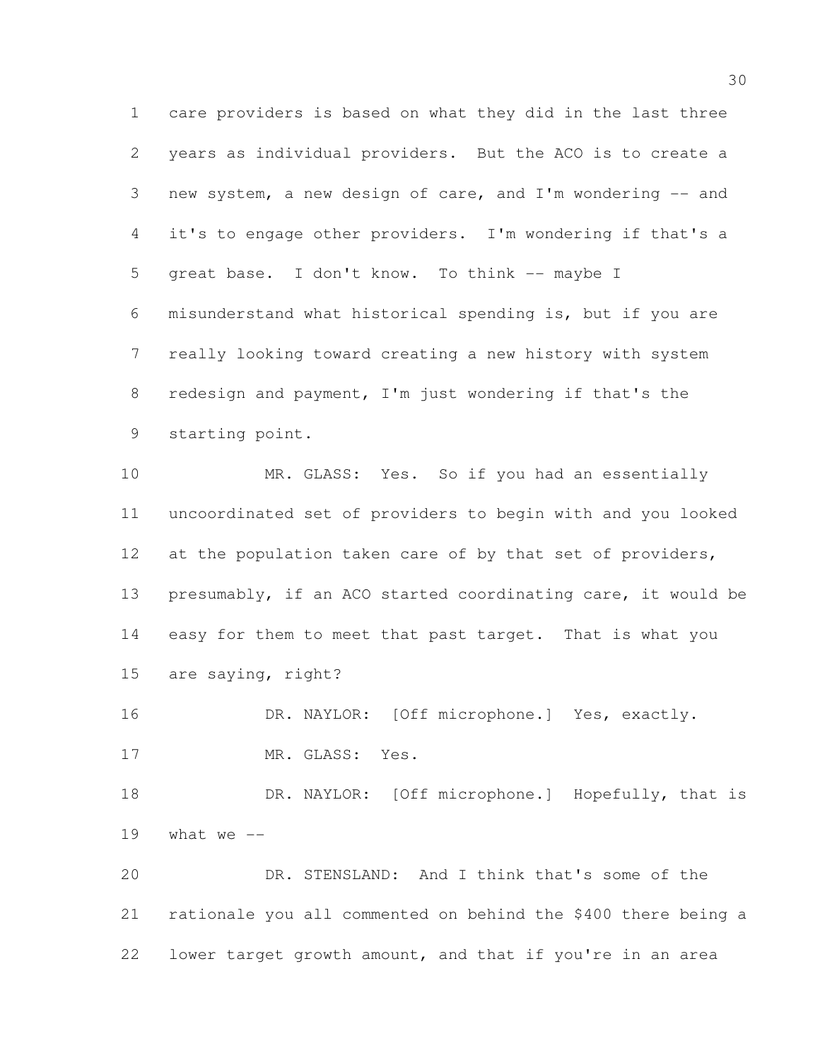care providers is based on what they did in the last three years as individual providers. But the ACO is to create a new system, a new design of care, and I'm wondering -- and it's to engage other providers. I'm wondering if that's a 5 great base. I don't know. To think -- maybe I misunderstand what historical spending is, but if you are really looking toward creating a new history with system redesign and payment, I'm just wondering if that's the starting point.

 MR. GLASS: Yes. So if you had an essentially uncoordinated set of providers to begin with and you looked 12 at the population taken care of by that set of providers, presumably, if an ACO started coordinating care, it would be easy for them to meet that past target. That is what you are saying, right?

16 DR. NAYLOR: [Off microphone.] Yes, exactly. 17 MR. GLASS: Yes.

18 DR. NAYLOR: [Off microphone.] Hopefully, that is 19 what we  $-$ 

 DR. STENSLAND: And I think that's some of the rationale you all commented on behind the \$400 there being a lower target growth amount, and that if you're in an area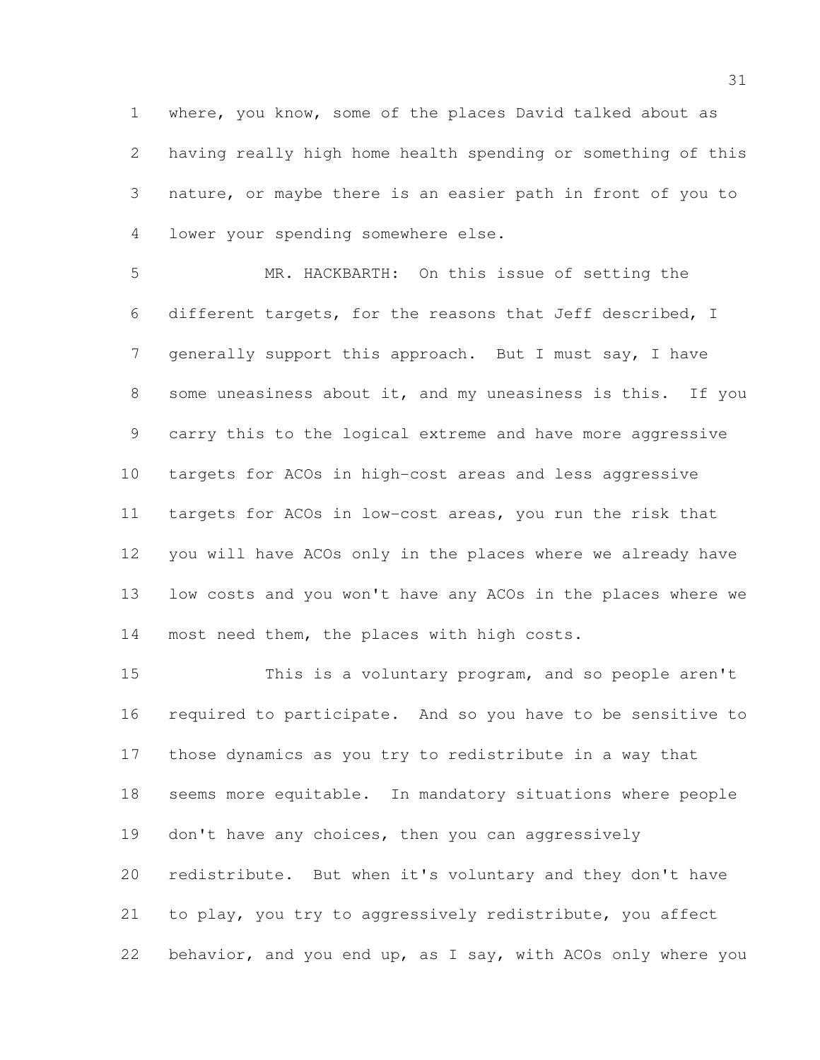where, you know, some of the places David talked about as having really high home health spending or something of this nature, or maybe there is an easier path in front of you to lower your spending somewhere else.

 MR. HACKBARTH: On this issue of setting the different targets, for the reasons that Jeff described, I generally support this approach. But I must say, I have some uneasiness about it, and my uneasiness is this. If you carry this to the logical extreme and have more aggressive targets for ACOs in high-cost areas and less aggressive targets for ACOs in low-cost areas, you run the risk that you will have ACOs only in the places where we already have low costs and you won't have any ACOs in the places where we most need them, the places with high costs.

 This is a voluntary program, and so people aren't required to participate. And so you have to be sensitive to those dynamics as you try to redistribute in a way that seems more equitable. In mandatory situations where people 19 don't have any choices, then you can aggressively redistribute. But when it's voluntary and they don't have to play, you try to aggressively redistribute, you affect behavior, and you end up, as I say, with ACOs only where you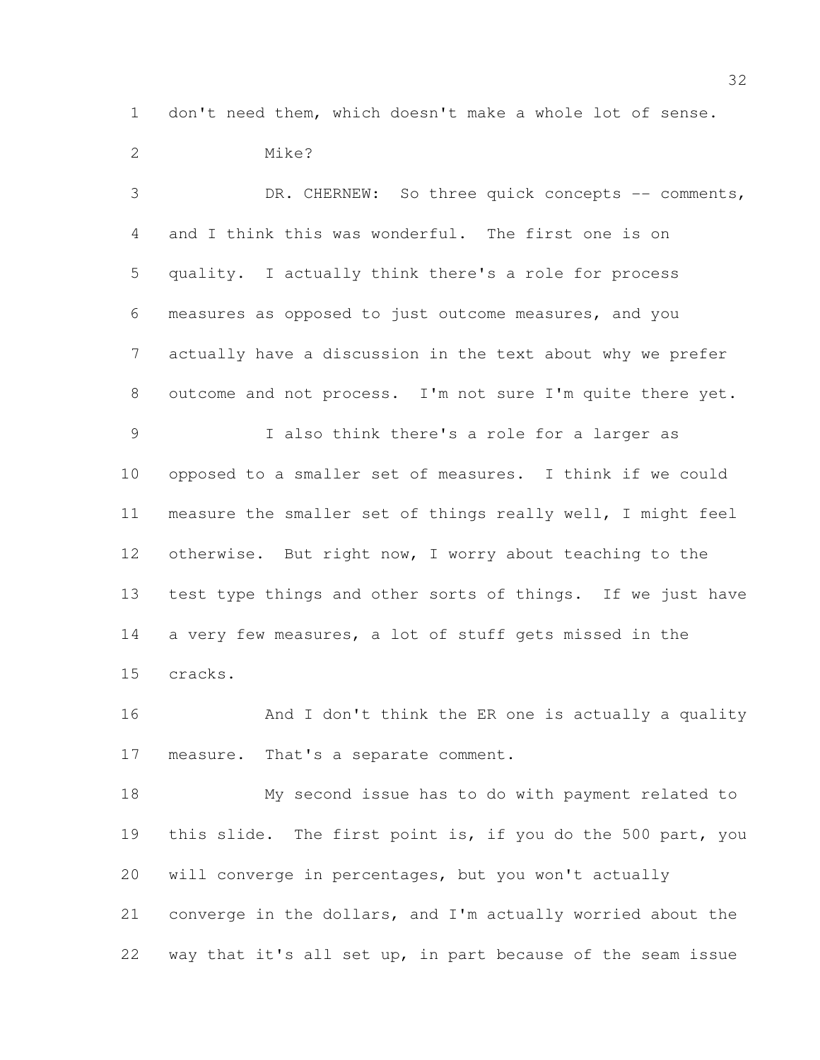don't need them, which doesn't make a whole lot of sense.

 Mike? DR. CHERNEW: So three quick concepts -- comments, and I think this was wonderful. The first one is on quality. I actually think there's a role for process measures as opposed to just outcome measures, and you actually have a discussion in the text about why we prefer outcome and not process. I'm not sure I'm quite there yet. I also think there's a role for a larger as opposed to a smaller set of measures. I think if we could measure the smaller set of things really well, I might feel otherwise. But right now, I worry about teaching to the test type things and other sorts of things. If we just have a very few measures, a lot of stuff gets missed in the cracks. 16 And I don't think the ER one is actually a quality

measure. That's a separate comment.

 My second issue has to do with payment related to 19 this slide. The first point is, if you do the 500 part, you will converge in percentages, but you won't actually converge in the dollars, and I'm actually worried about the way that it's all set up, in part because of the seam issue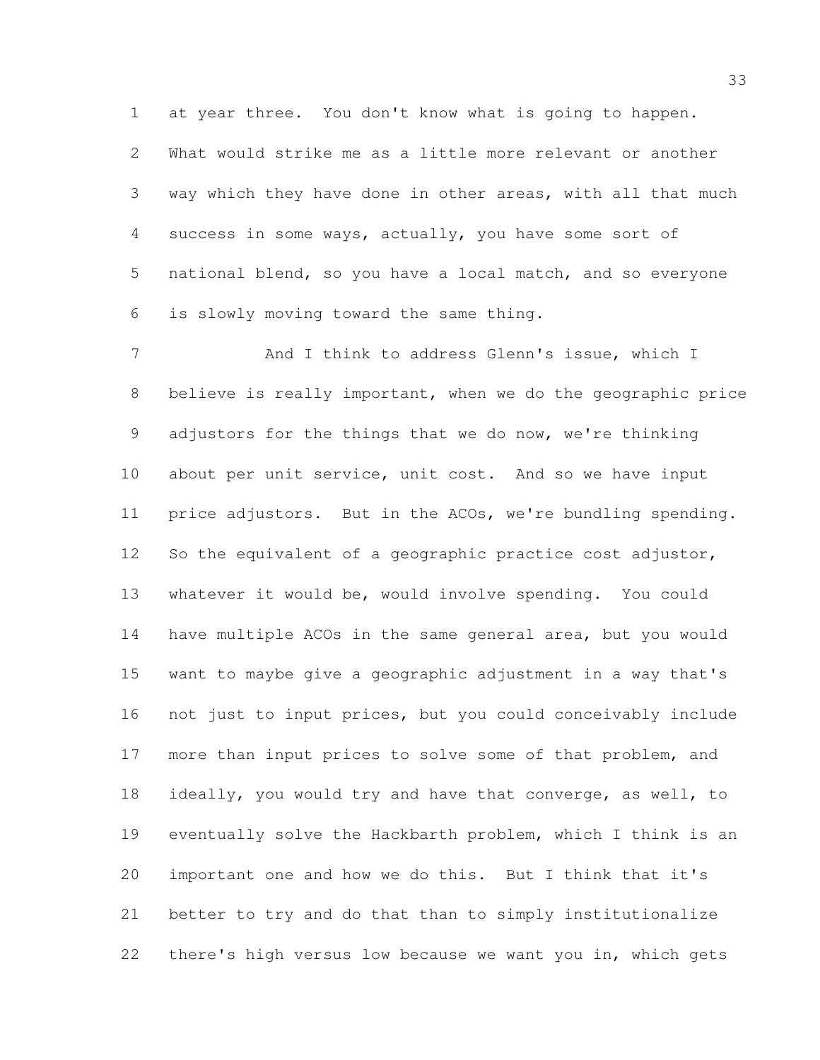at year three. You don't know what is going to happen. What would strike me as a little more relevant or another way which they have done in other areas, with all that much success in some ways, actually, you have some sort of national blend, so you have a local match, and so everyone is slowly moving toward the same thing.

7 And I think to address Glenn's issue, which I believe is really important, when we do the geographic price adjustors for the things that we do now, we're thinking about per unit service, unit cost. And so we have input price adjustors. But in the ACOs, we're bundling spending. So the equivalent of a geographic practice cost adjustor, whatever it would be, would involve spending. You could have multiple ACOs in the same general area, but you would want to maybe give a geographic adjustment in a way that's not just to input prices, but you could conceivably include more than input prices to solve some of that problem, and ideally, you would try and have that converge, as well, to eventually solve the Hackbarth problem, which I think is an important one and how we do this. But I think that it's better to try and do that than to simply institutionalize there's high versus low because we want you in, which gets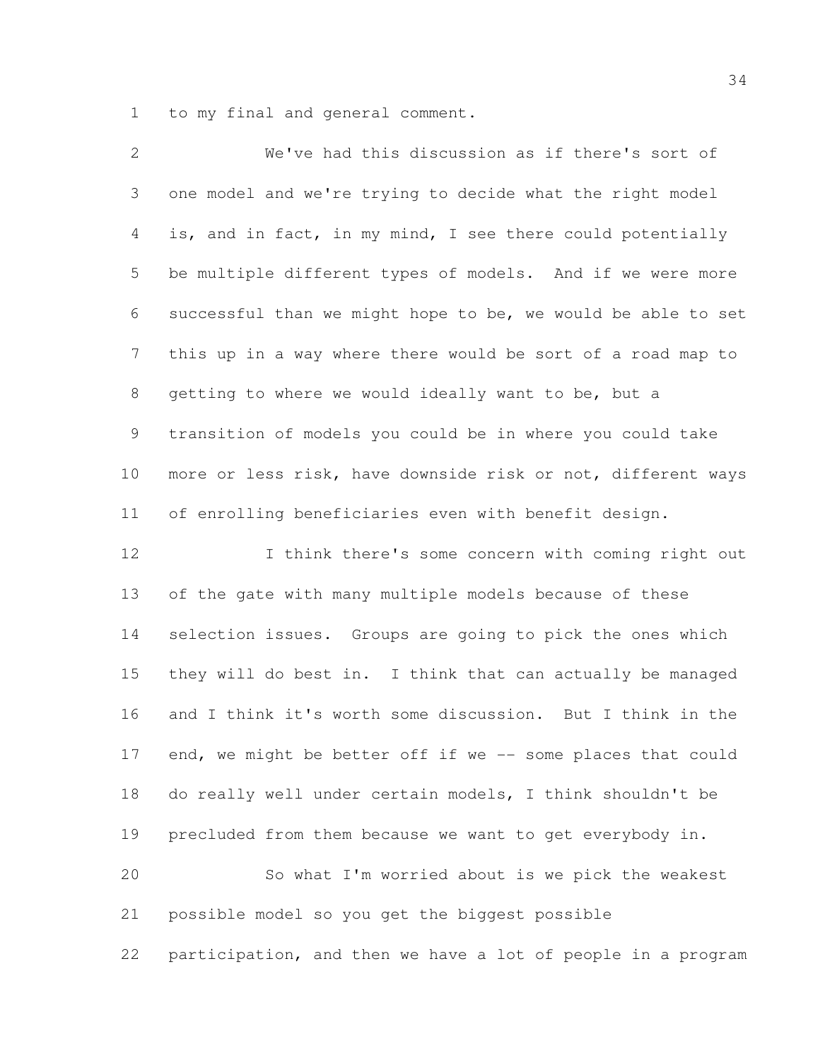to my final and general comment.

 We've had this discussion as if there's sort of one model and we're trying to decide what the right model is, and in fact, in my mind, I see there could potentially be multiple different types of models. And if we were more successful than we might hope to be, we would be able to set this up in a way where there would be sort of a road map to getting to where we would ideally want to be, but a transition of models you could be in where you could take more or less risk, have downside risk or not, different ways of enrolling beneficiaries even with benefit design. I think there's some concern with coming right out

 of the gate with many multiple models because of these selection issues. Groups are going to pick the ones which they will do best in. I think that can actually be managed and I think it's worth some discussion. But I think in the 17 end, we might be better off if we -- some places that could do really well under certain models, I think shouldn't be precluded from them because we want to get everybody in. So what I'm worried about is we pick the weakest

possible model so you get the biggest possible

participation, and then we have a lot of people in a program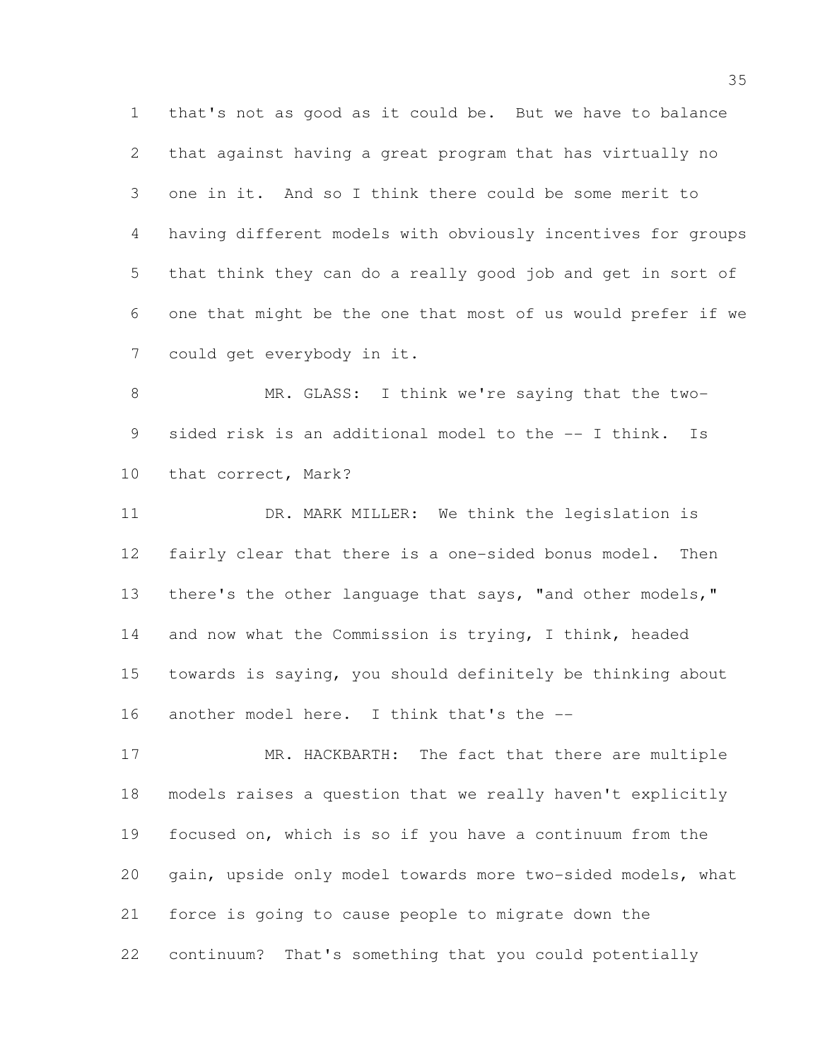that's not as good as it could be. But we have to balance that against having a great program that has virtually no one in it. And so I think there could be some merit to having different models with obviously incentives for groups that think they can do a really good job and get in sort of one that might be the one that most of us would prefer if we could get everybody in it.

 MR. GLASS: I think we're saying that the two- sided risk is an additional model to the -- I think. Is that correct, Mark?

 DR. MARK MILLER: We think the legislation is fairly clear that there is a one-sided bonus model. Then 13 there's the other language that says, "and other models," 14 and now what the Commission is trying, I think, headed towards is saying, you should definitely be thinking about another model here. I think that's the --

17 MR. HACKBARTH: The fact that there are multiple models raises a question that we really haven't explicitly focused on, which is so if you have a continuum from the gain, upside only model towards more two-sided models, what force is going to cause people to migrate down the continuum? That's something that you could potentially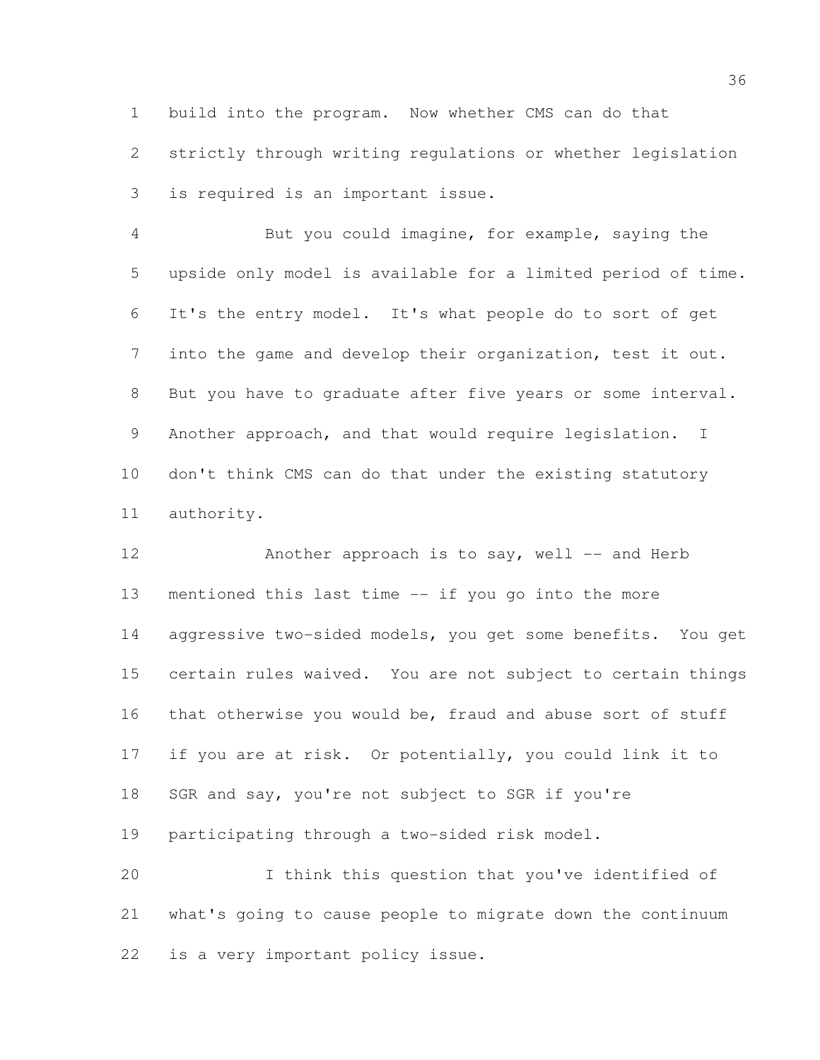build into the program. Now whether CMS can do that

 strictly through writing regulations or whether legislation is required is an important issue.

 But you could imagine, for example, saying the upside only model is available for a limited period of time. It's the entry model. It's what people do to sort of get into the game and develop their organization, test it out. But you have to graduate after five years or some interval. Another approach, and that would require legislation. I don't think CMS can do that under the existing statutory authority.

12 Another approach is to say, well -- and Herb mentioned this last time -- if you go into the more aggressive two-sided models, you get some benefits. You get certain rules waived. You are not subject to certain things that otherwise you would be, fraud and abuse sort of stuff if you are at risk. Or potentially, you could link it to SGR and say, you're not subject to SGR if you're participating through a two-sided risk model. I think this question that you've identified of

 what's going to cause people to migrate down the continuum is a very important policy issue.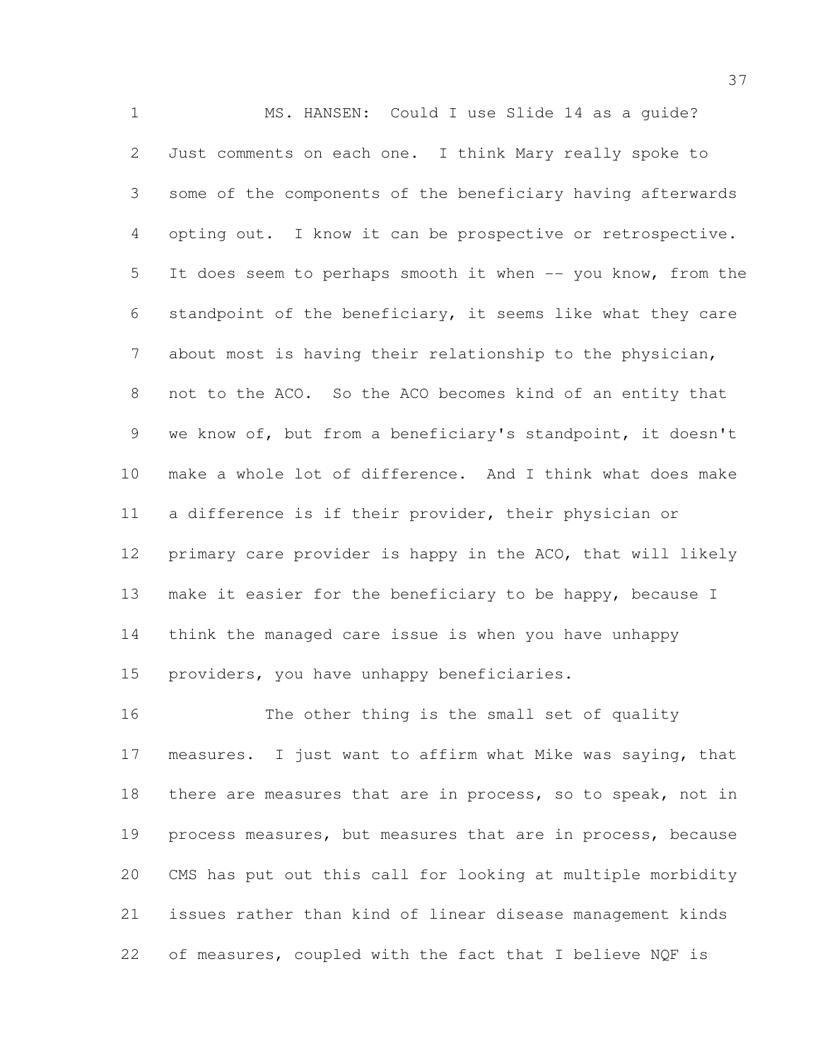MS. HANSEN: Could I use Slide 14 as a guide? Just comments on each one. I think Mary really spoke to some of the components of the beneficiary having afterwards opting out. I know it can be prospective or retrospective. It does seem to perhaps smooth it when -- you know, from the standpoint of the beneficiary, it seems like what they care about most is having their relationship to the physician, not to the ACO. So the ACO becomes kind of an entity that we know of, but from a beneficiary's standpoint, it doesn't make a whole lot of difference. And I think what does make a difference is if their provider, their physician or primary care provider is happy in the ACO, that will likely 13 make it easier for the beneficiary to be happy, because I think the managed care issue is when you have unhappy providers, you have unhappy beneficiaries.

 The other thing is the small set of quality measures. I just want to affirm what Mike was saying, that 18 there are measures that are in process, so to speak, not in process measures, but measures that are in process, because CMS has put out this call for looking at multiple morbidity issues rather than kind of linear disease management kinds of measures, coupled with the fact that I believe NQF is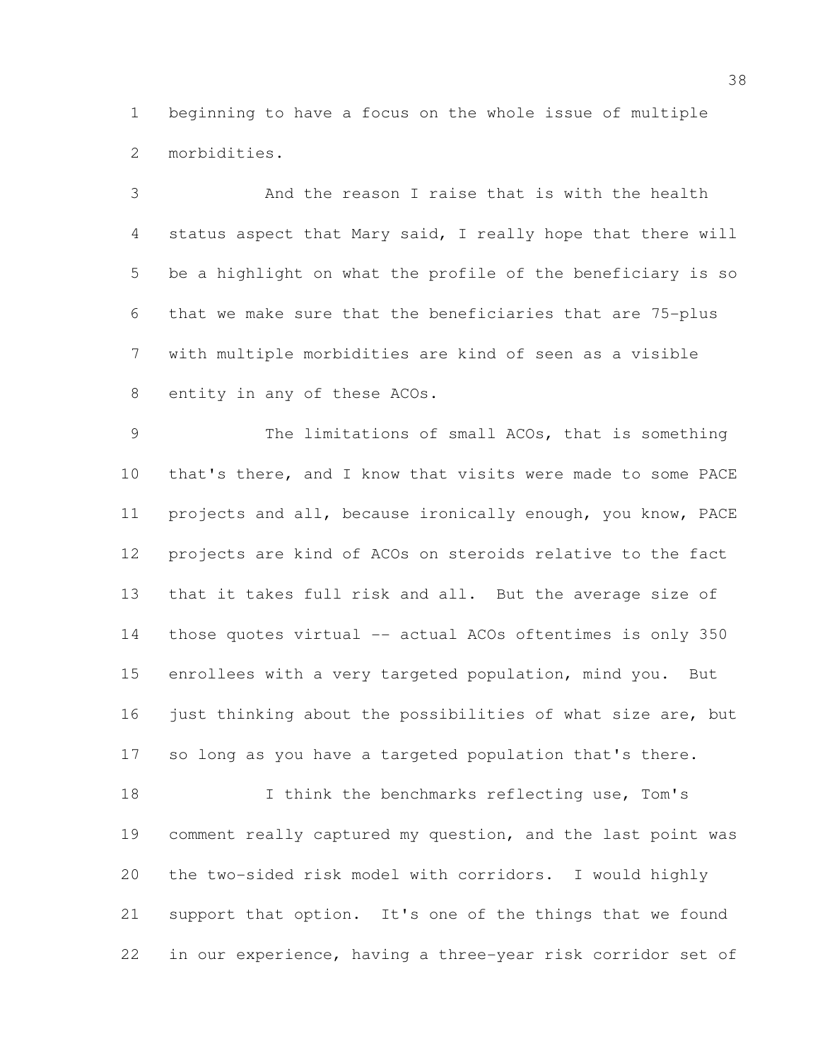beginning to have a focus on the whole issue of multiple morbidities.

 And the reason I raise that is with the health status aspect that Mary said, I really hope that there will be a highlight on what the profile of the beneficiary is so that we make sure that the beneficiaries that are 75-plus with multiple morbidities are kind of seen as a visible 8 entity in any of these ACOs.

9 The limitations of small ACOs, that is something that's there, and I know that visits were made to some PACE projects and all, because ironically enough, you know, PACE projects are kind of ACOs on steroids relative to the fact that it takes full risk and all. But the average size of 14 those quotes virtual -- actual ACOs oftentimes is only 350 enrollees with a very targeted population, mind you. But 16 just thinking about the possibilities of what size are, but so long as you have a targeted population that's there.

18 I think the benchmarks reflecting use, Tom's comment really captured my question, and the last point was the two-sided risk model with corridors. I would highly support that option. It's one of the things that we found in our experience, having a three-year risk corridor set of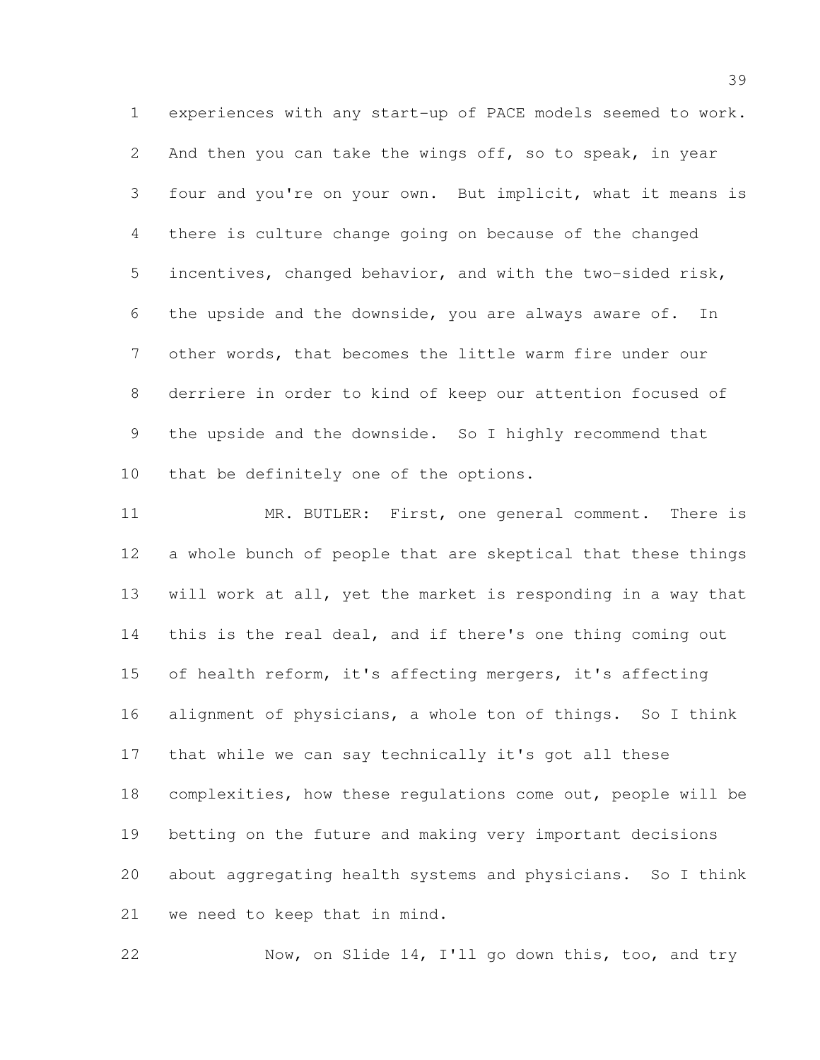experiences with any start-up of PACE models seemed to work. And then you can take the wings off, so to speak, in year four and you're on your own. But implicit, what it means is there is culture change going on because of the changed incentives, changed behavior, and with the two-sided risk, the upside and the downside, you are always aware of. In other words, that becomes the little warm fire under our derriere in order to kind of keep our attention focused of the upside and the downside. So I highly recommend that that be definitely one of the options.

11 MR. BUTLER: First, one general comment. There is a whole bunch of people that are skeptical that these things will work at all, yet the market is responding in a way that this is the real deal, and if there's one thing coming out of health reform, it's affecting mergers, it's affecting alignment of physicians, a whole ton of things. So I think that while we can say technically it's got all these complexities, how these regulations come out, people will be betting on the future and making very important decisions about aggregating health systems and physicians. So I think we need to keep that in mind.

Now, on Slide 14, I'll go down this, too, and try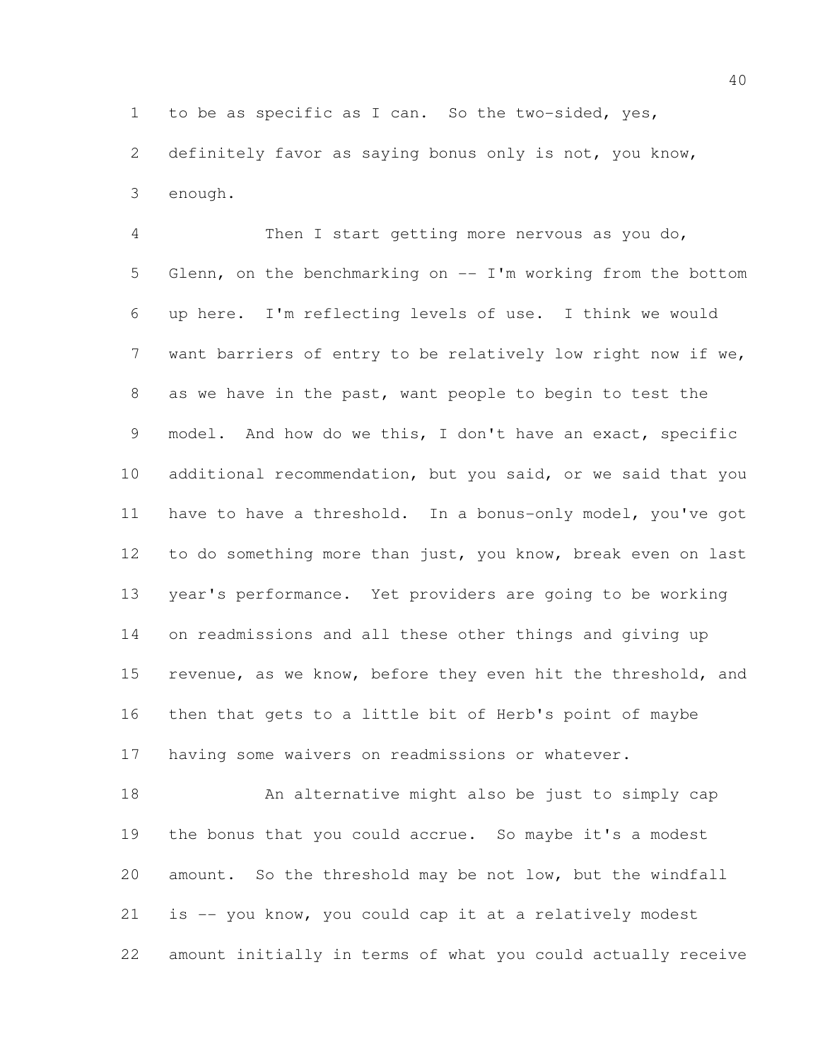to be as specific as I can. So the two-sided, yes,

 definitely favor as saying bonus only is not, you know, enough.

 Then I start getting more nervous as you do, Glenn, on the benchmarking on -- I'm working from the bottom up here. I'm reflecting levels of use. I think we would want barriers of entry to be relatively low right now if we, as we have in the past, want people to begin to test the model. And how do we this, I don't have an exact, specific additional recommendation, but you said, or we said that you have to have a threshold. In a bonus-only model, you've got to do something more than just, you know, break even on last year's performance. Yet providers are going to be working on readmissions and all these other things and giving up 15 revenue, as we know, before they even hit the threshold, and then that gets to a little bit of Herb's point of maybe having some waivers on readmissions or whatever.

 An alternative might also be just to simply cap the bonus that you could accrue. So maybe it's a modest amount. So the threshold may be not low, but the windfall is -- you know, you could cap it at a relatively modest amount initially in terms of what you could actually receive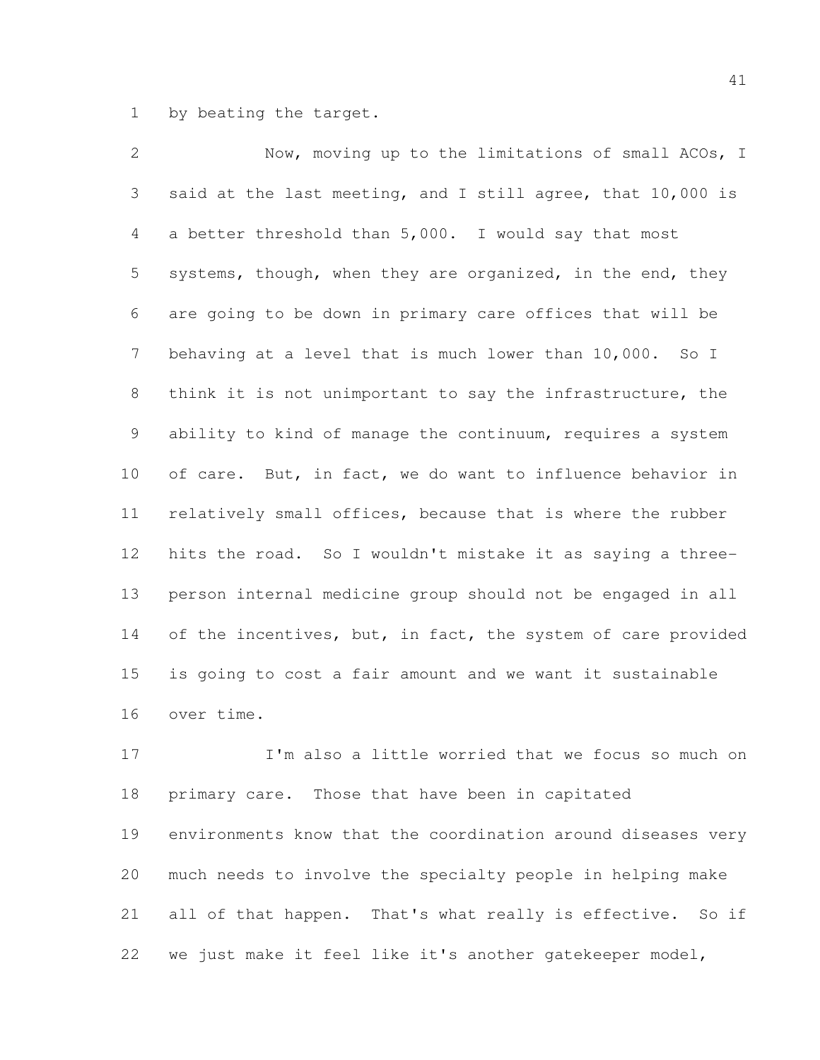by beating the target.

 Now, moving up to the limitations of small ACOs, I said at the last meeting, and I still agree, that 10,000 is a better threshold than 5,000. I would say that most 5 systems, though, when they are organized, in the end, they are going to be down in primary care offices that will be behaving at a level that is much lower than 10,000. So I think it is not unimportant to say the infrastructure, the ability to kind of manage the continuum, requires a system of care. But, in fact, we do want to influence behavior in relatively small offices, because that is where the rubber hits the road. So I wouldn't mistake it as saying a three- person internal medicine group should not be engaged in all 14 of the incentives, but, in fact, the system of care provided is going to cost a fair amount and we want it sustainable over time.

 I'm also a little worried that we focus so much on primary care. Those that have been in capitated environments know that the coordination around diseases very much needs to involve the specialty people in helping make all of that happen. That's what really is effective. So if we just make it feel like it's another gatekeeper model,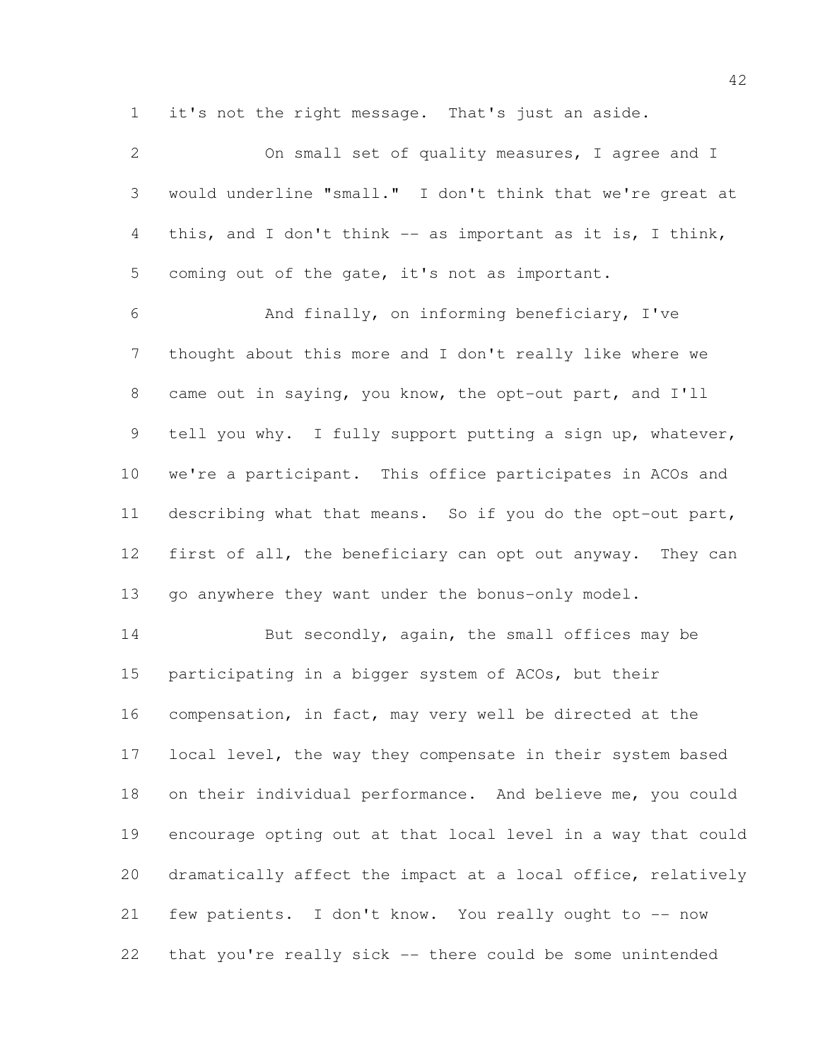it's not the right message. That's just an aside.

| $\mathbf{2}$    | On small set of quality measures, I agree and I              |
|-----------------|--------------------------------------------------------------|
| 3               | would underline "small." I don't think that we're great at   |
| $\overline{4}$  | this, and I don't think -- as important as it is, I think,   |
| 5               | coming out of the gate, it's not as important.               |
| $\epsilon$      | And finally, on informing beneficiary, I've                  |
| $7\phantom{.0}$ | thought about this more and I don't really like where we     |
| $8\,$           | came out in saying, you know, the opt-out part, and I'll     |
| 9               | tell you why. I fully support putting a sign up, whatever,   |
| 10              | we're a participant. This office participates in ACOs and    |
| 11              | describing what that means. So if you do the opt-out part,   |
| 12              | first of all, the beneficiary can opt out anyway. They can   |
| 13              | go anywhere they want under the bonus-only model.            |
| 14              | But secondly, again, the small offices may be                |
| 15              | participating in a bigger system of ACOs, but their          |
| 16              | compensation, in fact, may very well be directed at the      |
| 17              | local level, the way they compensate in their system based   |
| 18              | on their individual performance. And believe me, you could   |
| 19              | encourage opting out at that local level in a way that could |
| 20              | dramatically affect the impact at a local office, relatively |
| 21              | few patients. I don't know. You really ought to -- now       |
| 22              | that you're really sick -- there could be some unintended    |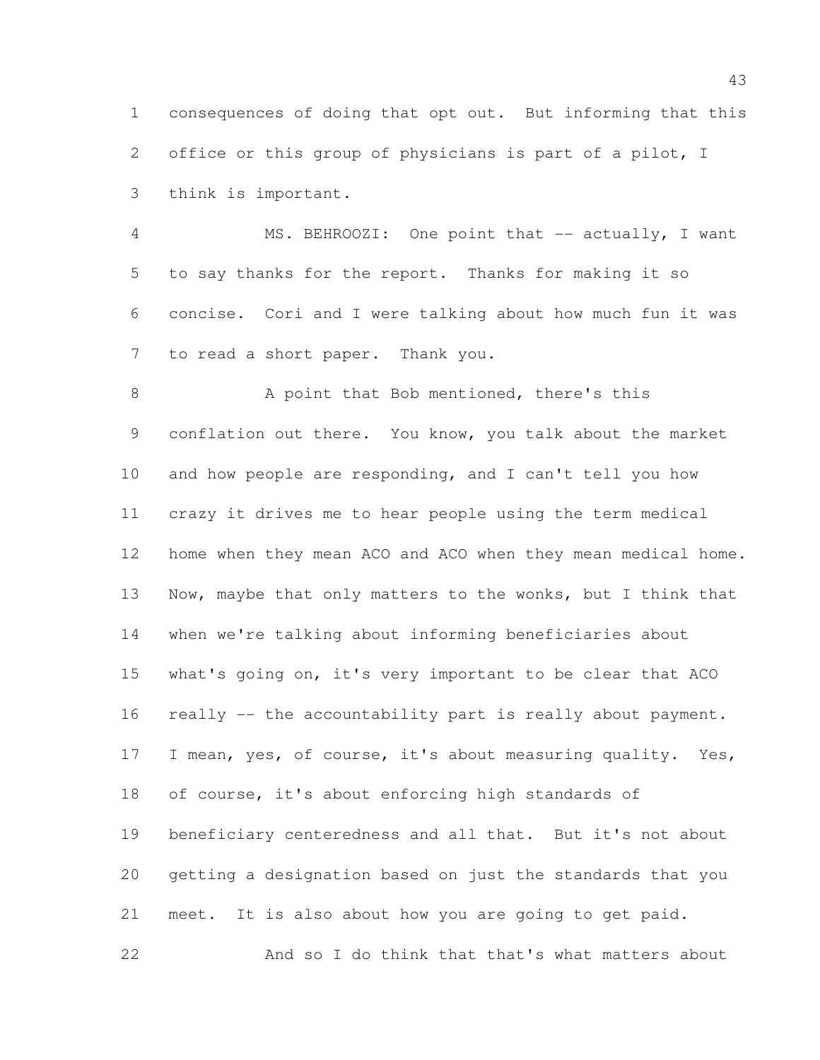consequences of doing that opt out. But informing that this office or this group of physicians is part of a pilot, I think is important.

4 MS. BEHROOZI: One point that -- actually, I want to say thanks for the report. Thanks for making it so concise. Cori and I were talking about how much fun it was to read a short paper. Thank you.

 A point that Bob mentioned, there's this conflation out there. You know, you talk about the market and how people are responding, and I can't tell you how crazy it drives me to hear people using the term medical home when they mean ACO and ACO when they mean medical home. 13 Now, maybe that only matters to the wonks, but I think that when we're talking about informing beneficiaries about what's going on, it's very important to be clear that ACO 16 really -- the accountability part is really about payment. 17 I mean, yes, of course, it's about measuring quality. Yes, of course, it's about enforcing high standards of beneficiary centeredness and all that. But it's not about getting a designation based on just the standards that you meet. It is also about how you are going to get paid. And so I do think that that's what matters about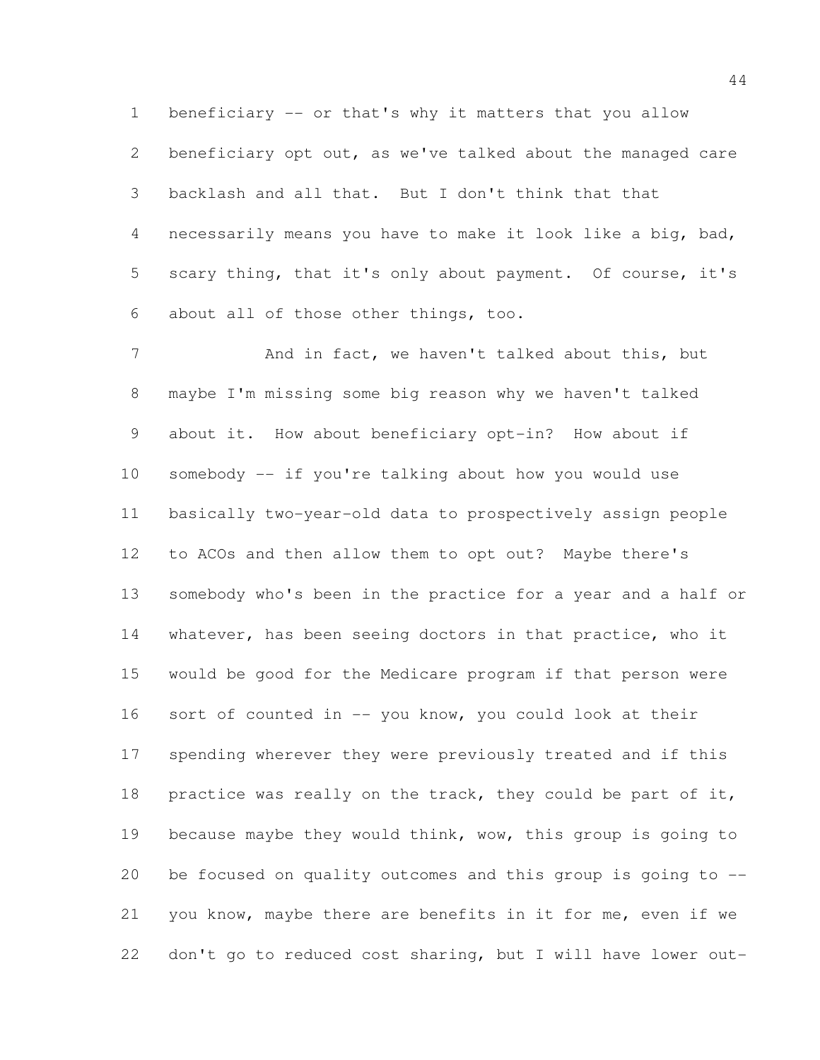beneficiary opt out, as we've talked about the managed care backlash and all that. But I don't think that that necessarily means you have to make it look like a big, bad, scary thing, that it's only about payment. Of course, it's about all of those other things, too.

beneficiary -- or that's why it matters that you allow

7 And in fact, we haven't talked about this, but maybe I'm missing some big reason why we haven't talked about it. How about beneficiary opt-in? How about if somebody -- if you're talking about how you would use basically two-year-old data to prospectively assign people to ACOs and then allow them to opt out? Maybe there's somebody who's been in the practice for a year and a half or 14 whatever, has been seeing doctors in that practice, who it would be good for the Medicare program if that person were sort of counted in -- you know, you could look at their spending wherever they were previously treated and if this 18 practice was really on the track, they could be part of it, because maybe they would think, wow, this group is going to be focused on quality outcomes and this group is going to -- you know, maybe there are benefits in it for me, even if we don't go to reduced cost sharing, but I will have lower out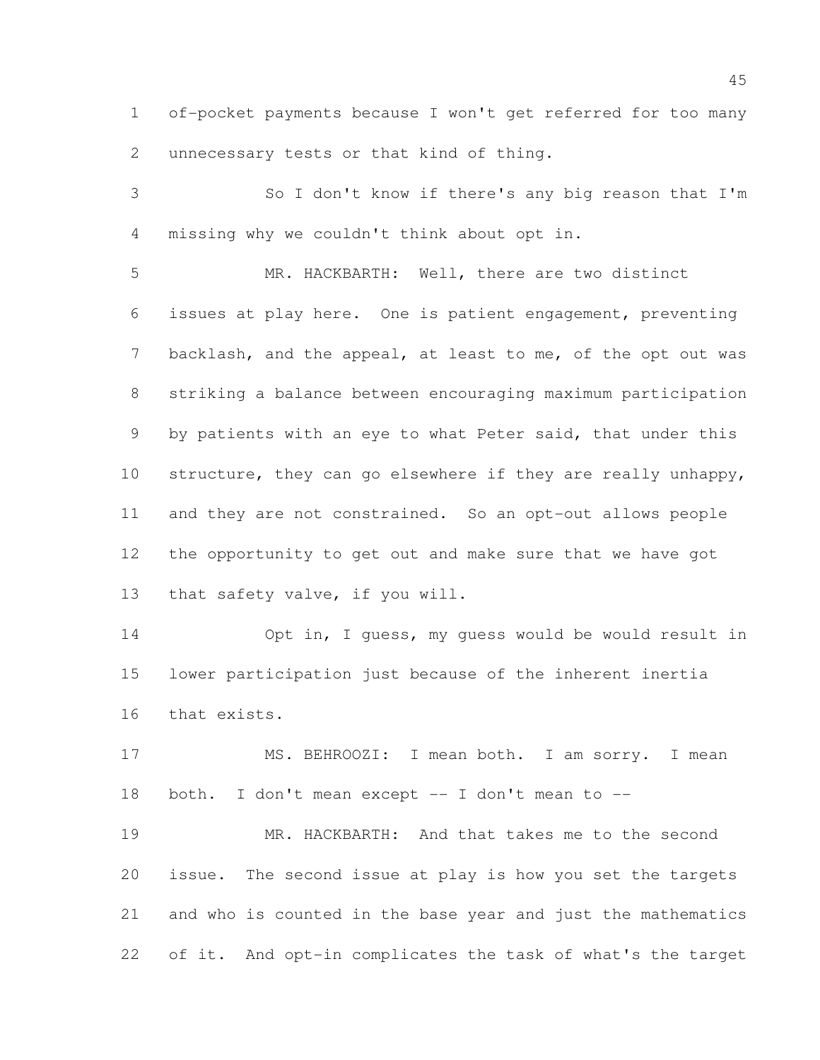of-pocket payments because I won't get referred for too many unnecessary tests or that kind of thing.

 So I don't know if there's any big reason that I'm missing why we couldn't think about opt in.

 MR. HACKBARTH: Well, there are two distinct issues at play here. One is patient engagement, preventing backlash, and the appeal, at least to me, of the opt out was striking a balance between encouraging maximum participation 9 by patients with an eye to what Peter said, that under this structure, they can go elsewhere if they are really unhappy, and they are not constrained. So an opt-out allows people the opportunity to get out and make sure that we have got that safety valve, if you will.

 Opt in, I guess, my guess would be would result in lower participation just because of the inherent inertia that exists.

 MS. BEHROOZI: I mean both. I am sorry. I mean both. I don't mean except -- I don't mean to --

 MR. HACKBARTH: And that takes me to the second issue. The second issue at play is how you set the targets and who is counted in the base year and just the mathematics of it. And opt-in complicates the task of what's the target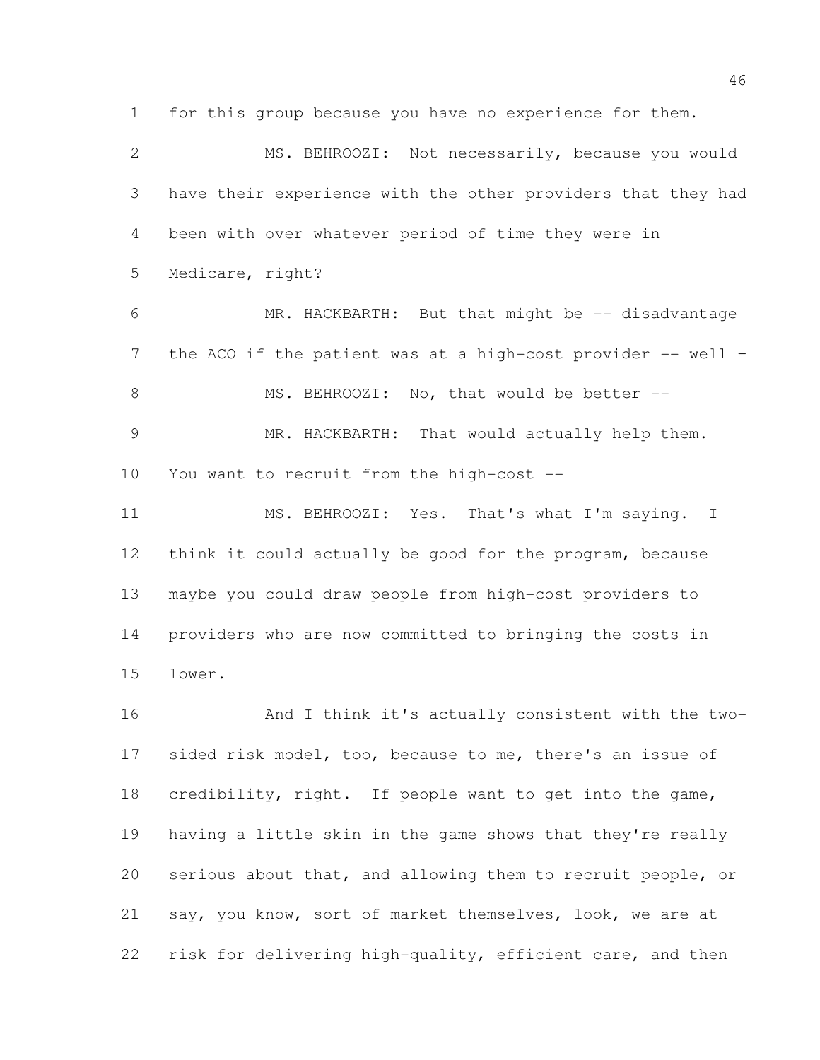for this group because you have no experience for them.

 MS. BEHROOZI: Not necessarily, because you would have their experience with the other providers that they had been with over whatever period of time they were in Medicare, right? MR. HACKBARTH: But that might be -- disadvantage 7 the ACO if the patient was at a high-cost provider -- well -8 MS. BEHROOZI: No, that would be better -- MR. HACKBARTH: That would actually help them. You want to recruit from the high-cost -- MS. BEHROOZI: Yes. That's what I'm saying. I think it could actually be good for the program, because maybe you could draw people from high-cost providers to providers who are now committed to bringing the costs in lower. And I think it's actually consistent with the two-

 sided risk model, too, because to me, there's an issue of credibility, right. If people want to get into the game, having a little skin in the game shows that they're really serious about that, and allowing them to recruit people, or say, you know, sort of market themselves, look, we are at risk for delivering high-quality, efficient care, and then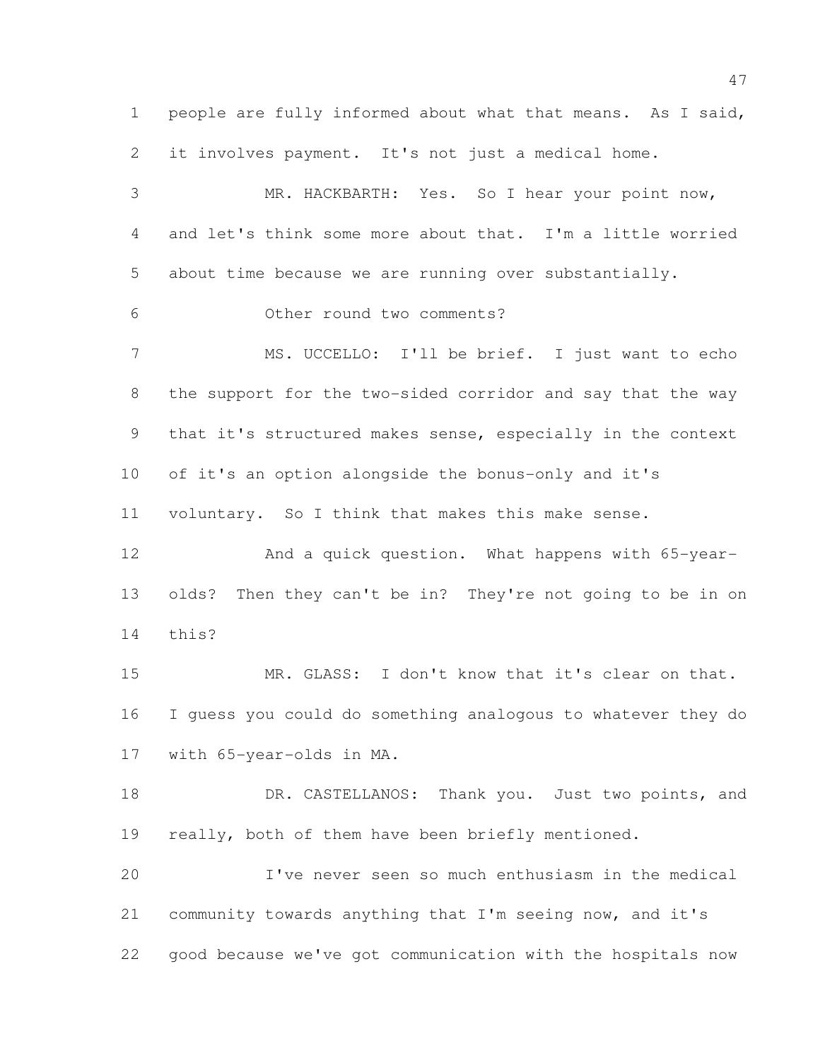people are fully informed about what that means. As I said, it involves payment. It's not just a medical home. MR. HACKBARTH: Yes. So I hear your point now, and let's think some more about that. I'm a little worried about time because we are running over substantially. Other round two comments? MS. UCCELLO: I'll be brief. I just want to echo the support for the two-sided corridor and say that the way that it's structured makes sense, especially in the context of it's an option alongside the bonus-only and it's voluntary. So I think that makes this make sense. And a quick question. What happens with 65-year-olds? Then they can't be in? They're not going to be in on

this?

 MR. GLASS: I don't know that it's clear on that. I guess you could do something analogous to whatever they do with 65-year-olds in MA.

18 DR. CASTELLANOS: Thank you. Just two points, and 19 really, both of them have been briefly mentioned.

 I've never seen so much enthusiasm in the medical community towards anything that I'm seeing now, and it's good because we've got communication with the hospitals now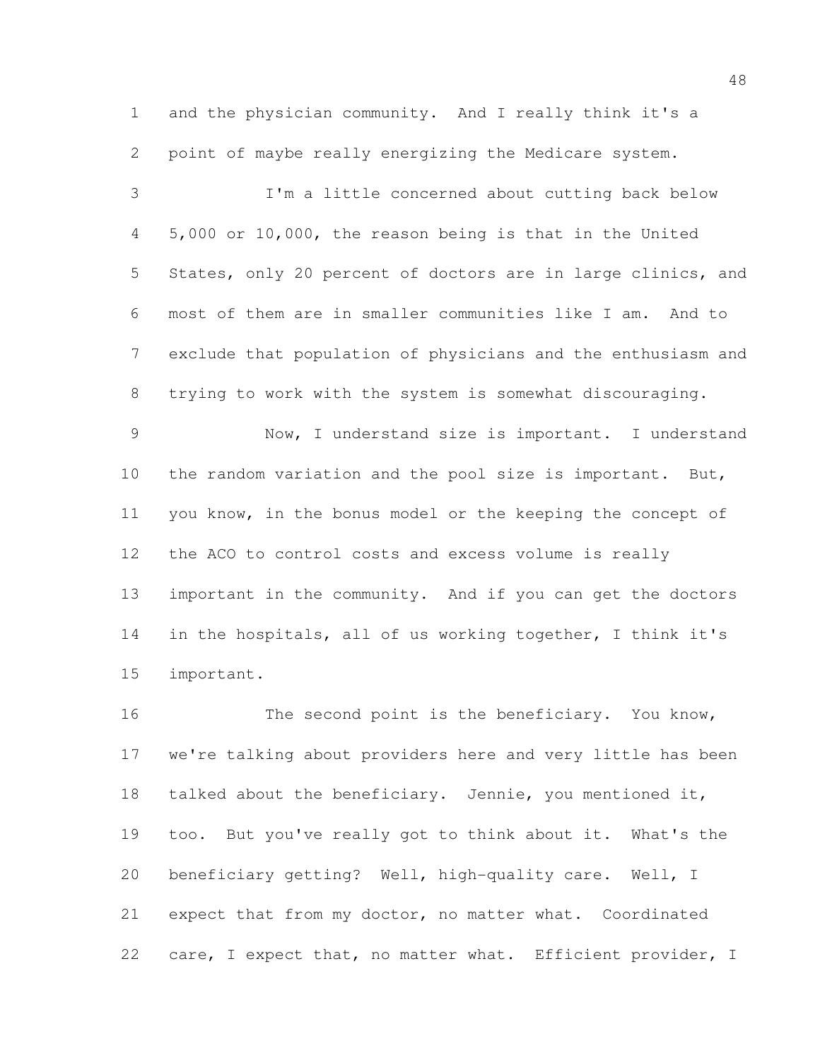and the physician community. And I really think it's a point of maybe really energizing the Medicare system.

 I'm a little concerned about cutting back below 5,000 or 10,000, the reason being is that in the United States, only 20 percent of doctors are in large clinics, and most of them are in smaller communities like I am. And to exclude that population of physicians and the enthusiasm and trying to work with the system is somewhat discouraging.

 Now, I understand size is important. I understand 10 the random variation and the pool size is important. But, you know, in the bonus model or the keeping the concept of the ACO to control costs and excess volume is really important in the community. And if you can get the doctors in the hospitals, all of us working together, I think it's important.

16 The second point is the beneficiary. You know, we're talking about providers here and very little has been talked about the beneficiary. Jennie, you mentioned it, too. But you've really got to think about it. What's the beneficiary getting? Well, high-quality care. Well, I expect that from my doctor, no matter what. Coordinated 22 care, I expect that, no matter what. Efficient provider, I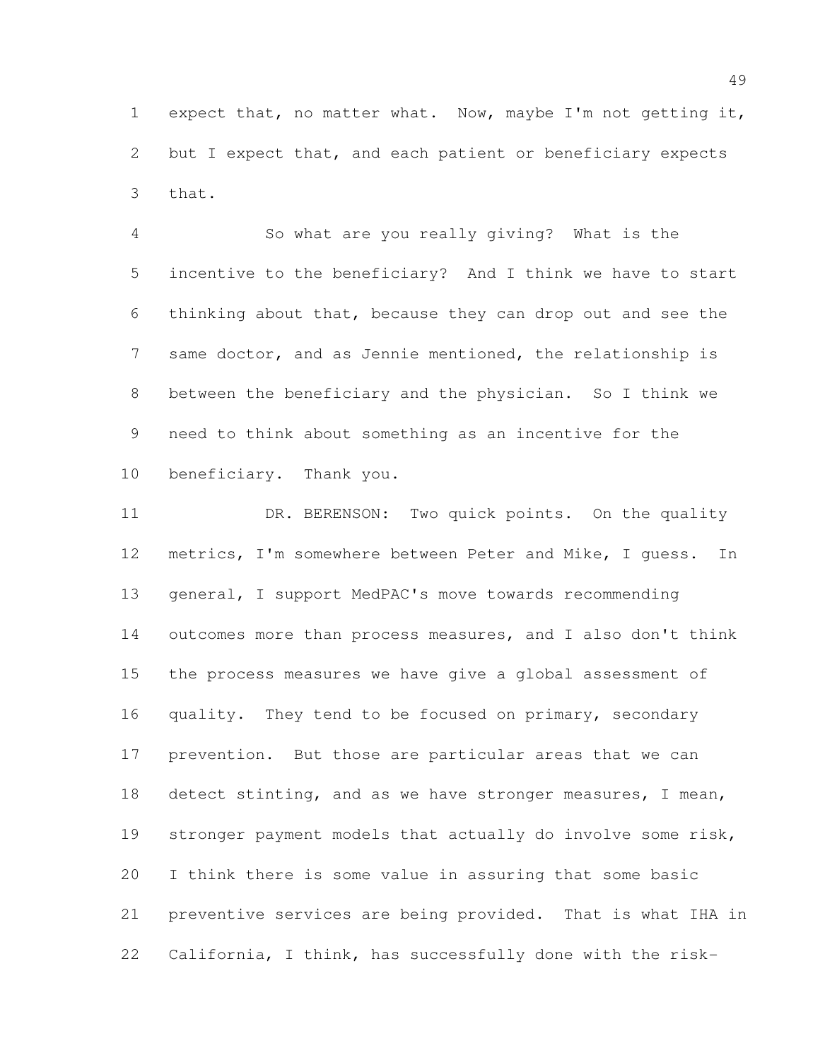expect that, no matter what. Now, maybe I'm not getting it, but I expect that, and each patient or beneficiary expects that.

 So what are you really giving? What is the incentive to the beneficiary? And I think we have to start thinking about that, because they can drop out and see the same doctor, and as Jennie mentioned, the relationship is between the beneficiary and the physician. So I think we need to think about something as an incentive for the beneficiary. Thank you.

11 DR. BERENSON: Two quick points. On the quality metrics, I'm somewhere between Peter and Mike, I guess. In general, I support MedPAC's move towards recommending outcomes more than process measures, and I also don't think the process measures we have give a global assessment of 16 quality. They tend to be focused on primary, secondary prevention. But those are particular areas that we can 18 detect stinting, and as we have stronger measures, I mean, stronger payment models that actually do involve some risk, I think there is some value in assuring that some basic preventive services are being provided. That is what IHA in California, I think, has successfully done with the risk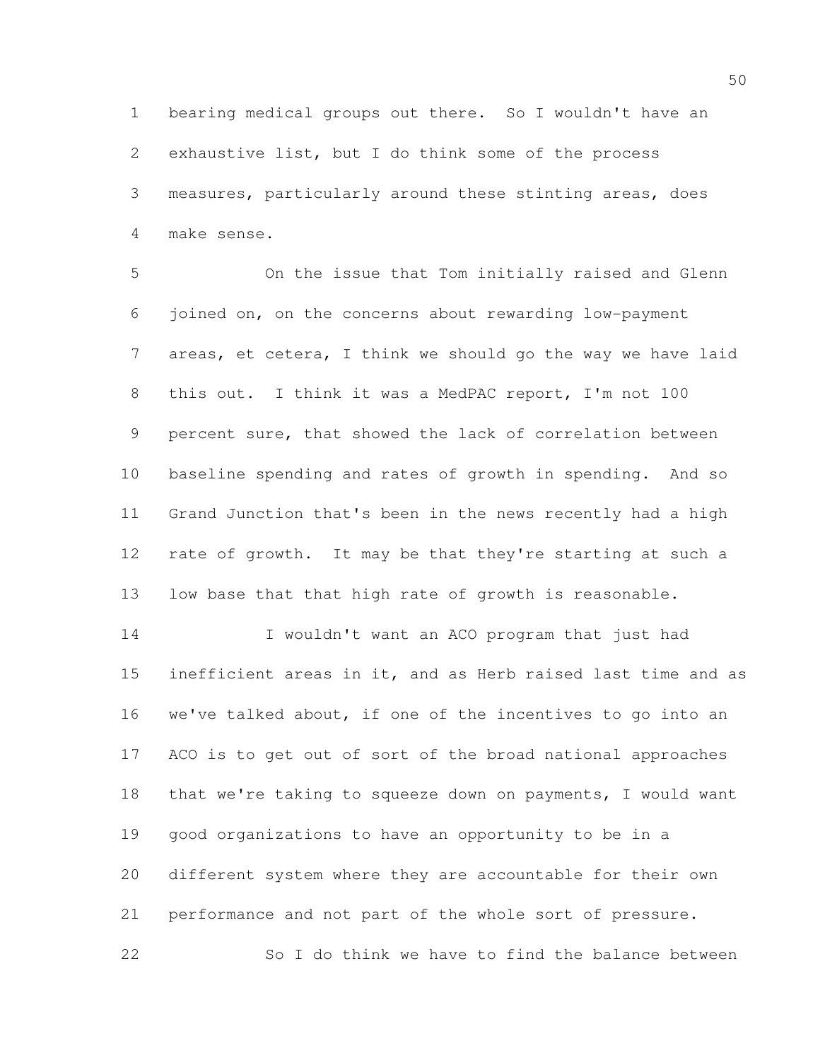bearing medical groups out there. So I wouldn't have an exhaustive list, but I do think some of the process measures, particularly around these stinting areas, does make sense.

 On the issue that Tom initially raised and Glenn joined on, on the concerns about rewarding low-payment areas, et cetera, I think we should go the way we have laid this out. I think it was a MedPAC report, I'm not 100 percent sure, that showed the lack of correlation between baseline spending and rates of growth in spending. And so Grand Junction that's been in the news recently had a high rate of growth. It may be that they're starting at such a low base that that high rate of growth is reasonable.

 I wouldn't want an ACO program that just had inefficient areas in it, and as Herb raised last time and as we've talked about, if one of the incentives to go into an ACO is to get out of sort of the broad national approaches that we're taking to squeeze down on payments, I would want good organizations to have an opportunity to be in a different system where they are accountable for their own performance and not part of the whole sort of pressure. 22 So I do think we have to find the balance between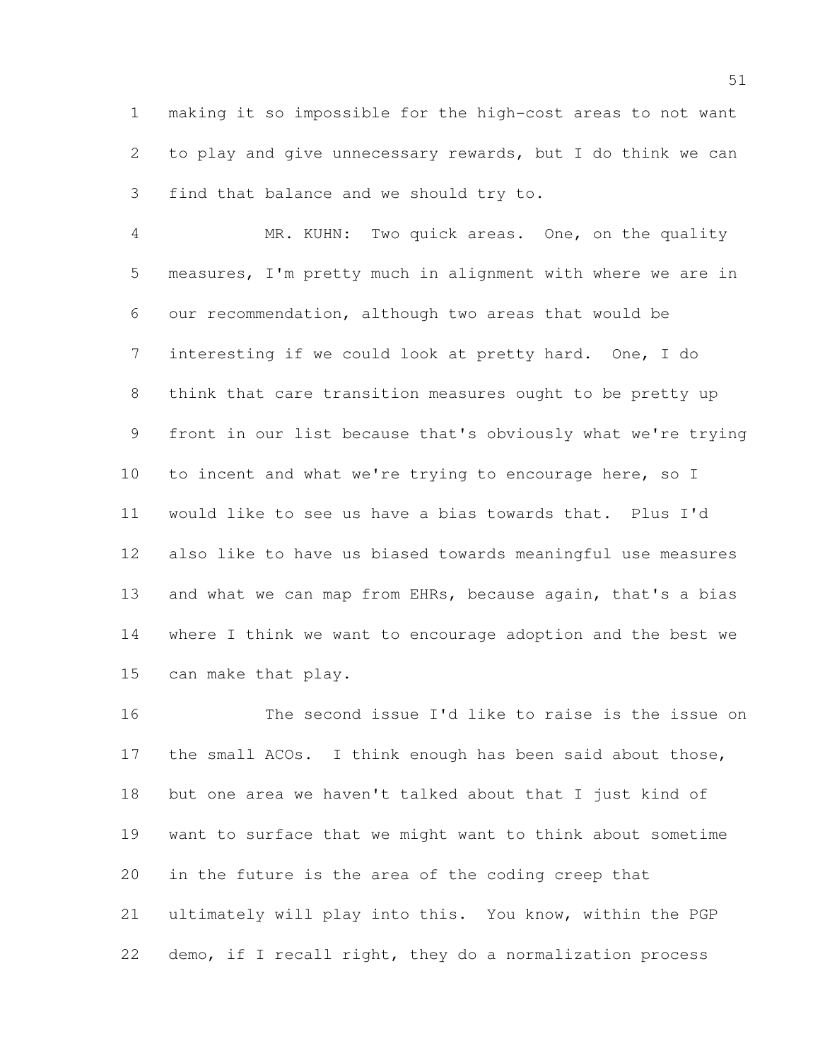making it so impossible for the high-cost areas to not want to play and give unnecessary rewards, but I do think we can find that balance and we should try to.

 MR. KUHN: Two quick areas. One, on the quality measures, I'm pretty much in alignment with where we are in our recommendation, although two areas that would be interesting if we could look at pretty hard. One, I do think that care transition measures ought to be pretty up front in our list because that's obviously what we're trying to incent and what we're trying to encourage here, so I would like to see us have a bias towards that. Plus I'd also like to have us biased towards meaningful use measures 13 and what we can map from EHRs, because again, that's a bias where I think we want to encourage adoption and the best we can make that play.

 The second issue I'd like to raise is the issue on the small ACOs. I think enough has been said about those, but one area we haven't talked about that I just kind of want to surface that we might want to think about sometime in the future is the area of the coding creep that ultimately will play into this. You know, within the PGP demo, if I recall right, they do a normalization process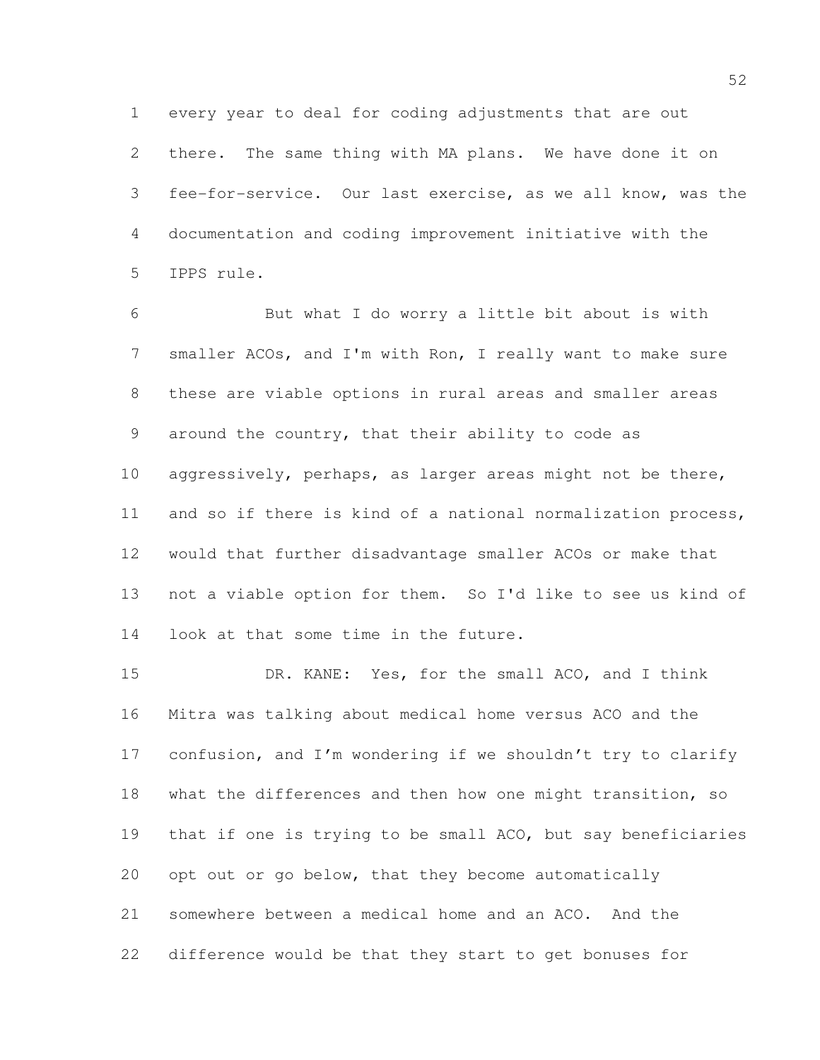every year to deal for coding adjustments that are out there. The same thing with MA plans. We have done it on fee-for-service. Our last exercise, as we all know, was the documentation and coding improvement initiative with the IPPS rule.

 But what I do worry a little bit about is with smaller ACOs, and I'm with Ron, I really want to make sure these are viable options in rural areas and smaller areas around the country, that their ability to code as 10 aggressively, perhaps, as larger areas might not be there, and so if there is kind of a national normalization process, would that further disadvantage smaller ACOs or make that not a viable option for them. So I'd like to see us kind of look at that some time in the future.

 DR. KANE: Yes, for the small ACO, and I think Mitra was talking about medical home versus ACO and the 17 confusion, and I'm wondering if we shouldn't try to clarify what the differences and then how one might transition, so that if one is trying to be small ACO, but say beneficiaries opt out or go below, that they become automatically somewhere between a medical home and an ACO. And the difference would be that they start to get bonuses for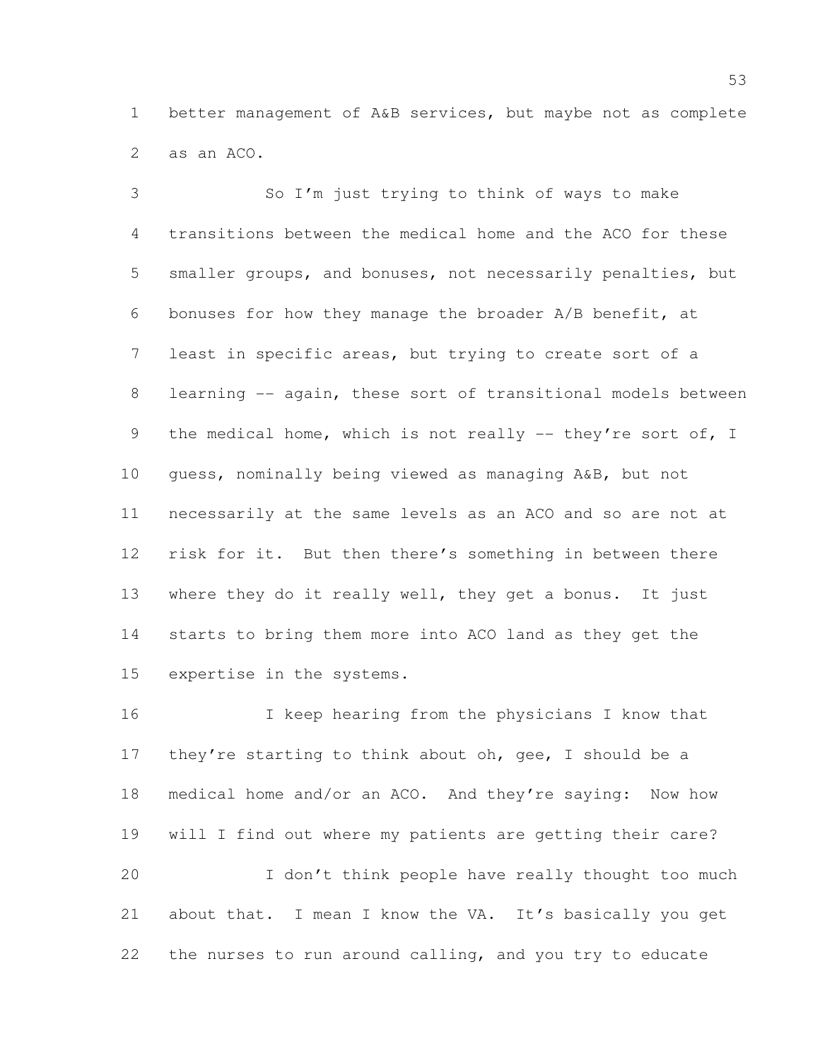better management of A&B services, but maybe not as complete as an ACO.

 So I'm just trying to think of ways to make transitions between the medical home and the ACO for these smaller groups, and bonuses, not necessarily penalties, but bonuses for how they manage the broader A/B benefit, at least in specific areas, but trying to create sort of a 8 learning -- again, these sort of transitional models between 9 the medical home, which is not really -- they're sort of, I guess, nominally being viewed as managing A&B, but not necessarily at the same levels as an ACO and so are not at risk for it. But then there's something in between there where they do it really well, they get a bonus. It just starts to bring them more into ACO land as they get the expertise in the systems.

 I keep hearing from the physicians I know that 17 they're starting to think about oh, gee, I should be a medical home and/or an ACO. And they're saying: Now how will I find out where my patients are getting their care? I don't think people have really thought too much about that. I mean I know the VA. It's basically you get the nurses to run around calling, and you try to educate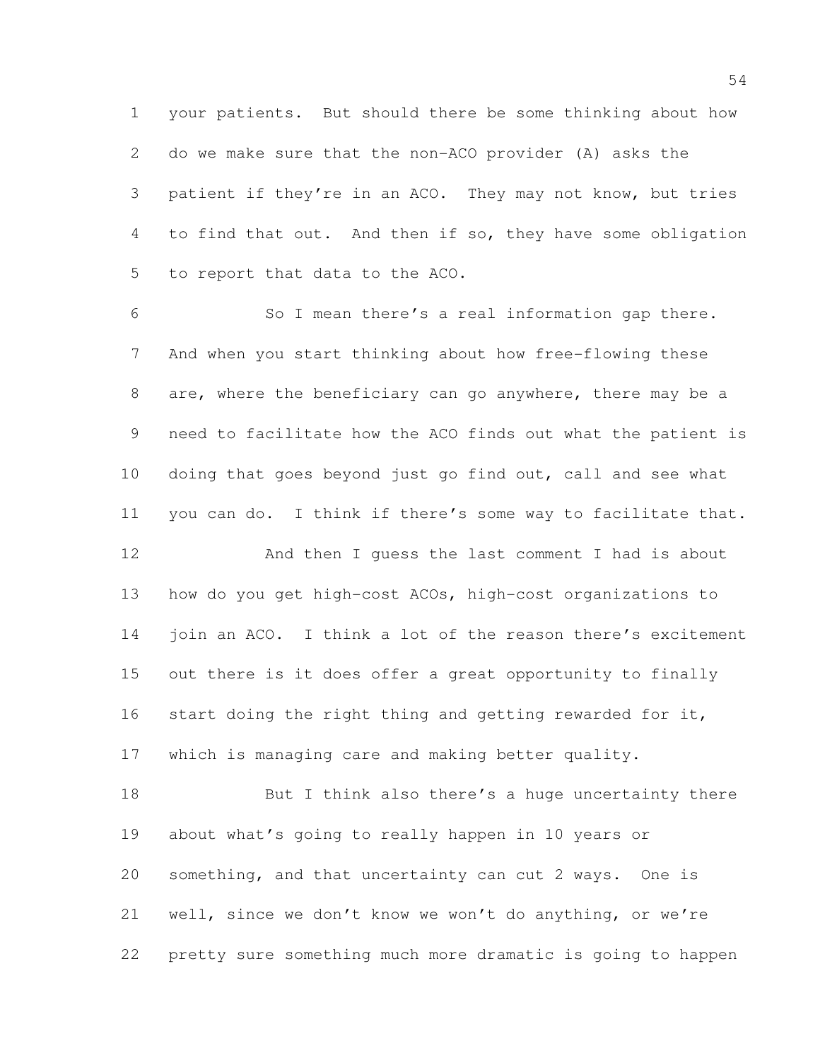your patients. But should there be some thinking about how do we make sure that the non-ACO provider (A) asks the patient if they're in an ACO. They may not know, but tries to find that out. And then if so, they have some obligation to report that data to the ACO.

 So I mean there's a real information gap there. And when you start thinking about how free-flowing these are, where the beneficiary can go anywhere, there may be a need to facilitate how the ACO finds out what the patient is doing that goes beyond just go find out, call and see what you can do. I think if there's some way to facilitate that.

 And then I guess the last comment I had is about how do you get high-cost ACOs, high-cost organizations to 14 join an ACO. I think a lot of the reason there's excitement out there is it does offer a great opportunity to finally start doing the right thing and getting rewarded for it, which is managing care and making better quality.

18 But I think also there's a huge uncertainty there about what's going to really happen in 10 years or something, and that uncertainty can cut 2 ways. One is well, since we don't know we won't do anything, or we're pretty sure something much more dramatic is going to happen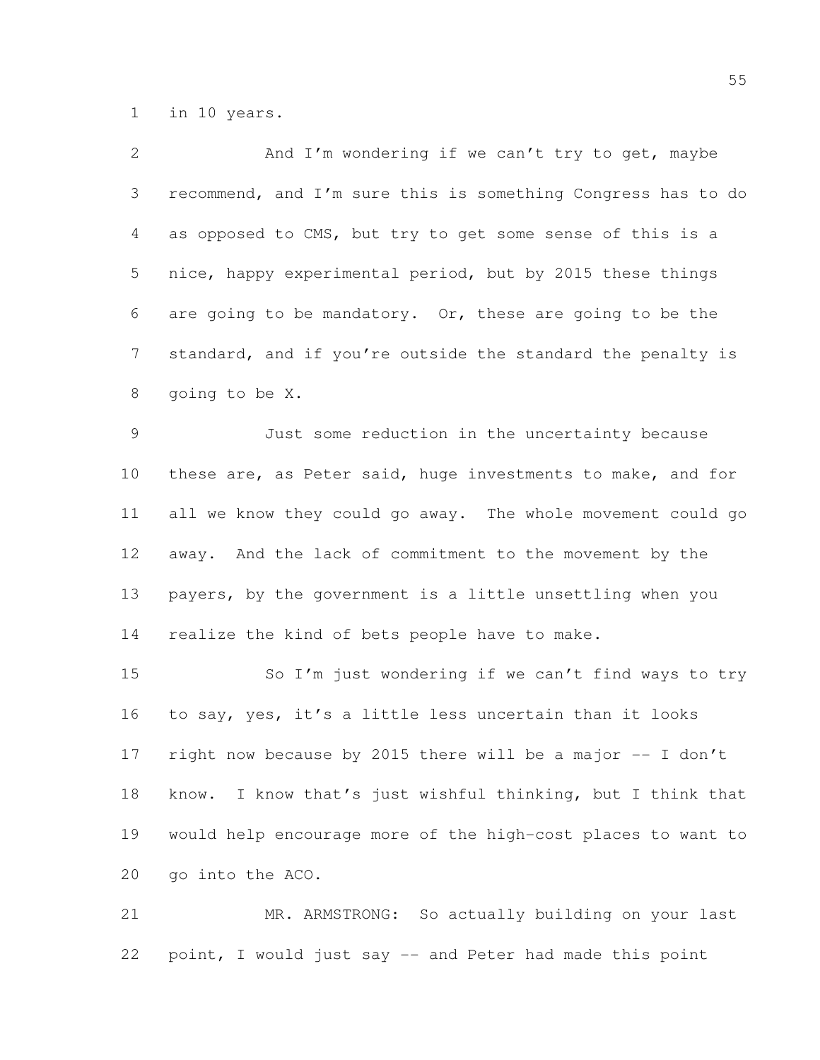in 10 years.

| 2               | And I'm wondering if we can't try to get, maybe                |
|-----------------|----------------------------------------------------------------|
| 3               | recommend, and I'm sure this is something Congress has to do   |
| 4               | as opposed to CMS, but try to get some sense of this is a      |
| 5               | nice, happy experimental period, but by 2015 these things      |
| 6               | are going to be mandatory. Or, these are going to be the       |
| $7\phantom{.0}$ | standard, and if you're outside the standard the penalty is    |
| 8               | going to be X.                                                 |
| $\mathcal{G}$   | Just some reduction in the uncertainty because                 |
| 10              | these are, as Peter said, huge investments to make, and for    |
| 11              | all we know they could go away. The whole movement could go    |
| 12              | away. And the lack of commitment to the movement by the        |
| 13              | payers, by the government is a little unsettling when you      |
| 14              | realize the kind of bets people have to make.                  |
| 15              | So I'm just wondering if we can't find ways to try             |
| 16              | to say, yes, it's a little less uncertain than it looks        |
| 17              | right now because by 2015 there will be a major -- I don't     |
| 18              | I know that's just wishful thinking, but I think that<br>know. |
| 19              | would help encourage more of the high-cost places to want to   |
| 20              | go into the ACO.                                               |
| 21              | So actually building on your last<br>MR. ARMSTRONG:            |

point, I would just say -- and Peter had made this point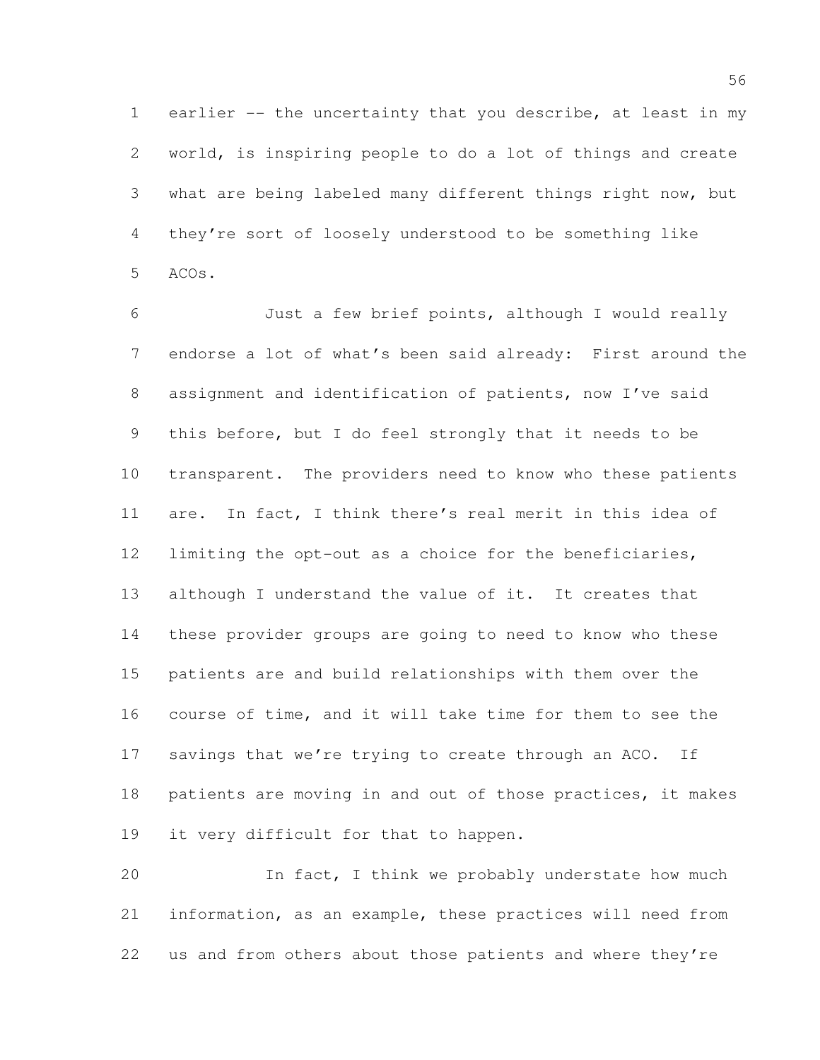earlier -- the uncertainty that you describe, at least in my world, is inspiring people to do a lot of things and create what are being labeled many different things right now, but they're sort of loosely understood to be something like ACOs.

 Just a few brief points, although I would really endorse a lot of what's been said already: First around the assignment and identification of patients, now I've said this before, but I do feel strongly that it needs to be transparent. The providers need to know who these patients are. In fact, I think there's real merit in this idea of limiting the opt-out as a choice for the beneficiaries, although I understand the value of it. It creates that these provider groups are going to need to know who these patients are and build relationships with them over the course of time, and it will take time for them to see the 17 savings that we're trying to create through an ACO. If patients are moving in and out of those practices, it makes it very difficult for that to happen.

20 In fact, I think we probably understate how much information, as an example, these practices will need from us and from others about those patients and where they're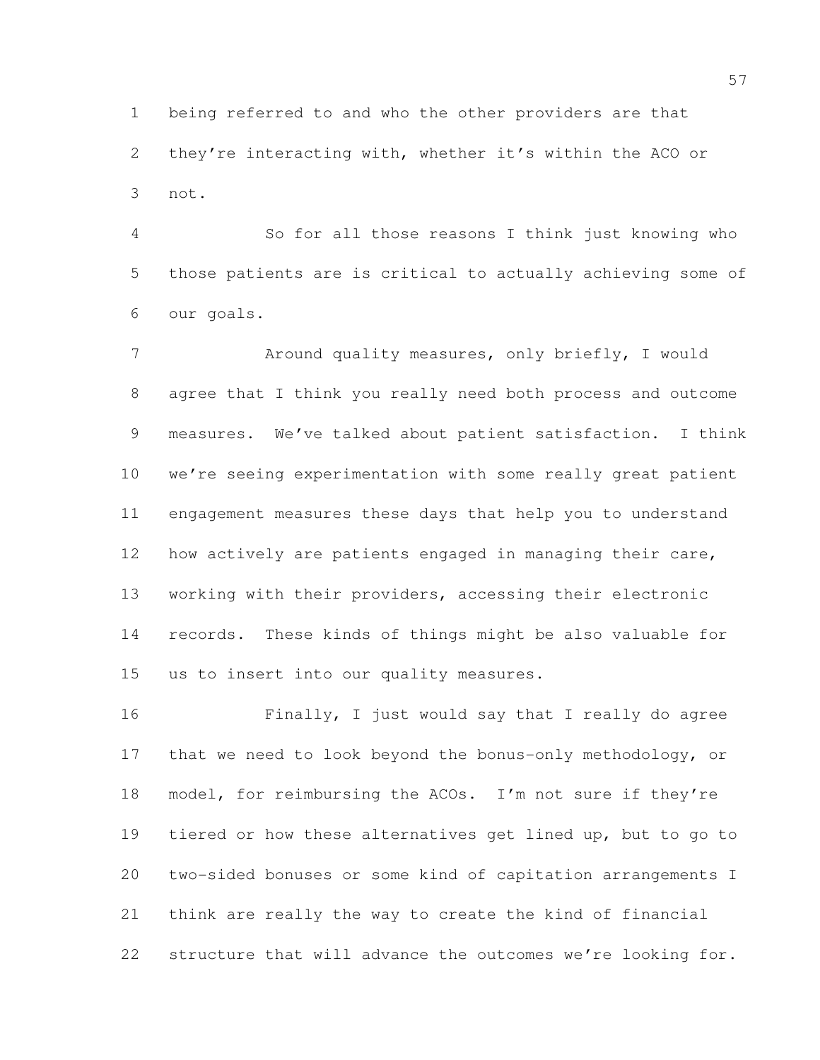being referred to and who the other providers are that they're interacting with, whether it's within the ACO or not.

 So for all those reasons I think just knowing who those patients are is critical to actually achieving some of our goals.

 Around quality measures, only briefly, I would agree that I think you really need both process and outcome measures. We've talked about patient satisfaction. I think we're seeing experimentation with some really great patient engagement measures these days that help you to understand how actively are patients engaged in managing their care, working with their providers, accessing their electronic records. These kinds of things might be also valuable for us to insert into our quality measures.

 Finally, I just would say that I really do agree that we need to look beyond the bonus-only methodology, or model, for reimbursing the ACOs. I'm not sure if they're tiered or how these alternatives get lined up, but to go to two-sided bonuses or some kind of capitation arrangements I think are really the way to create the kind of financial structure that will advance the outcomes we're looking for.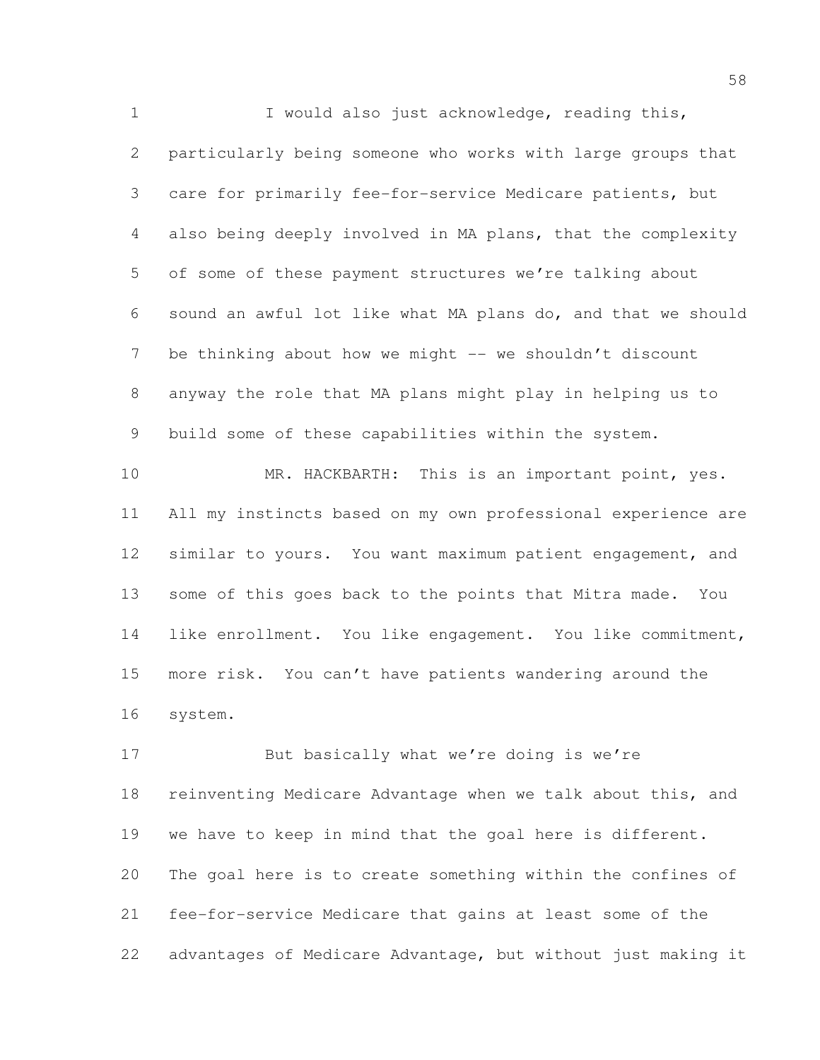I would also just acknowledge, reading this, particularly being someone who works with large groups that care for primarily fee-for-service Medicare patients, but also being deeply involved in MA plans, that the complexity of some of these payment structures we're talking about sound an awful lot like what MA plans do, and that we should 7 be thinking about how we might -- we shouldn't discount anyway the role that MA plans might play in helping us to build some of these capabilities within the system. 10 MR. HACKBARTH: This is an important point, yes. All my instincts based on my own professional experience are similar to yours. You want maximum patient engagement, and

 some of this goes back to the points that Mitra made. You like enrollment. You like engagement. You like commitment, more risk. You can't have patients wandering around the system.

17 But basically what we're doing is we're reinventing Medicare Advantage when we talk about this, and we have to keep in mind that the goal here is different. The goal here is to create something within the confines of fee-for-service Medicare that gains at least some of the advantages of Medicare Advantage, but without just making it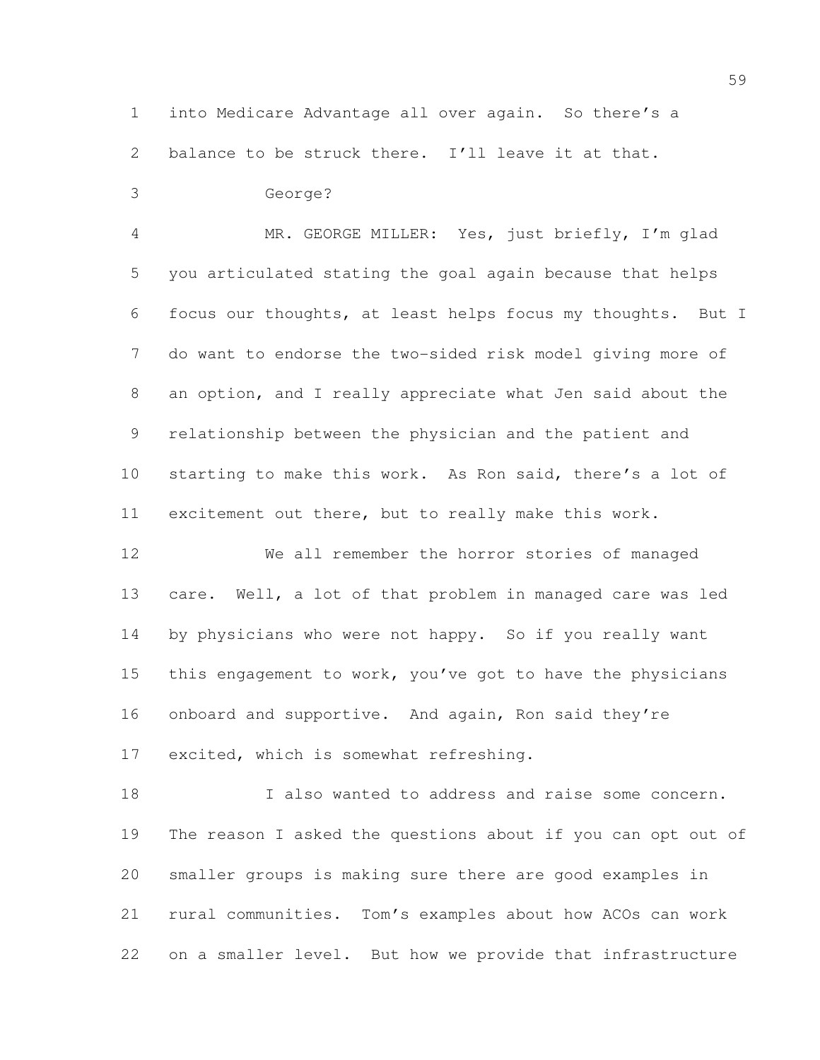into Medicare Advantage all over again. So there's a

balance to be struck there. I'll leave it at that.

## George?

 MR. GEORGE MILLER: Yes, just briefly, I'm glad you articulated stating the goal again because that helps focus our thoughts, at least helps focus my thoughts. But I do want to endorse the two-sided risk model giving more of an option, and I really appreciate what Jen said about the relationship between the physician and the patient and starting to make this work. As Ron said, there's a lot of excitement out there, but to really make this work.

 We all remember the horror stories of managed care. Well, a lot of that problem in managed care was led by physicians who were not happy. So if you really want this engagement to work, you've got to have the physicians onboard and supportive. And again, Ron said they're excited, which is somewhat refreshing.

 I also wanted to address and raise some concern. The reason I asked the questions about if you can opt out of smaller groups is making sure there are good examples in rural communities. Tom's examples about how ACOs can work on a smaller level. But how we provide that infrastructure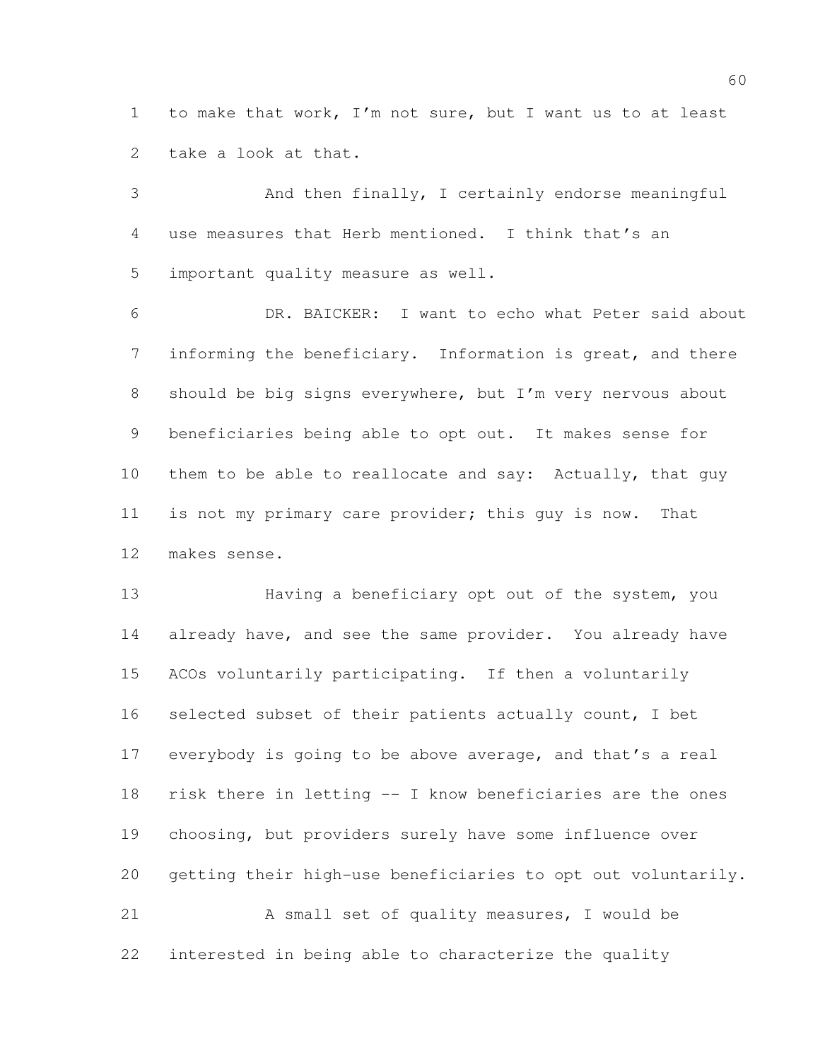to make that work, I'm not sure, but I want us to at least take a look at that.

 And then finally, I certainly endorse meaningful use measures that Herb mentioned. I think that's an important quality measure as well.

 DR. BAICKER: I want to echo what Peter said about informing the beneficiary. Information is great, and there should be big signs everywhere, but I'm very nervous about beneficiaries being able to opt out. It makes sense for 10 them to be able to reallocate and say: Actually, that guy is not my primary care provider; this guy is now. That makes sense.

 Having a beneficiary opt out of the system, you 14 already have, and see the same provider. You already have ACOs voluntarily participating. If then a voluntarily selected subset of their patients actually count, I bet everybody is going to be above average, and that's a real risk there in letting -- I know beneficiaries are the ones choosing, but providers surely have some influence over getting their high-use beneficiaries to opt out voluntarily. A small set of quality measures, I would be interested in being able to characterize the quality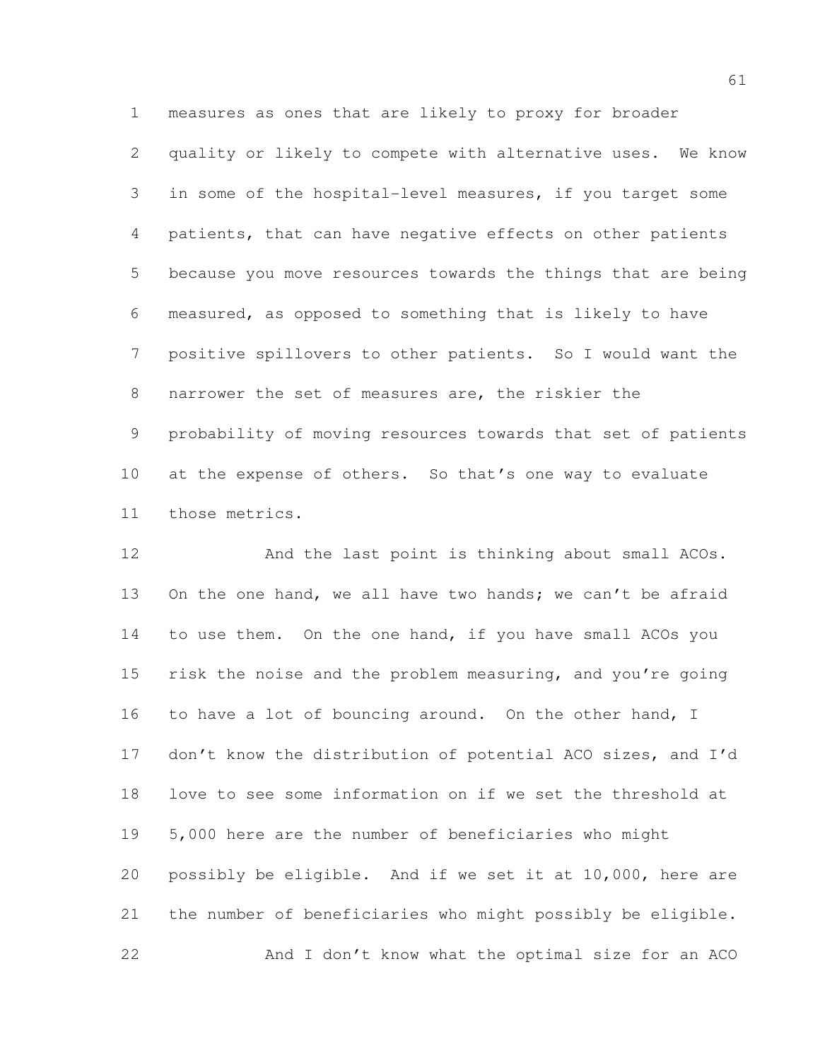measures as ones that are likely to proxy for broader quality or likely to compete with alternative uses. We know in some of the hospital-level measures, if you target some patients, that can have negative effects on other patients because you move resources towards the things that are being measured, as opposed to something that is likely to have positive spillovers to other patients. So I would want the narrower the set of measures are, the riskier the probability of moving resources towards that set of patients at the expense of others. So that's one way to evaluate those metrics.

 And the last point is thinking about small ACOs. 13 On the one hand, we all have two hands; we can't be afraid to use them. On the one hand, if you have small ACOs you risk the noise and the problem measuring, and you're going 16 to have a lot of bouncing around. On the other hand, I don't know the distribution of potential ACO sizes, and I'd love to see some information on if we set the threshold at 5,000 here are the number of beneficiaries who might possibly be eligible. And if we set it at 10,000, here are the number of beneficiaries who might possibly be eligible. And I don't know what the optimal size for an ACO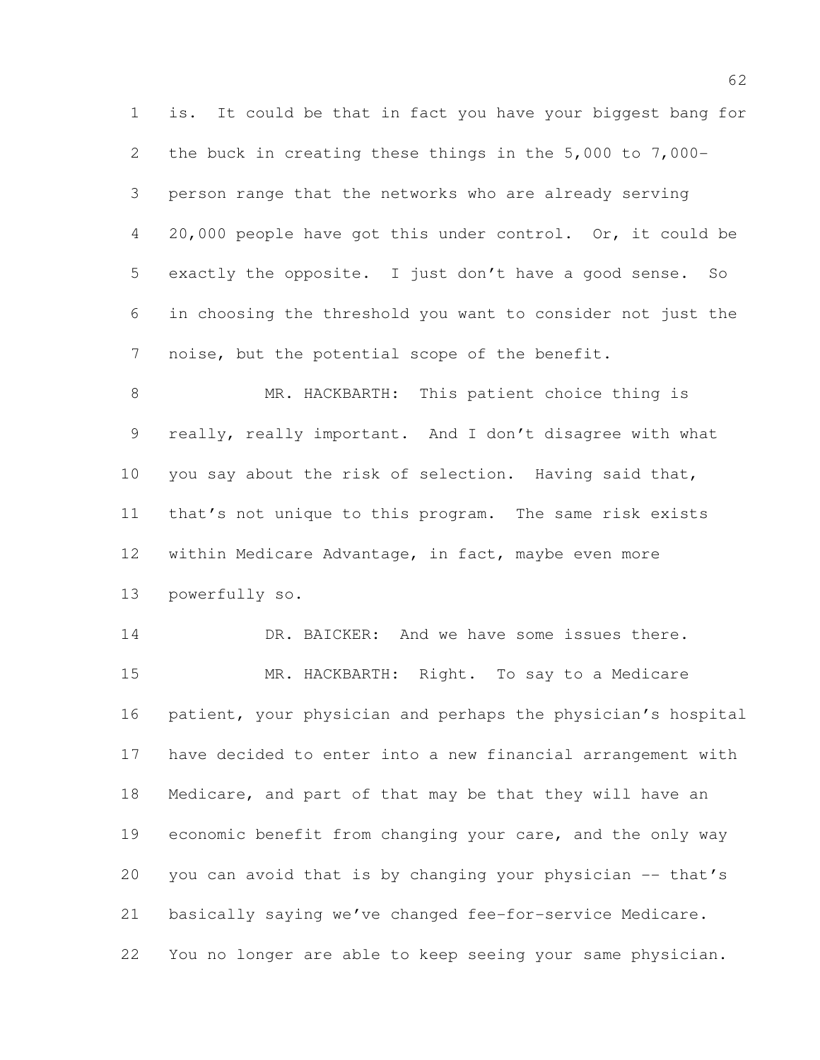is. It could be that in fact you have your biggest bang for the buck in creating these things in the 5,000 to 7,000- person range that the networks who are already serving 20,000 people have got this under control. Or, it could be exactly the opposite. I just don't have a good sense. So in choosing the threshold you want to consider not just the noise, but the potential scope of the benefit.

 MR. HACKBARTH: This patient choice thing is really, really important. And I don't disagree with what you say about the risk of selection. Having said that, that's not unique to this program. The same risk exists within Medicare Advantage, in fact, maybe even more powerfully so.

14 DR. BAICKER: And we have some issues there. MR. HACKBARTH: Right. To say to a Medicare patient, your physician and perhaps the physician's hospital have decided to enter into a new financial arrangement with Medicare, and part of that may be that they will have an economic benefit from changing your care, and the only way you can avoid that is by changing your physician -- that's basically saying we've changed fee-for-service Medicare. You no longer are able to keep seeing your same physician.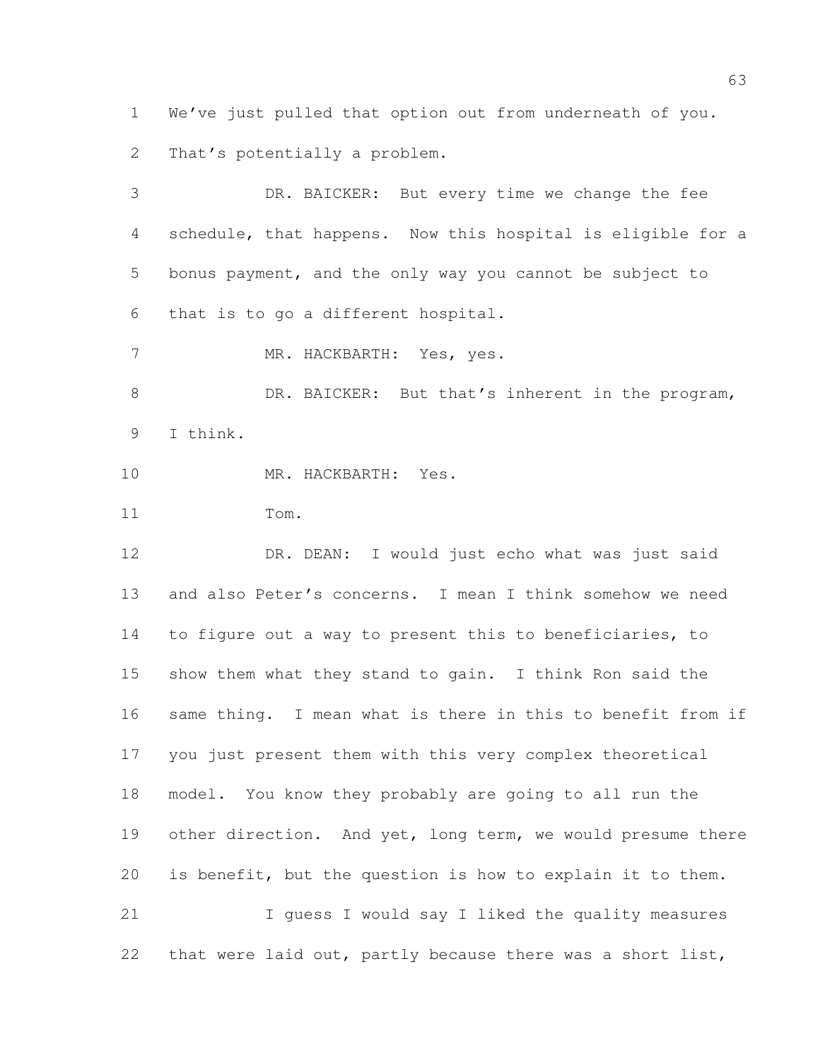We've just pulled that option out from underneath of you. That's potentially a problem.

 DR. BAICKER: But every time we change the fee schedule, that happens. Now this hospital is eligible for a bonus payment, and the only way you cannot be subject to that is to go a different hospital. 7 MR. HACKBARTH: Yes, yes. 8 DR. BAICKER: But that's inherent in the program, I think. MR. HACKBARTH: Yes. Tom. DR. DEAN: I would just echo what was just said and also Peter's concerns. I mean I think somehow we need to figure out a way to present this to beneficiaries, to show them what they stand to gain. I think Ron said the same thing. I mean what is there in this to benefit from if you just present them with this very complex theoretical model. You know they probably are going to all run the 19 other direction. And yet, long term, we would presume there is benefit, but the question is how to explain it to them. I guess I would say I liked the quality measures

that were laid out, partly because there was a short list,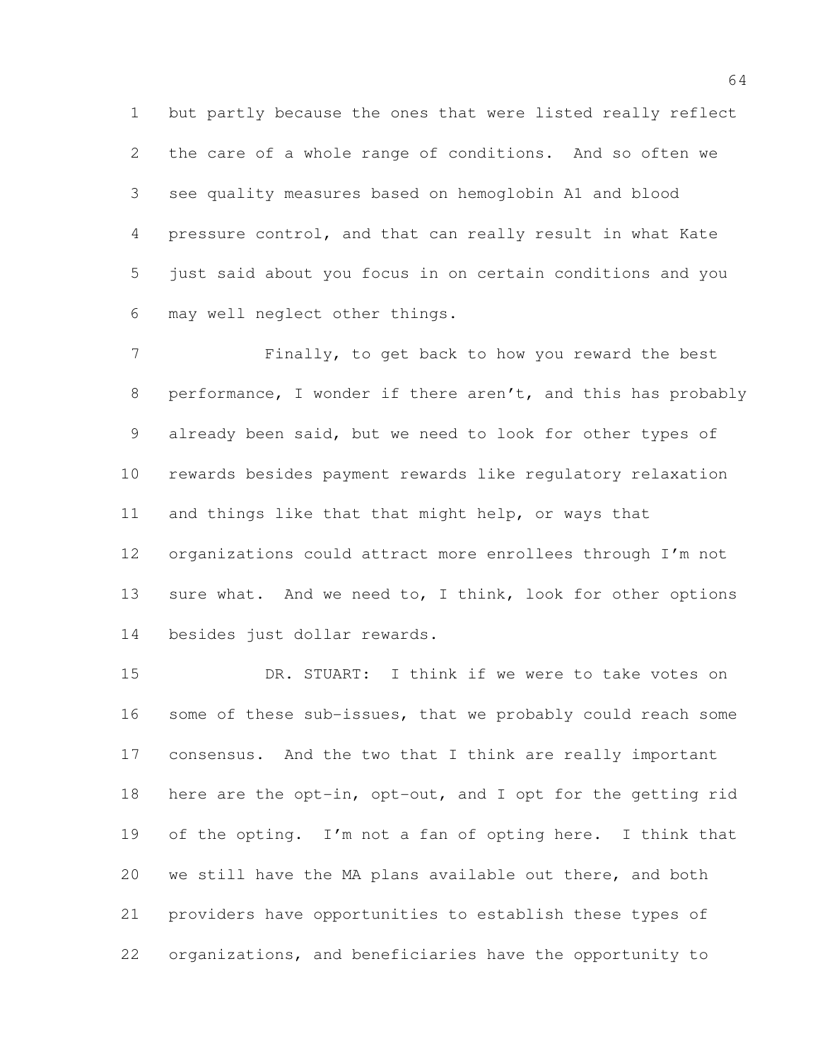but partly because the ones that were listed really reflect the care of a whole range of conditions. And so often we see quality measures based on hemoglobin A1 and blood pressure control, and that can really result in what Kate just said about you focus in on certain conditions and you may well neglect other things.

 Finally, to get back to how you reward the best performance, I wonder if there aren't, and this has probably already been said, but we need to look for other types of rewards besides payment rewards like regulatory relaxation and things like that that might help, or ways that organizations could attract more enrollees through I'm not 13 sure what. And we need to, I think, look for other options besides just dollar rewards.

 DR. STUART: I think if we were to take votes on 16 some of these sub-issues, that we probably could reach some consensus. And the two that I think are really important here are the opt-in, opt-out, and I opt for the getting rid of the opting. I'm not a fan of opting here. I think that we still have the MA plans available out there, and both providers have opportunities to establish these types of organizations, and beneficiaries have the opportunity to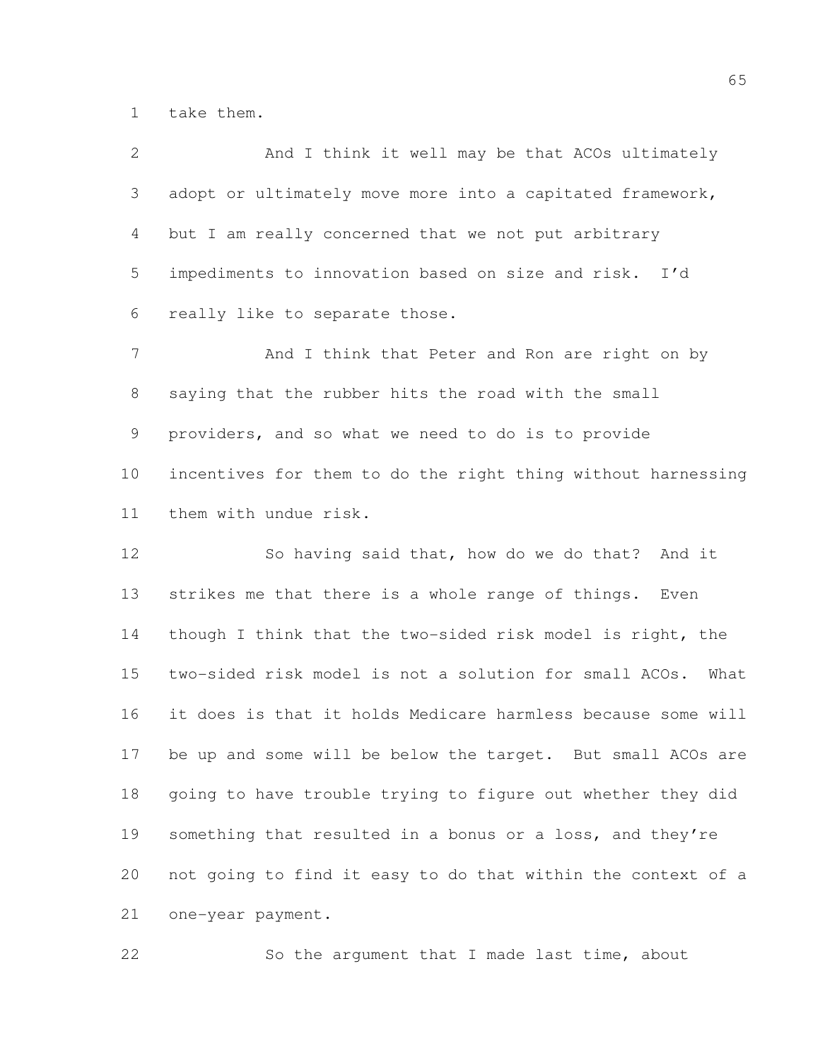take them.

| $\mathbf{2}$   | And I think it well may be that ACOs ultimately                |
|----------------|----------------------------------------------------------------|
| 3              | adopt or ultimately move more into a capitated framework,      |
| 4              | but I am really concerned that we not put arbitrary            |
| 5              | impediments to innovation based on size and risk. I'd          |
| 6              | really like to separate those.                                 |
| $\overline{7}$ | And I think that Peter and Ron are right on by                 |
| 8              | saying that the rubber hits the road with the small            |
| 9              | providers, and so what we need to do is to provide             |
| 10             | incentives for them to do the right thing without harnessing   |
| 11             | them with undue risk.                                          |
| 12             | So having said that, how do we do that? And it                 |
| 13             | strikes me that there is a whole range of things. Even         |
| 14             | though I think that the two-sided risk model is right, the     |
| 15             | two-sided risk model is not a solution for small ACOs.<br>What |
| 16             | it does is that it holds Medicare harmless because some will   |
| 17             | be up and some will be below the target. But small ACOs are    |
| 18             | going to have trouble trying to figure out whether they did    |
| 19             | something that resulted in a bonus or a loss, and they're      |
| 20             | not going to find it easy to do that within the context of a   |

one-year payment.

So the argument that I made last time, about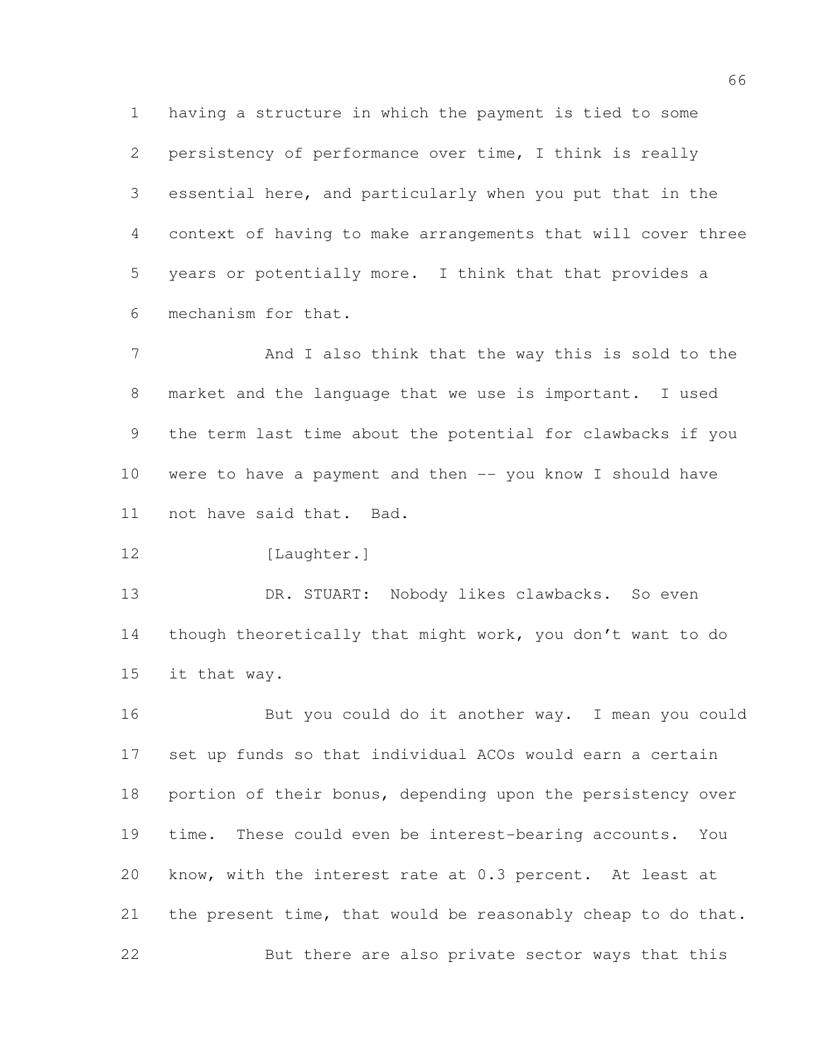having a structure in which the payment is tied to some persistency of performance over time, I think is really essential here, and particularly when you put that in the context of having to make arrangements that will cover three years or potentially more. I think that that provides a mechanism for that.

 And I also think that the way this is sold to the market and the language that we use is important. I used the term last time about the potential for clawbacks if you were to have a payment and then -- you know I should have not have said that. Bad.

```
12 [Laughter.]
```
 DR. STUART: Nobody likes clawbacks. So even though theoretically that might work, you don't want to do it that way.

 But you could do it another way. I mean you could set up funds so that individual ACOs would earn a certain 18 portion of their bonus, depending upon the persistency over time. These could even be interest-bearing accounts. You know, with the interest rate at 0.3 percent. At least at the present time, that would be reasonably cheap to do that. But there are also private sector ways that this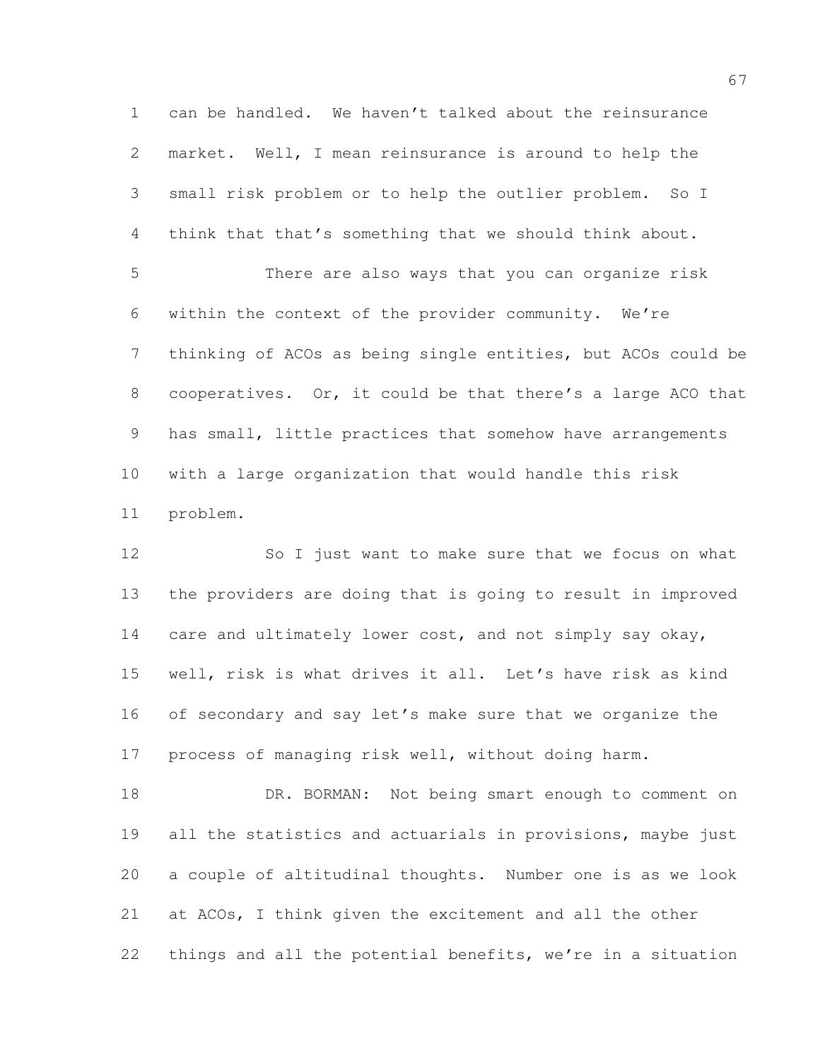can be handled. We haven't talked about the reinsurance market. Well, I mean reinsurance is around to help the small risk problem or to help the outlier problem. So I think that that's something that we should think about. There are also ways that you can organize risk within the context of the provider community. We're thinking of ACOs as being single entities, but ACOs could be cooperatives. Or, it could be that there's a large ACO that has small, little practices that somehow have arrangements with a large organization that would handle this risk problem.

12 So I just want to make sure that we focus on what the providers are doing that is going to result in improved 14 care and ultimately lower cost, and not simply say okay, well, risk is what drives it all. Let's have risk as kind of secondary and say let's make sure that we organize the process of managing risk well, without doing harm.

18 DR. BORMAN: Not being smart enough to comment on 19 all the statistics and actuarials in provisions, maybe just a couple of altitudinal thoughts. Number one is as we look at ACOs, I think given the excitement and all the other things and all the potential benefits, we're in a situation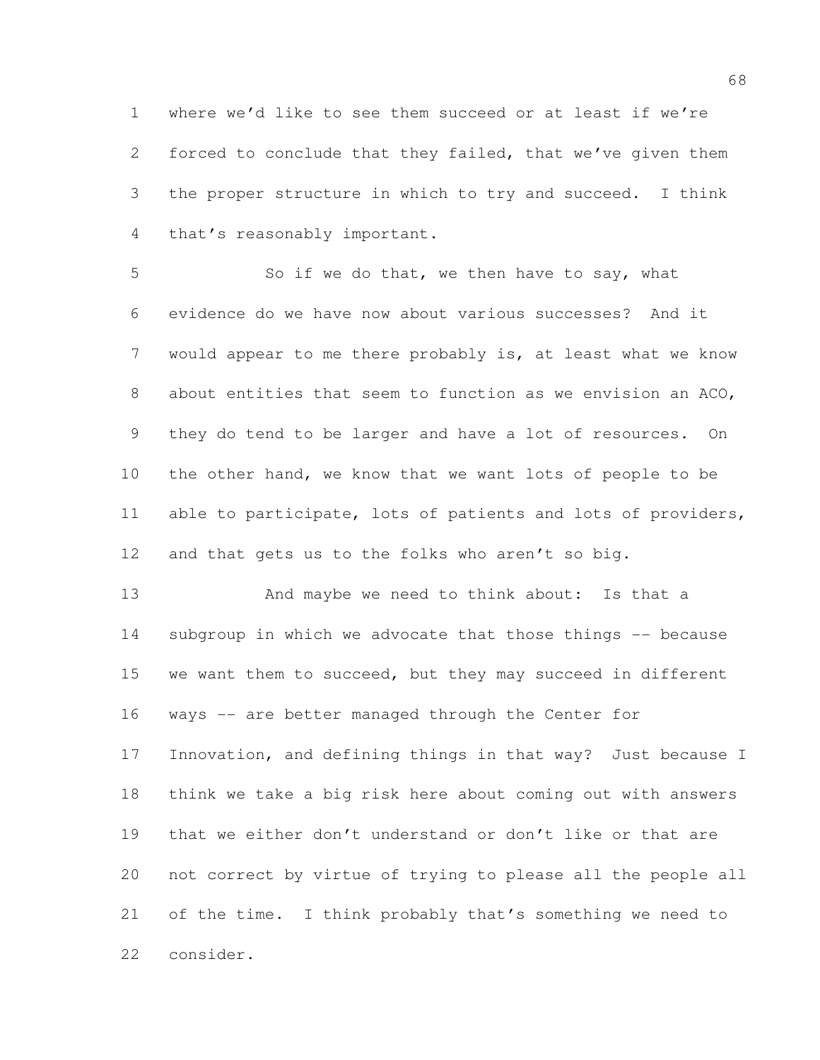where we'd like to see them succeed or at least if we're forced to conclude that they failed, that we've given them the proper structure in which to try and succeed. I think that's reasonably important.

 So if we do that, we then have to say, what evidence do we have now about various successes? And it would appear to me there probably is, at least what we know about entities that seem to function as we envision an ACO, they do tend to be larger and have a lot of resources. On the other hand, we know that we want lots of people to be able to participate, lots of patients and lots of providers, and that gets us to the folks who aren't so big.

13 And maybe we need to think about: Is that a subgroup in which we advocate that those things -- because we want them to succeed, but they may succeed in different ways -- are better managed through the Center for Innovation, and defining things in that way? Just because I think we take a big risk here about coming out with answers that we either don't understand or don't like or that are not correct by virtue of trying to please all the people all of the time. I think probably that's something we need to consider.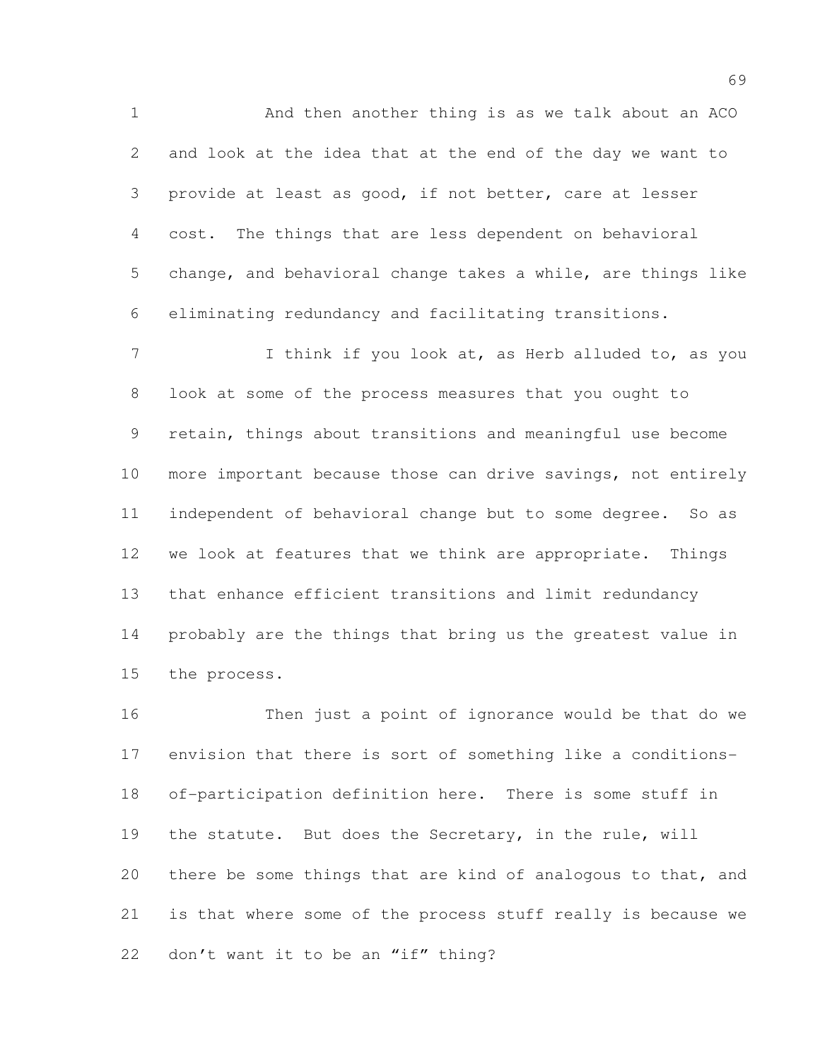And then another thing is as we talk about an ACO and look at the idea that at the end of the day we want to provide at least as good, if not better, care at lesser cost. The things that are less dependent on behavioral change, and behavioral change takes a while, are things like eliminating redundancy and facilitating transitions.

7 I think if you look at, as Herb alluded to, as you look at some of the process measures that you ought to retain, things about transitions and meaningful use become more important because those can drive savings, not entirely independent of behavioral change but to some degree. So as we look at features that we think are appropriate. Things that enhance efficient transitions and limit redundancy probably are the things that bring us the greatest value in the process.

 Then just a point of ignorance would be that do we envision that there is sort of something like a conditions- of-participation definition here. There is some stuff in the statute. But does the Secretary, in the rule, will there be some things that are kind of analogous to that, and is that where some of the process stuff really is because we don't want it to be an "if" thing?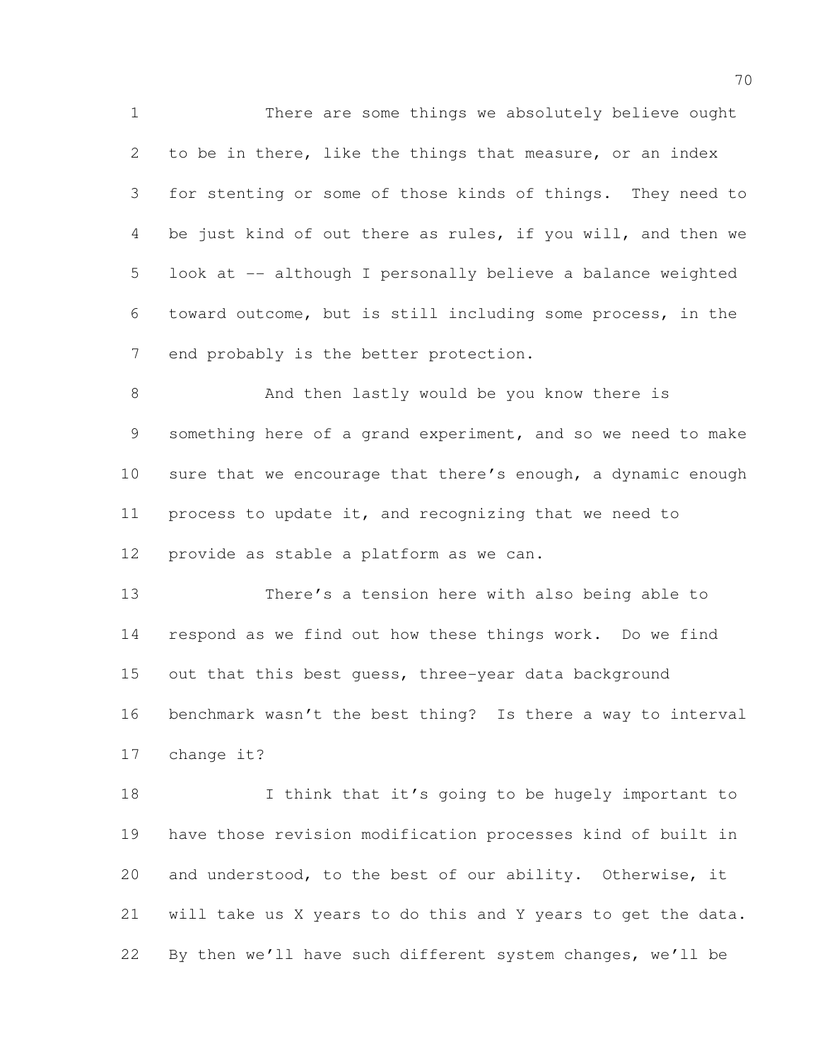There are some things we absolutely believe ought to be in there, like the things that measure, or an index for stenting or some of those kinds of things. They need to be just kind of out there as rules, if you will, and then we look at -- although I personally believe a balance weighted toward outcome, but is still including some process, in the end probably is the better protection.

8 And then lastly would be you know there is something here of a grand experiment, and so we need to make 10 sure that we encourage that there's enough, a dynamic enough process to update it, and recognizing that we need to provide as stable a platform as we can.

 There's a tension here with also being able to respond as we find out how these things work. Do we find 15 out that this best quess, three-year data background benchmark wasn't the best thing? Is there a way to interval change it?

18 I think that it's going to be hugely important to have those revision modification processes kind of built in and understood, to the best of our ability. Otherwise, it will take us X years to do this and Y years to get the data. By then we'll have such different system changes, we'll be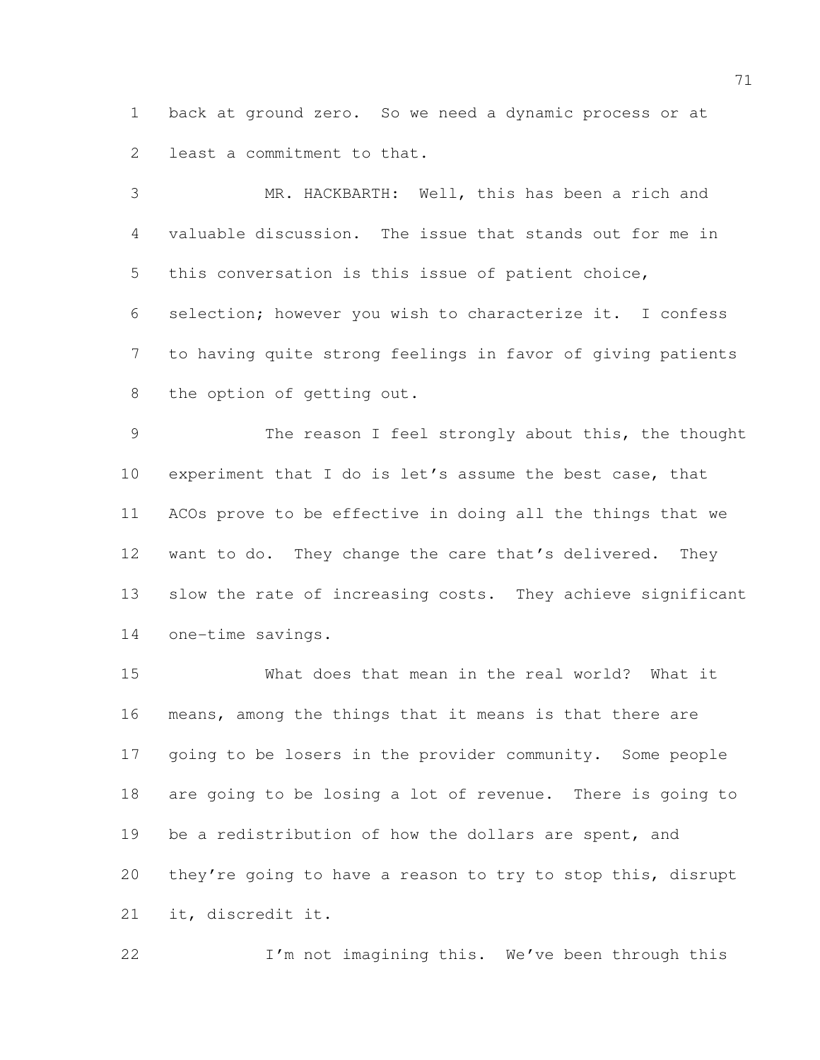back at ground zero. So we need a dynamic process or at least a commitment to that.

 MR. HACKBARTH: Well, this has been a rich and valuable discussion. The issue that stands out for me in this conversation is this issue of patient choice, selection; however you wish to characterize it. I confess to having quite strong feelings in favor of giving patients the option of getting out.

 The reason I feel strongly about this, the thought experiment that I do is let's assume the best case, that ACOs prove to be effective in doing all the things that we 12 want to do. They change the care that's delivered. They 13 slow the rate of increasing costs. They achieve significant one-time savings.

 What does that mean in the real world? What it means, among the things that it means is that there are going to be losers in the provider community. Some people are going to be losing a lot of revenue. There is going to 19 be a redistribution of how the dollars are spent, and they're going to have a reason to try to stop this, disrupt it, discredit it.

I'm not imagining this. We've been through this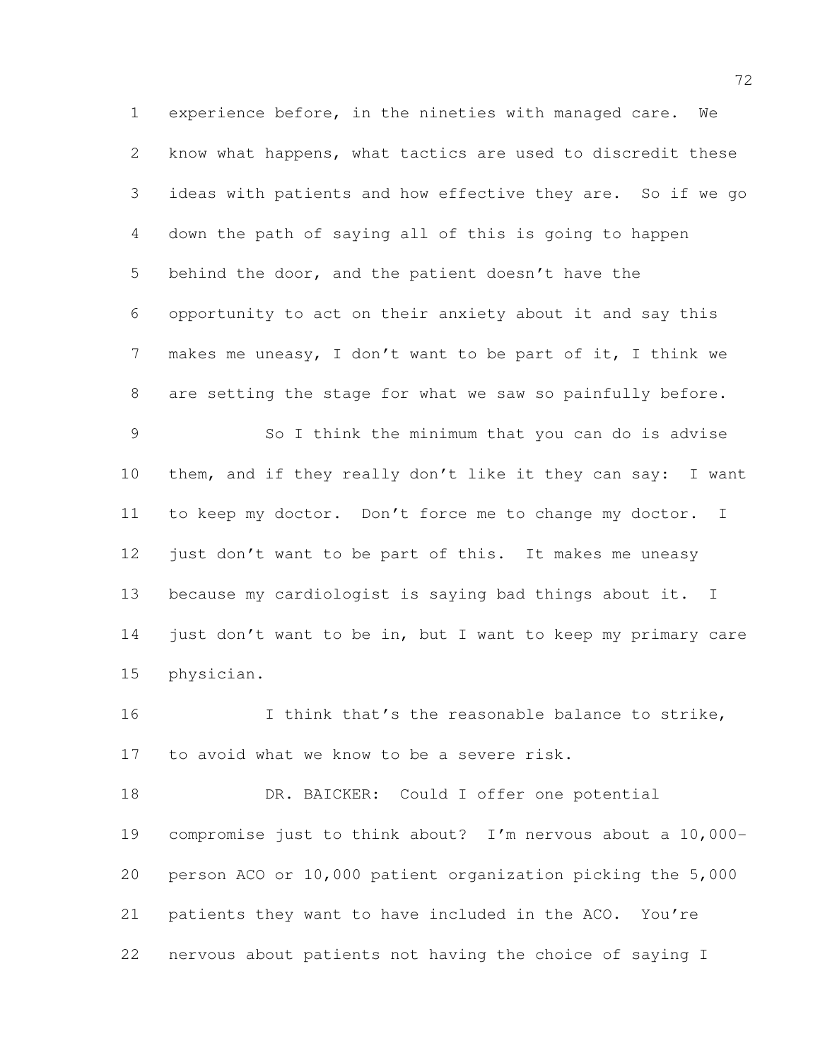experience before, in the nineties with managed care. We know what happens, what tactics are used to discredit these ideas with patients and how effective they are. So if we go down the path of saying all of this is going to happen behind the door, and the patient doesn't have the opportunity to act on their anxiety about it and say this makes me uneasy, I don't want to be part of it, I think we are setting the stage for what we saw so painfully before. So I think the minimum that you can do is advise 10 them, and if they really don't like it they can say: I want to keep my doctor. Don't force me to change my doctor. I 12 just don't want to be part of this. It makes me uneasy because my cardiologist is saying bad things about it. I just don't want to be in, but I want to keep my primary care

physician.

16 I think that's the reasonable balance to strike, to avoid what we know to be a severe risk.

18 DR. BAICKER: Could I offer one potential compromise just to think about? I'm nervous about a 10,000- person ACO or 10,000 patient organization picking the 5,000 patients they want to have included in the ACO. You're nervous about patients not having the choice of saying I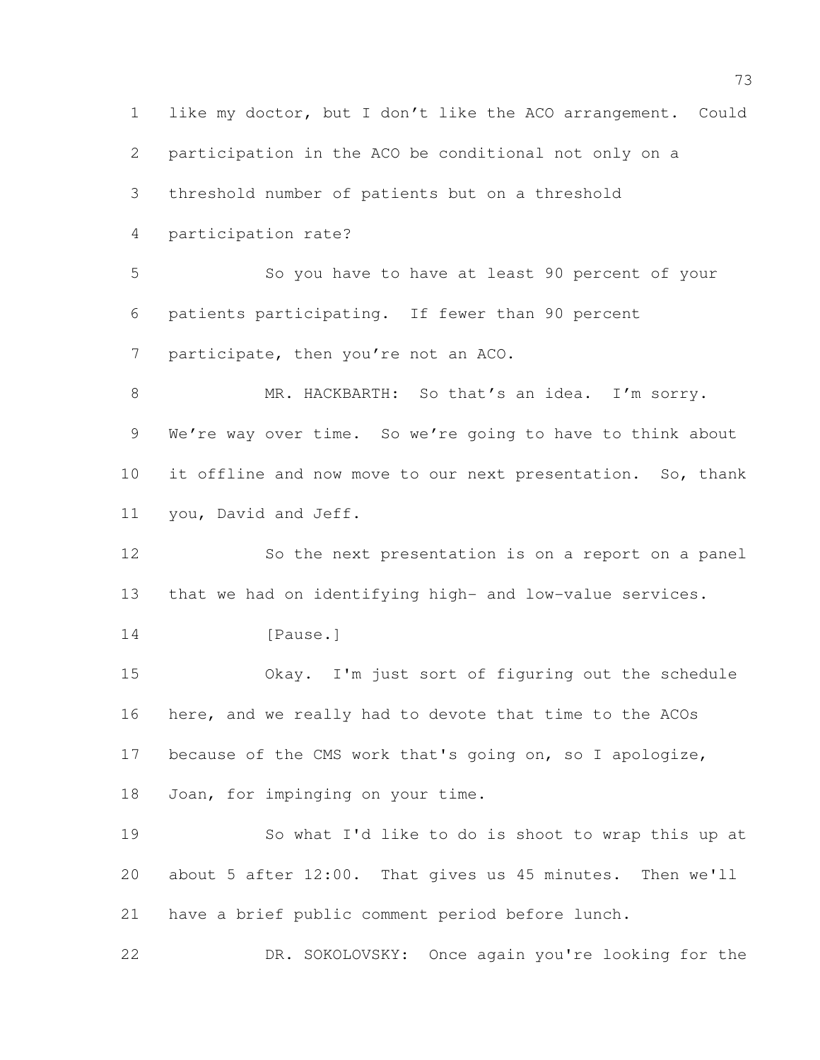like my doctor, but I don't like the ACO arrangement. Could participation in the ACO be conditional not only on a threshold number of patients but on a threshold participation rate? So you have to have at least 90 percent of your patients participating. If fewer than 90 percent 7 participate, then you're not an ACO. MR. HACKBARTH: So that's an idea. I'm sorry. 9 We're way over time. So we're going to have to think about it offline and now move to our next presentation. So, thank you, David and Jeff. So the next presentation is on a report on a panel that we had on identifying high- and low-value services. 14 [Pause.] Okay. I'm just sort of figuring out the schedule here, and we really had to devote that time to the ACOs because of the CMS work that's going on, so I apologize, Joan, for impinging on your time. So what I'd like to do is shoot to wrap this up at about 5 after 12:00. That gives us 45 minutes. Then we'll have a brief public comment period before lunch. DR. SOKOLOVSKY: Once again you're looking for the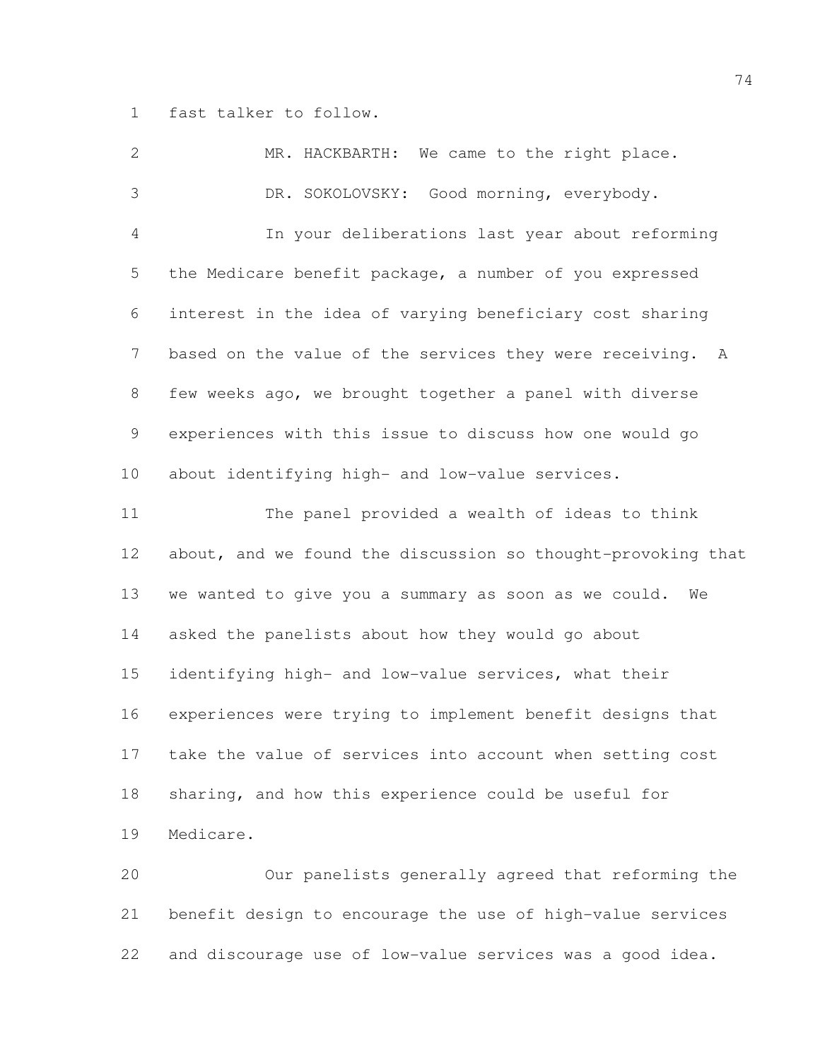fast talker to follow.

| $\mathbf{2}$   | MR. HACKBARTH: We came to the right place.                   |
|----------------|--------------------------------------------------------------|
| 3              | DR. SOKOLOVSKY: Good morning, everybody.                     |
| 4              | In your deliberations last year about reforming              |
| 5              | the Medicare benefit package, a number of you expressed      |
| 6              | interest in the idea of varying beneficiary cost sharing     |
| $\overline{7}$ | based on the value of the services they were receiving. A    |
| 8              | few weeks ago, we brought together a panel with diverse      |
| 9              | experiences with this issue to discuss how one would go      |
| 10             | about identifying high- and low-value services.              |
| 11             | The panel provided a wealth of ideas to think                |
| 12             | about, and we found the discussion so thought-provoking that |
| 13             | we wanted to give you a summary as soon as we could.<br>We   |
| 14             | asked the panelists about how they would go about            |
| 15             | identifying high- and low-value services, what their         |
| 16             | experiences were trying to implement benefit designs that    |
| 17             | take the value of services into account when setting cost    |
| 18             | sharing, and how this experience could be useful for         |
| 19             | Medicare.                                                    |
| 20             | Our panelists generally agreed that reforming the            |
| 21             | benefit design to encourage the use of high-value services   |

and discourage use of low-value services was a good idea.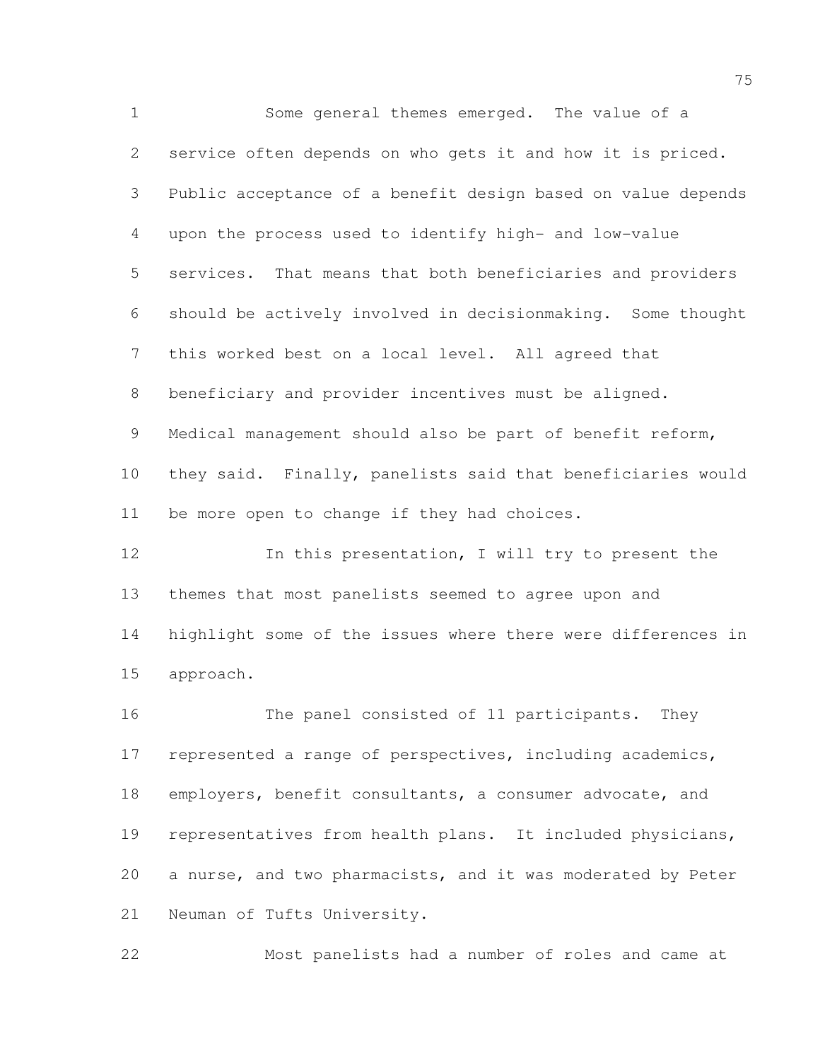Some general themes emerged. The value of a service often depends on who gets it and how it is priced. Public acceptance of a benefit design based on value depends upon the process used to identify high- and low-value services. That means that both beneficiaries and providers should be actively involved in decisionmaking. Some thought this worked best on a local level. All agreed that beneficiary and provider incentives must be aligned. Medical management should also be part of benefit reform, they said. Finally, panelists said that beneficiaries would be more open to change if they had choices. In this presentation, I will try to present the themes that most panelists seemed to agree upon and

 highlight some of the issues where there were differences in approach.

 The panel consisted of 11 participants. They represented a range of perspectives, including academics, employers, benefit consultants, a consumer advocate, and representatives from health plans. It included physicians, a nurse, and two pharmacists, and it was moderated by Peter Neuman of Tufts University.

Most panelists had a number of roles and came at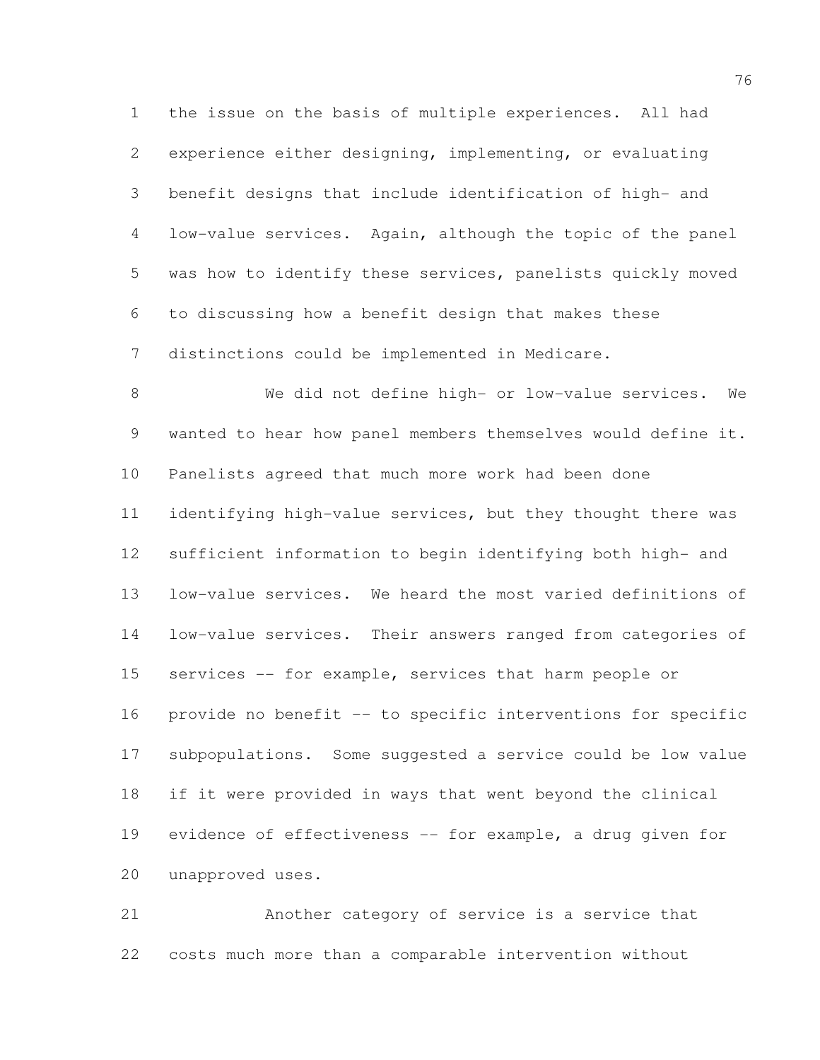the issue on the basis of multiple experiences. All had experience either designing, implementing, or evaluating benefit designs that include identification of high- and low-value services. Again, although the topic of the panel was how to identify these services, panelists quickly moved to discussing how a benefit design that makes these distinctions could be implemented in Medicare.

 We did not define high- or low-value services. We wanted to hear how panel members themselves would define it. Panelists agreed that much more work had been done identifying high-value services, but they thought there was sufficient information to begin identifying both high- and low-value services. We heard the most varied definitions of low-value services. Their answers ranged from categories of services -- for example, services that harm people or provide no benefit -- to specific interventions for specific subpopulations. Some suggested a service could be low value if it were provided in ways that went beyond the clinical evidence of effectiveness -- for example, a drug given for unapproved uses.

 Another category of service is a service that costs much more than a comparable intervention without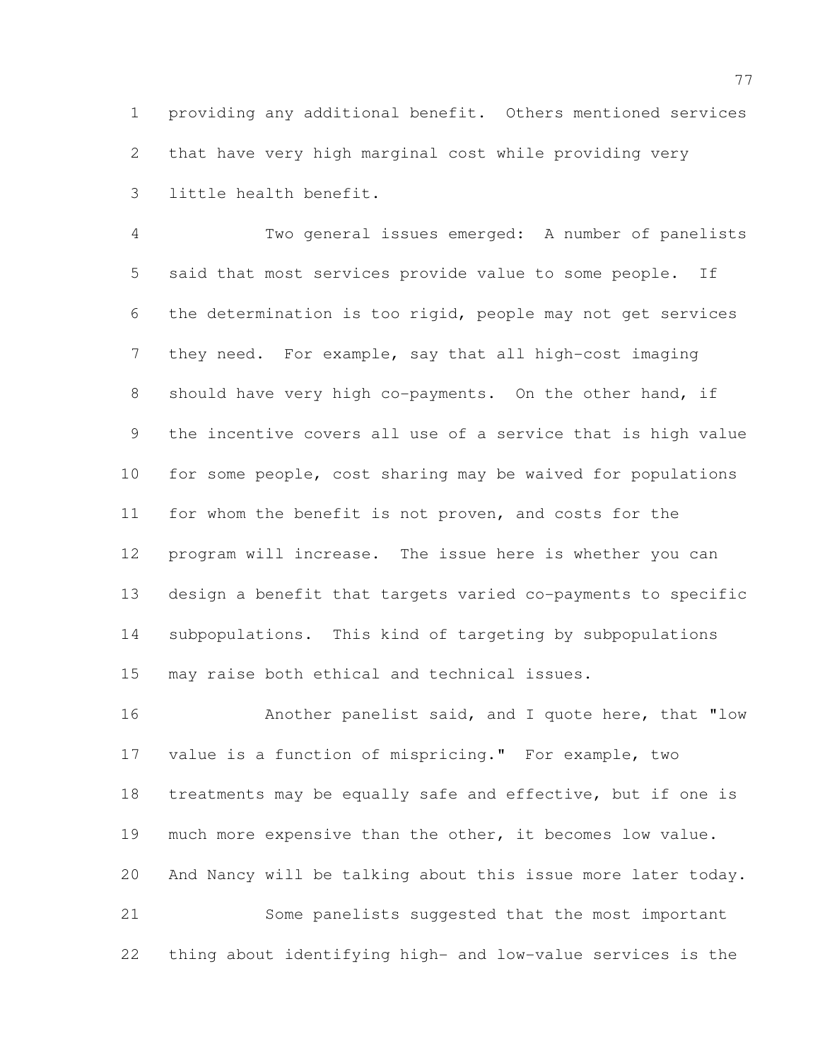providing any additional benefit. Others mentioned services that have very high marginal cost while providing very little health benefit.

 Two general issues emerged: A number of panelists said that most services provide value to some people. If the determination is too rigid, people may not get services they need. For example, say that all high-cost imaging 8 should have very high co-payments. On the other hand, if the incentive covers all use of a service that is high value for some people, cost sharing may be waived for populations for whom the benefit is not proven, and costs for the program will increase. The issue here is whether you can design a benefit that targets varied co-payments to specific subpopulations. This kind of targeting by subpopulations may raise both ethical and technical issues.

 Another panelist said, and I quote here, that "low value is a function of mispricing." For example, two treatments may be equally safe and effective, but if one is much more expensive than the other, it becomes low value. And Nancy will be talking about this issue more later today. Some panelists suggested that the most important

thing about identifying high- and low-value services is the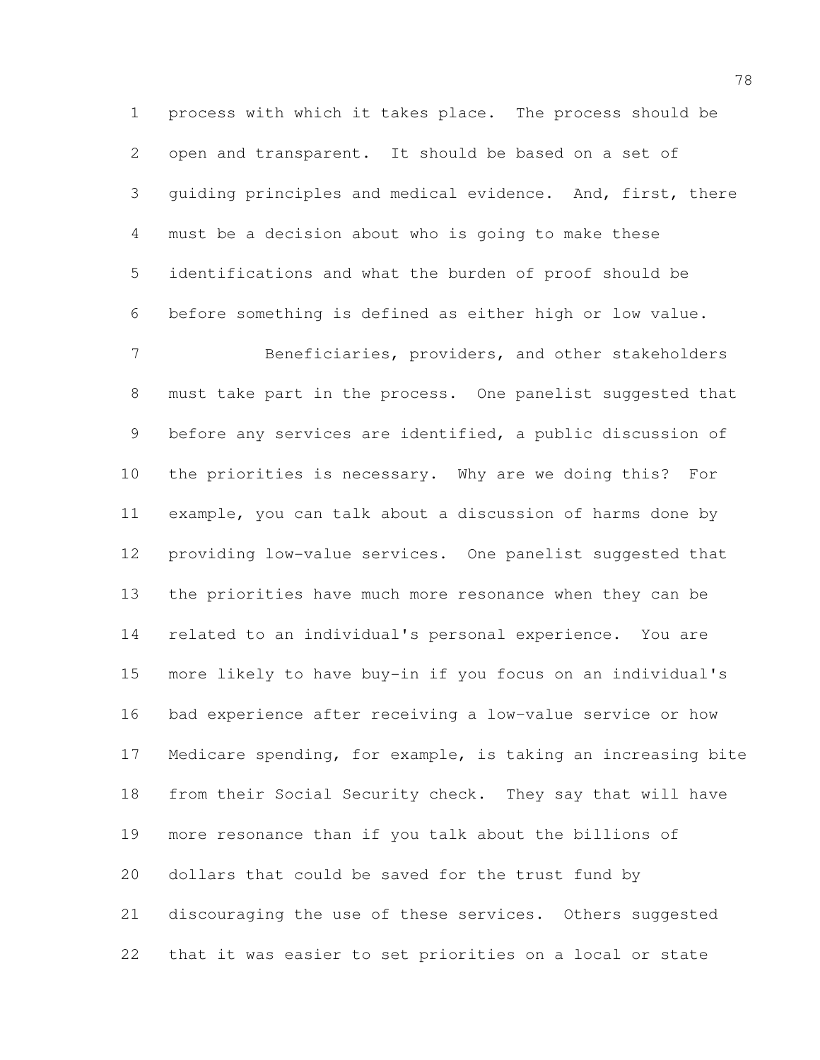process with which it takes place. The process should be open and transparent. It should be based on a set of guiding principles and medical evidence. And, first, there must be a decision about who is going to make these identifications and what the burden of proof should be before something is defined as either high or low value.

 Beneficiaries, providers, and other stakeholders must take part in the process. One panelist suggested that before any services are identified, a public discussion of the priorities is necessary. Why are we doing this? For example, you can talk about a discussion of harms done by providing low-value services. One panelist suggested that the priorities have much more resonance when they can be related to an individual's personal experience. You are more likely to have buy-in if you focus on an individual's bad experience after receiving a low-value service or how Medicare spending, for example, is taking an increasing bite from their Social Security check. They say that will have more resonance than if you talk about the billions of dollars that could be saved for the trust fund by discouraging the use of these services. Others suggested that it was easier to set priorities on a local or state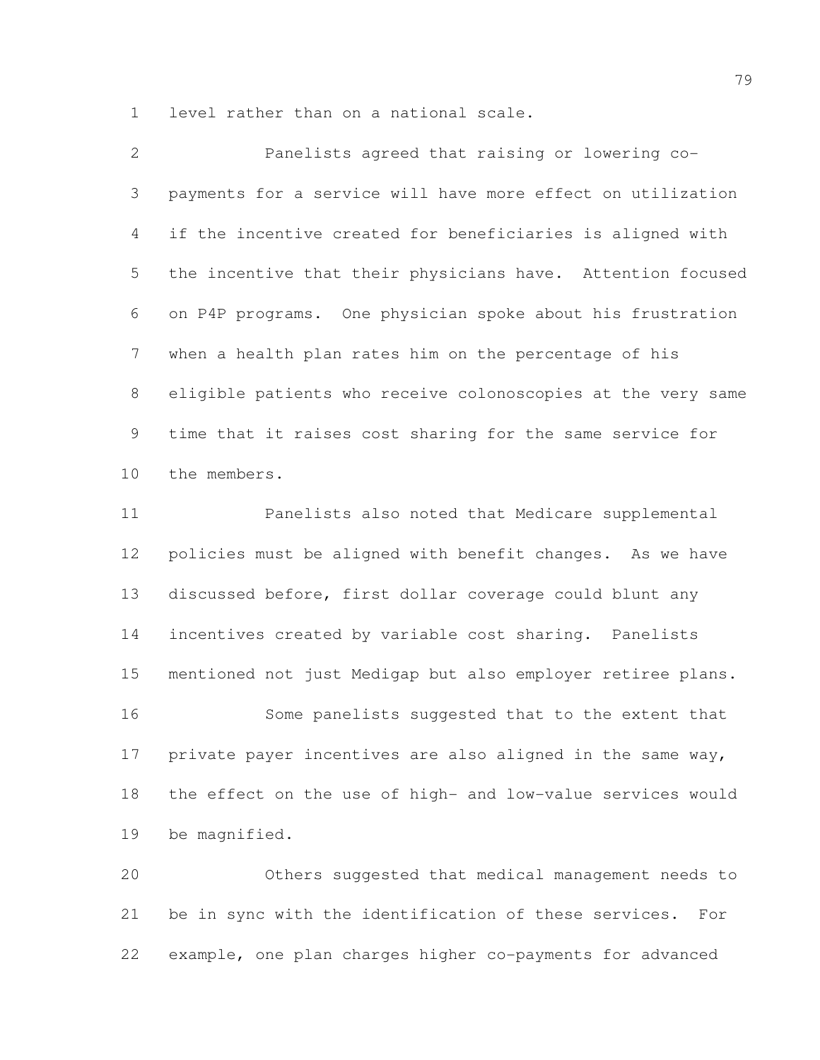level rather than on a national scale.

| 2               | Panelists agreed that raising or lowering co-                |
|-----------------|--------------------------------------------------------------|
| 3               | payments for a service will have more effect on utilization  |
| 4               | if the incentive created for beneficiaries is aligned with   |
| 5               | the incentive that their physicians have. Attention focused  |
| 6               | on P4P programs. One physician spoke about his frustration   |
| $7\phantom{.0}$ | when a health plan rates him on the percentage of his        |
| 8               | eligible patients who receive colonoscopies at the very same |
| 9               | time that it raises cost sharing for the same service for    |
| 10              | the members.                                                 |
| 11              | Panelists also noted that Medicare supplemental              |
| 12              | policies must be aligned with benefit changes. As we have    |
| 13              | discussed before, first dollar coverage could blunt any      |

 incentives created by variable cost sharing. Panelists mentioned not just Medigap but also employer retiree plans.

 Some panelists suggested that to the extent that private payer incentives are also aligned in the same way, the effect on the use of high- and low-value services would be magnified.

 Others suggested that medical management needs to be in sync with the identification of these services. For example, one plan charges higher co-payments for advanced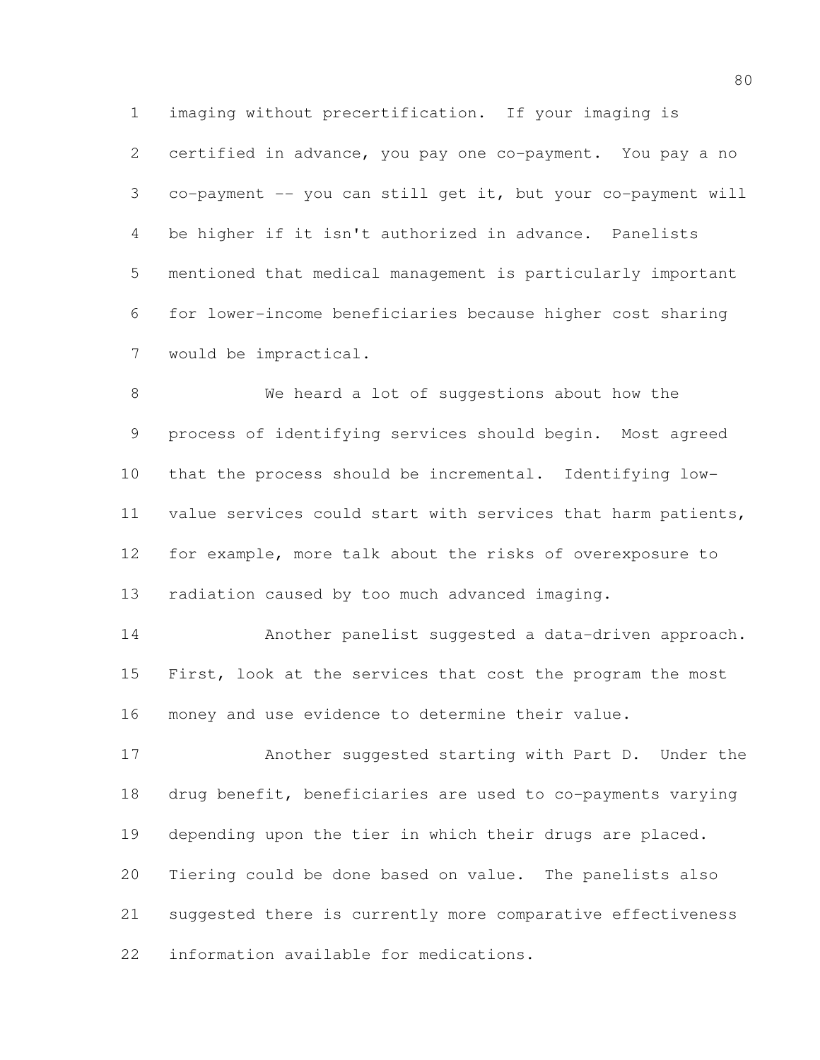imaging without precertification. If your imaging is certified in advance, you pay one co-payment. You pay a no co-payment -- you can still get it, but your co-payment will be higher if it isn't authorized in advance. Panelists mentioned that medical management is particularly important for lower-income beneficiaries because higher cost sharing would be impractical.

 We heard a lot of suggestions about how the process of identifying services should begin. Most agreed that the process should be incremental. Identifying low- value services could start with services that harm patients, for example, more talk about the risks of overexposure to radiation caused by too much advanced imaging.

 Another panelist suggested a data-driven approach. 15 First, look at the services that cost the program the most money and use evidence to determine their value.

 Another suggested starting with Part D. Under the drug benefit, beneficiaries are used to co-payments varying depending upon the tier in which their drugs are placed. Tiering could be done based on value. The panelists also suggested there is currently more comparative effectiveness information available for medications.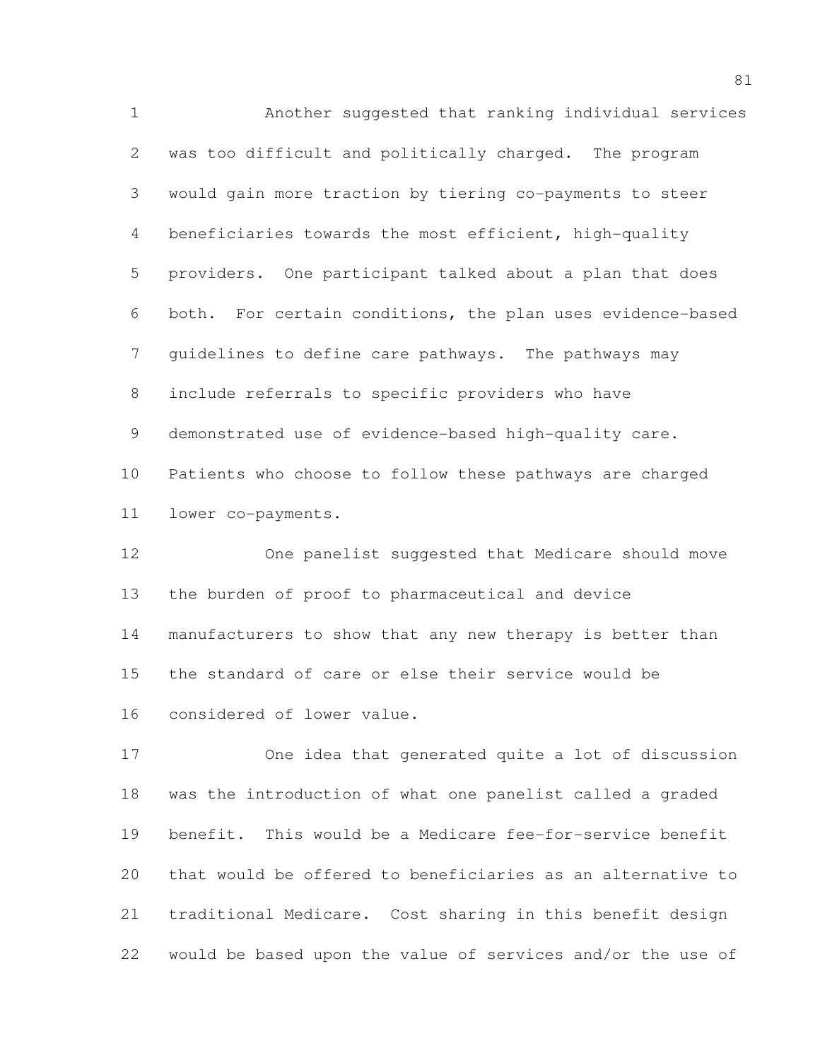Another suggested that ranking individual services was too difficult and politically charged. The program would gain more traction by tiering co-payments to steer beneficiaries towards the most efficient, high-quality providers. One participant talked about a plan that does both. For certain conditions, the plan uses evidence-based guidelines to define care pathways. The pathways may include referrals to specific providers who have demonstrated use of evidence-based high-quality care. Patients who choose to follow these pathways are charged lower co-payments.

 One panelist suggested that Medicare should move the burden of proof to pharmaceutical and device manufacturers to show that any new therapy is better than the standard of care or else their service would be considered of lower value.

 One idea that generated quite a lot of discussion was the introduction of what one panelist called a graded benefit. This would be a Medicare fee-for-service benefit that would be offered to beneficiaries as an alternative to traditional Medicare. Cost sharing in this benefit design would be based upon the value of services and/or the use of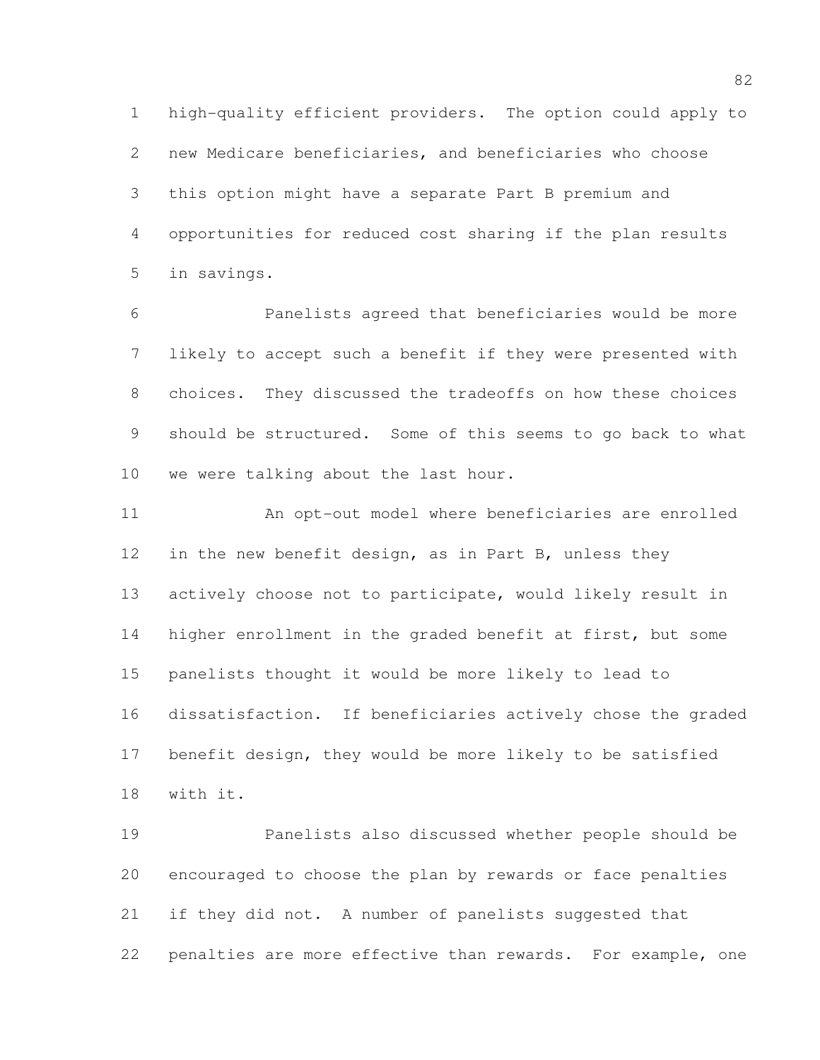high-quality efficient providers. The option could apply to new Medicare beneficiaries, and beneficiaries who choose this option might have a separate Part B premium and opportunities for reduced cost sharing if the plan results in savings.

 Panelists agreed that beneficiaries would be more likely to accept such a benefit if they were presented with choices. They discussed the tradeoffs on how these choices should be structured. Some of this seems to go back to what we were talking about the last hour.

 An opt-out model where beneficiaries are enrolled 12 in the new benefit design, as in Part B, unless they actively choose not to participate, would likely result in higher enrollment in the graded benefit at first, but some panelists thought it would be more likely to lead to dissatisfaction. If beneficiaries actively chose the graded benefit design, they would be more likely to be satisfied with it.

 Panelists also discussed whether people should be encouraged to choose the plan by rewards or face penalties if they did not. A number of panelists suggested that penalties are more effective than rewards. For example, one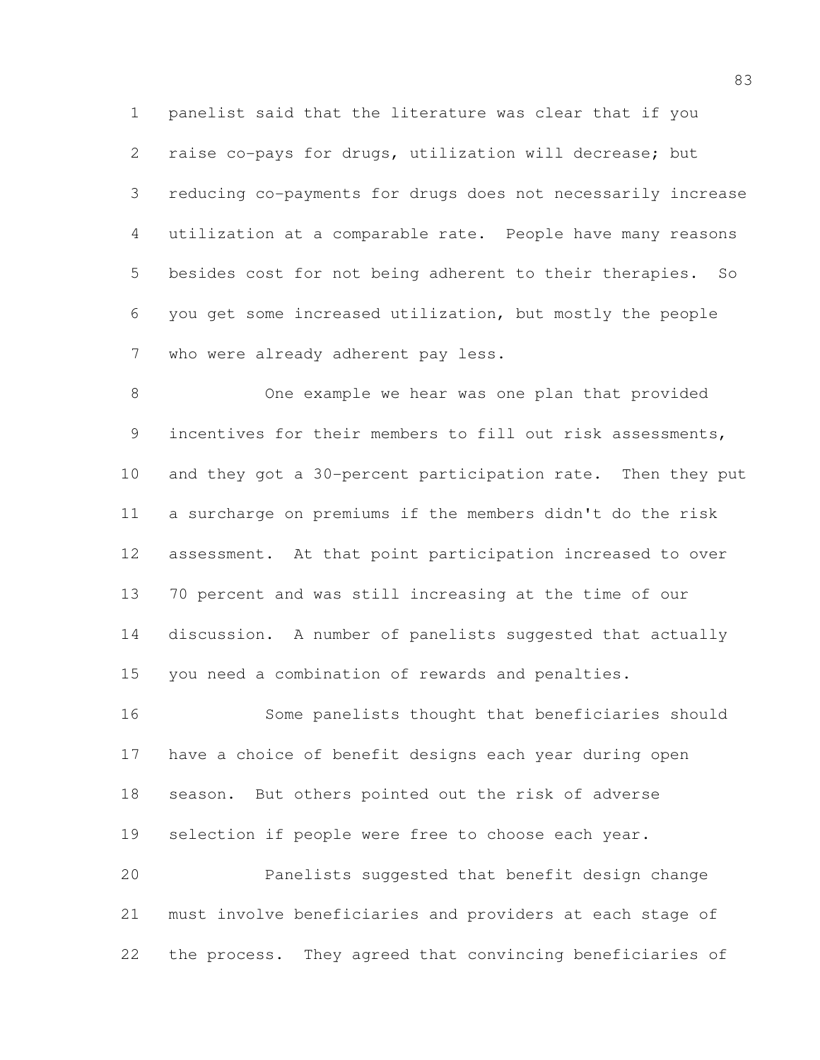panelist said that the literature was clear that if you raise co-pays for drugs, utilization will decrease; but reducing co-payments for drugs does not necessarily increase utilization at a comparable rate. People have many reasons besides cost for not being adherent to their therapies. So you get some increased utilization, but mostly the people who were already adherent pay less.

 One example we hear was one plan that provided incentives for their members to fill out risk assessments, and they got a 30-percent participation rate. Then they put a surcharge on premiums if the members didn't do the risk assessment. At that point participation increased to over 70 percent and was still increasing at the time of our discussion. A number of panelists suggested that actually you need a combination of rewards and penalties.

 Some panelists thought that beneficiaries should have a choice of benefit designs each year during open season. But others pointed out the risk of adverse selection if people were free to choose each year. Panelists suggested that benefit design change must involve beneficiaries and providers at each stage of the process. They agreed that convincing beneficiaries of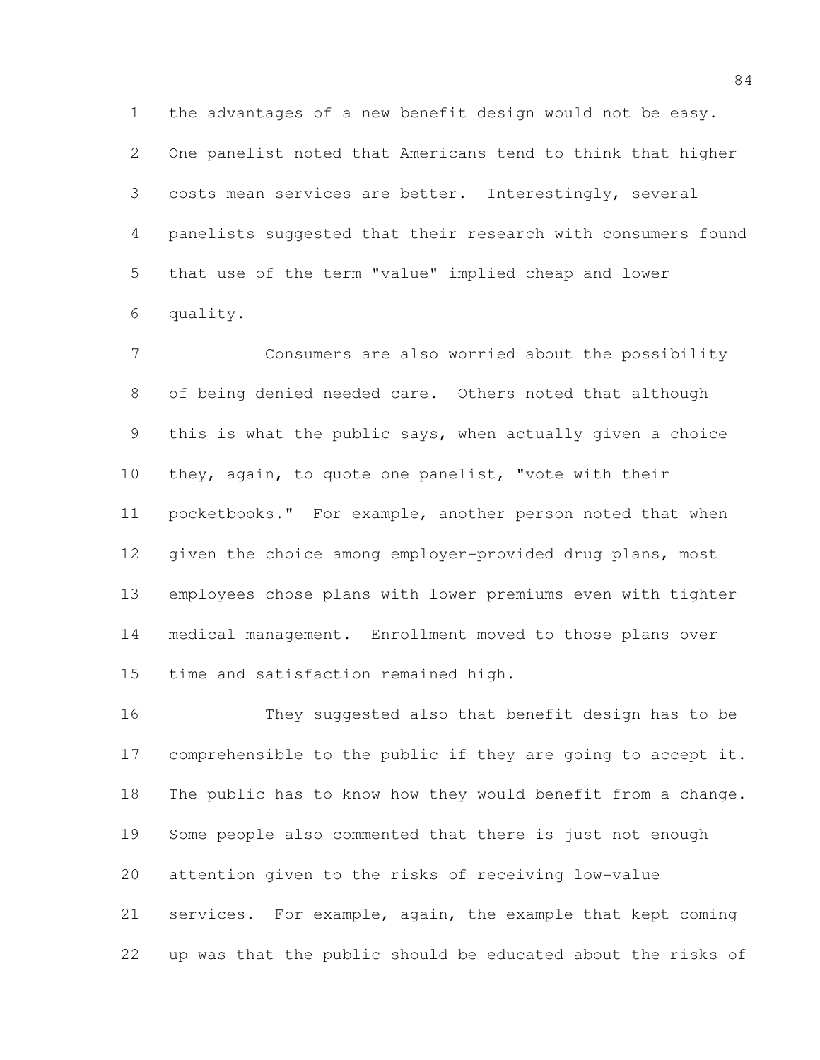the advantages of a new benefit design would not be easy. One panelist noted that Americans tend to think that higher costs mean services are better. Interestingly, several panelists suggested that their research with consumers found that use of the term "value" implied cheap and lower quality.

 Consumers are also worried about the possibility of being denied needed care. Others noted that although this is what the public says, when actually given a choice they, again, to quote one panelist, "vote with their pocketbooks." For example, another person noted that when 12 given the choice among employer-provided drug plans, most employees chose plans with lower premiums even with tighter medical management. Enrollment moved to those plans over time and satisfaction remained high.

 They suggested also that benefit design has to be comprehensible to the public if they are going to accept it. The public has to know how they would benefit from a change. Some people also commented that there is just not enough attention given to the risks of receiving low-value services. For example, again, the example that kept coming up was that the public should be educated about the risks of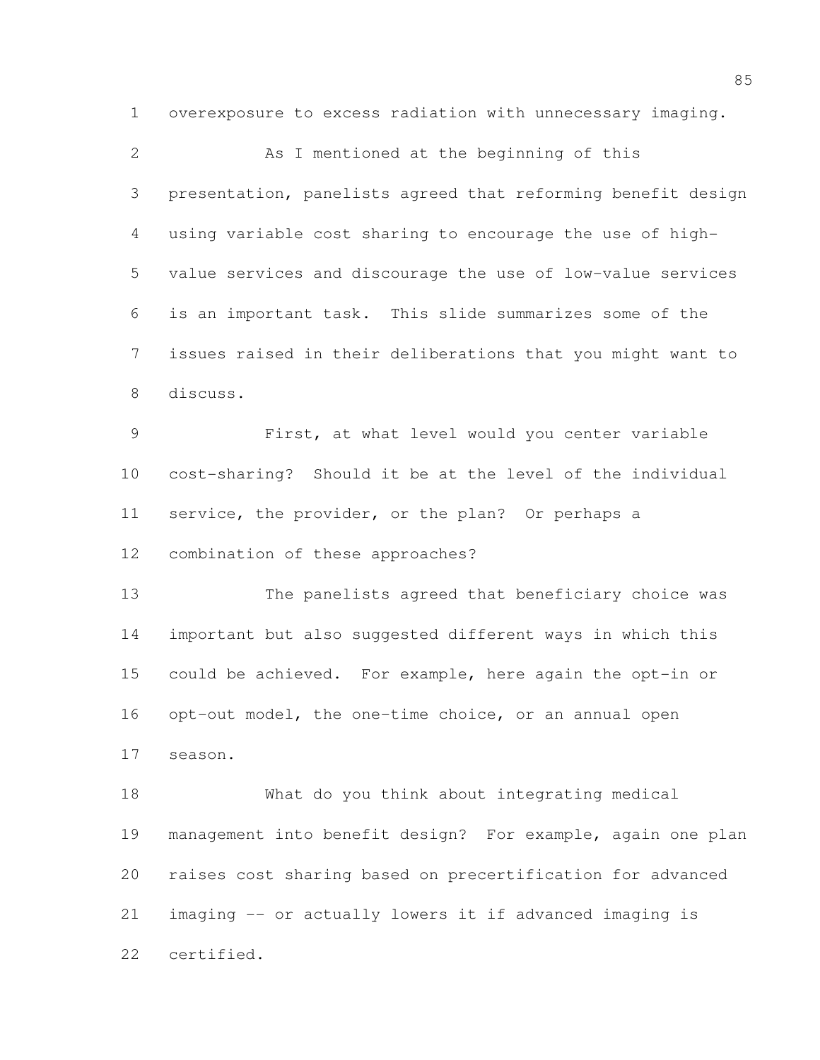overexposure to excess radiation with unnecessary imaging.

 As I mentioned at the beginning of this presentation, panelists agreed that reforming benefit design using variable cost sharing to encourage the use of high- value services and discourage the use of low-value services is an important task. This slide summarizes some of the issues raised in their deliberations that you might want to discuss. First, at what level would you center variable cost-sharing? Should it be at the level of the individual service, the provider, or the plan? Or perhaps a combination of these approaches? The panelists agreed that beneficiary choice was important but also suggested different ways in which this could be achieved. For example, here again the opt-in or opt-out model, the one-time choice, or an annual open season. What do you think about integrating medical management into benefit design? For example, again one plan raises cost sharing based on precertification for advanced imaging -- or actually lowers it if advanced imaging is certified.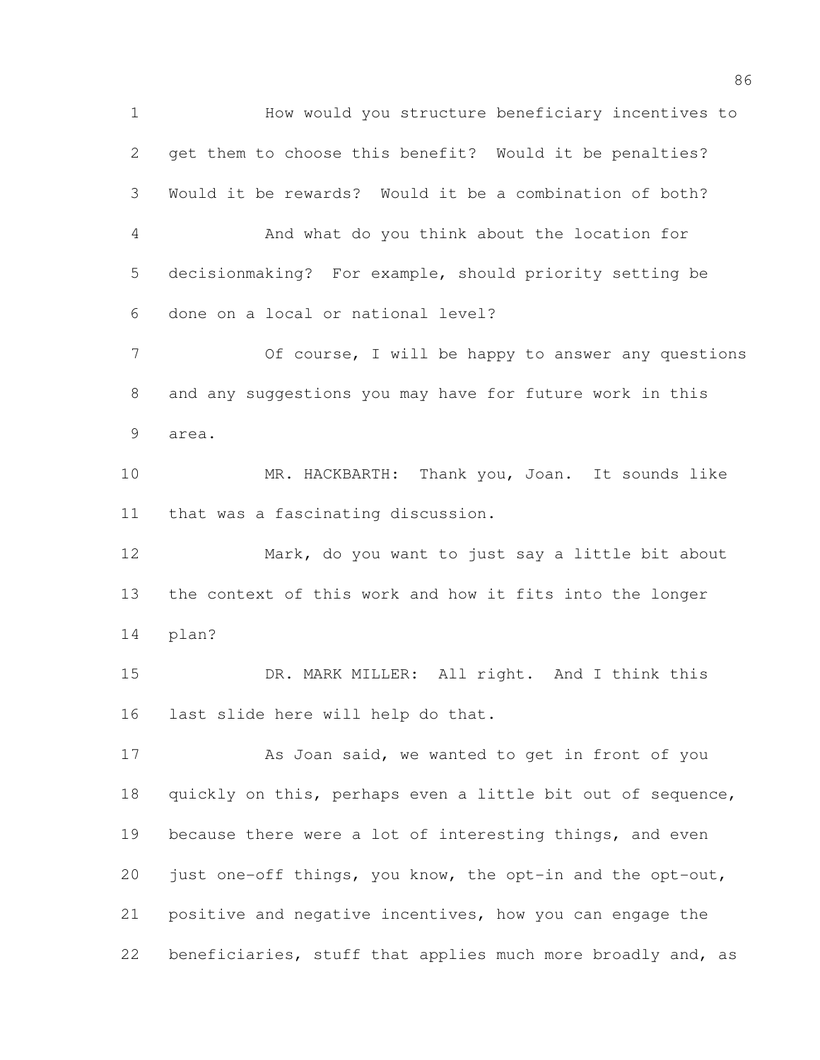How would you structure beneficiary incentives to get them to choose this benefit? Would it be penalties? Would it be rewards? Would it be a combination of both? And what do you think about the location for decisionmaking? For example, should priority setting be done on a local or national level? Of course, I will be happy to answer any questions and any suggestions you may have for future work in this area. MR. HACKBARTH: Thank you, Joan. It sounds like that was a fascinating discussion. Mark, do you want to just say a little bit about the context of this work and how it fits into the longer plan? DR. MARK MILLER: All right. And I think this last slide here will help do that. 17 As Joan said, we wanted to get in front of you 18 quickly on this, perhaps even a little bit out of sequence, 19 because there were a lot of interesting things, and even just one-off things, you know, the opt-in and the opt-out, positive and negative incentives, how you can engage the 22 beneficiaries, stuff that applies much more broadly and, as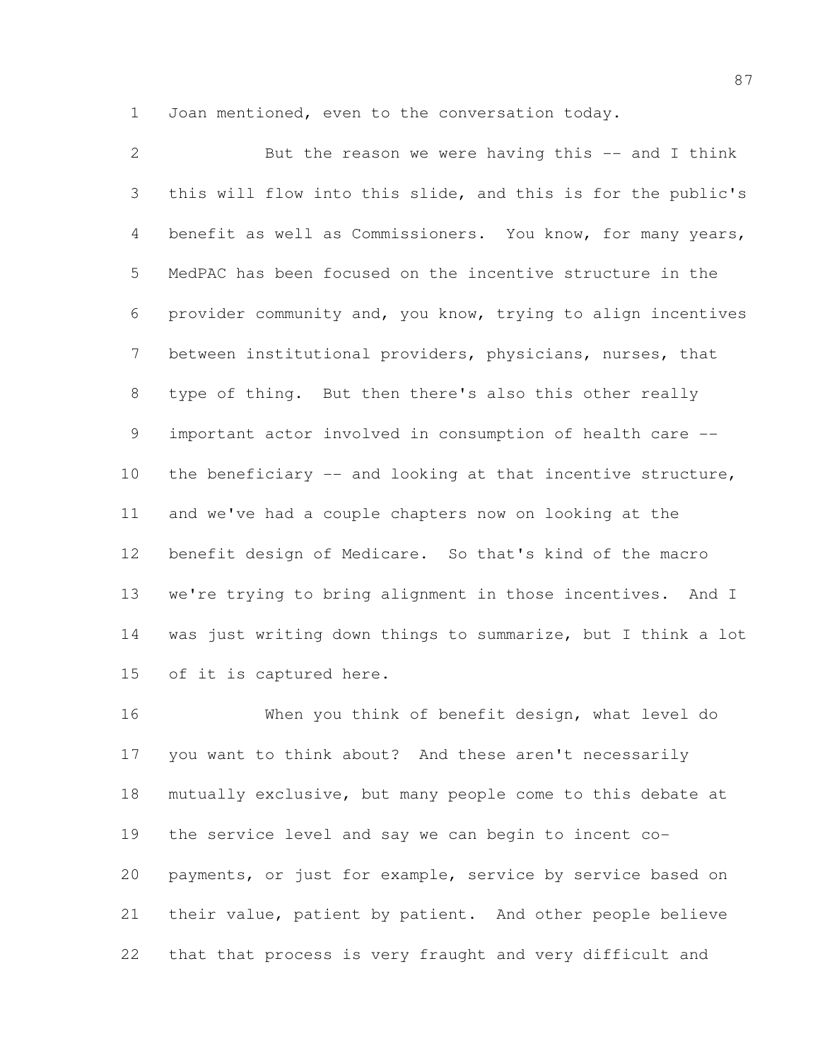Joan mentioned, even to the conversation today.

 But the reason we were having this -- and I think this will flow into this slide, and this is for the public's benefit as well as Commissioners. You know, for many years, MedPAC has been focused on the incentive structure in the provider community and, you know, trying to align incentives between institutional providers, physicians, nurses, that type of thing. But then there's also this other really important actor involved in consumption of health care -- 10 the beneficiary -- and looking at that incentive structure, and we've had a couple chapters now on looking at the benefit design of Medicare. So that's kind of the macro we're trying to bring alignment in those incentives. And I was just writing down things to summarize, but I think a lot of it is captured here.

 When you think of benefit design, what level do you want to think about? And these aren't necessarily mutually exclusive, but many people come to this debate at the service level and say we can begin to incent co- payments, or just for example, service by service based on their value, patient by patient. And other people believe that that process is very fraught and very difficult and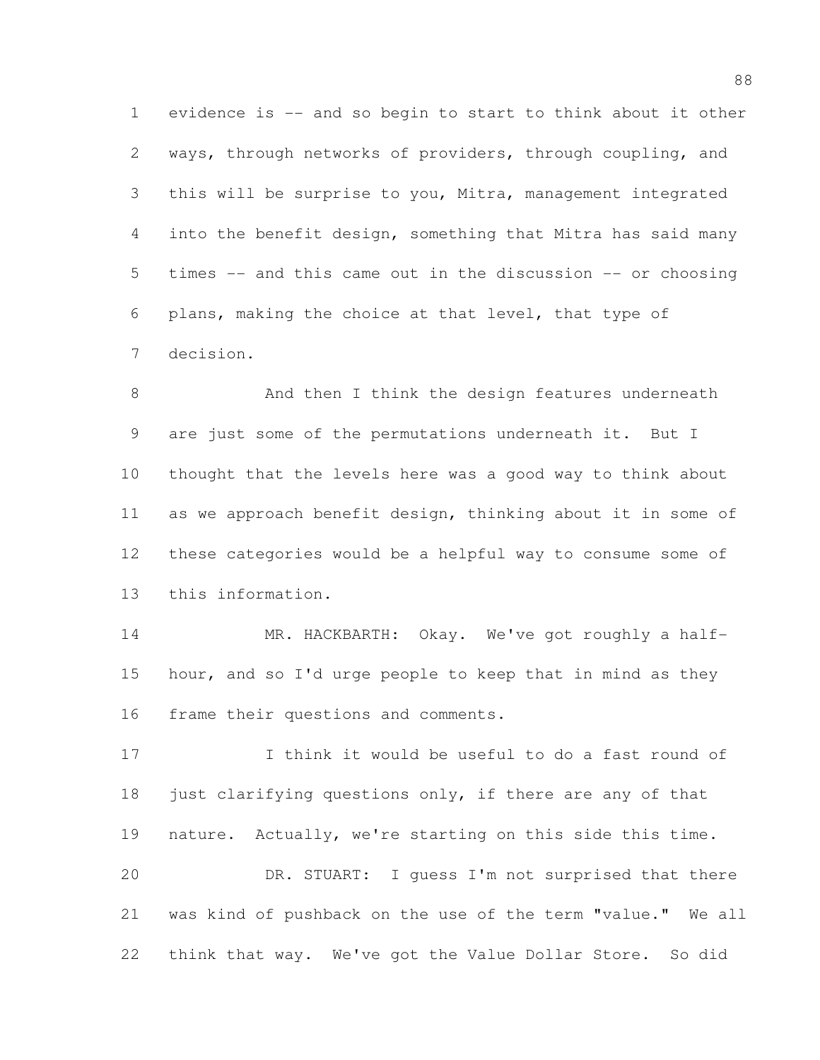evidence is -- and so begin to start to think about it other ways, through networks of providers, through coupling, and this will be surprise to you, Mitra, management integrated into the benefit design, something that Mitra has said many times -- and this came out in the discussion -- or choosing plans, making the choice at that level, that type of decision.

8 And then I think the design features underneath are just some of the permutations underneath it. But I thought that the levels here was a good way to think about as we approach benefit design, thinking about it in some of these categories would be a helpful way to consume some of this information.

 MR. HACKBARTH: Okay. We've got roughly a half- hour, and so I'd urge people to keep that in mind as they frame their questions and comments.

 I think it would be useful to do a fast round of 18 just clarifying questions only, if there are any of that nature. Actually, we're starting on this side this time. DR. STUART: I guess I'm not surprised that there was kind of pushback on the use of the term "value." We all think that way. We've got the Value Dollar Store. So did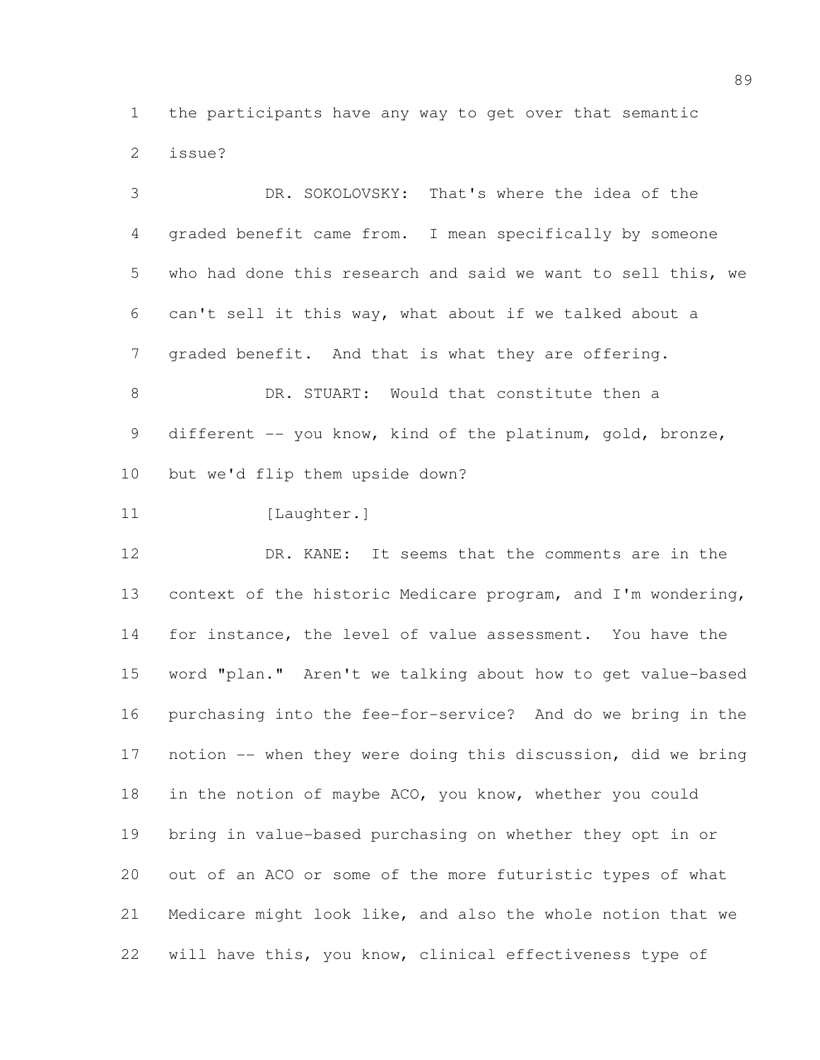the participants have any way to get over that semantic issue?

 DR. SOKOLOVSKY: That's where the idea of the graded benefit came from. I mean specifically by someone who had done this research and said we want to sell this, we can't sell it this way, what about if we talked about a graded benefit. And that is what they are offering. DR. STUART: Would that constitute then a 9 different -- you know, kind of the platinum, gold, bronze,

but we'd flip them upside down?

11 [Laughter.]

 DR. KANE: It seems that the comments are in the context of the historic Medicare program, and I'm wondering, for instance, the level of value assessment. You have the word "plan." Aren't we talking about how to get value-based purchasing into the fee-for-service? And do we bring in the notion -- when they were doing this discussion, did we bring in the notion of maybe ACO, you know, whether you could bring in value-based purchasing on whether they opt in or out of an ACO or some of the more futuristic types of what Medicare might look like, and also the whole notion that we will have this, you know, clinical effectiveness type of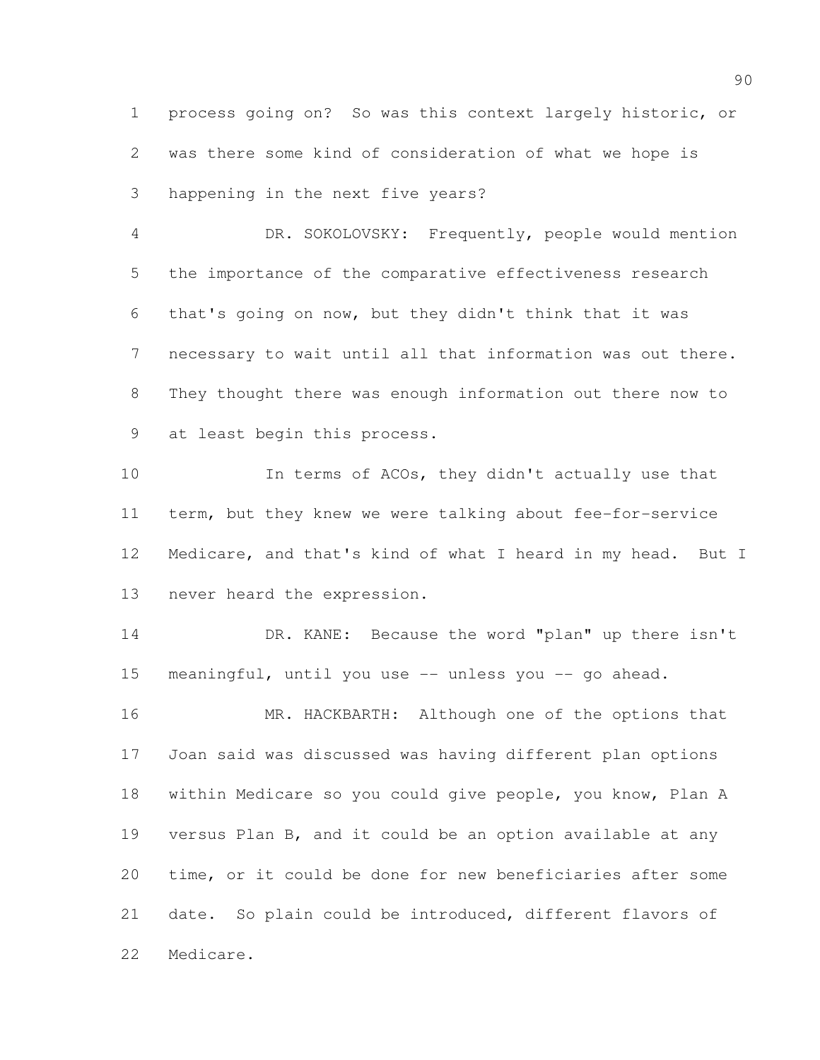process going on? So was this context largely historic, or was there some kind of consideration of what we hope is happening in the next five years?

 DR. SOKOLOVSKY: Frequently, people would mention the importance of the comparative effectiveness research that's going on now, but they didn't think that it was necessary to wait until all that information was out there. They thought there was enough information out there now to at least begin this process.

 In terms of ACOs, they didn't actually use that term, but they knew we were talking about fee-for-service Medicare, and that's kind of what I heard in my head. But I never heard the expression.

 DR. KANE: Because the word "plan" up there isn't meaningful, until you use -- unless you -- go ahead.

16 MR. HACKBARTH: Although one of the options that Joan said was discussed was having different plan options within Medicare so you could give people, you know, Plan A versus Plan B, and it could be an option available at any time, or it could be done for new beneficiaries after some date. So plain could be introduced, different flavors of Medicare.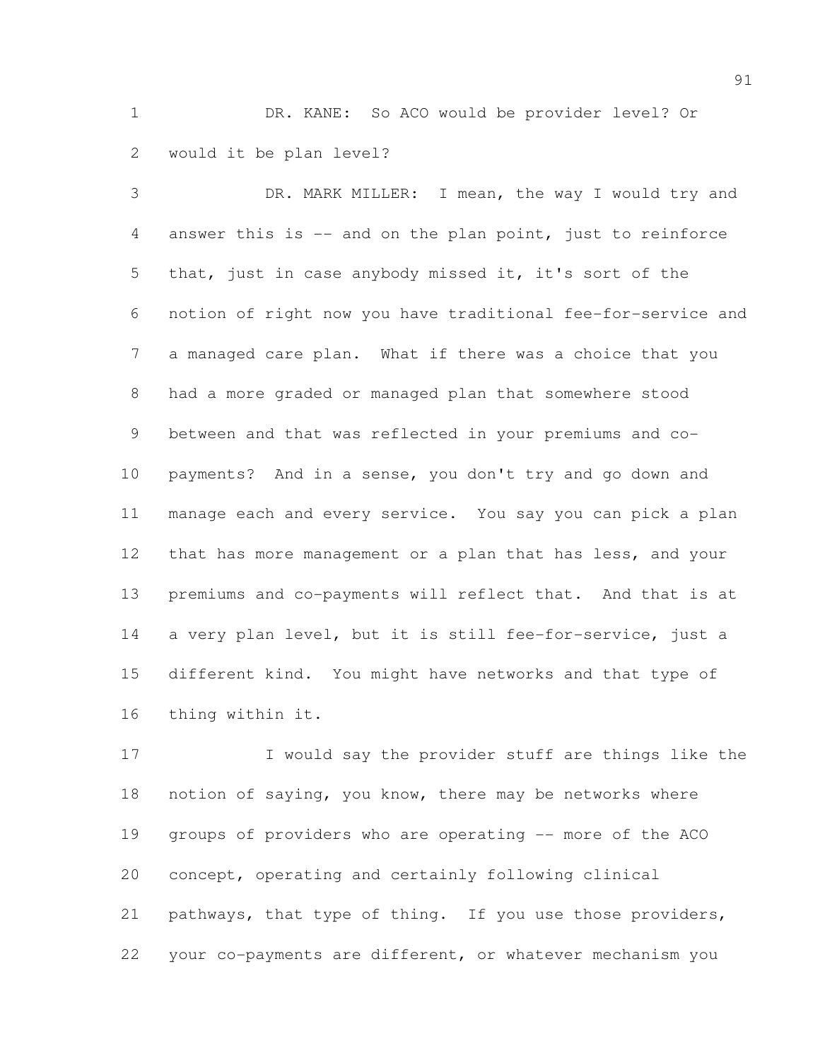DR. KANE: So ACO would be provider level? Or would it be plan level?

 DR. MARK MILLER: I mean, the way I would try and answer this is -- and on the plan point, just to reinforce that, just in case anybody missed it, it's sort of the notion of right now you have traditional fee-for-service and a managed care plan. What if there was a choice that you had a more graded or managed plan that somewhere stood between and that was reflected in your premiums and co- payments? And in a sense, you don't try and go down and manage each and every service. You say you can pick a plan 12 that has more management or a plan that has less, and your premiums and co-payments will reflect that. And that is at a very plan level, but it is still fee-for-service, just a different kind. You might have networks and that type of thing within it.

 I would say the provider stuff are things like the notion of saying, you know, there may be networks where groups of providers who are operating -- more of the ACO concept, operating and certainly following clinical pathways, that type of thing. If you use those providers, your co-payments are different, or whatever mechanism you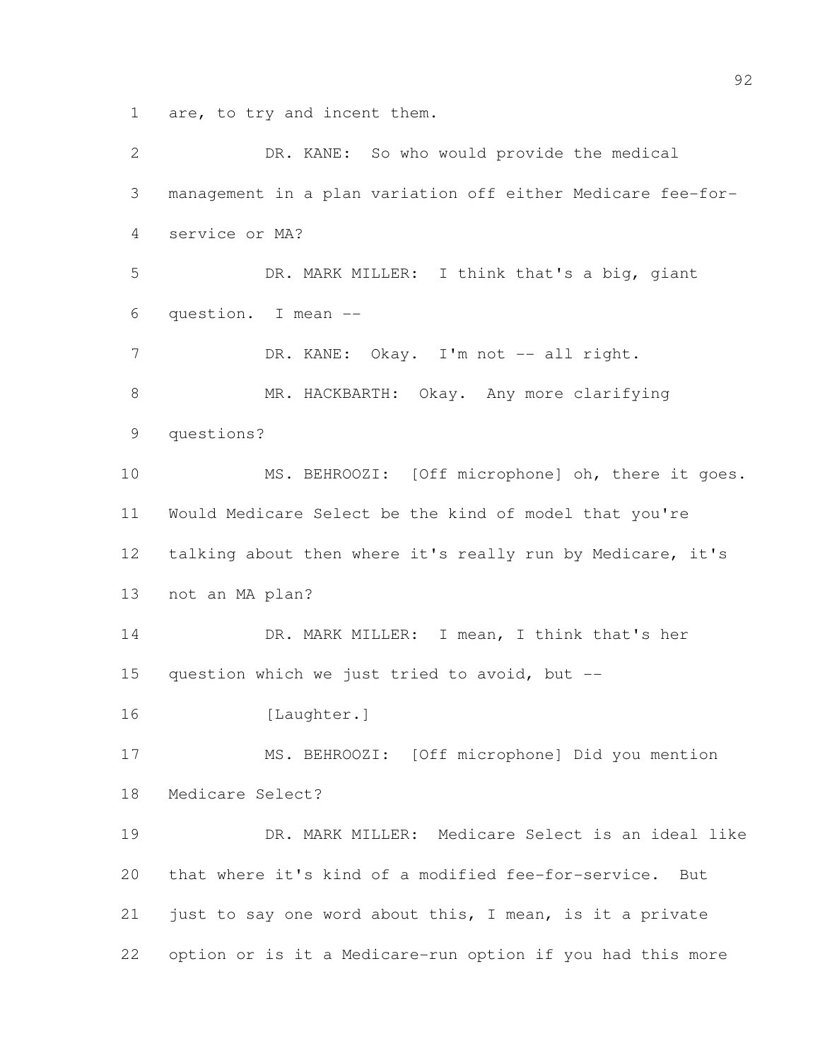are, to try and incent them.

 DR. KANE: So who would provide the medical management in a plan variation off either Medicare fee-for- service or MA? DR. MARK MILLER: I think that's a big, giant question. I mean -- 7 DR. KANE: Okay. I'm not -- all right. 8 MR. HACKBARTH: Okay. Any more clarifying questions? MS. BEHROOZI: [Off microphone] oh, there it goes. Would Medicare Select be the kind of model that you're talking about then where it's really run by Medicare, it's not an MA plan? 14 DR. MARK MILLER: I mean, I think that's her question which we just tried to avoid, but -- 16 [Laughter.] MS. BEHROOZI: [Off microphone] Did you mention Medicare Select? DR. MARK MILLER: Medicare Select is an ideal like that where it's kind of a modified fee-for-service. But just to say one word about this, I mean, is it a private option or is it a Medicare-run option if you had this more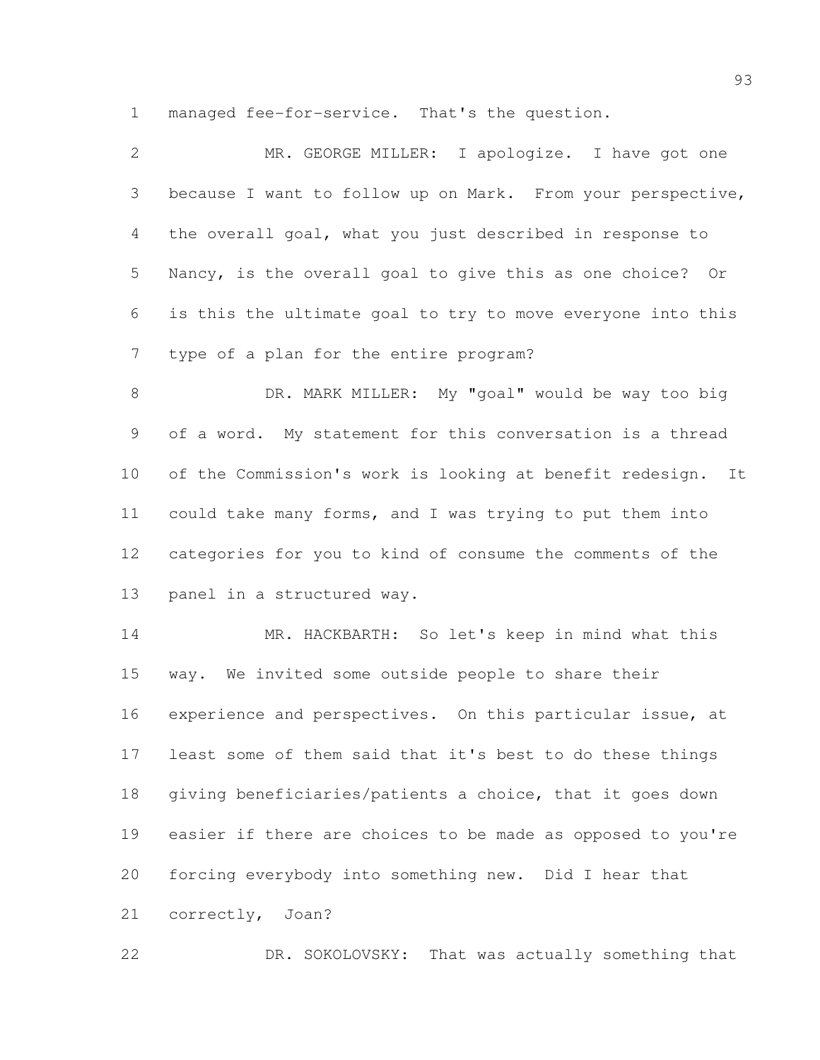managed fee-for-service. That's the question.

| $\mathbf{2}$   | MR. GEORGE MILLER: I apologize. I have got one                 |
|----------------|----------------------------------------------------------------|
| 3              | because I want to follow up on Mark. From your perspective,    |
| 4              | the overall goal, what you just described in response to       |
| 5              | Nancy, is the overall goal to give this as one choice? Or      |
| 6              | is this the ultimate goal to try to move everyone into this    |
| $\overline{7}$ | type of a plan for the entire program?                         |
| $8\,$          | DR. MARK MILLER: My "goal" would be way too big                |
| 9              | of a word. My statement for this conversation is a thread      |
| 10             | of the Commission's work is looking at benefit redesign.<br>It |
| 11             | could take many forms, and I was trying to put them into       |
| 12             | categories for you to kind of consume the comments of the      |
| 13             | panel in a structured way.                                     |
| 14             | MR. HACKBARTH: So let's keep in mind what this                 |
| 15             | way. We invited some outside people to share their             |
| 16             | experience and perspectives. On this particular issue, at      |
| 17             | least some of them said that it's best to do these things      |
| 18             | giving beneficiaries/patients a choice, that it goes down      |
| 19             | easier if there are choices to be made as opposed to you're    |
| 20             | forcing everybody into something new. Did I hear that          |
| 21             | correctly, Joan?                                               |
| 22             | DR. SOKOLOVSKY:<br>That was actually something that            |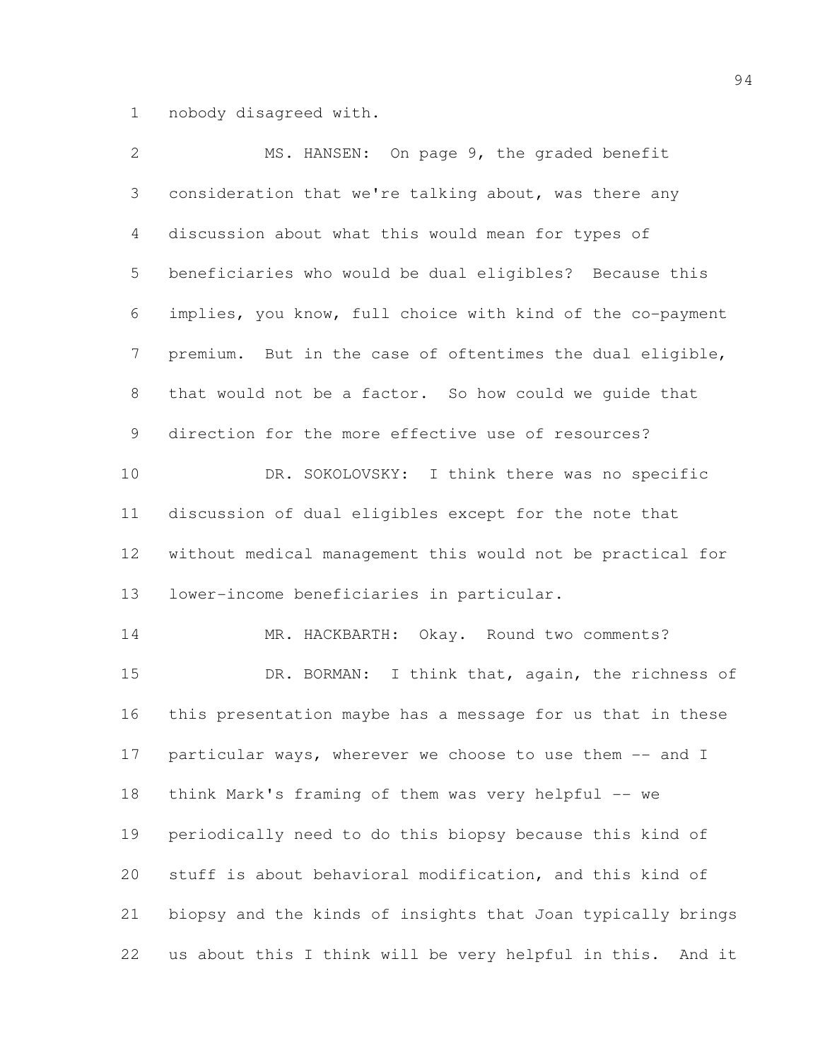nobody disagreed with.

| $\overline{2}$ | MS. HANSEN: On page 9, the graded benefit                     |
|----------------|---------------------------------------------------------------|
| 3              | consideration that we're talking about, was there any         |
| 4              | discussion about what this would mean for types of            |
| 5              | beneficiaries who would be dual eligibles? Because this       |
| 6              | implies, you know, full choice with kind of the co-payment    |
| $\overline{7}$ | premium. But in the case of oftentimes the dual eligible,     |
| $8\,$          | that would not be a factor. So how could we quide that        |
| 9              | direction for the more effective use of resources?            |
| 10             | DR. SOKOLOVSKY: I think there was no specific                 |
| 11             | discussion of dual eligibles except for the note that         |
| 12             | without medical management this would not be practical for    |
| 13             | lower-income beneficiaries in particular.                     |
| 14             | MR. HACKBARTH: Okay. Round two comments?                      |
| 15             | DR. BORMAN: I think that, again, the richness of              |
| 16             | this presentation maybe has a message for us that in these    |
| 17             | particular ways, wherever we choose to use them -- and I      |
| 18             | think Mark's framing of them was very helpful -- we           |
| 19             | periodically need to do this biopsy because this kind of      |
| 20             | stuff is about behavioral modification, and this kind of      |
| 21             | biopsy and the kinds of insights that Joan typically brings   |
| 22             | us about this I think will be very helpful in this.<br>And it |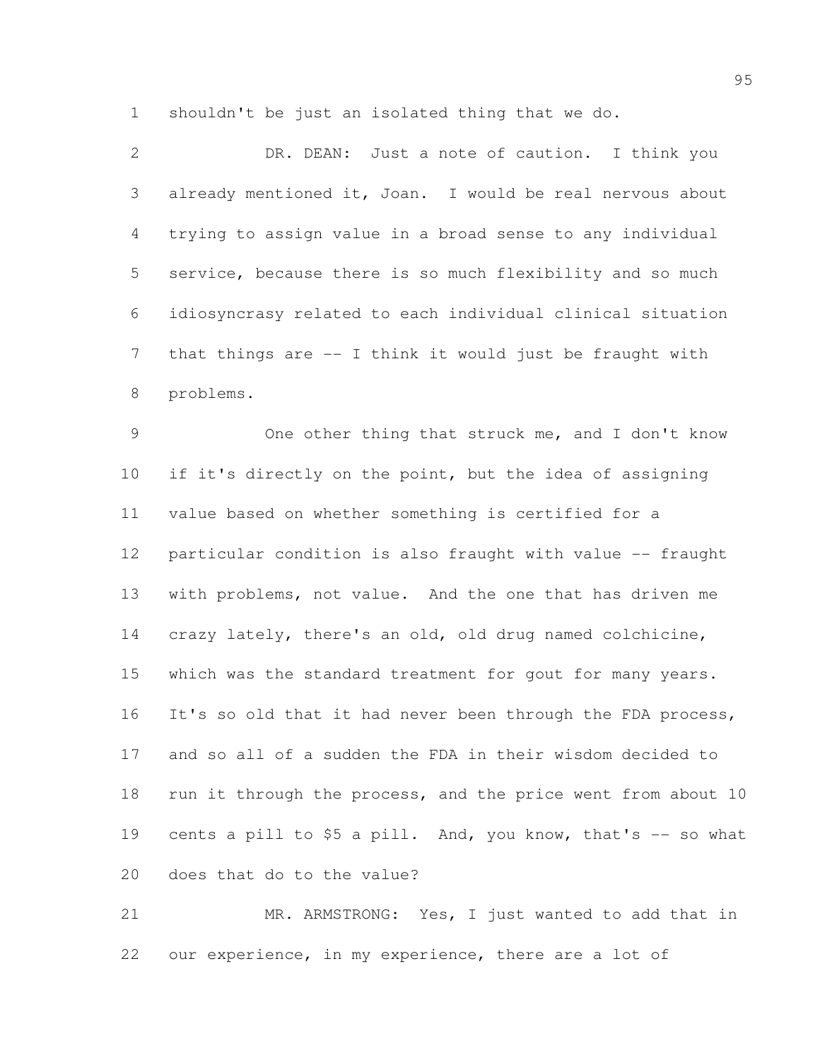shouldn't be just an isolated thing that we do.

| $\overline{2}$  | DR. DEAN: Just a note of caution. I think you                |
|-----------------|--------------------------------------------------------------|
| 3               | already mentioned it, Joan. I would be real nervous about    |
| 4               | trying to assign value in a broad sense to any individual    |
| 5               | service, because there is so much flexibility and so much    |
| 6               | idiosyncrasy related to each individual clinical situation   |
| 7               | that things are -- I think it would just be fraught with     |
| 8               | problems.                                                    |
| 9               | One other thing that struck me, and I don't know             |
| 10 <sub>o</sub> | if it's directly on the point, but the idea of assigning     |
| 11              | value based on whether something is certified for a          |
| 12              | particular condition is also fraught with value -- fraught   |
| 13              | with problems, not value. And the one that has driven me     |
| 14              | crazy lately, there's an old, old drug named colchicine,     |
| 15              | which was the standard treatment for gout for many years.    |
| 16              | It's so old that it had never been through the FDA process,  |
| 17              | and so all of a sudden the FDA in their wisdom decided to    |
| 18              | run it through the process, and the price went from about 10 |
| 19              | cents a pill to \$5 a pill. And, you know, that's -- so what |

does that do to the value?

 MR. ARMSTRONG: Yes, I just wanted to add that in our experience, in my experience, there are a lot of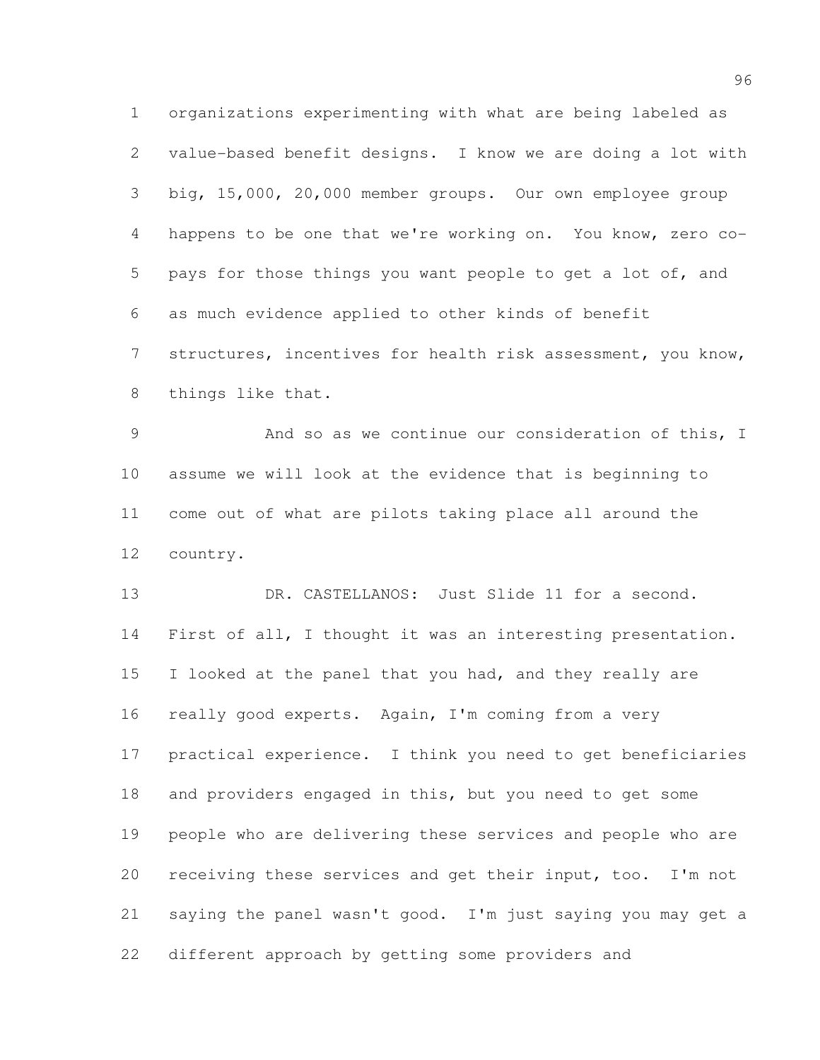organizations experimenting with what are being labeled as value-based benefit designs. I know we are doing a lot with big, 15,000, 20,000 member groups. Our own employee group happens to be one that we're working on. You know, zero co- pays for those things you want people to get a lot of, and as much evidence applied to other kinds of benefit structures, incentives for health risk assessment, you know, things like that.

 And so as we continue our consideration of this, I assume we will look at the evidence that is beginning to come out of what are pilots taking place all around the country.

13 DR. CASTELLANOS: Just Slide 11 for a second. 14 First of all, I thought it was an interesting presentation. I looked at the panel that you had, and they really are really good experts. Again, I'm coming from a very practical experience. I think you need to get beneficiaries and providers engaged in this, but you need to get some people who are delivering these services and people who are receiving these services and get their input, too. I'm not saying the panel wasn't good. I'm just saying you may get a different approach by getting some providers and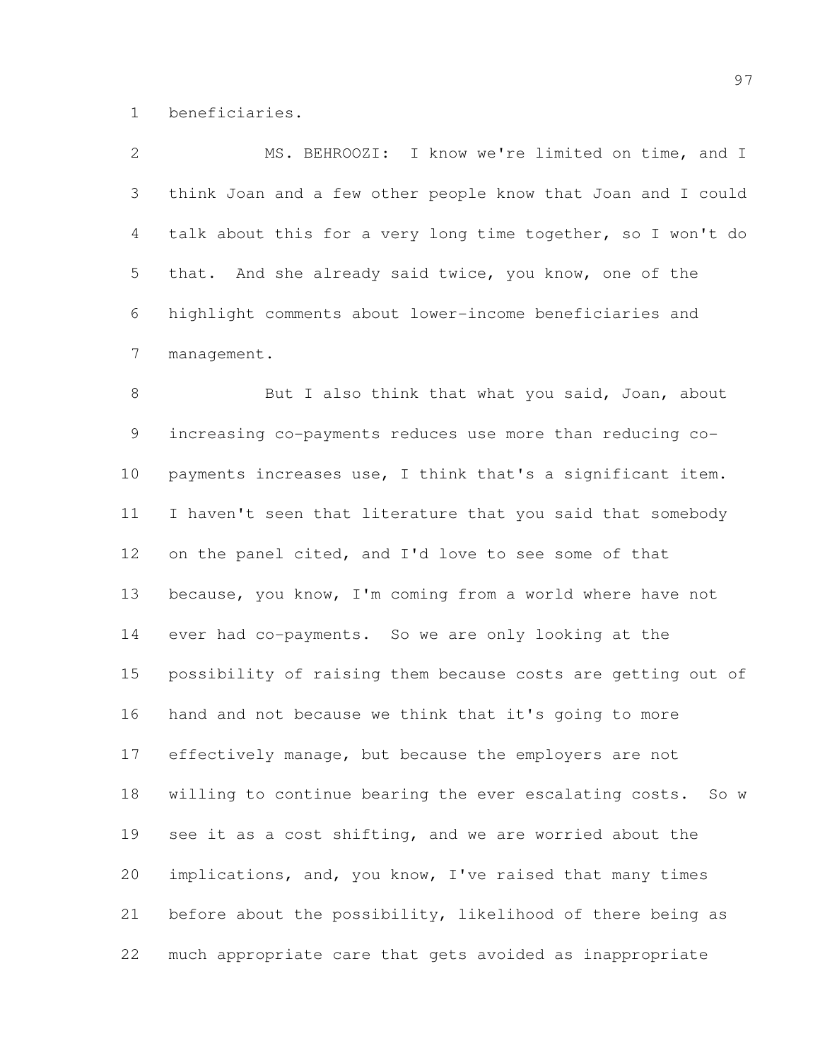beneficiaries.

| $\mathbf{2}$    | MS. BEHROOZI: I know we're limited on time, and I              |
|-----------------|----------------------------------------------------------------|
| 3               | think Joan and a few other people know that Joan and I could   |
| 4               | talk about this for a very long time together, so I won't do   |
| 5               | that. And she already said twice, you know, one of the         |
| 6               | highlight comments about lower-income beneficiaries and        |
| 7               | management.                                                    |
| $8\,$           | But I also think that what you said, Joan, about               |
| 9               | increasing co-payments reduces use more than reducing co-      |
| 10 <sub>o</sub> | payments increases use, I think that's a significant item.     |
| 11              | I haven't seen that literature that you said that somebody     |
| 12              | on the panel cited, and I'd love to see some of that           |
| 13              | because, you know, I'm coming from a world where have not      |
| 14              | ever had co-payments. So we are only looking at the            |
| 15              | possibility of raising them because costs are getting out of   |
| 16              | hand and not because we think that it's going to more          |
| 17              | effectively manage, but because the employers are not          |
| 18              | willing to continue bearing the ever escalating costs.<br>So w |
| 19              | see it as a cost shifting, and we are worried about the        |
| 20              | implications, and, you know, I've raised that many times       |
| 21              | before about the possibility, likelihood of there being as     |
| 22              | much appropriate care that gets avoided as inappropriate       |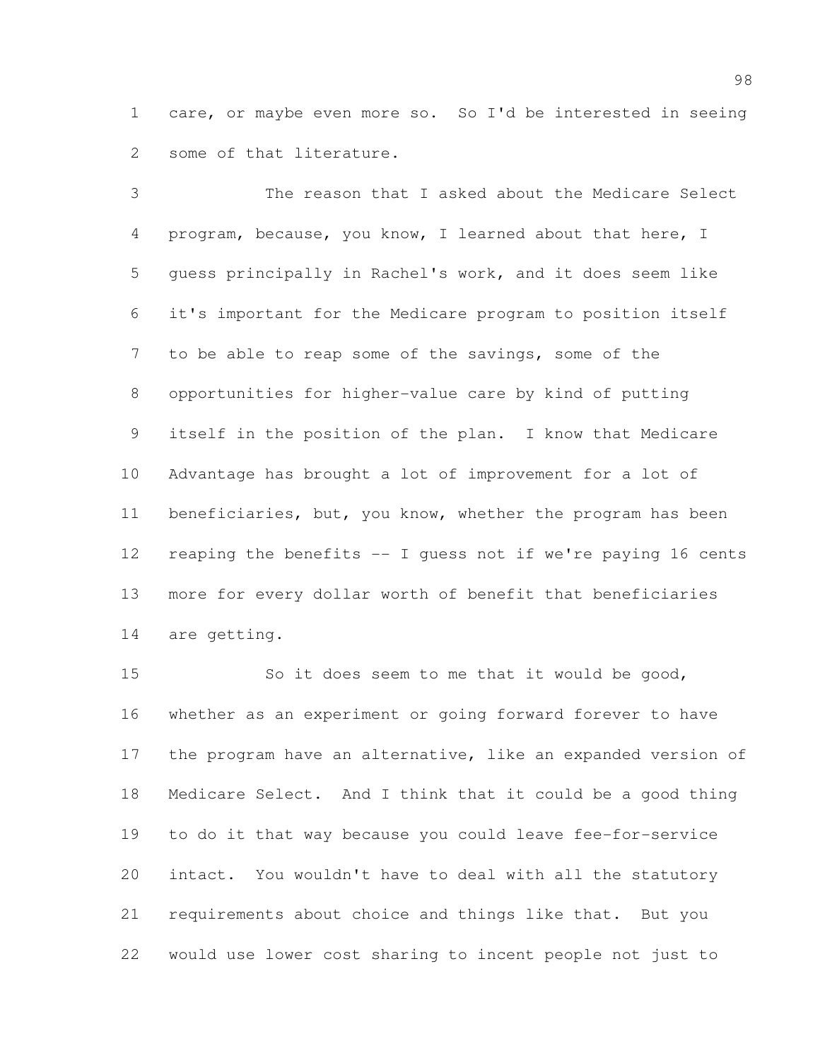care, or maybe even more so. So I'd be interested in seeing some of that literature.

 The reason that I asked about the Medicare Select program, because, you know, I learned about that here, I guess principally in Rachel's work, and it does seem like it's important for the Medicare program to position itself to be able to reap some of the savings, some of the opportunities for higher-value care by kind of putting itself in the position of the plan. I know that Medicare Advantage has brought a lot of improvement for a lot of 11 beneficiaries, but, you know, whether the program has been reaping the benefits -- I guess not if we're paying 16 cents more for every dollar worth of benefit that beneficiaries are getting.

 So it does seem to me that it would be good, whether as an experiment or going forward forever to have the program have an alternative, like an expanded version of Medicare Select. And I think that it could be a good thing to do it that way because you could leave fee-for-service intact. You wouldn't have to deal with all the statutory requirements about choice and things like that. But you would use lower cost sharing to incent people not just to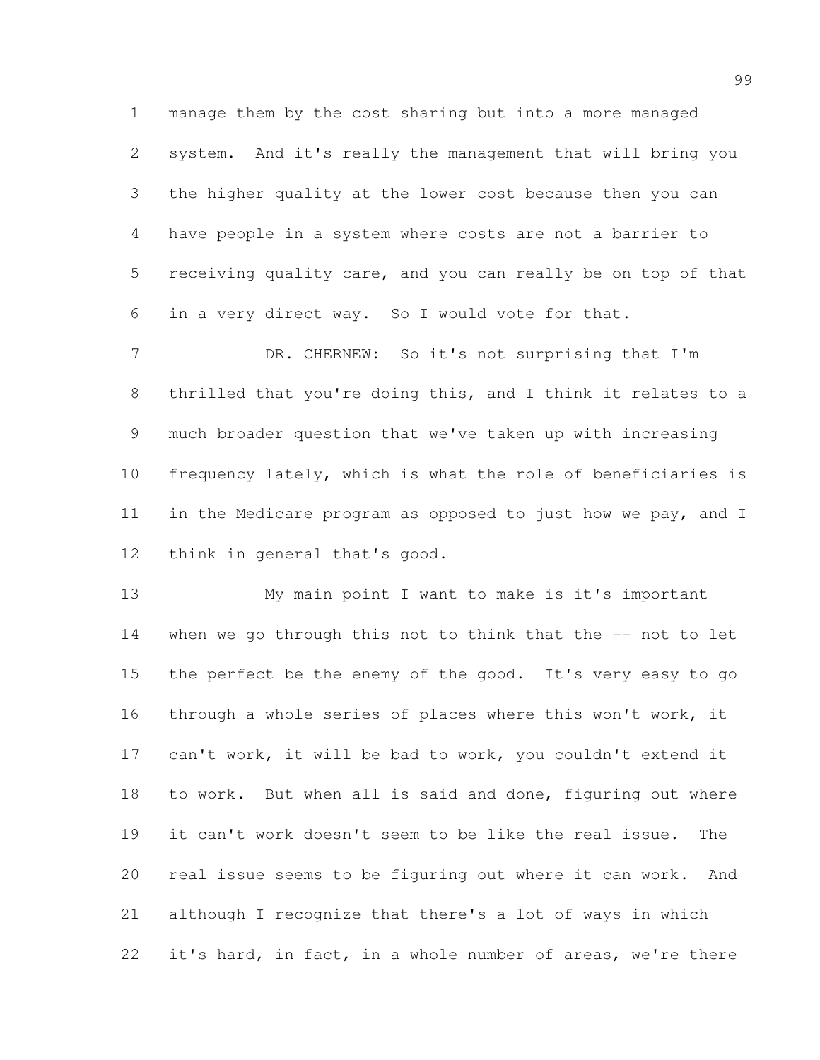manage them by the cost sharing but into a more managed system. And it's really the management that will bring you the higher quality at the lower cost because then you can have people in a system where costs are not a barrier to receiving quality care, and you can really be on top of that in a very direct way. So I would vote for that.

7 DR. CHERNEW: So it's not surprising that I'm thrilled that you're doing this, and I think it relates to a much broader question that we've taken up with increasing frequency lately, which is what the role of beneficiaries is in the Medicare program as opposed to just how we pay, and I think in general that's good.

 My main point I want to make is it's important when we go through this not to think that the -- not to let 15 the perfect be the enemy of the good. It's very easy to go through a whole series of places where this won't work, it can't work, it will be bad to work, you couldn't extend it to work. But when all is said and done, figuring out where it can't work doesn't seem to be like the real issue. The real issue seems to be figuring out where it can work. And although I recognize that there's a lot of ways in which it's hard, in fact, in a whole number of areas, we're there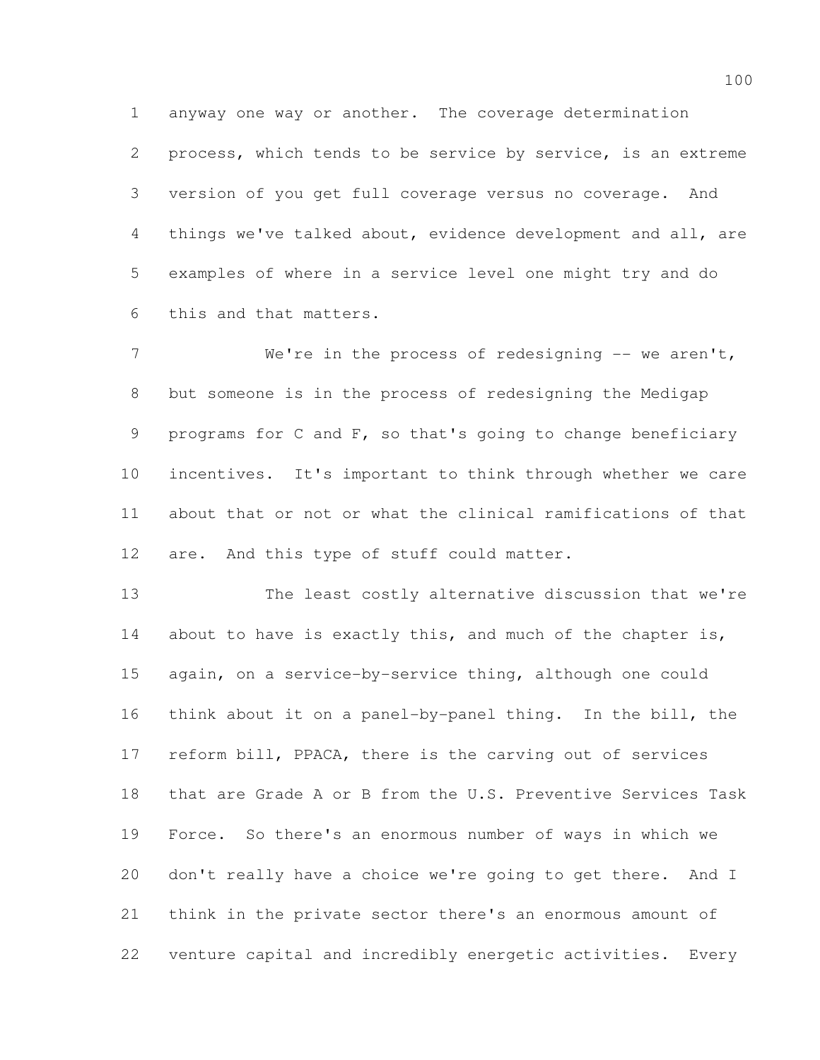anyway one way or another. The coverage determination

 process, which tends to be service by service, is an extreme version of you get full coverage versus no coverage. And things we've talked about, evidence development and all, are examples of where in a service level one might try and do this and that matters.

7 We're in the process of redesigning -- we aren't, but someone is in the process of redesigning the Medigap programs for C and F, so that's going to change beneficiary incentives. It's important to think through whether we care about that or not or what the clinical ramifications of that 12 are. And this type of stuff could matter.

 The least costly alternative discussion that we're 14 about to have is exactly this, and much of the chapter is, again, on a service-by-service thing, although one could think about it on a panel-by-panel thing. In the bill, the reform bill, PPACA, there is the carving out of services that are Grade A or B from the U.S. Preventive Services Task Force. So there's an enormous number of ways in which we don't really have a choice we're going to get there. And I think in the private sector there's an enormous amount of venture capital and incredibly energetic activities. Every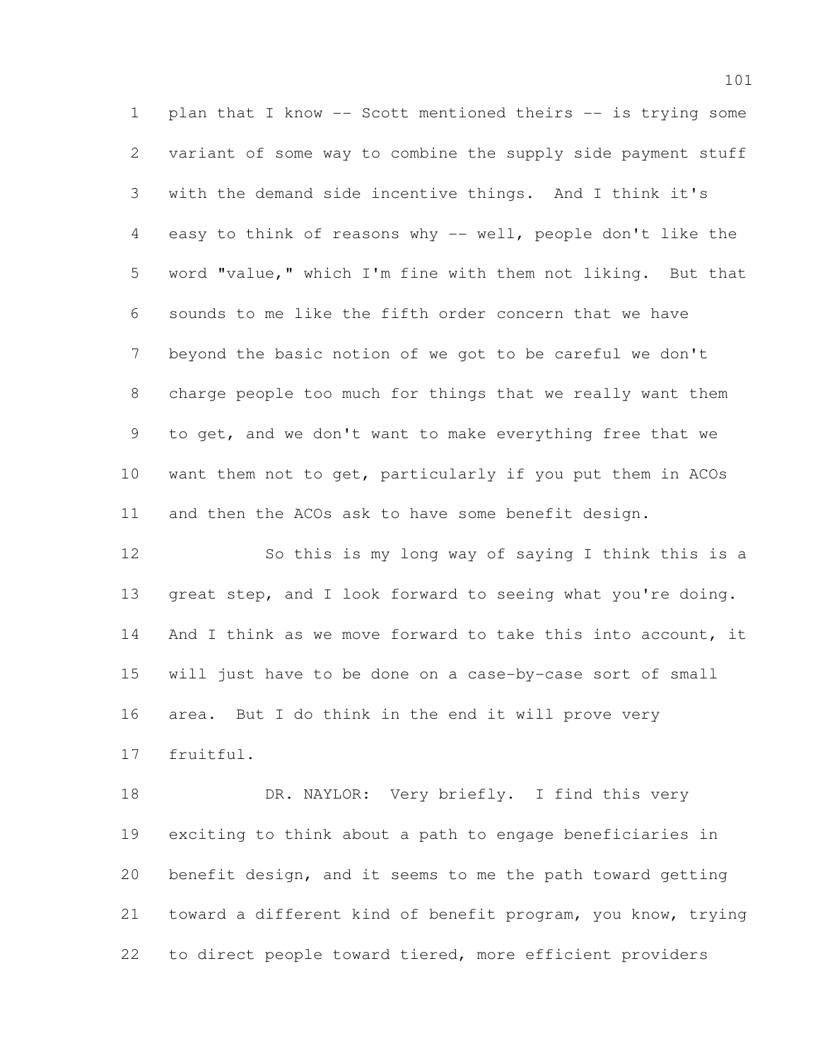plan that I know -- Scott mentioned theirs -- is trying some variant of some way to combine the supply side payment stuff with the demand side incentive things. And I think it's easy to think of reasons why -- well, people don't like the word "value," which I'm fine with them not liking. But that sounds to me like the fifth order concern that we have beyond the basic notion of we got to be careful we don't charge people too much for things that we really want them to get, and we don't want to make everything free that we want them not to get, particularly if you put them in ACOs and then the ACOs ask to have some benefit design.

 So this is my long way of saying I think this is a 13 great step, and I look forward to seeing what you're doing. 14 And I think as we move forward to take this into account, it will just have to be done on a case-by-case sort of small area. But I do think in the end it will prove very fruitful.

18 DR. NAYLOR: Very briefly. I find this very exciting to think about a path to engage beneficiaries in benefit design, and it seems to me the path toward getting toward a different kind of benefit program, you know, trying to direct people toward tiered, more efficient providers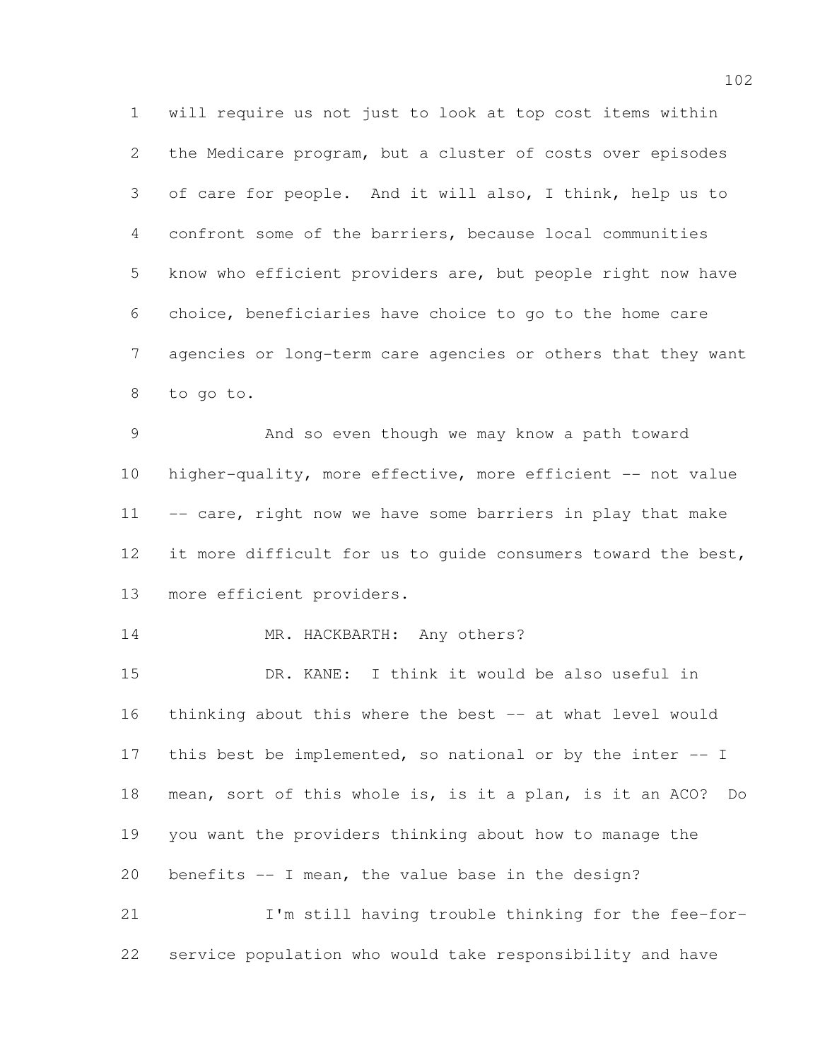will require us not just to look at top cost items within the Medicare program, but a cluster of costs over episodes of care for people. And it will also, I think, help us to confront some of the barriers, because local communities know who efficient providers are, but people right now have choice, beneficiaries have choice to go to the home care agencies or long-term care agencies or others that they want to go to.

 And so even though we may know a path toward higher-quality, more effective, more efficient -- not value 11 -- care, right now we have some barriers in play that make 12 it more difficult for us to quide consumers toward the best, more efficient providers.

## 14 MR. HACKBARTH: Any others?

 DR. KANE: I think it would be also useful in thinking about this where the best -- at what level would 17 this best be implemented, so national or by the inter -- I mean, sort of this whole is, is it a plan, is it an ACO? Do you want the providers thinking about how to manage the benefits -- I mean, the value base in the design? I'm still having trouble thinking for the fee-for-

service population who would take responsibility and have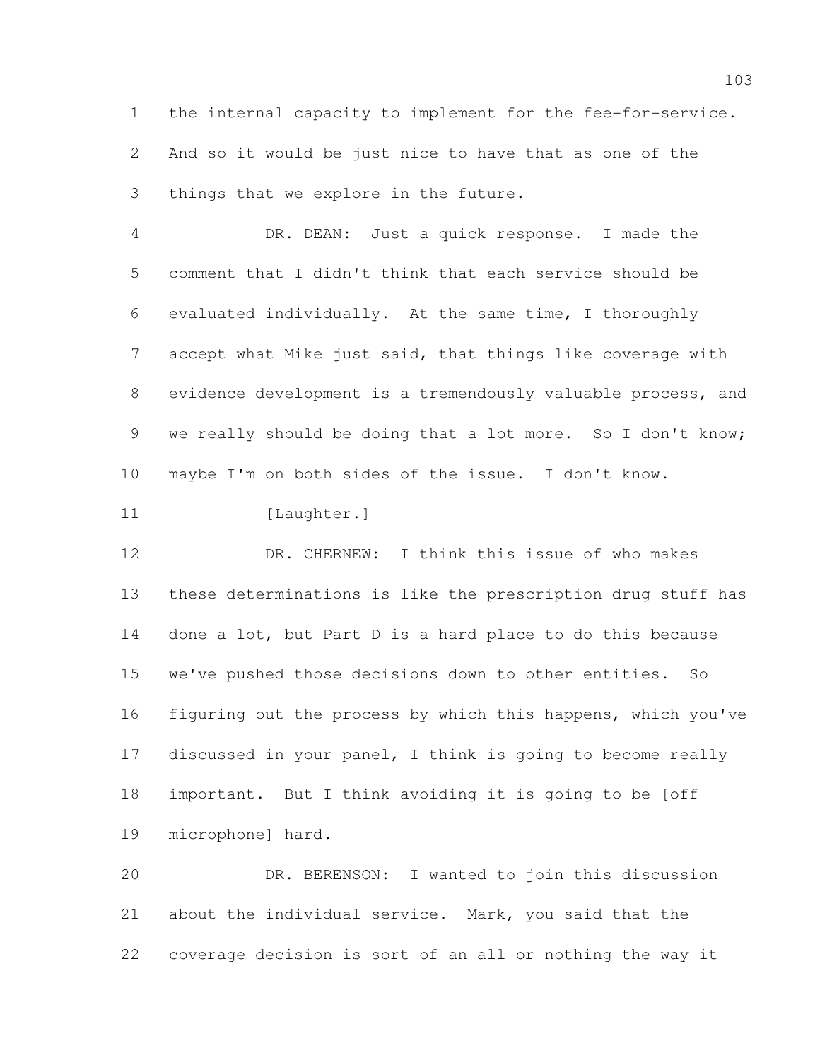the internal capacity to implement for the fee-for-service. And so it would be just nice to have that as one of the things that we explore in the future.

 DR. DEAN: Just a quick response. I made the comment that I didn't think that each service should be evaluated individually. At the same time, I thoroughly accept what Mike just said, that things like coverage with evidence development is a tremendously valuable process, and 9 we really should be doing that a lot more. So I don't know; maybe I'm on both sides of the issue. I don't know.

11 [Laughter.]

 DR. CHERNEW: I think this issue of who makes these determinations is like the prescription drug stuff has done a lot, but Part D is a hard place to do this because we've pushed those decisions down to other entities. So figuring out the process by which this happens, which you've discussed in your panel, I think is going to become really important. But I think avoiding it is going to be [off microphone] hard.

 DR. BERENSON: I wanted to join this discussion about the individual service. Mark, you said that the coverage decision is sort of an all or nothing the way it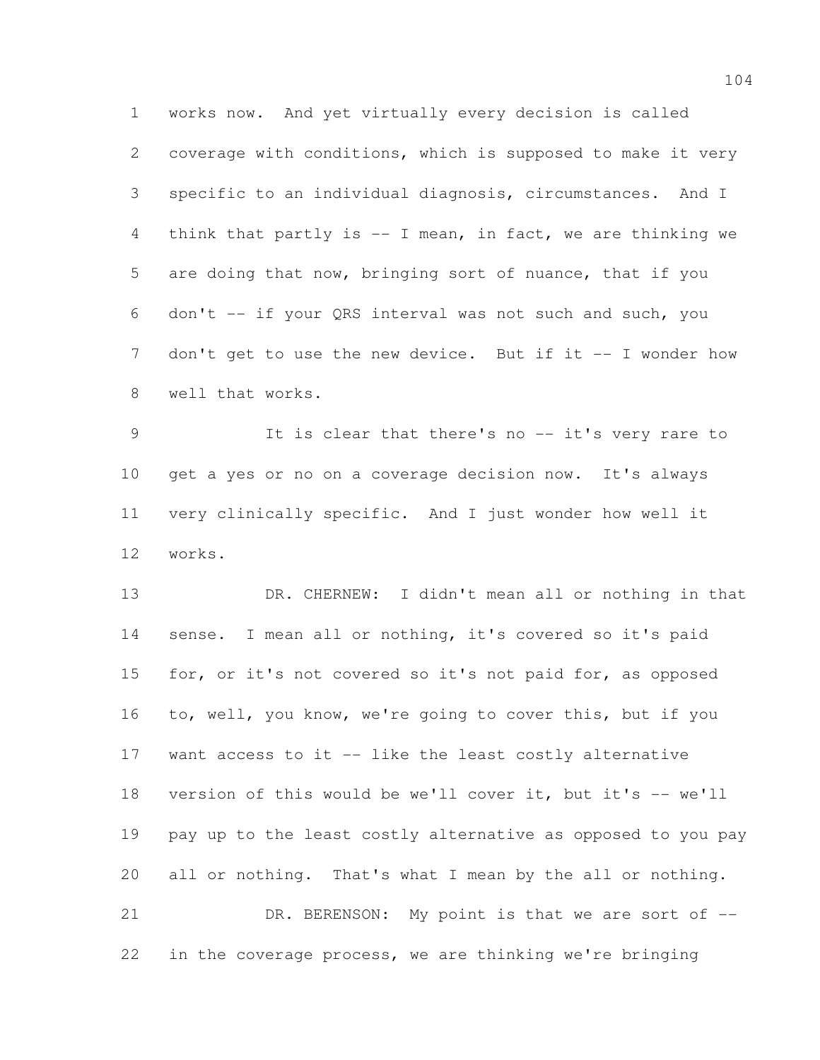works now. And yet virtually every decision is called coverage with conditions, which is supposed to make it very specific to an individual diagnosis, circumstances. And I think that partly is -- I mean, in fact, we are thinking we are doing that now, bringing sort of nuance, that if you don't -- if your QRS interval was not such and such, you 7 don't get to use the new device. But if it -- I wonder how well that works.

 It is clear that there's no -- it's very rare to get a yes or no on a coverage decision now. It's always very clinically specific. And I just wonder how well it works.

 DR. CHERNEW: I didn't mean all or nothing in that sense. I mean all or nothing, it's covered so it's paid for, or it's not covered so it's not paid for, as opposed to, well, you know, we're going to cover this, but if you want access to it -- like the least costly alternative version of this would be we'll cover it, but it's -- we'll pay up to the least costly alternative as opposed to you pay all or nothing. That's what I mean by the all or nothing. 21 DR. BERENSON: My point is that we are sort of  $-$ 

in the coverage process, we are thinking we're bringing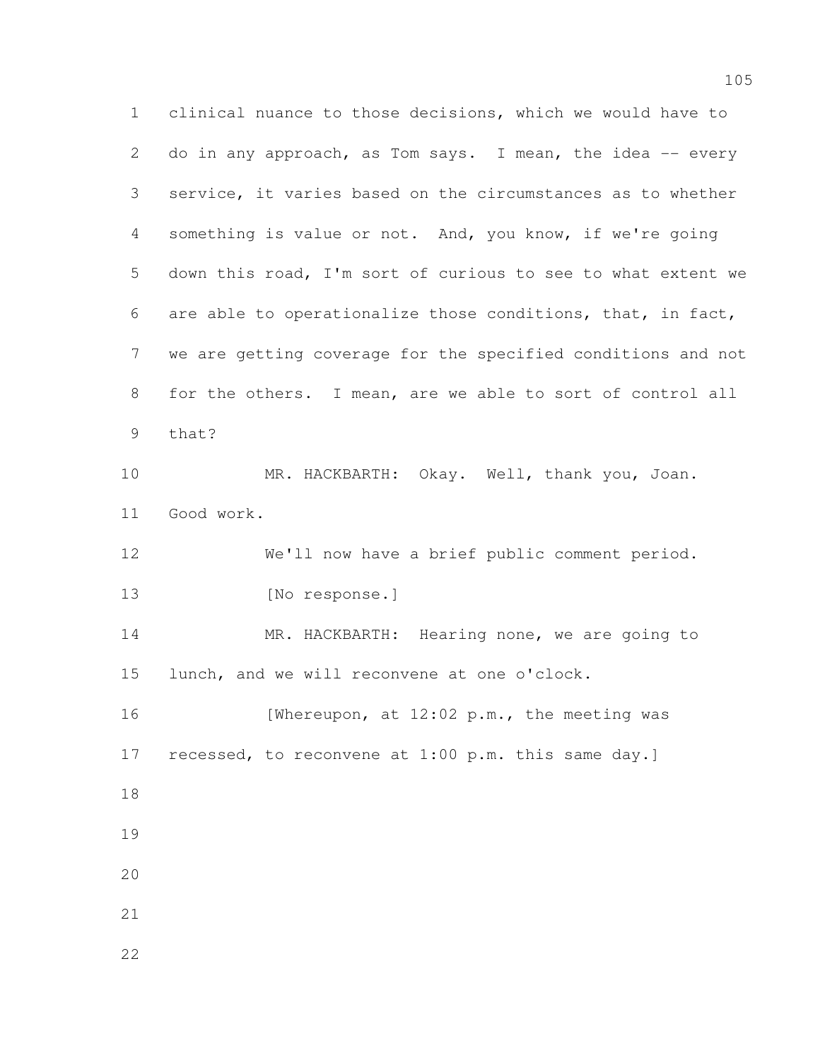clinical nuance to those decisions, which we would have to 2 do in any approach, as Tom says. I mean, the idea -- every service, it varies based on the circumstances as to whether something is value or not. And, you know, if we're going down this road, I'm sort of curious to see to what extent we are able to operationalize those conditions, that, in fact, we are getting coverage for the specified conditions and not for the others. I mean, are we able to sort of control all that? MR. HACKBARTH: Okay. Well, thank you, Joan. Good work. We'll now have a brief public comment period. 13 [No response.] MR. HACKBARTH: Hearing none, we are going to lunch, and we will reconvene at one o'clock. 16 [Whereupon, at 12:02 p.m., the meeting was recessed, to reconvene at 1:00 p.m. this same day.]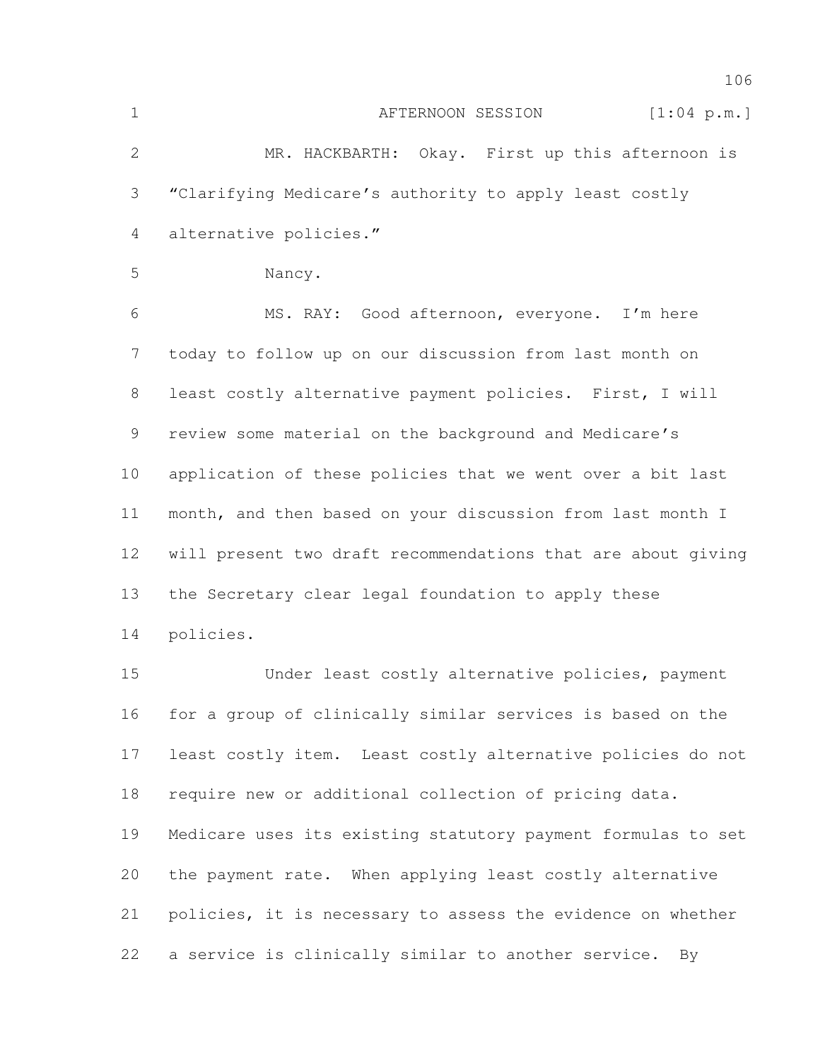| $\mathbf 1$ | AFTERNOON SESSION<br>[1:04 p.m.]                             |
|-------------|--------------------------------------------------------------|
| 2           | MR. HACKBARTH: Okay. First up this afternoon is              |
| 3           | "Clarifying Medicare's authority to apply least costly       |
| 4           | alternative policies."                                       |
| 5           | Nancy.                                                       |
| 6           | MS. RAY: Good afternoon, everyone. I'm here                  |
| 7           | today to follow up on our discussion from last month on      |
| 8           | least costly alternative payment policies. First, I will     |
| 9           | review some material on the background and Medicare's        |
| 10          | application of these policies that we went over a bit last   |
| 11          | month, and then based on your discussion from last month I   |
| 12          | will present two draft recommendations that are about giving |
| 13          | the Secretary clear legal foundation to apply these          |
| 14          | policies.                                                    |
| 15          | Under least costly alternative policies, payment             |
| 16          | for a group of clinically similar services is based on the   |
| 17          | least costly item. Least costly alternative policies do not  |
| 18          | require new or additional collection of pricing data.        |
| 19          | Medicare uses its existing statutory payment formulas to set |

policies, it is necessary to assess the evidence on whether

the payment rate. When applying least costly alternative

a service is clinically similar to another service. By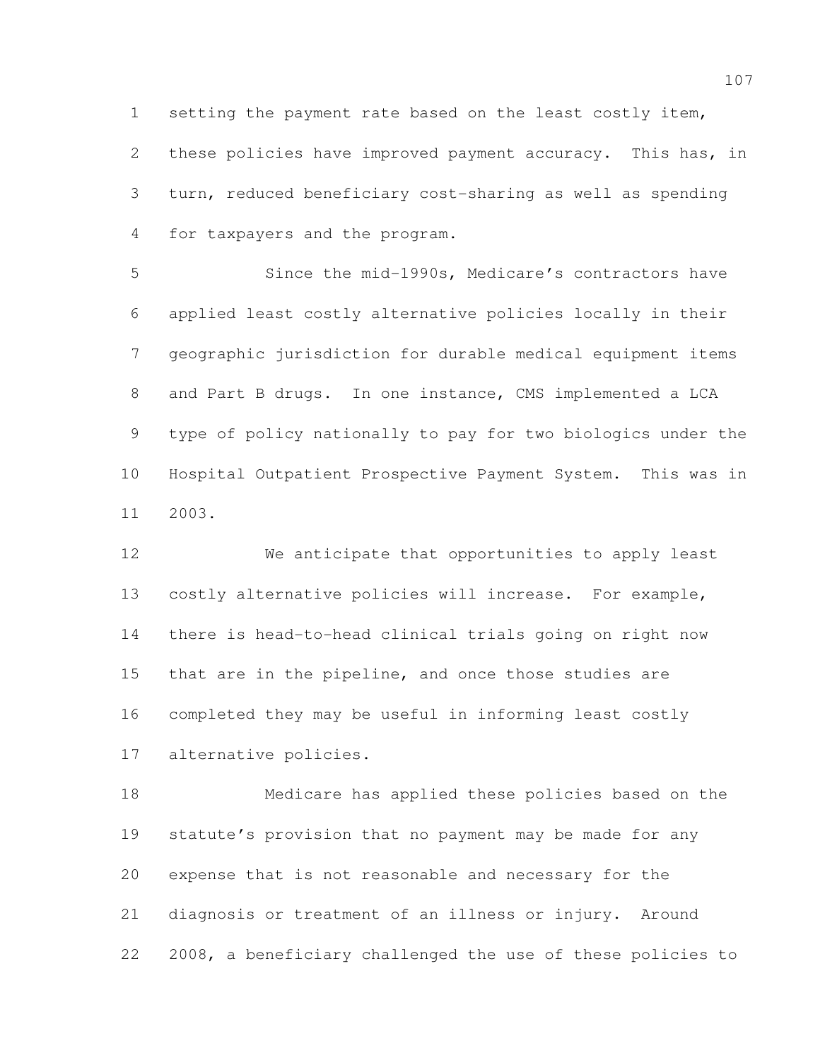setting the payment rate based on the least costly item, 2 these policies have improved payment accuracy. This has, in turn, reduced beneficiary cost-sharing as well as spending for taxpayers and the program.

 Since the mid-1990s, Medicare's contractors have applied least costly alternative policies locally in their geographic jurisdiction for durable medical equipment items and Part B drugs. In one instance, CMS implemented a LCA type of policy nationally to pay for two biologics under the Hospital Outpatient Prospective Payment System. This was in 2003.

 We anticipate that opportunities to apply least costly alternative policies will increase. For example, there is head-to-head clinical trials going on right now that are in the pipeline, and once those studies are completed they may be useful in informing least costly alternative policies.

 Medicare has applied these policies based on the statute's provision that no payment may be made for any expense that is not reasonable and necessary for the diagnosis or treatment of an illness or injury. Around 2008, a beneficiary challenged the use of these policies to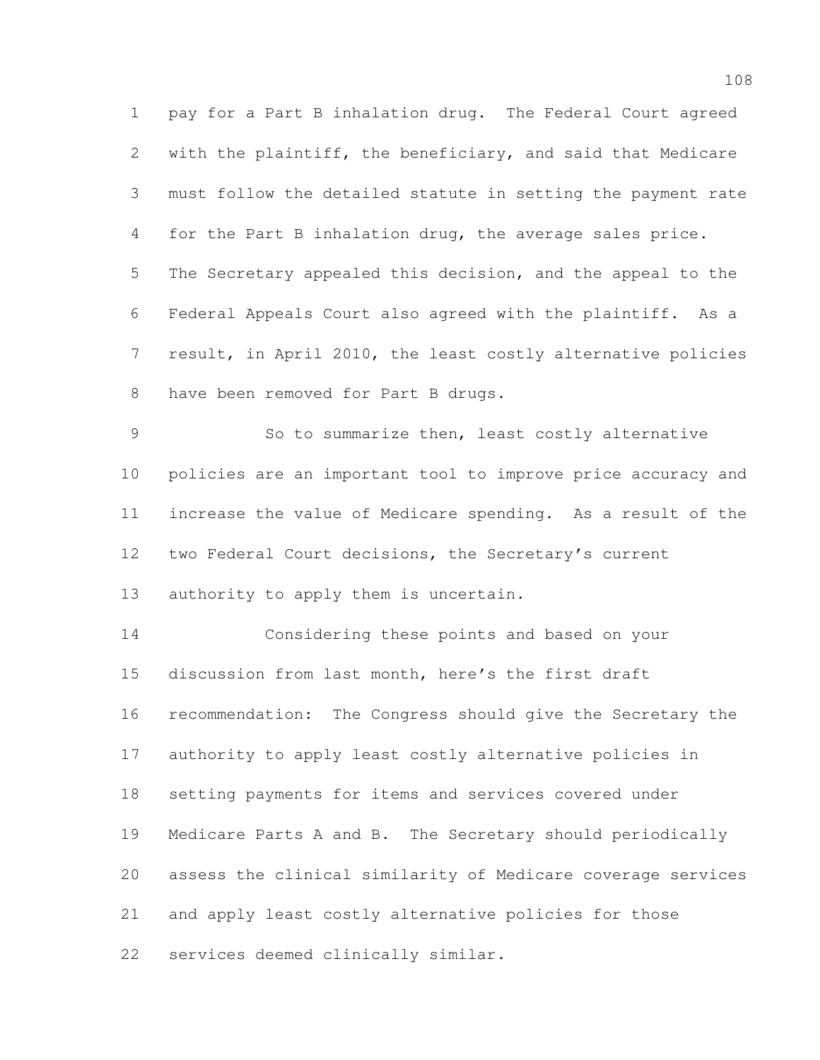pay for a Part B inhalation drug. The Federal Court agreed with the plaintiff, the beneficiary, and said that Medicare must follow the detailed statute in setting the payment rate for the Part B inhalation drug, the average sales price. The Secretary appealed this decision, and the appeal to the Federal Appeals Court also agreed with the plaintiff. As a result, in April 2010, the least costly alternative policies have been removed for Part B drugs.

 So to summarize then, least costly alternative policies are an important tool to improve price accuracy and increase the value of Medicare spending. As a result of the two Federal Court decisions, the Secretary's current

authority to apply them is uncertain.

 Considering these points and based on your discussion from last month, here's the first draft recommendation: The Congress should give the Secretary the authority to apply least costly alternative policies in setting payments for items and services covered under Medicare Parts A and B. The Secretary should periodically assess the clinical similarity of Medicare coverage services and apply least costly alternative policies for those services deemed clinically similar.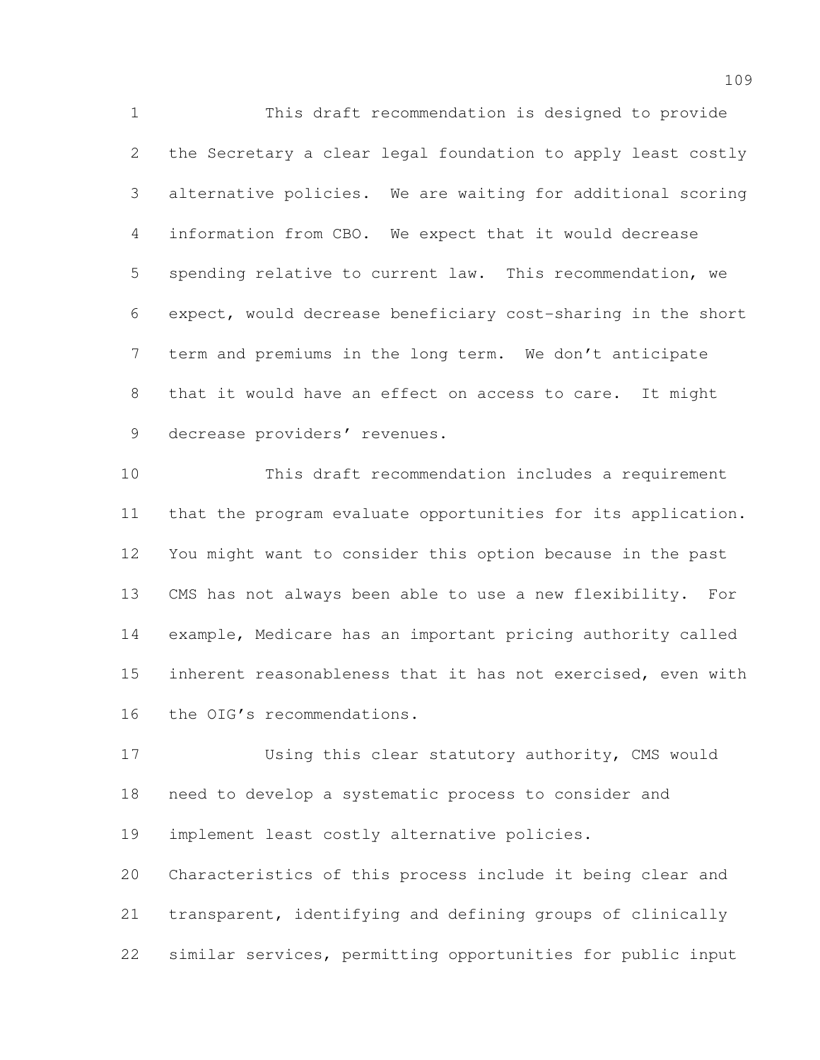This draft recommendation is designed to provide the Secretary a clear legal foundation to apply least costly alternative policies. We are waiting for additional scoring information from CBO. We expect that it would decrease spending relative to current law. This recommendation, we expect, would decrease beneficiary cost-sharing in the short term and premiums in the long term. We don't anticipate that it would have an effect on access to care. It might 9 decrease providers' revenues.

 This draft recommendation includes a requirement that the program evaluate opportunities for its application. You might want to consider this option because in the past CMS has not always been able to use a new flexibility. For example, Medicare has an important pricing authority called inherent reasonableness that it has not exercised, even with the OIG's recommendations.

 Using this clear statutory authority, CMS would need to develop a systematic process to consider and implement least costly alternative policies. Characteristics of this process include it being clear and transparent, identifying and defining groups of clinically

similar services, permitting opportunities for public input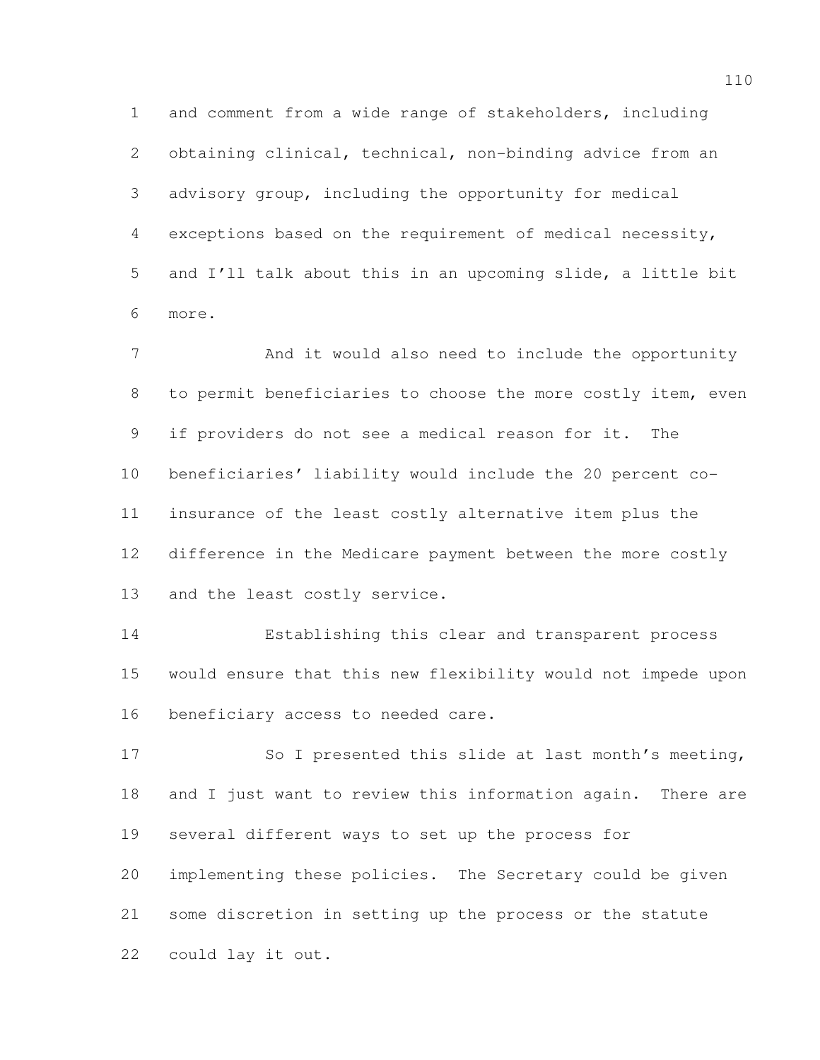and comment from a wide range of stakeholders, including obtaining clinical, technical, non-binding advice from an advisory group, including the opportunity for medical exceptions based on the requirement of medical necessity, and I'll talk about this in an upcoming slide, a little bit more.

 And it would also need to include the opportunity to permit beneficiaries to choose the more costly item, even if providers do not see a medical reason for it. The beneficiaries' liability would include the 20 percent co- insurance of the least costly alternative item plus the difference in the Medicare payment between the more costly and the least costly service.

 Establishing this clear and transparent process would ensure that this new flexibility would not impede upon beneficiary access to needed care.

 So I presented this slide at last month's meeting, and I just want to review this information again. There are several different ways to set up the process for implementing these policies. The Secretary could be given some discretion in setting up the process or the statute could lay it out.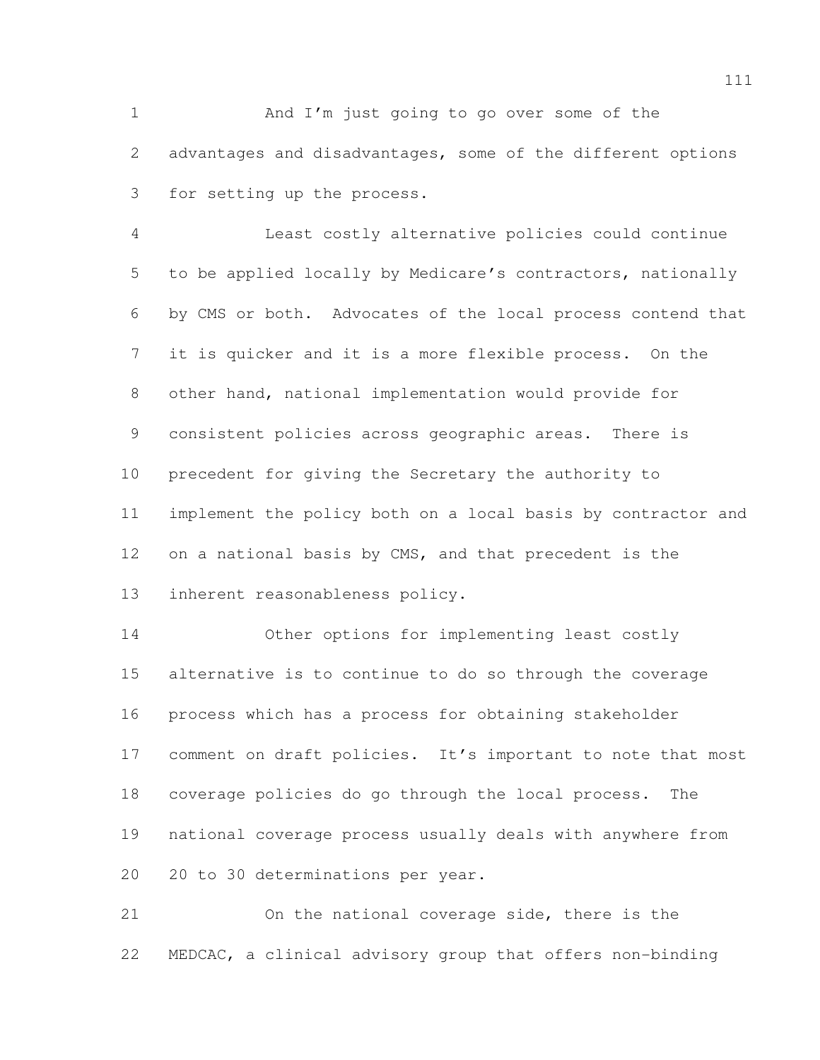1 And I'm just going to go over some of the advantages and disadvantages, some of the different options for setting up the process.

 Least costly alternative policies could continue to be applied locally by Medicare's contractors, nationally by CMS or both. Advocates of the local process contend that it is quicker and it is a more flexible process. On the other hand, national implementation would provide for consistent policies across geographic areas. There is precedent for giving the Secretary the authority to implement the policy both on a local basis by contractor and on a national basis by CMS, and that precedent is the inherent reasonableness policy.

 Other options for implementing least costly alternative is to continue to do so through the coverage process which has a process for obtaining stakeholder 17 comment on draft policies. It's important to note that most coverage policies do go through the local process. The national coverage process usually deals with anywhere from 20 to 30 determinations per year.

 On the national coverage side, there is the MEDCAC, a clinical advisory group that offers non-binding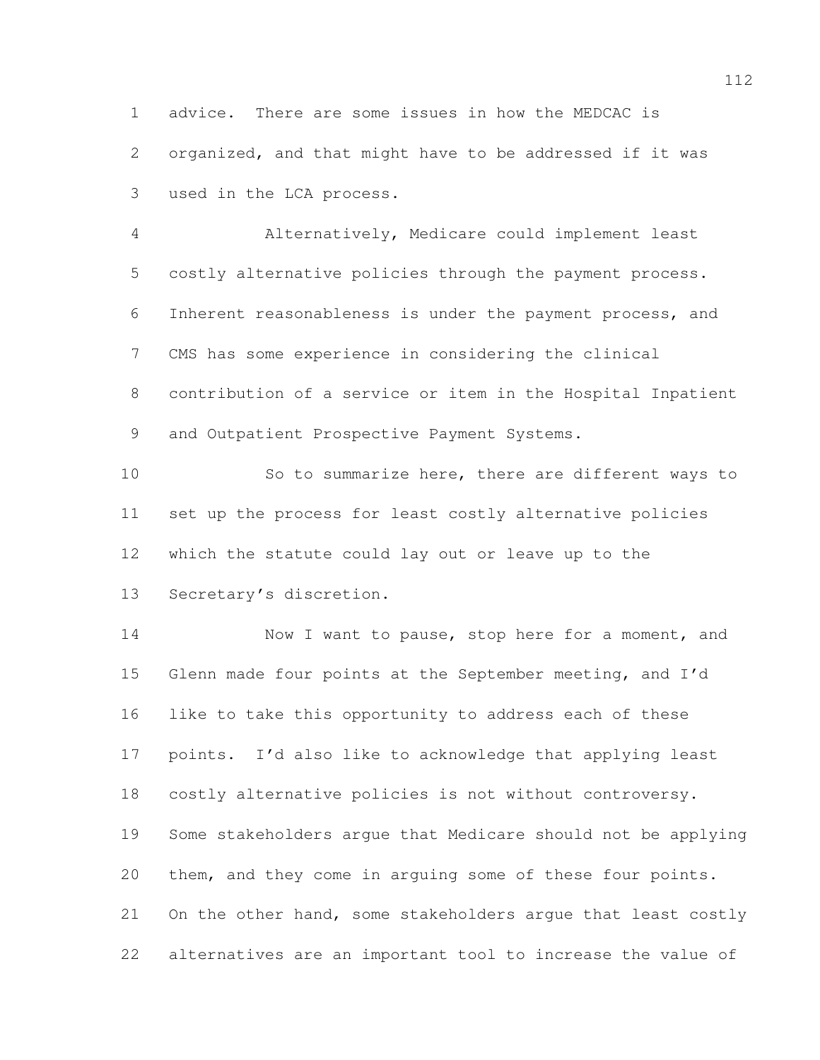advice. There are some issues in how the MEDCAC is organized, and that might have to be addressed if it was used in the LCA process.

 Alternatively, Medicare could implement least costly alternative policies through the payment process. Inherent reasonableness is under the payment process, and CMS has some experience in considering the clinical contribution of a service or item in the Hospital Inpatient 9 and Outpatient Prospective Payment Systems.

 So to summarize here, there are different ways to set up the process for least costly alternative policies which the statute could lay out or leave up to the Secretary's discretion.

14 Now I want to pause, stop here for a moment, and Glenn made four points at the September meeting, and I'd like to take this opportunity to address each of these points. I'd also like to acknowledge that applying least costly alternative policies is not without controversy. Some stakeholders argue that Medicare should not be applying them, and they come in arguing some of these four points. On the other hand, some stakeholders argue that least costly alternatives are an important tool to increase the value of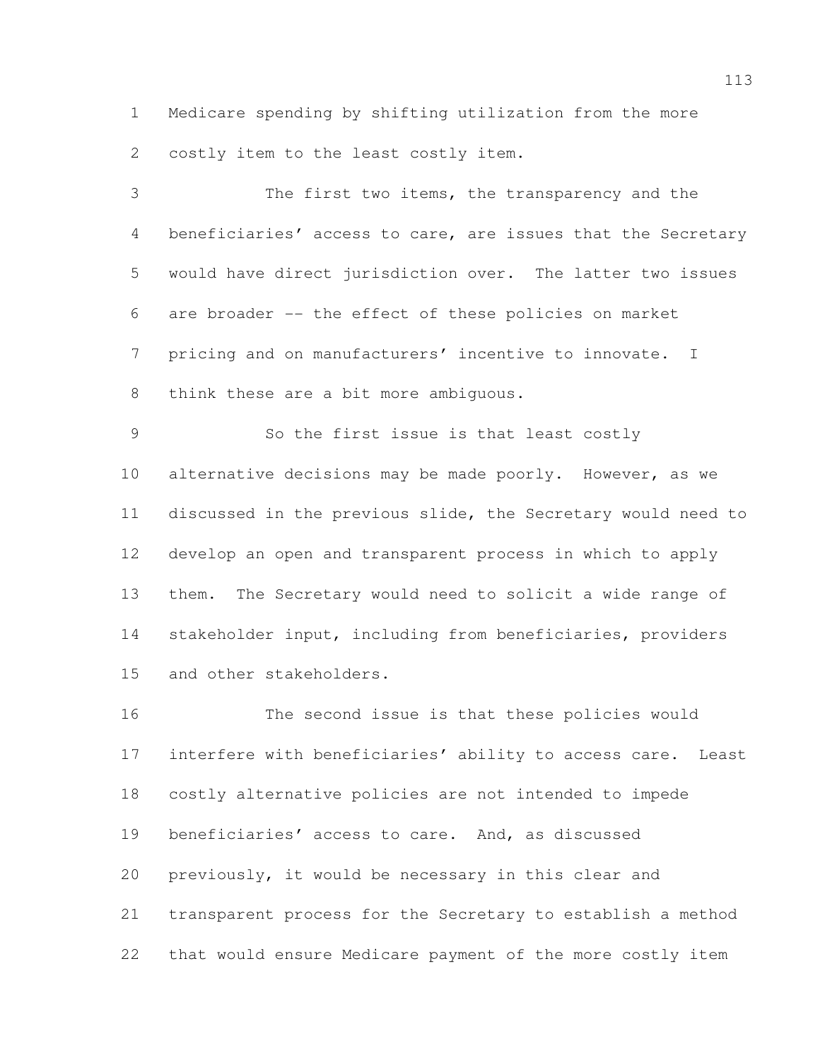Medicare spending by shifting utilization from the more costly item to the least costly item.

 The first two items, the transparency and the beneficiaries' access to care, are issues that the Secretary would have direct jurisdiction over. The latter two issues are broader -- the effect of these policies on market pricing and on manufacturers' incentive to innovate. I think these are a bit more ambiguous.

 So the first issue is that least costly 10 alternative decisions may be made poorly. However, as we discussed in the previous slide, the Secretary would need to develop an open and transparent process in which to apply them. The Secretary would need to solicit a wide range of stakeholder input, including from beneficiaries, providers and other stakeholders.

 The second issue is that these policies would interfere with beneficiaries' ability to access care. Least costly alternative policies are not intended to impede beneficiaries' access to care. And, as discussed previously, it would be necessary in this clear and transparent process for the Secretary to establish a method that would ensure Medicare payment of the more costly item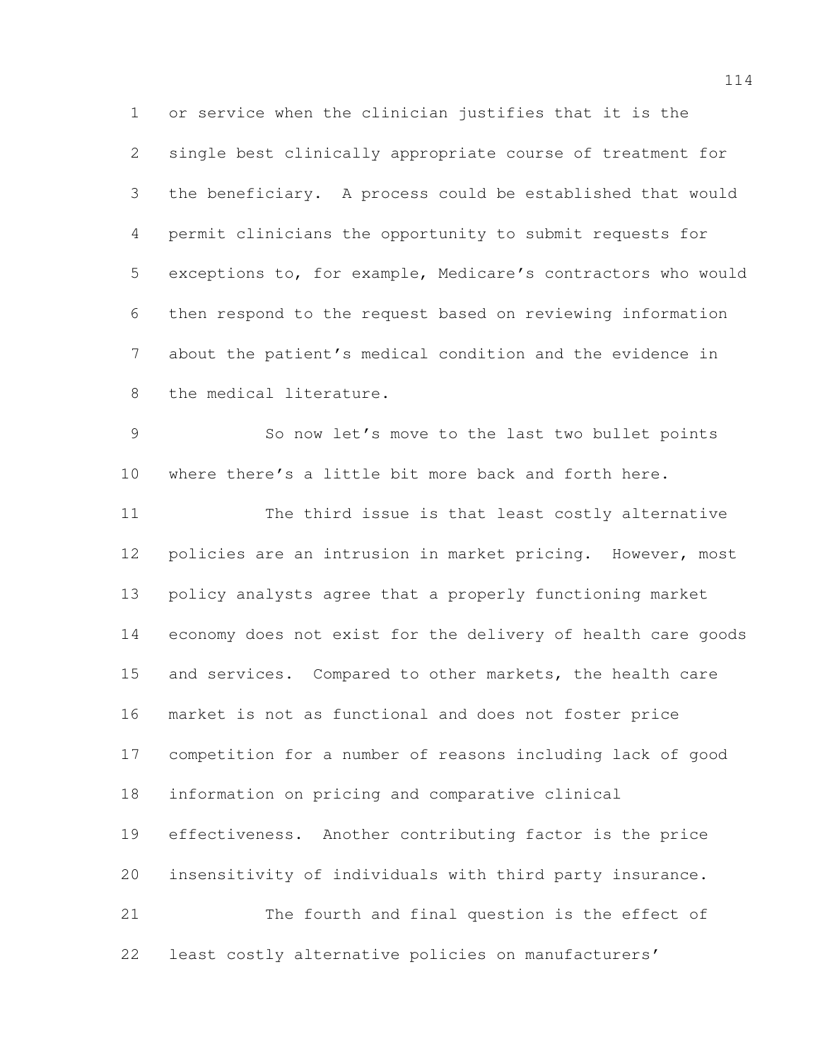or service when the clinician justifies that it is the single best clinically appropriate course of treatment for the beneficiary. A process could be established that would permit clinicians the opportunity to submit requests for exceptions to, for example, Medicare's contractors who would then respond to the request based on reviewing information about the patient's medical condition and the evidence in the medical literature.

 So now let's move to the last two bullet points where there's a little bit more back and forth here.

 The third issue is that least costly alternative policies are an intrusion in market pricing. However, most policy analysts agree that a properly functioning market economy does not exist for the delivery of health care goods and services. Compared to other markets, the health care market is not as functional and does not foster price competition for a number of reasons including lack of good information on pricing and comparative clinical effectiveness. Another contributing factor is the price insensitivity of individuals with third party insurance. The fourth and final question is the effect of least costly alternative policies on manufacturers'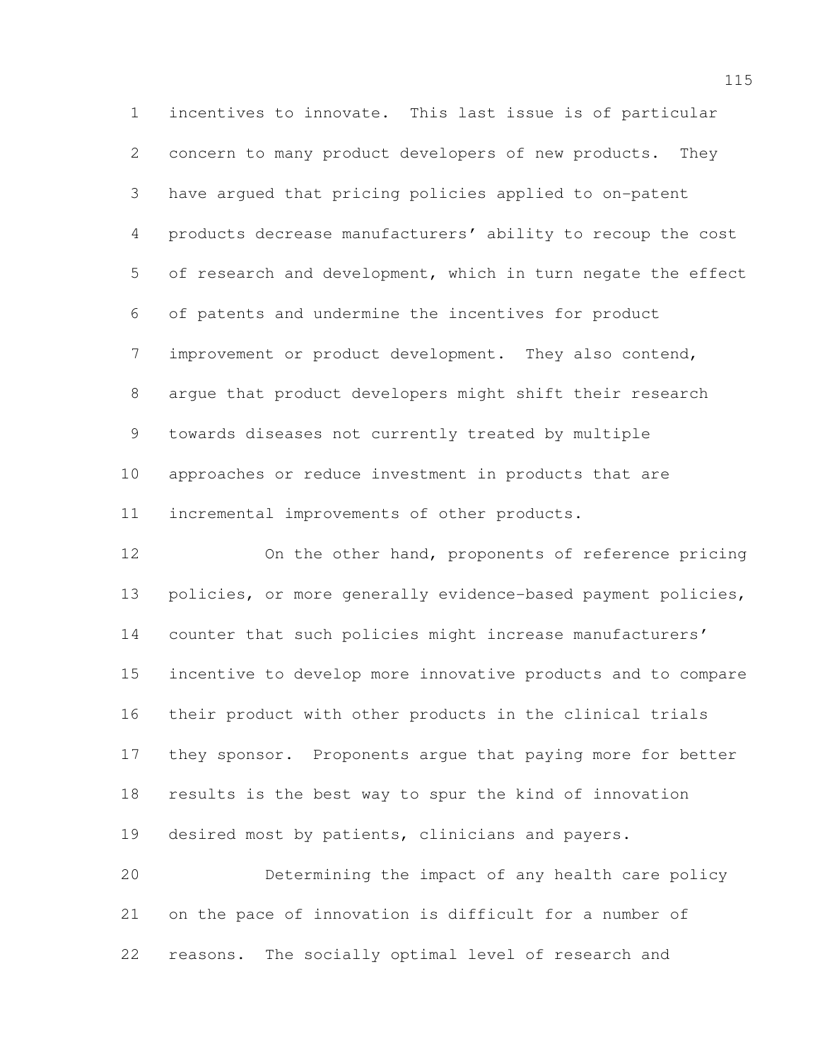incentives to innovate. This last issue is of particular concern to many product developers of new products. They have argued that pricing policies applied to on-patent products decrease manufacturers' ability to recoup the cost of research and development, which in turn negate the effect of patents and undermine the incentives for product improvement or product development. They also contend, argue that product developers might shift their research towards diseases not currently treated by multiple approaches or reduce investment in products that are incremental improvements of other products.

 On the other hand, proponents of reference pricing policies, or more generally evidence-based payment policies, counter that such policies might increase manufacturers' incentive to develop more innovative products and to compare their product with other products in the clinical trials they sponsor. Proponents argue that paying more for better results is the best way to spur the kind of innovation desired most by patients, clinicians and payers. Determining the impact of any health care policy

 on the pace of innovation is difficult for a number of reasons. The socially optimal level of research and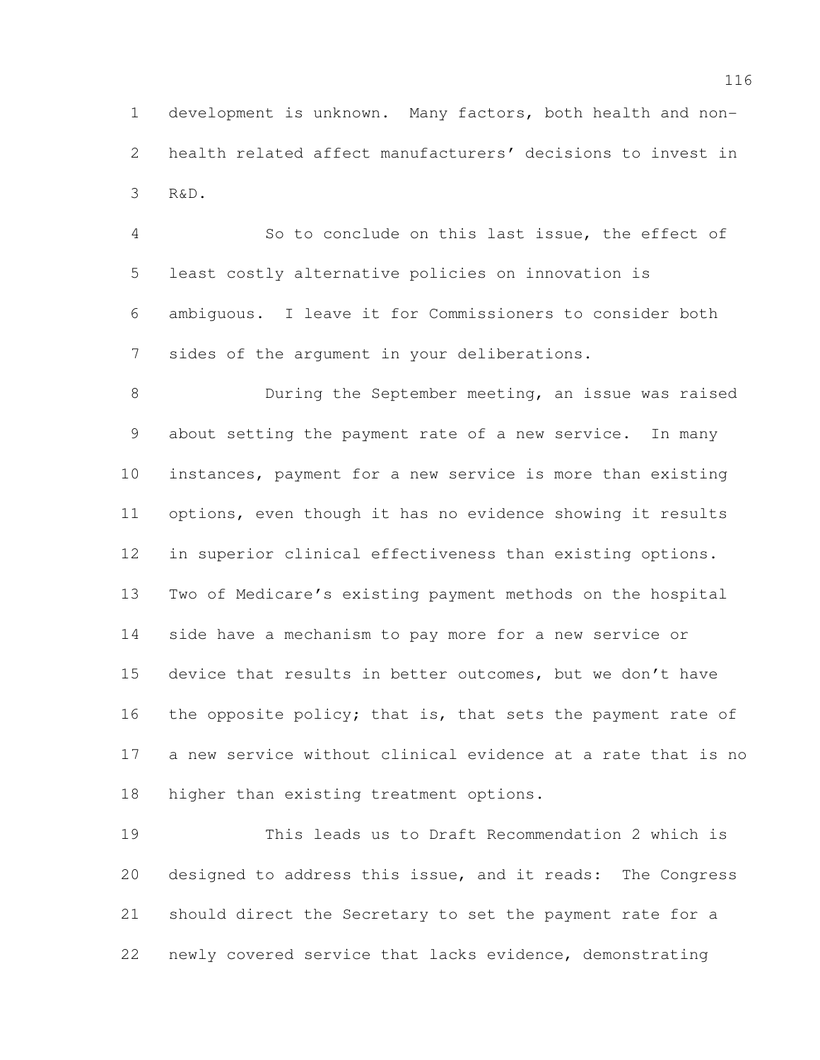development is unknown. Many factors, both health and non- health related affect manufacturers' decisions to invest in R&D.

 So to conclude on this last issue, the effect of least costly alternative policies on innovation is ambiguous. I leave it for Commissioners to consider both sides of the argument in your deliberations.

 During the September meeting, an issue was raised about setting the payment rate of a new service. In many instances, payment for a new service is more than existing options, even though it has no evidence showing it results in superior clinical effectiveness than existing options. Two of Medicare's existing payment methods on the hospital side have a mechanism to pay more for a new service or device that results in better outcomes, but we don't have 16 the opposite policy; that is, that sets the payment rate of a new service without clinical evidence at a rate that is no higher than existing treatment options.

 This leads us to Draft Recommendation 2 which is designed to address this issue, and it reads: The Congress should direct the Secretary to set the payment rate for a newly covered service that lacks evidence, demonstrating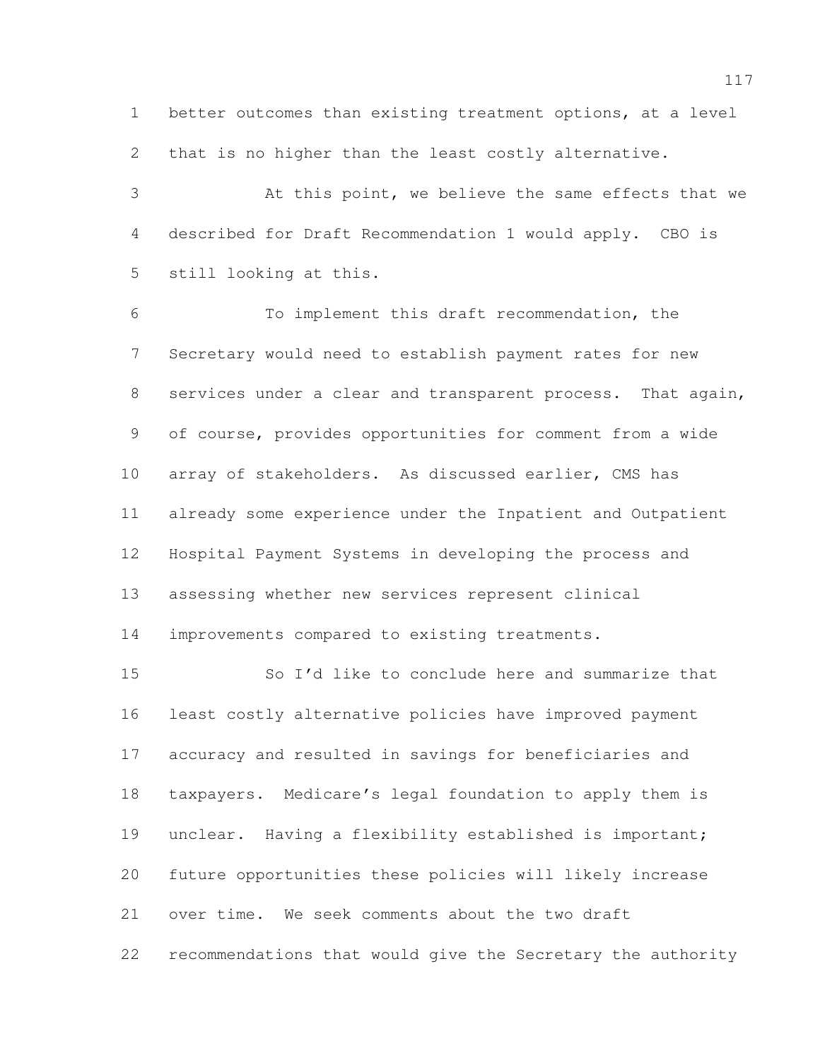better outcomes than existing treatment options, at a level that is no higher than the least costly alternative.

 At this point, we believe the same effects that we described for Draft Recommendation 1 would apply. CBO is still looking at this.

 To implement this draft recommendation, the Secretary would need to establish payment rates for new 8 services under a clear and transparent process. That again, of course, provides opportunities for comment from a wide array of stakeholders. As discussed earlier, CMS has already some experience under the Inpatient and Outpatient Hospital Payment Systems in developing the process and assessing whether new services represent clinical

improvements compared to existing treatments.

 So I'd like to conclude here and summarize that least costly alternative policies have improved payment accuracy and resulted in savings for beneficiaries and taxpayers. Medicare's legal foundation to apply them is 19 unclear. Having a flexibility established is important; future opportunities these policies will likely increase over time. We seek comments about the two draft recommendations that would give the Secretary the authority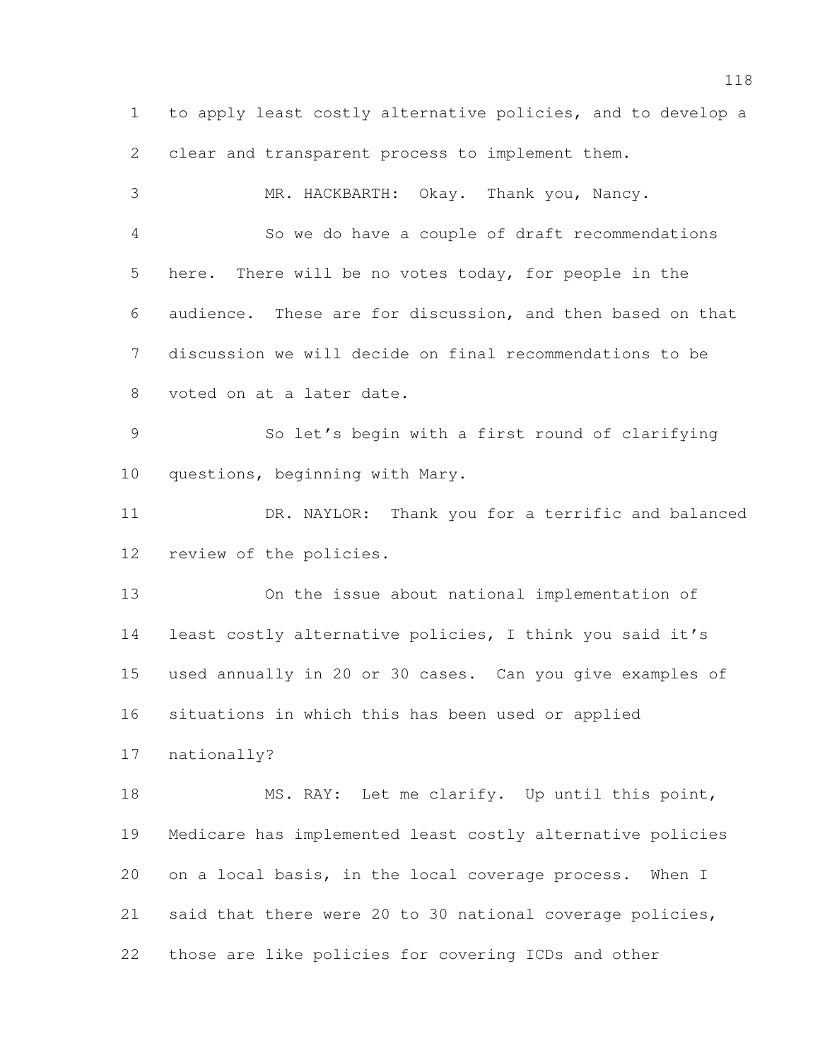to apply least costly alternative policies, and to develop a clear and transparent process to implement them. MR. HACKBARTH: Okay. Thank you, Nancy. So we do have a couple of draft recommendations here. There will be no votes today, for people in the audience. These are for discussion, and then based on that discussion we will decide on final recommendations to be voted on at a later date. So let's begin with a first round of clarifying questions, beginning with Mary. DR. NAYLOR: Thank you for a terrific and balanced review of the policies. On the issue about national implementation of least costly alternative policies, I think you said it's used annually in 20 or 30 cases. Can you give examples of situations in which this has been used or applied nationally? 18 MS. RAY: Let me clarify. Up until this point, Medicare has implemented least costly alternative policies on a local basis, in the local coverage process. When I said that there were 20 to 30 national coverage policies, those are like policies for covering ICDs and other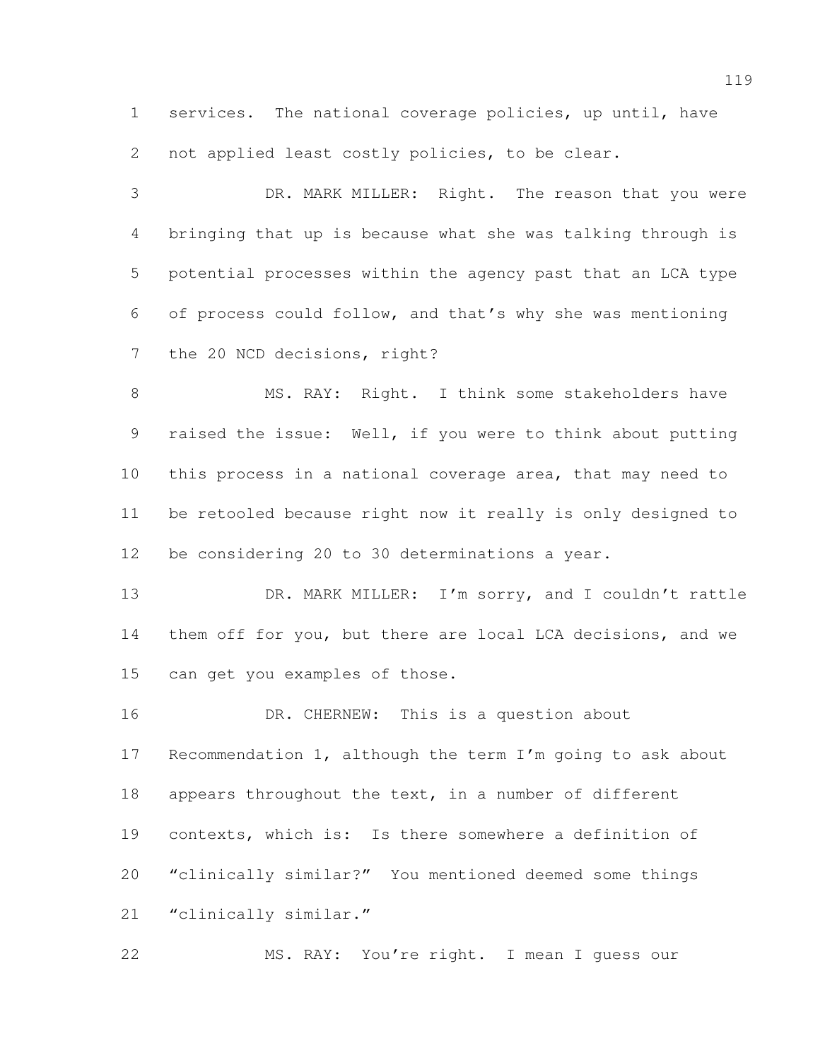services. The national coverage policies, up until, have not applied least costly policies, to be clear.

 DR. MARK MILLER: Right. The reason that you were bringing that up is because what she was talking through is potential processes within the agency past that an LCA type of process could follow, and that's why she was mentioning the 20 NCD decisions, right?

8 MS. RAY: Right. I think some stakeholders have raised the issue: Well, if you were to think about putting this process in a national coverage area, that may need to be retooled because right now it really is only designed to be considering 20 to 30 determinations a year.

13 DR. MARK MILLER: I'm sorry, and I couldn't rattle them off for you, but there are local LCA decisions, and we can get you examples of those.

 DR. CHERNEW: This is a question about Recommendation 1, although the term I'm going to ask about 18 appears throughout the text, in a number of different contexts, which is: Is there somewhere a definition of "clinically similar?" You mentioned deemed some things 21 "clinically similar."

MS. RAY: You're right. I mean I guess our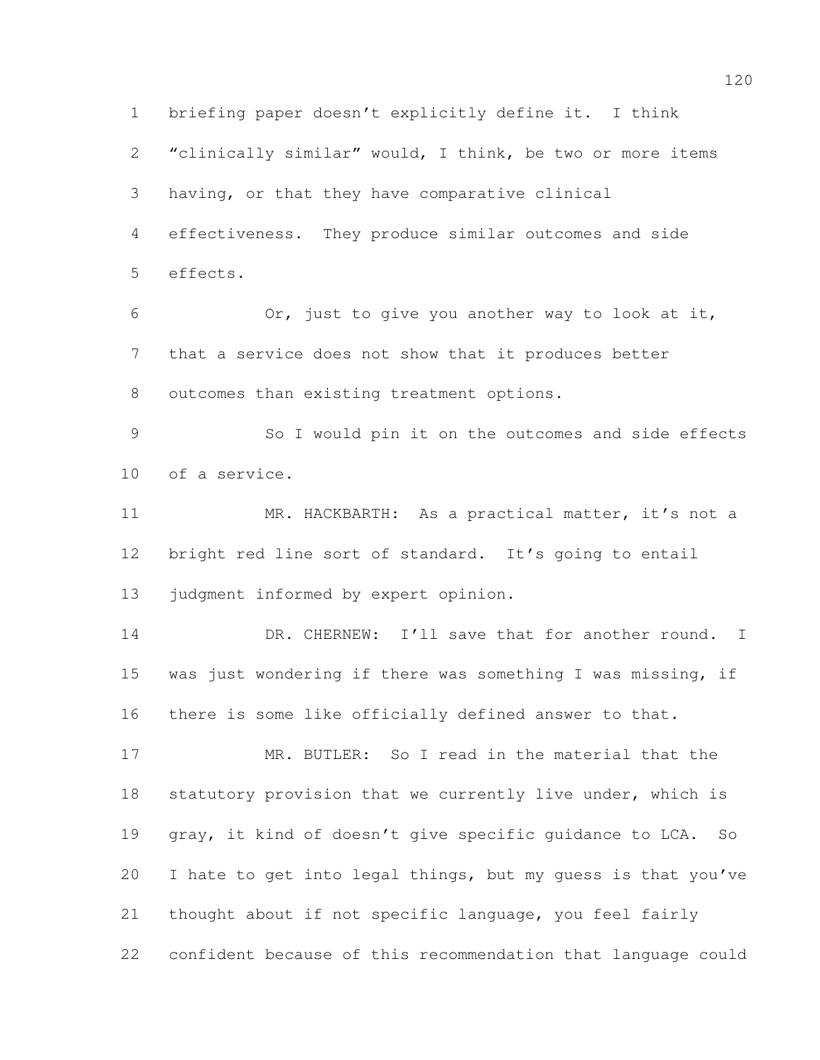briefing paper doesn't explicitly define it. I think "clinically similar" would, I think, be two or more items having, or that they have comparative clinical effectiveness. They produce similar outcomes and side effects. Or, just to give you another way to look at it, that a service does not show that it produces better outcomes than existing treatment options. So I would pin it on the outcomes and side effects of a service. 11 MR. HACKBARTH: As a practical matter, it's not a bright red line sort of standard. It's going to entail 13 judgment informed by expert opinion. 14 DR. CHERNEW: I'll save that for another round. I was just wondering if there was something I was missing, if there is some like officially defined answer to that. MR. BUTLER: So I read in the material that the 18 statutory provision that we currently live under, which is gray, it kind of doesn't give specific guidance to LCA. So I hate to get into legal things, but my guess is that you've thought about if not specific language, you feel fairly confident because of this recommendation that language could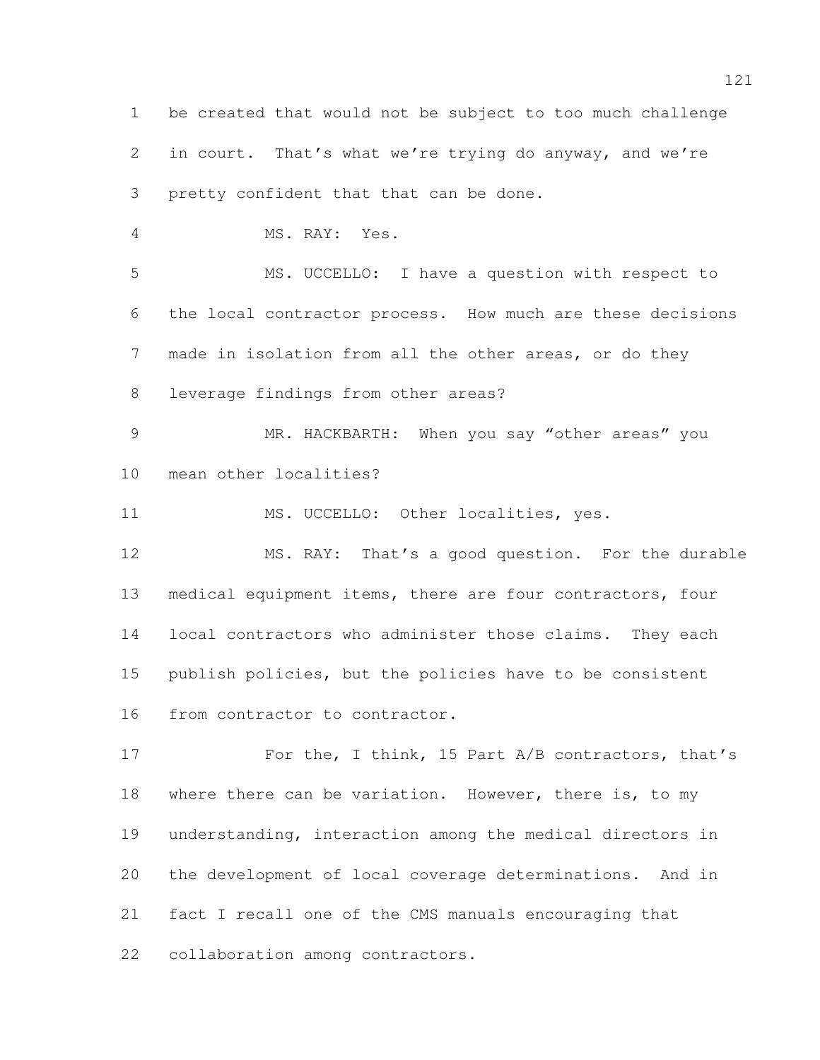be created that would not be subject to too much challenge in court. That's what we're trying do anyway, and we're pretty confident that that can be done. MS. RAY: Yes. MS. UCCELLO: I have a question with respect to the local contractor process. How much are these decisions made in isolation from all the other areas, or do they leverage findings from other areas? MR. HACKBARTH: When you say "other areas" you mean other localities? 11 MS. UCCELLO: Other localities, yes. MS. RAY: That's a good question. For the durable medical equipment items, there are four contractors, four local contractors who administer those claims. They each publish policies, but the policies have to be consistent from contractor to contractor. 17 For the, I think, 15 Part A/B contractors, that's 18 where there can be variation. However, there is, to my understanding, interaction among the medical directors in the development of local coverage determinations. And in fact I recall one of the CMS manuals encouraging that collaboration among contractors.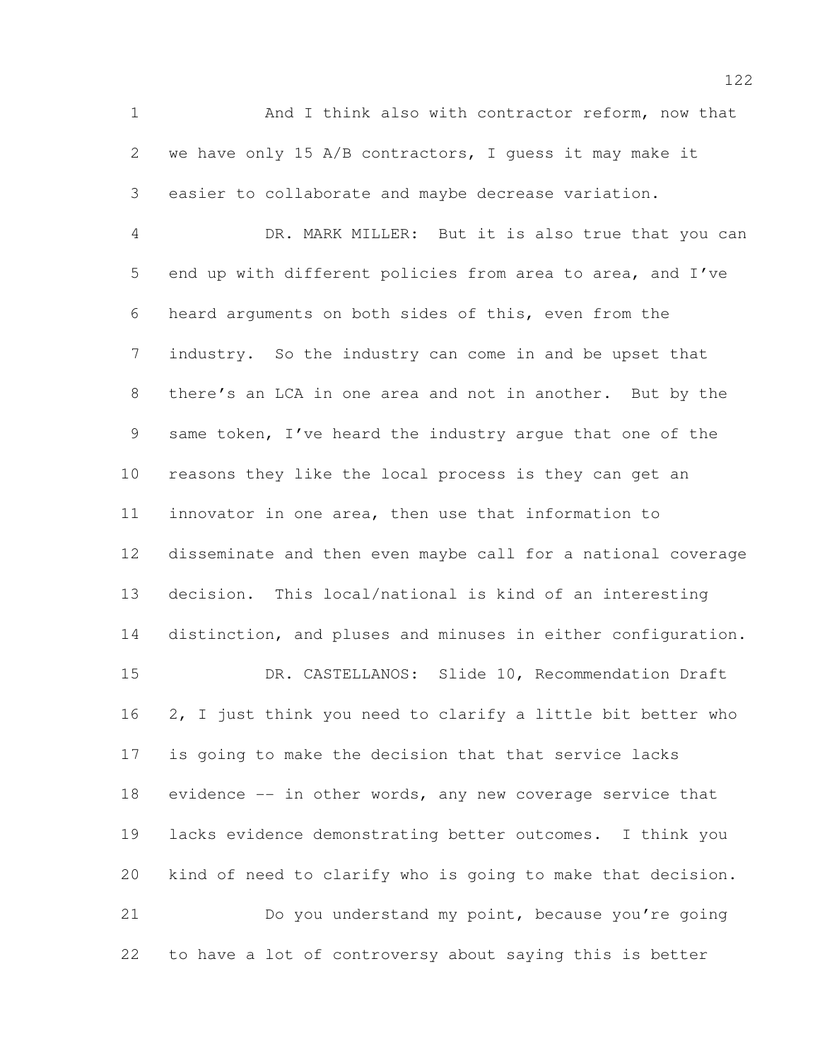And I think also with contractor reform, now that we have only 15 A/B contractors, I guess it may make it easier to collaborate and maybe decrease variation.

 DR. MARK MILLER: But it is also true that you can end up with different policies from area to area, and I've heard arguments on both sides of this, even from the industry. So the industry can come in and be upset that there's an LCA in one area and not in another. But by the same token, I've heard the industry argue that one of the reasons they like the local process is they can get an innovator in one area, then use that information to disseminate and then even maybe call for a national coverage decision. This local/national is kind of an interesting distinction, and pluses and minuses in either configuration. DR. CASTELLANOS: Slide 10, Recommendation Draft 2, I just think you need to clarify a little bit better who

 is going to make the decision that that service lacks evidence -- in other words, any new coverage service that lacks evidence demonstrating better outcomes. I think you kind of need to clarify who is going to make that decision. Do you understand my point, because you're going to have a lot of controversy about saying this is better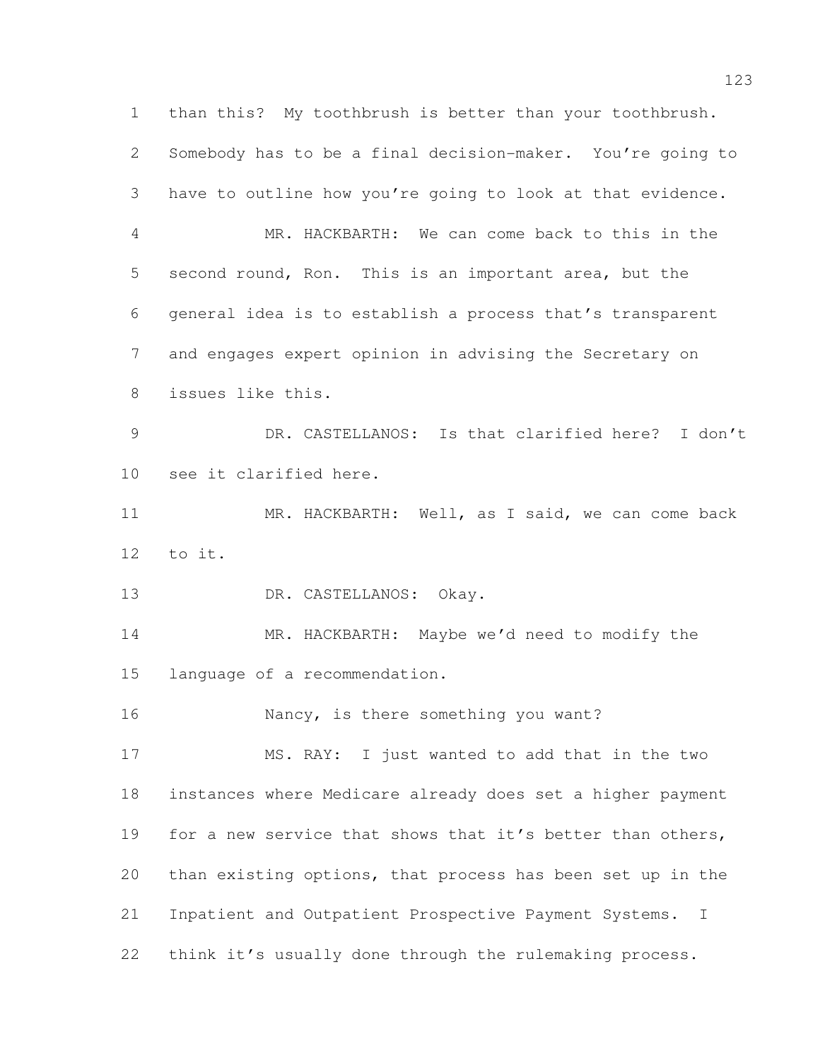than this? My toothbrush is better than your toothbrush. Somebody has to be a final decision-maker. You're going to have to outline how you're going to look at that evidence. MR. HACKBARTH: We can come back to this in the second round, Ron. This is an important area, but the general idea is to establish a process that's transparent and engages expert opinion in advising the Secretary on issues like this. DR. CASTELLANOS: Is that clarified here? I don't see it clarified here. 11 MR. HACKBARTH: Well, as I said, we can come back to it. 13 DR. CASTELLANOS: Okay. MR. HACKBARTH: Maybe we'd need to modify the language of a recommendation. 16 Nancy, is there something you want? MS. RAY: I just wanted to add that in the two instances where Medicare already does set a higher payment 19 for a new service that shows that it's better than others, than existing options, that process has been set up in the Inpatient and Outpatient Prospective Payment Systems. I think it's usually done through the rulemaking process.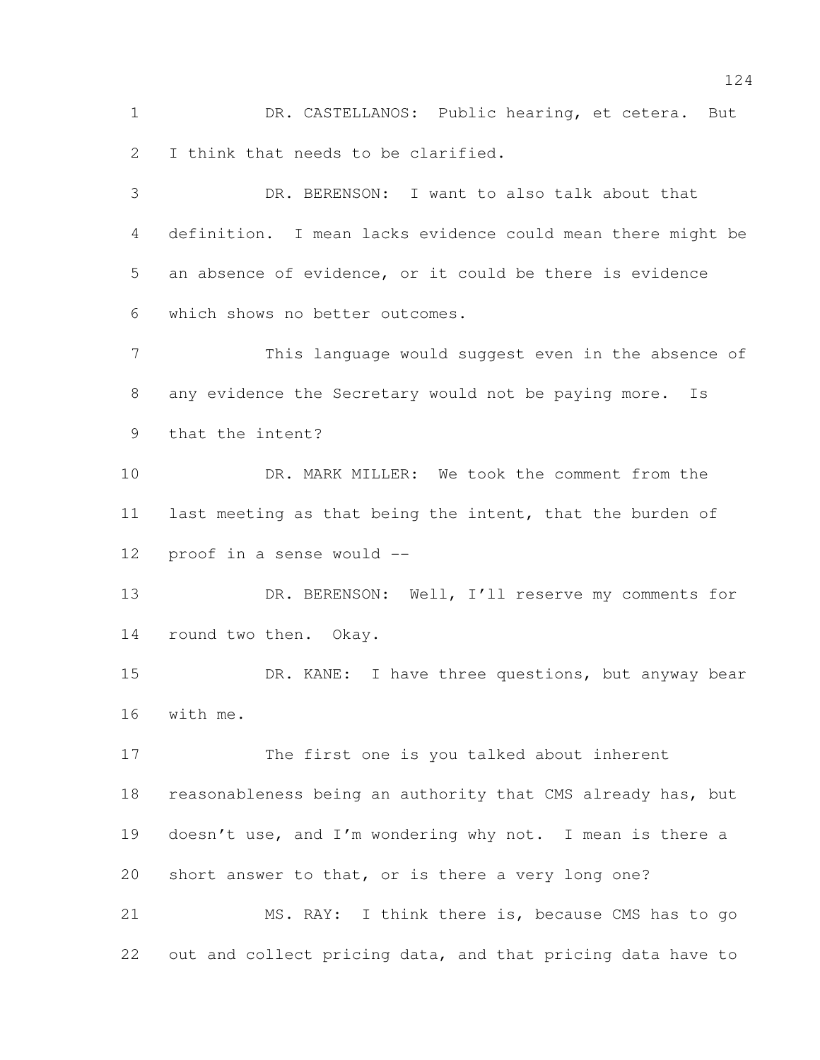DR. CASTELLANOS: Public hearing, et cetera. But I think that needs to be clarified.

 DR. BERENSON: I want to also talk about that definition. I mean lacks evidence could mean there might be an absence of evidence, or it could be there is evidence which shows no better outcomes. This language would suggest even in the absence of

 any evidence the Secretary would not be paying more. Is that the intent?

10 DR. MARK MILLER: We took the comment from the last meeting as that being the intent, that the burden of proof in a sense would --

13 DR. BERENSON: Well, I'll reserve my comments for round two then. Okay.

15 DR. KANE: I have three questions, but anyway bear with me.

 The first one is you talked about inherent 18 reasonableness being an authority that CMS already has, but doesn't use, and I'm wondering why not. I mean is there a short answer to that, or is there a very long one? MS. RAY: I think there is, because CMS has to go

out and collect pricing data, and that pricing data have to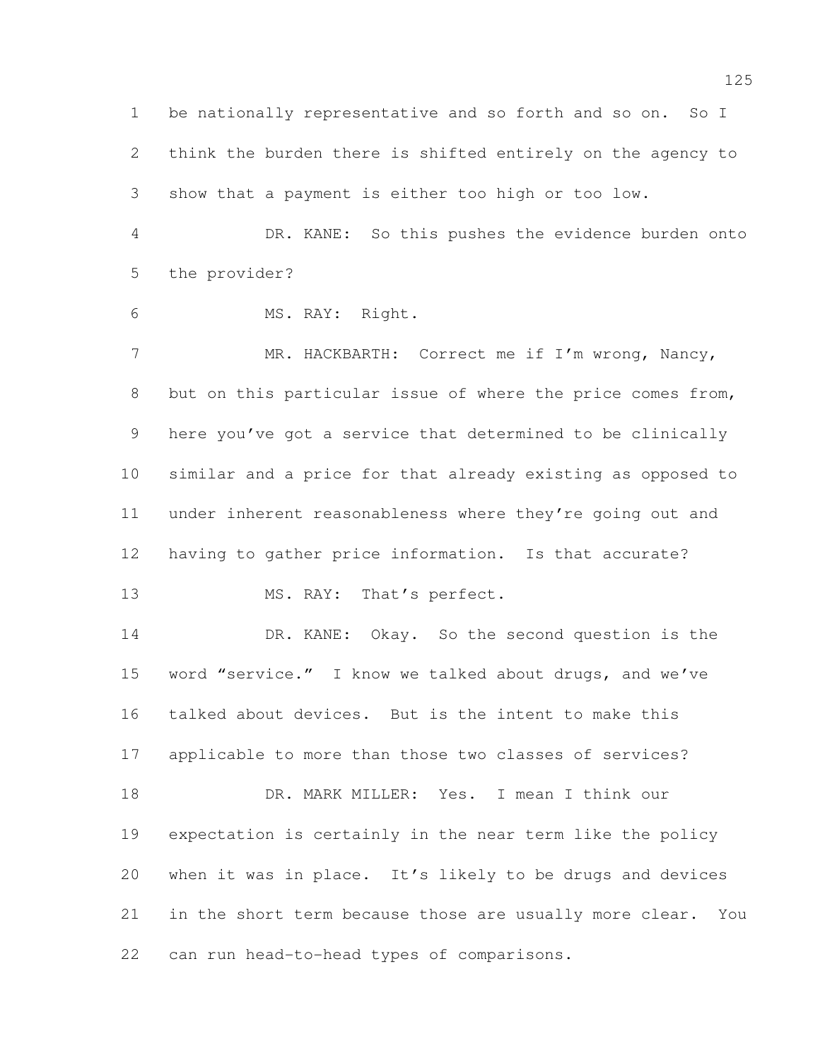be nationally representative and so forth and so on. So I think the burden there is shifted entirely on the agency to show that a payment is either too high or too low. DR. KANE: So this pushes the evidence burden onto

the provider?

MS. RAY: Right.

7 MR. HACKBARTH: Correct me if I'm wrong, Nancy, 8 but on this particular issue of where the price comes from, here you've got a service that determined to be clinically similar and a price for that already existing as opposed to under inherent reasonableness where they're going out and having to gather price information. Is that accurate?

13 MS. RAY: That's perfect.

 DR. KANE: Okay. So the second question is the word "service." I know we talked about drugs, and we've talked about devices. But is the intent to make this applicable to more than those two classes of services? 18 DR. MARK MILLER: Yes. I mean I think our expectation is certainly in the near term like the policy when it was in place. It's likely to be drugs and devices

 in the short term because those are usually more clear. You can run head-to-head types of comparisons.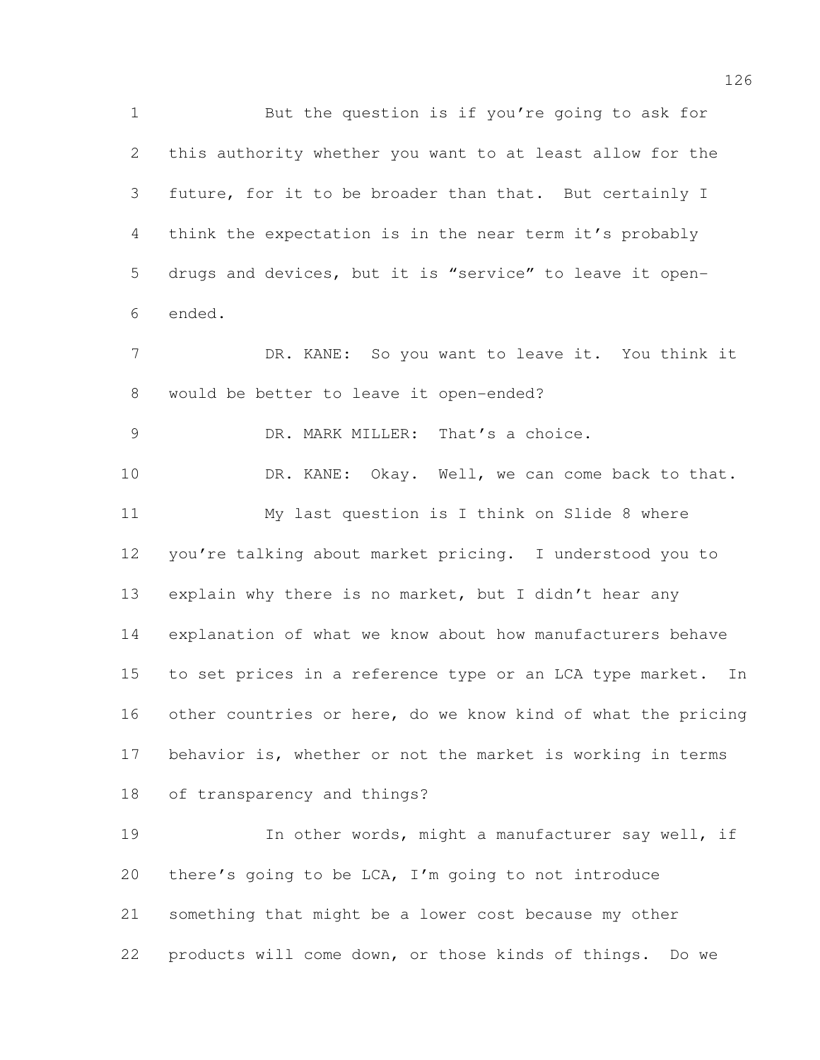But the question is if you're going to ask for this authority whether you want to at least allow for the future, for it to be broader than that. But certainly I think the expectation is in the near term it's probably drugs and devices, but it is "service" to leave it open- ended. 7 DR. KANE: So you want to leave it. You think it would be better to leave it open-ended? DR. MARK MILLER: That's a choice. DR. KANE: Okay. Well, we can come back to that. My last question is I think on Slide 8 where you're talking about market pricing. I understood you to explain why there is no market, but I didn't hear any explanation of what we know about how manufacturers behave to set prices in a reference type or an LCA type market. In other countries or here, do we know kind of what the pricing behavior is, whether or not the market is working in terms of transparency and things? In other words, might a manufacturer say well, if there's going to be LCA, I'm going to not introduce something that might be a lower cost because my other products will come down, or those kinds of things. Do we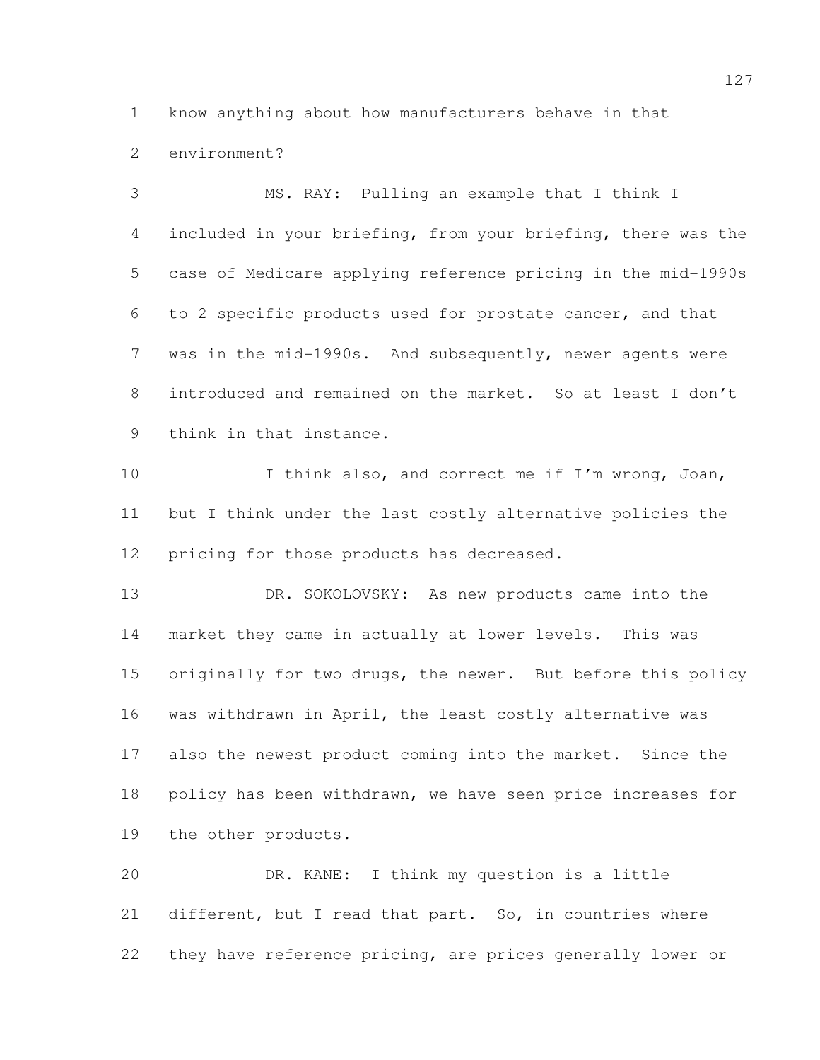know anything about how manufacturers behave in that

environment?

the other products.

 MS. RAY: Pulling an example that I think I included in your briefing, from your briefing, there was the case of Medicare applying reference pricing in the mid-1990s to 2 specific products used for prostate cancer, and that was in the mid-1990s. And subsequently, newer agents were introduced and remained on the market. So at least I don't think in that instance. 10 I think also, and correct me if I'm wrong, Joan, but I think under the last costly alternative policies the 12 pricing for those products has decreased. 13 DR. SOKOLOVSKY: As new products came into the market they came in actually at lower levels. This was 15 originally for two drugs, the newer. But before this policy

 DR. KANE: I think my question is a little different, but I read that part. So, in countries where they have reference pricing, are prices generally lower or

was withdrawn in April, the least costly alternative was

also the newest product coming into the market. Since the

policy has been withdrawn, we have seen price increases for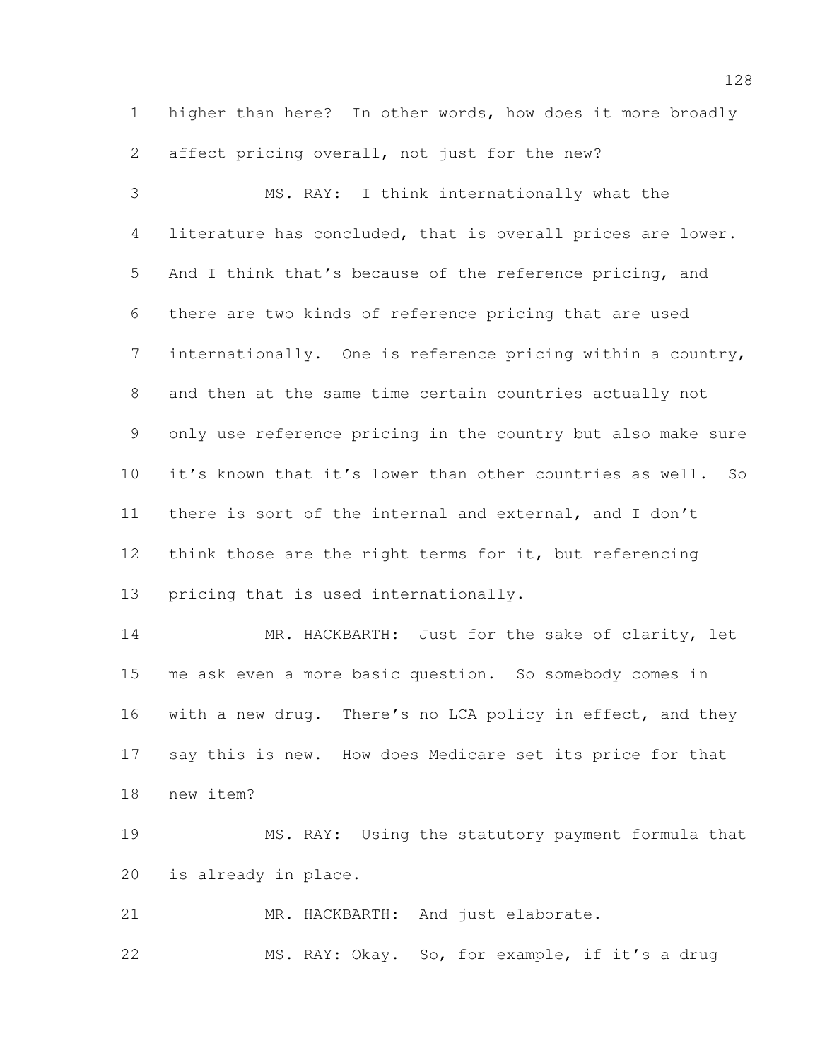higher than here? In other words, how does it more broadly affect pricing overall, not just for the new?

 MS. RAY: I think internationally what the literature has concluded, that is overall prices are lower. And I think that's because of the reference pricing, and there are two kinds of reference pricing that are used internationally. One is reference pricing within a country, and then at the same time certain countries actually not only use reference pricing in the country but also make sure it's known that it's lower than other countries as well. So there is sort of the internal and external, and I don't think those are the right terms for it, but referencing pricing that is used internationally.

14 MR. HACKBARTH: Just for the sake of clarity, let me ask even a more basic question. So somebody comes in with a new drug. There's no LCA policy in effect, and they say this is new. How does Medicare set its price for that new item?

 MS. RAY: Using the statutory payment formula that is already in place.

21 MR. HACKBARTH: And just elaborate.

MS. RAY: Okay. So, for example, if it's a drug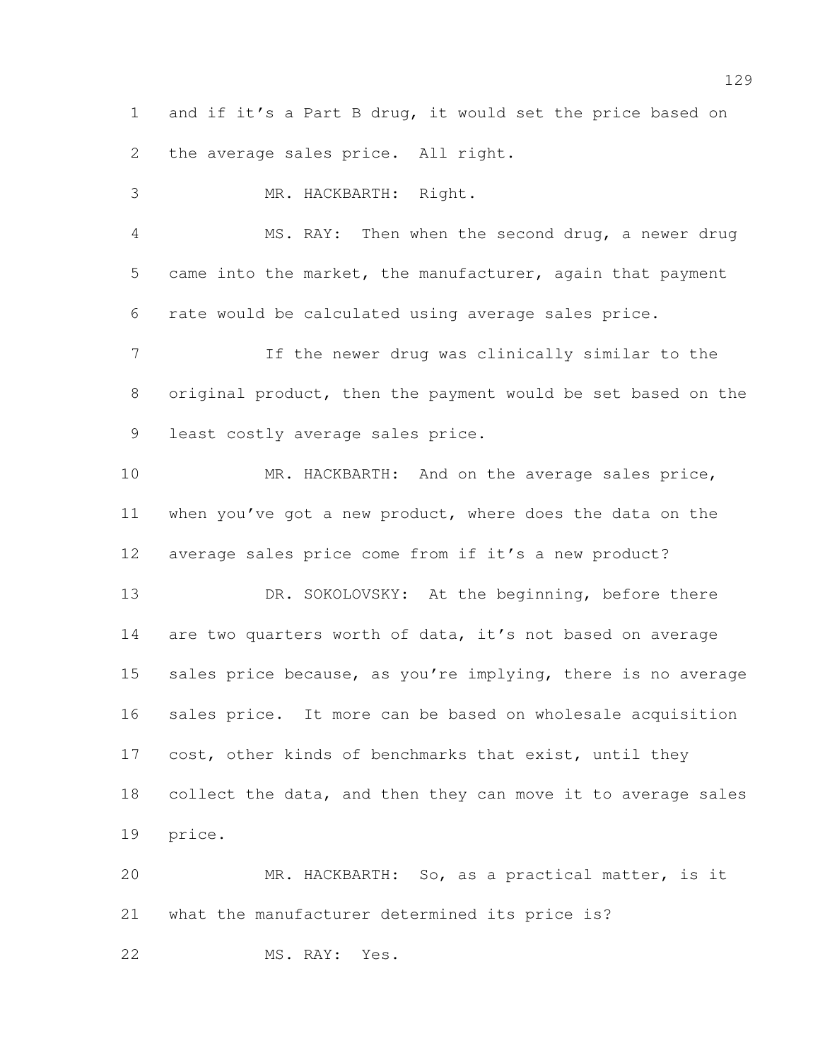and if it's a Part B drug, it would set the price based on the average sales price. All right.

 MR. HACKBARTH: Right. MS. RAY: Then when the second drug, a newer drug

 came into the market, the manufacturer, again that payment rate would be calculated using average sales price.

 If the newer drug was clinically similar to the original product, then the payment would be set based on the least costly average sales price.

10 MR. HACKBARTH: And on the average sales price, when you've got a new product, where does the data on the average sales price come from if it's a new product?

13 DR. SOKOLOVSKY: At the beginning, before there 14 are two quarters worth of data, it's not based on average 15 sales price because, as you're implying, there is no average sales price. It more can be based on wholesale acquisition 17 cost, other kinds of benchmarks that exist, until they collect the data, and then they can move it to average sales price.

 MR. HACKBARTH: So, as a practical matter, is it what the manufacturer determined its price is?

MS. RAY: Yes.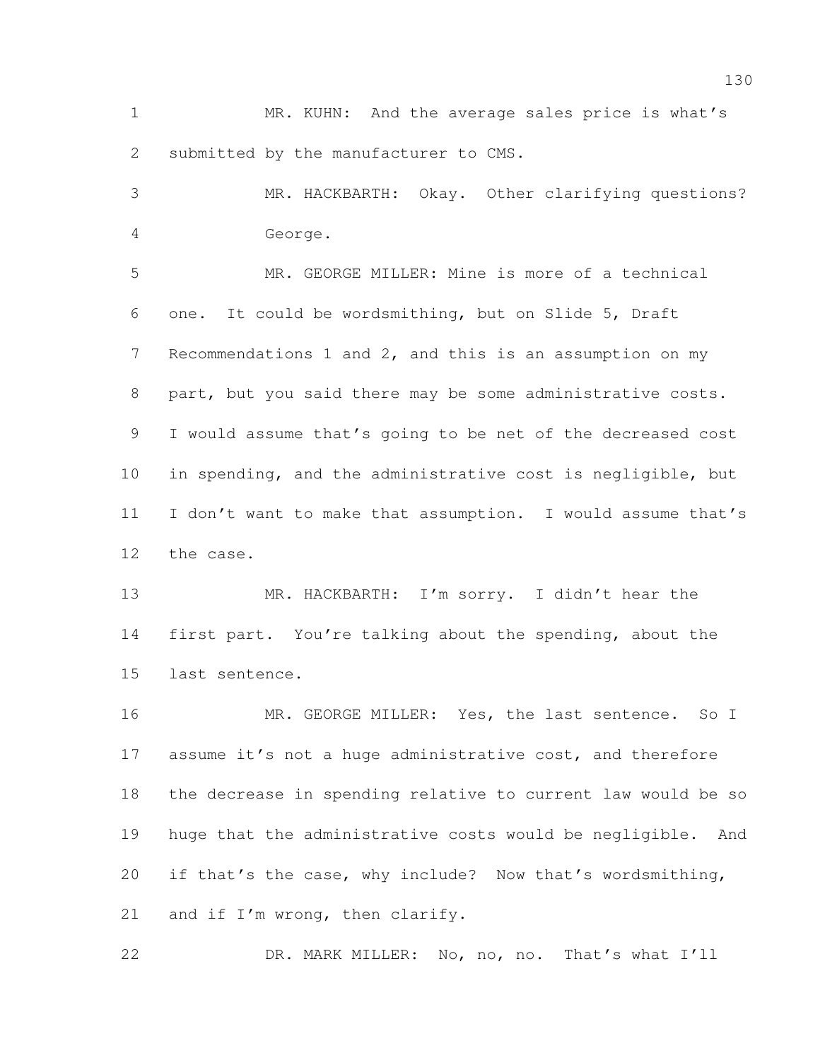MR. KUHN: And the average sales price is what's submitted by the manufacturer to CMS.

 MR. HACKBARTH: Okay. Other clarifying questions? George.

 MR. GEORGE MILLER: Mine is more of a technical one. It could be wordsmithing, but on Slide 5, Draft Recommendations 1 and 2, and this is an assumption on my part, but you said there may be some administrative costs. I would assume that's going to be net of the decreased cost in spending, and the administrative cost is negligible, but I don't want to make that assumption. I would assume that's the case.

 MR. HACKBARTH: I'm sorry. I didn't hear the first part. You're talking about the spending, about the last sentence.

16 MR. GEORGE MILLER: Yes, the last sentence. So I 17 assume it's not a huge administrative cost, and therefore the decrease in spending relative to current law would be so huge that the administrative costs would be negligible. And if that's the case, why include? Now that's wordsmithing, 21 and if I'm wrong, then clarify.

DR. MARK MILLER: No, no, no. That's what I'll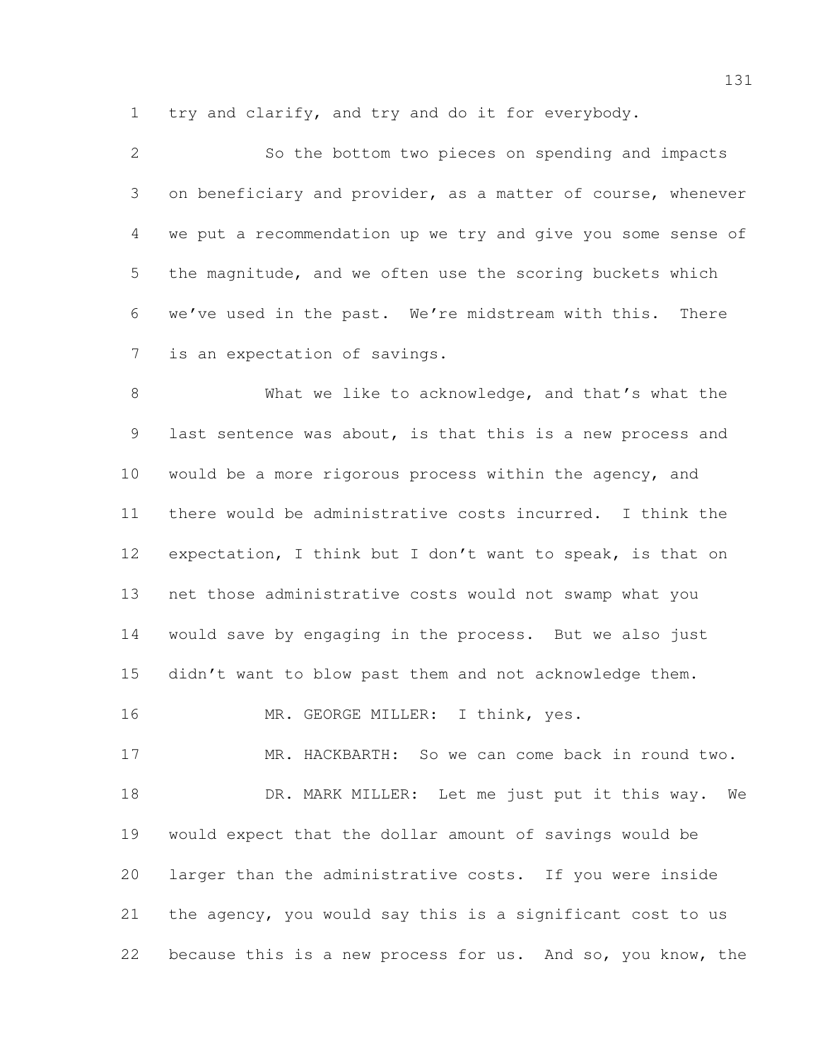try and clarify, and try and do it for everybody.

 So the bottom two pieces on spending and impacts on beneficiary and provider, as a matter of course, whenever we put a recommendation up we try and give you some sense of the magnitude, and we often use the scoring buckets which we've used in the past. We're midstream with this. There is an expectation of savings.

 What we like to acknowledge, and that's what the last sentence was about, is that this is a new process and would be a more rigorous process within the agency, and there would be administrative costs incurred. I think the expectation, I think but I don't want to speak, is that on net those administrative costs would not swamp what you would save by engaging in the process. But we also just didn't want to blow past them and not acknowledge them.

16 MR. GEORGE MILLER: I think, yes.

 MR. HACKBARTH: So we can come back in round two. 18 DR. MARK MILLER: Let me just put it this way. We would expect that the dollar amount of savings would be larger than the administrative costs. If you were inside the agency, you would say this is a significant cost to us because this is a new process for us. And so, you know, the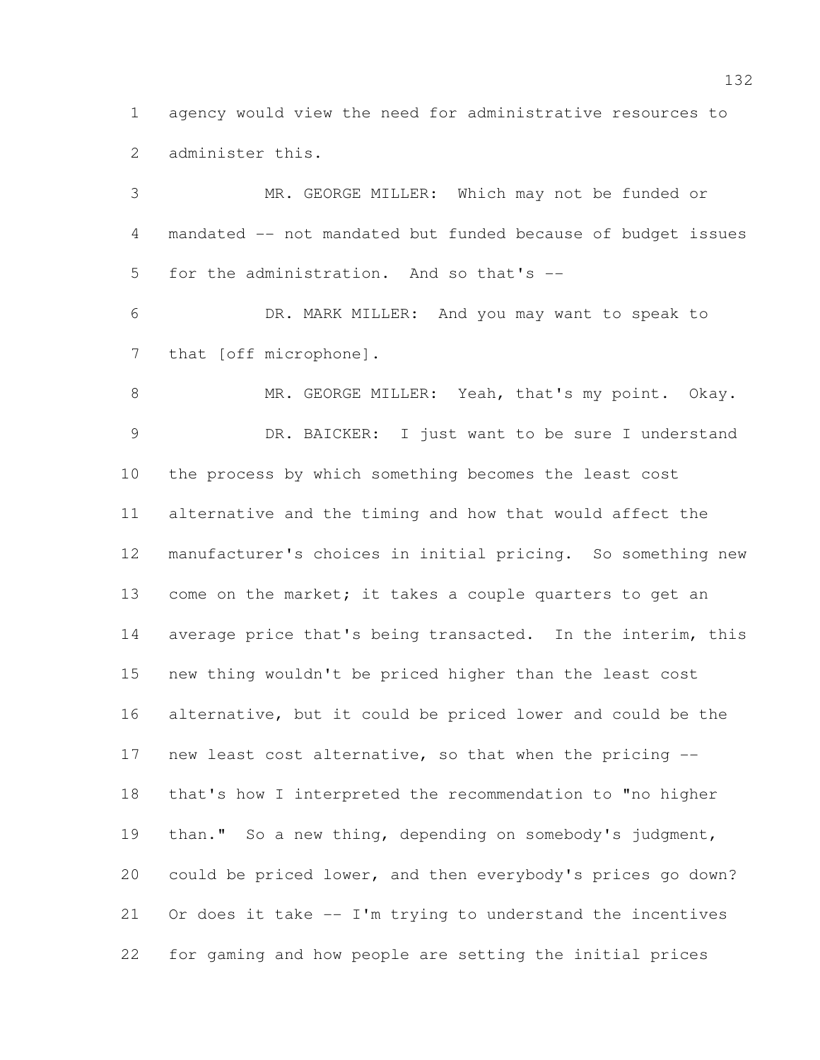agency would view the need for administrative resources to administer this.

 MR. GEORGE MILLER: Which may not be funded or mandated -- not mandated but funded because of budget issues for the administration. And so that's -- DR. MARK MILLER: And you may want to speak to 7 that [off microphone]. 8 MR. GEORGE MILLER: Yeah, that's my point. Okay. 9 DR. BAICKER: I just want to be sure I understand the process by which something becomes the least cost alternative and the timing and how that would affect the manufacturer's choices in initial pricing. So something new 13 come on the market; it takes a couple quarters to get an 14 average price that's being transacted. In the interim, this new thing wouldn't be priced higher than the least cost alternative, but it could be priced lower and could be the new least cost alternative, so that when the pricing -- that's how I interpreted the recommendation to "no higher than." So a new thing, depending on somebody's judgment, could be priced lower, and then everybody's prices go down? Or does it take -- I'm trying to understand the incentives for gaming and how people are setting the initial prices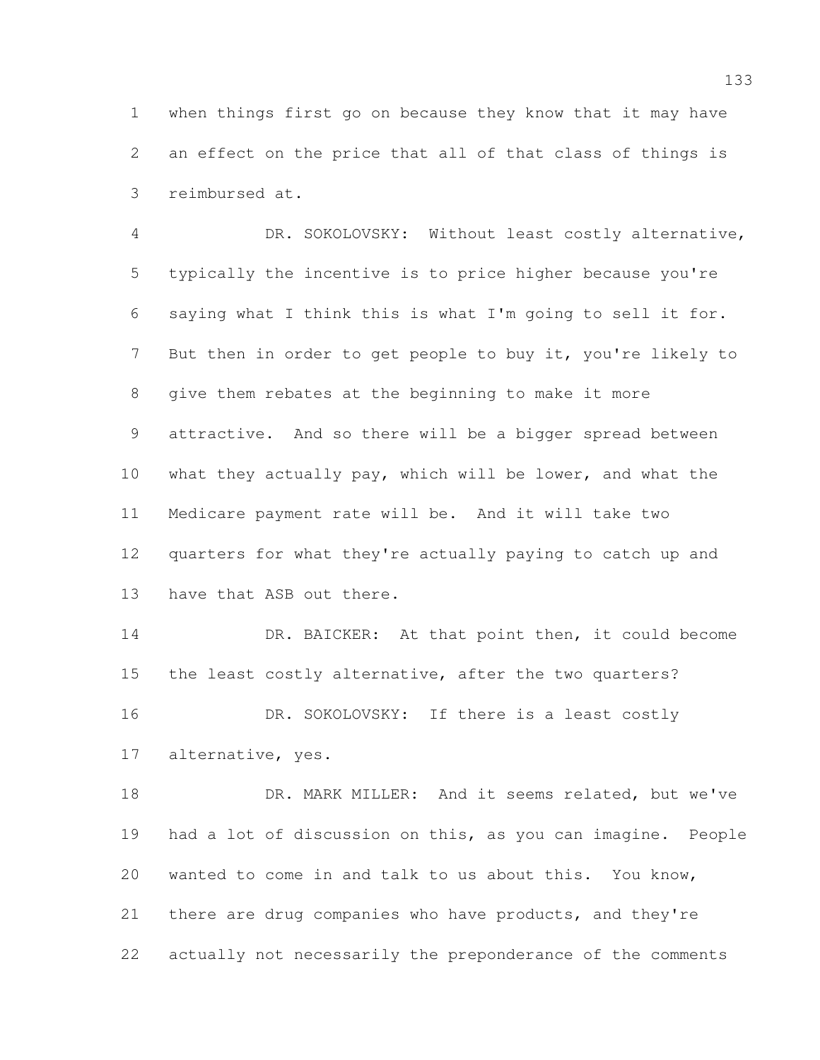when things first go on because they know that it may have an effect on the price that all of that class of things is reimbursed at.

 DR. SOKOLOVSKY: Without least costly alternative, typically the incentive is to price higher because you're saying what I think this is what I'm going to sell it for. But then in order to get people to buy it, you're likely to give them rebates at the beginning to make it more attractive. And so there will be a bigger spread between what they actually pay, which will be lower, and what the Medicare payment rate will be. And it will take two quarters for what they're actually paying to catch up and have that ASB out there.

14 DR. BAICKER: At that point then, it could become the least costly alternative, after the two quarters? 16 DR. SOKOLOVSKY: If there is a least costly alternative, yes.

18 DR. MARK MILLER: And it seems related, but we've had a lot of discussion on this, as you can imagine. People wanted to come in and talk to us about this. You know, there are drug companies who have products, and they're actually not necessarily the preponderance of the comments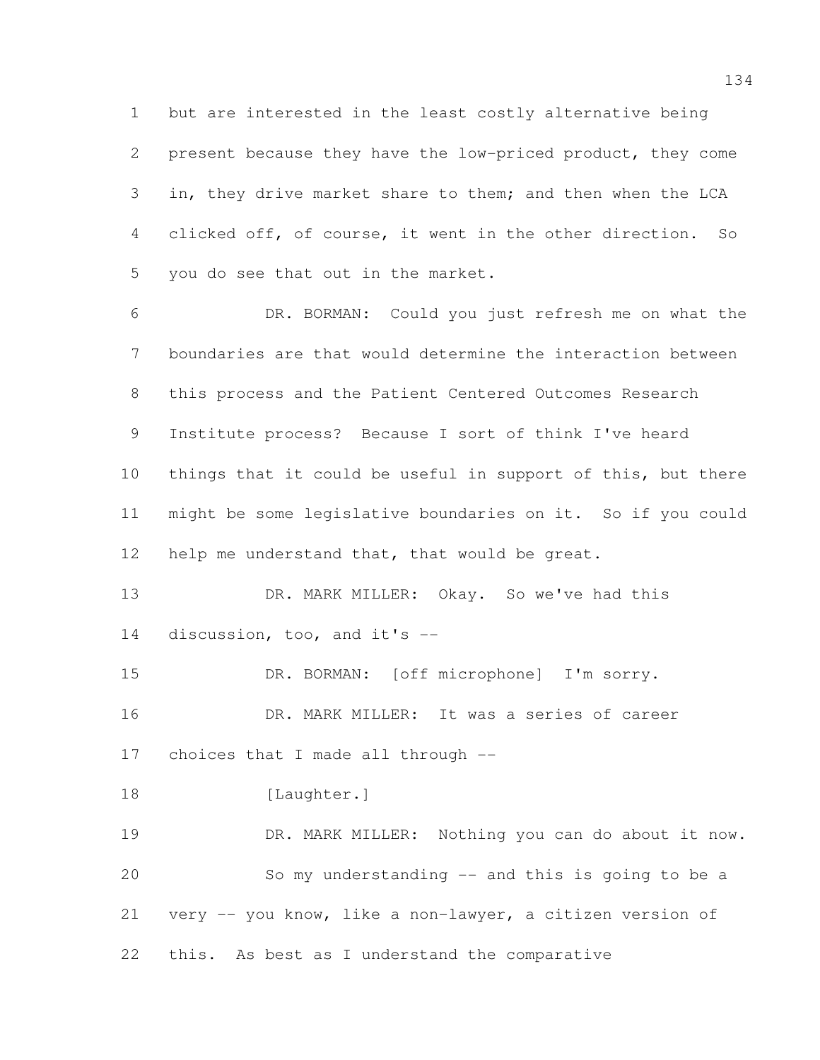but are interested in the least costly alternative being present because they have the low-priced product, they come in, they drive market share to them; and then when the LCA clicked off, of course, it went in the other direction. So you do see that out in the market.

 DR. BORMAN: Could you just refresh me on what the boundaries are that would determine the interaction between this process and the Patient Centered Outcomes Research Institute process? Because I sort of think I've heard things that it could be useful in support of this, but there might be some legislative boundaries on it. So if you could help me understand that, that would be great.

13 DR. MARK MILLER: Okay. So we've had this discussion, too, and it's --

 DR. BORMAN: [off microphone] I'm sorry. DR. MARK MILLER: It was a series of career choices that I made all through -- 18 [Laughter.]

 DR. MARK MILLER: Nothing you can do about it now. So my understanding -- and this is going to be a very -- you know, like a non-lawyer, a citizen version of this. As best as I understand the comparative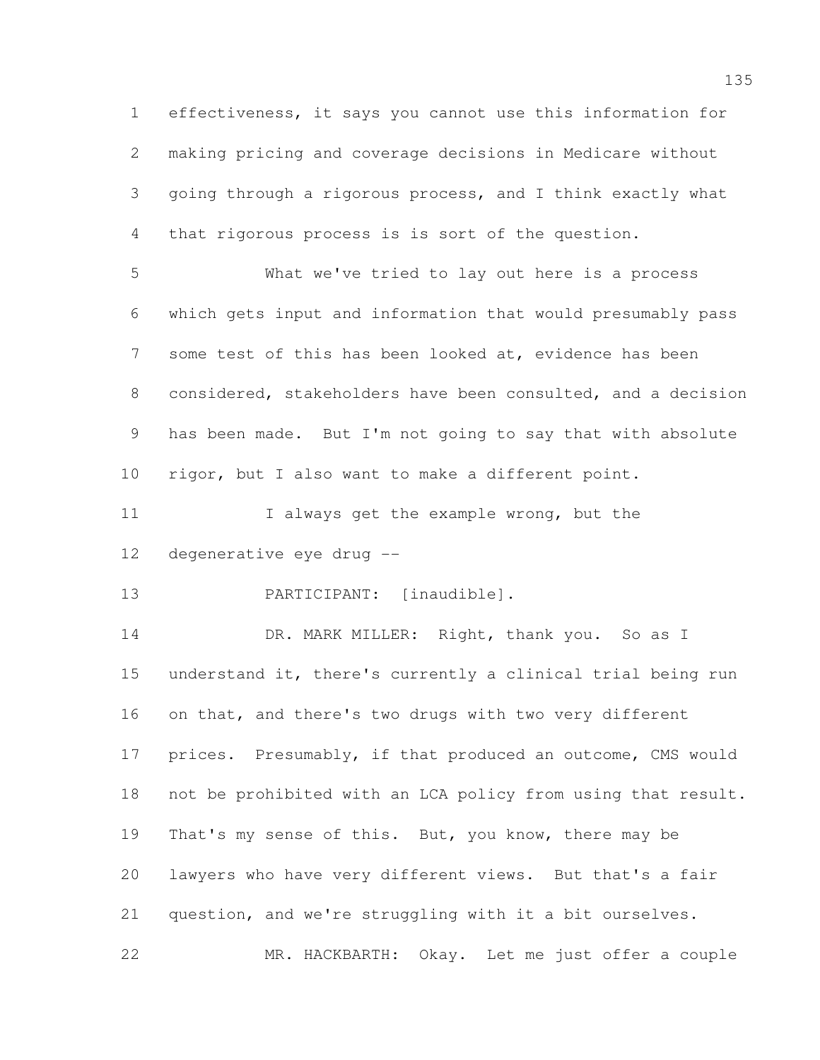effectiveness, it says you cannot use this information for making pricing and coverage decisions in Medicare without going through a rigorous process, and I think exactly what that rigorous process is is sort of the question. What we've tried to lay out here is a process

 which gets input and information that would presumably pass 7 some test of this has been looked at, evidence has been considered, stakeholders have been consulted, and a decision has been made. But I'm not going to say that with absolute rigor, but I also want to make a different point.

11 I always get the example wrong, but the degenerative eye drug --

PARTICIPANT: [inaudible].

14 DR. MARK MILLER: Right, thank you. So as I understand it, there's currently a clinical trial being run on that, and there's two drugs with two very different prices. Presumably, if that produced an outcome, CMS would not be prohibited with an LCA policy from using that result. 19 That's my sense of this. But, you know, there may be lawyers who have very different views. But that's a fair question, and we're struggling with it a bit ourselves. MR. HACKBARTH: Okay. Let me just offer a couple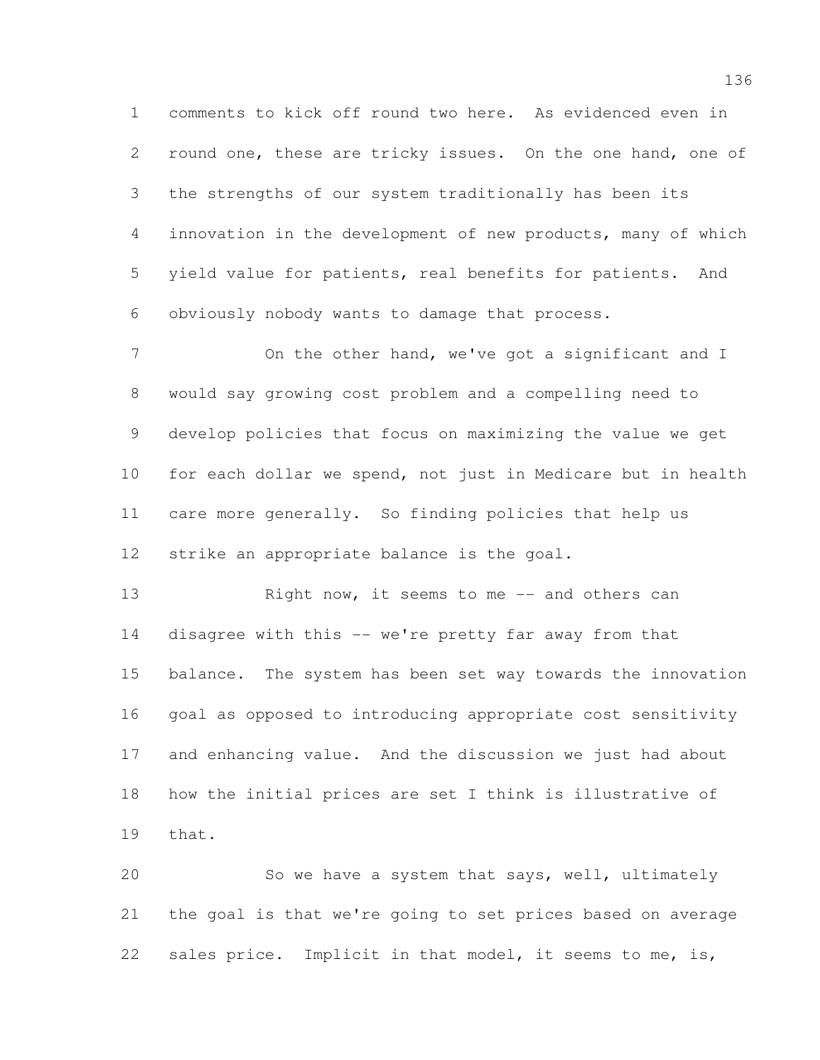comments to kick off round two here. As evidenced even in round one, these are tricky issues. On the one hand, one of the strengths of our system traditionally has been its innovation in the development of new products, many of which yield value for patients, real benefits for patients. And obviously nobody wants to damage that process.

7 On the other hand, we've got a significant and I would say growing cost problem and a compelling need to develop policies that focus on maximizing the value we get for each dollar we spend, not just in Medicare but in health care more generally. So finding policies that help us strike an appropriate balance is the goal.

13 Right now, it seems to me -- and others can disagree with this -- we're pretty far away from that balance. The system has been set way towards the innovation goal as opposed to introducing appropriate cost sensitivity and enhancing value. And the discussion we just had about how the initial prices are set I think is illustrative of that.

 So we have a system that says, well, ultimately the goal is that we're going to set prices based on average sales price. Implicit in that model, it seems to me, is,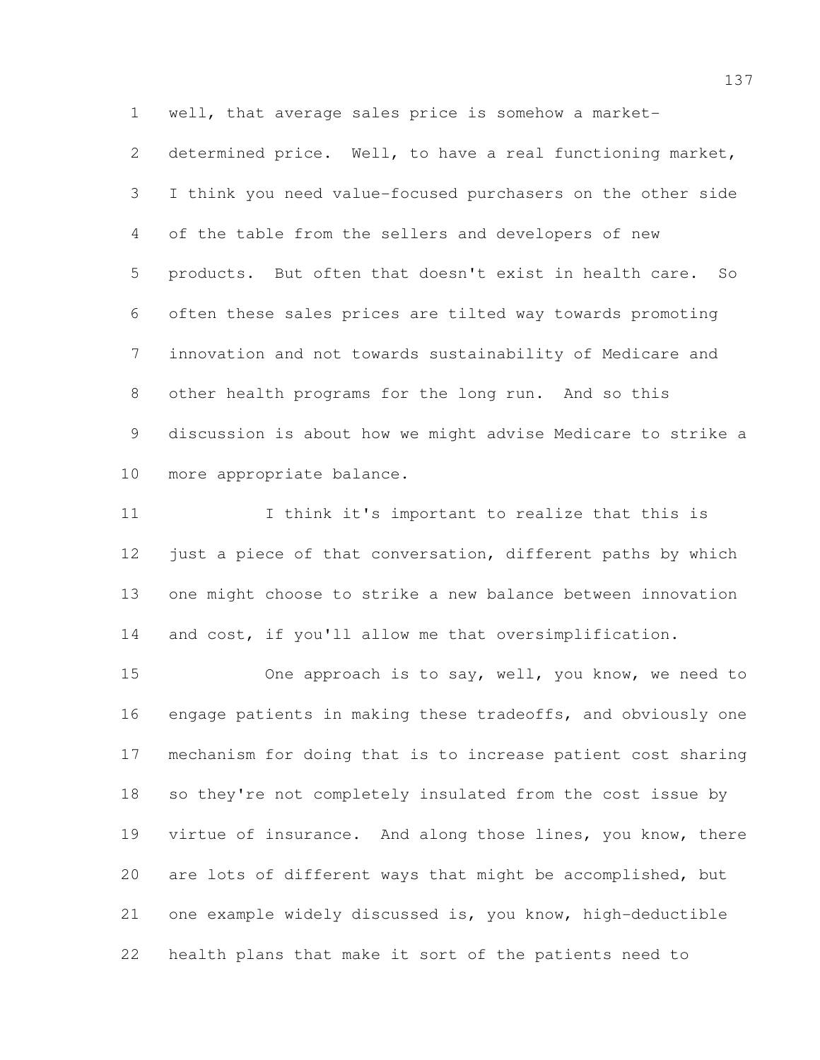well, that average sales price is somehow a market-

 determined price. Well, to have a real functioning market, I think you need value-focused purchasers on the other side of the table from the sellers and developers of new products. But often that doesn't exist in health care. So often these sales prices are tilted way towards promoting innovation and not towards sustainability of Medicare and other health programs for the long run. And so this discussion is about how we might advise Medicare to strike a more appropriate balance.

 I think it's important to realize that this is 12 just a piece of that conversation, different paths by which one might choose to strike a new balance between innovation and cost, if you'll allow me that oversimplification.

 One approach is to say, well, you know, we need to engage patients in making these tradeoffs, and obviously one mechanism for doing that is to increase patient cost sharing so they're not completely insulated from the cost issue by virtue of insurance. And along those lines, you know, there are lots of different ways that might be accomplished, but one example widely discussed is, you know, high-deductible health plans that make it sort of the patients need to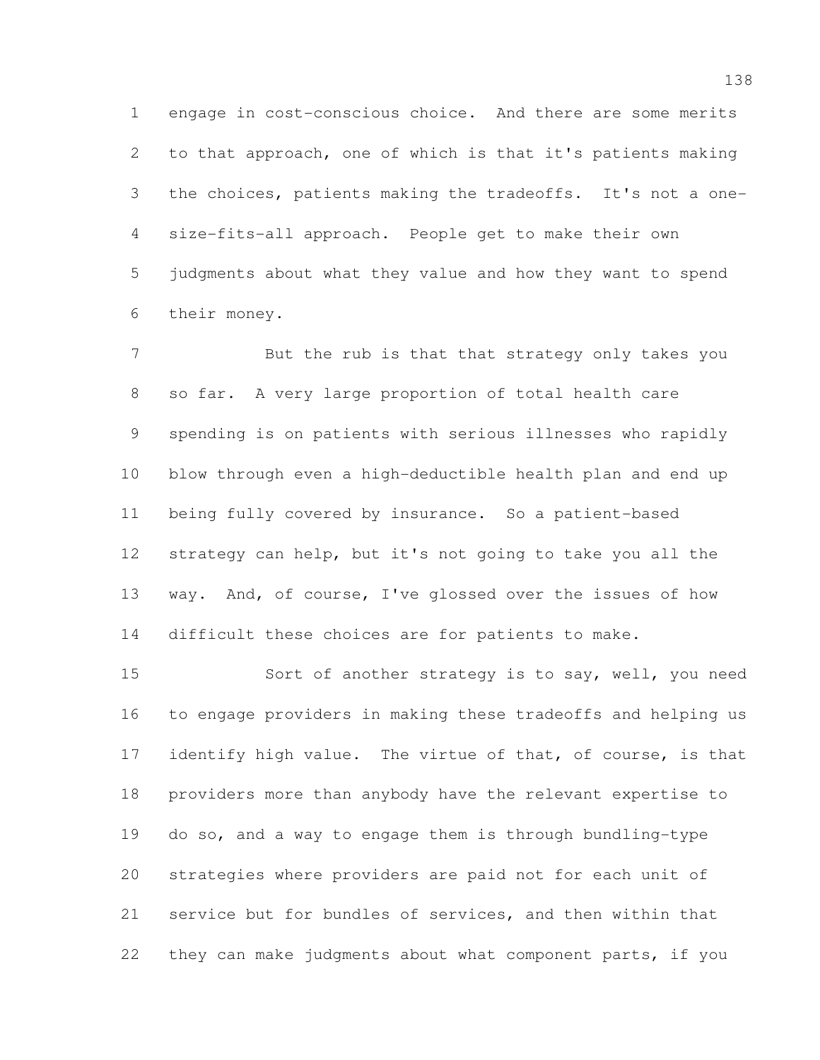engage in cost-conscious choice. And there are some merits to that approach, one of which is that it's patients making the choices, patients making the tradeoffs. It's not a one- size-fits-all approach. People get to make their own judgments about what they value and how they want to spend their money.

 But the rub is that that strategy only takes you so far. A very large proportion of total health care spending is on patients with serious illnesses who rapidly blow through even a high-deductible health plan and end up being fully covered by insurance. So a patient-based strategy can help, but it's not going to take you all the way. And, of course, I've glossed over the issues of how difficult these choices are for patients to make.

 Sort of another strategy is to say, well, you need to engage providers in making these tradeoffs and helping us 17 identify high value. The virtue of that, of course, is that providers more than anybody have the relevant expertise to do so, and a way to engage them is through bundling-type strategies where providers are paid not for each unit of service but for bundles of services, and then within that they can make judgments about what component parts, if you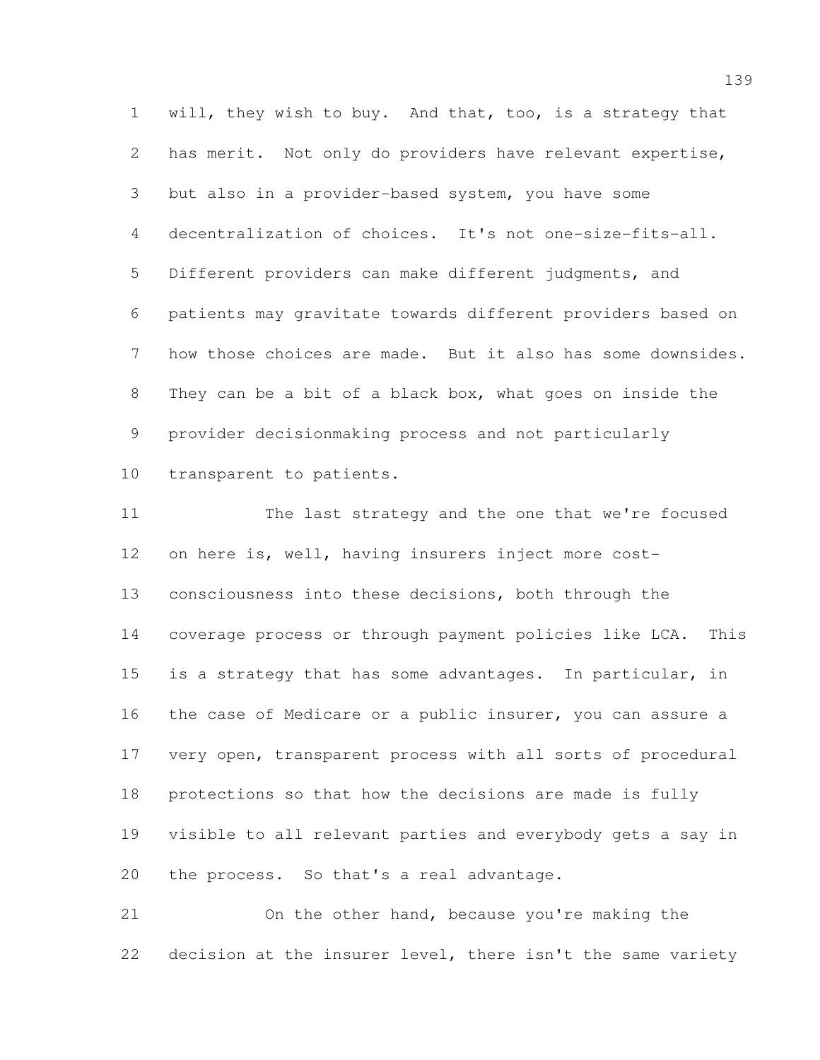will, they wish to buy. And that, too, is a strategy that has merit. Not only do providers have relevant expertise, but also in a provider-based system, you have some decentralization of choices. It's not one-size-fits-all. Different providers can make different judgments, and patients may gravitate towards different providers based on how those choices are made. But it also has some downsides. They can be a bit of a black box, what goes on inside the provider decisionmaking process and not particularly transparent to patients.

 The last strategy and the one that we're focused on here is, well, having insurers inject more cost- consciousness into these decisions, both through the coverage process or through payment policies like LCA. This 15 is a strategy that has some advantages. In particular, in the case of Medicare or a public insurer, you can assure a very open, transparent process with all sorts of procedural protections so that how the decisions are made is fully visible to all relevant parties and everybody gets a say in the process. So that's a real advantage.

 On the other hand, because you're making the decision at the insurer level, there isn't the same variety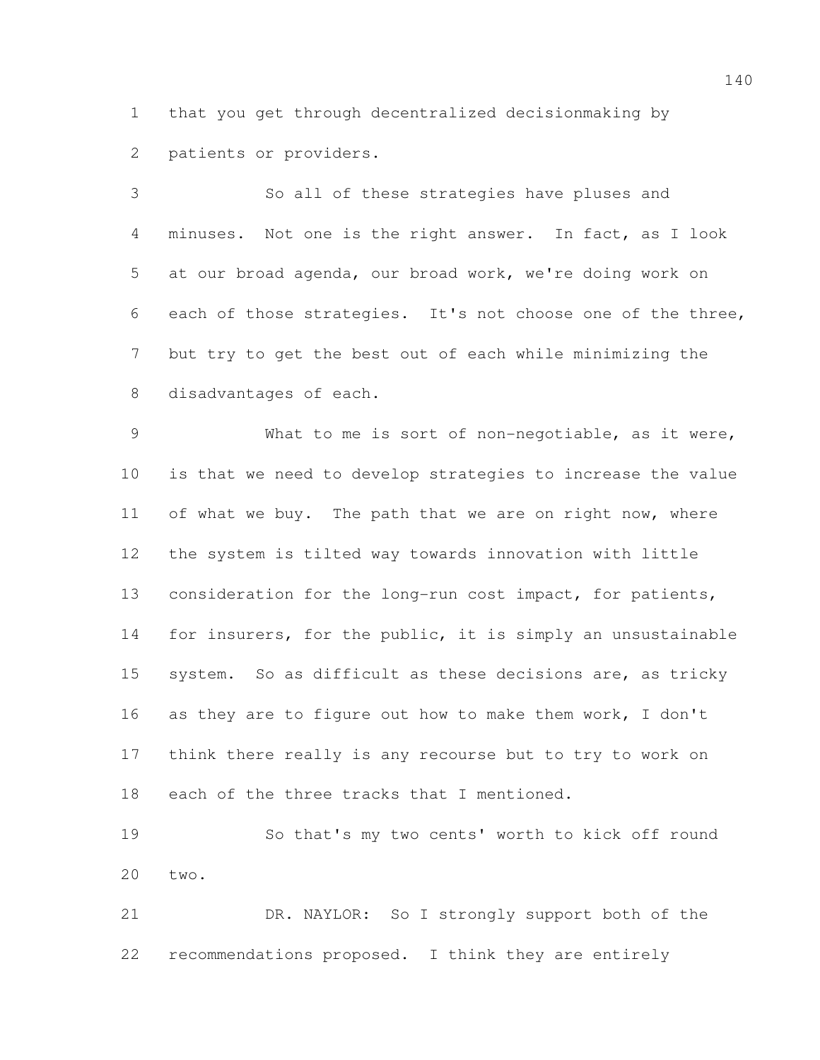that you get through decentralized decisionmaking by patients or providers.

 So all of these strategies have pluses and minuses. Not one is the right answer. In fact, as I look at our broad agenda, our broad work, we're doing work on each of those strategies. It's not choose one of the three, but try to get the best out of each while minimizing the disadvantages of each.

 What to me is sort of non-negotiable, as it were, is that we need to develop strategies to increase the value 11 of what we buy. The path that we are on right now, where the system is tilted way towards innovation with little consideration for the long-run cost impact, for patients, for insurers, for the public, it is simply an unsustainable system. So as difficult as these decisions are, as tricky as they are to figure out how to make them work, I don't think there really is any recourse but to try to work on each of the three tracks that I mentioned.

 So that's my two cents' worth to kick off round two.

 DR. NAYLOR: So I strongly support both of the recommendations proposed. I think they are entirely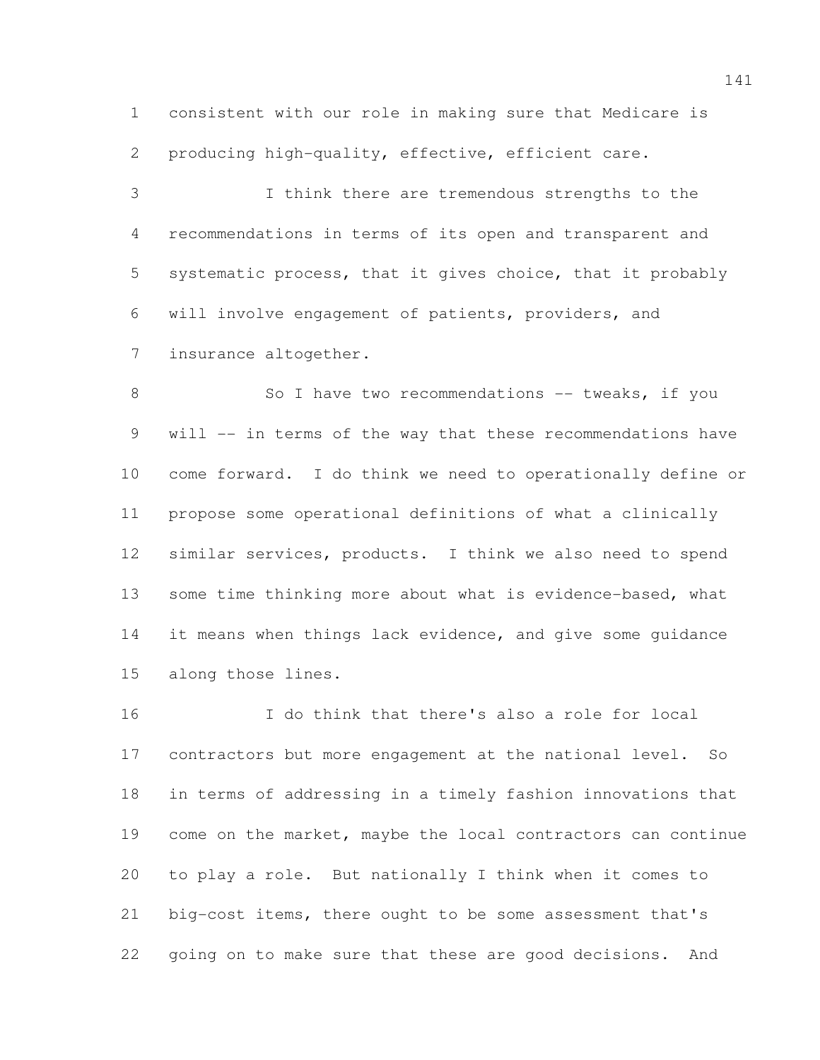consistent with our role in making sure that Medicare is producing high-quality, effective, efficient care.

 I think there are tremendous strengths to the recommendations in terms of its open and transparent and systematic process, that it gives choice, that it probably will involve engagement of patients, providers, and insurance altogether.

8 So I have two recommendations -- tweaks, if you will -- in terms of the way that these recommendations have come forward. I do think we need to operationally define or propose some operational definitions of what a clinically similar services, products. I think we also need to spend 13 some time thinking more about what is evidence-based, what 14 it means when things lack evidence, and give some quidance along those lines.

 I do think that there's also a role for local contractors but more engagement at the national level. So in terms of addressing in a timely fashion innovations that come on the market, maybe the local contractors can continue to play a role. But nationally I think when it comes to big-cost items, there ought to be some assessment that's going on to make sure that these are good decisions. And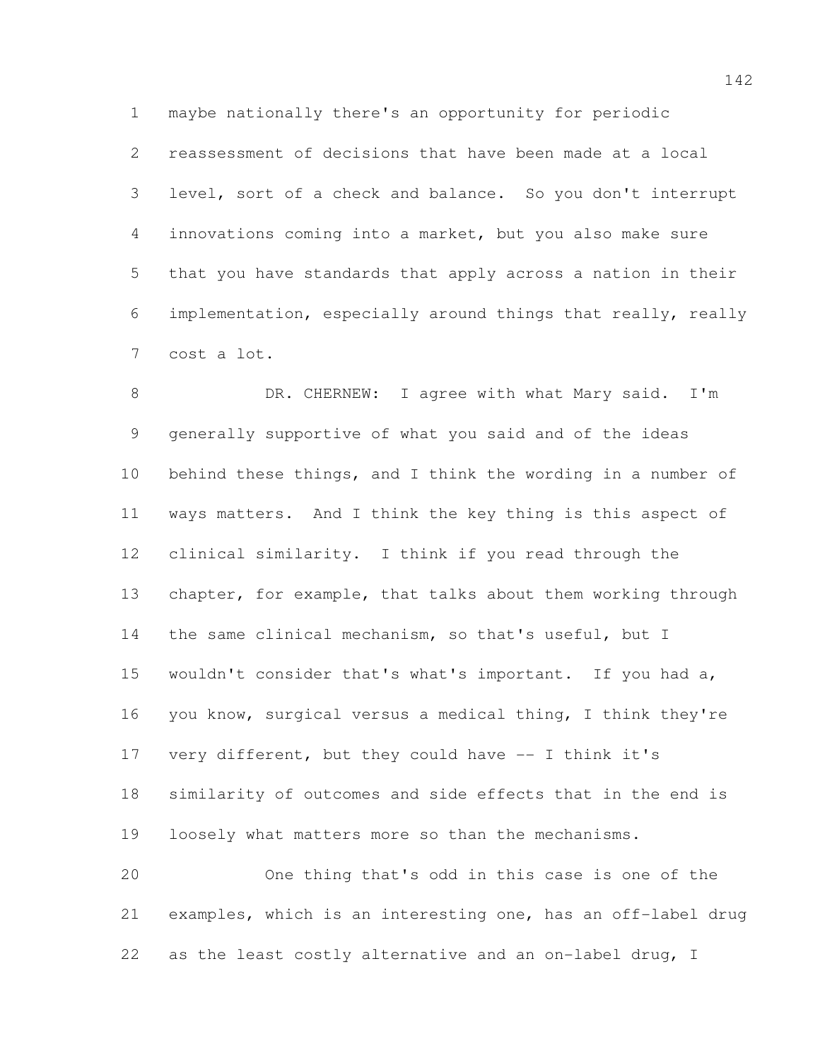maybe nationally there's an opportunity for periodic

 reassessment of decisions that have been made at a local level, sort of a check and balance. So you don't interrupt innovations coming into a market, but you also make sure that you have standards that apply across a nation in their implementation, especially around things that really, really cost a lot.

8 DR. CHERNEW: I agree with what Mary said. I'm generally supportive of what you said and of the ideas behind these things, and I think the wording in a number of ways matters. And I think the key thing is this aspect of clinical similarity. I think if you read through the chapter, for example, that talks about them working through 14 the same clinical mechanism, so that's useful, but I wouldn't consider that's what's important. If you had a, you know, surgical versus a medical thing, I think they're very different, but they could have -- I think it's similarity of outcomes and side effects that in the end is loosely what matters more so than the mechanisms. One thing that's odd in this case is one of the examples, which is an interesting one, has an off-label drug

as the least costly alternative and an on-label drug, I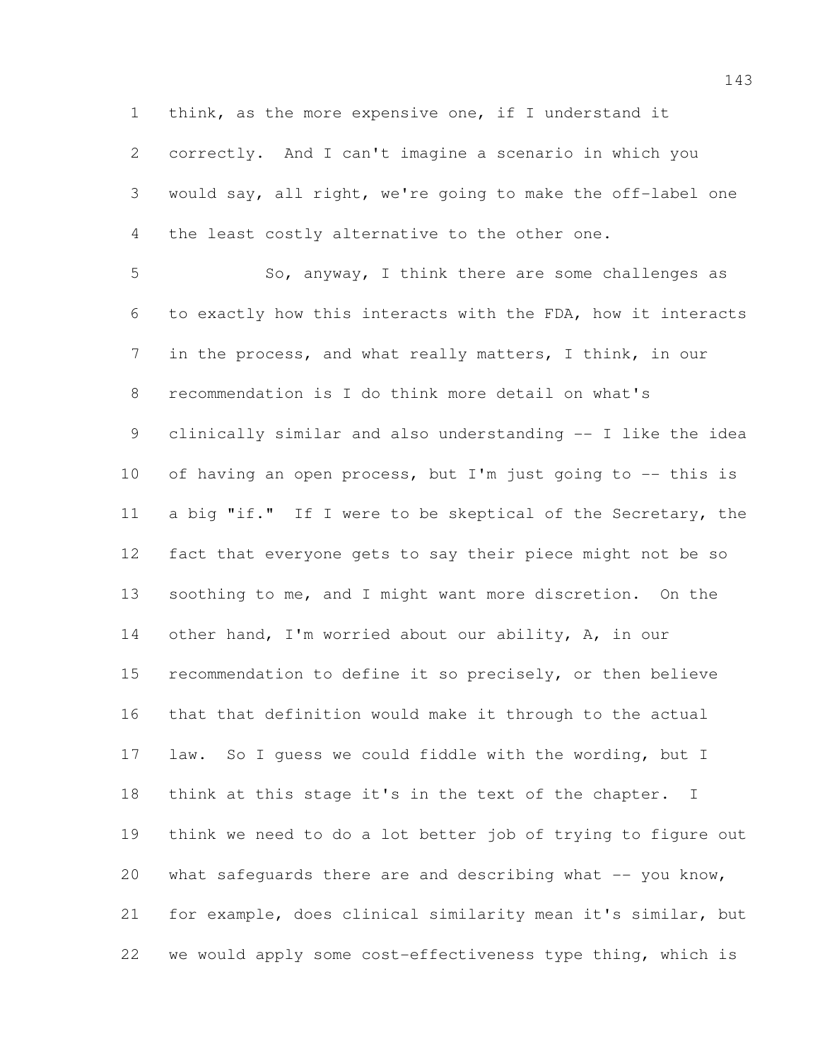think, as the more expensive one, if I understand it

 correctly. And I can't imagine a scenario in which you would say, all right, we're going to make the off-label one the least costly alternative to the other one.

 So, anyway, I think there are some challenges as to exactly how this interacts with the FDA, how it interacts in the process, and what really matters, I think, in our recommendation is I do think more detail on what's clinically similar and also understanding -- I like the idea 10 of having an open process, but I'm just going to -- this is a big "if." If I were to be skeptical of the Secretary, the fact that everyone gets to say their piece might not be so soothing to me, and I might want more discretion. On the 14 other hand, I'm worried about our ability, A, in our recommendation to define it so precisely, or then believe that that definition would make it through to the actual law. So I guess we could fiddle with the wording, but I think at this stage it's in the text of the chapter. I think we need to do a lot better job of trying to figure out 20 what safeguards there are and describing what  $-$  you know, for example, does clinical similarity mean it's similar, but we would apply some cost-effectiveness type thing, which is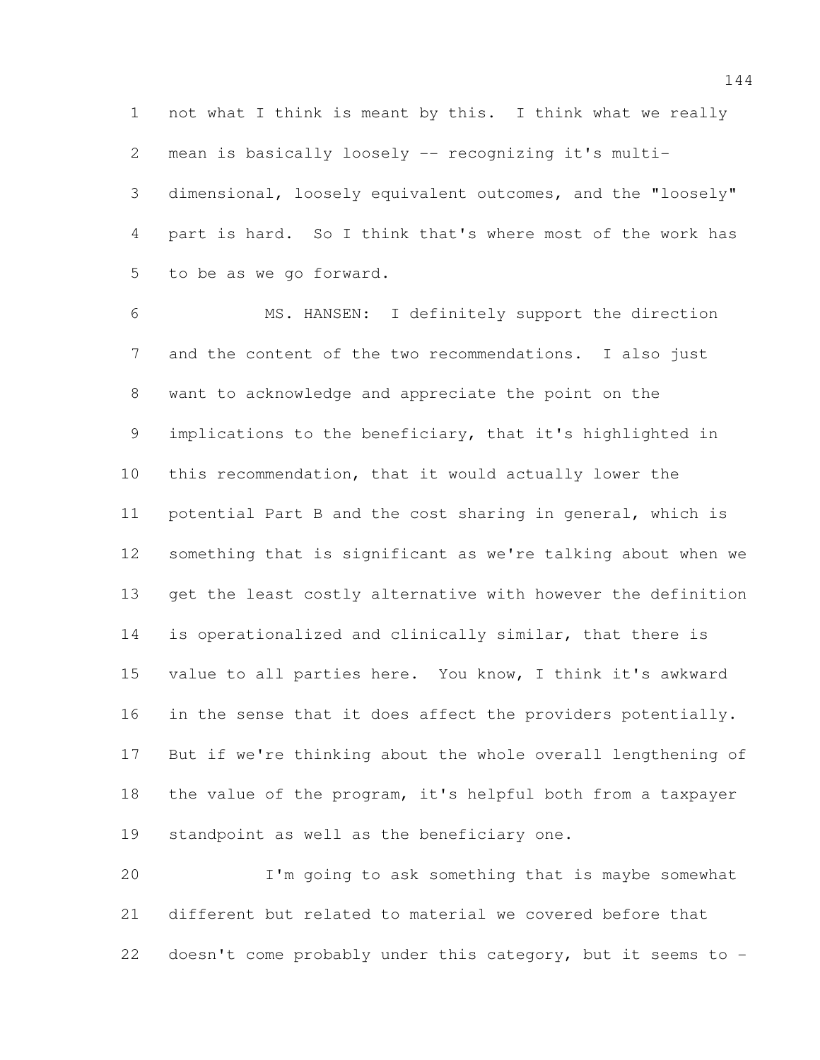not what I think is meant by this. I think what we really mean is basically loosely -- recognizing it's multi- dimensional, loosely equivalent outcomes, and the "loosely" part is hard. So I think that's where most of the work has to be as we go forward.

 MS. HANSEN: I definitely support the direction and the content of the two recommendations. I also just want to acknowledge and appreciate the point on the implications to the beneficiary, that it's highlighted in this recommendation, that it would actually lower the potential Part B and the cost sharing in general, which is something that is significant as we're talking about when we get the least costly alternative with however the definition is operationalized and clinically similar, that there is value to all parties here. You know, I think it's awkward 16 in the sense that it does affect the providers potentially. But if we're thinking about the whole overall lengthening of the value of the program, it's helpful both from a taxpayer standpoint as well as the beneficiary one.

 I'm going to ask something that is maybe somewhat different but related to material we covered before that doesn't come probably under this category, but it seems to -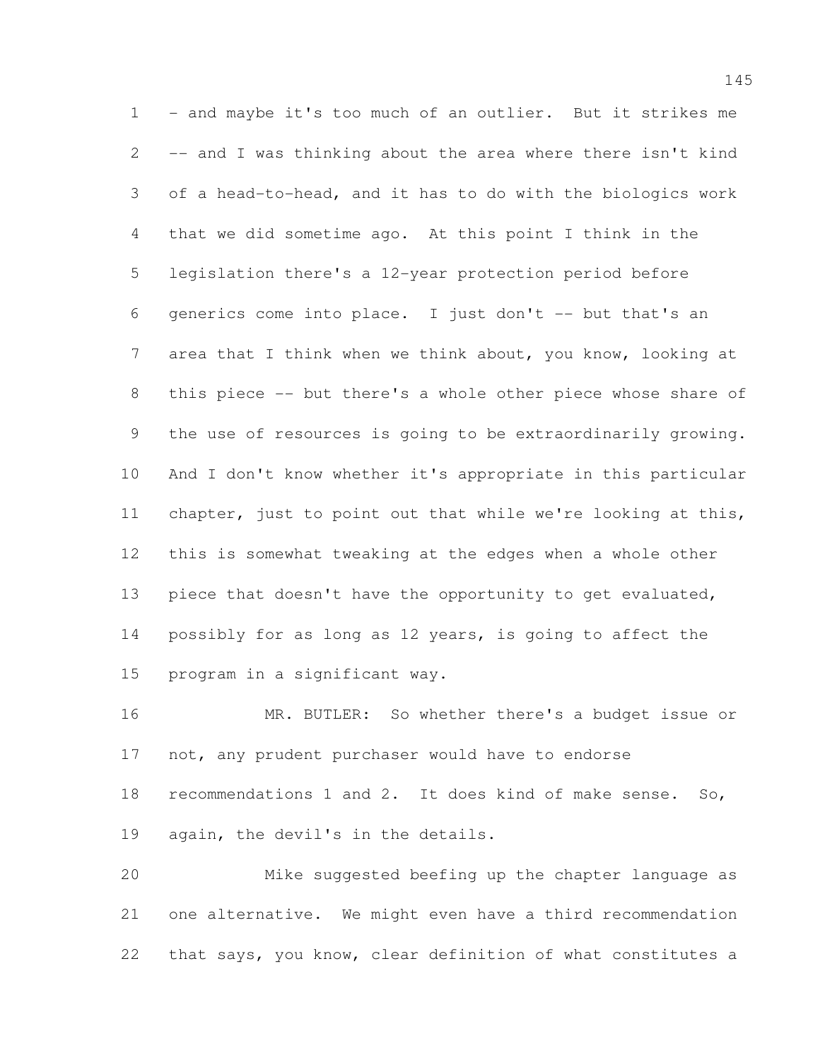1 - and maybe it's too much of an outlier. But it strikes me -- and I was thinking about the area where there isn't kind of a head-to-head, and it has to do with the biologics work that we did sometime ago. At this point I think in the legislation there's a 12-year protection period before generics come into place. I just don't -- but that's an area that I think when we think about, you know, looking at this piece -- but there's a whole other piece whose share of the use of resources is going to be extraordinarily growing. And I don't know whether it's appropriate in this particular chapter, just to point out that while we're looking at this, this is somewhat tweaking at the edges when a whole other 13 piece that doesn't have the opportunity to get evaluated, possibly for as long as 12 years, is going to affect the program in a significant way.

 MR. BUTLER: So whether there's a budget issue or 17 not, any prudent purchaser would have to endorse recommendations 1 and 2. It does kind of make sense. So, again, the devil's in the details.

 Mike suggested beefing up the chapter language as one alternative. We might even have a third recommendation that says, you know, clear definition of what constitutes a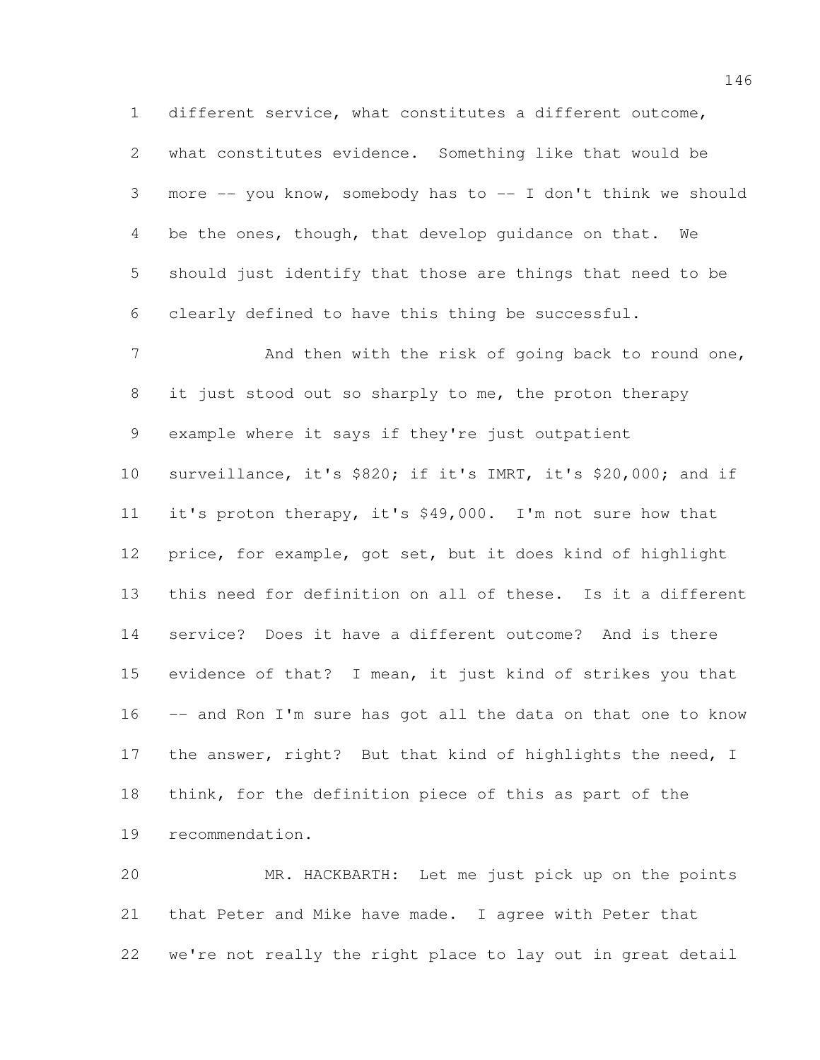different service, what constitutes a different outcome, what constitutes evidence. Something like that would be more -- you know, somebody has to -- I don't think we should be the ones, though, that develop guidance on that. We should just identify that those are things that need to be clearly defined to have this thing be successful.

7 And then with the risk of going back to round one, 8 it just stood out so sharply to me, the proton therapy example where it says if they're just outpatient surveillance, it's \$820; if it's IMRT, it's \$20,000; and if it's proton therapy, it's \$49,000. I'm not sure how that price, for example, got set, but it does kind of highlight this need for definition on all of these. Is it a different service? Does it have a different outcome? And is there evidence of that? I mean, it just kind of strikes you that -- and Ron I'm sure has got all the data on that one to know 17 the answer, right? But that kind of highlights the need, I think, for the definition piece of this as part of the recommendation.

 MR. HACKBARTH: Let me just pick up on the points that Peter and Mike have made. I agree with Peter that we're not really the right place to lay out in great detail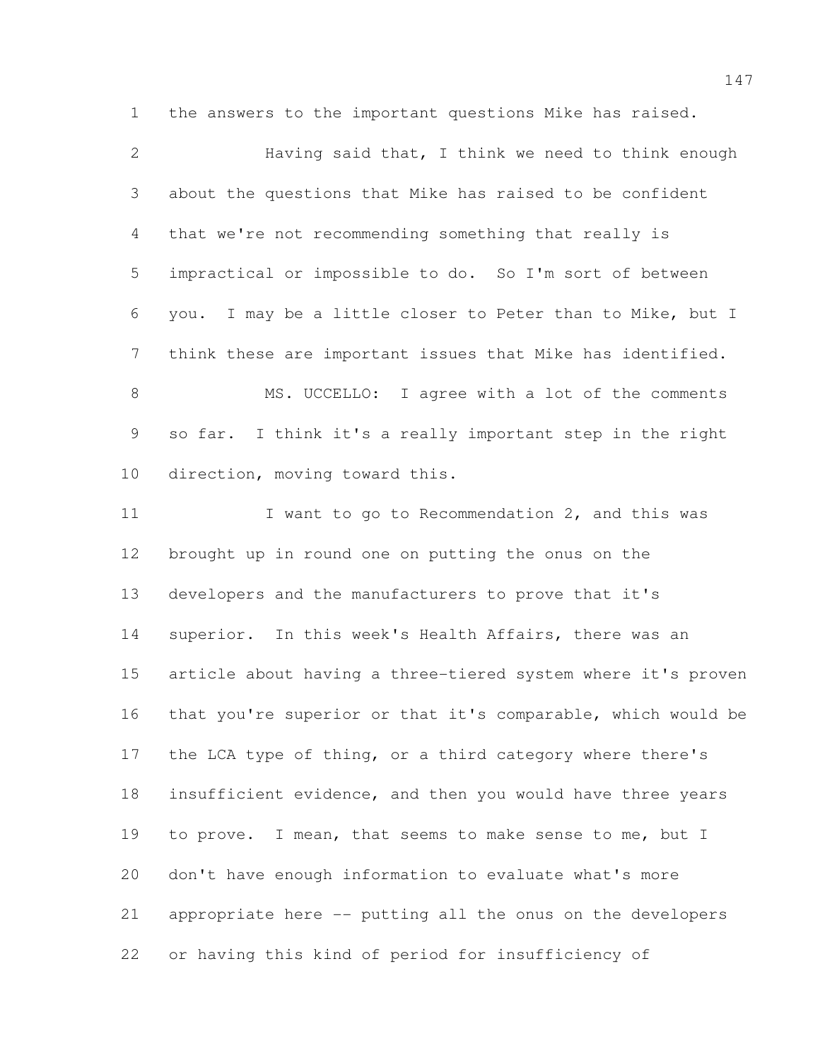the answers to the important questions Mike has raised.

 Having said that, I think we need to think enough about the questions that Mike has raised to be confident that we're not recommending something that really is impractical or impossible to do. So I'm sort of between you. I may be a little closer to Peter than to Mike, but I think these are important issues that Mike has identified. MS. UCCELLO: I agree with a lot of the comments so far. I think it's a really important step in the right direction, moving toward this. 11 I want to go to Recommendation 2, and this was brought up in round one on putting the onus on the developers and the manufacturers to prove that it's superior. In this week's Health Affairs, there was an article about having a three-tiered system where it's proven that you're superior or that it's comparable, which would be the LCA type of thing, or a third category where there's insufficient evidence, and then you would have three years to prove. I mean, that seems to make sense to me, but I don't have enough information to evaluate what's more appropriate here -- putting all the onus on the developers or having this kind of period for insufficiency of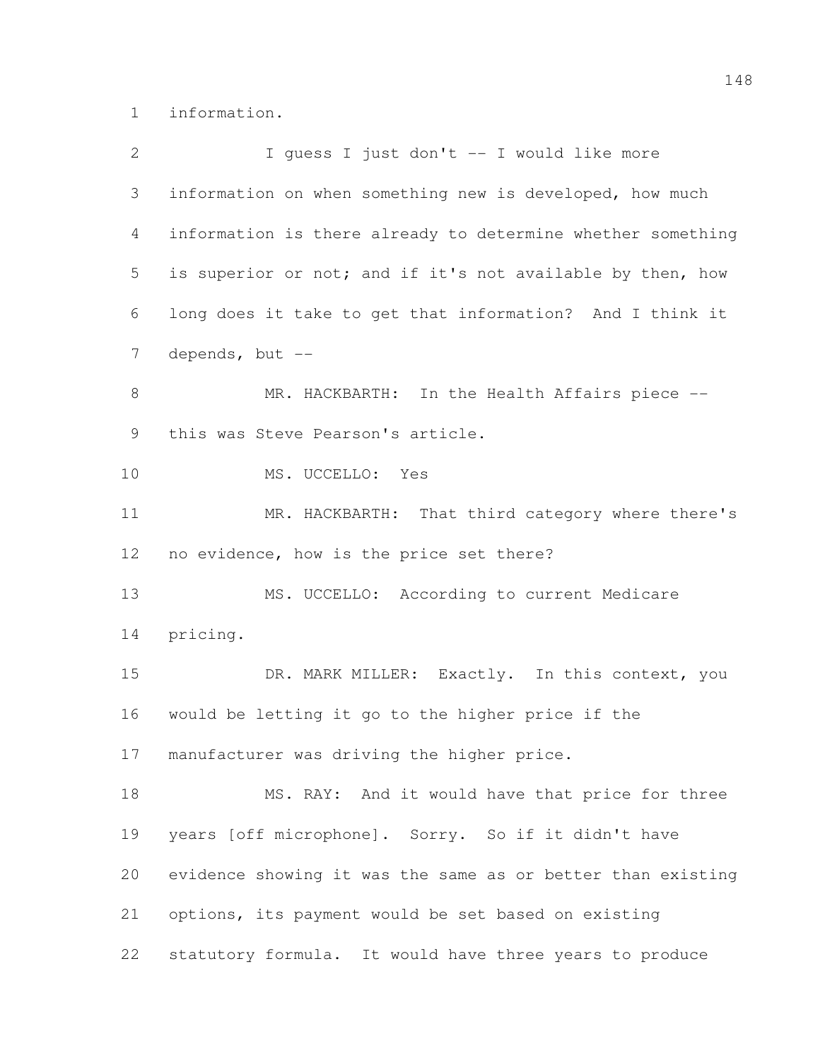information.

| $\overline{2}$ | I quess I just don't -- I would like more                   |
|----------------|-------------------------------------------------------------|
| 3              | information on when something new is developed, how much    |
| 4              | information is there already to determine whether something |
| 5              | is superior or not; and if it's not available by then, how  |
| 6              | long does it take to get that information? And I think it   |
| 7              | depends, but --                                             |
| $\,8\,$        | MR. HACKBARTH: In the Health Affairs piece --               |
| 9              | this was Steve Pearson's article.                           |
| 10             | MS. UCCELLO: Yes                                            |
| 11             | MR. HACKBARTH: That third category where there's            |
| 12             | no evidence, how is the price set there?                    |
| 13             | MS. UCCELLO: According to current Medicare                  |
| 14             | pricing.                                                    |
| 15             | DR. MARK MILLER: Exactly. In this context, you              |
| 16             | would be letting it go to the higher price if the           |
| 17             | manufacturer was driving the higher price.                  |
| 18             | MS. RAY: And it would have that price for three             |
| 19             | years [off microphone]. Sorry. So if it didn't have         |
| 20             | evidence showing it was the same as or better than existing |
| 21             | options, its payment would be set based on existing         |
| 22             | statutory formula. It would have three years to produce     |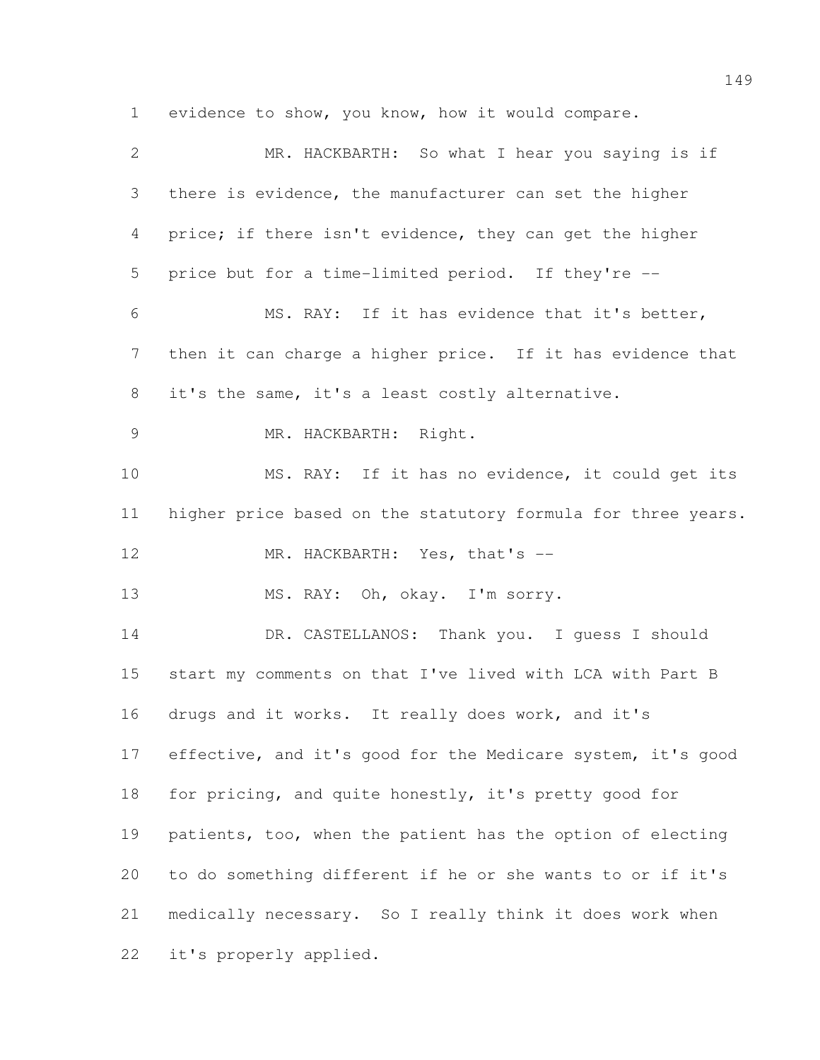evidence to show, you know, how it would compare.

| $\mathbf{2}$    | MR. HACKBARTH: So what I hear you saying is if               |
|-----------------|--------------------------------------------------------------|
| 3               | there is evidence, the manufacturer can set the higher       |
| 4               | price; if there isn't evidence, they can get the higher      |
| 5               | price but for a time-limited period. If they're --           |
| 6               | MS. RAY: If it has evidence that it's better,                |
| $7\phantom{.0}$ | then it can charge a higher price. If it has evidence that   |
| 8               | it's the same, it's a least costly alternative.              |
| $\mathcal{G}$   | MR. HACKBARTH: Right.                                        |
| 10              | MS. RAY: If it has no evidence, it could get its             |
| 11              | higher price based on the statutory formula for three years. |
| 12              | MR. HACKBARTH: Yes, that's --                                |
| 13              | MS. RAY: Oh, okay. I'm sorry.                                |
| 14              | DR. CASTELLANOS: Thank you. I guess I should                 |
| 15              | start my comments on that I've lived with LCA with Part B    |
| 16              | drugs and it works. It really does work, and it's            |
| 17              | effective, and it's good for the Medicare system, it's good  |
| 18              | for pricing, and quite honestly, it's pretty good for        |
| 19              | patients, too, when the patient has the option of electing   |
| 20              | to do something different if he or she wants to or if it's   |
| 21              | medically necessary. So I really think it does work when     |
| 22              | it's properly applied.                                       |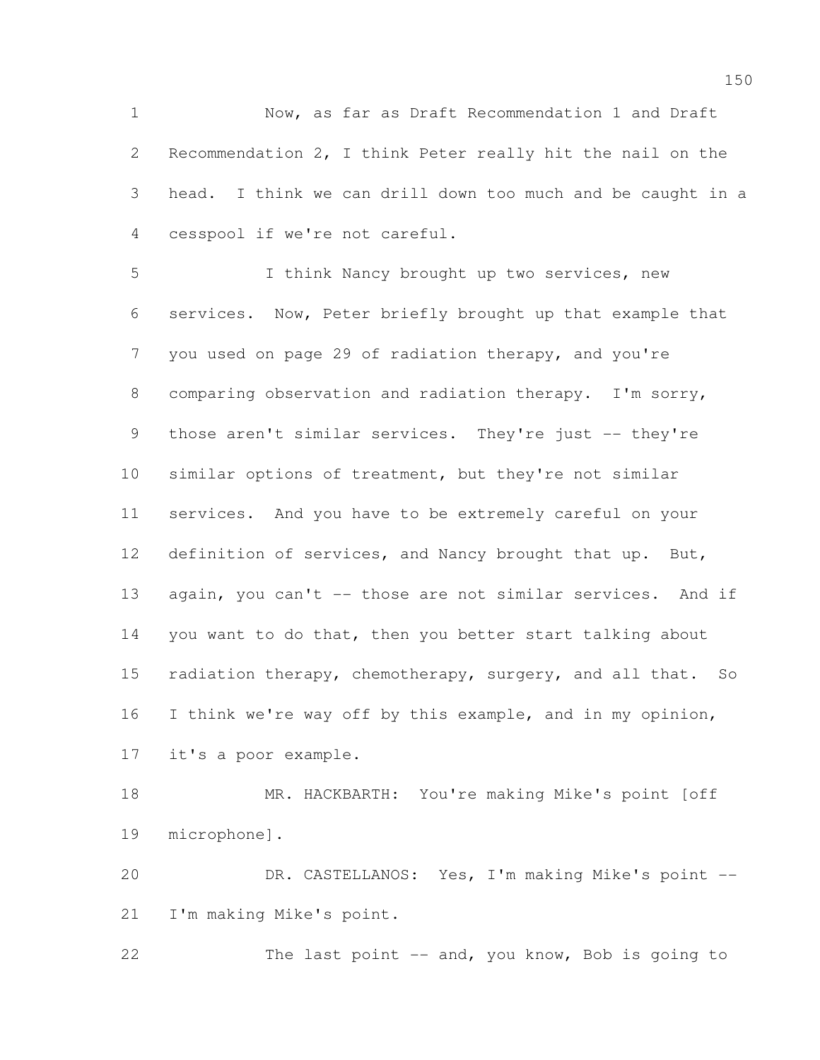Now, as far as Draft Recommendation 1 and Draft Recommendation 2, I think Peter really hit the nail on the head. I think we can drill down too much and be caught in a cesspool if we're not careful.

 I think Nancy brought up two services, new services. Now, Peter briefly brought up that example that you used on page 29 of radiation therapy, and you're comparing observation and radiation therapy. I'm sorry, 9 those aren't similar services. They're just -- they're similar options of treatment, but they're not similar services. And you have to be extremely careful on your definition of services, and Nancy brought that up. But, 13 again, you can't -- those are not similar services. And if you want to do that, then you better start talking about radiation therapy, chemotherapy, surgery, and all that. So I think we're way off by this example, and in my opinion, it's a poor example.

 MR. HACKBARTH: You're making Mike's point [off microphone].

 DR. CASTELLANOS: Yes, I'm making Mike's point -- I'm making Mike's point.

22 The last point -- and, you know, Bob is going to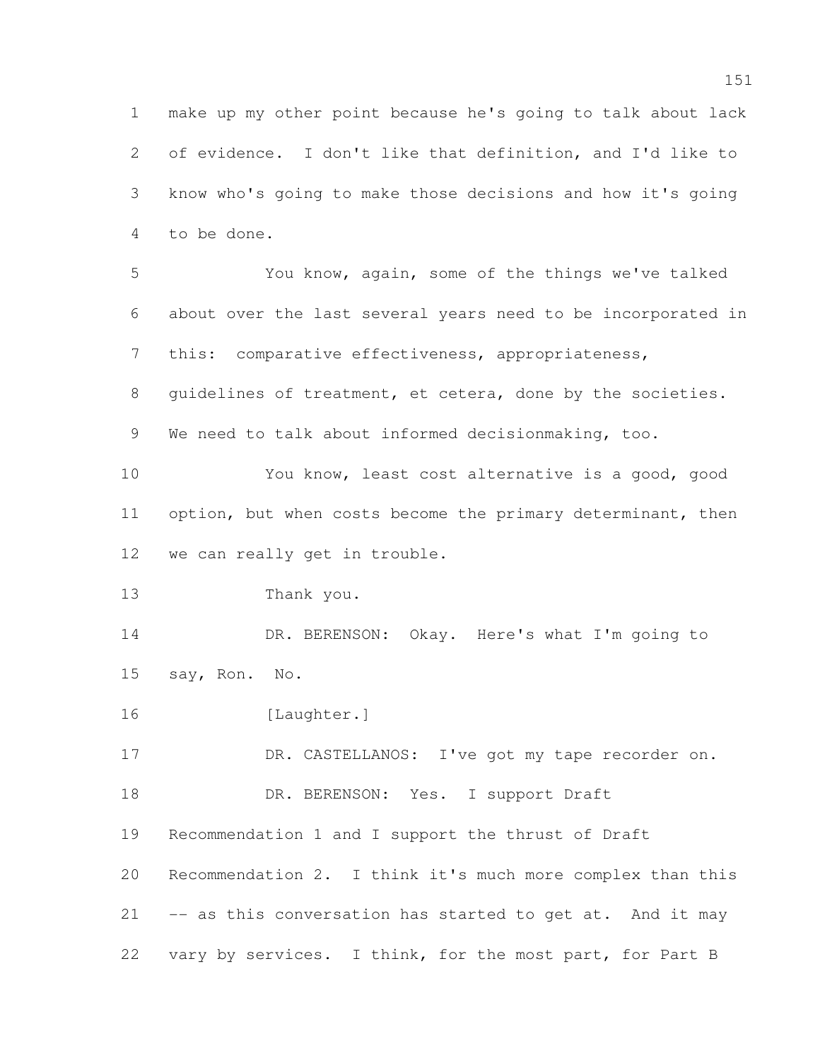make up my other point because he's going to talk about lack of evidence. I don't like that definition, and I'd like to know who's going to make those decisions and how it's going to be done. You know, again, some of the things we've talked about over the last several years need to be incorporated in

 this: comparative effectiveness, appropriateness, guidelines of treatment, et cetera, done by the societies.

We need to talk about informed decisionmaking, too.

 You know, least cost alternative is a good, good 11 option, but when costs become the primary determinant, then we can really get in trouble.

Thank you.

14 DR. BERENSON: Okay. Here's what I'm going to say, Ron. No.

[Laughter.]

17 DR. CASTELLANOS: I've got my tape recorder on.

18 DR. BERENSON: Yes. I support Draft

Recommendation 1 and I support the thrust of Draft

 Recommendation 2. I think it's much more complex than this -- as this conversation has started to get at. And it may vary by services. I think, for the most part, for Part B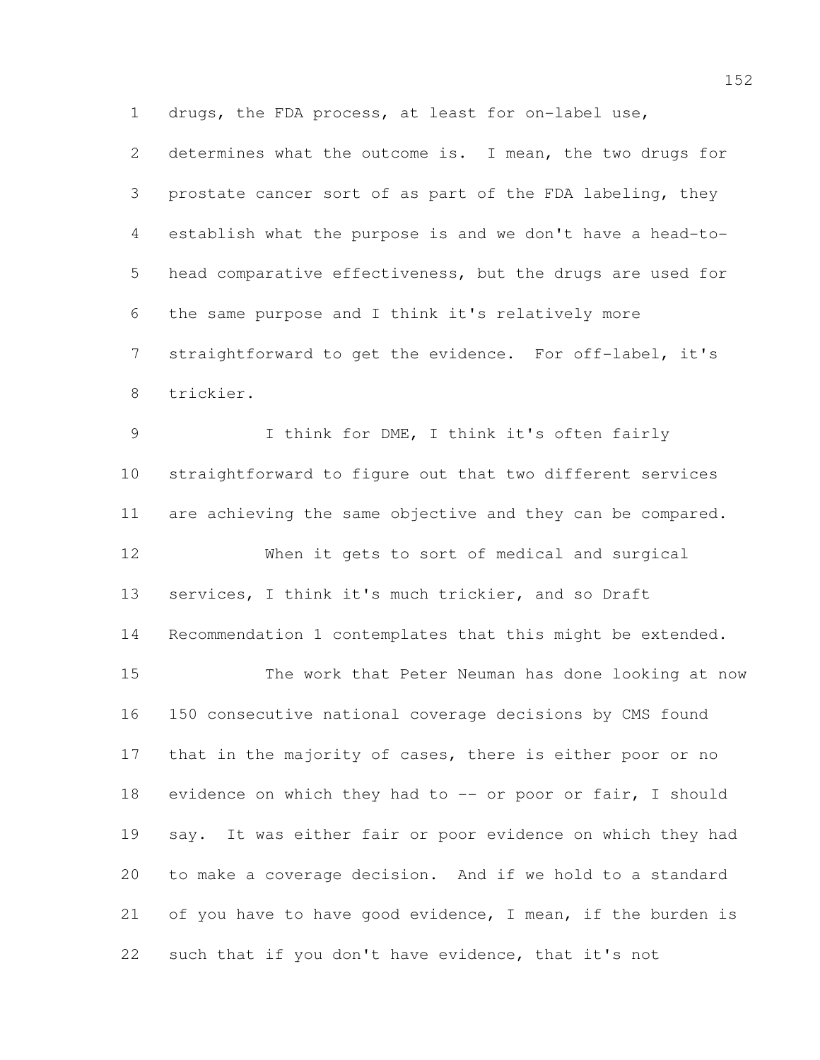drugs, the FDA process, at least for on-label use,

 determines what the outcome is. I mean, the two drugs for prostate cancer sort of as part of the FDA labeling, they establish what the purpose is and we don't have a head-to- head comparative effectiveness, but the drugs are used for the same purpose and I think it's relatively more straightforward to get the evidence. For off-label, it's trickier.

9 I think for DME, I think it's often fairly straightforward to figure out that two different services are achieving the same objective and they can be compared. When it gets to sort of medical and surgical services, I think it's much trickier, and so Draft Recommendation 1 contemplates that this might be extended. The work that Peter Neuman has done looking at now 150 consecutive national coverage decisions by CMS found 17 that in the majority of cases, there is either poor or no 18 evidence on which they had to -- or poor or fair, I should say. It was either fair or poor evidence on which they had to make a coverage decision. And if we hold to a standard 21 of you have to have good evidence, I mean, if the burden is such that if you don't have evidence, that it's not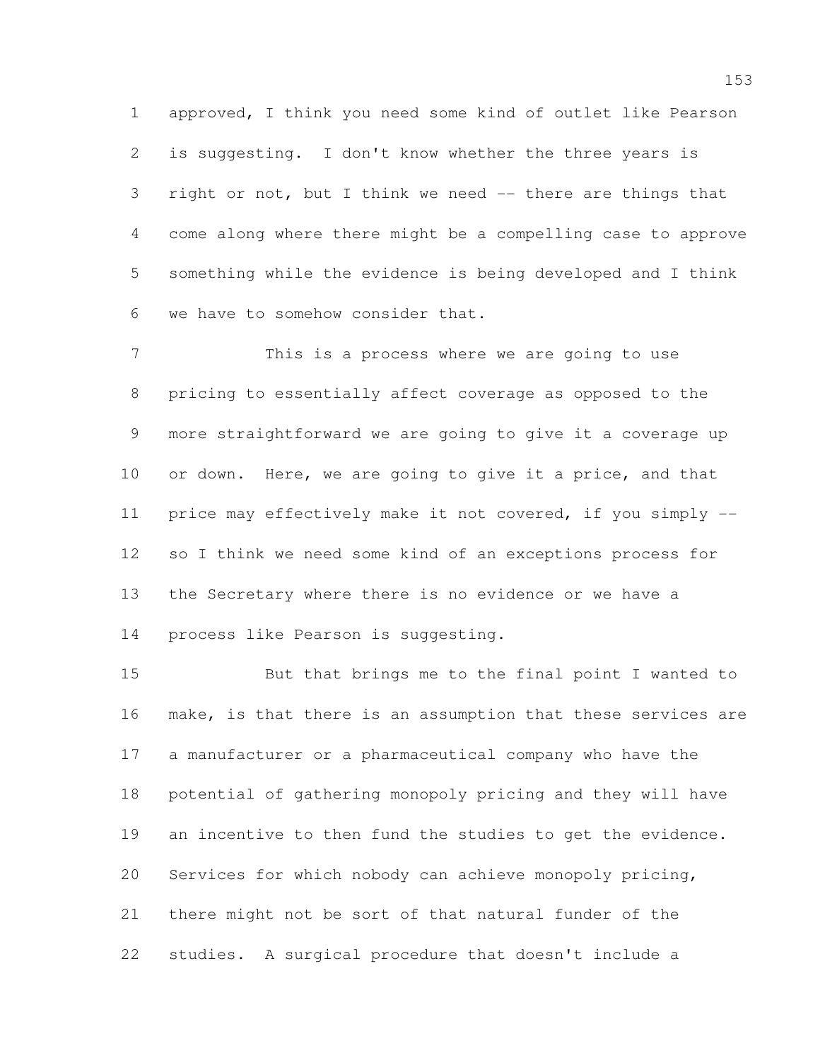approved, I think you need some kind of outlet like Pearson is suggesting. I don't know whether the three years is right or not, but I think we need -- there are things that come along where there might be a compelling case to approve something while the evidence is being developed and I think we have to somehow consider that.

 This is a process where we are going to use pricing to essentially affect coverage as opposed to the more straightforward we are going to give it a coverage up 10 or down. Here, we are going to give it a price, and that price may effectively make it not covered, if you simply -- so I think we need some kind of an exceptions process for the Secretary where there is no evidence or we have a process like Pearson is suggesting.

 But that brings me to the final point I wanted to make, is that there is an assumption that these services are a manufacturer or a pharmaceutical company who have the potential of gathering monopoly pricing and they will have an incentive to then fund the studies to get the evidence. Services for which nobody can achieve monopoly pricing, there might not be sort of that natural funder of the studies. A surgical procedure that doesn't include a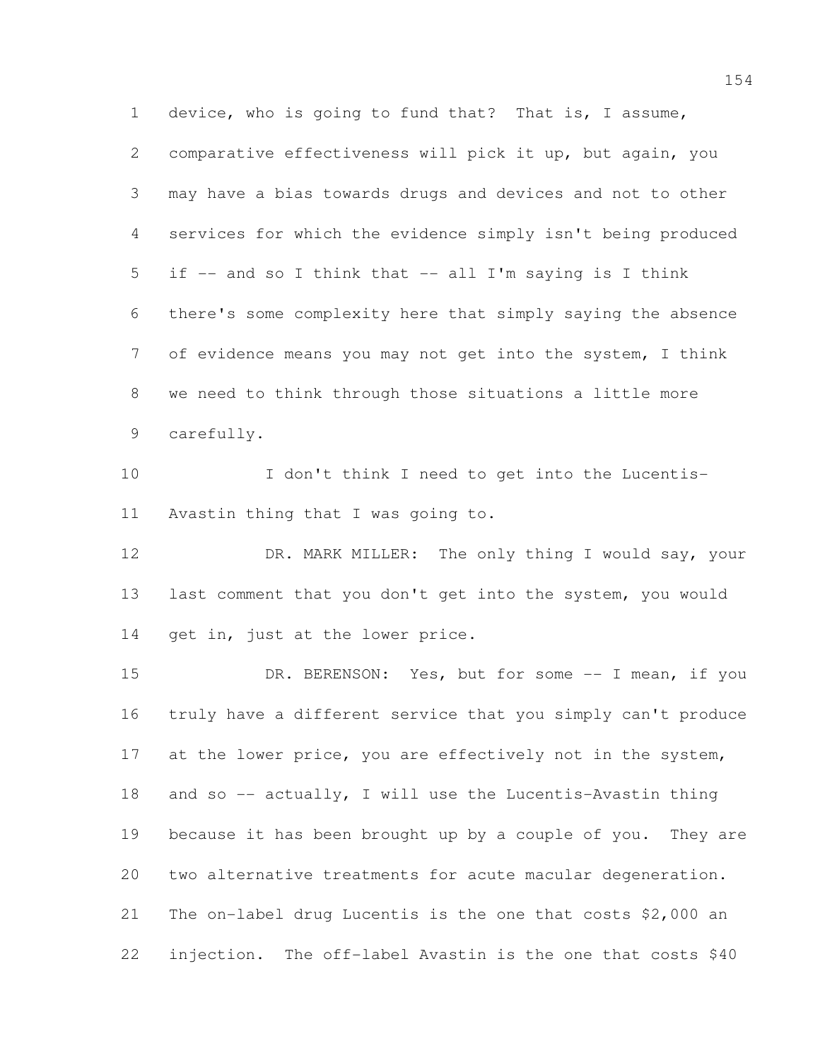device, who is going to fund that? That is, I assume, comparative effectiveness will pick it up, but again, you may have a bias towards drugs and devices and not to other services for which the evidence simply isn't being produced if -- and so I think that -- all I'm saying is I think there's some complexity here that simply saying the absence of evidence means you may not get into the system, I think we need to think through those situations a little more carefully.

 I don't think I need to get into the Lucentis-Avastin thing that I was going to.

12 DR. MARK MILLER: The only thing I would say, your last comment that you don't get into the system, you would 14 get in, just at the lower price.

15 DR. BERENSON: Yes, but for some -- I mean, if you truly have a different service that you simply can't produce 17 at the lower price, you are effectively not in the system, 18 and so -- actually, I will use the Lucentis-Avastin thing because it has been brought up by a couple of you. They are two alternative treatments for acute macular degeneration. The on-label drug Lucentis is the one that costs \$2,000 an injection. The off-label Avastin is the one that costs \$40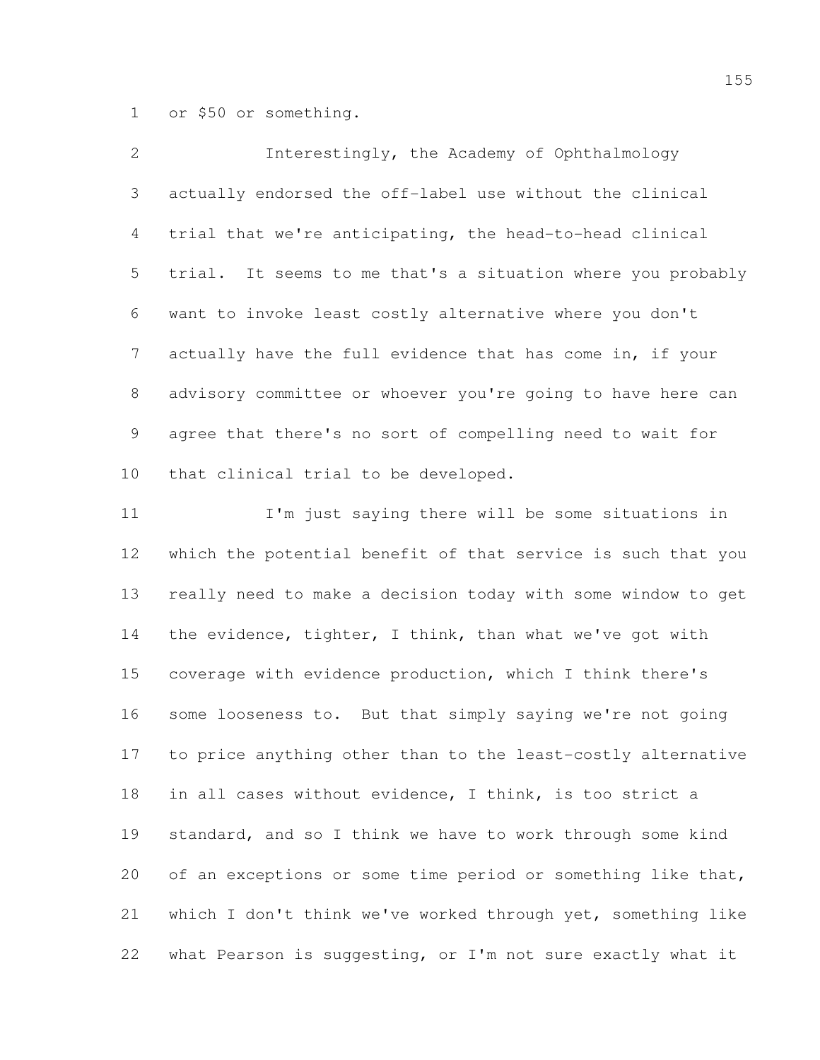or \$50 or something.

| $\overline{2}$  | Interestingly, the Academy of Ophthalmology                 |
|-----------------|-------------------------------------------------------------|
| 3               | actually endorsed the off-label use without the clinical    |
| $4\overline{ }$ | trial that we're anticipating, the head-to-head clinical    |
| 5 <sup>5</sup>  | trial. It seems to me that's a situation where you probably |
| 6               | want to invoke least costly alternative where you don't     |
| 7 <sup>7</sup>  | actually have the full evidence that has come in, if your   |
| 8               | advisory committee or whoever you're going to have here can |
| 9               | agree that there's no sort of compelling need to wait for   |
| 10              | that clinical trial to be developed.                        |

11 I'm just saying there will be some situations in which the potential benefit of that service is such that you really need to make a decision today with some window to get the evidence, tighter, I think, than what we've got with coverage with evidence production, which I think there's some looseness to. But that simply saying we're not going to price anything other than to the least-costly alternative in all cases without evidence, I think, is too strict a standard, and so I think we have to work through some kind 20 of an exceptions or some time period or something like that, which I don't think we've worked through yet, something like what Pearson is suggesting, or I'm not sure exactly what it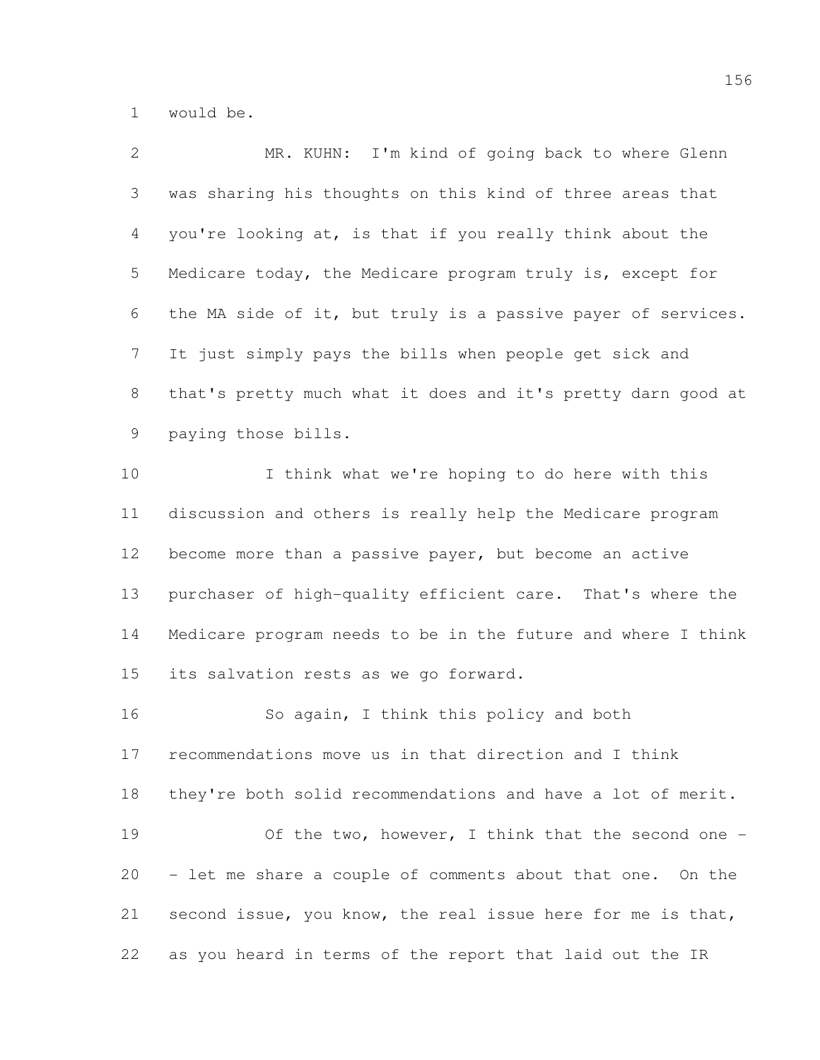would be.

| $\mathbf{2}$   | MR. KUHN: I'm kind of going back to where Glenn              |
|----------------|--------------------------------------------------------------|
| 3              | was sharing his thoughts on this kind of three areas that    |
| 4              | you're looking at, is that if you really think about the     |
| 5              | Medicare today, the Medicare program truly is, except for    |
| 6              | the MA side of it, but truly is a passive payer of services. |
| $7\phantom{.}$ | It just simply pays the bills when people get sick and       |
| $8\,$          | that's pretty much what it does and it's pretty darn good at |
| 9              | paying those bills.                                          |
| 10             | I think what we're hoping to do here with this               |
| 11             | discussion and others is really help the Medicare program    |
| 12             | become more than a passive payer, but become an active       |
| 13             | purchaser of high-quality efficient care. That's where the   |
| 14             | Medicare program needs to be in the future and where I think |
| 15             | its salvation rests as we go forward.                        |
| 16             | So again, I think this policy and both                       |
| 17             | recommendations move us in that direction and I think        |
| 18             | they're both solid recommendations and have a lot of merit.  |
| 19             | Of the two, however, I think that the second one -           |
| 20             | - let me share a couple of comments about that one. On the   |
| 21             | second issue, you know, the real issue here for me is that,  |
| 22             | as you heard in terms of the report that laid out the IR     |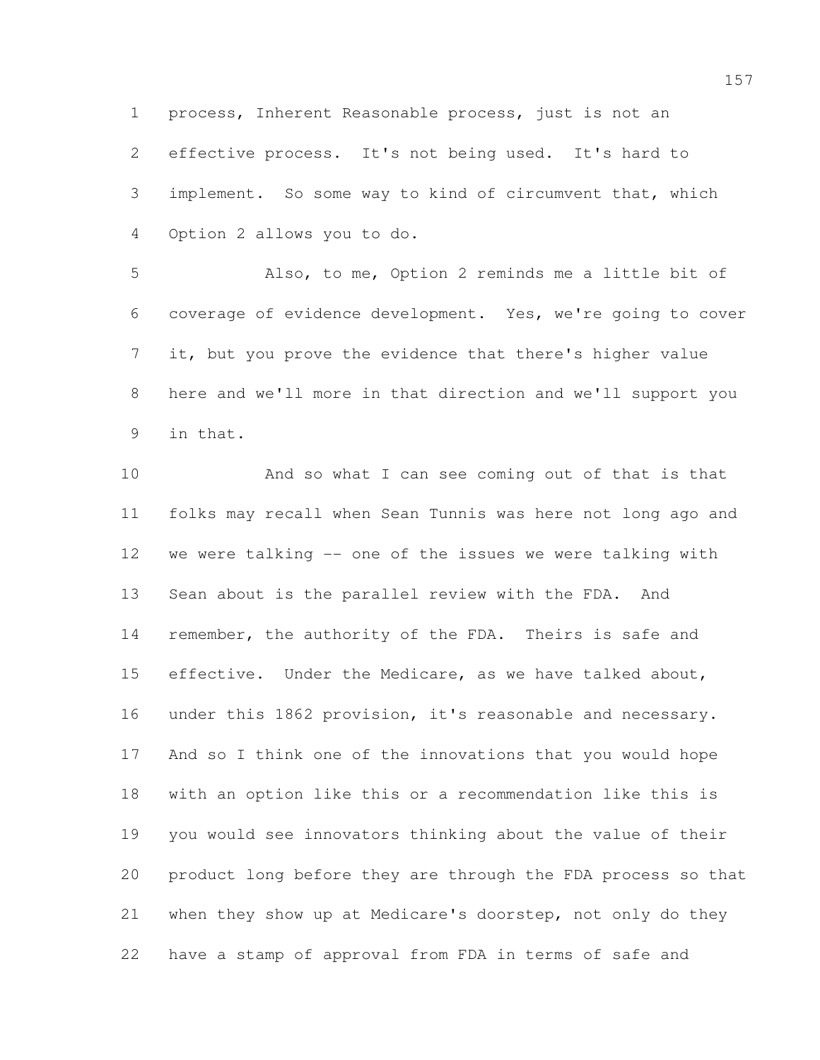process, Inherent Reasonable process, just is not an

 effective process. It's not being used. It's hard to implement. So some way to kind of circumvent that, which Option 2 allows you to do.

 Also, to me, Option 2 reminds me a little bit of coverage of evidence development. Yes, we're going to cover it, but you prove the evidence that there's higher value here and we'll more in that direction and we'll support you in that.

 And so what I can see coming out of that is that folks may recall when Sean Tunnis was here not long ago and we were talking -- one of the issues we were talking with Sean about is the parallel review with the FDA. And 14 remember, the authority of the FDA. Theirs is safe and effective. Under the Medicare, as we have talked about, under this 1862 provision, it's reasonable and necessary. And so I think one of the innovations that you would hope with an option like this or a recommendation like this is you would see innovators thinking about the value of their product long before they are through the FDA process so that when they show up at Medicare's doorstep, not only do they have a stamp of approval from FDA in terms of safe and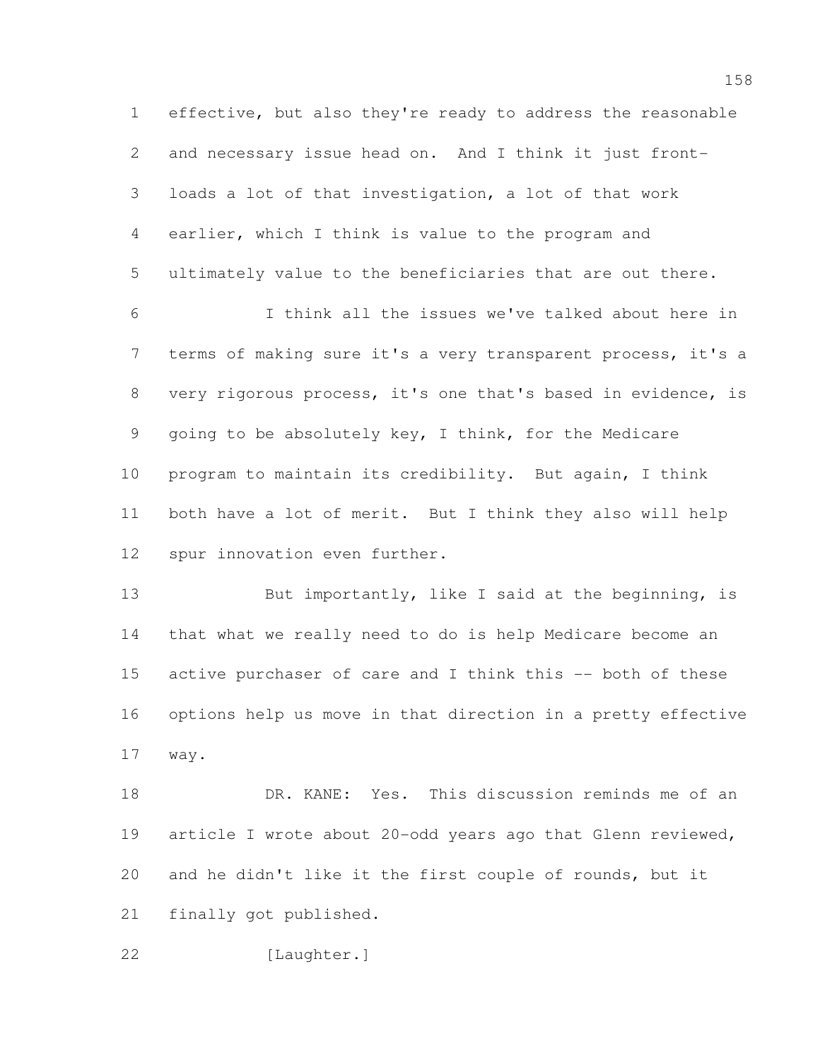effective, but also they're ready to address the reasonable and necessary issue head on. And I think it just front- loads a lot of that investigation, a lot of that work earlier, which I think is value to the program and ultimately value to the beneficiaries that are out there. I think all the issues we've talked about here in

 terms of making sure it's a very transparent process, it's a very rigorous process, it's one that's based in evidence, is going to be absolutely key, I think, for the Medicare program to maintain its credibility. But again, I think both have a lot of merit. But I think they also will help spur innovation even further.

13 But importantly, like I said at the beginning, is that what we really need to do is help Medicare become an 15 active purchaser of care and I think this -- both of these options help us move in that direction in a pretty effective way.

 DR. KANE: Yes. This discussion reminds me of an article I wrote about 20-odd years ago that Glenn reviewed, and he didn't like it the first couple of rounds, but it finally got published.

[Laughter.]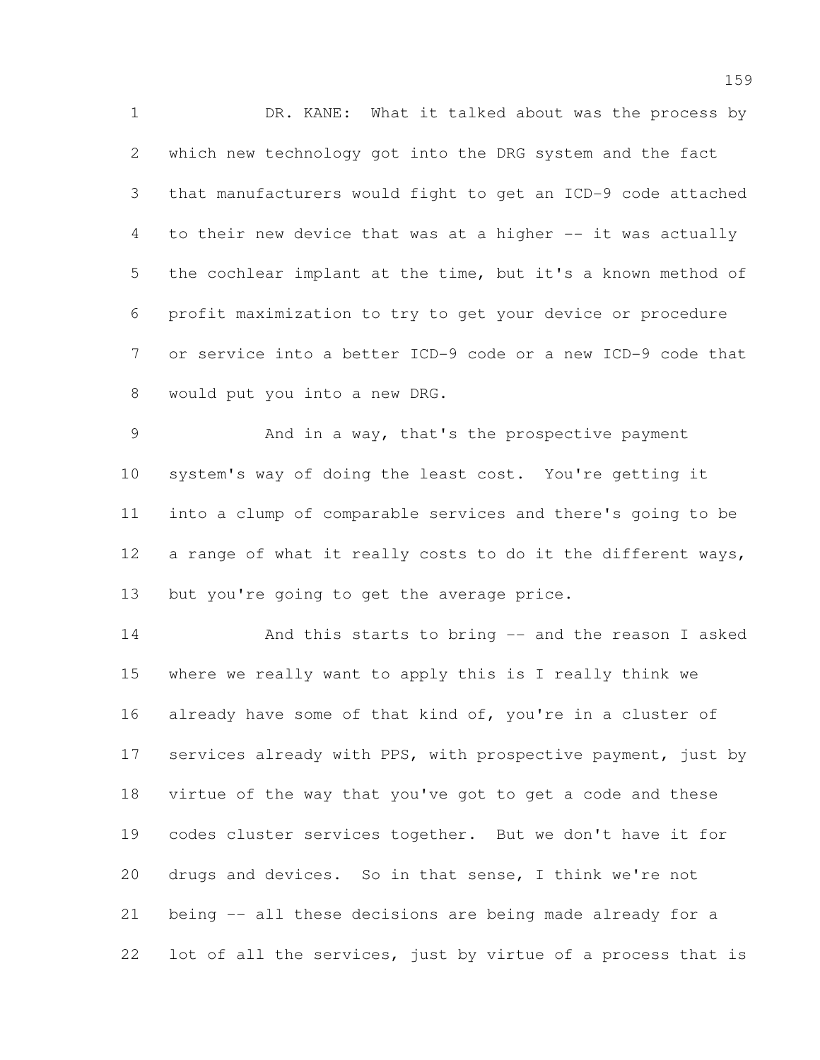DR. KANE: What it talked about was the process by which new technology got into the DRG system and the fact that manufacturers would fight to get an ICD-9 code attached to their new device that was at a higher -- it was actually the cochlear implant at the time, but it's a known method of profit maximization to try to get your device or procedure or service into a better ICD-9 code or a new ICD-9 code that would put you into a new DRG.

 And in a way, that's the prospective payment system's way of doing the least cost. You're getting it into a clump of comparable services and there's going to be 12 a range of what it really costs to do it the different ways, 13 but you're going to get the average price.

 And this starts to bring -- and the reason I asked where we really want to apply this is I really think we 16 already have some of that kind of, you're in a cluster of 17 services already with PPS, with prospective payment, just by virtue of the way that you've got to get a code and these codes cluster services together. But we don't have it for drugs and devices. So in that sense, I think we're not being -- all these decisions are being made already for a lot of all the services, just by virtue of a process that is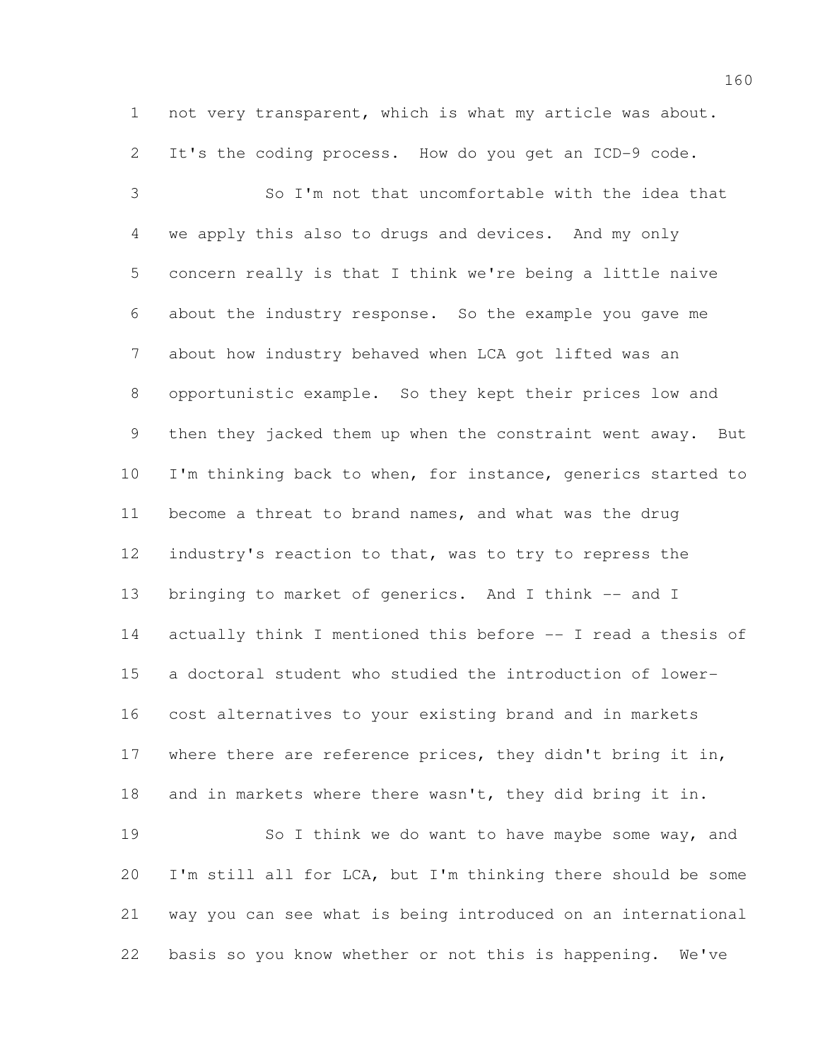not very transparent, which is what my article was about. It's the coding process. How do you get an ICD-9 code.

 So I'm not that uncomfortable with the idea that we apply this also to drugs and devices. And my only concern really is that I think we're being a little naive about the industry response. So the example you gave me about how industry behaved when LCA got lifted was an opportunistic example. So they kept their prices low and then they jacked them up when the constraint went away. But 10 I'm thinking back to when, for instance, generics started to become a threat to brand names, and what was the drug industry's reaction to that, was to try to repress the 13 bringing to market of generics. And I think -- and I actually think I mentioned this before -- I read a thesis of a doctoral student who studied the introduction of lower- cost alternatives to your existing brand and in markets 17 where there are reference prices, they didn't bring it in, and in markets where there wasn't, they did bring it in. 19 So I think we do want to have maybe some way, and I'm still all for LCA, but I'm thinking there should be some way you can see what is being introduced on an international basis so you know whether or not this is happening. We've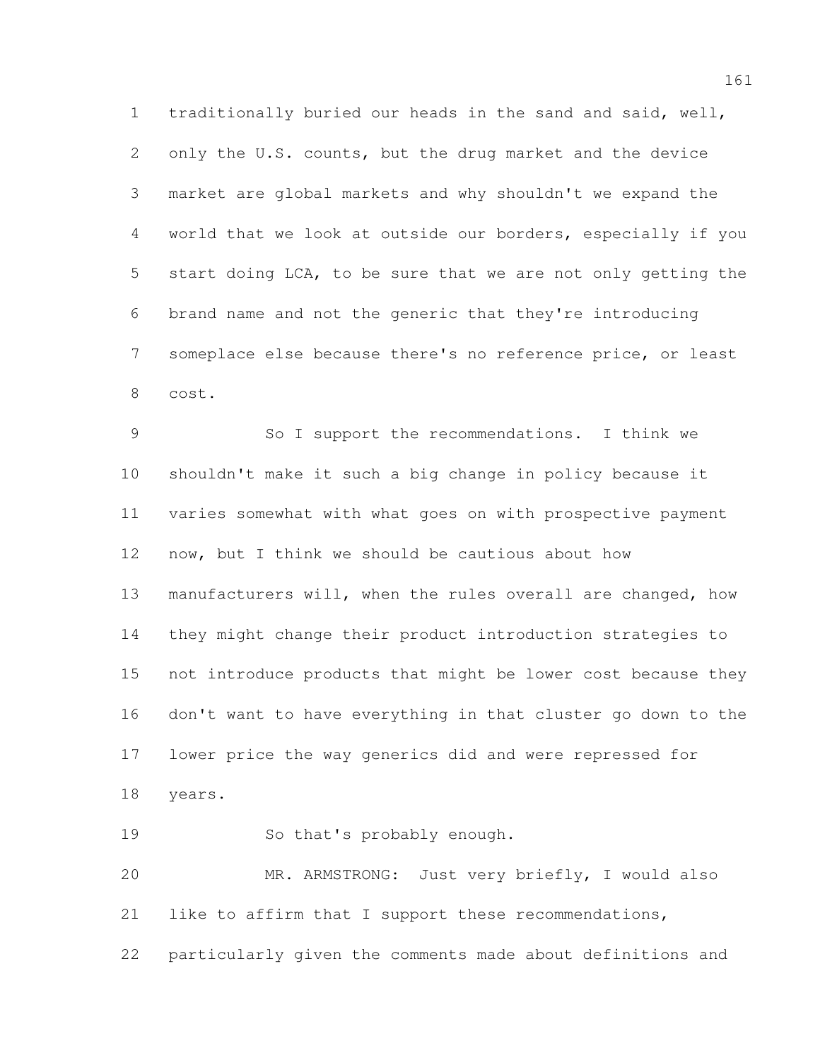traditionally buried our heads in the sand and said, well, 2 only the U.S. counts, but the drug market and the device market are global markets and why shouldn't we expand the world that we look at outside our borders, especially if you start doing LCA, to be sure that we are not only getting the brand name and not the generic that they're introducing someplace else because there's no reference price, or least cost.

 So I support the recommendations. I think we shouldn't make it such a big change in policy because it varies somewhat with what goes on with prospective payment now, but I think we should be cautious about how manufacturers will, when the rules overall are changed, how they might change their product introduction strategies to not introduce products that might be lower cost because they don't want to have everything in that cluster go down to the lower price the way generics did and were repressed for years.

So that's probably enough.

 MR. ARMSTRONG: Just very briefly, I would also like to affirm that I support these recommendations, particularly given the comments made about definitions and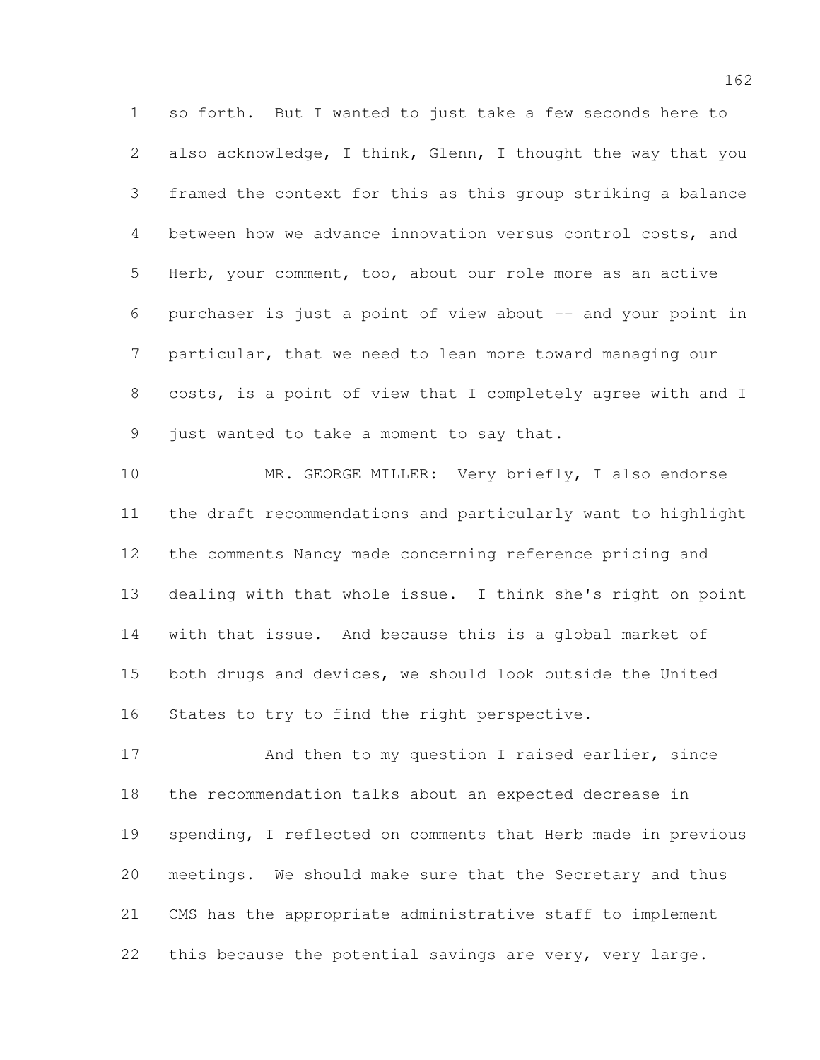so forth. But I wanted to just take a few seconds here to also acknowledge, I think, Glenn, I thought the way that you framed the context for this as this group striking a balance between how we advance innovation versus control costs, and Herb, your comment, too, about our role more as an active purchaser is just a point of view about -- and your point in particular, that we need to lean more toward managing our costs, is a point of view that I completely agree with and I just wanted to take a moment to say that.

10 MR. GEORGE MILLER: Very briefly, I also endorse the draft recommendations and particularly want to highlight the comments Nancy made concerning reference pricing and dealing with that whole issue. I think she's right on point with that issue. And because this is a global market of both drugs and devices, we should look outside the United States to try to find the right perspective.

17 And then to my question I raised earlier, since the recommendation talks about an expected decrease in spending, I reflected on comments that Herb made in previous meetings. We should make sure that the Secretary and thus CMS has the appropriate administrative staff to implement this because the potential savings are very, very large.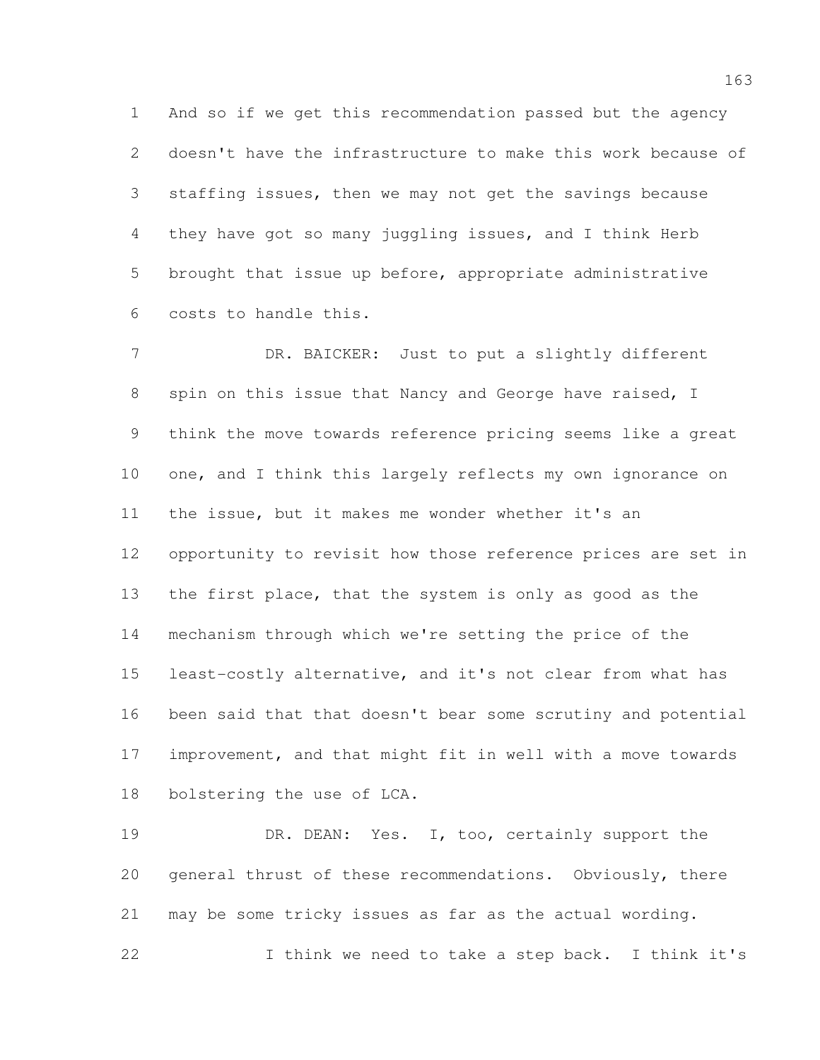And so if we get this recommendation passed but the agency doesn't have the infrastructure to make this work because of staffing issues, then we may not get the savings because they have got so many juggling issues, and I think Herb brought that issue up before, appropriate administrative costs to handle this.

 DR. BAICKER: Just to put a slightly different spin on this issue that Nancy and George have raised, I think the move towards reference pricing seems like a great 10 one, and I think this largely reflects my own ignorance on the issue, but it makes me wonder whether it's an opportunity to revisit how those reference prices are set in the first place, that the system is only as good as the mechanism through which we're setting the price of the least-costly alternative, and it's not clear from what has been said that that doesn't bear some scrutiny and potential improvement, and that might fit in well with a move towards bolstering the use of LCA.

19 DR. DEAN: Yes. I, too, certainly support the general thrust of these recommendations. Obviously, there may be some tricky issues as far as the actual wording. I think we need to take a step back. I think it's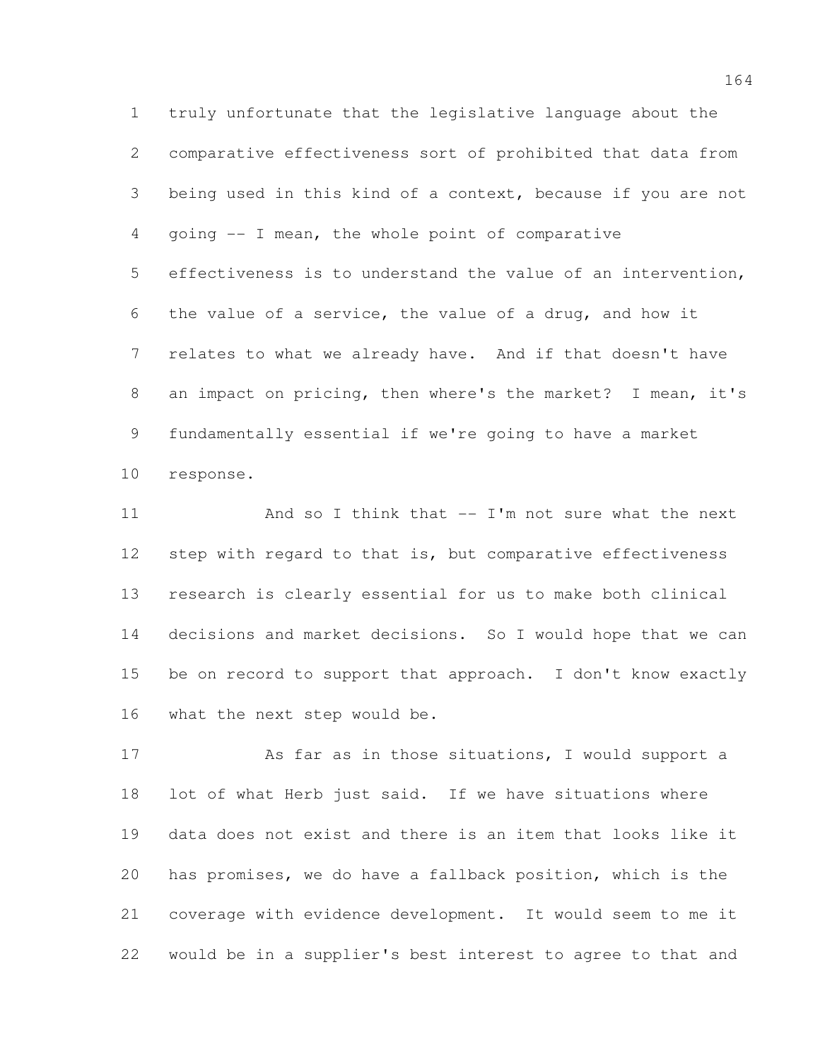truly unfortunate that the legislative language about the comparative effectiveness sort of prohibited that data from being used in this kind of a context, because if you are not going -- I mean, the whole point of comparative effectiveness is to understand the value of an intervention, the value of a service, the value of a drug, and how it relates to what we already have. And if that doesn't have an impact on pricing, then where's the market? I mean, it's fundamentally essential if we're going to have a market response.

11 And so I think that -- I'm not sure what the next 12 step with regard to that is, but comparative effectiveness research is clearly essential for us to make both clinical decisions and market decisions. So I would hope that we can 15 be on record to support that approach. I don't know exactly what the next step would be.

17 As far as in those situations, I would support a lot of what Herb just said. If we have situations where data does not exist and there is an item that looks like it has promises, we do have a fallback position, which is the coverage with evidence development. It would seem to me it would be in a supplier's best interest to agree to that and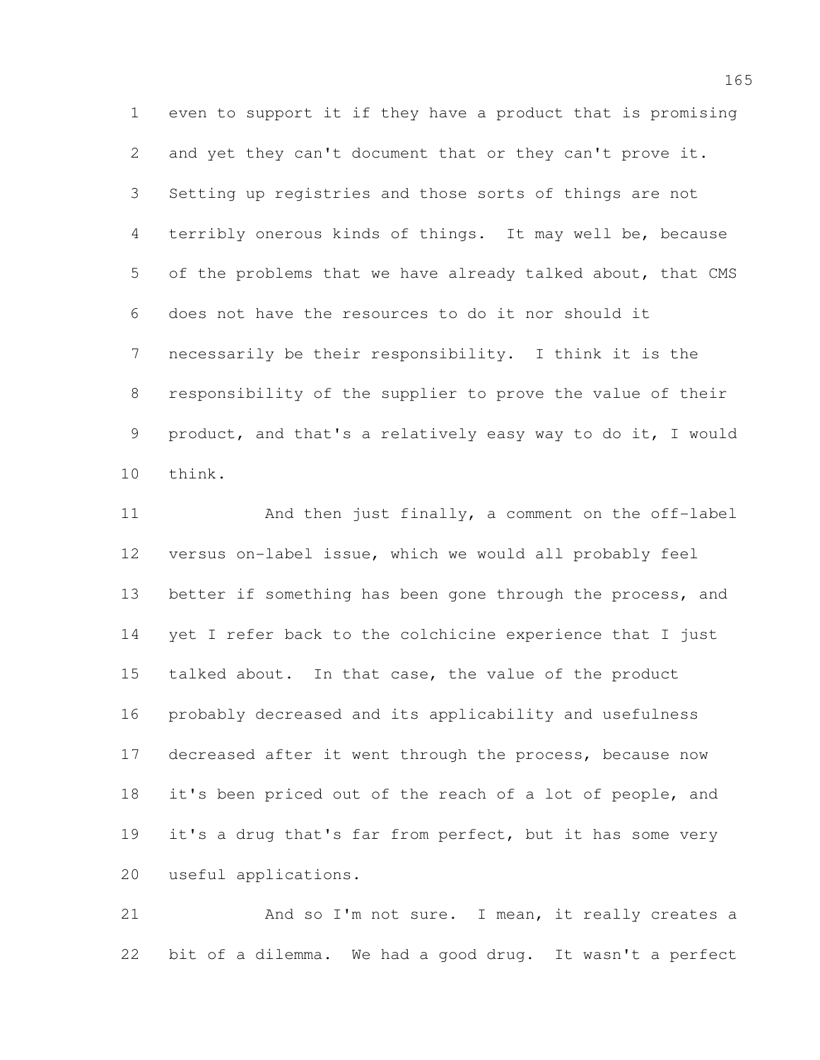even to support it if they have a product that is promising and yet they can't document that or they can't prove it. Setting up registries and those sorts of things are not terribly onerous kinds of things. It may well be, because of the problems that we have already talked about, that CMS does not have the resources to do it nor should it necessarily be their responsibility. I think it is the responsibility of the supplier to prove the value of their product, and that's a relatively easy way to do it, I would think.

11 And then just finally, a comment on the off-label versus on-label issue, which we would all probably feel 13 better if something has been gone through the process, and yet I refer back to the colchicine experience that I just talked about. In that case, the value of the product probably decreased and its applicability and usefulness decreased after it went through the process, because now 18 it's been priced out of the reach of a lot of people, and 19 it's a drug that's far from perfect, but it has some very useful applications.

21 And so I'm not sure. I mean, it really creates a bit of a dilemma. We had a good drug. It wasn't a perfect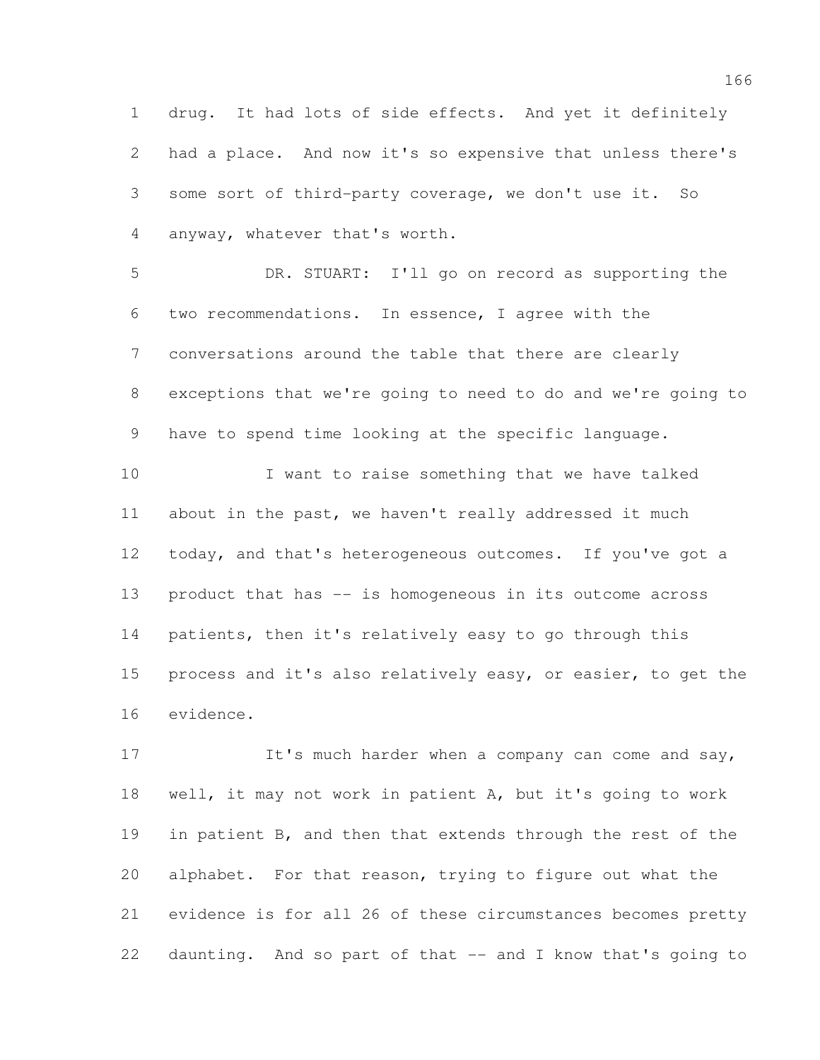drug. It had lots of side effects. And yet it definitely had a place. And now it's so expensive that unless there's some sort of third-party coverage, we don't use it. So anyway, whatever that's worth.

 DR. STUART: I'll go on record as supporting the two recommendations. In essence, I agree with the conversations around the table that there are clearly exceptions that we're going to need to do and we're going to have to spend time looking at the specific language.

 I want to raise something that we have talked about in the past, we haven't really addressed it much 12 today, and that's heterogeneous outcomes. If you've got a product that has -- is homogeneous in its outcome across patients, then it's relatively easy to go through this process and it's also relatively easy, or easier, to get the evidence.

17 It's much harder when a company can come and say, well, it may not work in patient A, but it's going to work 19 in patient B, and then that extends through the rest of the alphabet. For that reason, trying to figure out what the evidence is for all 26 of these circumstances becomes pretty daunting. And so part of that -- and I know that's going to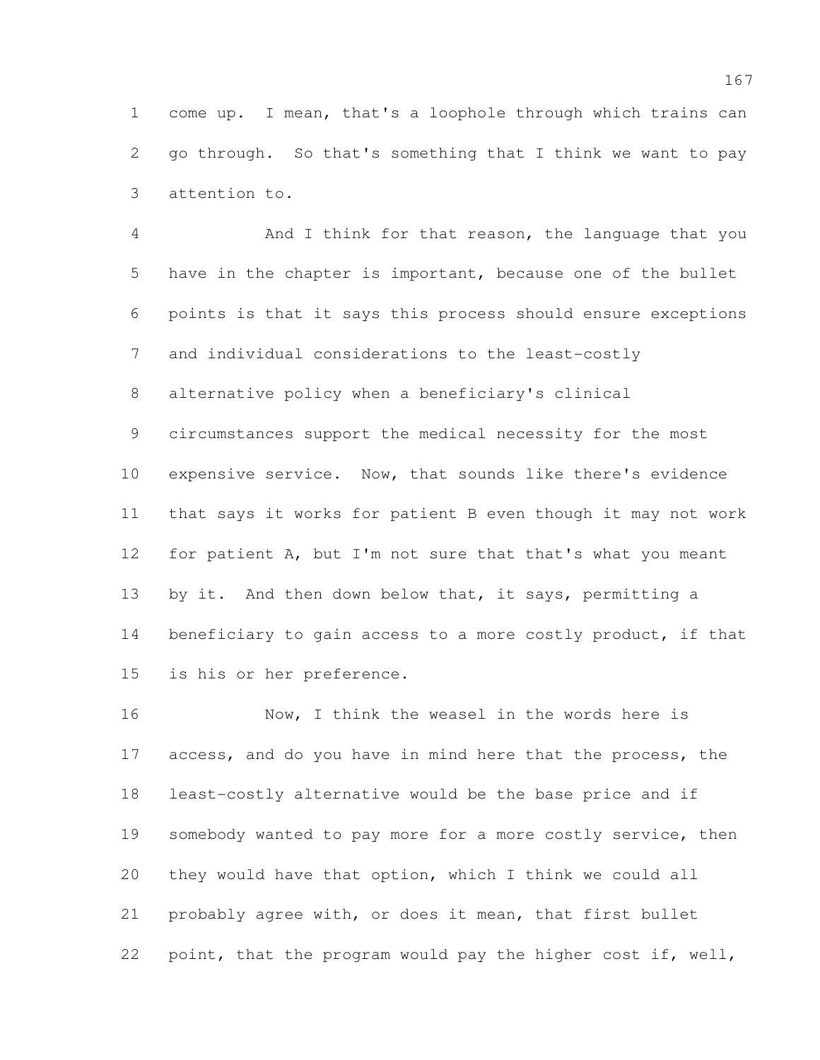come up. I mean, that's a loophole through which trains can go through. So that's something that I think we want to pay attention to.

 And I think for that reason, the language that you have in the chapter is important, because one of the bullet points is that it says this process should ensure exceptions and individual considerations to the least-costly alternative policy when a beneficiary's clinical circumstances support the medical necessity for the most expensive service. Now, that sounds like there's evidence that says it works for patient B even though it may not work 12 for patient A, but I'm not sure that that's what you meant by it. And then down below that, it says, permitting a 14 beneficiary to gain access to a more costly product, if that is his or her preference.

 Now, I think the weasel in the words here is 17 access, and do you have in mind here that the process, the least-costly alternative would be the base price and if 19 somebody wanted to pay more for a more costly service, then they would have that option, which I think we could all probably agree with, or does it mean, that first bullet point, that the program would pay the higher cost if, well,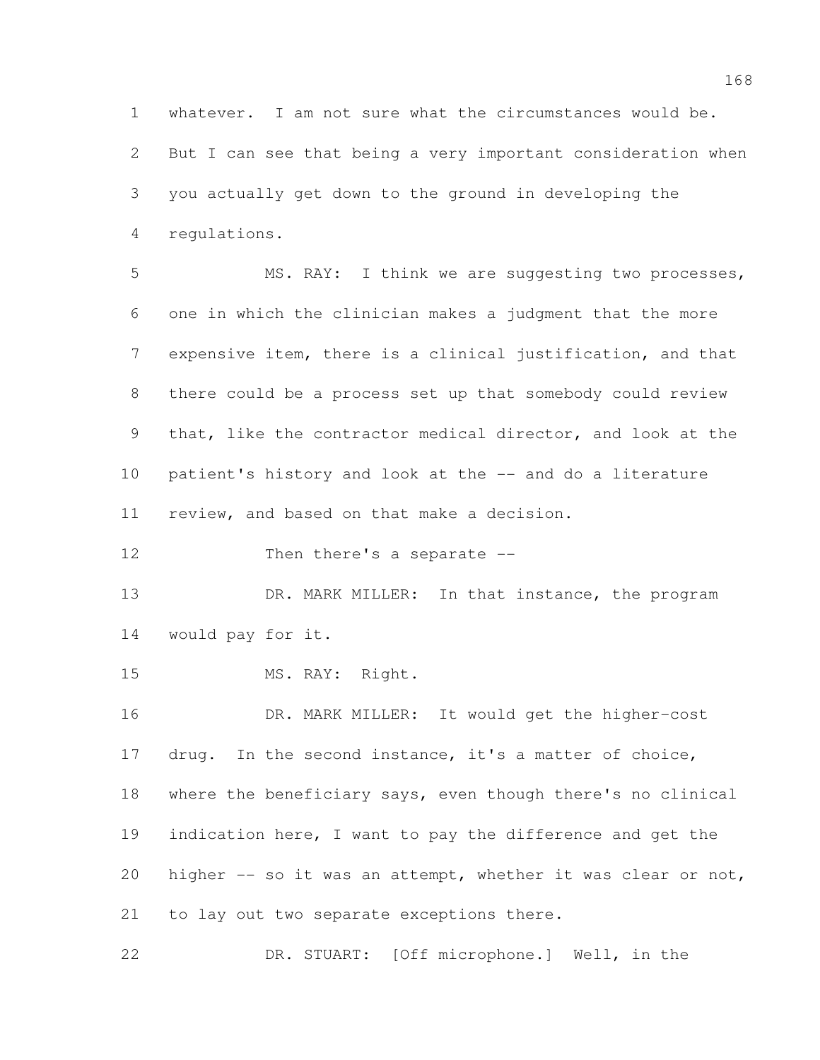whatever. I am not sure what the circumstances would be.

 But I can see that being a very important consideration when you actually get down to the ground in developing the regulations.

 MS. RAY: I think we are suggesting two processes, one in which the clinician makes a judgment that the more expensive item, there is a clinical justification, and that there could be a process set up that somebody could review that, like the contractor medical director, and look at the patient's history and look at the -- and do a literature review, and based on that make a decision.

12 Then there's a separate --

13 DR. MARK MILLER: In that instance, the program would pay for it.

MS. RAY: Right.

 DR. MARK MILLER: It would get the higher-cost drug. In the second instance, it's a matter of choice, where the beneficiary says, even though there's no clinical 19 indication here, I want to pay the difference and get the higher -- so it was an attempt, whether it was clear or not, to lay out two separate exceptions there.

DR. STUART: [Off microphone.] Well, in the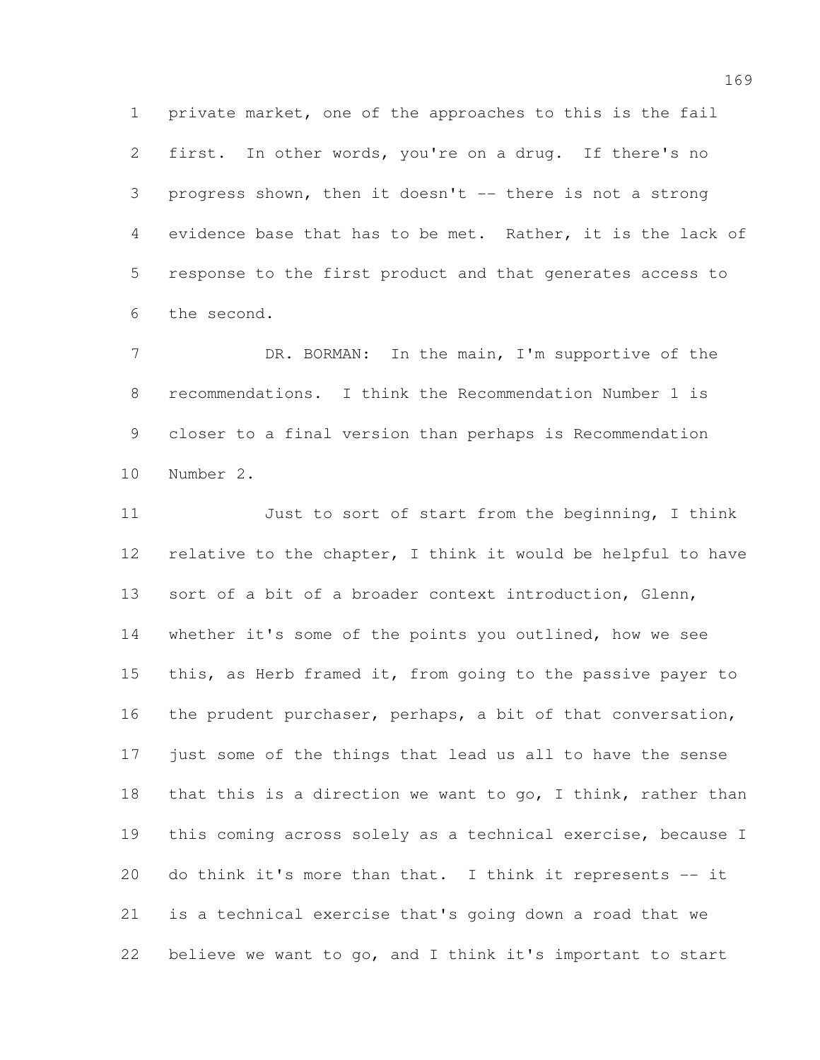private market, one of the approaches to this is the fail first. In other words, you're on a drug. If there's no progress shown, then it doesn't -- there is not a strong evidence base that has to be met. Rather, it is the lack of response to the first product and that generates access to the second.

7 DR. BORMAN: In the main, I'm supportive of the recommendations. I think the Recommendation Number 1 is closer to a final version than perhaps is Recommendation Number 2.

 Just to sort of start from the beginning, I think relative to the chapter, I think it would be helpful to have sort of a bit of a broader context introduction, Glenn, whether it's some of the points you outlined, how we see this, as Herb framed it, from going to the passive payer to 16 the prudent purchaser, perhaps, a bit of that conversation, just some of the things that lead us all to have the sense 18 that this is a direction we want to go, I think, rather than this coming across solely as a technical exercise, because I do think it's more than that. I think it represents -- it is a technical exercise that's going down a road that we believe we want to go, and I think it's important to start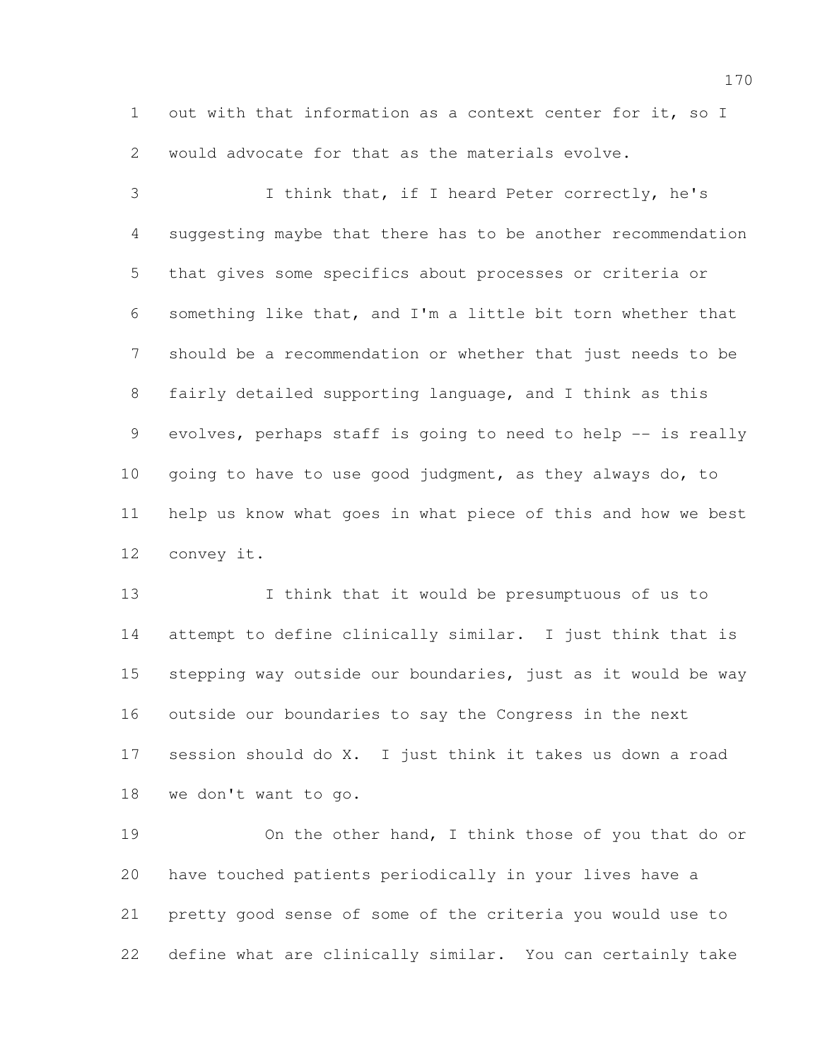out with that information as a context center for it, so I would advocate for that as the materials evolve.

 I think that, if I heard Peter correctly, he's suggesting maybe that there has to be another recommendation that gives some specifics about processes or criteria or something like that, and I'm a little bit torn whether that should be a recommendation or whether that just needs to be fairly detailed supporting language, and I think as this 9 evolves, perhaps staff is going to need to help -- is really going to have to use good judgment, as they always do, to help us know what goes in what piece of this and how we best convey it.

 I think that it would be presumptuous of us to attempt to define clinically similar. I just think that is stepping way outside our boundaries, just as it would be way outside our boundaries to say the Congress in the next session should do X. I just think it takes us down a road we don't want to go.

 On the other hand, I think those of you that do or have touched patients periodically in your lives have a pretty good sense of some of the criteria you would use to define what are clinically similar. You can certainly take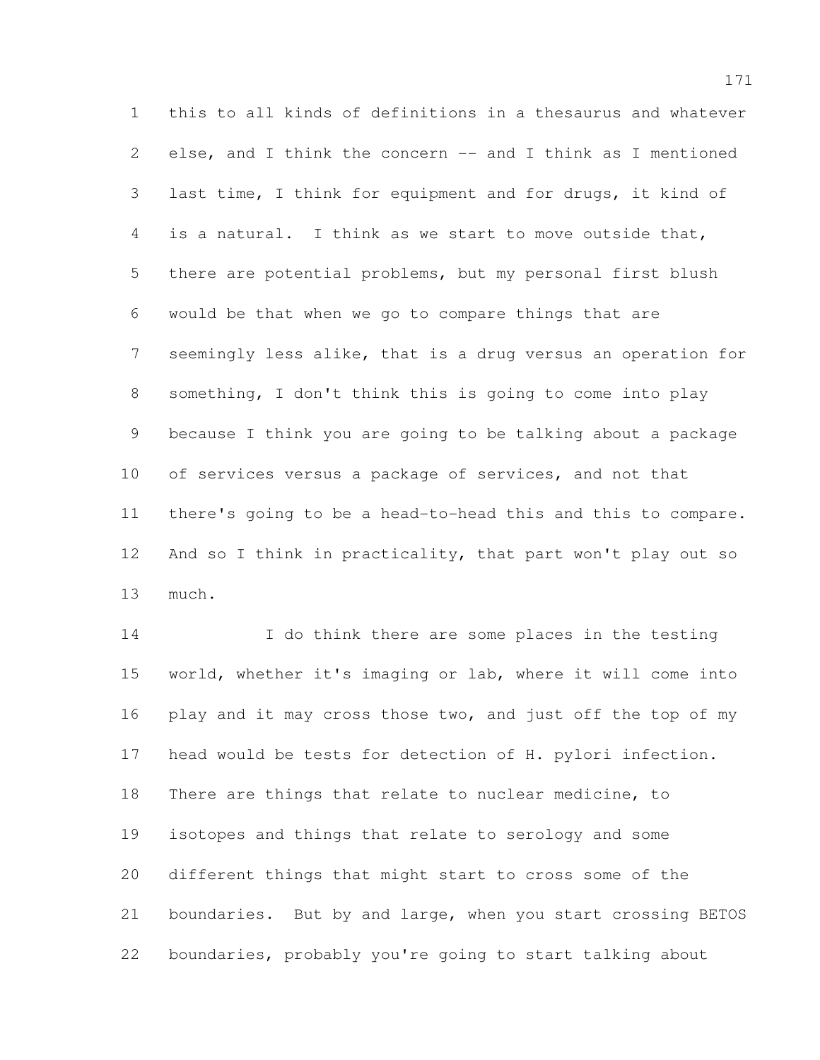this to all kinds of definitions in a thesaurus and whatever 2 else, and I think the concern -- and I think as I mentioned last time, I think for equipment and for drugs, it kind of is a natural. I think as we start to move outside that, there are potential problems, but my personal first blush would be that when we go to compare things that are seemingly less alike, that is a drug versus an operation for something, I don't think this is going to come into play because I think you are going to be talking about a package of services versus a package of services, and not that there's going to be a head-to-head this and this to compare. 12 And so I think in practicality, that part won't play out so much.

 I do think there are some places in the testing world, whether it's imaging or lab, where it will come into 16 play and it may cross those two, and just off the top of my head would be tests for detection of H. pylori infection. There are things that relate to nuclear medicine, to isotopes and things that relate to serology and some different things that might start to cross some of the boundaries. But by and large, when you start crossing BETOS boundaries, probably you're going to start talking about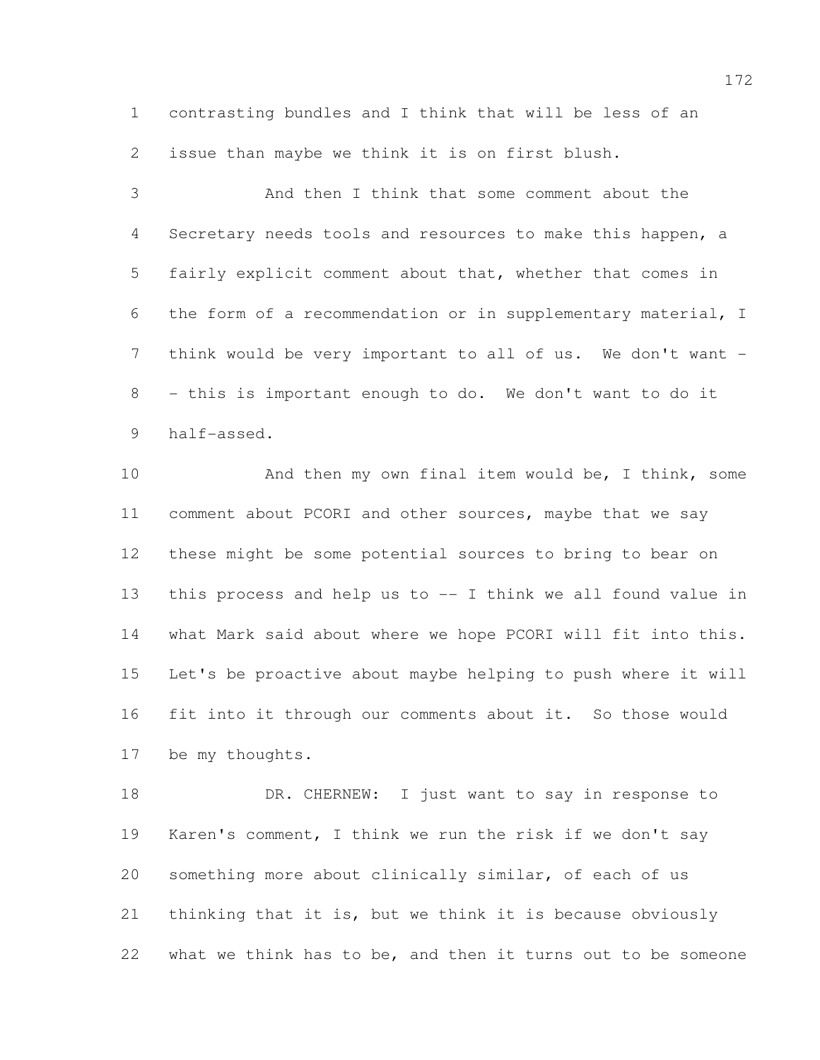contrasting bundles and I think that will be less of an issue than maybe we think it is on first blush.

 And then I think that some comment about the Secretary needs tools and resources to make this happen, a fairly explicit comment about that, whether that comes in the form of a recommendation or in supplementary material, I 7 think would be very important to all of us. We don't want - - this is important enough to do. We don't want to do it half-assed.

10 And then my own final item would be, I think, some comment about PCORI and other sources, maybe that we say these might be some potential sources to bring to bear on this process and help us to -- I think we all found value in what Mark said about where we hope PCORI will fit into this. Let's be proactive about maybe helping to push where it will fit into it through our comments about it. So those would be my thoughts.

18 DR. CHERNEW: I just want to say in response to Karen's comment, I think we run the risk if we don't say something more about clinically similar, of each of us thinking that it is, but we think it is because obviously what we think has to be, and then it turns out to be someone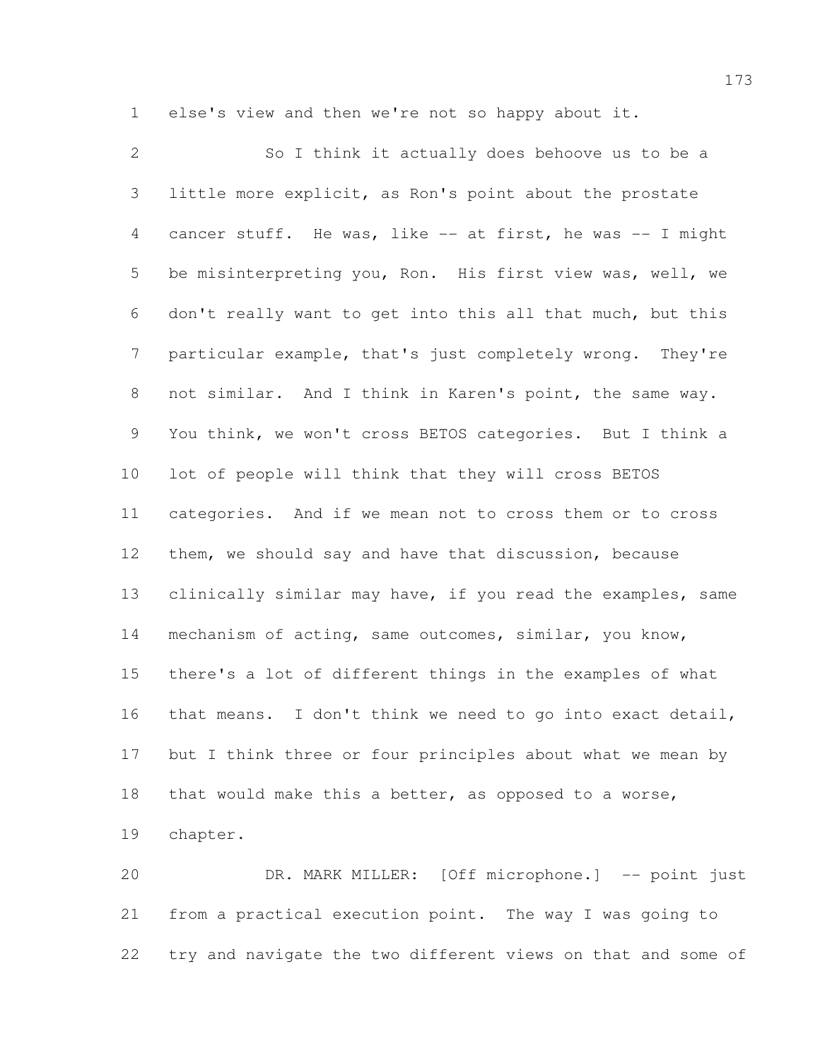else's view and then we're not so happy about it.

 So I think it actually does behoove us to be a little more explicit, as Ron's point about the prostate cancer stuff. He was, like -- at first, he was -- I might be misinterpreting you, Ron. His first view was, well, we don't really want to get into this all that much, but this particular example, that's just completely wrong. They're not similar. And I think in Karen's point, the same way. You think, we won't cross BETOS categories. But I think a lot of people will think that they will cross BETOS categories. And if we mean not to cross them or to cross them, we should say and have that discussion, because 13 clinically similar may have, if you read the examples, same mechanism of acting, same outcomes, similar, you know, there's a lot of different things in the examples of what that means. I don't think we need to go into exact detail, 17 but I think three or four principles about what we mean by that would make this a better, as opposed to a worse, chapter.

 DR. MARK MILLER: [Off microphone.] -- point just from a practical execution point. The way I was going to try and navigate the two different views on that and some of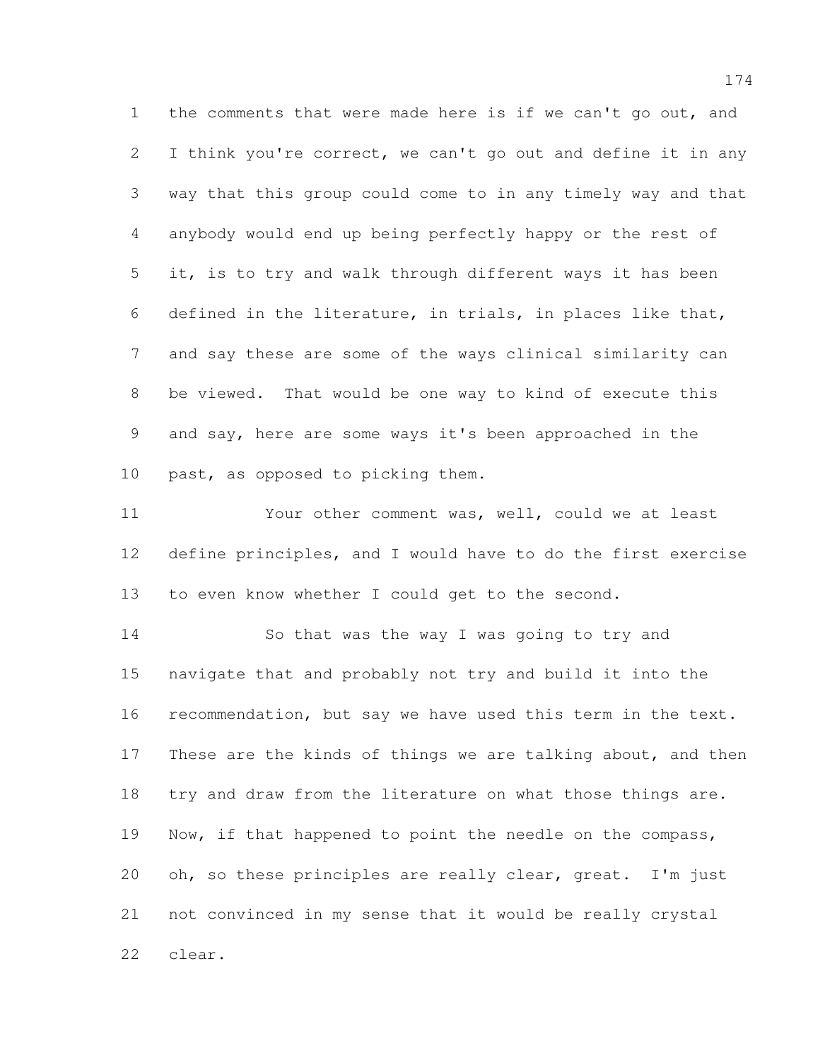the comments that were made here is if we can't go out, and 2 I think you're correct, we can't go out and define it in any way that this group could come to in any timely way and that anybody would end up being perfectly happy or the rest of it, is to try and walk through different ways it has been defined in the literature, in trials, in places like that, and say these are some of the ways clinical similarity can be viewed. That would be one way to kind of execute this and say, here are some ways it's been approached in the past, as opposed to picking them.

 Your other comment was, well, could we at least define principles, and I would have to do the first exercise to even know whether I could get to the second.

 So that was the way I was going to try and navigate that and probably not try and build it into the recommendation, but say we have used this term in the text. 17 These are the kinds of things we are talking about, and then 18 try and draw from the literature on what those things are. 19 Now, if that happened to point the needle on the compass, 20 oh, so these principles are really clear, great. I'm just not convinced in my sense that it would be really crystal clear.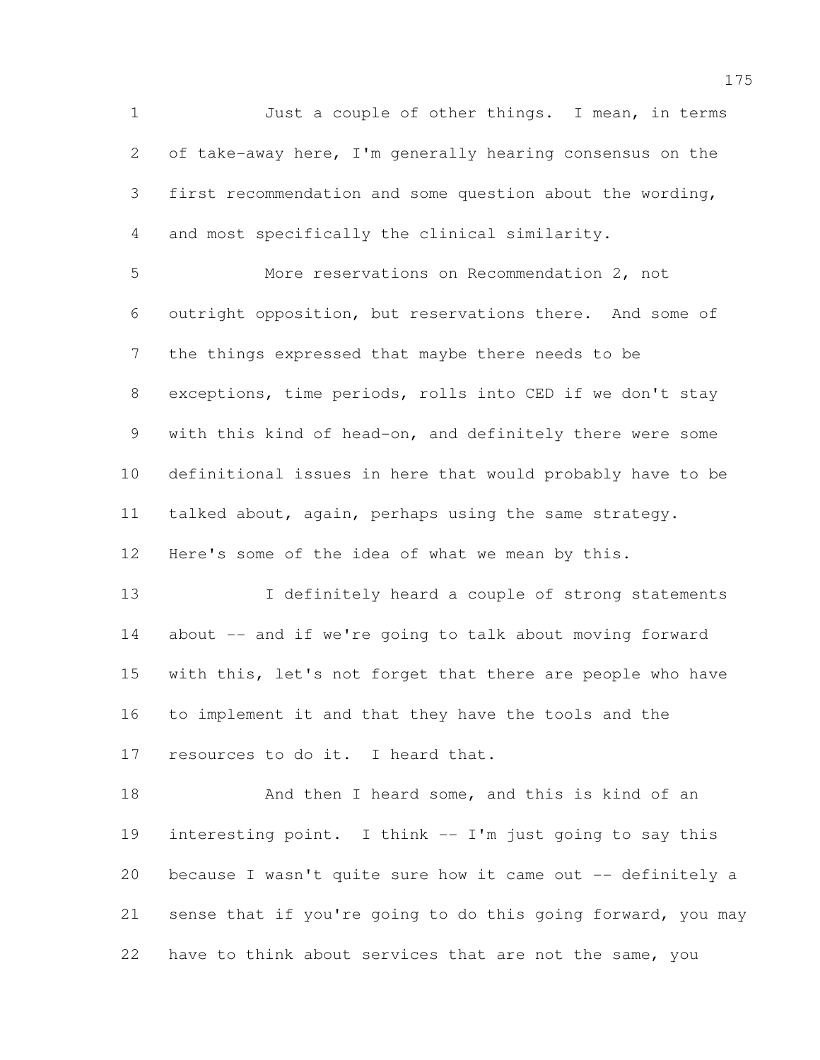Just a couple of other things. I mean, in terms of take-away here, I'm generally hearing consensus on the first recommendation and some question about the wording, and most specifically the clinical similarity.

 More reservations on Recommendation 2, not outright opposition, but reservations there. And some of the things expressed that maybe there needs to be exceptions, time periods, rolls into CED if we don't stay with this kind of head-on, and definitely there were some definitional issues in here that would probably have to be talked about, again, perhaps using the same strategy. Here's some of the idea of what we mean by this.

13 I definitely heard a couple of strong statements 14 about -- and if we're going to talk about moving forward with this, let's not forget that there are people who have to implement it and that they have the tools and the resources to do it. I heard that.

18 And then I heard some, and this is kind of an interesting point. I think -- I'm just going to say this because I wasn't quite sure how it came out -- definitely a sense that if you're going to do this going forward, you may have to think about services that are not the same, you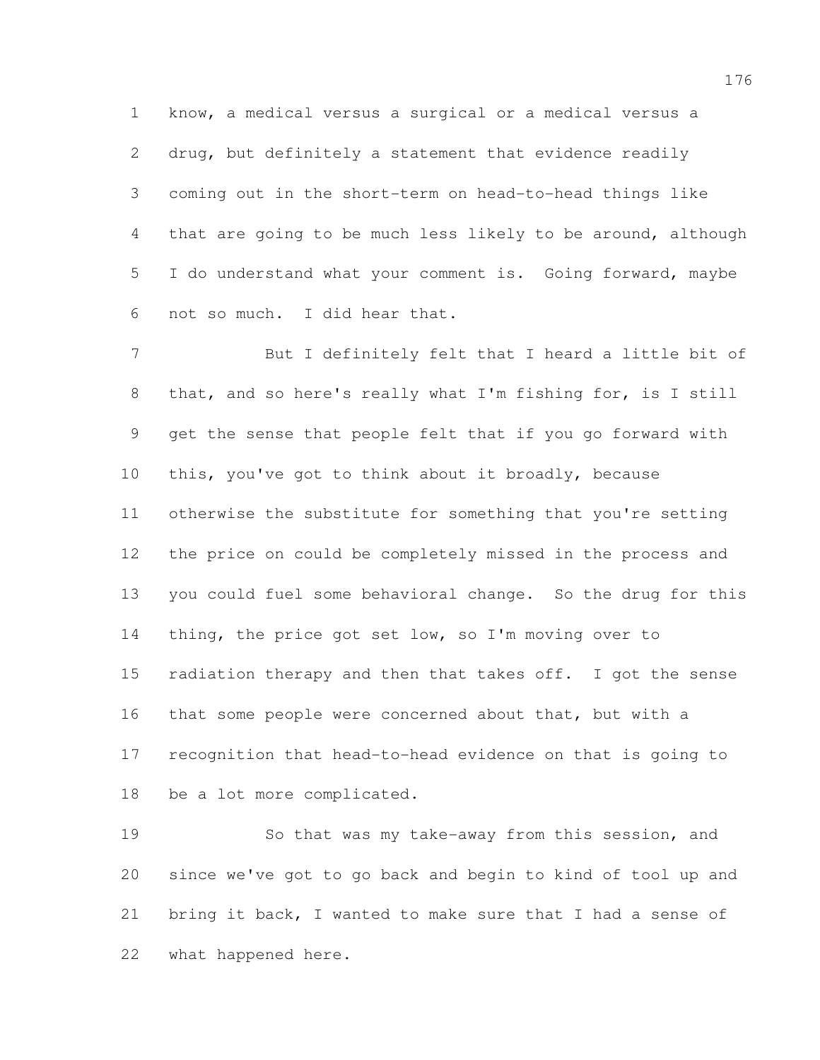know, a medical versus a surgical or a medical versus a drug, but definitely a statement that evidence readily coming out in the short-term on head-to-head things like that are going to be much less likely to be around, although I do understand what your comment is. Going forward, maybe not so much. I did hear that.

 But I definitely felt that I heard a little bit of that, and so here's really what I'm fishing for, is I still get the sense that people felt that if you go forward with this, you've got to think about it broadly, because otherwise the substitute for something that you're setting the price on could be completely missed in the process and you could fuel some behavioral change. So the drug for this 14 thing, the price got set low, so I'm moving over to 15 radiation therapy and then that takes off. I got the sense that some people were concerned about that, but with a recognition that head-to-head evidence on that is going to be a lot more complicated.

 So that was my take-away from this session, and since we've got to go back and begin to kind of tool up and bring it back, I wanted to make sure that I had a sense of what happened here.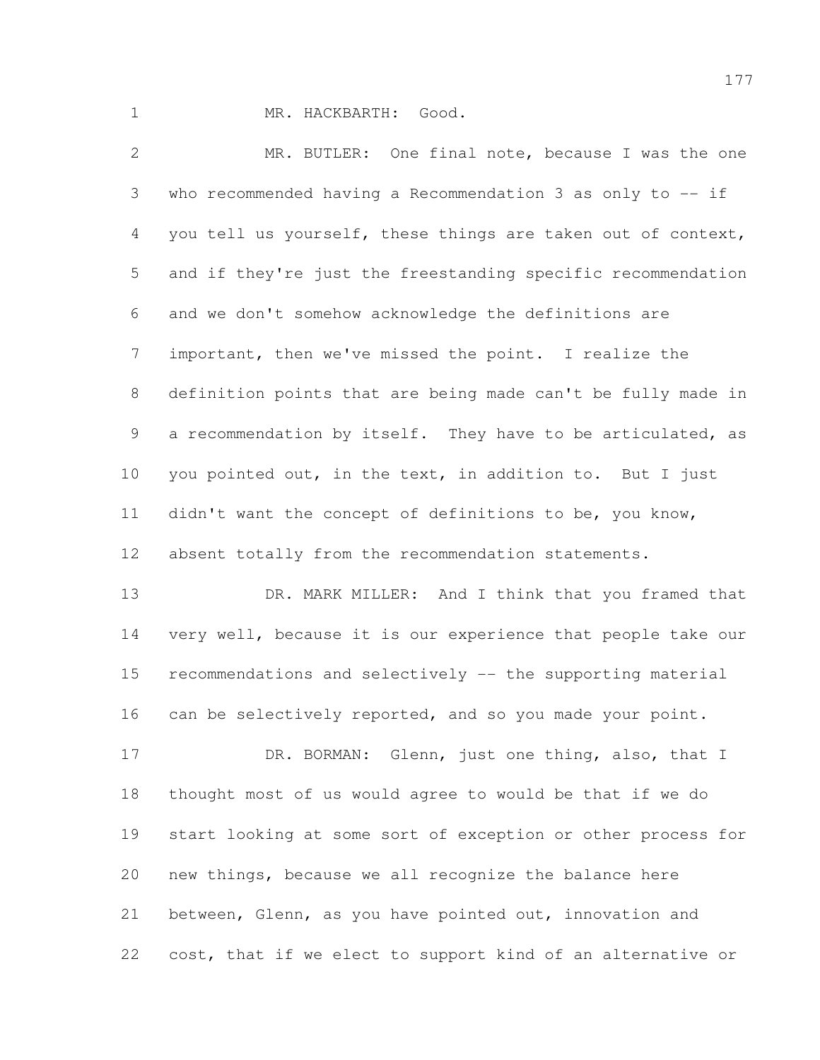MR. HACKBARTH: Good.

 MR. BUTLER: One final note, because I was the one who recommended having a Recommendation 3 as only to -- if you tell us yourself, these things are taken out of context, and if they're just the freestanding specific recommendation and we don't somehow acknowledge the definitions are important, then we've missed the point. I realize the definition points that are being made can't be fully made in a recommendation by itself. They have to be articulated, as you pointed out, in the text, in addition to. But I just didn't want the concept of definitions to be, you know, absent totally from the recommendation statements. 13 DR. MARK MILLER: And I think that you framed that very well, because it is our experience that people take our

 recommendations and selectively -- the supporting material 16 can be selectively reported, and so you made your point.

17 DR. BORMAN: Glenn, just one thing, also, that I thought most of us would agree to would be that if we do start looking at some sort of exception or other process for new things, because we all recognize the balance here between, Glenn, as you have pointed out, innovation and cost, that if we elect to support kind of an alternative or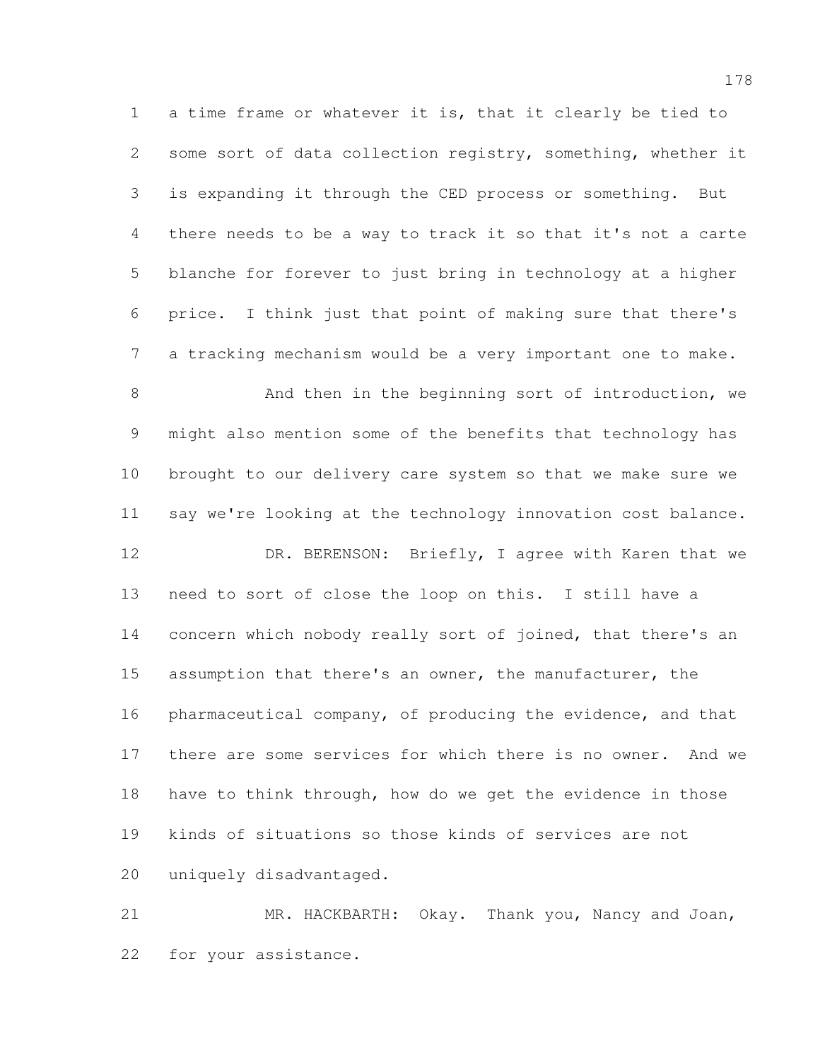a time frame or whatever it is, that it clearly be tied to some sort of data collection registry, something, whether it is expanding it through the CED process or something. But there needs to be a way to track it so that it's not a carte blanche for forever to just bring in technology at a higher price. I think just that point of making sure that there's a tracking mechanism would be a very important one to make.

8 And then in the beginning sort of introduction, we might also mention some of the benefits that technology has brought to our delivery care system so that we make sure we say we're looking at the technology innovation cost balance. 12 DR. BERENSON: Briefly, I agree with Karen that we

 need to sort of close the loop on this. I still have a 14 concern which nobody really sort of joined, that there's an assumption that there's an owner, the manufacturer, the pharmaceutical company, of producing the evidence, and that there are some services for which there is no owner. And we have to think through, how do we get the evidence in those kinds of situations so those kinds of services are not uniquely disadvantaged.

 MR. HACKBARTH: Okay. Thank you, Nancy and Joan, for your assistance.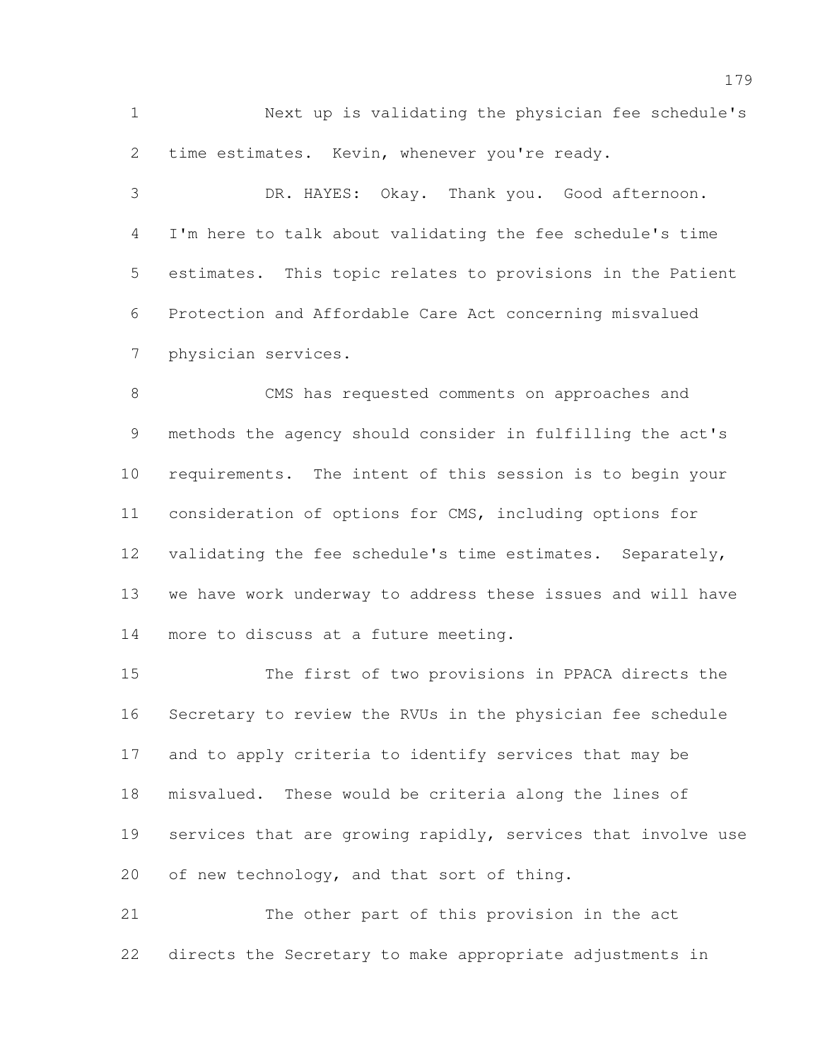Next up is validating the physician fee schedule's time estimates. Kevin, whenever you're ready.

 DR. HAYES: Okay. Thank you. Good afternoon. I'm here to talk about validating the fee schedule's time estimates. This topic relates to provisions in the Patient Protection and Affordable Care Act concerning misvalued physician services.

 CMS has requested comments on approaches and methods the agency should consider in fulfilling the act's requirements. The intent of this session is to begin your consideration of options for CMS, including options for validating the fee schedule's time estimates. Separately, we have work underway to address these issues and will have more to discuss at a future meeting.

 The first of two provisions in PPACA directs the Secretary to review the RVUs in the physician fee schedule and to apply criteria to identify services that may be misvalued. These would be criteria along the lines of services that are growing rapidly, services that involve use of new technology, and that sort of thing.

 The other part of this provision in the act directs the Secretary to make appropriate adjustments in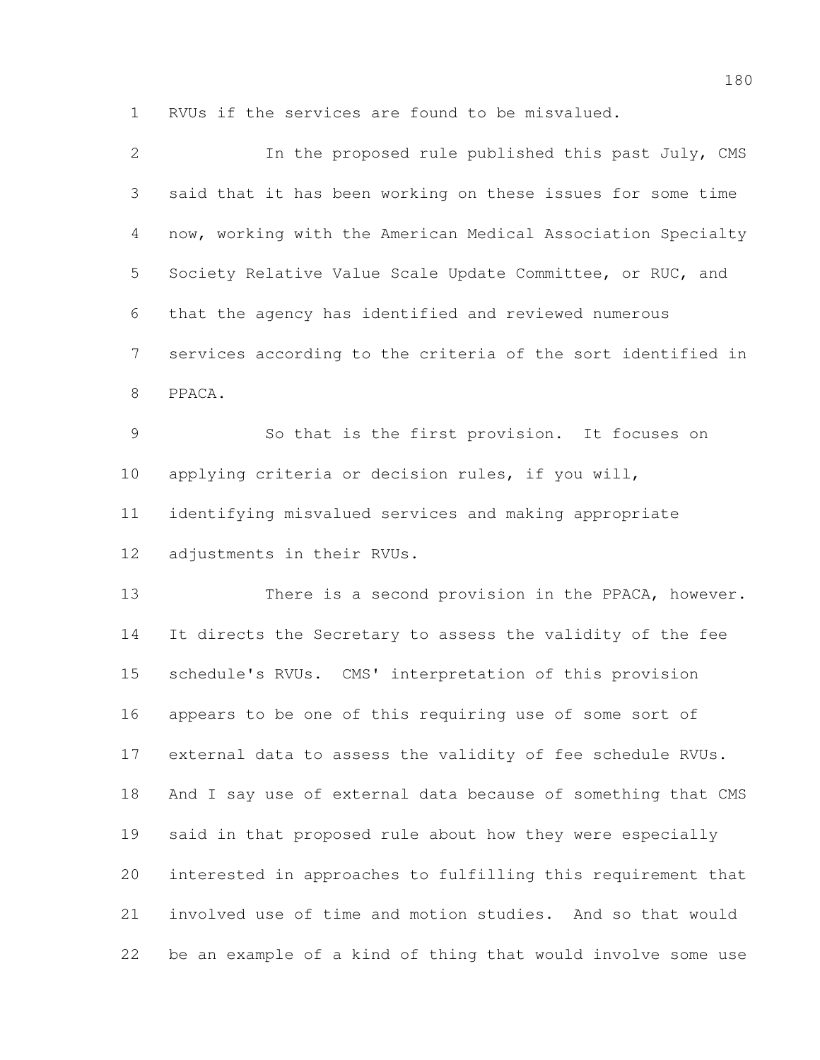RVUs if the services are found to be misvalued.

| 2              | In the proposed rule published this past July, CMS           |
|----------------|--------------------------------------------------------------|
| 3              | said that it has been working on these issues for some time  |
| $\overline{4}$ | now, working with the American Medical Association Specialty |
| 5              | Society Relative Value Scale Update Committee, or RUC, and   |
| 6              | that the agency has identified and reviewed numerous         |
| $\overline{7}$ | services according to the criteria of the sort identified in |
| $8\,$          | PPACA.                                                       |
| 9              | So that is the first provision. It focuses on                |
| 10             | applying criteria or decision rules, if you will,            |
| 11             | identifying misvalued services and making appropriate        |
| 12             | adjustments in their RVUs.                                   |
| 13             | There is a second provision in the PPACA, however.           |
| 14             | It directs the Secretary to assess the validity of the fee   |
| 15             | schedule's RVUs. CMS' interpretation of this provision       |
| 16             | appears to be one of this requiring use of some sort of      |
| 17             | external data to assess the validity of fee schedule RVUs.   |
| 18             | And I say use of external data because of something that CMS |
| 19             | said in that proposed rule about how they were especially    |
| 20             | interested in approaches to fulfilling this requirement that |
| 21             | involved use of time and motion studies. And so that would   |
| 22             | be an example of a kind of thing that would involve some use |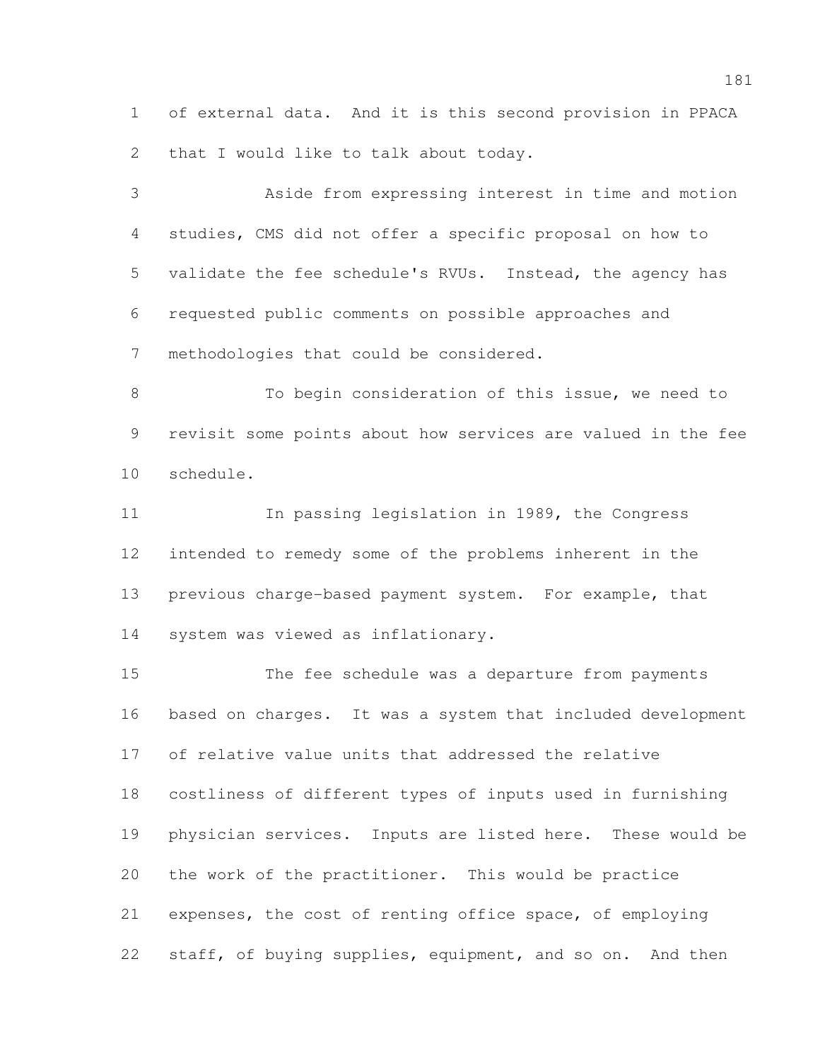of external data. And it is this second provision in PPACA 2 that I would like to talk about today.

 Aside from expressing interest in time and motion studies, CMS did not offer a specific proposal on how to validate the fee schedule's RVUs. Instead, the agency has requested public comments on possible approaches and methodologies that could be considered.

 To begin consideration of this issue, we need to revisit some points about how services are valued in the fee schedule.

11 In passing legislation in 1989, the Congress intended to remedy some of the problems inherent in the previous charge-based payment system. For example, that system was viewed as inflationary.

 The fee schedule was a departure from payments based on charges. It was a system that included development of relative value units that addressed the relative costliness of different types of inputs used in furnishing physician services. Inputs are listed here. These would be the work of the practitioner. This would be practice expenses, the cost of renting office space, of employing 22 staff, of buying supplies, equipment, and so on. And then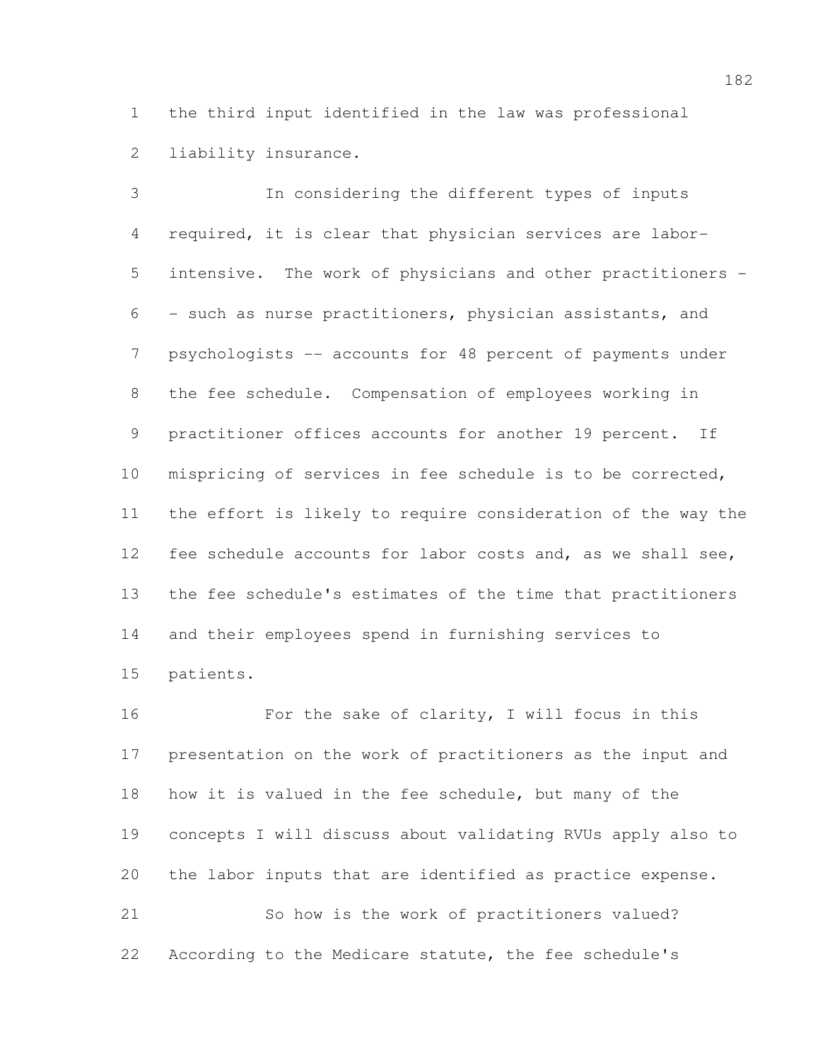the third input identified in the law was professional liability insurance.

 In considering the different types of inputs required, it is clear that physician services are labor- intensive. The work of physicians and other practitioners - - such as nurse practitioners, physician assistants, and psychologists -- accounts for 48 percent of payments under the fee schedule. Compensation of employees working in practitioner offices accounts for another 19 percent. If mispricing of services in fee schedule is to be corrected, the effort is likely to require consideration of the way the fee schedule accounts for labor costs and, as we shall see, the fee schedule's estimates of the time that practitioners and their employees spend in furnishing services to patients.

 For the sake of clarity, I will focus in this presentation on the work of practitioners as the input and how it is valued in the fee schedule, but many of the concepts I will discuss about validating RVUs apply also to the labor inputs that are identified as practice expense. So how is the work of practitioners valued? According to the Medicare statute, the fee schedule's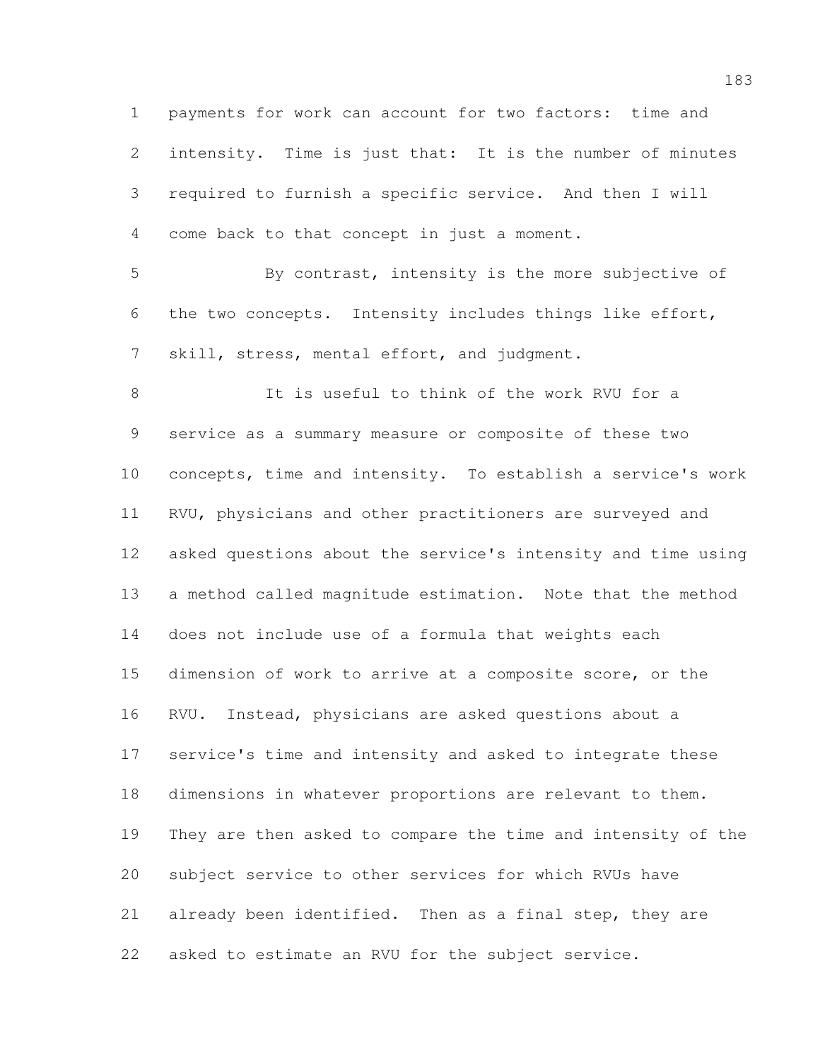payments for work can account for two factors: time and intensity. Time is just that: It is the number of minutes required to furnish a specific service. And then I will come back to that concept in just a moment. By contrast, intensity is the more subjective of the two concepts. Intensity includes things like effort, skill, stress, mental effort, and judgment. It is useful to think of the work RVU for a service as a summary measure or composite of these two concepts, time and intensity. To establish a service's work RVU, physicians and other practitioners are surveyed and asked questions about the service's intensity and time using a method called magnitude estimation. Note that the method does not include use of a formula that weights each dimension of work to arrive at a composite score, or the RVU. Instead, physicians are asked questions about a service's time and intensity and asked to integrate these dimensions in whatever proportions are relevant to them.

 They are then asked to compare the time and intensity of the subject service to other services for which RVUs have already been identified. Then as a final step, they are asked to estimate an RVU for the subject service.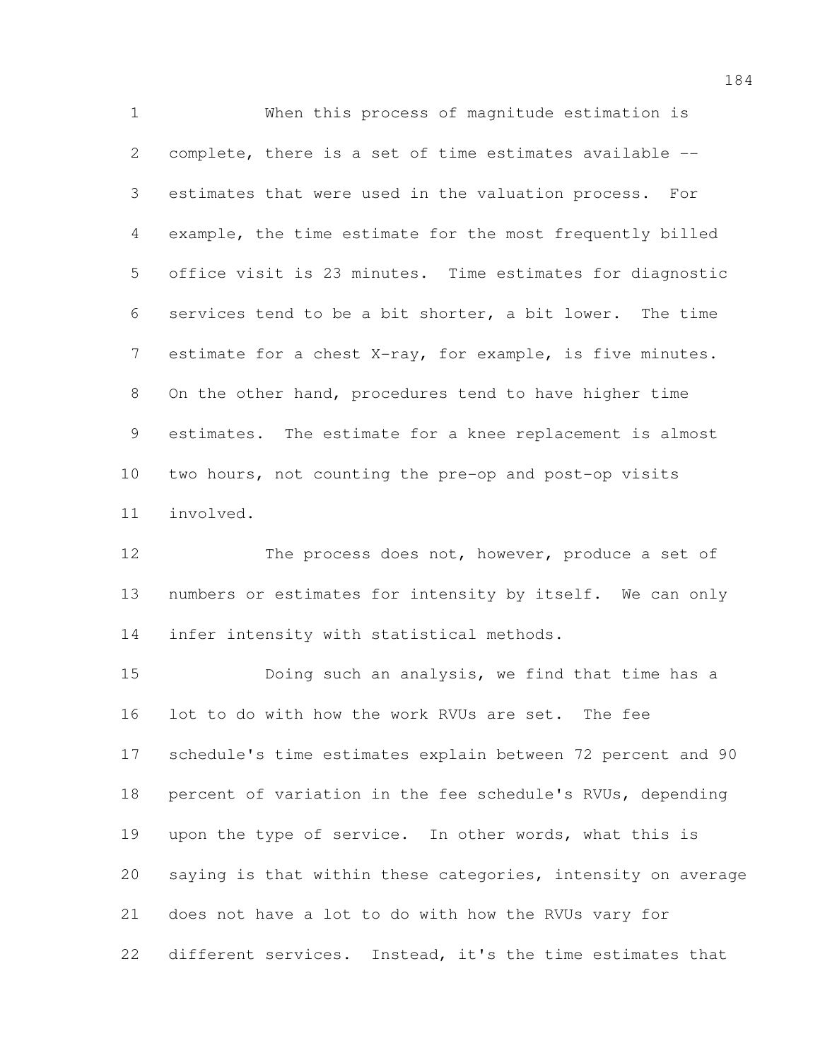When this process of magnitude estimation is complete, there is a set of time estimates available -- estimates that were used in the valuation process. For example, the time estimate for the most frequently billed office visit is 23 minutes. Time estimates for diagnostic services tend to be a bit shorter, a bit lower. The time estimate for a chest X-ray, for example, is five minutes. On the other hand, procedures tend to have higher time estimates. The estimate for a knee replacement is almost two hours, not counting the pre-op and post-op visits involved.

 The process does not, however, produce a set of numbers or estimates for intensity by itself. We can only infer intensity with statistical methods.

 Doing such an analysis, we find that time has a lot to do with how the work RVUs are set. The fee schedule's time estimates explain between 72 percent and 90 percent of variation in the fee schedule's RVUs, depending upon the type of service. In other words, what this is saying is that within these categories, intensity on average does not have a lot to do with how the RVUs vary for different services. Instead, it's the time estimates that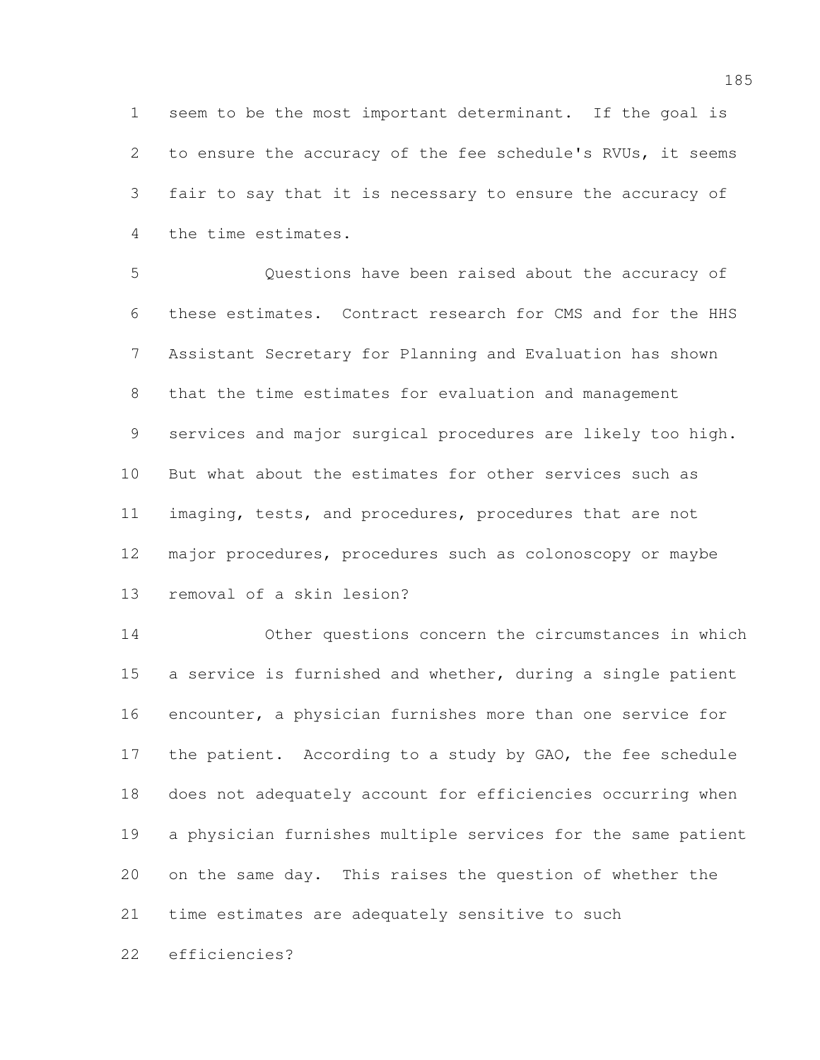seem to be the most important determinant. If the goal is to ensure the accuracy of the fee schedule's RVUs, it seems fair to say that it is necessary to ensure the accuracy of the time estimates.

 Questions have been raised about the accuracy of these estimates. Contract research for CMS and for the HHS Assistant Secretary for Planning and Evaluation has shown that the time estimates for evaluation and management services and major surgical procedures are likely too high. But what about the estimates for other services such as imaging, tests, and procedures, procedures that are not major procedures, procedures such as colonoscopy or maybe removal of a skin lesion?

 Other questions concern the circumstances in which a service is furnished and whether, during a single patient encounter, a physician furnishes more than one service for 17 the patient. According to a study by GAO, the fee schedule does not adequately account for efficiencies occurring when a physician furnishes multiple services for the same patient on the same day. This raises the question of whether the time estimates are adequately sensitive to such

efficiencies?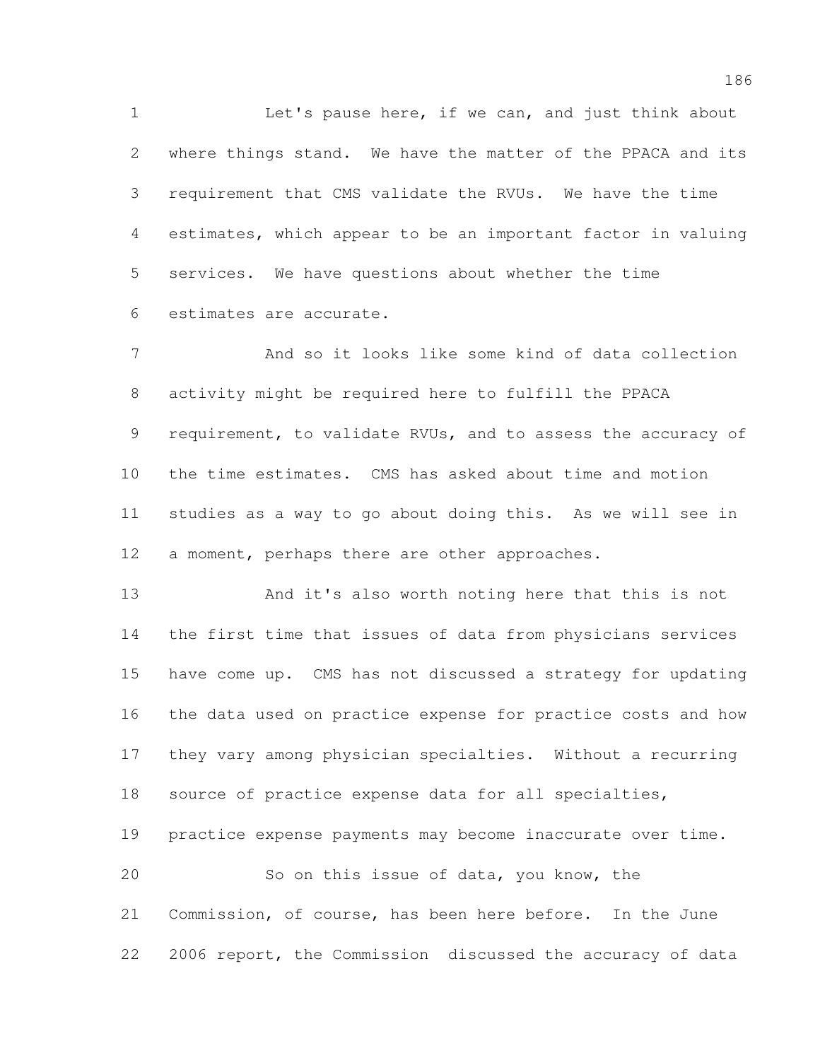Let's pause here, if we can, and just think about where things stand. We have the matter of the PPACA and its requirement that CMS validate the RVUs. We have the time estimates, which appear to be an important factor in valuing services. We have questions about whether the time estimates are accurate.

 And so it looks like some kind of data collection activity might be required here to fulfill the PPACA 9 requirement, to validate RVUs, and to assess the accuracy of the time estimates. CMS has asked about time and motion studies as a way to go about doing this. As we will see in a moment, perhaps there are other approaches.

 And it's also worth noting here that this is not the first time that issues of data from physicians services have come up. CMS has not discussed a strategy for updating the data used on practice expense for practice costs and how they vary among physician specialties. Without a recurring source of practice expense data for all specialties, practice expense payments may become inaccurate over time. So on this issue of data, you know, the Commission, of course, has been here before. In the June

2006 report, the Commission discussed the accuracy of data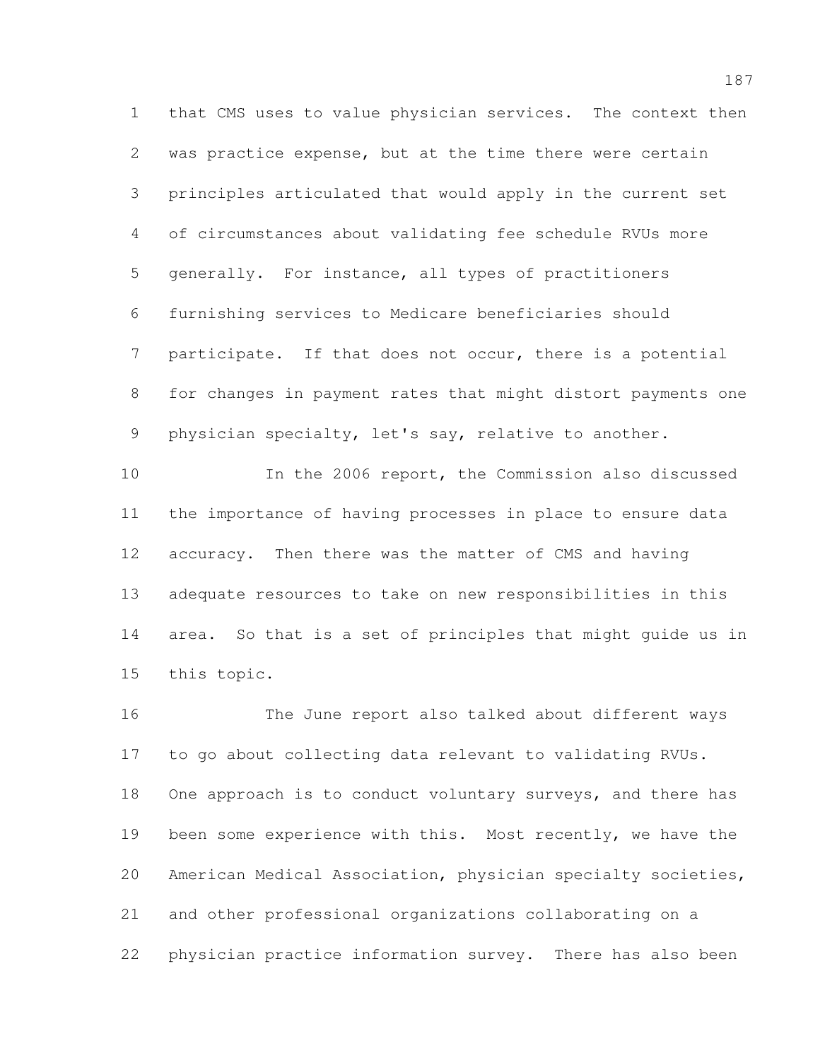that CMS uses to value physician services. The context then was practice expense, but at the time there were certain principles articulated that would apply in the current set of circumstances about validating fee schedule RVUs more generally. For instance, all types of practitioners furnishing services to Medicare beneficiaries should participate. If that does not occur, there is a potential for changes in payment rates that might distort payments one physician specialty, let's say, relative to another.

 In the 2006 report, the Commission also discussed the importance of having processes in place to ensure data accuracy. Then there was the matter of CMS and having adequate resources to take on new responsibilities in this area. So that is a set of principles that might guide us in this topic.

 The June report also talked about different ways to go about collecting data relevant to validating RVUs. 18 One approach is to conduct voluntary surveys, and there has 19 been some experience with this. Most recently, we have the American Medical Association, physician specialty societies, and other professional organizations collaborating on a physician practice information survey. There has also been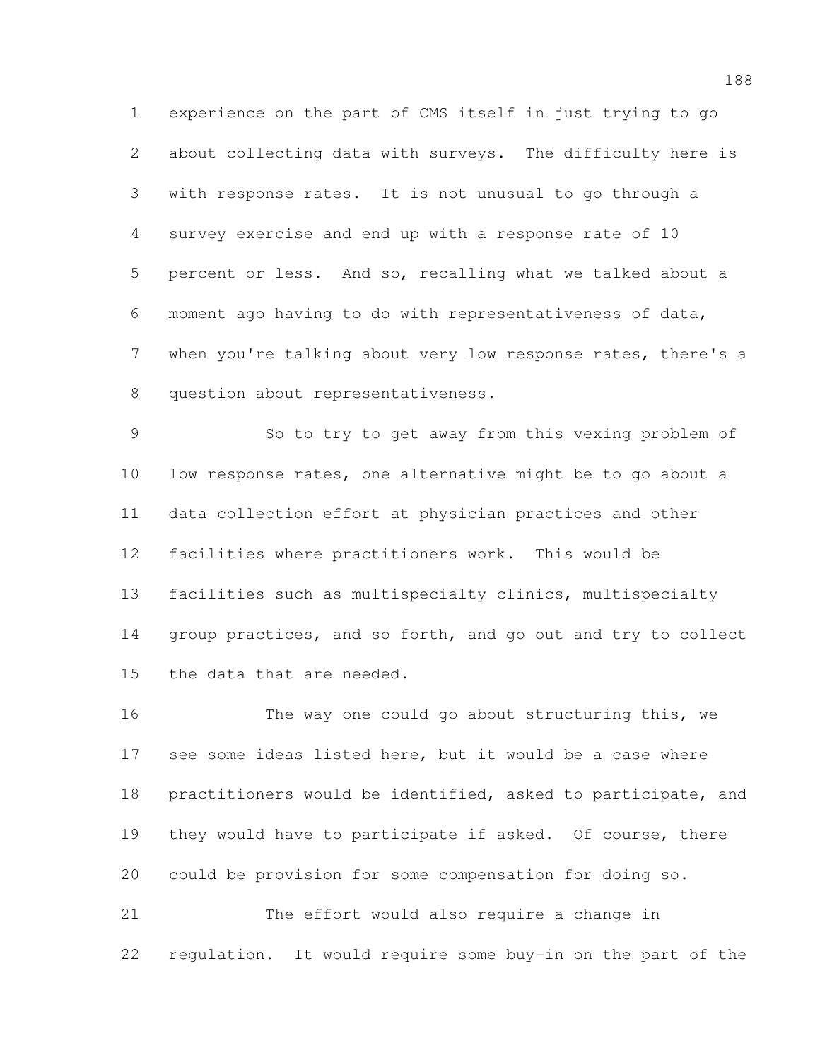experience on the part of CMS itself in just trying to go about collecting data with surveys. The difficulty here is with response rates. It is not unusual to go through a survey exercise and end up with a response rate of 10 percent or less. And so, recalling what we talked about a moment ago having to do with representativeness of data, when you're talking about very low response rates, there's a question about representativeness.

 So to try to get away from this vexing problem of low response rates, one alternative might be to go about a data collection effort at physician practices and other facilities where practitioners work. This would be facilities such as multispecialty clinics, multispecialty group practices, and so forth, and go out and try to collect the data that are needed.

 The way one could go about structuring this, we see some ideas listed here, but it would be a case where practitioners would be identified, asked to participate, and 19 they would have to participate if asked. Of course, there could be provision for some compensation for doing so.

 The effort would also require a change in regulation. It would require some buy-in on the part of the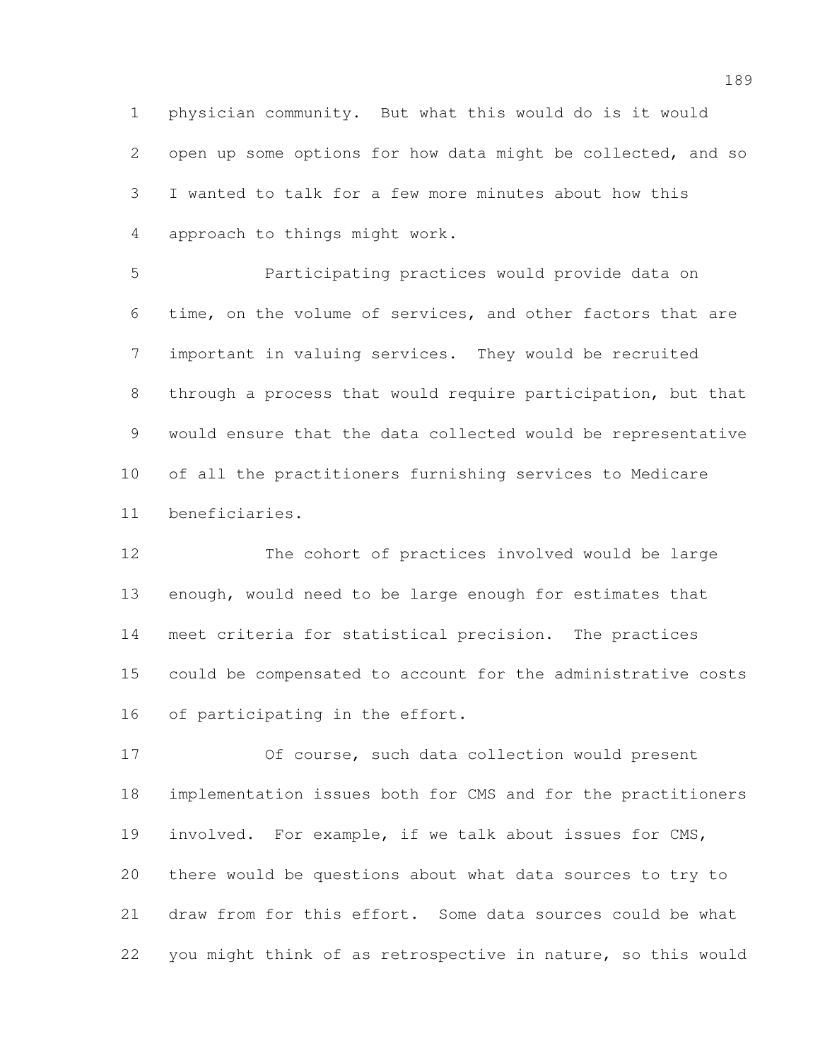physician community. But what this would do is it would open up some options for how data might be collected, and so I wanted to talk for a few more minutes about how this approach to things might work.

 Participating practices would provide data on time, on the volume of services, and other factors that are important in valuing services. They would be recruited through a process that would require participation, but that would ensure that the data collected would be representative of all the practitioners furnishing services to Medicare beneficiaries.

 The cohort of practices involved would be large enough, would need to be large enough for estimates that meet criteria for statistical precision. The practices could be compensated to account for the administrative costs 16 of participating in the effort.

 Of course, such data collection would present implementation issues both for CMS and for the practitioners involved. For example, if we talk about issues for CMS, there would be questions about what data sources to try to draw from for this effort. Some data sources could be what you might think of as retrospective in nature, so this would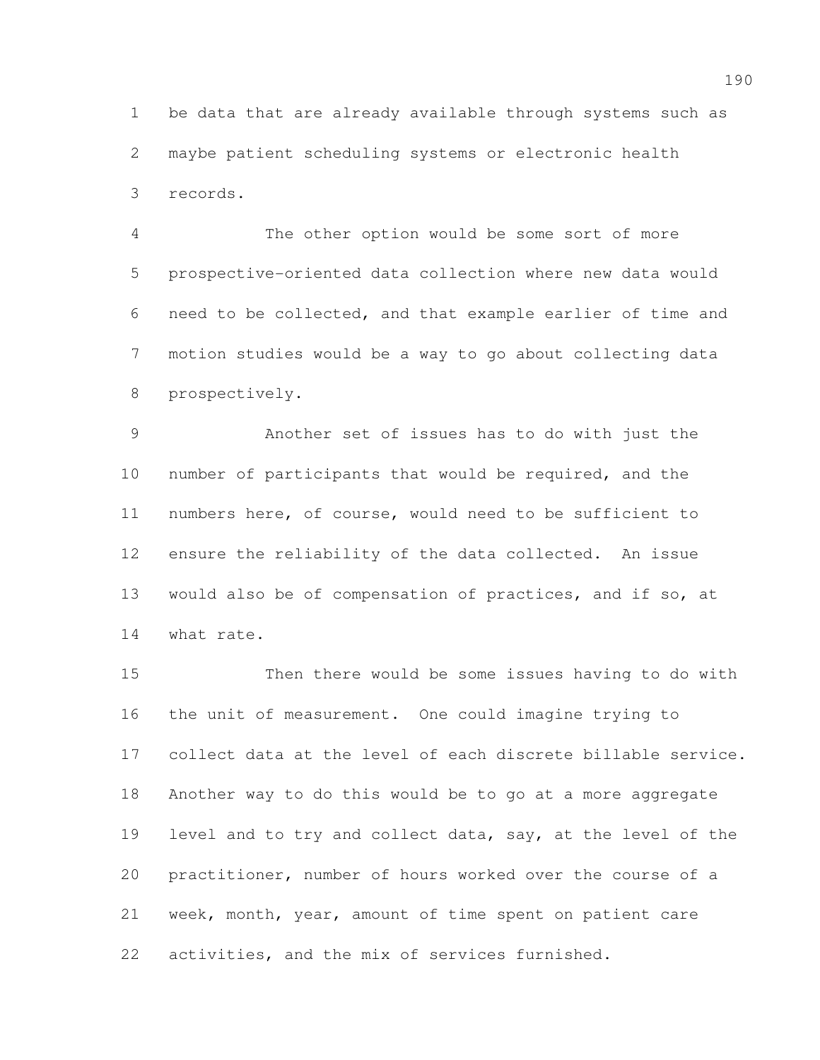be data that are already available through systems such as maybe patient scheduling systems or electronic health records.

 The other option would be some sort of more prospective-oriented data collection where new data would need to be collected, and that example earlier of time and motion studies would be a way to go about collecting data prospectively.

 Another set of issues has to do with just the number of participants that would be required, and the numbers here, of course, would need to be sufficient to ensure the reliability of the data collected. An issue would also be of compensation of practices, and if so, at what rate.

 Then there would be some issues having to do with the unit of measurement. One could imagine trying to collect data at the level of each discrete billable service. Another way to do this would be to go at a more aggregate level and to try and collect data, say, at the level of the practitioner, number of hours worked over the course of a week, month, year, amount of time spent on patient care activities, and the mix of services furnished.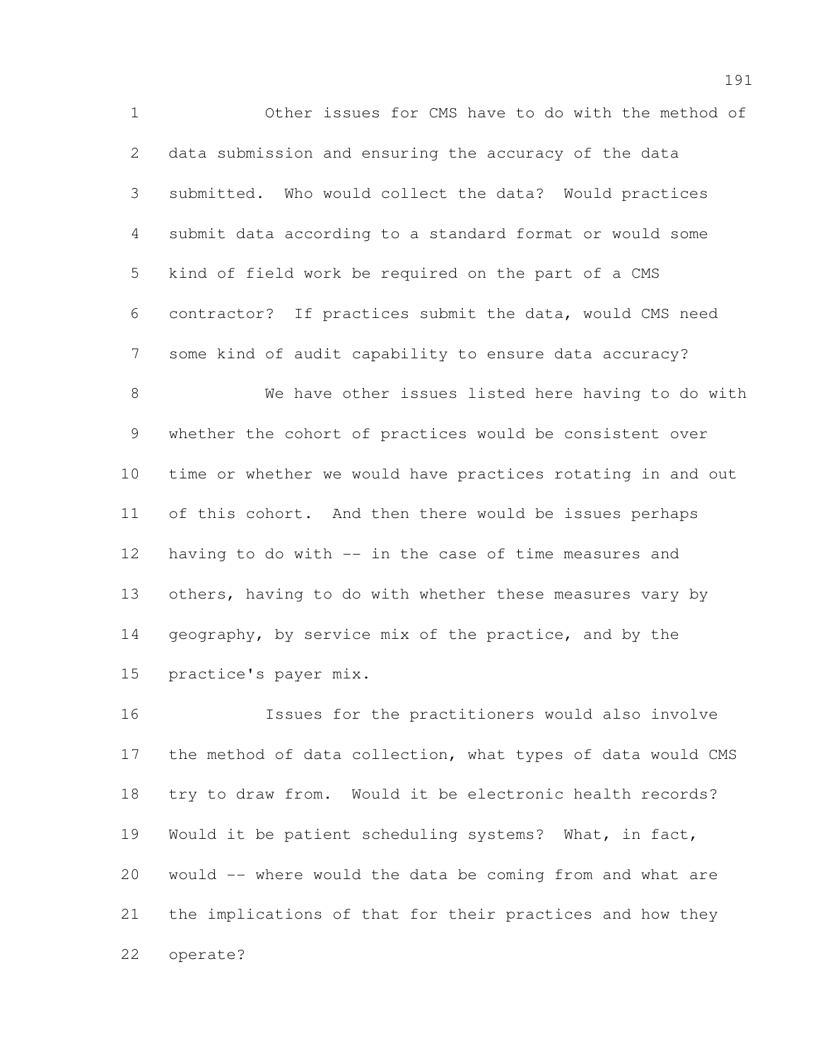Other issues for CMS have to do with the method of data submission and ensuring the accuracy of the data submitted. Who would collect the data? Would practices submit data according to a standard format or would some kind of field work be required on the part of a CMS contractor? If practices submit the data, would CMS need some kind of audit capability to ensure data accuracy?

 We have other issues listed here having to do with whether the cohort of practices would be consistent over time or whether we would have practices rotating in and out of this cohort. And then there would be issues perhaps having to do with -- in the case of time measures and others, having to do with whether these measures vary by 14 geography, by service mix of the practice, and by the practice's payer mix.

 Issues for the practitioners would also involve 17 the method of data collection, what types of data would CMS try to draw from. Would it be electronic health records? Would it be patient scheduling systems? What, in fact, would -- where would the data be coming from and what are the implications of that for their practices and how they operate?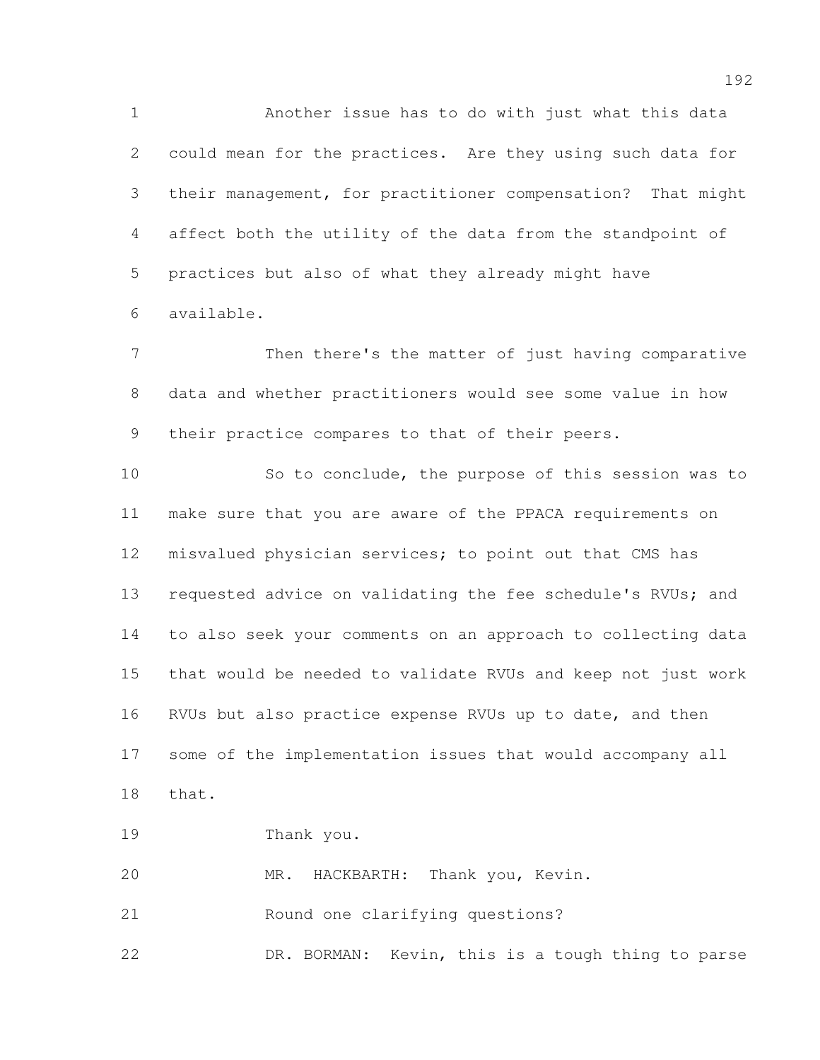Another issue has to do with just what this data could mean for the practices. Are they using such data for their management, for practitioner compensation? That might affect both the utility of the data from the standpoint of practices but also of what they already might have available.

 Then there's the matter of just having comparative data and whether practitioners would see some value in how their practice compares to that of their peers.

 So to conclude, the purpose of this session was to make sure that you are aware of the PPACA requirements on misvalued physician services; to point out that CMS has requested advice on validating the fee schedule's RVUs; and to also seek your comments on an approach to collecting data that would be needed to validate RVUs and keep not just work RVUs but also practice expense RVUs up to date, and then some of the implementation issues that would accompany all that.

Thank you.

MR. HACKBARTH: Thank you, Kevin.

Round one clarifying questions?

DR. BORMAN: Kevin, this is a tough thing to parse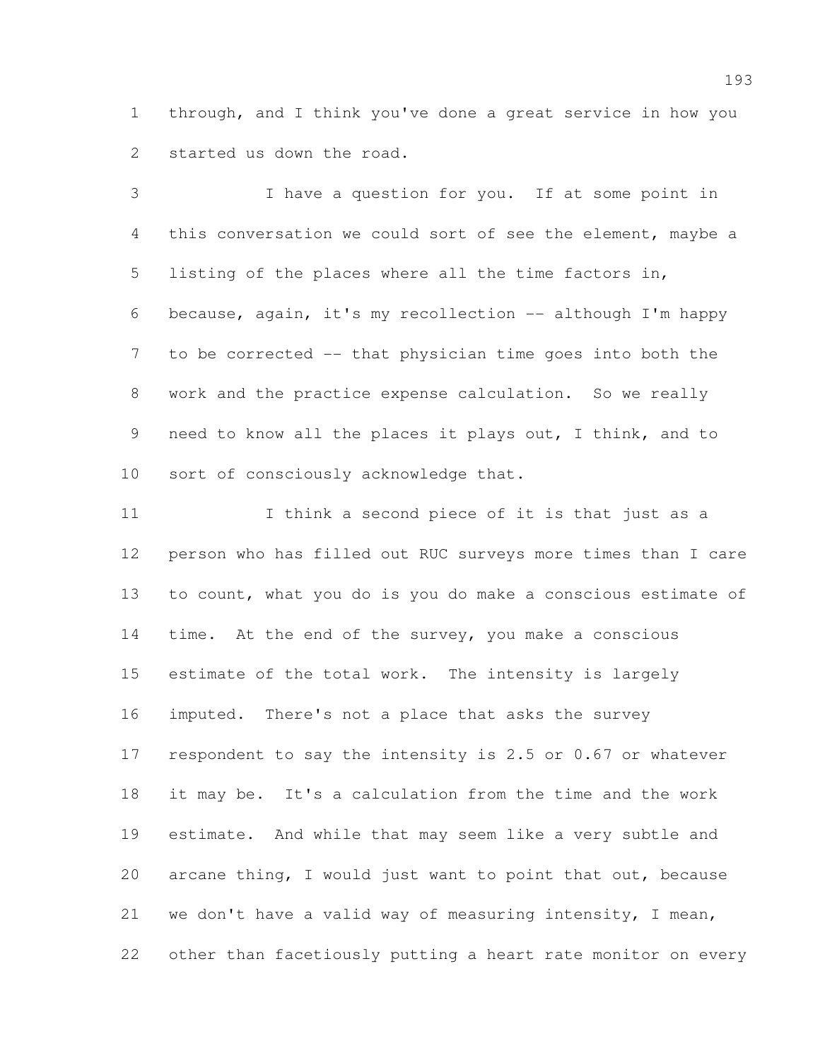through, and I think you've done a great service in how you started us down the road.

 I have a question for you. If at some point in this conversation we could sort of see the element, maybe a listing of the places where all the time factors in, because, again, it's my recollection -- although I'm happy to be corrected -- that physician time goes into both the work and the practice expense calculation. So we really need to know all the places it plays out, I think, and to sort of consciously acknowledge that.

11 I think a second piece of it is that just as a person who has filled out RUC surveys more times than I care to count, what you do is you do make a conscious estimate of time. At the end of the survey, you make a conscious estimate of the total work. The intensity is largely imputed. There's not a place that asks the survey respondent to say the intensity is 2.5 or 0.67 or whatever it may be. It's a calculation from the time and the work estimate. And while that may seem like a very subtle and arcane thing, I would just want to point that out, because we don't have a valid way of measuring intensity, I mean, other than facetiously putting a heart rate monitor on every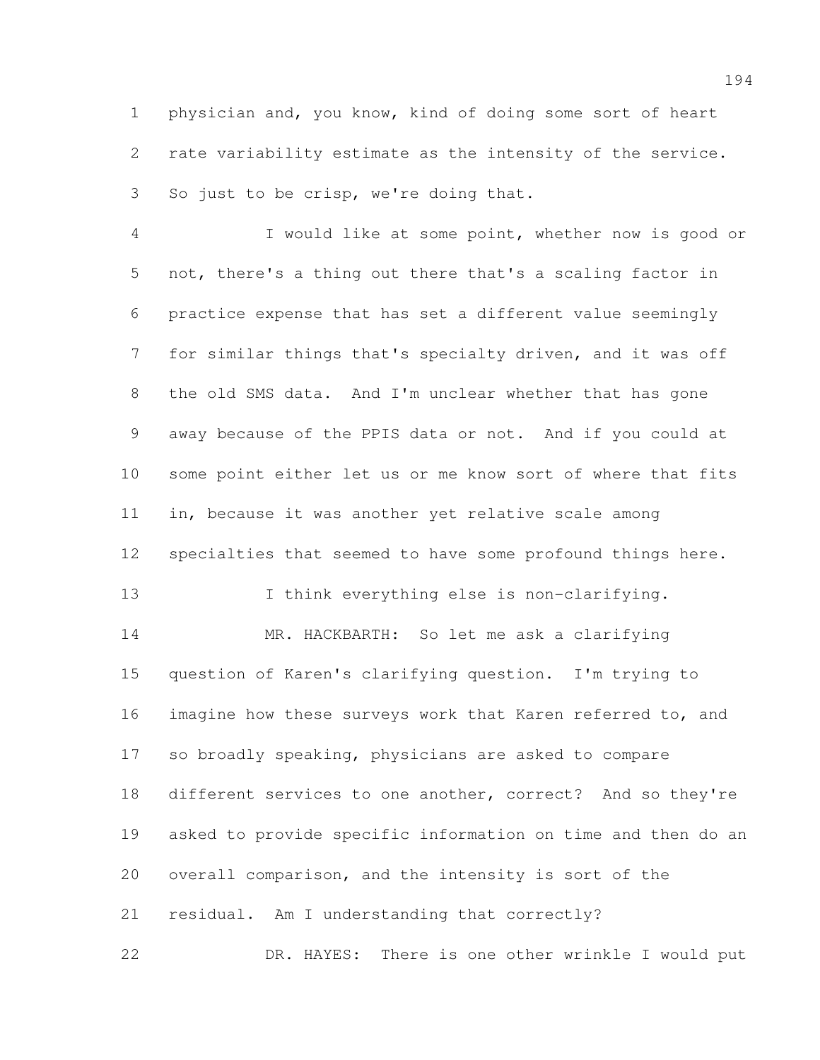physician and, you know, kind of doing some sort of heart rate variability estimate as the intensity of the service. So just to be crisp, we're doing that.

 I would like at some point, whether now is good or not, there's a thing out there that's a scaling factor in practice expense that has set a different value seemingly for similar things that's specialty driven, and it was off the old SMS data. And I'm unclear whether that has gone away because of the PPIS data or not. And if you could at some point either let us or me know sort of where that fits in, because it was another yet relative scale among specialties that seemed to have some profound things here. 13 I think everything else is non-clarifying. MR. HACKBARTH: So let me ask a clarifying question of Karen's clarifying question. I'm trying to imagine how these surveys work that Karen referred to, and so broadly speaking, physicians are asked to compare different services to one another, correct? And so they're asked to provide specific information on time and then do an overall comparison, and the intensity is sort of the residual. Am I understanding that correctly?

DR. HAYES: There is one other wrinkle I would put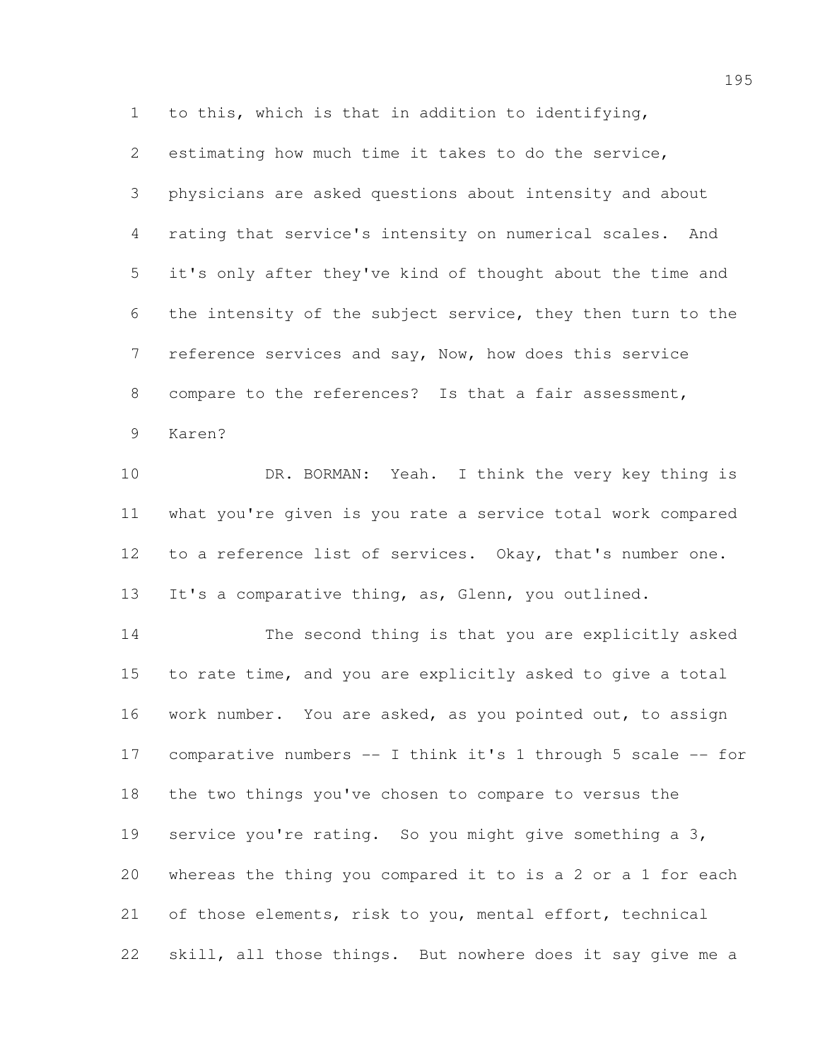to this, which is that in addition to identifying,

 estimating how much time it takes to do the service, physicians are asked questions about intensity and about rating that service's intensity on numerical scales. And it's only after they've kind of thought about the time and the intensity of the subject service, they then turn to the reference services and say, Now, how does this service compare to the references? Is that a fair assessment, Karen?

 DR. BORMAN: Yeah. I think the very key thing is what you're given is you rate a service total work compared to a reference list of services. Okay, that's number one. 13 It's a comparative thing, as, Glenn, you outlined.

 The second thing is that you are explicitly asked to rate time, and you are explicitly asked to give a total work number. You are asked, as you pointed out, to assign comparative numbers -- I think it's 1 through 5 scale -- for the two things you've chosen to compare to versus the service you're rating. So you might give something a 3, whereas the thing you compared it to is a 2 or a 1 for each of those elements, risk to you, mental effort, technical skill, all those things. But nowhere does it say give me a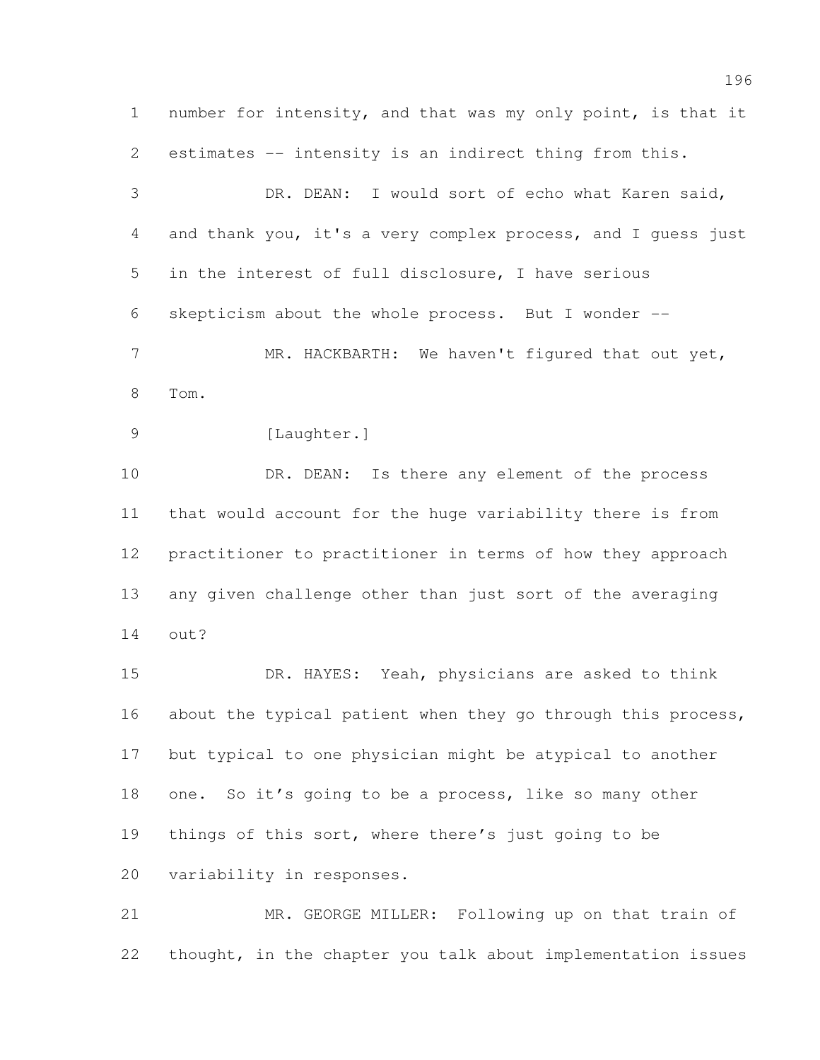number for intensity, and that was my only point, is that it estimates -- intensity is an indirect thing from this. DR. DEAN: I would sort of echo what Karen said, and thank you, it's a very complex process, and I guess just in the interest of full disclosure, I have serious skepticism about the whole process. But I wonder -- 7 MR. HACKBARTH: We haven't figured that out yet, Tom. 9 [Laughter.] 10 DR. DEAN: Is there any element of the process that would account for the huge variability there is from practitioner to practitioner in terms of how they approach any given challenge other than just sort of the averaging out? DR. HAYES: Yeah, physicians are asked to think 16 about the typical patient when they go through this process, but typical to one physician might be atypical to another 18 one. So it's going to be a process, like so many other

things of this sort, where there's just going to be

variability in responses.

 MR. GEORGE MILLER: Following up on that train of thought, in the chapter you talk about implementation issues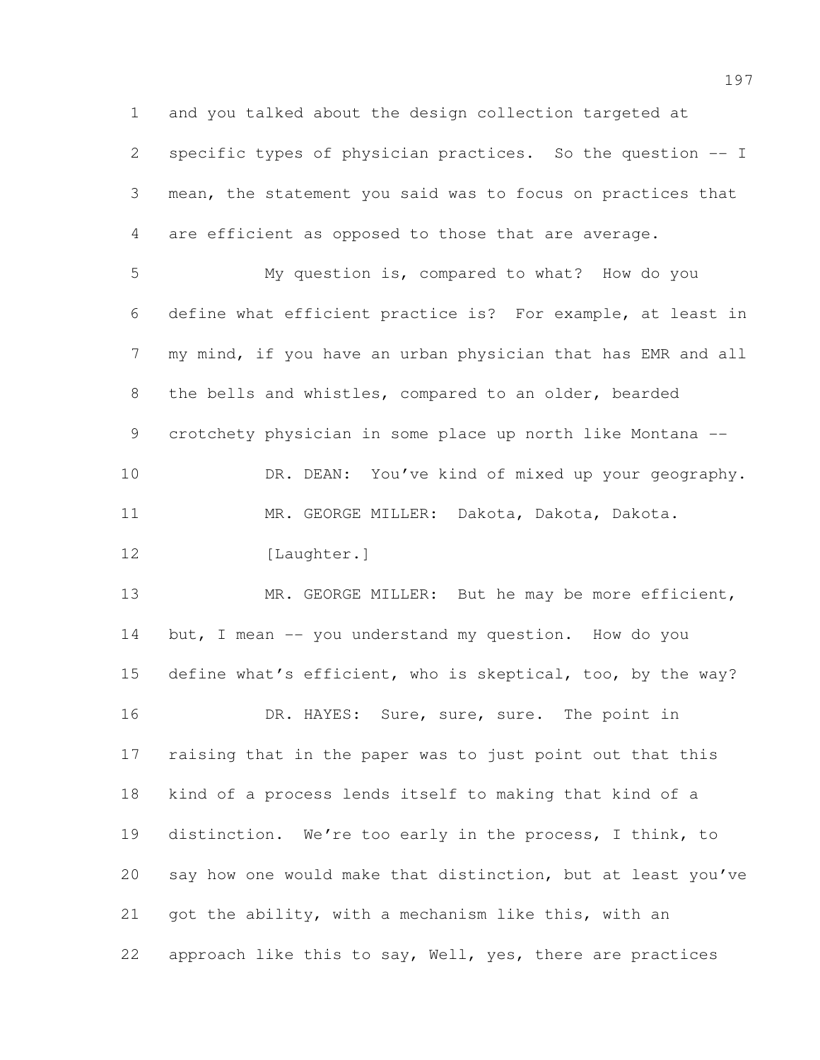and you talked about the design collection targeted at specific types of physician practices. So the question -- I mean, the statement you said was to focus on practices that are efficient as opposed to those that are average. My question is, compared to what? How do you define what efficient practice is? For example, at least in 7 my mind, if you have an urban physician that has EMR and all the bells and whistles, compared to an older, bearded crotchety physician in some place up north like Montana -- 10 DR. DEAN: You've kind of mixed up your geography. MR. GEORGE MILLER: Dakota, Dakota, Dakota. 12 [Laughter.] 13 MR. GEORGE MILLER: But he may be more efficient, 14 but, I mean -- you understand my question. How do you define what's efficient, who is skeptical, too, by the way? 16 DR. HAYES: Sure, sure, sure. The point in raising that in the paper was to just point out that this kind of a process lends itself to making that kind of a distinction. We're too early in the process, I think, to say how one would make that distinction, but at least you've got the ability, with a mechanism like this, with an approach like this to say, Well, yes, there are practices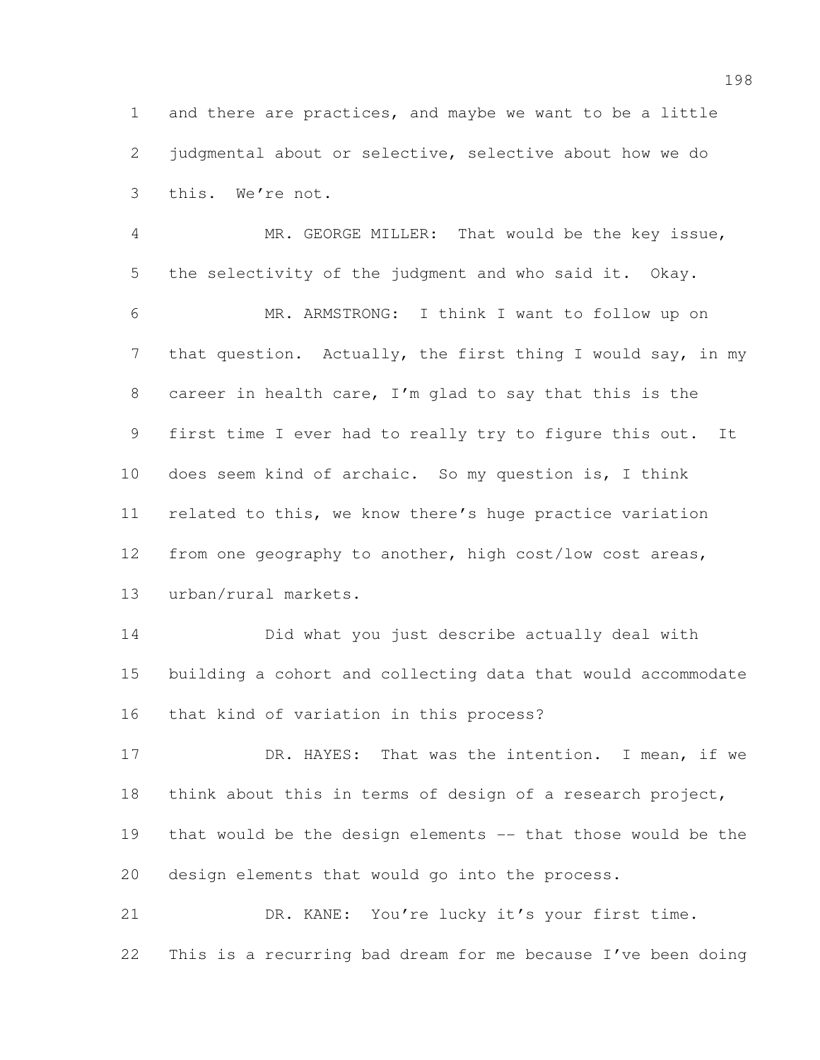and there are practices, and maybe we want to be a little judgmental about or selective, selective about how we do this. We're not.

 MR. GEORGE MILLER: That would be the key issue, the selectivity of the judgment and who said it. Okay. MR. ARMSTRONG: I think I want to follow up on 7 that question. Actually, the first thing I would say, in my career in health care, I'm glad to say that this is the first time I ever had to really try to figure this out. It does seem kind of archaic. So my question is, I think related to this, we know there's huge practice variation from one geography to another, high cost/low cost areas, urban/rural markets.

 Did what you just describe actually deal with building a cohort and collecting data that would accommodate that kind of variation in this process?

 DR. HAYES: That was the intention. I mean, if we think about this in terms of design of a research project, that would be the design elements -- that those would be the design elements that would go into the process.

 DR. KANE: You're lucky it's your first time. This is a recurring bad dream for me because I've been doing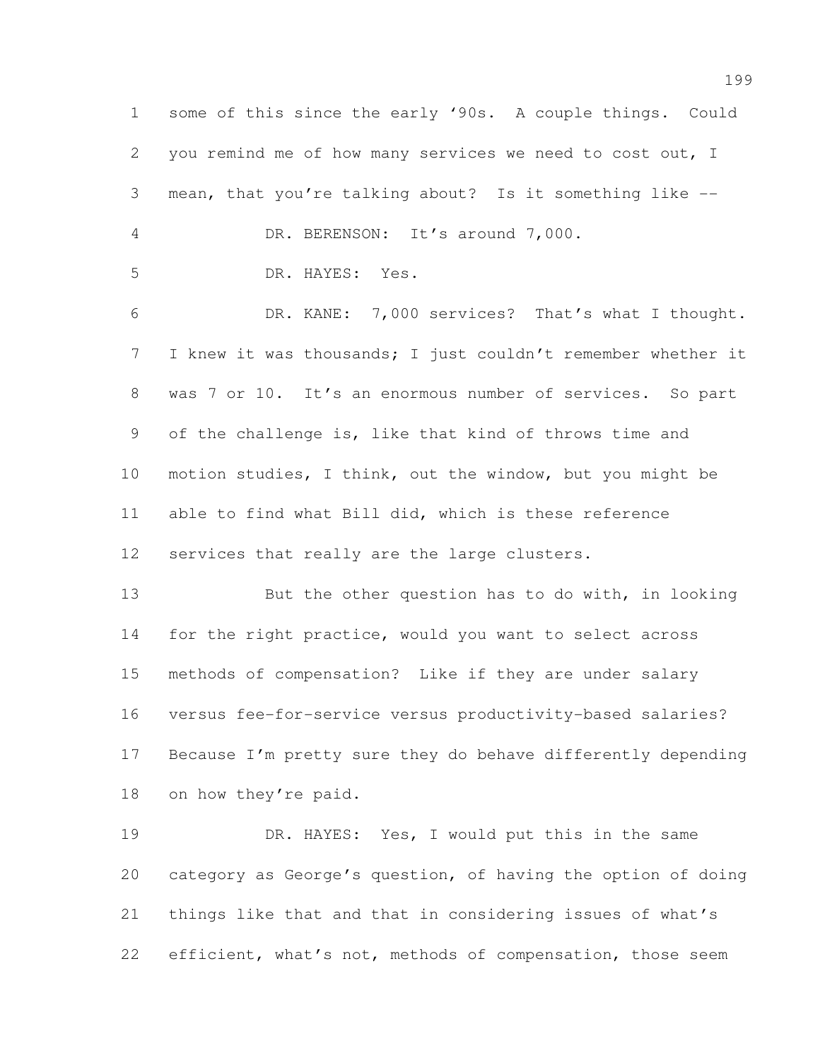some of this since the early '90s. A couple things. Could you remind me of how many services we need to cost out, I mean, that you're talking about? Is it something like -- DR. BERENSON: It's around 7,000. DR. HAYES: Yes. DR. KANE: 7,000 services? That's what I thought. I knew it was thousands; I just couldn't remember whether it was 7 or 10. It's an enormous number of services. So part of the challenge is, like that kind of throws time and motion studies, I think, out the window, but you might be able to find what Bill did, which is these reference services that really are the large clusters. 13 But the other question has to do with, in looking 14 for the right practice, would you want to select across methods of compensation? Like if they are under salary versus fee-for-service versus productivity-based salaries? Because I'm pretty sure they do behave differently depending on how they're paid. DR. HAYES: Yes, I would put this in the same category as George's question, of having the option of doing things like that and that in considering issues of what's

22 efficient, what's not, methods of compensation, those seem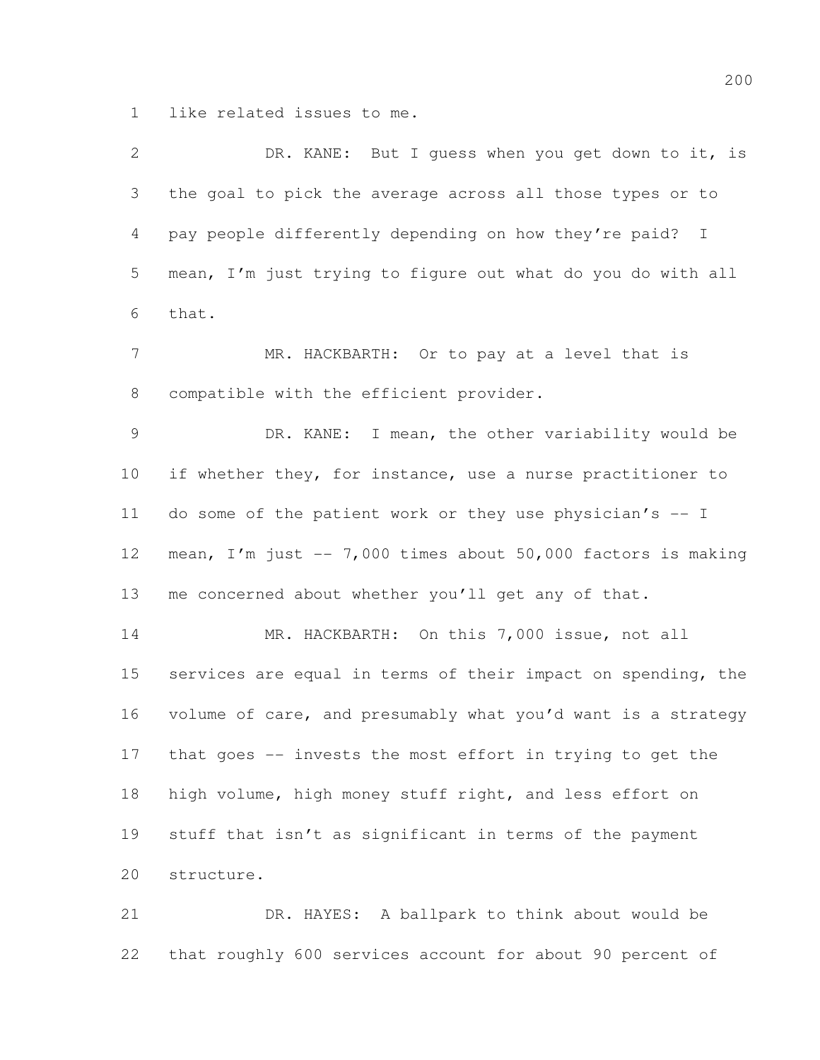like related issues to me.

| $\mathbf{2}$   | DR. KANE: But I guess when you get down to it, is                     |
|----------------|-----------------------------------------------------------------------|
| 3              | the goal to pick the average across all those types or to             |
| $\overline{4}$ | pay people differently depending on how they're paid?<br>$\mathbb{I}$ |
| 5              | mean, I'm just trying to figure out what do you do with all           |
| 6              | that.                                                                 |
| $\overline{7}$ | MR. HACKBARTH: Or to pay at a level that is                           |
| 8              | compatible with the efficient provider.                               |
| 9              | DR. KANE: I mean, the other variability would be                      |
| 10             | if whether they, for instance, use a nurse practitioner to            |
| 11             | do some of the patient work or they use physician's -- I              |
| 12             | mean, I'm just -- 7,000 times about 50,000 factors is making          |
| 13             | me concerned about whether you'll get any of that.                    |
| 14             | MR. HACKBARTH: On this 7,000 issue, not all                           |
| 15             | services are equal in terms of their impact on spending, the          |
| 16             | volume of care, and presumably what you'd want is a strategy          |
| 17             | that goes -- invests the most effort in trying to get the             |
| 18             | high volume, high money stuff right, and less effort on               |
| 19             | stuff that isn't as significant in terms of the payment               |
| 20             | structure.                                                            |
| 21             | DR. HAYES: A ballpark to think about would be                         |
|                |                                                                       |

that roughly 600 services account for about 90 percent of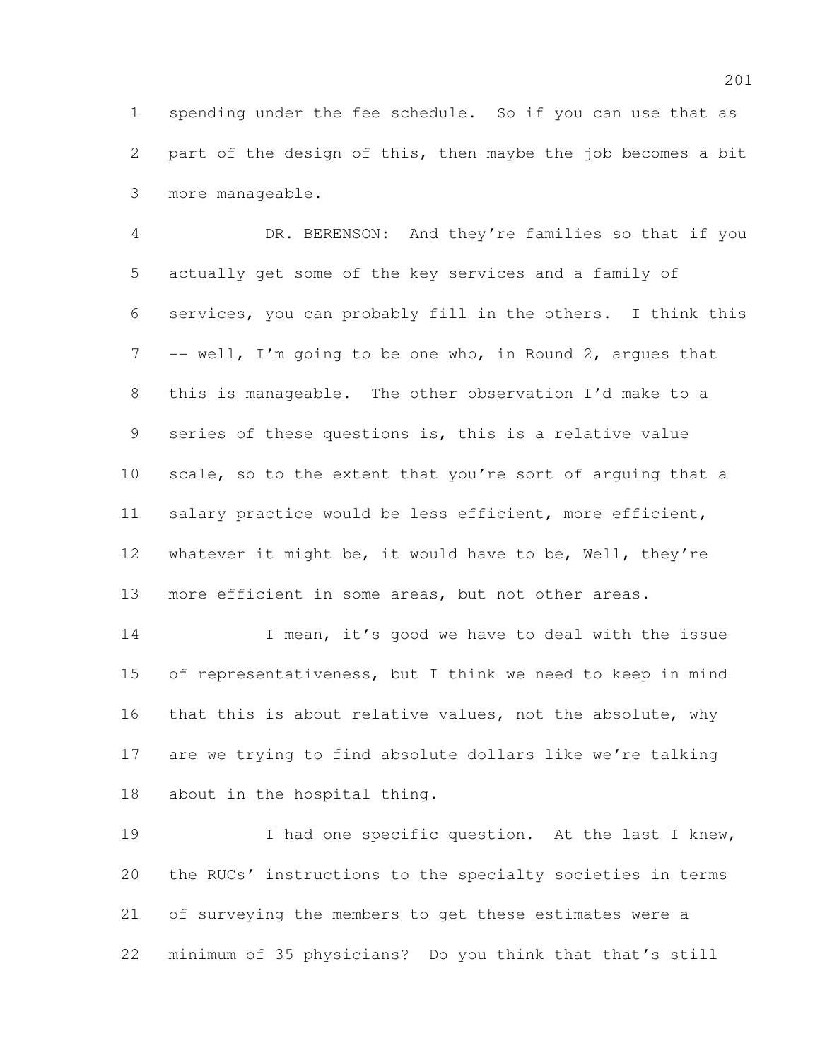spending under the fee schedule. So if you can use that as part of the design of this, then maybe the job becomes a bit more manageable.

 DR. BERENSON: And they're families so that if you actually get some of the key services and a family of services, you can probably fill in the others. I think this 7 -- well, I'm going to be one who, in Round 2, argues that this is manageable. The other observation I'd make to a series of these questions is, this is a relative value 10 scale, so to the extent that you're sort of arguing that a salary practice would be less efficient, more efficient, whatever it might be, it would have to be, Well, they're 13 more efficient in some areas, but not other areas.

14 I mean, it's good we have to deal with the issue of representativeness, but I think we need to keep in mind 16 that this is about relative values, not the absolute, why are we trying to find absolute dollars like we're talking about in the hospital thing.

19 I had one specific question. At the last I knew, the RUCs' instructions to the specialty societies in terms of surveying the members to get these estimates were a minimum of 35 physicians? Do you think that that's still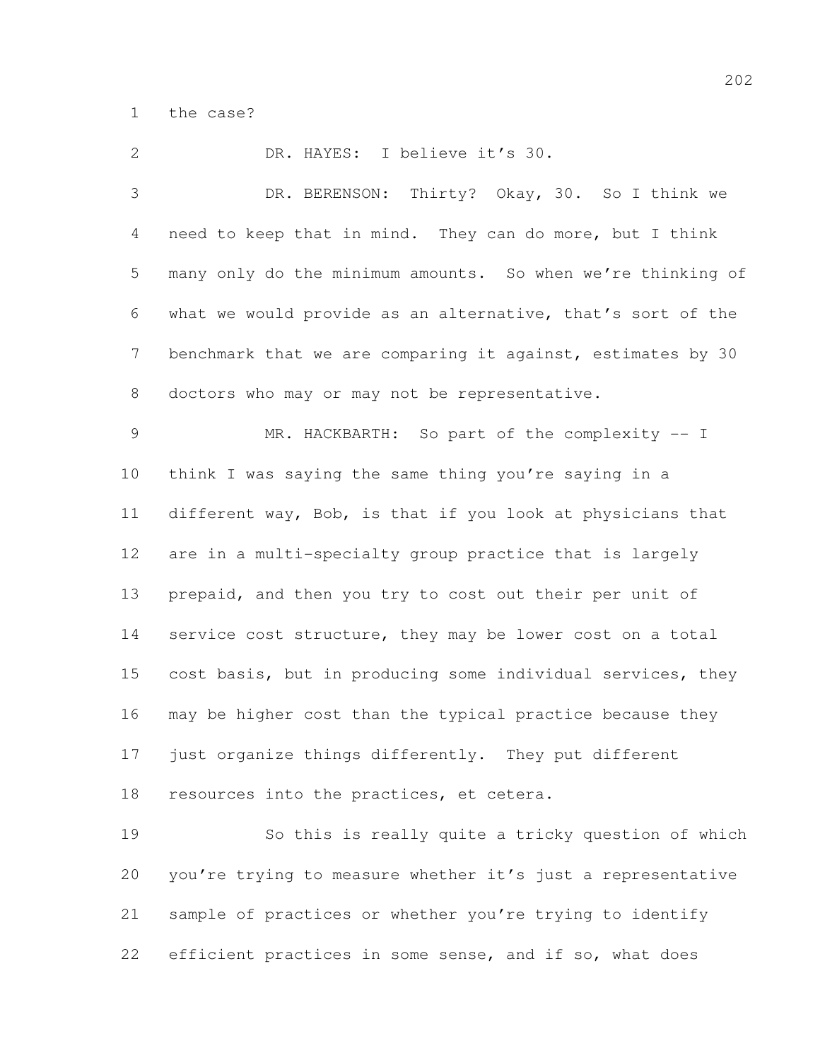the case?

 DR. HAYES: I believe it's 30. DR. BERENSON: Thirty? Okay, 30. So I think we need to keep that in mind. They can do more, but I think many only do the minimum amounts. So when we're thinking of what we would provide as an alternative, that's sort of the benchmark that we are comparing it against, estimates by 30 doctors who may or may not be representative. MR. HACKBARTH: So part of the complexity -- I think I was saying the same thing you're saying in a different way, Bob, is that if you look at physicians that are in a multi-specialty group practice that is largely prepaid, and then you try to cost out their per unit of 14 service cost structure, they may be lower cost on a total cost basis, but in producing some individual services, they may be higher cost than the typical practice because they just organize things differently. They put different resources into the practices, et cetera. So this is really quite a tricky question of which you're trying to measure whether it's just a representative sample of practices or whether you're trying to identify

efficient practices in some sense, and if so, what does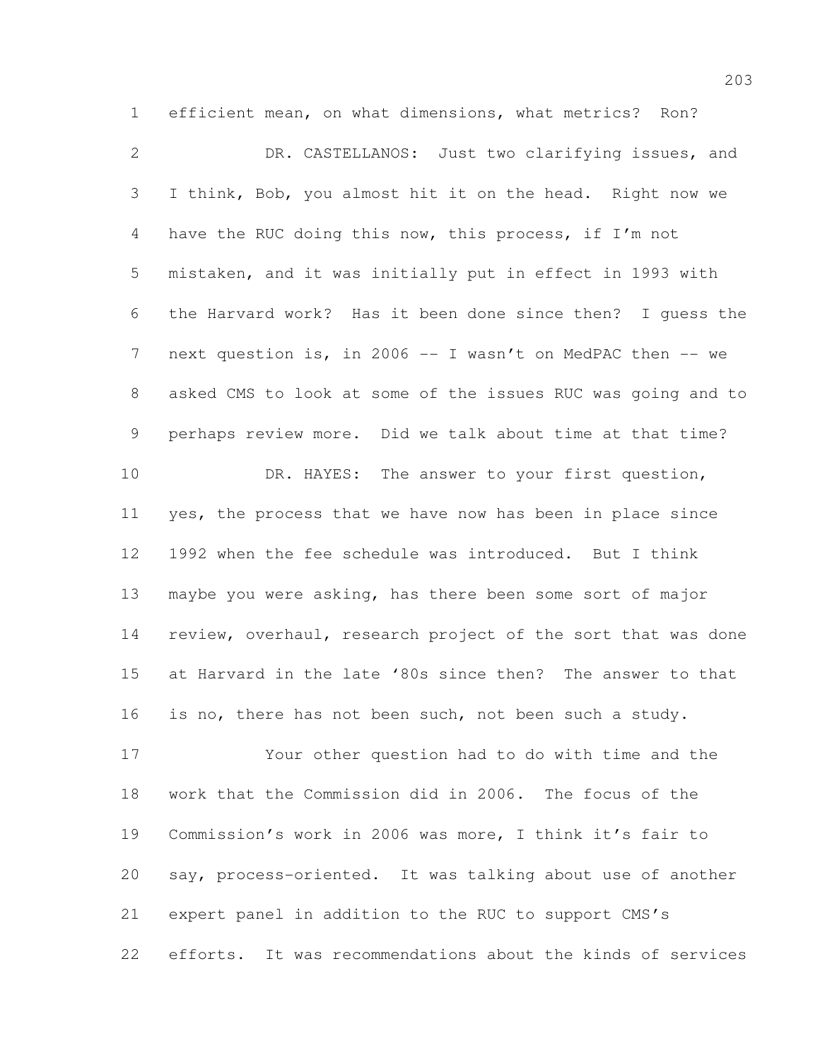efficient mean, on what dimensions, what metrics? Ron? DR. CASTELLANOS: Just two clarifying issues, and I think, Bob, you almost hit it on the head. Right now we have the RUC doing this now, this process, if I'm not mistaken, and it was initially put in effect in 1993 with the Harvard work? Has it been done since then? I guess the 7 next question is, in 2006 -- I wasn't on MedPAC then -- we asked CMS to look at some of the issues RUC was going and to perhaps review more. Did we talk about time at that time? 10 DR. HAYES: The answer to your first question, yes, the process that we have now has been in place since 1992 when the fee schedule was introduced. But I think maybe you were asking, has there been some sort of major review, overhaul, research project of the sort that was done at Harvard in the late '80s since then? The answer to that is no, there has not been such, not been such a study. Your other question had to do with time and the work that the Commission did in 2006. The focus of the Commission's work in 2006 was more, I think it's fair to say, process-oriented. It was talking about use of another

expert panel in addition to the RUC to support CMS's

efforts. It was recommendations about the kinds of services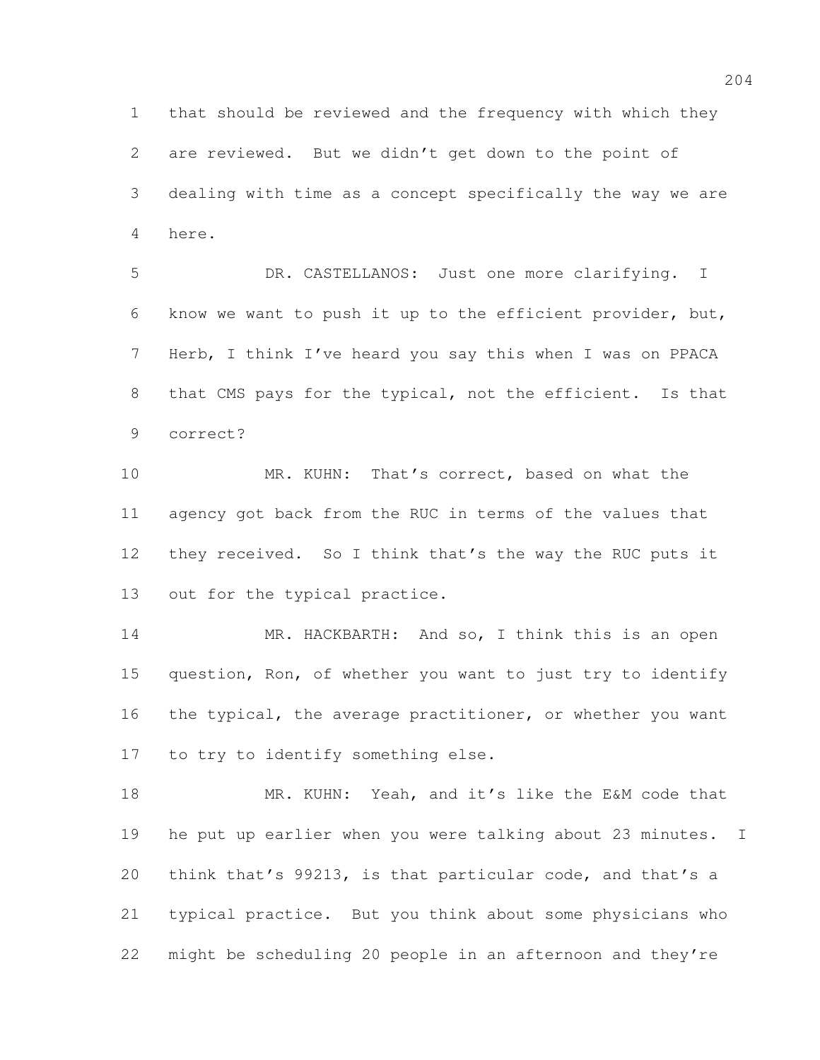that should be reviewed and the frequency with which they are reviewed. But we didn't get down to the point of dealing with time as a concept specifically the way we are here.

 DR. CASTELLANOS: Just one more clarifying. I know we want to push it up to the efficient provider, but, Herb, I think I've heard you say this when I was on PPACA 8 that CMS pays for the typical, not the efficient. Is that correct?

 MR. KUHN: That's correct, based on what the agency got back from the RUC in terms of the values that they received. So I think that's the way the RUC puts it out for the typical practice.

14 MR. HACKBARTH: And so, I think this is an open question, Ron, of whether you want to just try to identify 16 the typical, the average practitioner, or whether you want to try to identify something else.

18 MR. KUHN: Yeah, and it's like the E&M code that he put up earlier when you were talking about 23 minutes. I think that's 99213, is that particular code, and that's a typical practice. But you think about some physicians who might be scheduling 20 people in an afternoon and they're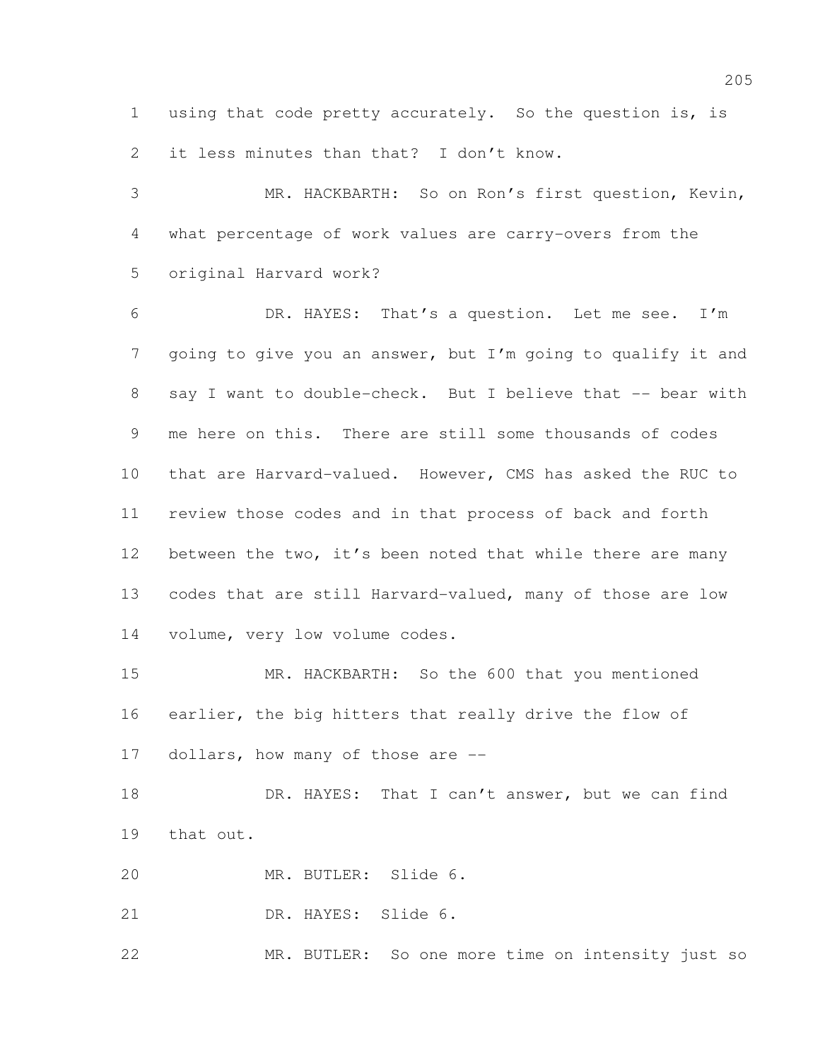using that code pretty accurately. So the question is, is 2 it less minutes than that? I don't know.

 MR. HACKBARTH: So on Ron's first question, Kevin, what percentage of work values are carry-overs from the original Harvard work?

 DR. HAYES: That's a question. Let me see. I'm going to give you an answer, but I'm going to qualify it and 8 say I want to double-check. But I believe that -- bear with me here on this. There are still some thousands of codes that are Harvard-valued. However, CMS has asked the RUC to review those codes and in that process of back and forth 12 between the two, it's been noted that while there are many codes that are still Harvard-valued, many of those are low volume, very low volume codes.

 MR. HACKBARTH: So the 600 that you mentioned earlier, the big hitters that really drive the flow of 17 dollars, how many of those are --

18 DR. HAYES: That I can't answer, but we can find that out.

MR. BUTLER: Slide 6.

DR. HAYES: Slide 6.

MR. BUTLER: So one more time on intensity just so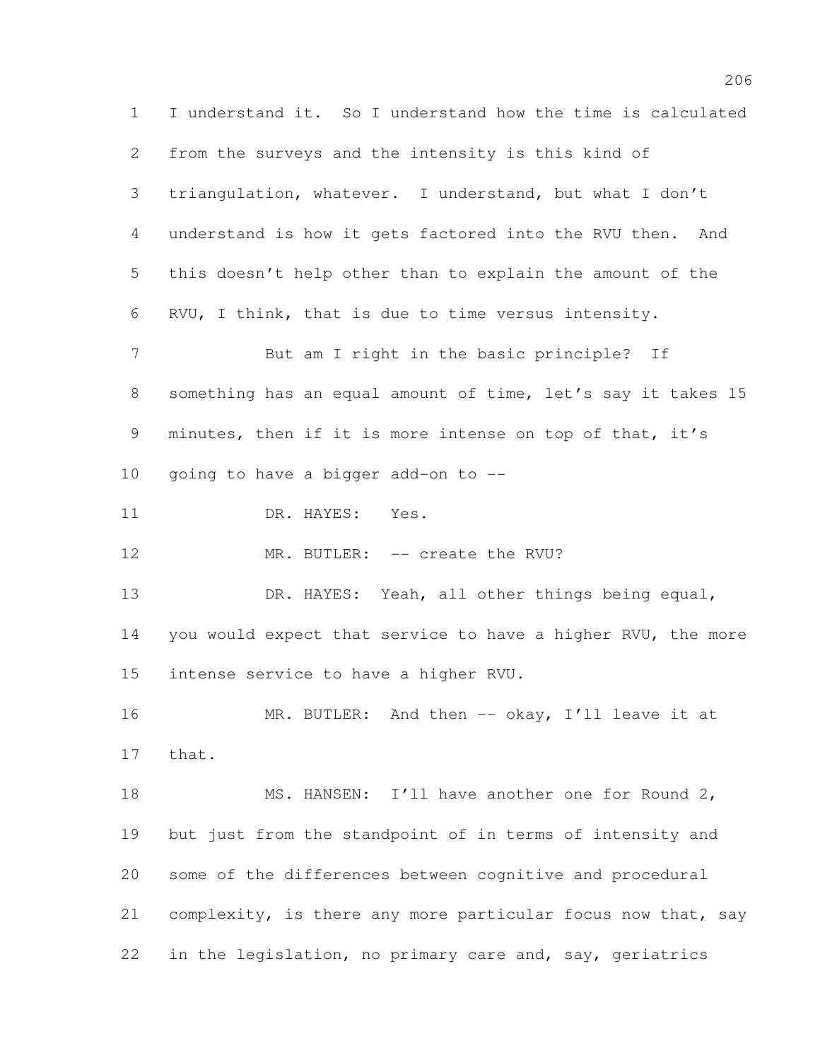I understand it. So I understand how the time is calculated from the surveys and the intensity is this kind of triangulation, whatever. I understand, but what I don't understand is how it gets factored into the RVU then. And this doesn't help other than to explain the amount of the RVU, I think, that is due to time versus intensity. 7 But am I right in the basic principle? If something has an equal amount of time, let's say it takes 15 minutes, then if it is more intense on top of that, it's going to have a bigger add-on to -- 11 DR. HAYES: Yes. 12 MR. BUTLER: -- create the RVU? DR. HAYES: Yeah, all other things being equal, you would expect that service to have a higher RVU, the more intense service to have a higher RVU. 16 MR. BUTLER: And then -- okay, I'll leave it at that. 18 MS. HANSEN: I'll have another one for Round 2, but just from the standpoint of in terms of intensity and some of the differences between cognitive and procedural complexity, is there any more particular focus now that, say in the legislation, no primary care and, say, geriatrics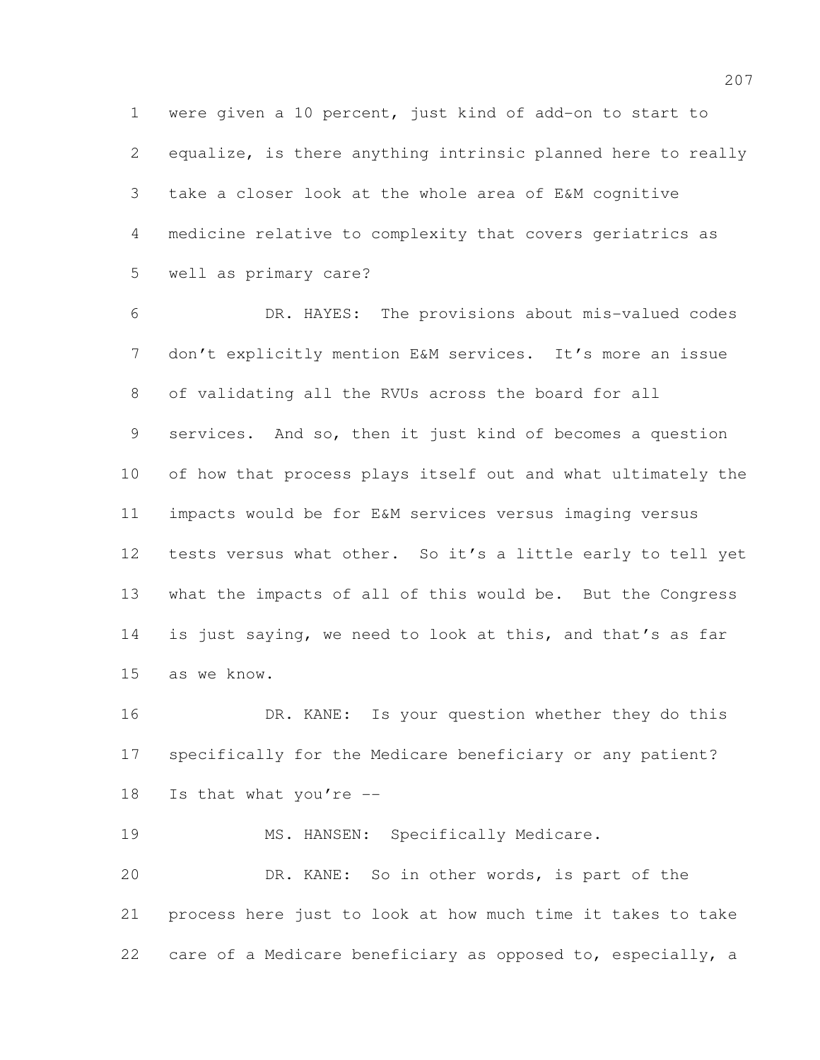were given a 10 percent, just kind of add-on to start to equalize, is there anything intrinsic planned here to really take a closer look at the whole area of E&M cognitive medicine relative to complexity that covers geriatrics as well as primary care?

 DR. HAYES: The provisions about mis-valued codes don't explicitly mention E&M services. It's more an issue of validating all the RVUs across the board for all services. And so, then it just kind of becomes a question of how that process plays itself out and what ultimately the impacts would be for E&M services versus imaging versus tests versus what other. So it's a little early to tell yet what the impacts of all of this would be. But the Congress is just saying, we need to look at this, and that's as far as we know.

16 DR. KANE: Is your question whether they do this specifically for the Medicare beneficiary or any patient? Is that what you're --

19 MS. HANSEN: Specifically Medicare. DR. KANE: So in other words, is part of the process here just to look at how much time it takes to take care of a Medicare beneficiary as opposed to, especially, a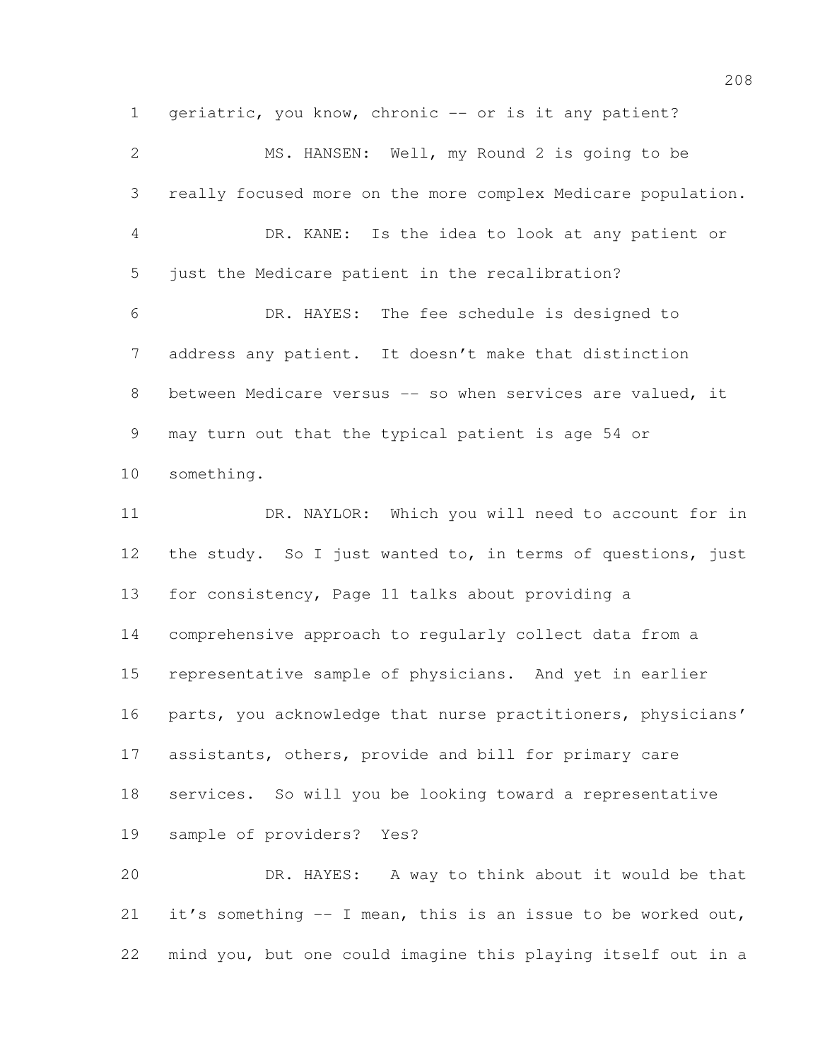geriatric, you know, chronic -- or is it any patient? MS. HANSEN: Well, my Round 2 is going to be really focused more on the more complex Medicare population. DR. KANE: Is the idea to look at any patient or just the Medicare patient in the recalibration? DR. HAYES: The fee schedule is designed to address any patient. It doesn't make that distinction 8 between Medicare versus -- so when services are valued, it may turn out that the typical patient is age 54 or something. 11 DR. NAYLOR: Which you will need to account for in 12 the study. So I just wanted to, in terms of questions, just for consistency, Page 11 talks about providing a comprehensive approach to regularly collect data from a representative sample of physicians. And yet in earlier 16 parts, you acknowledge that nurse practitioners, physicians' assistants, others, provide and bill for primary care services. So will you be looking toward a representative sample of providers? Yes? DR. HAYES: A way to think about it would be that it's something -- I mean, this is an issue to be worked out, mind you, but one could imagine this playing itself out in a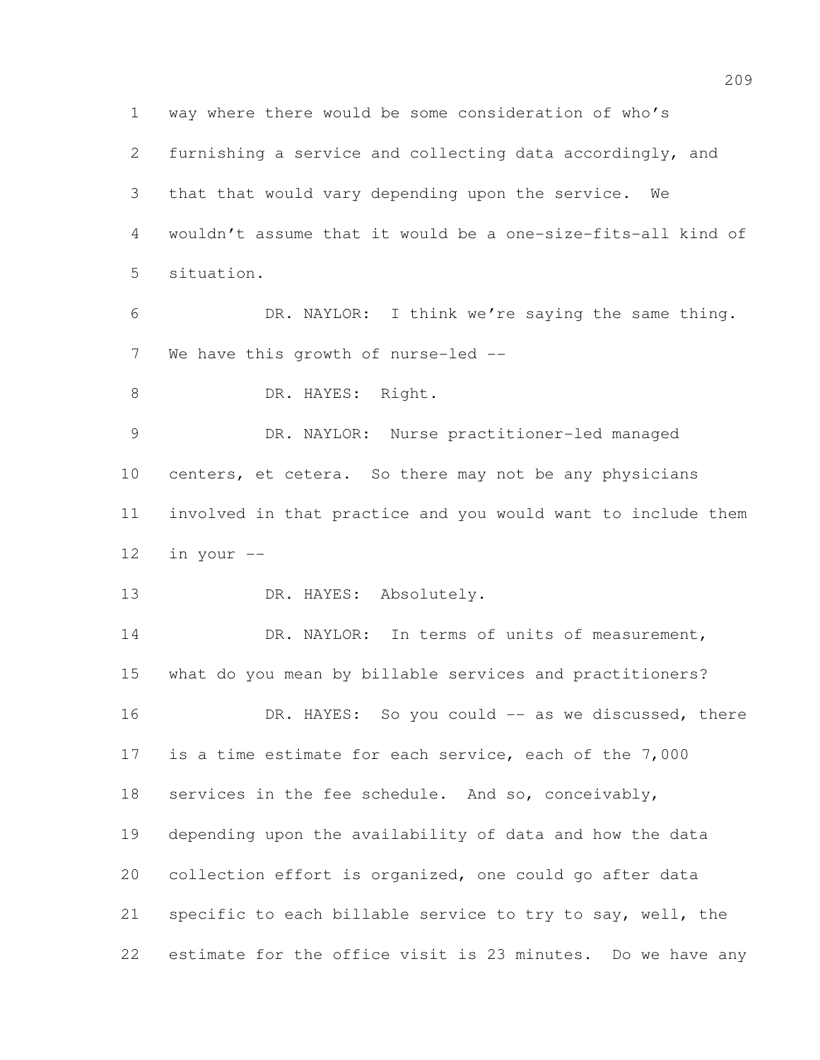way where there would be some consideration of who's furnishing a service and collecting data accordingly, and that that would vary depending upon the service. We wouldn't assume that it would be a one-size-fits-all kind of situation.

 DR. NAYLOR: I think we're saying the same thing. 7 We have this growth of nurse-led --

8 DR. HAYES: Right.

 DR. NAYLOR: Nurse practitioner-led managed centers, et cetera. So there may not be any physicians involved in that practice and you would want to include them in your --

13 DR. HAYES: Absolutely.

 DR. NAYLOR: In terms of units of measurement, what do you mean by billable services and practitioners? 16 DR. HAYES: So you could -- as we discussed, there is a time estimate for each service, each of the 7,000 services in the fee schedule. And so, conceivably, depending upon the availability of data and how the data collection effort is organized, one could go after data specific to each billable service to try to say, well, the estimate for the office visit is 23 minutes. Do we have any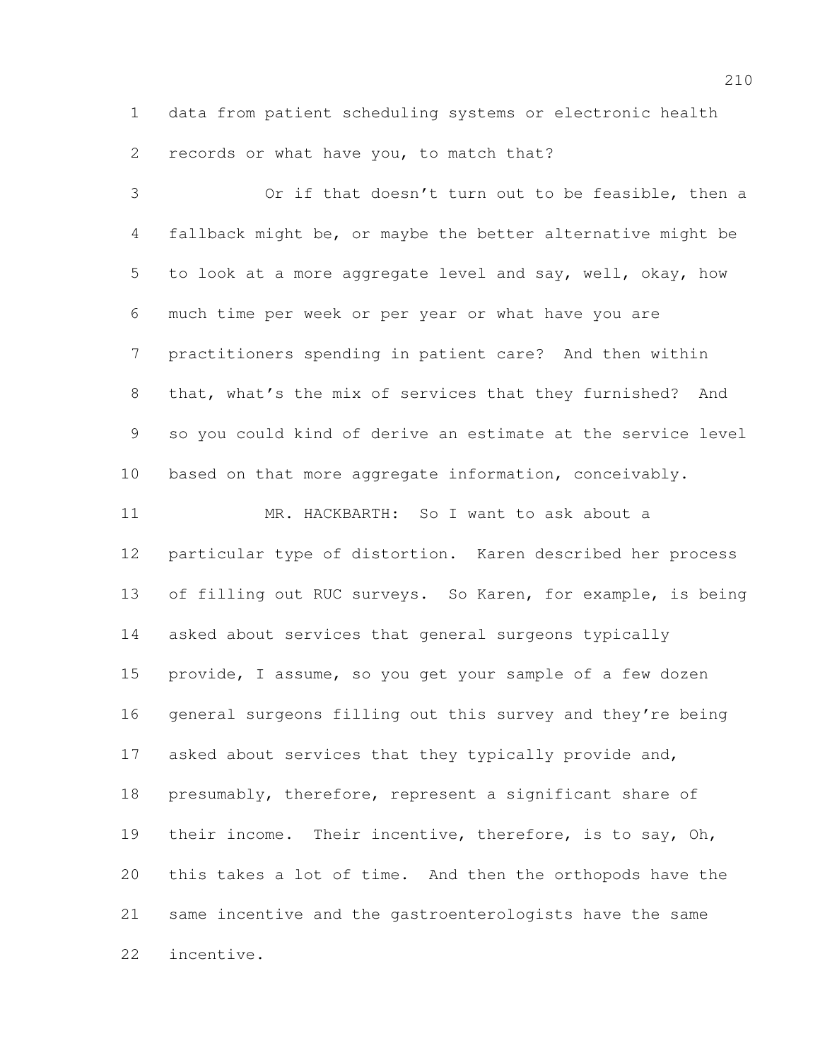data from patient scheduling systems or electronic health records or what have you, to match that?

 Or if that doesn't turn out to be feasible, then a fallback might be, or maybe the better alternative might be to look at a more aggregate level and say, well, okay, how much time per week or per year or what have you are practitioners spending in patient care? And then within that, what's the mix of services that they furnished? And so you could kind of derive an estimate at the service level based on that more aggregate information, conceivably. MR. HACKBARTH: So I want to ask about a particular type of distortion. Karen described her process 13 of filling out RUC surveys. So Karen, for example, is being asked about services that general surgeons typically provide, I assume, so you get your sample of a few dozen 16 general surgeons filling out this survey and they're being 17 asked about services that they typically provide and, presumably, therefore, represent a significant share of their income. Their incentive, therefore, is to say, Oh, this takes a lot of time. And then the orthopods have the same incentive and the gastroenterologists have the same incentive.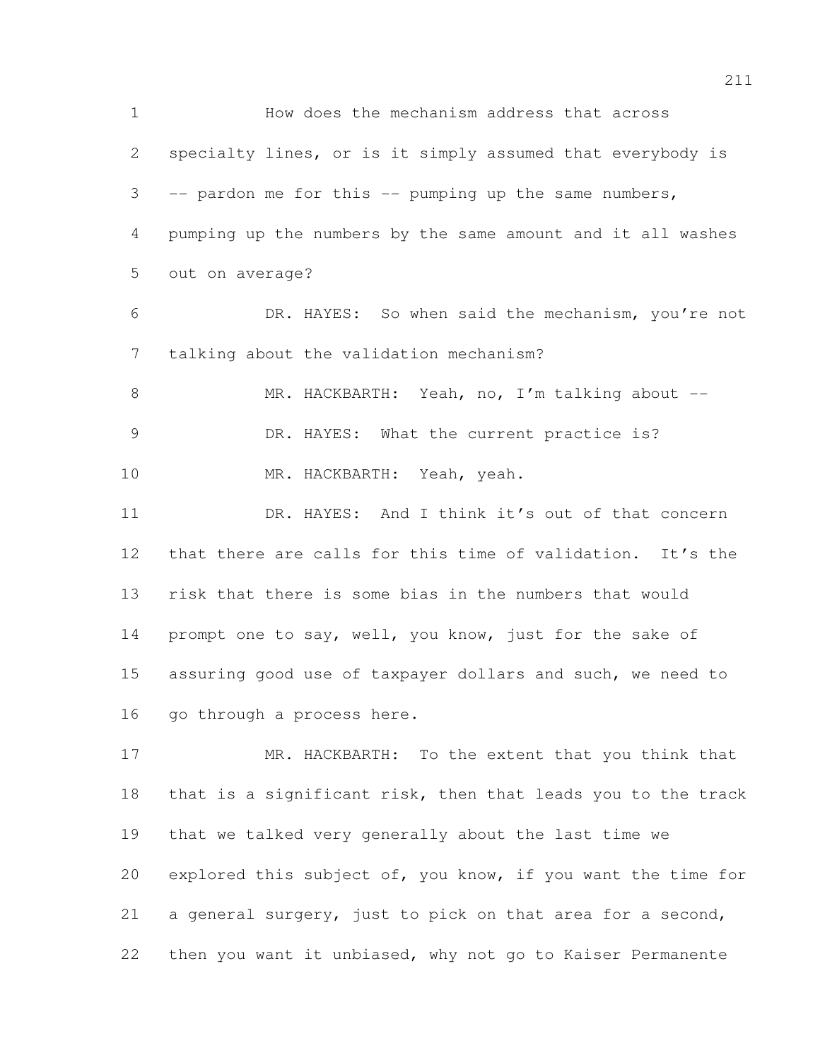How does the mechanism address that across specialty lines, or is it simply assumed that everybody is -- pardon me for this -- pumping up the same numbers, pumping up the numbers by the same amount and it all washes out on average? DR. HAYES: So when said the mechanism, you're not talking about the validation mechanism? MR. HACKBARTH: Yeah, no, I'm talking about -- 9 DR. HAYES: What the current practice is? MR. HACKBARTH: Yeah, yeah. DR. HAYES: And I think it's out of that concern 12 that there are calls for this time of validation. It's the risk that there is some bias in the numbers that would 14 prompt one to say, well, you know, just for the sake of assuring good use of taxpayer dollars and such, we need to 16 go through a process here. MR. HACKBARTH: To the extent that you think that that is a significant risk, then that leads you to the track that we talked very generally about the last time we explored this subject of, you know, if you want the time for

a general surgery, just to pick on that area for a second,

then you want it unbiased, why not go to Kaiser Permanente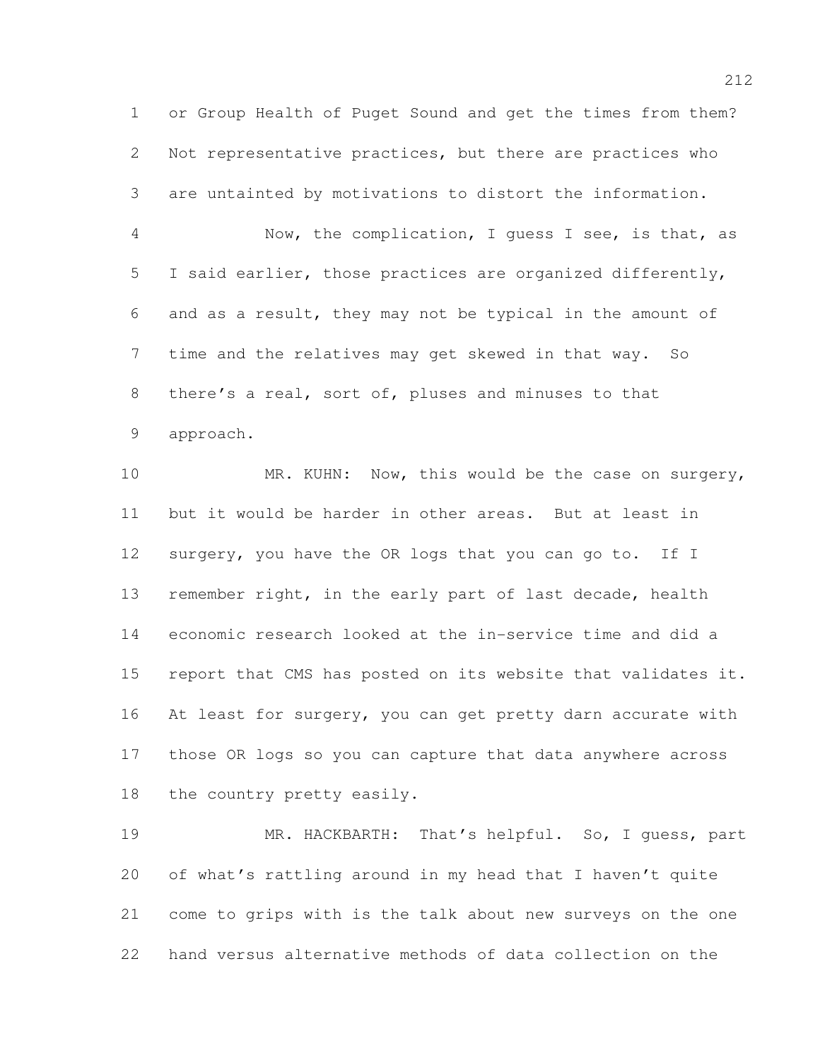or Group Health of Puget Sound and get the times from them? Not representative practices, but there are practices who are untainted by motivations to distort the information.

 Now, the complication, I guess I see, is that, as I said earlier, those practices are organized differently, and as a result, they may not be typical in the amount of time and the relatives may get skewed in that way. So there's a real, sort of, pluses and minuses to that approach.

10 MR. KUHN: Now, this would be the case on surgery, but it would be harder in other areas. But at least in surgery, you have the OR logs that you can go to. If I remember right, in the early part of last decade, health economic research looked at the in-service time and did a report that CMS has posted on its website that validates it. At least for surgery, you can get pretty darn accurate with those OR logs so you can capture that data anywhere across the country pretty easily.

 MR. HACKBARTH: That's helpful. So, I guess, part of what's rattling around in my head that I haven't quite come to grips with is the talk about new surveys on the one hand versus alternative methods of data collection on the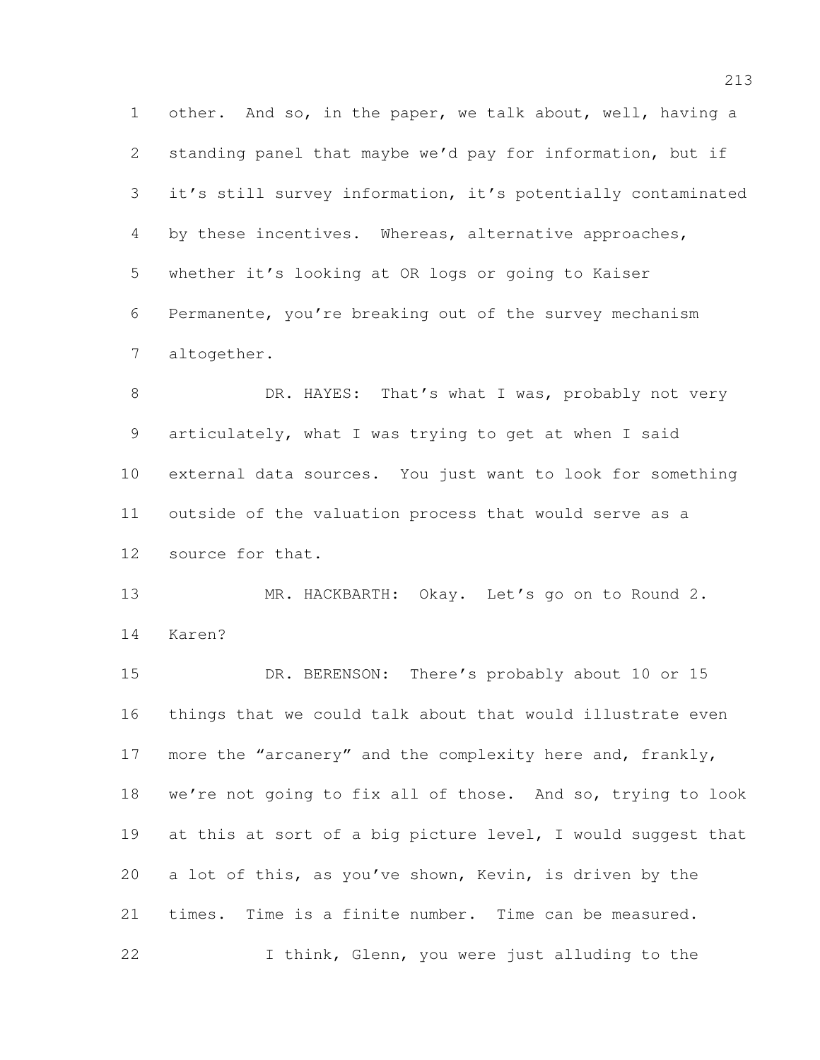other. And so, in the paper, we talk about, well, having a standing panel that maybe we'd pay for information, but if it's still survey information, it's potentially contaminated by these incentives. Whereas, alternative approaches, whether it's looking at OR logs or going to Kaiser Permanente, you're breaking out of the survey mechanism altogether.

8 DR. HAYES: That's what I was, probably not very articulately, what I was trying to get at when I said external data sources. You just want to look for something outside of the valuation process that would serve as a source for that.

 MR. HACKBARTH: Okay. Let's go on to Round 2. Karen?

 DR. BERENSON: There's probably about 10 or 15 things that we could talk about that would illustrate even 17 more the "arcanery" and the complexity here and, frankly, we're not going to fix all of those. And so, trying to look at this at sort of a big picture level, I would suggest that a lot of this, as you've shown, Kevin, is driven by the times. Time is a finite number. Time can be measured. I think, Glenn, you were just alluding to the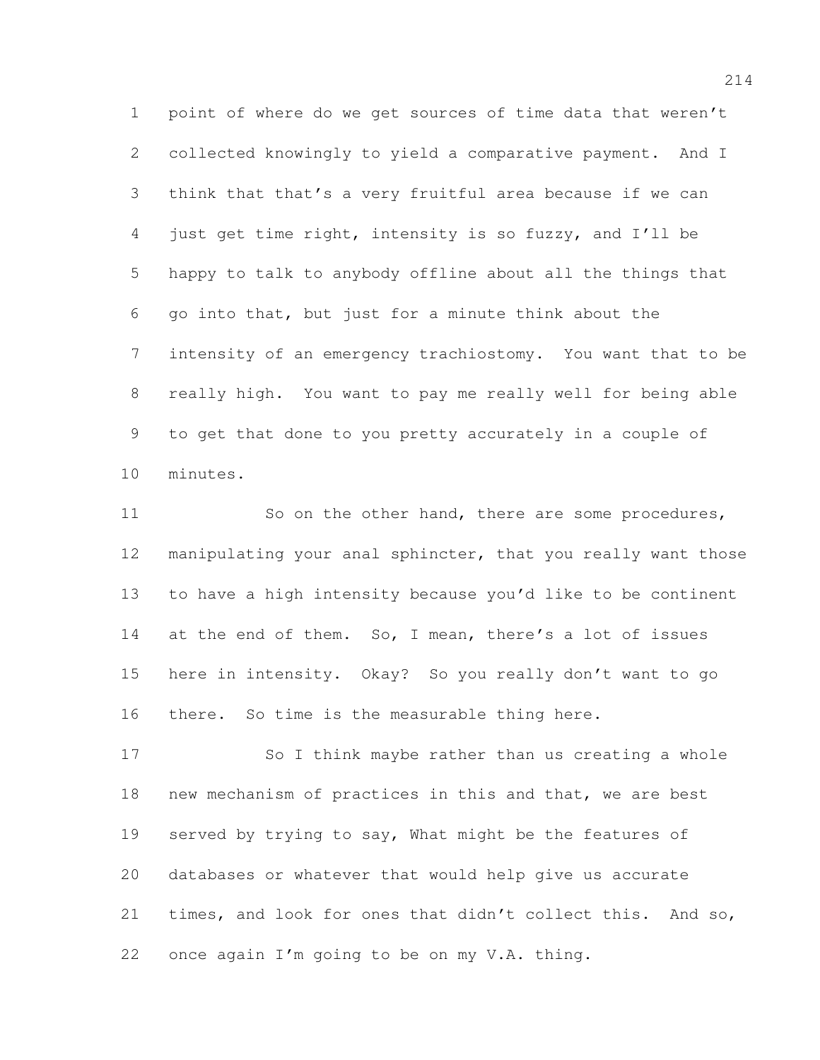point of where do we get sources of time data that weren't collected knowingly to yield a comparative payment. And I think that that's a very fruitful area because if we can just get time right, intensity is so fuzzy, and I'll be happy to talk to anybody offline about all the things that go into that, but just for a minute think about the intensity of an emergency trachiostomy. You want that to be really high. You want to pay me really well for being able to get that done to you pretty accurately in a couple of minutes.

11 So on the other hand, there are some procedures, manipulating your anal sphincter, that you really want those to have a high intensity because you'd like to be continent 14 at the end of them. So, I mean, there's a lot of issues here in intensity. Okay? So you really don't want to go there. So time is the measurable thing here.

17 So I think maybe rather than us creating a whole new mechanism of practices in this and that, we are best served by trying to say, What might be the features of databases or whatever that would help give us accurate times, and look for ones that didn't collect this. And so, once again I'm going to be on my V.A. thing.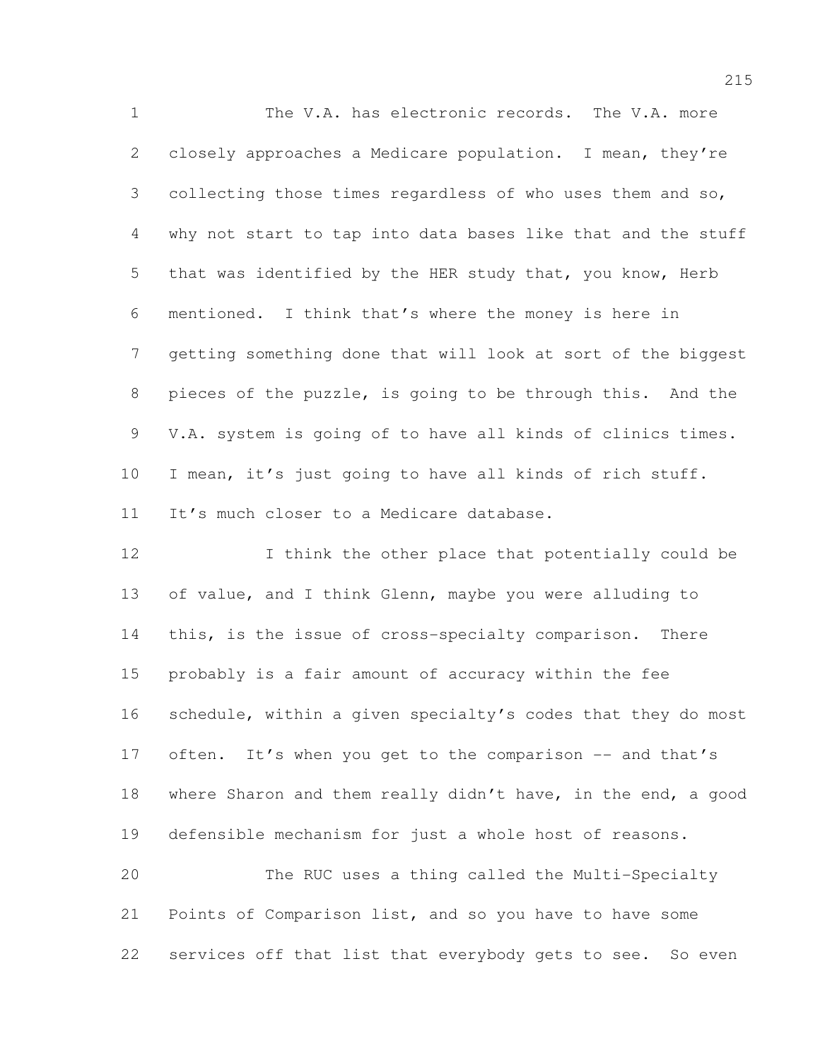The V.A. has electronic records. The V.A. more closely approaches a Medicare population. I mean, they're collecting those times regardless of who uses them and so, why not start to tap into data bases like that and the stuff that was identified by the HER study that, you know, Herb mentioned. I think that's where the money is here in getting something done that will look at sort of the biggest pieces of the puzzle, is going to be through this. And the V.A. system is going of to have all kinds of clinics times. I mean, it's just going to have all kinds of rich stuff. It's much closer to a Medicare database.

12 I think the other place that potentially could be of value, and I think Glenn, maybe you were alluding to this, is the issue of cross-specialty comparison. There probably is a fair amount of accuracy within the fee schedule, within a given specialty's codes that they do most 17 often. It's when you get to the comparison -- and that's where Sharon and them really didn't have, in the end, a good defensible mechanism for just a whole host of reasons.

 The RUC uses a thing called the Multi-Specialty Points of Comparison list, and so you have to have some 22 services off that list that everybody gets to see. So even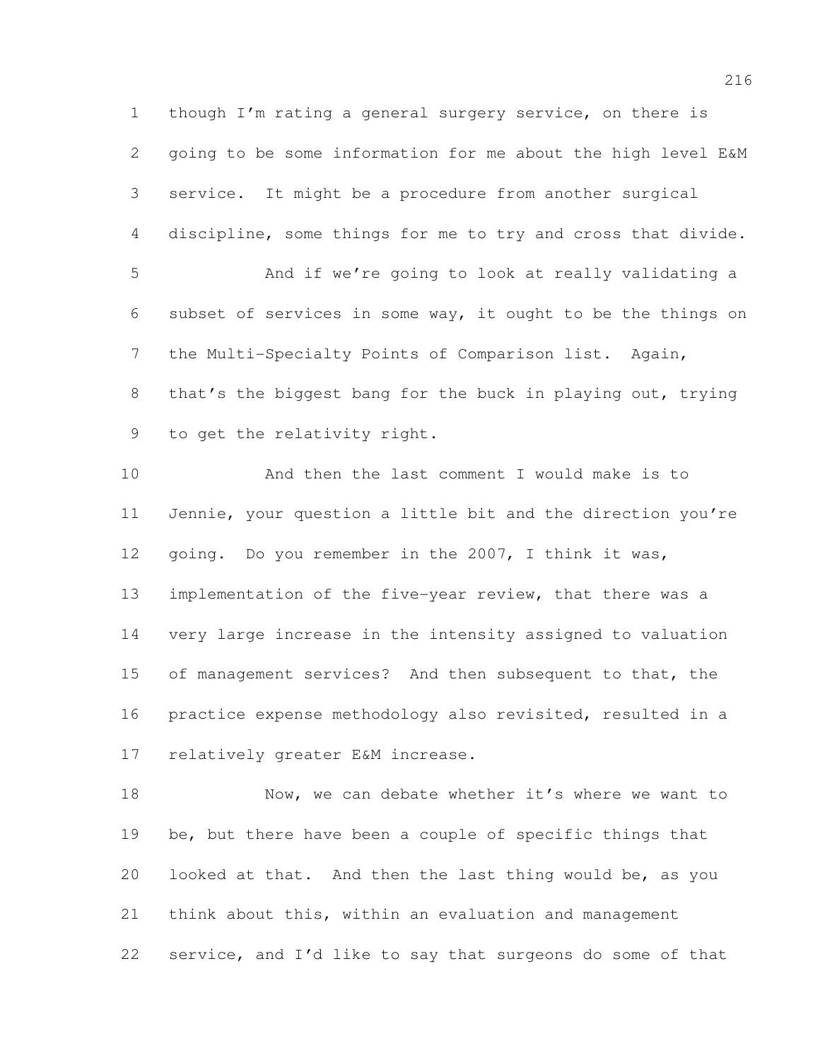though I'm rating a general surgery service, on there is going to be some information for me about the high level E&M service. It might be a procedure from another surgical discipline, some things for me to try and cross that divide. And if we're going to look at really validating a subset of services in some way, it ought to be the things on the Multi-Specialty Points of Comparison list. Again, that's the biggest bang for the buck in playing out, trying to get the relativity right. And then the last comment I would make is to Jennie, your question a little bit and the direction you're going. Do you remember in the 2007, I think it was,

 implementation of the five-year review, that there was a very large increase in the intensity assigned to valuation of management services? And then subsequent to that, the practice expense methodology also revisited, resulted in a relatively greater E&M increase.

18 Now, we can debate whether it's where we want to be, but there have been a couple of specific things that looked at that. And then the last thing would be, as you think about this, within an evaluation and management service, and I'd like to say that surgeons do some of that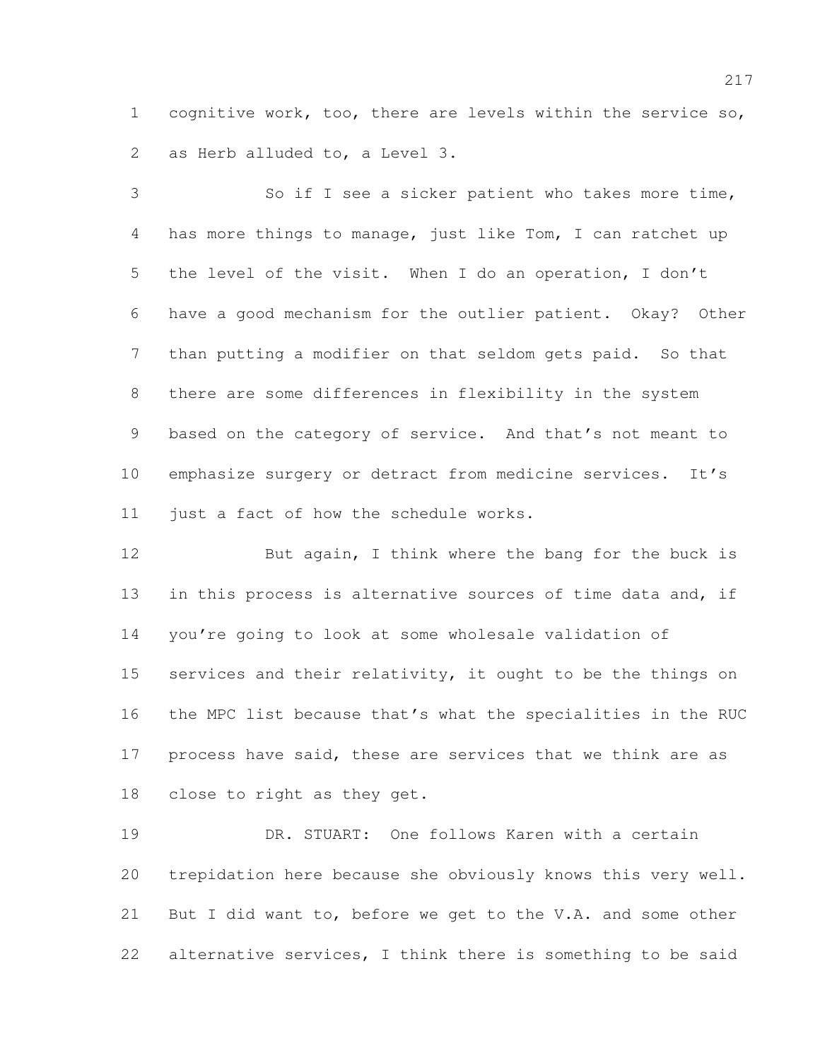cognitive work, too, there are levels within the service so, as Herb alluded to, a Level 3.

 So if I see a sicker patient who takes more time, has more things to manage, just like Tom, I can ratchet up the level of the visit. When I do an operation, I don't have a good mechanism for the outlier patient. Okay? Other than putting a modifier on that seldom gets paid. So that there are some differences in flexibility in the system based on the category of service. And that's not meant to emphasize surgery or detract from medicine services. It's just a fact of how the schedule works.

12 But again, I think where the bang for the buck is 13 in this process is alternative sources of time data and, if you're going to look at some wholesale validation of 15 services and their relativity, it ought to be the things on the MPC list because that's what the specialities in the RUC 17 process have said, these are services that we think are as close to right as they get.

 DR. STUART: One follows Karen with a certain trepidation here because she obviously knows this very well. But I did want to, before we get to the V.A. and some other alternative services, I think there is something to be said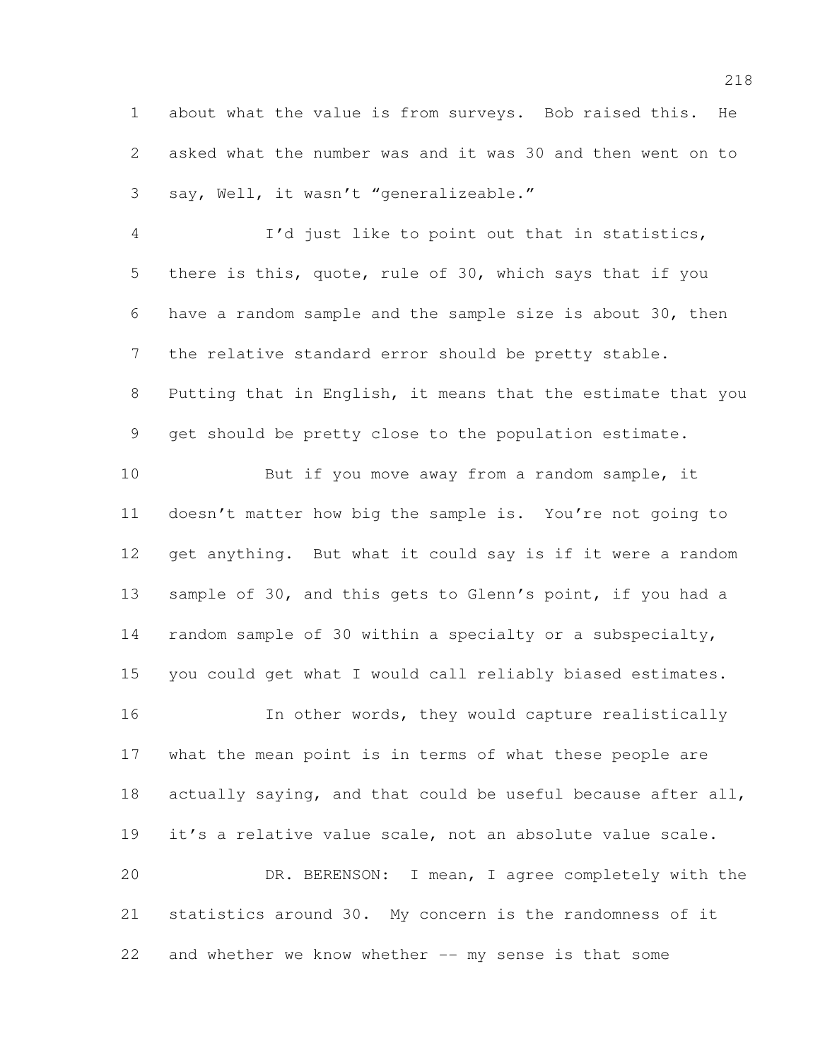about what the value is from surveys. Bob raised this. He asked what the number was and it was 30 and then went on to say, Well, it wasn't "generalizeable."

 I'd just like to point out that in statistics, there is this, quote, rule of 30, which says that if you have a random sample and the sample size is about 30, then the relative standard error should be pretty stable. Putting that in English, it means that the estimate that you get should be pretty close to the population estimate.

10 But if you move away from a random sample, it doesn't matter how big the sample is. You're not going to get anything. But what it could say is if it were a random 13 sample of 30, and this gets to Glenn's point, if you had a random sample of 30 within a specialty or a subspecialty, you could get what I would call reliably biased estimates. 16 In other words, they would capture realistically what the mean point is in terms of what these people are 18 actually saying, and that could be useful because after all, it's a relative value scale, not an absolute value scale.

 DR. BERENSON: I mean, I agree completely with the statistics around 30. My concern is the randomness of it and whether we know whether -- my sense is that some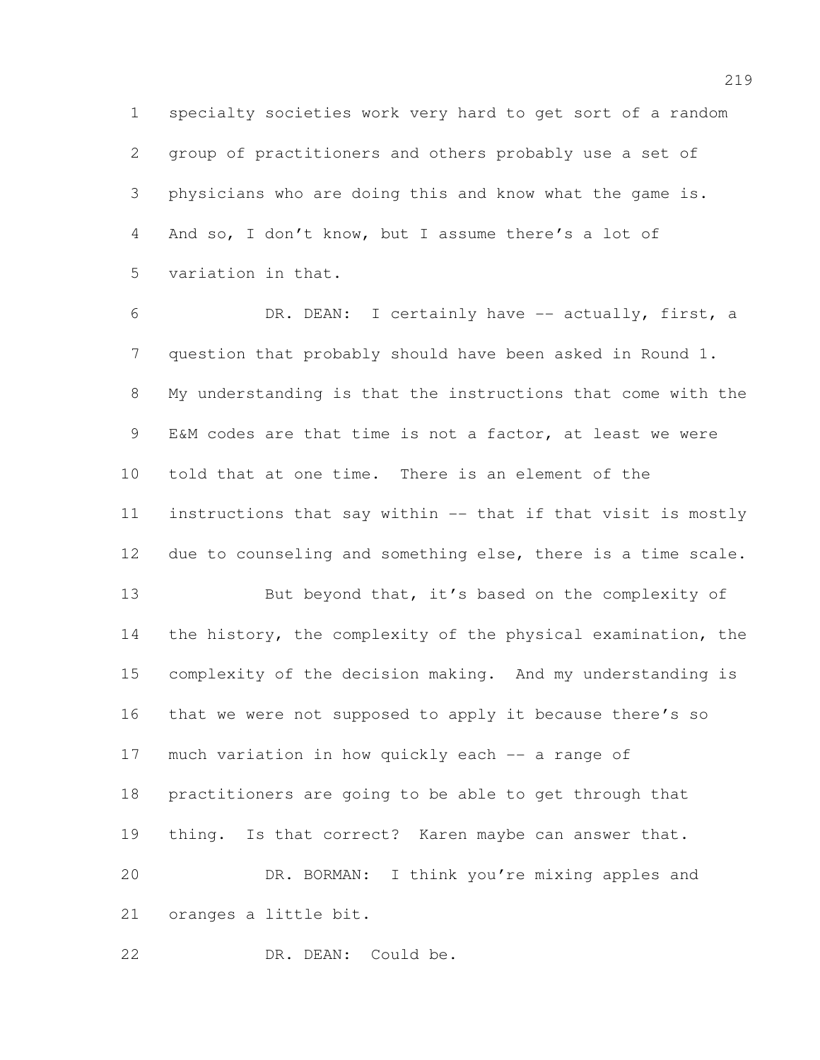specialty societies work very hard to get sort of a random group of practitioners and others probably use a set of physicians who are doing this and know what the game is. And so, I don't know, but I assume there's a lot of variation in that.

 DR. DEAN: I certainly have -- actually, first, a question that probably should have been asked in Round 1. My understanding is that the instructions that come with the E&M codes are that time is not a factor, at least we were told that at one time. There is an element of the instructions that say within -- that if that visit is mostly due to counseling and something else, there is a time scale. 13 But beyond that, it's based on the complexity of the history, the complexity of the physical examination, the complexity of the decision making. And my understanding is that we were not supposed to apply it because there's so much variation in how quickly each -- a range of practitioners are going to be able to get through that thing. Is that correct? Karen maybe can answer that. DR. BORMAN: I think you're mixing apples and oranges a little bit.

DR. DEAN: Could be.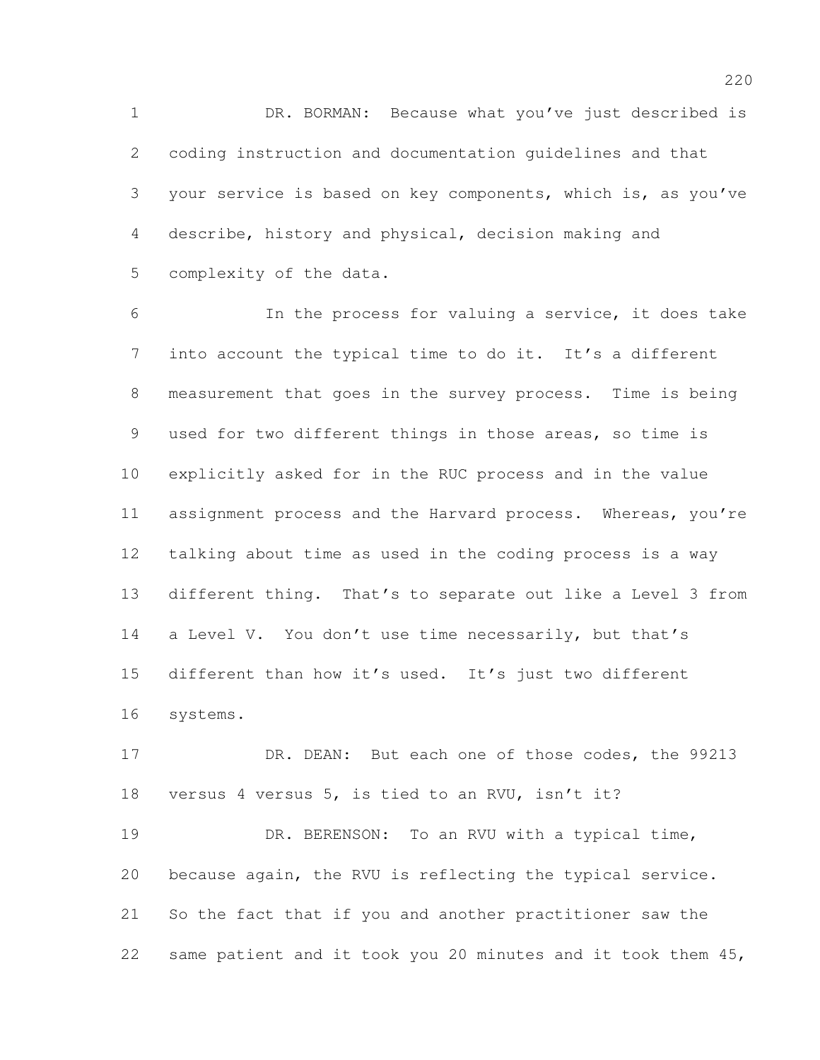DR. BORMAN: Because what you've just described is coding instruction and documentation guidelines and that your service is based on key components, which is, as you've describe, history and physical, decision making and complexity of the data.

 In the process for valuing a service, it does take into account the typical time to do it. It's a different measurement that goes in the survey process. Time is being used for two different things in those areas, so time is explicitly asked for in the RUC process and in the value assignment process and the Harvard process. Whereas, you're talking about time as used in the coding process is a way different thing. That's to separate out like a Level 3 from 14 a Level V. You don't use time necessarily, but that's different than how it's used. It's just two different systems.

17 DR. DEAN: But each one of those codes, the 99213 versus 4 versus 5, is tied to an RVU, isn't it?

19 DR. BERENSON: To an RVU with a typical time, because again, the RVU is reflecting the typical service. So the fact that if you and another practitioner saw the same patient and it took you 20 minutes and it took them 45,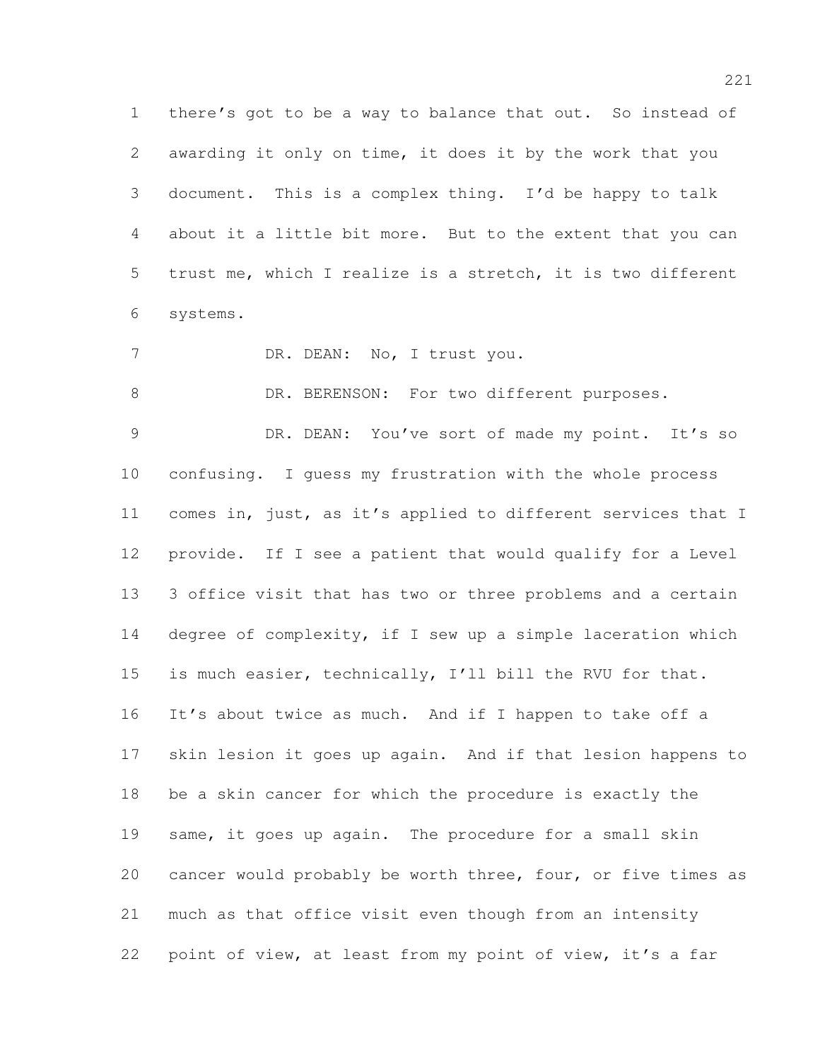there's got to be a way to balance that out. So instead of awarding it only on time, it does it by the work that you document. This is a complex thing. I'd be happy to talk about it a little bit more. But to the extent that you can trust me, which I realize is a stretch, it is two different systems.

7 DR. DEAN: No, I trust you.

8 DR. BERENSON: For two different purposes.

9 DR. DEAN: You've sort of made my point. It's so confusing. I guess my frustration with the whole process comes in, just, as it's applied to different services that I provide. If I see a patient that would qualify for a Level 3 office visit that has two or three problems and a certain degree of complexity, if I sew up a simple laceration which is much easier, technically, I'll bill the RVU for that. It's about twice as much. And if I happen to take off a skin lesion it goes up again. And if that lesion happens to be a skin cancer for which the procedure is exactly the same, it goes up again. The procedure for a small skin cancer would probably be worth three, four, or five times as much as that office visit even though from an intensity point of view, at least from my point of view, it's a far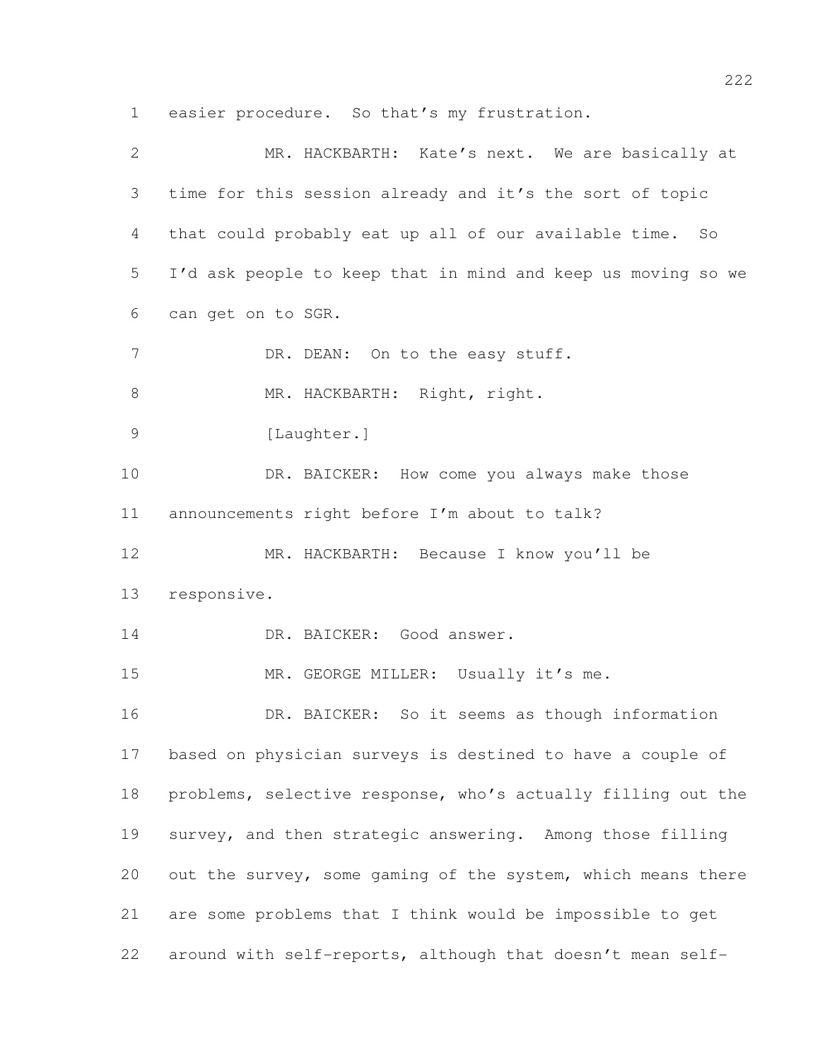easier procedure. So that's my frustration.

| $\overline{2}$ | MR. HACKBARTH: Kate's next. We are basically at              |
|----------------|--------------------------------------------------------------|
| 3              | time for this session already and it's the sort of topic     |
| 4              | that could probably eat up all of our available time. So     |
| 5              | I'd ask people to keep that in mind and keep us moving so we |
| 6              | can get on to SGR.                                           |
| 7              | DR. DEAN: On to the easy stuff.                              |
| $\,8\,$        | MR. HACKBARTH: Right, right.                                 |
| $\mathcal{G}$  | [Laughter.]                                                  |
| 10             | DR. BAICKER: How come you always make those                  |
| 11             | announcements right before I'm about to talk?                |
| 12             | MR. HACKBARTH: Because I know you'll be                      |
| 13             | responsive.                                                  |
| 14             | DR. BAICKER: Good answer.                                    |
| 15             | MR. GEORGE MILLER: Usually it's me.                          |
| 16             | DR. BAICKER: So it seems as though information               |
| 17             | based on physician surveys is destined to have a couple of   |
| 18             | problems, selective response, who's actually filling out the |
| 19             | survey, and then strategic answering. Among those filling    |
| 20             | out the survey, some gaming of the system, which means there |
| 21             | are some problems that I think would be impossible to get    |
| 22             | around with self-reports, although that doesn't mean self-   |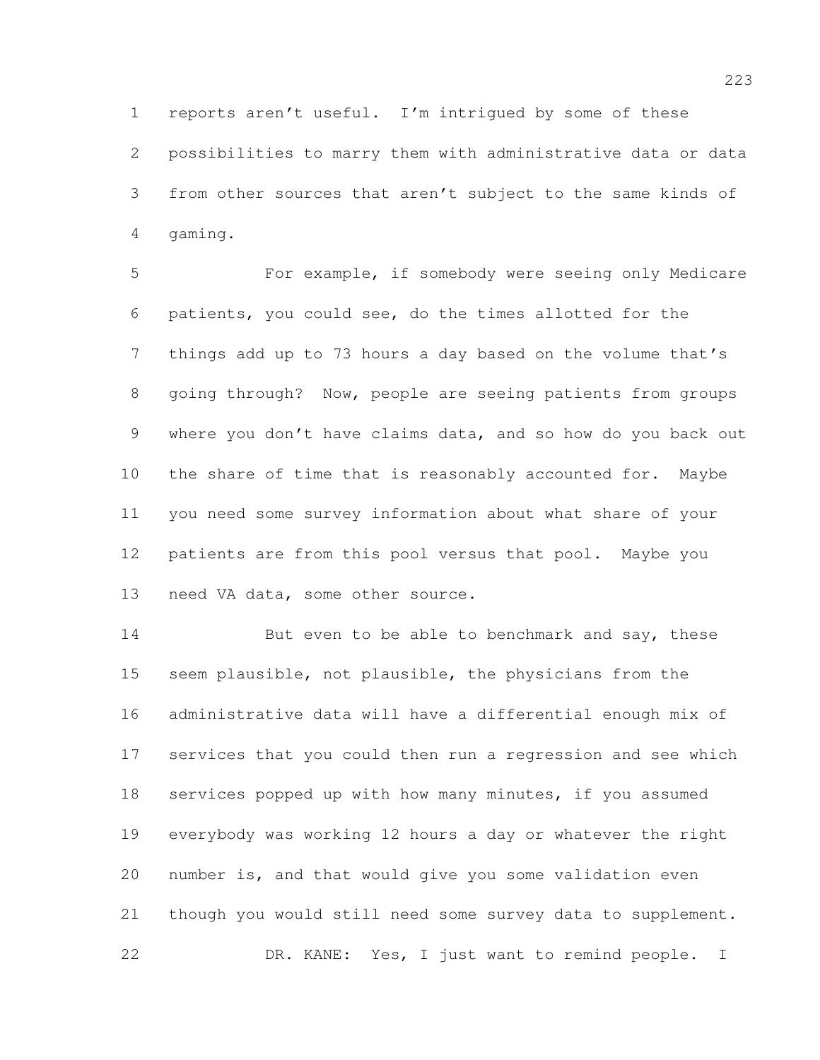reports aren't useful. I'm intrigued by some of these possibilities to marry them with administrative data or data from other sources that aren't subject to the same kinds of gaming.

 For example, if somebody were seeing only Medicare patients, you could see, do the times allotted for the things add up to 73 hours a day based on the volume that's going through? Now, people are seeing patients from groups where you don't have claims data, and so how do you back out the share of time that is reasonably accounted for. Maybe you need some survey information about what share of your patients are from this pool versus that pool. Maybe you need VA data, some other source.

14 But even to be able to benchmark and say, these seem plausible, not plausible, the physicians from the administrative data will have a differential enough mix of services that you could then run a regression and see which services popped up with how many minutes, if you assumed everybody was working 12 hours a day or whatever the right number is, and that would give you some validation even though you would still need some survey data to supplement. DR. KANE: Yes, I just want to remind people. I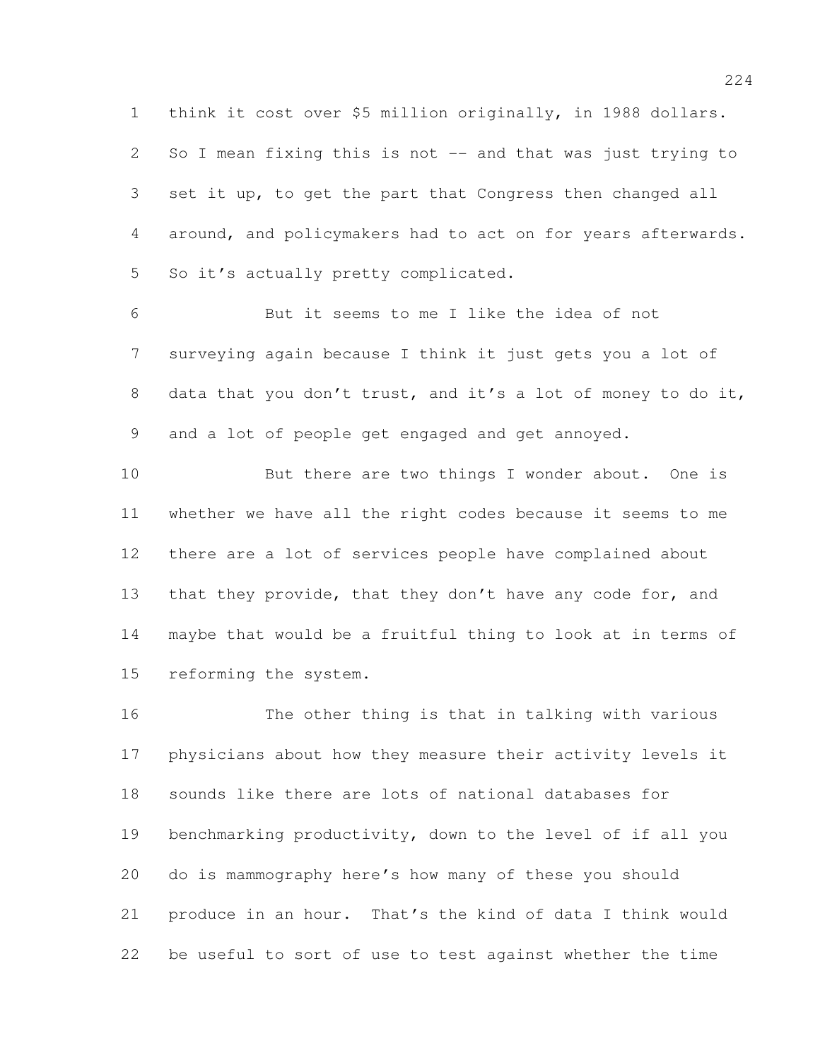think it cost over \$5 million originally, in 1988 dollars.

 So I mean fixing this is not -- and that was just trying to set it up, to get the part that Congress then changed all around, and policymakers had to act on for years afterwards. So it's actually pretty complicated.

 But it seems to me I like the idea of not surveying again because I think it just gets you a lot of 8 data that you don't trust, and it's a lot of money to do it, and a lot of people get engaged and get annoyed.

10 But there are two things I wonder about. One is whether we have all the right codes because it seems to me there are a lot of services people have complained about 13 that they provide, that they don't have any code for, and maybe that would be a fruitful thing to look at in terms of reforming the system.

 The other thing is that in talking with various physicians about how they measure their activity levels it sounds like there are lots of national databases for benchmarking productivity, down to the level of if all you do is mammography here's how many of these you should produce in an hour. That's the kind of data I think would be useful to sort of use to test against whether the time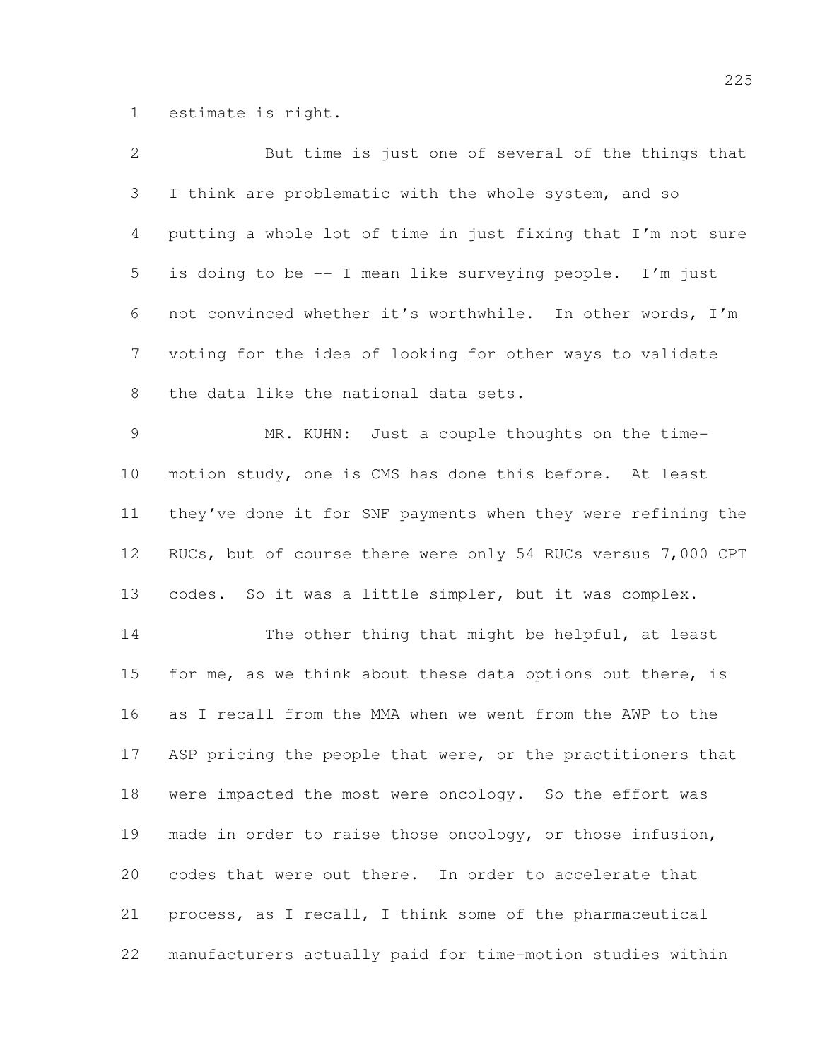estimate is right.

| 2              | But time is just one of several of the things that           |
|----------------|--------------------------------------------------------------|
| 3              | I think are problematic with the whole system, and so        |
| $\overline{4}$ | putting a whole lot of time in just fixing that I'm not sure |
| 5              | is doing to be -- I mean like surveying people. I'm just     |
| 6              | not convinced whether it's worthwhile. In other words, I'm   |
| $7\phantom{.}$ | voting for the idea of looking for other ways to validate    |
| $\,8\,$        | the data like the national data sets.                        |
| $\overline{9}$ | MR. KUHN: Just a couple thoughts on the time-                |
| 10             | motion study, one is CMS has done this before. At least      |
| 11             | they've done it for SNF payments when they were refining the |
| 12             | RUCs, but of course there were only 54 RUCs versus 7,000 CPT |
| 13             | codes. So it was a little simpler, but it was complex.       |
| 14             | The other thing that might be helpful, at least              |
| 15             | for me, as we think about these data options out there, is   |
| 16             | as I recall from the MMA when we went from the AWP to the    |
| 17             | ASP pricing the people that were, or the practitioners that  |
| 18             | were impacted the most were oncology. So the effort was      |
| 19             | made in order to raise those oncology, or those infusion,    |
| 20             | codes that were out there. In order to accelerate that       |
| 21             | process, as I recall, I think some of the pharmaceutical     |
| 22             | manufacturers actually paid for time-motion studies within   |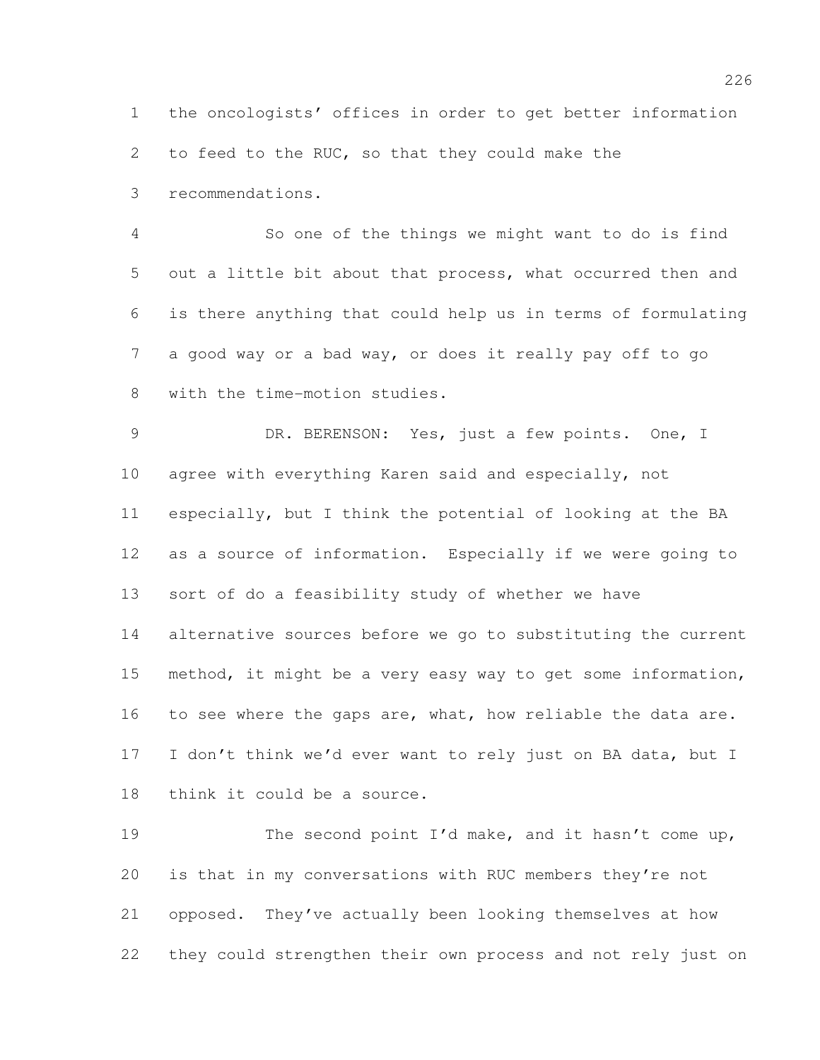the oncologists' offices in order to get better information

to feed to the RUC, so that they could make the

recommendations.

 So one of the things we might want to do is find out a little bit about that process, what occurred then and is there anything that could help us in terms of formulating a good way or a bad way, or does it really pay off to go with the time-motion studies.

 DR. BERENSON: Yes, just a few points. One, I agree with everything Karen said and especially, not especially, but I think the potential of looking at the BA as a source of information. Especially if we were going to sort of do a feasibility study of whether we have alternative sources before we go to substituting the current method, it might be a very easy way to get some information, 16 to see where the gaps are, what, how reliable the data are. 17 I don't think we'd ever want to rely just on BA data, but I think it could be a source.

19 The second point I'd make, and it hasn't come up, is that in my conversations with RUC members they're not opposed. They've actually been looking themselves at how they could strengthen their own process and not rely just on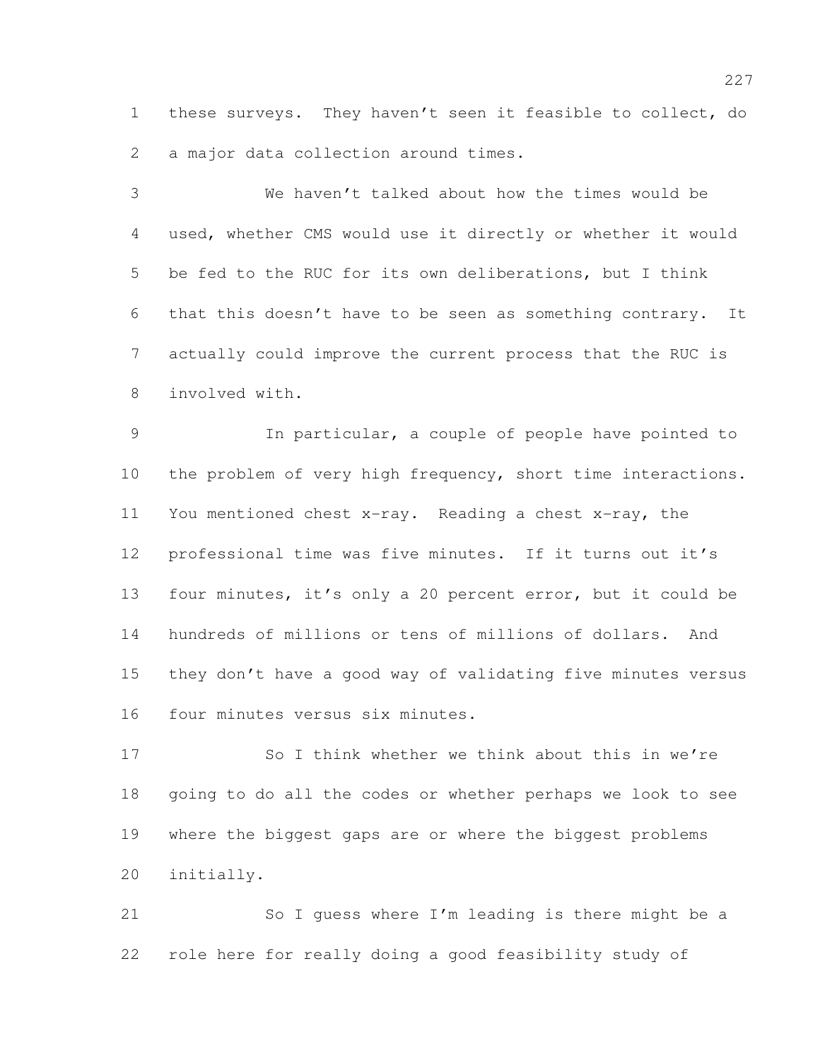these surveys. They haven't seen it feasible to collect, do a major data collection around times.

 We haven't talked about how the times would be used, whether CMS would use it directly or whether it would be fed to the RUC for its own deliberations, but I think that this doesn't have to be seen as something contrary. It actually could improve the current process that the RUC is involved with.

 In particular, a couple of people have pointed to the problem of very high frequency, short time interactions. You mentioned chest x-ray. Reading a chest x-ray, the professional time was five minutes. If it turns out it's four minutes, it's only a 20 percent error, but it could be hundreds of millions or tens of millions of dollars. And they don't have a good way of validating five minutes versus four minutes versus six minutes.

 So I think whether we think about this in we're going to do all the codes or whether perhaps we look to see where the biggest gaps are or where the biggest problems initially.

 So I guess where I'm leading is there might be a role here for really doing a good feasibility study of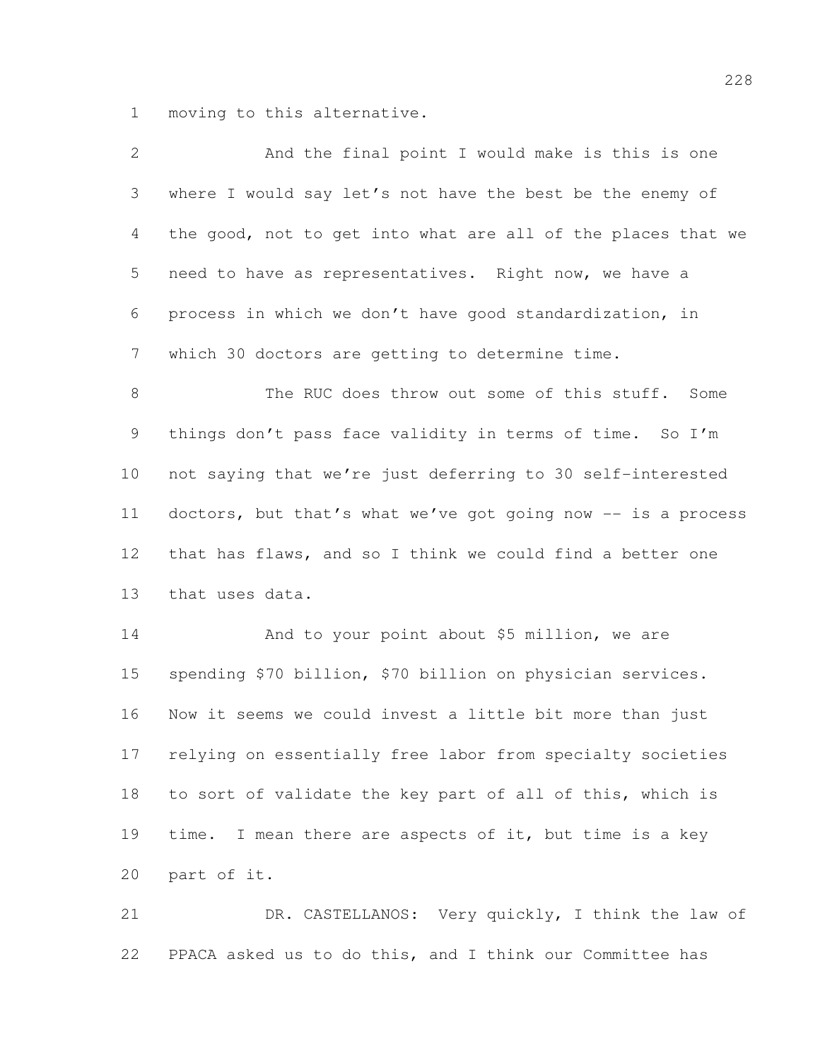moving to this alternative.

| $\overline{2}$ | And the final point I would make is this is one              |
|----------------|--------------------------------------------------------------|
| 3              | where I would say let's not have the best be the enemy of    |
| 4              | the good, not to get into what are all of the places that we |
| 5              | need to have as representatives. Right now, we have a        |
| 6              | process in which we don't have good standardization, in      |
| $\overline{7}$ | which 30 doctors are getting to determine time.              |
| $8\,$          | The RUC does throw out some of this stuff. Some              |
| 9              | things don't pass face validity in terms of time. So I'm     |
| 10             | not saying that we're just deferring to 30 self-interested   |
| 11             | doctors, but that's what we've got going now -- is a process |
| 12             | that has flaws, and so I think we could find a better one    |
| 13             | that uses data.                                              |
| 14             | And to your point about \$5 million, we are                  |
| 15             | spending \$70 billion, \$70 billion on physician services.   |
| 16             | Now it seems we could invest a little bit more than just     |
| 17             | relying on essentially free labor from specialty societies   |
| 18             | to sort of validate the key part of all of this, which is    |
| 19             | I mean there are aspects of it, but time is a key<br>time.   |
| 20             | part of it.                                                  |
|                |                                                              |

 DR. CASTELLANOS: Very quickly, I think the law of PPACA asked us to do this, and I think our Committee has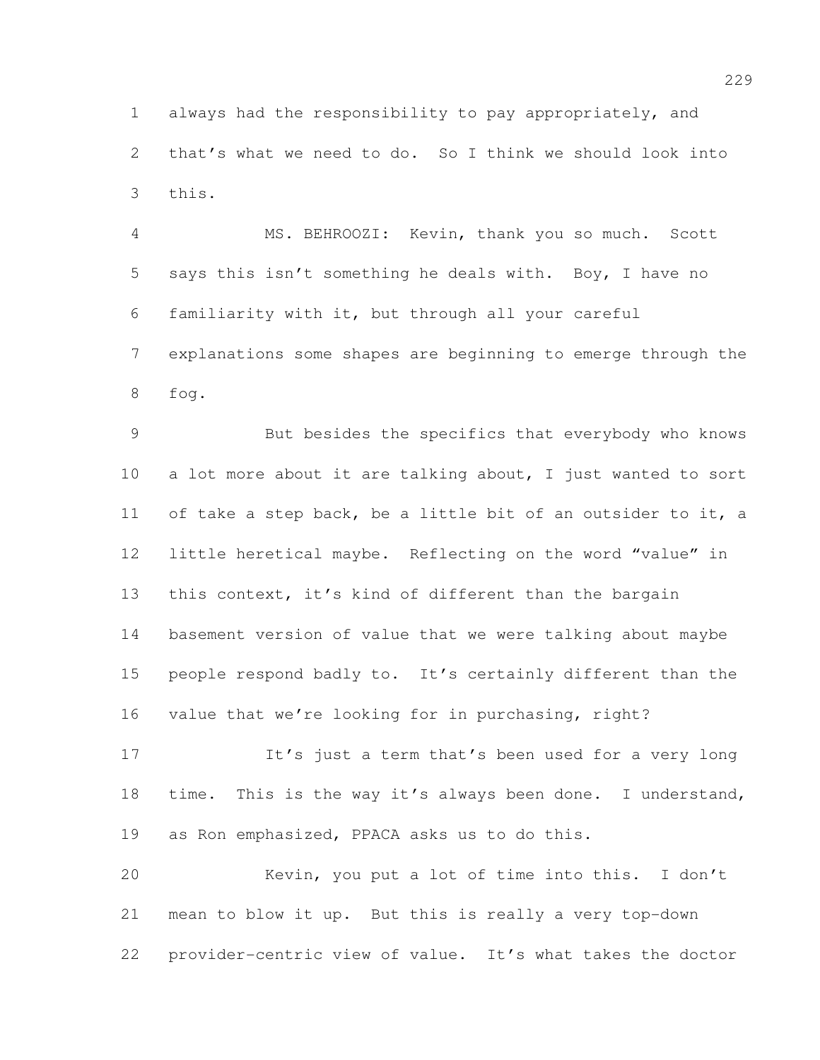always had the responsibility to pay appropriately, and that's what we need to do. So I think we should look into this.

 MS. BEHROOZI: Kevin, thank you so much. Scott says this isn't something he deals with. Boy, I have no familiarity with it, but through all your careful explanations some shapes are beginning to emerge through the fog.

 But besides the specifics that everybody who knows a lot more about it are talking about, I just wanted to sort 11 of take a step back, be a little bit of an outsider to it, a little heretical maybe. Reflecting on the word "value" in this context, it's kind of different than the bargain basement version of value that we were talking about maybe people respond badly to. It's certainly different than the value that we're looking for in purchasing, right?

 It's just a term that's been used for a very long 18 time. This is the way it's always been done. I understand, as Ron emphasized, PPACA asks us to do this.

 Kevin, you put a lot of time into this. I don't mean to blow it up. But this is really a very top-down provider-centric view of value. It's what takes the doctor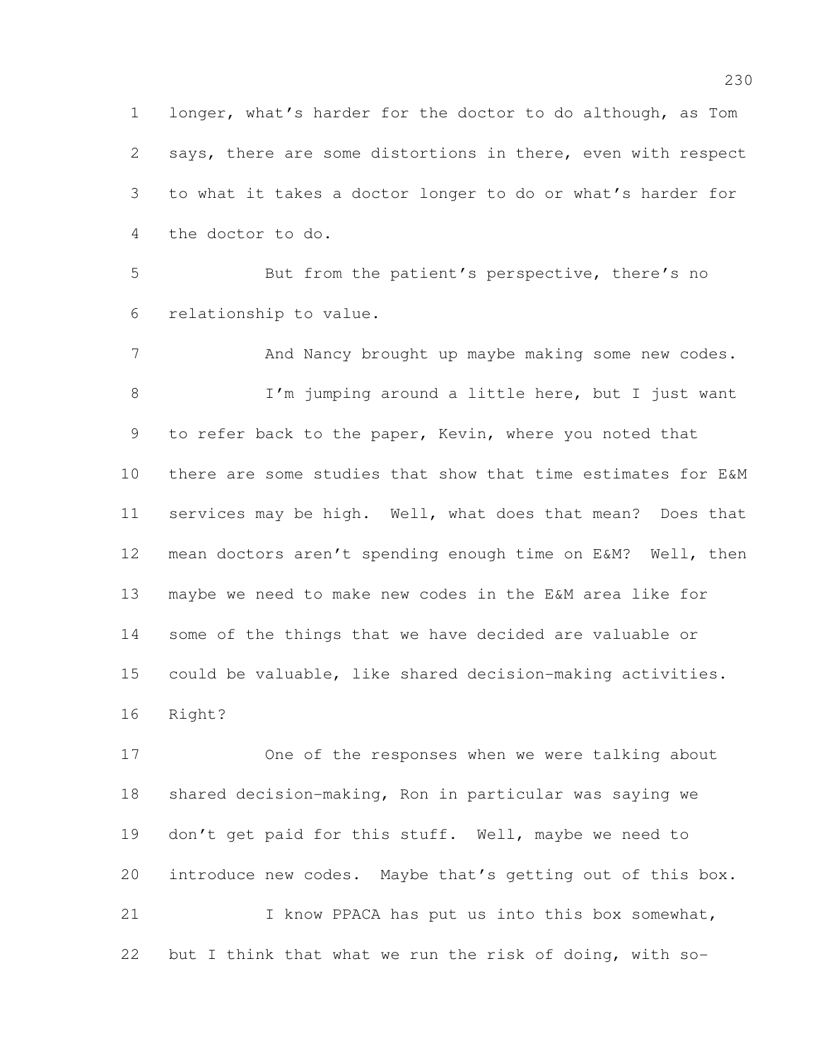longer, what's harder for the doctor to do although, as Tom says, there are some distortions in there, even with respect to what it takes a doctor longer to do or what's harder for the doctor to do.

 But from the patient's perspective, there's no relationship to value.

7 And Nancy brought up maybe making some new codes. 8 I'm jumping around a little here, but I just want 9 to refer back to the paper, Kevin, where you noted that there are some studies that show that time estimates for E&M services may be high. Well, what does that mean? Does that mean doctors aren't spending enough time on E&M? Well, then maybe we need to make new codes in the E&M area like for some of the things that we have decided are valuable or could be valuable, like shared decision-making activities. Right?

 One of the responses when we were talking about shared decision-making, Ron in particular was saying we 19 don't get paid for this stuff. Well, maybe we need to introduce new codes. Maybe that's getting out of this box. I know PPACA has put us into this box somewhat, but I think that what we run the risk of doing, with so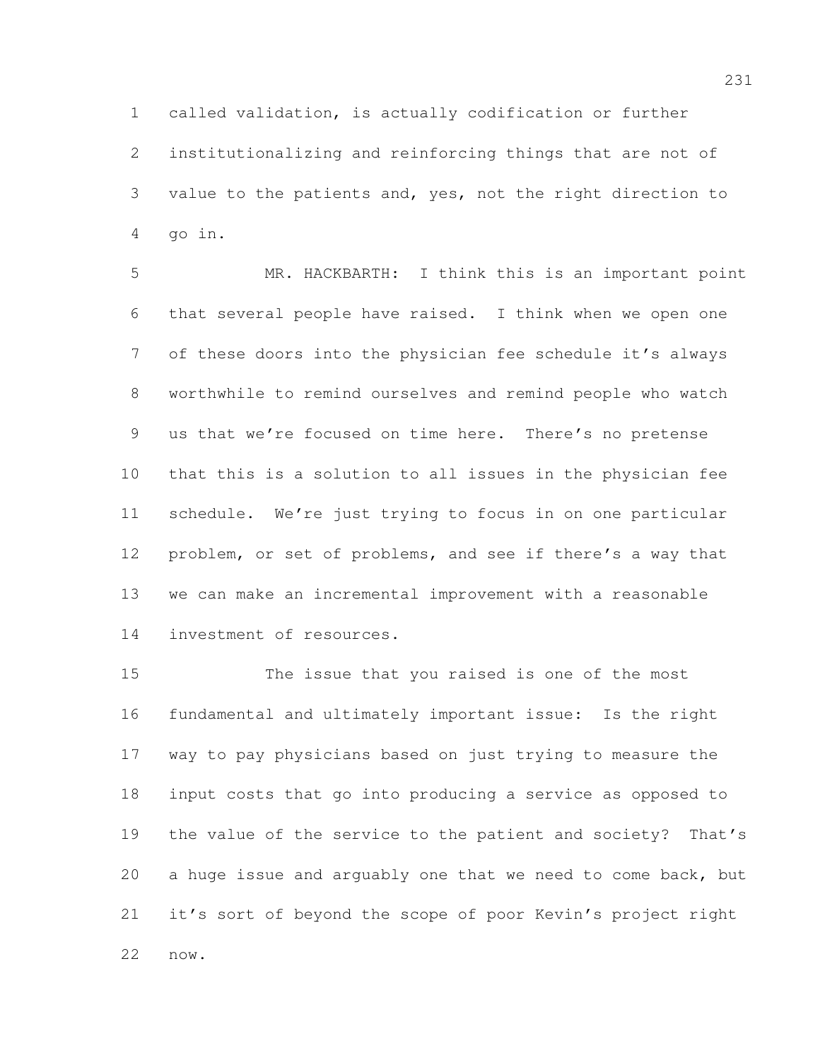called validation, is actually codification or further

 institutionalizing and reinforcing things that are not of value to the patients and, yes, not the right direction to go in.

 MR. HACKBARTH: I think this is an important point that several people have raised. I think when we open one of these doors into the physician fee schedule it's always worthwhile to remind ourselves and remind people who watch us that we're focused on time here. There's no pretense that this is a solution to all issues in the physician fee schedule. We're just trying to focus in on one particular problem, or set of problems, and see if there's a way that we can make an incremental improvement with a reasonable investment of resources.

 The issue that you raised is one of the most fundamental and ultimately important issue: Is the right way to pay physicians based on just trying to measure the input costs that go into producing a service as opposed to the value of the service to the patient and society? That's a huge issue and arguably one that we need to come back, but it's sort of beyond the scope of poor Kevin's project right now.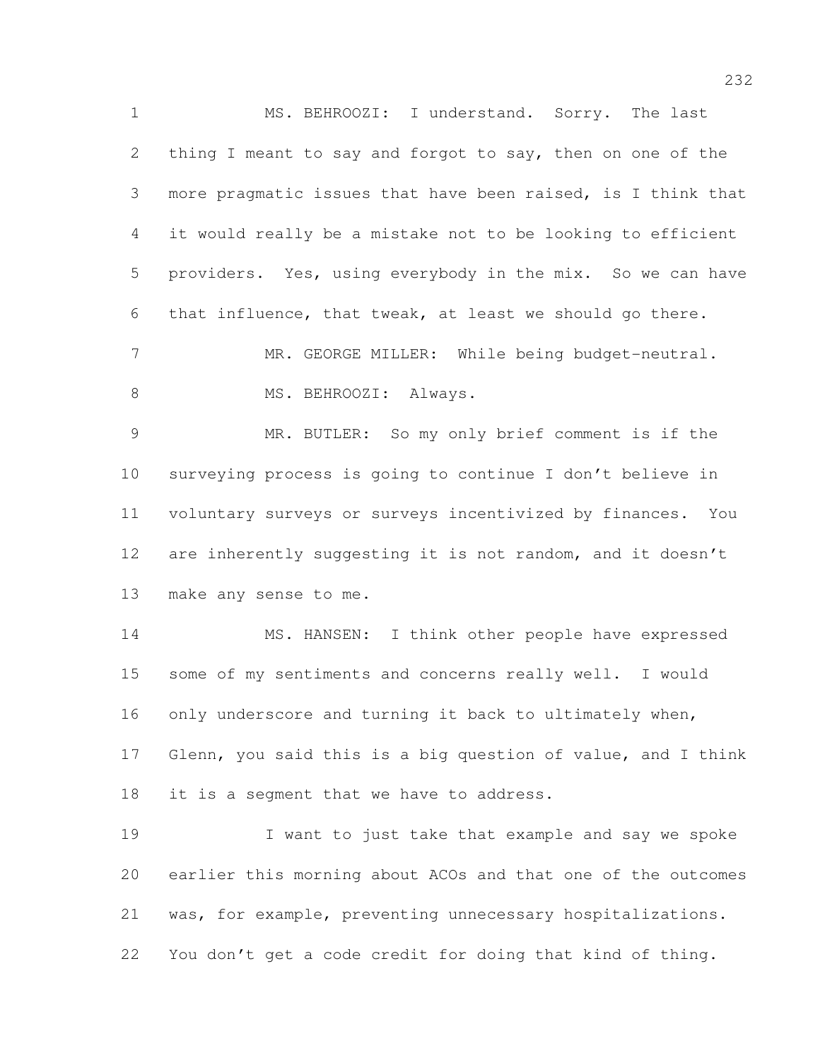MS. BEHROOZI: I understand. Sorry. The last thing I meant to say and forgot to say, then on one of the more pragmatic issues that have been raised, is I think that it would really be a mistake not to be looking to efficient providers. Yes, using everybody in the mix. So we can have that influence, that tweak, at least we should go there. 7 MR. GEORGE MILLER: While being budget-neutral. 8 MS. BEHROOZI: Always. MR. BUTLER: So my only brief comment is if the surveying process is going to continue I don't believe in voluntary surveys or surveys incentivized by finances. You are inherently suggesting it is not random, and it doesn't make any sense to me. MS. HANSEN: I think other people have expressed some of my sentiments and concerns really well. I would only underscore and turning it back to ultimately when,

 Glenn, you said this is a big question of value, and I think 18 it is a segment that we have to address.

19 I want to just take that example and say we spoke earlier this morning about ACOs and that one of the outcomes was, for example, preventing unnecessary hospitalizations. You don't get a code credit for doing that kind of thing.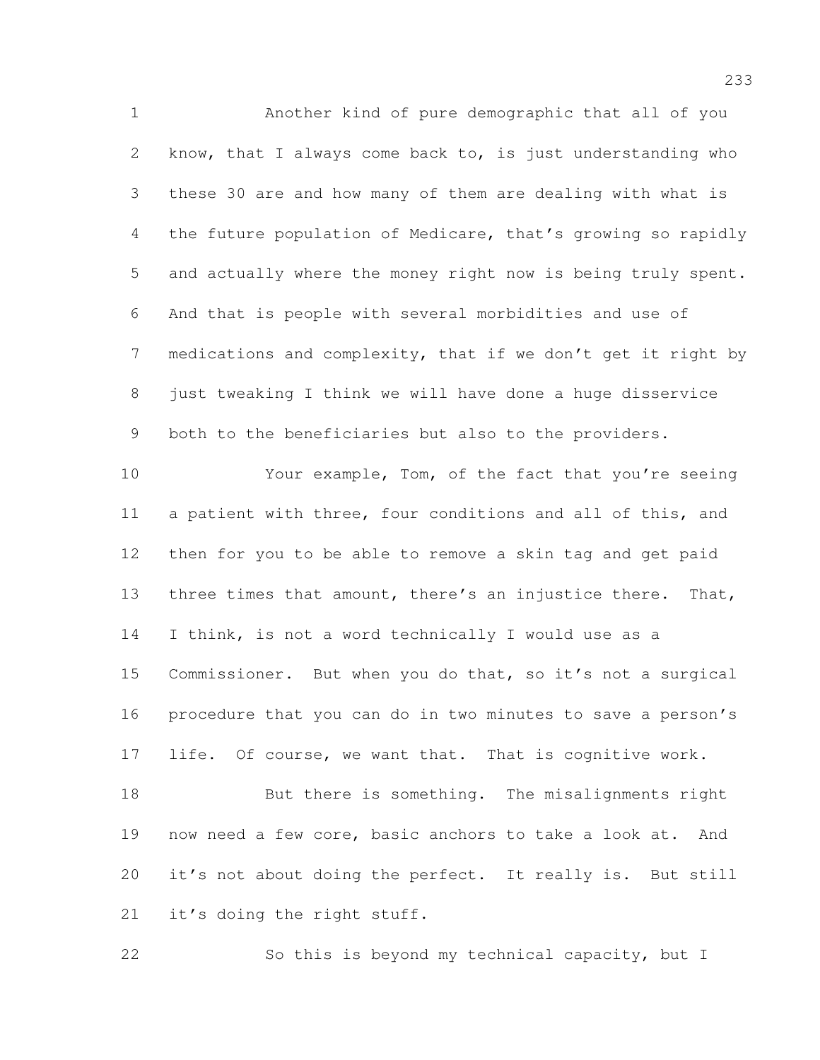Another kind of pure demographic that all of you know, that I always come back to, is just understanding who these 30 are and how many of them are dealing with what is the future population of Medicare, that's growing so rapidly and actually where the money right now is being truly spent. And that is people with several morbidities and use of medications and complexity, that if we don't get it right by just tweaking I think we will have done a huge disservice both to the beneficiaries but also to the providers. Your example, Tom, of the fact that you're seeing a patient with three, four conditions and all of this, and then for you to be able to remove a skin tag and get paid 13 three times that amount, there's an injustice there. That,

 Commissioner. But when you do that, so it's not a surgical procedure that you can do in two minutes to save a person's life. Of course, we want that. That is cognitive work.

I think, is not a word technically I would use as a

18 But there is something. The misalignments right now need a few core, basic anchors to take a look at. And it's not about doing the perfect. It really is. But still 21 it's doing the right stuff.

So this is beyond my technical capacity, but I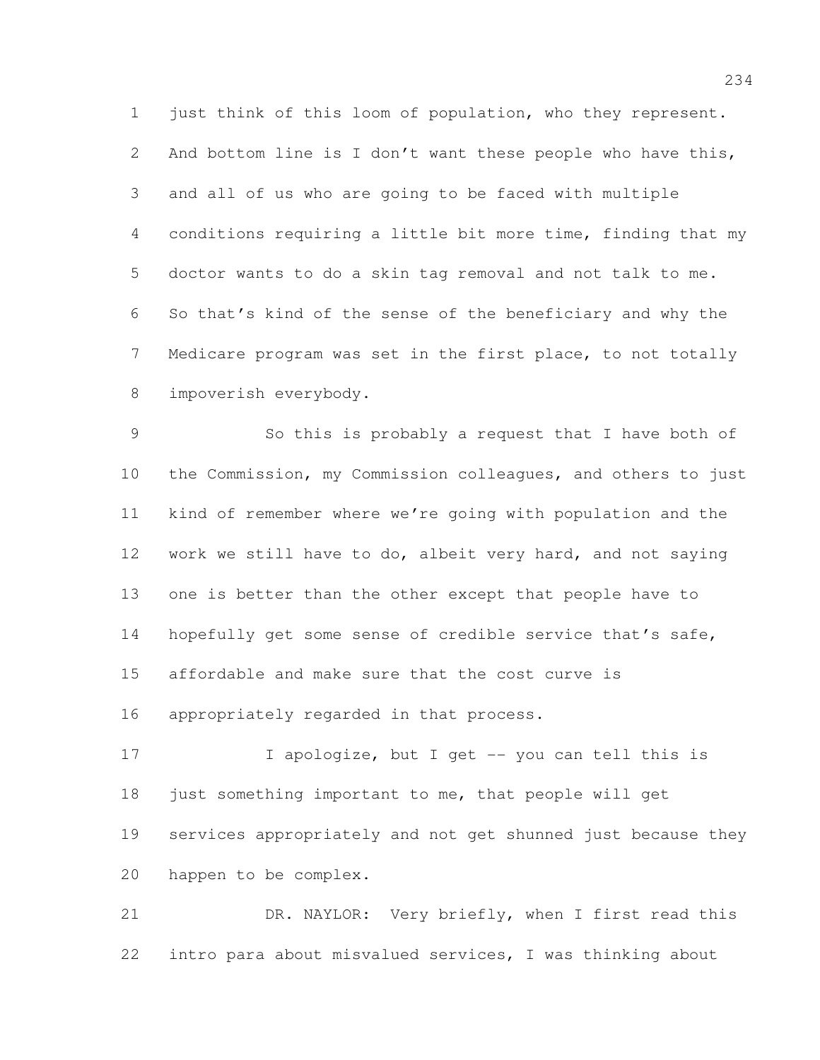1 just think of this loom of population, who they represent. 2 And bottom line is I don't want these people who have this, and all of us who are going to be faced with multiple conditions requiring a little bit more time, finding that my doctor wants to do a skin tag removal and not talk to me. So that's kind of the sense of the beneficiary and why the Medicare program was set in the first place, to not totally impoverish everybody.

 So this is probably a request that I have both of the Commission, my Commission colleagues, and others to just kind of remember where we're going with population and the work we still have to do, albeit very hard, and not saying one is better than the other except that people have to 14 hopefully get some sense of credible service that's safe, affordable and make sure that the cost curve is appropriately regarded in that process.

17 I apologize, but I get -- you can tell this is 18 just something important to me, that people will get services appropriately and not get shunned just because they happen to be complex.

 DR. NAYLOR: Very briefly, when I first read this intro para about misvalued services, I was thinking about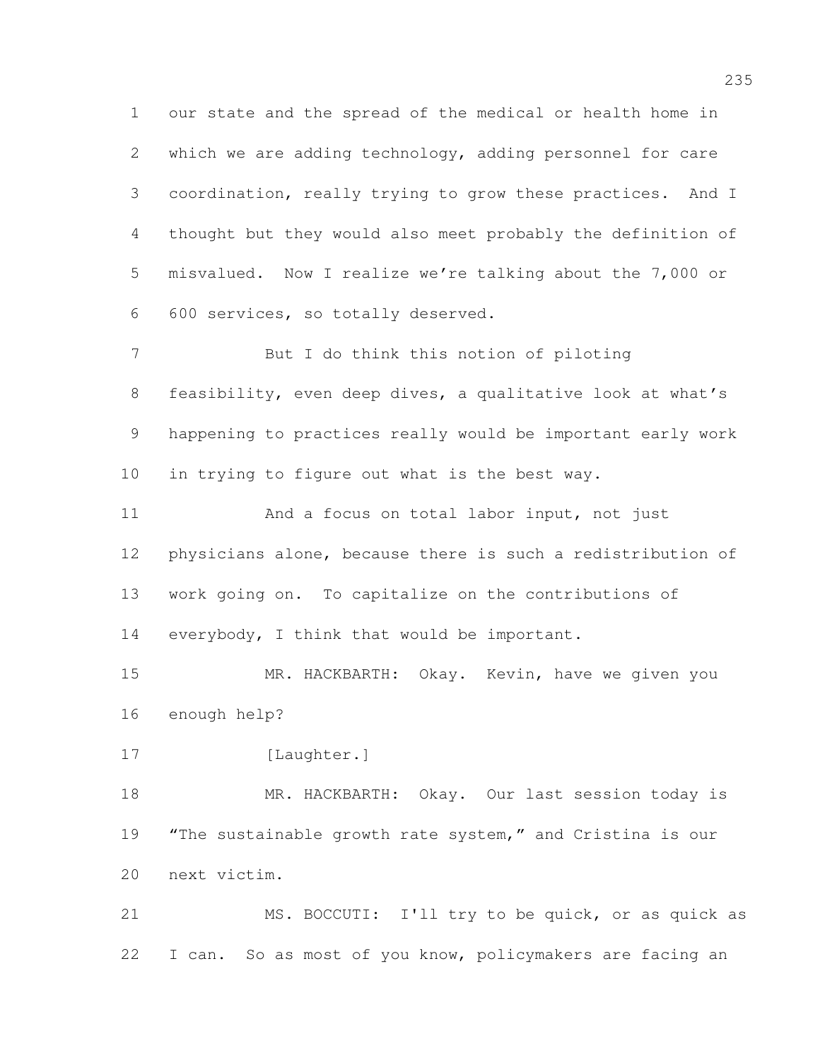our state and the spread of the medical or health home in which we are adding technology, adding personnel for care coordination, really trying to grow these practices. And I thought but they would also meet probably the definition of misvalued. Now I realize we're talking about the 7,000 or 600 services, so totally deserved.

 But I do think this notion of piloting feasibility, even deep dives, a qualitative look at what's happening to practices really would be important early work in trying to figure out what is the best way.

 And a focus on total labor input, not just physicians alone, because there is such a redistribution of work going on. To capitalize on the contributions of 14 everybody, I think that would be important.

 MR. HACKBARTH: Okay. Kevin, have we given you enough help?

17 [Laughter.]

 MR. HACKBARTH: Okay. Our last session today is 19 "The sustainable growth rate system," and Cristina is our next victim.

21 MS. BOCCUTI: I'll try to be quick, or as quick as I can. So as most of you know, policymakers are facing an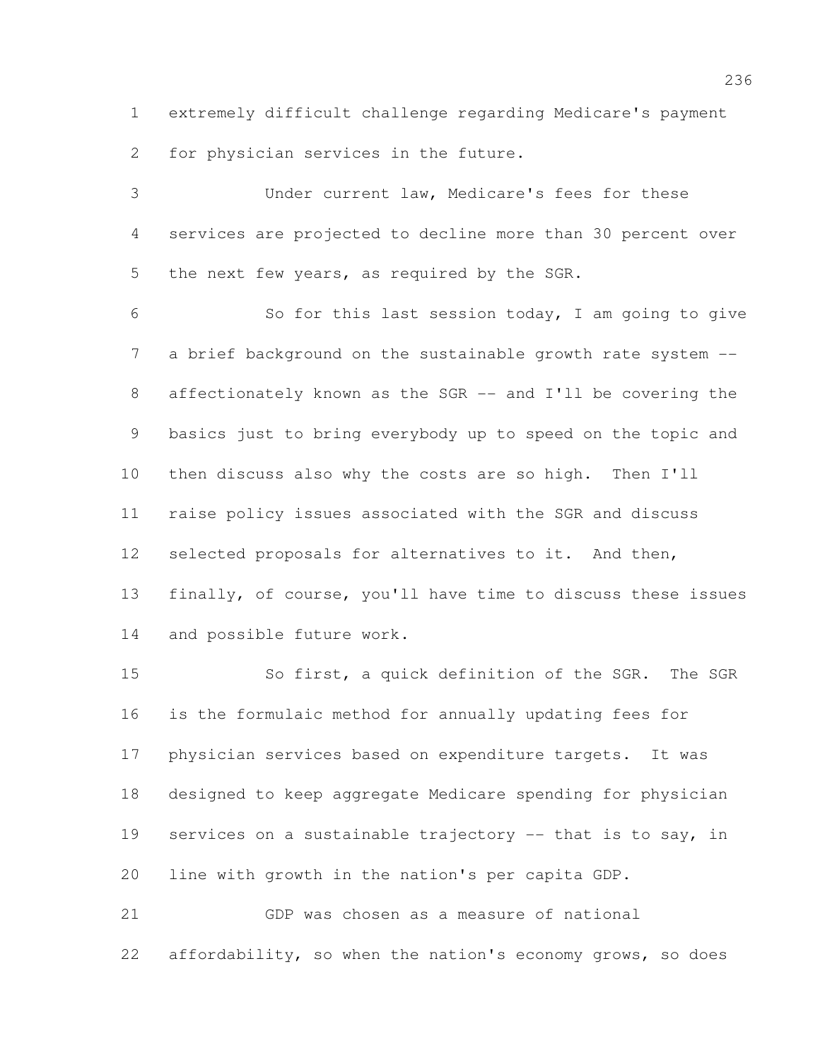extremely difficult challenge regarding Medicare's payment for physician services in the future.

 Under current law, Medicare's fees for these services are projected to decline more than 30 percent over the next few years, as required by the SGR.

 So for this last session today, I am going to give 7 a brief background on the sustainable growth rate system -- affectionately known as the SGR -- and I'll be covering the basics just to bring everybody up to speed on the topic and then discuss also why the costs are so high. Then I'll raise policy issues associated with the SGR and discuss selected proposals for alternatives to it. And then, finally, of course, you'll have time to discuss these issues and possible future work.

 So first, a quick definition of the SGR. The SGR is the formulaic method for annually updating fees for physician services based on expenditure targets. It was designed to keep aggregate Medicare spending for physician services on a sustainable trajectory -- that is to say, in line with growth in the nation's per capita GDP.

 GDP was chosen as a measure of national affordability, so when the nation's economy grows, so does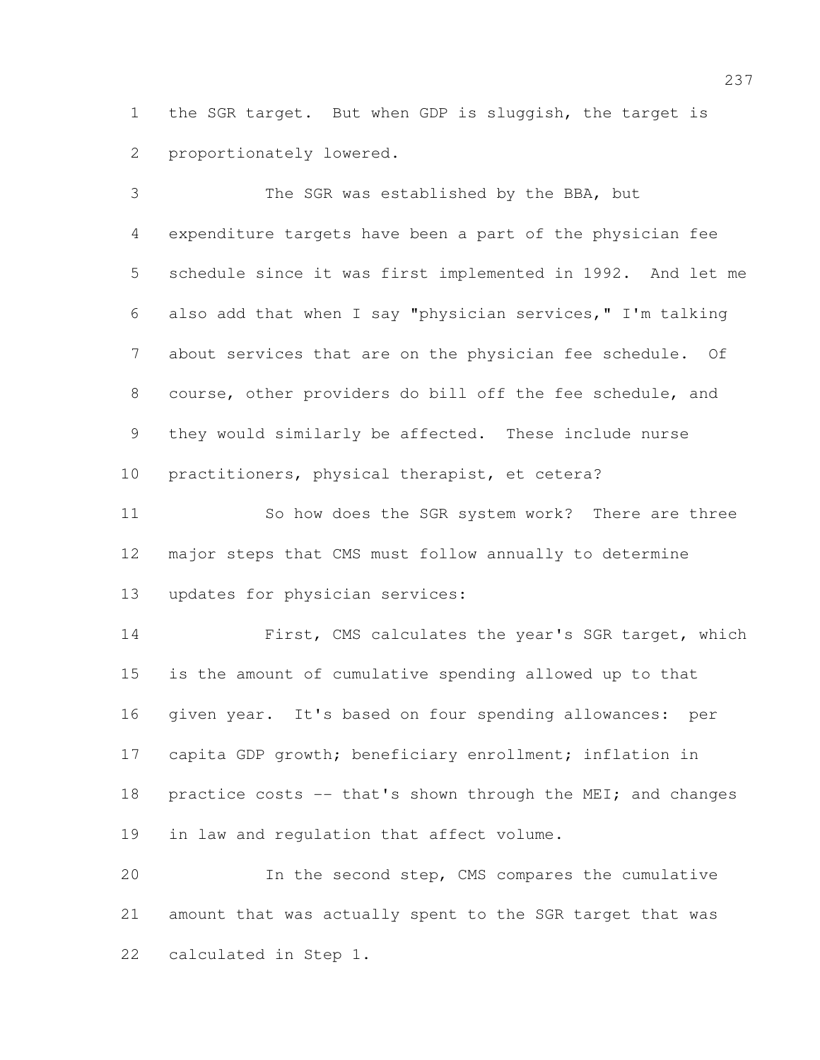the SGR target. But when GDP is sluggish, the target is proportionately lowered.

 The SGR was established by the BBA, but expenditure targets have been a part of the physician fee schedule since it was first implemented in 1992. And let me also add that when I say "physician services," I'm talking about services that are on the physician fee schedule. Of course, other providers do bill off the fee schedule, and they would similarly be affected. These include nurse practitioners, physical therapist, et cetera?

11 So how does the SGR system work? There are three major steps that CMS must follow annually to determine updates for physician services:

 First, CMS calculates the year's SGR target, which is the amount of cumulative spending allowed up to that given year. It's based on four spending allowances: per capita GDP growth; beneficiary enrollment; inflation in 18 practice costs -- that's shown through the MEI; and changes in law and regulation that affect volume.

 In the second step, CMS compares the cumulative amount that was actually spent to the SGR target that was calculated in Step 1.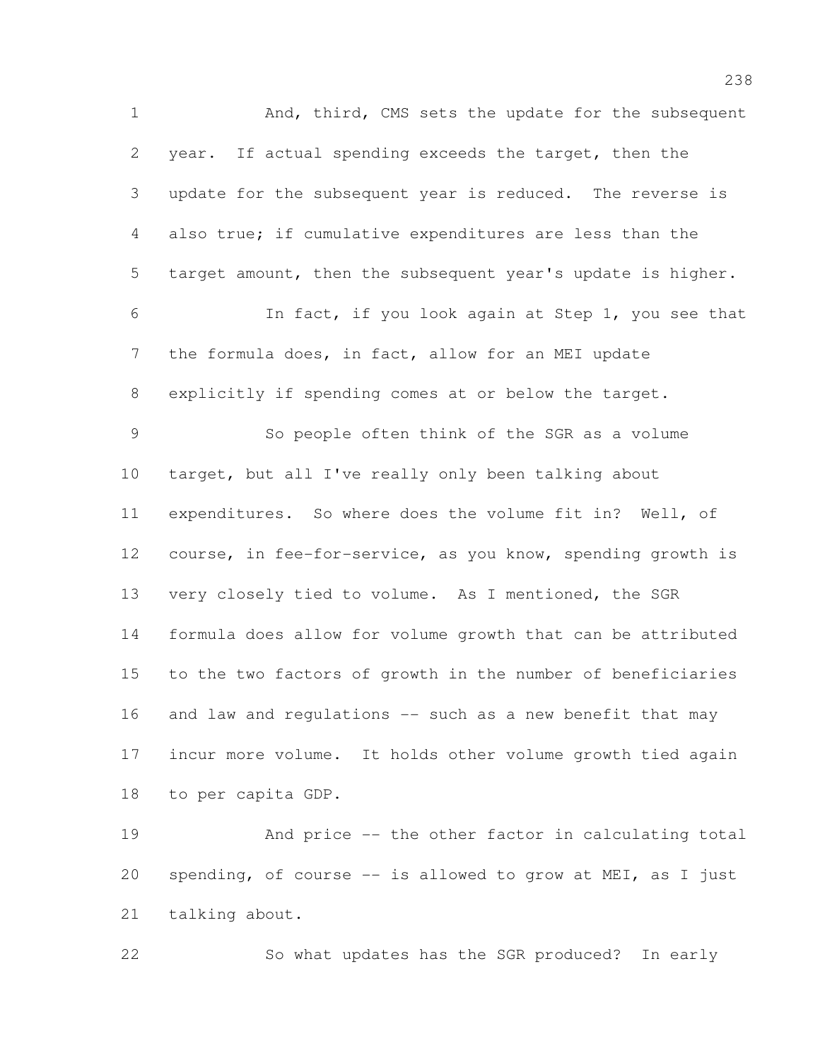And, third, CMS sets the update for the subsequent year. If actual spending exceeds the target, then the update for the subsequent year is reduced. The reverse is also true; if cumulative expenditures are less than the target amount, then the subsequent year's update is higher. In fact, if you look again at Step 1, you see that the formula does, in fact, allow for an MEI update explicitly if spending comes at or below the target. So people often think of the SGR as a volume target, but all I've really only been talking about expenditures. So where does the volume fit in? Well, of course, in fee-for-service, as you know, spending growth is very closely tied to volume. As I mentioned, the SGR formula does allow for volume growth that can be attributed to the two factors of growth in the number of beneficiaries 16 and law and regulations -- such as a new benefit that may incur more volume. It holds other volume growth tied again to per capita GDP. And price -- the other factor in calculating total spending, of course -- is allowed to grow at MEI, as I just

talking about.

So what updates has the SGR produced? In early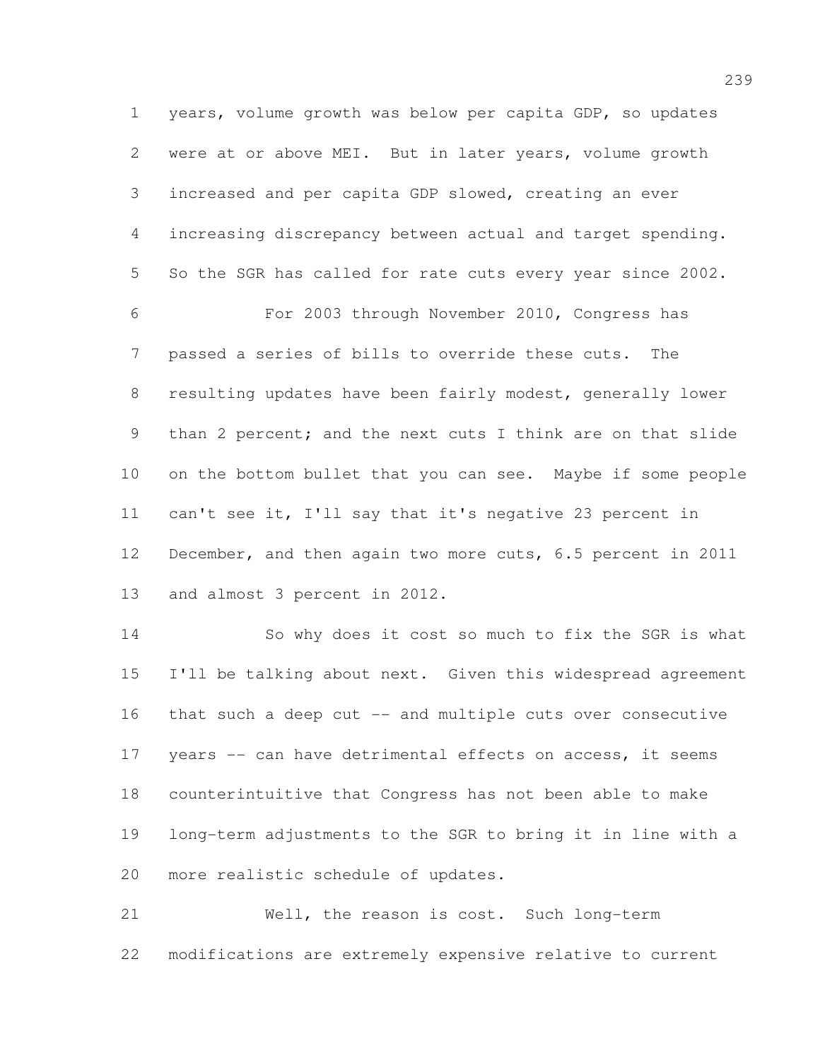years, volume growth was below per capita GDP, so updates were at or above MEI. But in later years, volume growth increased and per capita GDP slowed, creating an ever increasing discrepancy between actual and target spending. So the SGR has called for rate cuts every year since 2002. For 2003 through November 2010, Congress has passed a series of bills to override these cuts. The resulting updates have been fairly modest, generally lower 9 than 2 percent; and the next cuts I think are on that slide on the bottom bullet that you can see. Maybe if some people can't see it, I'll say that it's negative 23 percent in 12 December, and then again two more cuts, 6.5 percent in 2011 and almost 3 percent in 2012.

 So why does it cost so much to fix the SGR is what I'll be talking about next. Given this widespread agreement that such a deep cut -- and multiple cuts over consecutive 17 years -- can have detrimental effects on access, it seems counterintuitive that Congress has not been able to make long-term adjustments to the SGR to bring it in line with a more realistic schedule of updates.

 Well, the reason is cost. Such long-term modifications are extremely expensive relative to current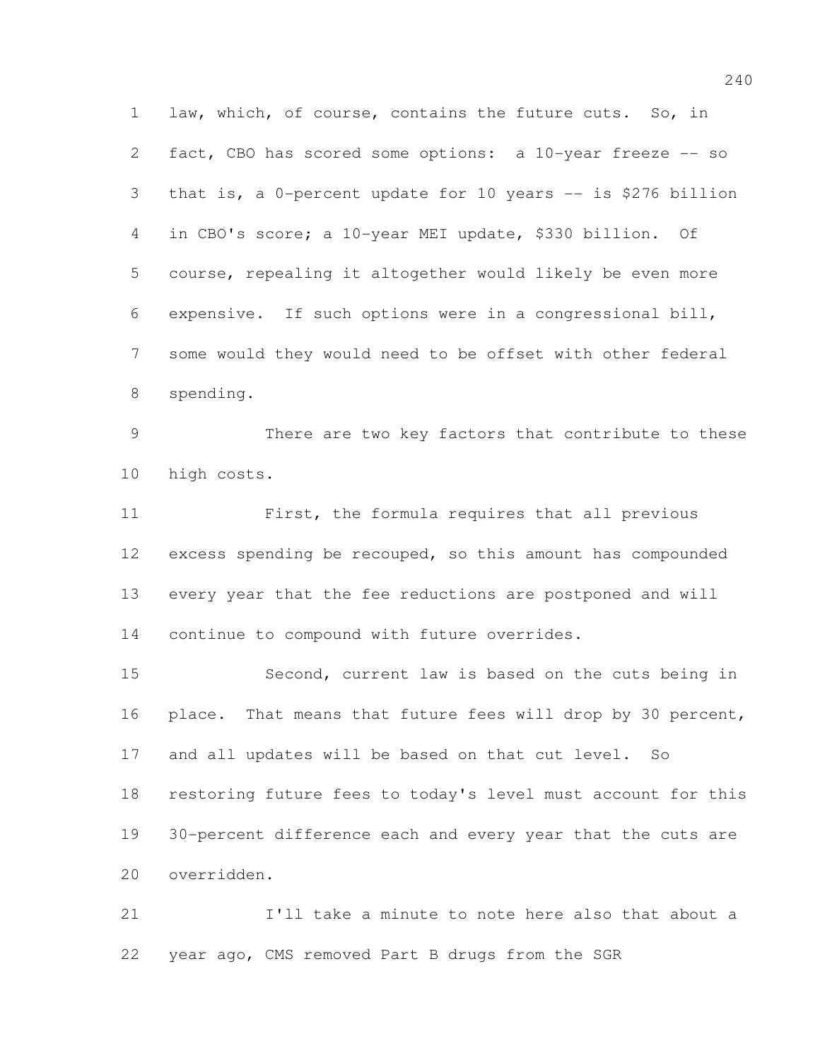law, which, of course, contains the future cuts. So, in fact, CBO has scored some options: a 10-year freeze -- so that is, a 0-percent update for 10 years -- is \$276 billion in CBO's score; a 10-year MEI update, \$330 billion. Of course, repealing it altogether would likely be even more expensive. If such options were in a congressional bill, some would they would need to be offset with other federal spending.

 There are two key factors that contribute to these high costs.

 First, the formula requires that all previous excess spending be recouped, so this amount has compounded every year that the fee reductions are postponed and will continue to compound with future overrides.

 Second, current law is based on the cuts being in 16 place. That means that future fees will drop by 30 percent, and all updates will be based on that cut level. So restoring future fees to today's level must account for this 30-percent difference each and every year that the cuts are overridden.

 I'll take a minute to note here also that about a year ago, CMS removed Part B drugs from the SGR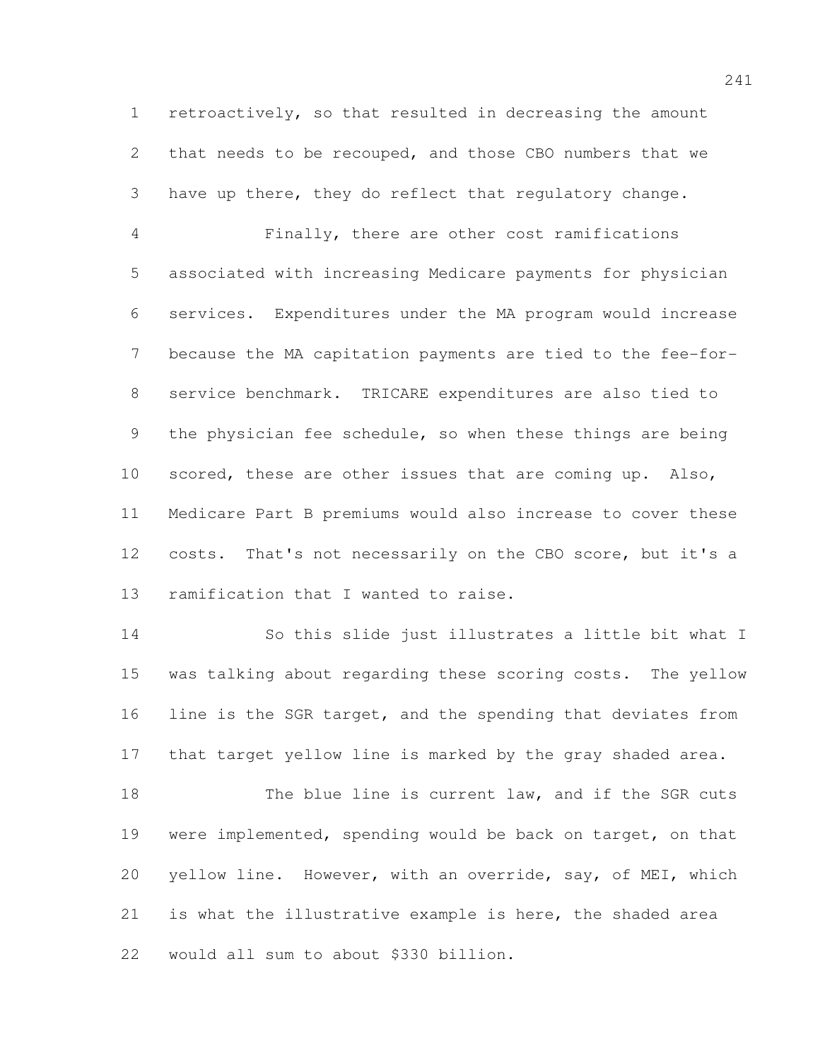retroactively, so that resulted in decreasing the amount that needs to be recouped, and those CBO numbers that we have up there, they do reflect that regulatory change.

 Finally, there are other cost ramifications associated with increasing Medicare payments for physician services. Expenditures under the MA program would increase because the MA capitation payments are tied to the fee-for- service benchmark. TRICARE expenditures are also tied to the physician fee schedule, so when these things are being scored, these are other issues that are coming up. Also, Medicare Part B premiums would also increase to cover these costs. That's not necessarily on the CBO score, but it's a ramification that I wanted to raise.

 So this slide just illustrates a little bit what I was talking about regarding these scoring costs. The yellow 16 line is the SGR target, and the spending that deviates from 17 that target yellow line is marked by the gray shaded area.

18 The blue line is current law, and if the SGR cuts were implemented, spending would be back on target, on that yellow line. However, with an override, say, of MEI, which is what the illustrative example is here, the shaded area would all sum to about \$330 billion.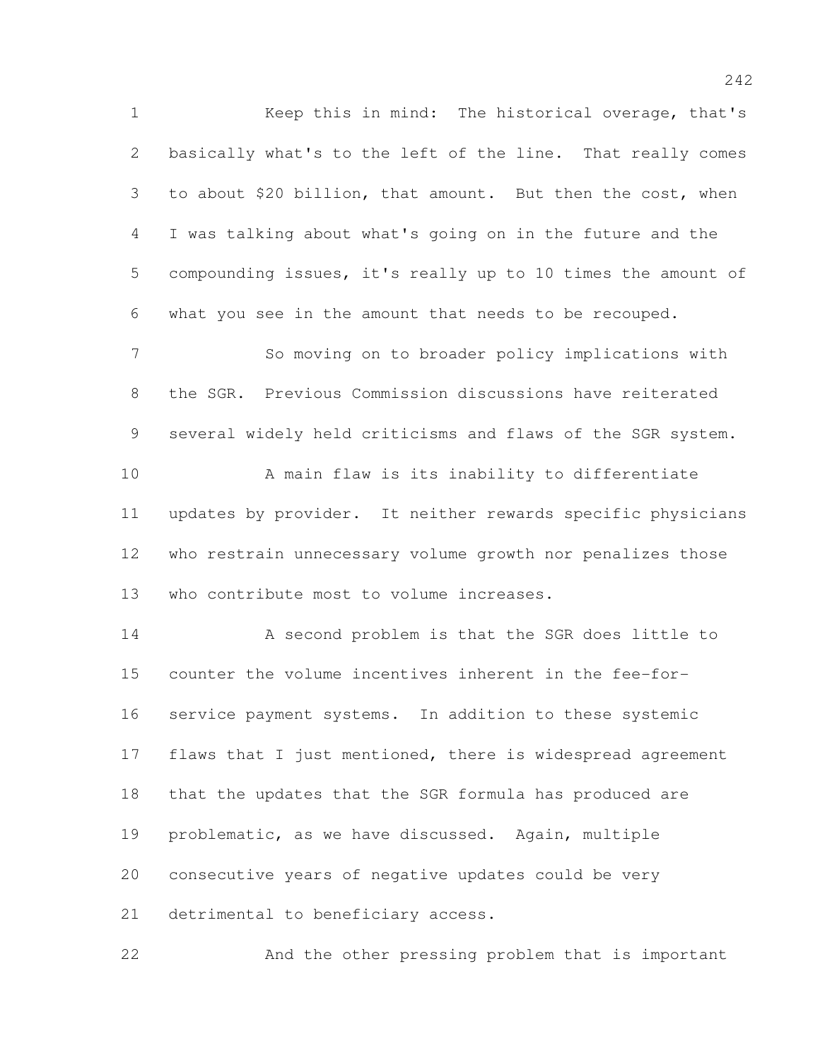Keep this in mind: The historical overage, that's basically what's to the left of the line. That really comes to about \$20 billion, that amount. But then the cost, when I was talking about what's going on in the future and the compounding issues, it's really up to 10 times the amount of what you see in the amount that needs to be recouped. So moving on to broader policy implications with the SGR. Previous Commission discussions have reiterated several widely held criticisms and flaws of the SGR system. A main flaw is its inability to differentiate updates by provider. It neither rewards specific physicians who restrain unnecessary volume growth nor penalizes those who contribute most to volume increases. A second problem is that the SGR does little to counter the volume incentives inherent in the fee-for- service payment systems. In addition to these systemic 17 flaws that I just mentioned, there is widespread agreement that the updates that the SGR formula has produced are problematic, as we have discussed. Again, multiple consecutive years of negative updates could be very 21 detrimental to beneficiary access. And the other pressing problem that is important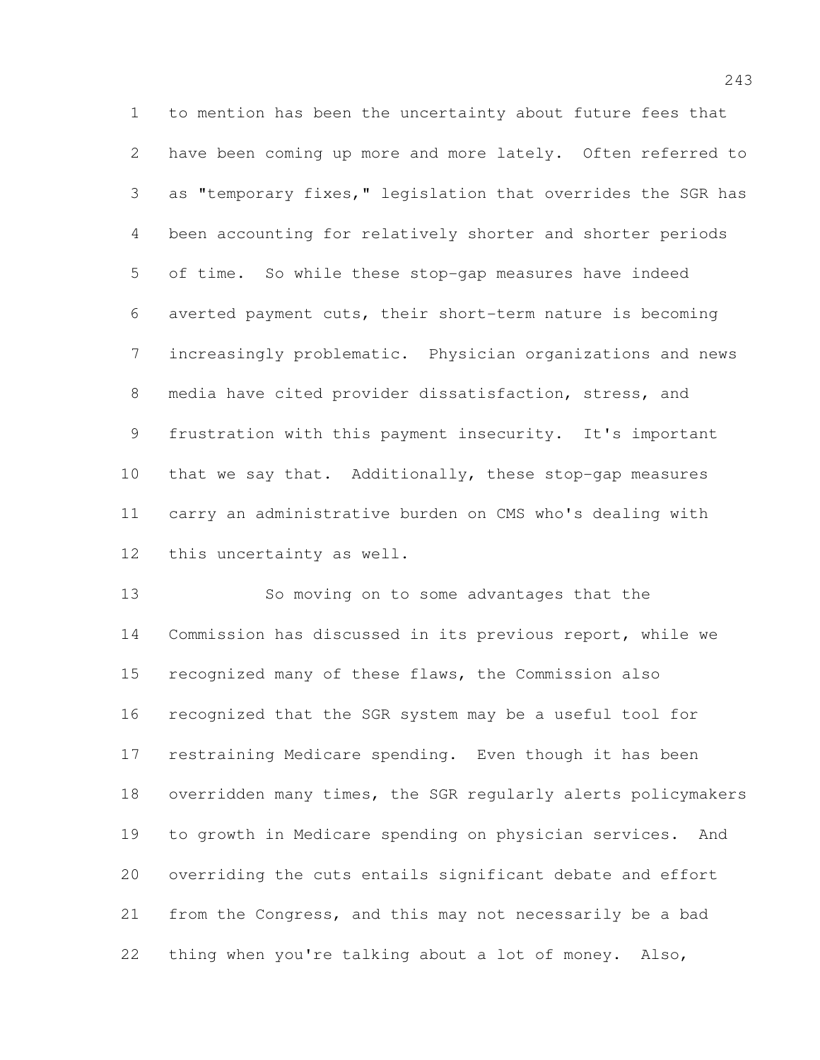to mention has been the uncertainty about future fees that have been coming up more and more lately. Often referred to as "temporary fixes," legislation that overrides the SGR has been accounting for relatively shorter and shorter periods of time. So while these stop-gap measures have indeed averted payment cuts, their short-term nature is becoming increasingly problematic. Physician organizations and news media have cited provider dissatisfaction, stress, and frustration with this payment insecurity. It's important that we say that. Additionally, these stop-gap measures carry an administrative burden on CMS who's dealing with this uncertainty as well.

 So moving on to some advantages that the Commission has discussed in its previous report, while we recognized many of these flaws, the Commission also recognized that the SGR system may be a useful tool for restraining Medicare spending. Even though it has been overridden many times, the SGR regularly alerts policymakers to growth in Medicare spending on physician services. And overriding the cuts entails significant debate and effort from the Congress, and this may not necessarily be a bad thing when you're talking about a lot of money. Also,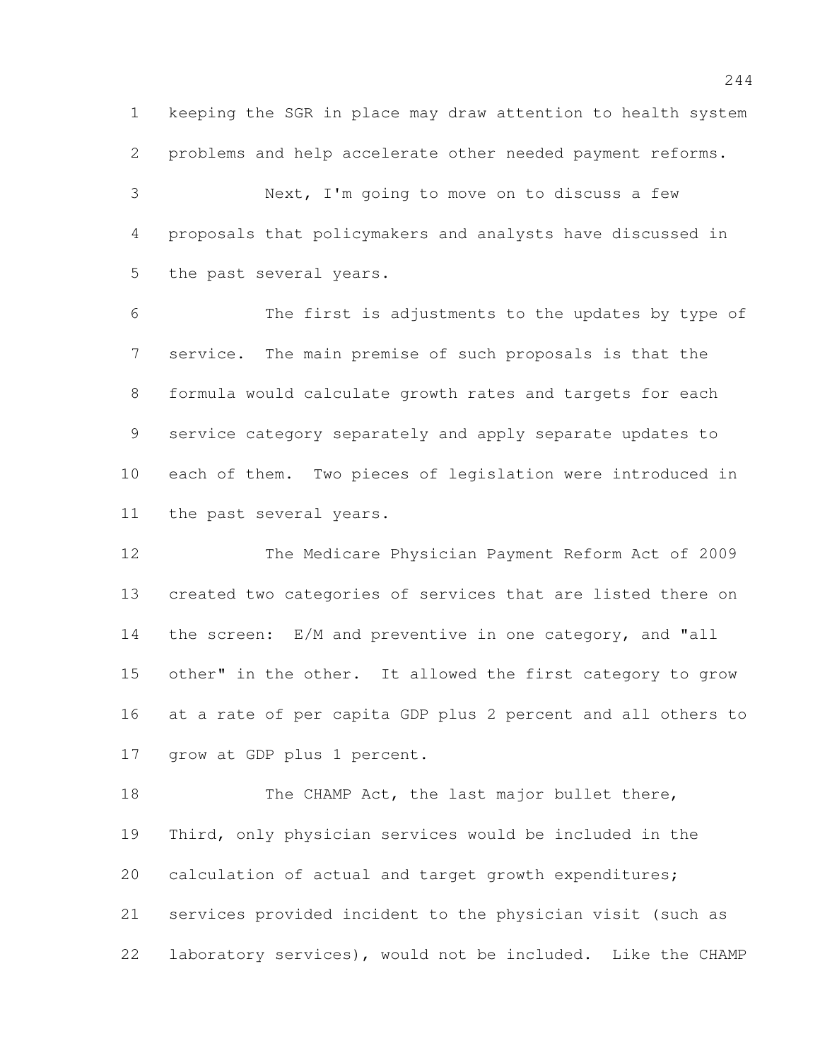keeping the SGR in place may draw attention to health system problems and help accelerate other needed payment reforms.

 Next, I'm going to move on to discuss a few proposals that policymakers and analysts have discussed in the past several years.

 The first is adjustments to the updates by type of service. The main premise of such proposals is that the formula would calculate growth rates and targets for each service category separately and apply separate updates to each of them. Two pieces of legislation were introduced in the past several years.

 The Medicare Physician Payment Reform Act of 2009 created two categories of services that are listed there on the screen: E/M and preventive in one category, and "all other" in the other. It allowed the first category to grow at a rate of per capita GDP plus 2 percent and all others to grow at GDP plus 1 percent.

18 The CHAMP Act, the last major bullet there, Third, only physician services would be included in the calculation of actual and target growth expenditures; services provided incident to the physician visit (such as laboratory services), would not be included. Like the CHAMP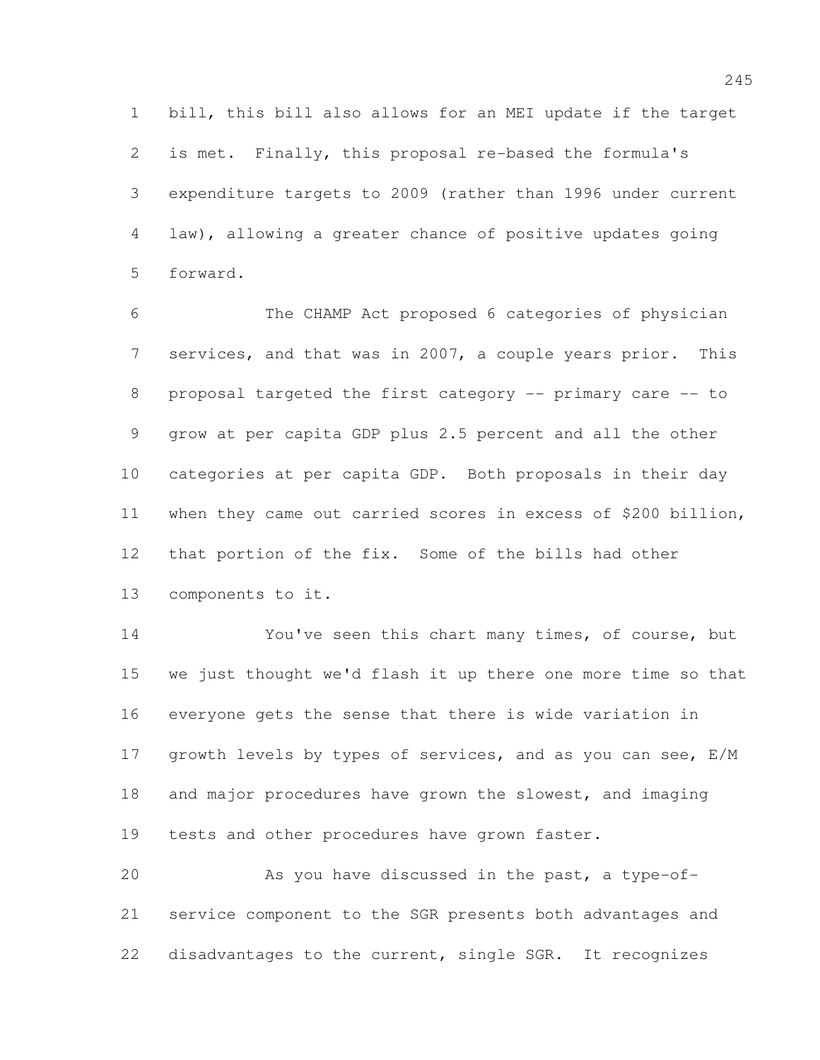bill, this bill also allows for an MEI update if the target is met. Finally, this proposal re-based the formula's expenditure targets to 2009 (rather than 1996 under current law), allowing a greater chance of positive updates going forward.

 The CHAMP Act proposed 6 categories of physician services, and that was in 2007, a couple years prior. This proposal targeted the first category -- primary care -- to grow at per capita GDP plus 2.5 percent and all the other categories at per capita GDP. Both proposals in their day when they came out carried scores in excess of \$200 billion, that portion of the fix. Some of the bills had other components to it.

 You've seen this chart many times, of course, but we just thought we'd flash it up there one more time so that everyone gets the sense that there is wide variation in 17 growth levels by types of services, and as you can see, E/M and major procedures have grown the slowest, and imaging tests and other procedures have grown faster.

 As you have discussed in the past, a type-of- service component to the SGR presents both advantages and disadvantages to the current, single SGR. It recognizes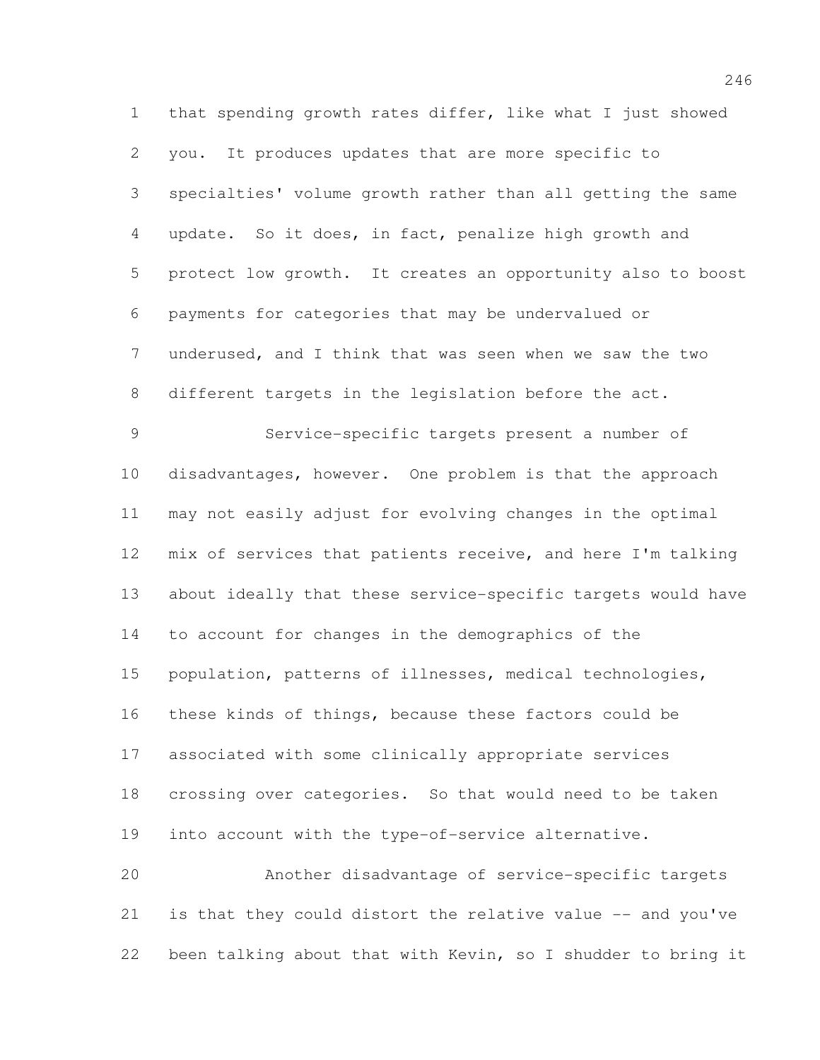that spending growth rates differ, like what I just showed you. It produces updates that are more specific to specialties' volume growth rather than all getting the same update. So it does, in fact, penalize high growth and protect low growth. It creates an opportunity also to boost payments for categories that may be undervalued or underused, and I think that was seen when we saw the two different targets in the legislation before the act. Service-specific targets present a number of disadvantages, however. One problem is that the approach may not easily adjust for evolving changes in the optimal mix of services that patients receive, and here I'm talking about ideally that these service-specific targets would have to account for changes in the demographics of the population, patterns of illnesses, medical technologies, these kinds of things, because these factors could be associated with some clinically appropriate services crossing over categories. So that would need to be taken into account with the type-of-service alternative. Another disadvantage of service-specific targets is that they could distort the relative value -- and you've

been talking about that with Kevin, so I shudder to bring it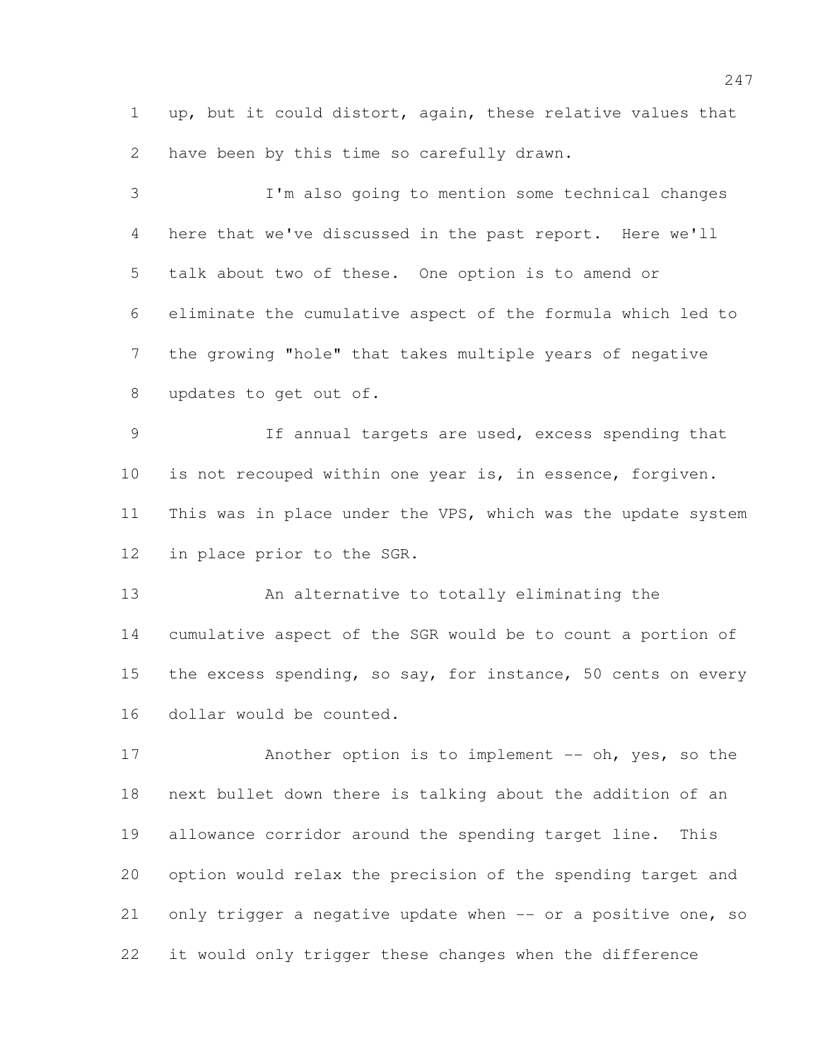up, but it could distort, again, these relative values that have been by this time so carefully drawn.

 I'm also going to mention some technical changes here that we've discussed in the past report. Here we'll talk about two of these. One option is to amend or eliminate the cumulative aspect of the formula which led to the growing "hole" that takes multiple years of negative updates to get out of. If annual targets are used, excess spending that is not recouped within one year is, in essence, forgiven. 11 This was in place under the VPS, which was the update system in place prior to the SGR.

 An alternative to totally eliminating the cumulative aspect of the SGR would be to count a portion of 15 the excess spending, so say, for instance, 50 cents on every dollar would be counted.

17 Another option is to implement -- oh, yes, so the next bullet down there is talking about the addition of an allowance corridor around the spending target line. This option would relax the precision of the spending target and only trigger a negative update when -- or a positive one, so it would only trigger these changes when the difference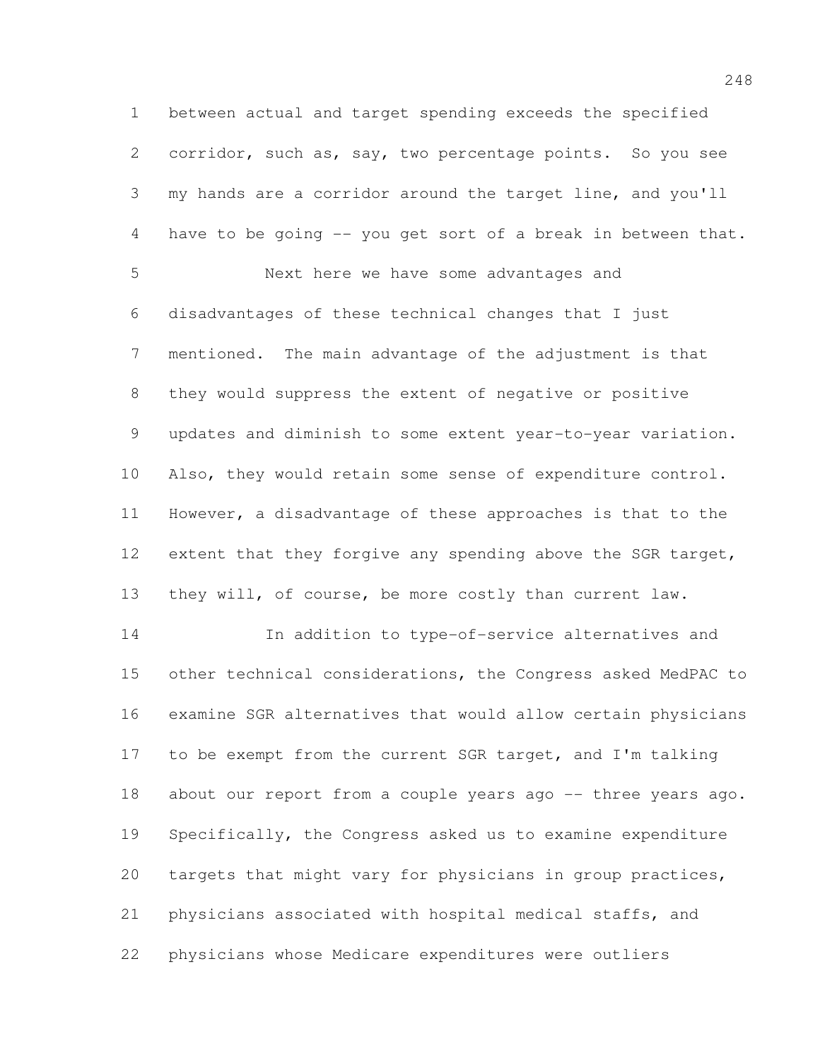between actual and target spending exceeds the specified corridor, such as, say, two percentage points. So you see my hands are a corridor around the target line, and you'll have to be going -- you get sort of a break in between that. Next here we have some advantages and disadvantages of these technical changes that I just mentioned. The main advantage of the adjustment is that they would suppress the extent of negative or positive updates and diminish to some extent year-to-year variation. Also, they would retain some sense of expenditure control. However, a disadvantage of these approaches is that to the 12 extent that they forgive any spending above the SGR target, they will, of course, be more costly than current law. In addition to type-of-service alternatives and other technical considerations, the Congress asked MedPAC to examine SGR alternatives that would allow certain physicians 17 to be exempt from the current SGR target, and I'm talking 18 about our report from a couple years ago -- three years ago. Specifically, the Congress asked us to examine expenditure targets that might vary for physicians in group practices, physicians associated with hospital medical staffs, and physicians whose Medicare expenditures were outliers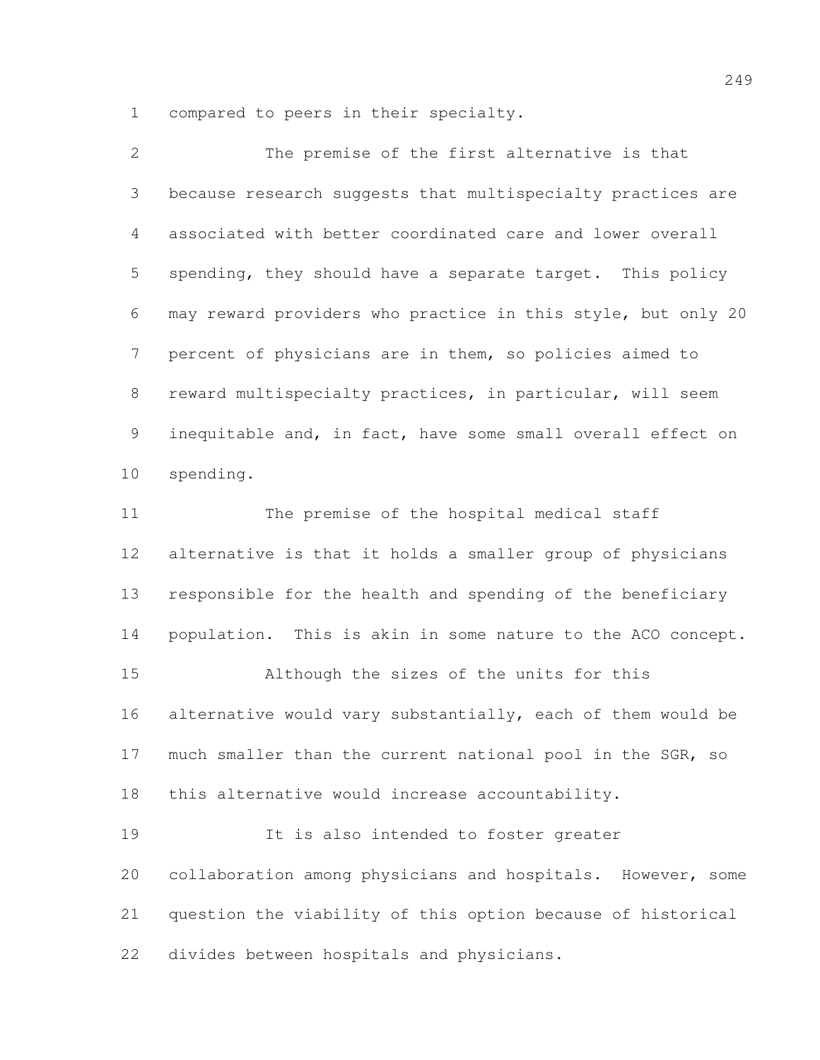compared to peers in their specialty.

| $\mathbf{2}$    | The premise of the first alternative is that                 |
|-----------------|--------------------------------------------------------------|
| 3               | because research suggests that multispecialty practices are  |
| $\overline{4}$  | associated with better coordinated care and lower overall    |
| 5               | spending, they should have a separate target. This policy    |
| 6               | may reward providers who practice in this style, but only 20 |
| 7               | percent of physicians are in them, so policies aimed to      |
| 8               | reward multispecialty practices, in particular, will seem    |
| 9               | inequitable and, in fact, have some small overall effect on  |
| 10 <sub>o</sub> | spending.                                                    |
| 11              | The premise of the hospital medical staff                    |
| 12              | alternative is that it holds a smaller group of physicians   |
| 13              | responsible for the health and spending of the beneficiary   |
| 14              | population. This is akin in some nature to the ACO concept.  |
| 15              | Although the sizes of the units for this                     |
| 16              | alternative would vary substantially, each of them would be  |
| 17              | much smaller than the current national pool in the SGR, so   |
| 18              | this alternative would increase accountability.              |
| 19              | It is also intended to foster greater                        |
| 20              | collaboration among physicians and hospitals. However, some  |
| 21              | question the viability of this option because of historical  |
| 22              | divides between hospitals and physicians.                    |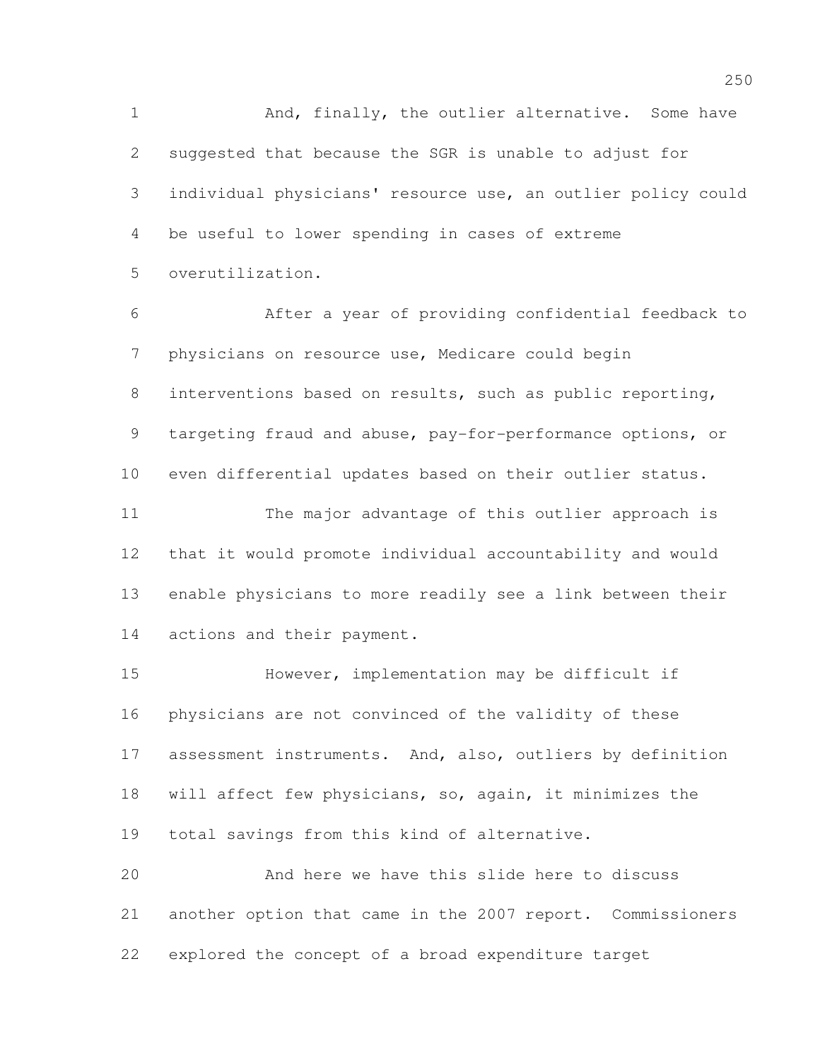1 And, finally, the outlier alternative. Some have suggested that because the SGR is unable to adjust for individual physicians' resource use, an outlier policy could be useful to lower spending in cases of extreme overutilization.

 After a year of providing confidential feedback to physicians on resource use, Medicare could begin interventions based on results, such as public reporting, targeting fraud and abuse, pay-for-performance options, or even differential updates based on their outlier status. The major advantage of this outlier approach is that it would promote individual accountability and would enable physicians to more readily see a link between their actions and their payment.

 However, implementation may be difficult if physicians are not convinced of the validity of these assessment instruments. And, also, outliers by definition will affect few physicians, so, again, it minimizes the total savings from this kind of alternative. And here we have this slide here to discuss

 another option that came in the 2007 report. Commissioners explored the concept of a broad expenditure target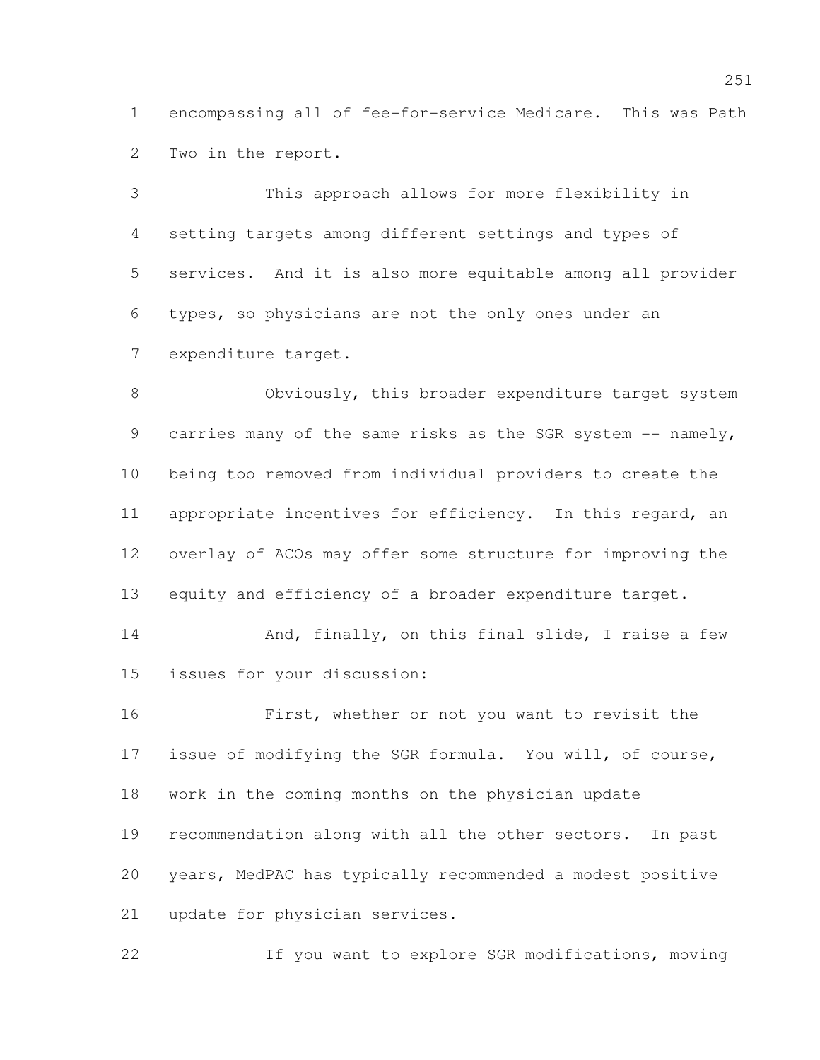encompassing all of fee-for-service Medicare. This was Path Two in the report.

 This approach allows for more flexibility in setting targets among different settings and types of services. And it is also more equitable among all provider types, so physicians are not the only ones under an expenditure target.

 Obviously, this broader expenditure target system 9 carries many of the same risks as the SGR system -- namely, being too removed from individual providers to create the appropriate incentives for efficiency. In this regard, an overlay of ACOs may offer some structure for improving the equity and efficiency of a broader expenditure target.

14 And, finally, on this final slide, I raise a few issues for your discussion:

 First, whether or not you want to revisit the issue of modifying the SGR formula. You will, of course, work in the coming months on the physician update recommendation along with all the other sectors. In past years, MedPAC has typically recommended a modest positive update for physician services.

If you want to explore SGR modifications, moving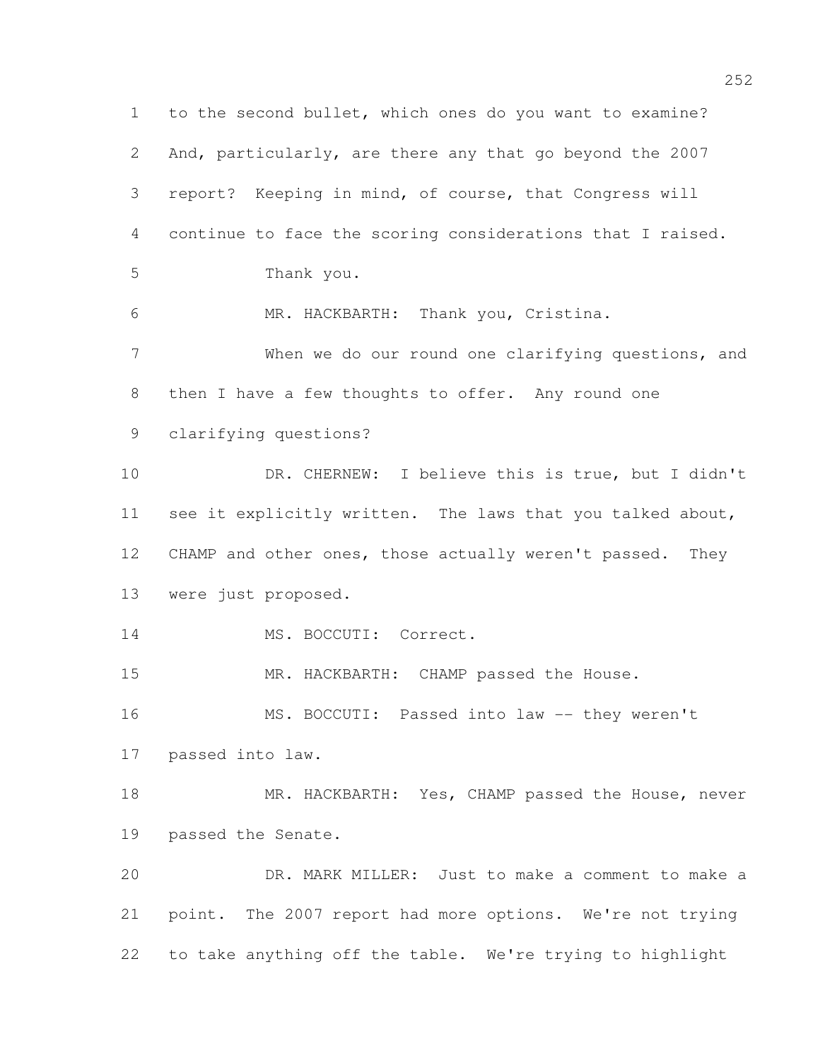to the second bullet, which ones do you want to examine? And, particularly, are there any that go beyond the 2007 report? Keeping in mind, of course, that Congress will continue to face the scoring considerations that I raised. Thank you. MR. HACKBARTH: Thank you, Cristina. When we do our round one clarifying questions, and then I have a few thoughts to offer. Any round one clarifying questions? DR. CHERNEW: I believe this is true, but I didn't see it explicitly written. The laws that you talked about, CHAMP and other ones, those actually weren't passed. They were just proposed. 14 MS. BOCCUTI: Correct. MR. HACKBARTH: CHAMP passed the House. 16 MS. BOCCUTI: Passed into law -- they weren't passed into law. 18 MR. HACKBARTH: Yes, CHAMP passed the House, never passed the Senate. DR. MARK MILLER: Just to make a comment to make a point. The 2007 report had more options. We're not trying to take anything off the table. We're trying to highlight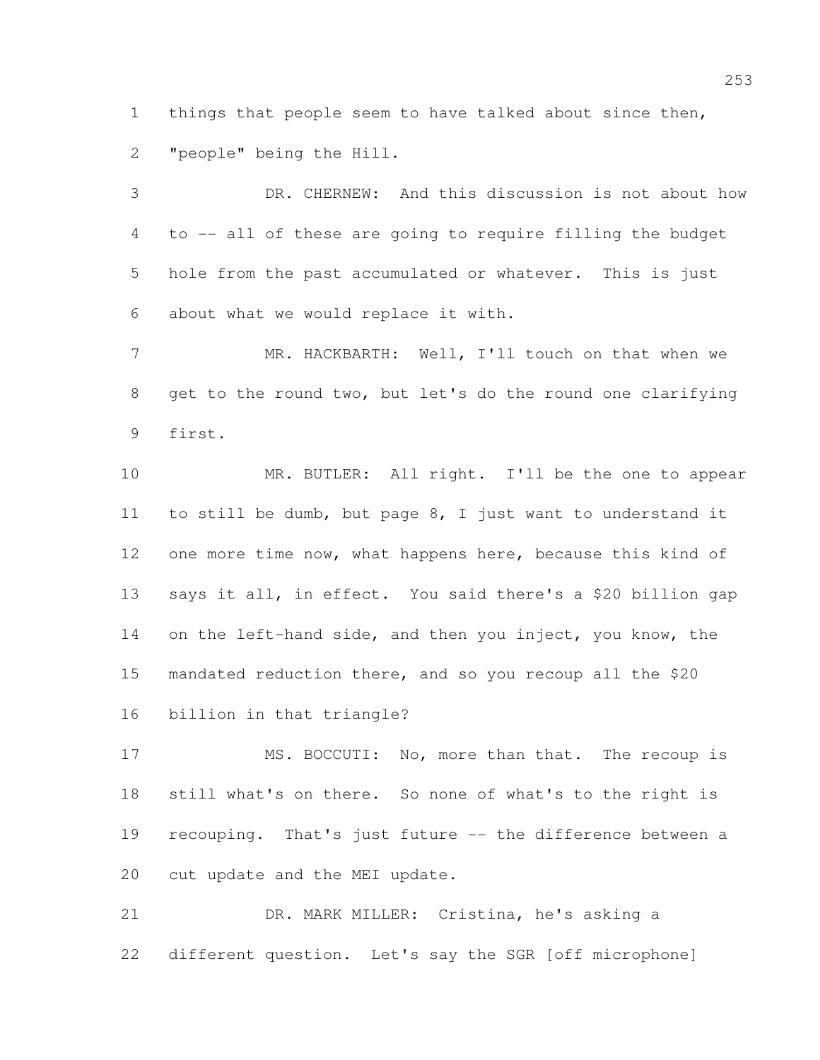things that people seem to have talked about since then, "people" being the Hill.

 DR. CHERNEW: And this discussion is not about how to -- all of these are going to require filling the budget hole from the past accumulated or whatever. This is just about what we would replace it with.

 MR. HACKBARTH: Well, I'll touch on that when we get to the round two, but let's do the round one clarifying first.

10 MR. BUTLER: All right. I'll be the one to appear to still be dumb, but page 8, I just want to understand it one more time now, what happens here, because this kind of says it all, in effect. You said there's a \$20 billion gap 14 on the left-hand side, and then you inject, you know, the mandated reduction there, and so you recoup all the \$20 billion in that triangle?

17 MS. BOCCUTI: No, more than that. The recoup is still what's on there. So none of what's to the right is recouping. That's just future -- the difference between a cut update and the MEI update.

 DR. MARK MILLER: Cristina, he's asking a different question. Let's say the SGR [off microphone]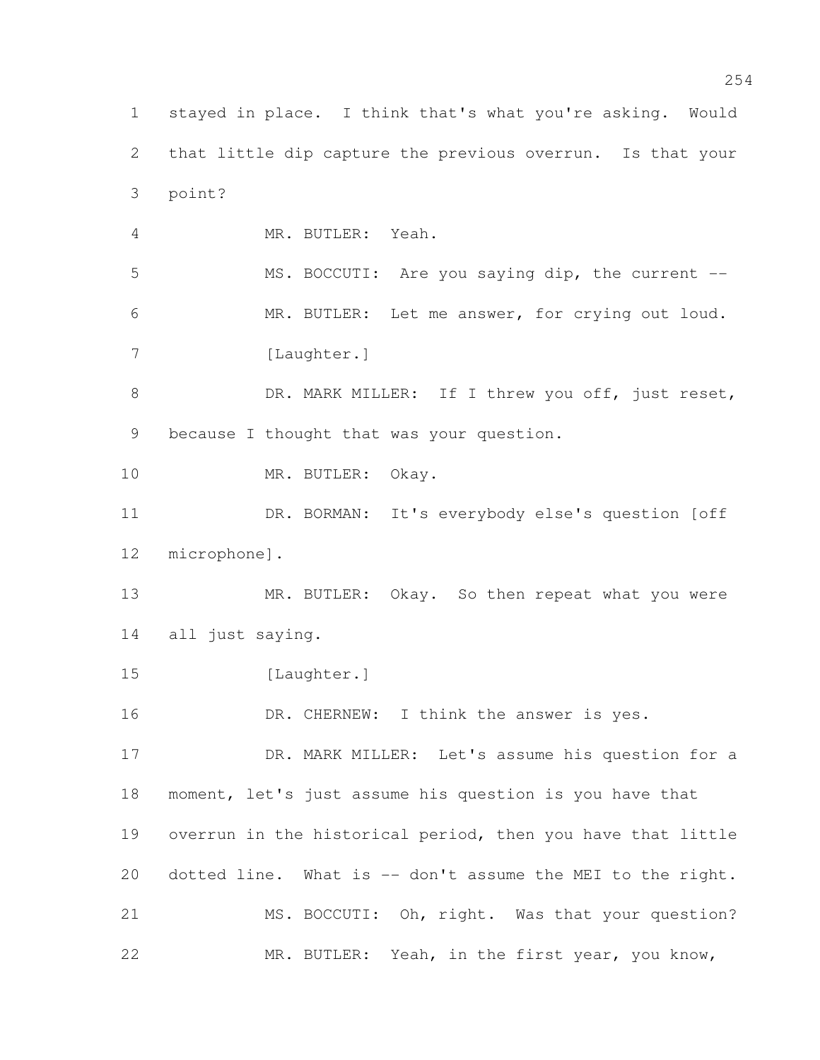stayed in place. I think that's what you're asking. Would that little dip capture the previous overrun. Is that your point? MR. BUTLER: Yeah. MS. BOCCUTI: Are you saying dip, the current -- MR. BUTLER: Let me answer, for crying out loud. 7 [Laughter.] 8 DR. MARK MILLER: If I threw you off, just reset, because I thought that was your question. 10 MR. BUTLER: Okay. DR. BORMAN: It's everybody else's question [off microphone]. 13 MR. BUTLER: Okay. So then repeat what you were all just saying. 15 [Laughter.] 16 DR. CHERNEW: I think the answer is yes. 17 DR. MARK MILLER: Let's assume his question for a moment, let's just assume his question is you have that overrun in the historical period, then you have that little dotted line. What is -- don't assume the MEI to the right. 21 MS. BOCCUTI: Oh, right. Was that your question? MR. BUTLER: Yeah, in the first year, you know,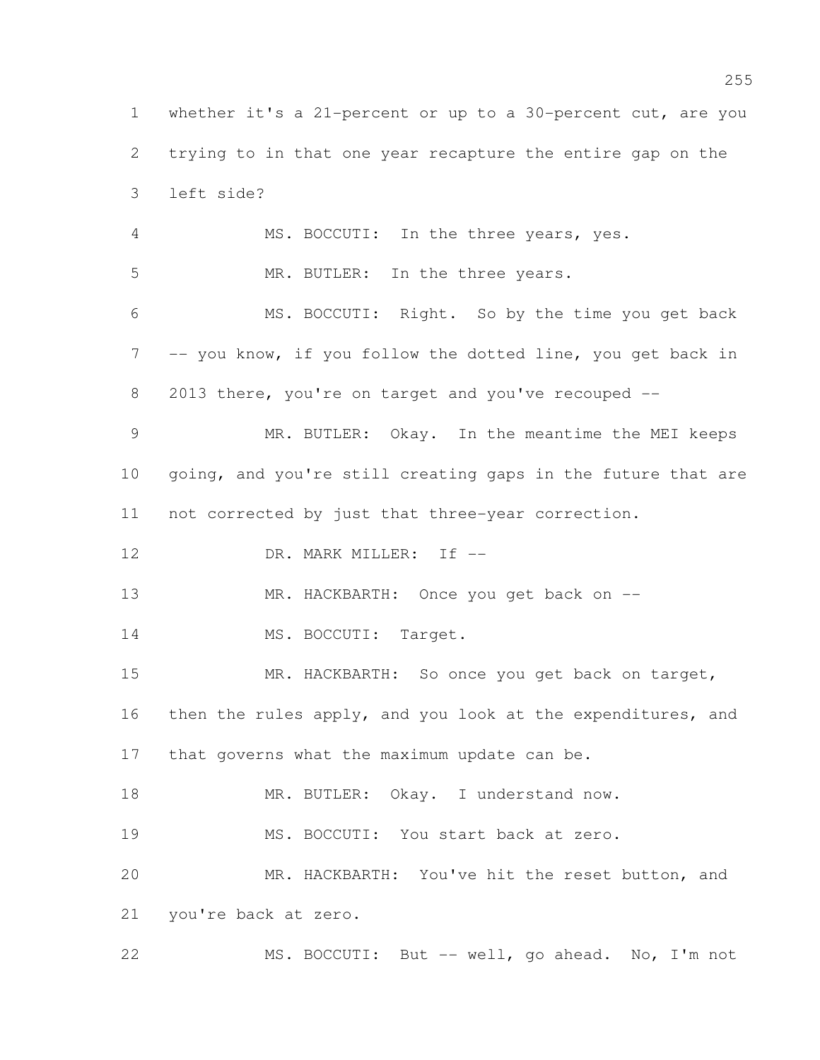whether it's a 21-percent or up to a 30-percent cut, are you trying to in that one year recapture the entire gap on the left side? MS. BOCCUTI: In the three years, yes. MR. BUTLER: In the three years. MS. BOCCUTI: Right. So by the time you get back -- you know, if you follow the dotted line, you get back in 2013 there, you're on target and you've recouped -- MR. BUTLER: Okay. In the meantime the MEI keeps 10 going, and you're still creating gaps in the future that are not corrected by just that three-year correction. 12 DR. MARK MILLER: If  $-$ 13 MR. HACKBARTH: Once you get back on --14 MS. BOCCUTI: Target. 15 MR. HACKBARTH: So once you get back on target, 16 then the rules apply, and you look at the expenditures, and that governs what the maximum update can be. 18 MR. BUTLER: Okay. I understand now. MS. BOCCUTI: You start back at zero. MR. HACKBARTH: You've hit the reset button, and you're back at zero. MS. BOCCUTI: But -- well, go ahead. No, I'm not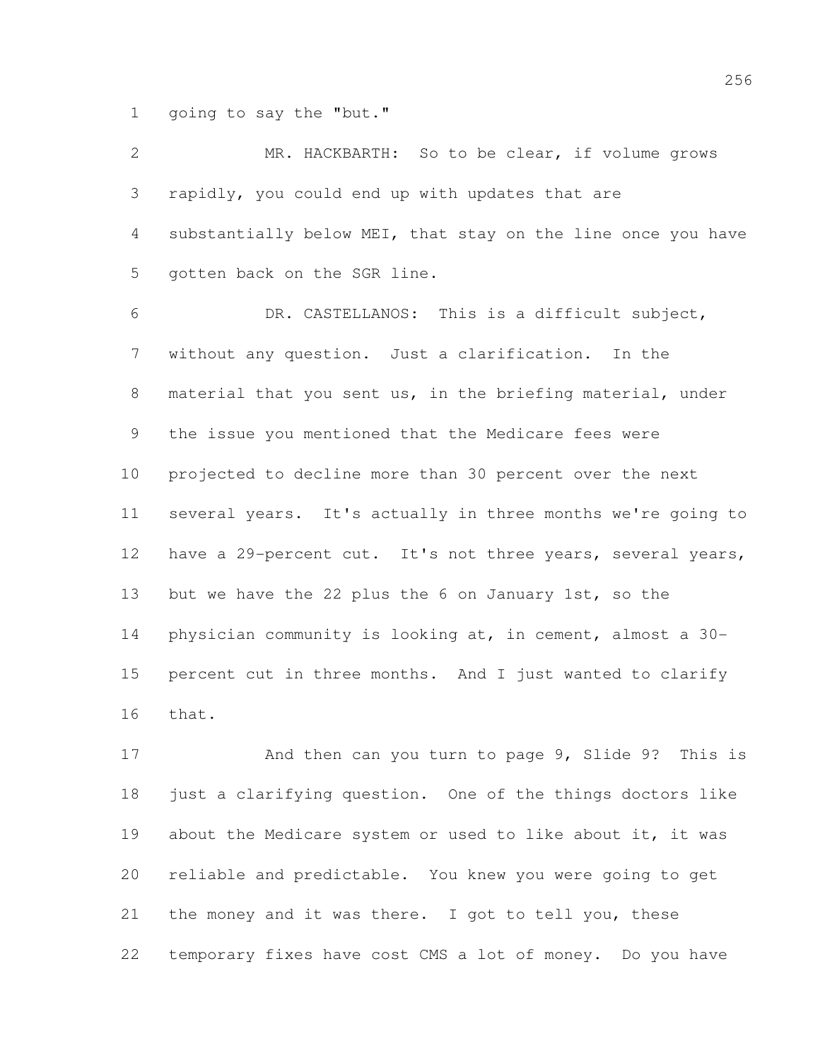1 going to say the "but."

| $\overline{2}$  | MR. HACKBARTH: So to be clear, if volume grows               |
|-----------------|--------------------------------------------------------------|
| 3               | rapidly, you could end up with updates that are              |
| $\overline{4}$  | substantially below MEI, that stay on the line once you have |
| 5               | gotten back on the SGR line.                                 |
| 6               | DR. CASTELLANOS: This is a difficult subject,                |
| 7               | without any question. Just a clarification. In the           |
| 8               | material that you sent us, in the briefing material, under   |
| 9               | the issue you mentioned that the Medicare fees were          |
| 10 <sub>o</sub> | projected to decline more than 30 percent over the next      |
| 11              | several years. It's actually in three months we're going to  |
| 12              | have a 29-percent cut. It's not three years, several years,  |
| 13              | but we have the 22 plus the 6 on January 1st, so the         |
| 14              | physician community is looking at, in cement, almost a 30-   |
| 15              | percent cut in three months. And I just wanted to clarify    |
| 16              | that.                                                        |
| 17              | And then can you turn to page 9, Slide 9? This is            |
| 18              | just a clarifying question. One of the things doctors like   |
| 19              | about the Medicare system or used to like about it, it was   |

 the money and it was there. I got to tell you, these temporary fixes have cost CMS a lot of money. Do you have

reliable and predictable. You knew you were going to get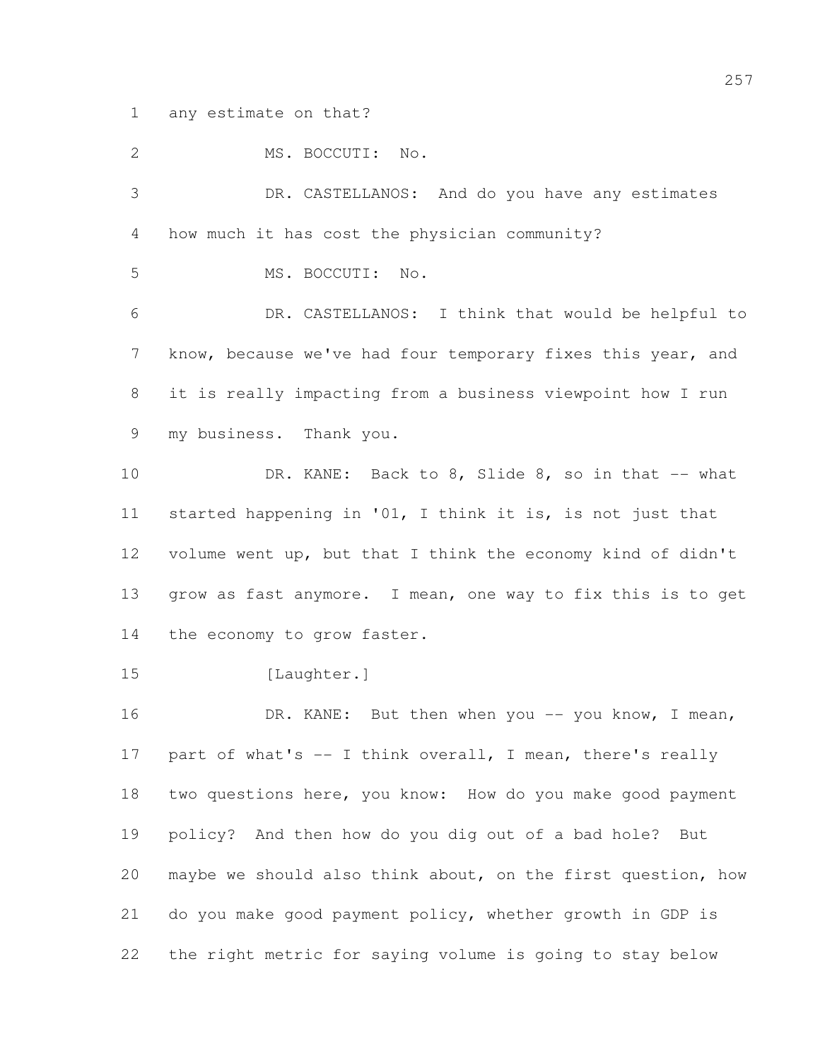any estimate on that?

2 MS. BOCCUTI: No. DR. CASTELLANOS: And do you have any estimates how much it has cost the physician community? MS. BOCCUTI: No. DR. CASTELLANOS: I think that would be helpful to know, because we've had four temporary fixes this year, and it is really impacting from a business viewpoint how I run my business. Thank you. 10 DR. KANE: Back to 8, Slide 8, so in that -- what started happening in '01, I think it is, is not just that volume went up, but that I think the economy kind of didn't grow as fast anymore. I mean, one way to fix this is to get 14 the economy to grow faster. 15 [Laughter.] 16 DR. KANE: But then when you -- you know, I mean, 17 part of what's -- I think overall, I mean, there's really two questions here, you know: How do you make good payment policy? And then how do you dig out of a bad hole? But maybe we should also think about, on the first question, how do you make good payment policy, whether growth in GDP is the right metric for saying volume is going to stay below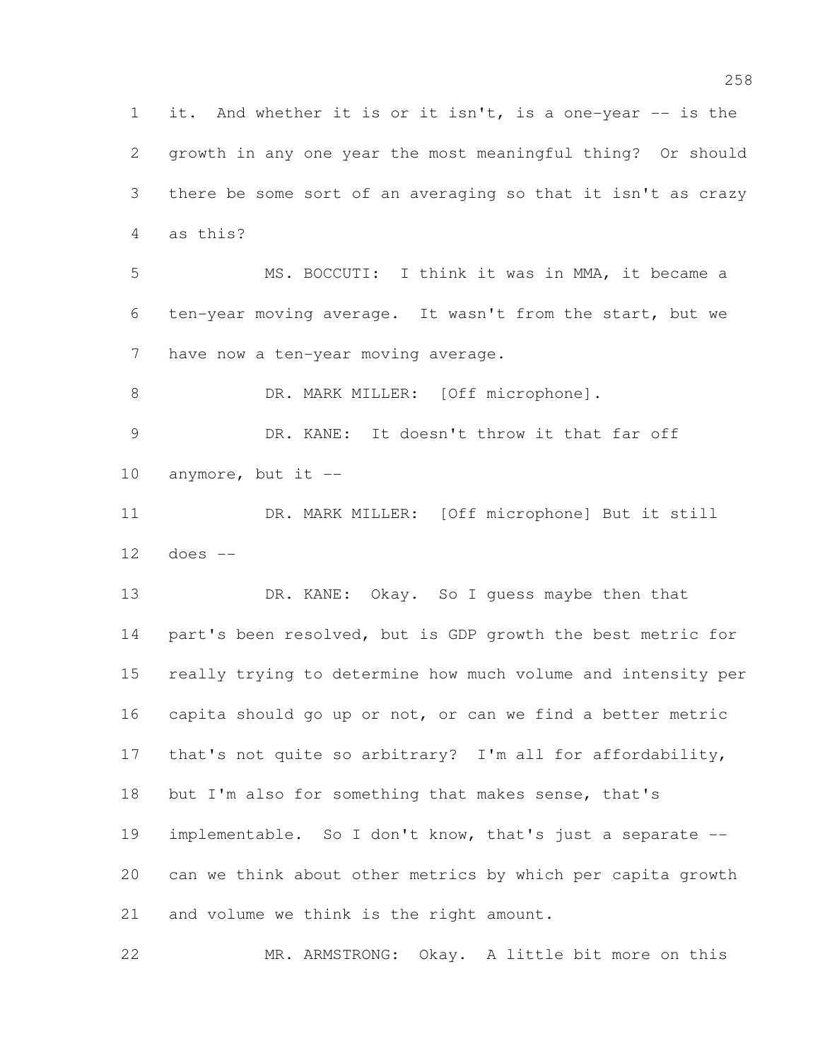it. And whether it is or it isn't, is a one-year -- is the growth in any one year the most meaningful thing? Or should there be some sort of an averaging so that it isn't as crazy as this? MS. BOCCUTI: I think it was in MMA, it became a ten-year moving average. It wasn't from the start, but we 7 have now a ten-year moving average. 8 DR. MARK MILLER: [Off microphone]. DR. KANE: It doesn't throw it that far off 10 anymore, but it  $-$  DR. MARK MILLER: [Off microphone] But it still does -- 13 DR. KANE: Okay. So I quess maybe then that part's been resolved, but is GDP growth the best metric for really trying to determine how much volume and intensity per capita should go up or not, or can we find a better metric that's not quite so arbitrary? I'm all for affordability, but I'm also for something that makes sense, that's implementable. So I don't know, that's just a separate -- can we think about other metrics by which per capita growth and volume we think is the right amount.

MR. ARMSTRONG: Okay. A little bit more on this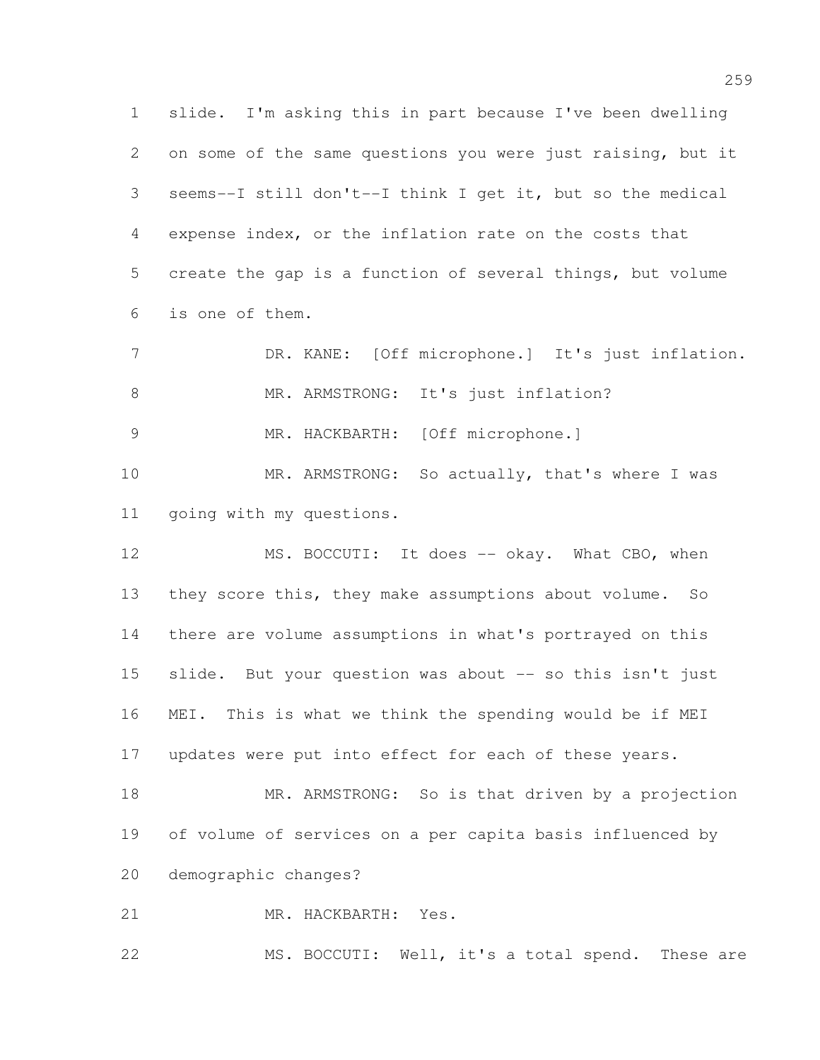slide. I'm asking this in part because I've been dwelling on some of the same questions you were just raising, but it seems--I still don't--I think I get it, but so the medical expense index, or the inflation rate on the costs that create the gap is a function of several things, but volume is one of them.

7 DR. KANE: [Off microphone.] It's just inflation. 8 MR. ARMSTRONG: It's just inflation?

MR. HACKBARTH: [Off microphone.]

10 MR. ARMSTRONG: So actually, that's where I was going with my questions.

12 MS. BOCCUTI: It does -- okay. What CBO, when they score this, they make assumptions about volume. So there are volume assumptions in what's portrayed on this slide. But your question was about -- so this isn't just MEI. This is what we think the spending would be if MEI updates were put into effect for each of these years.

18 MR. ARMSTRONG: So is that driven by a projection of volume of services on a per capita basis influenced by demographic changes?

MR. HACKBARTH: Yes.

MS. BOCCUTI: Well, it's a total spend. These are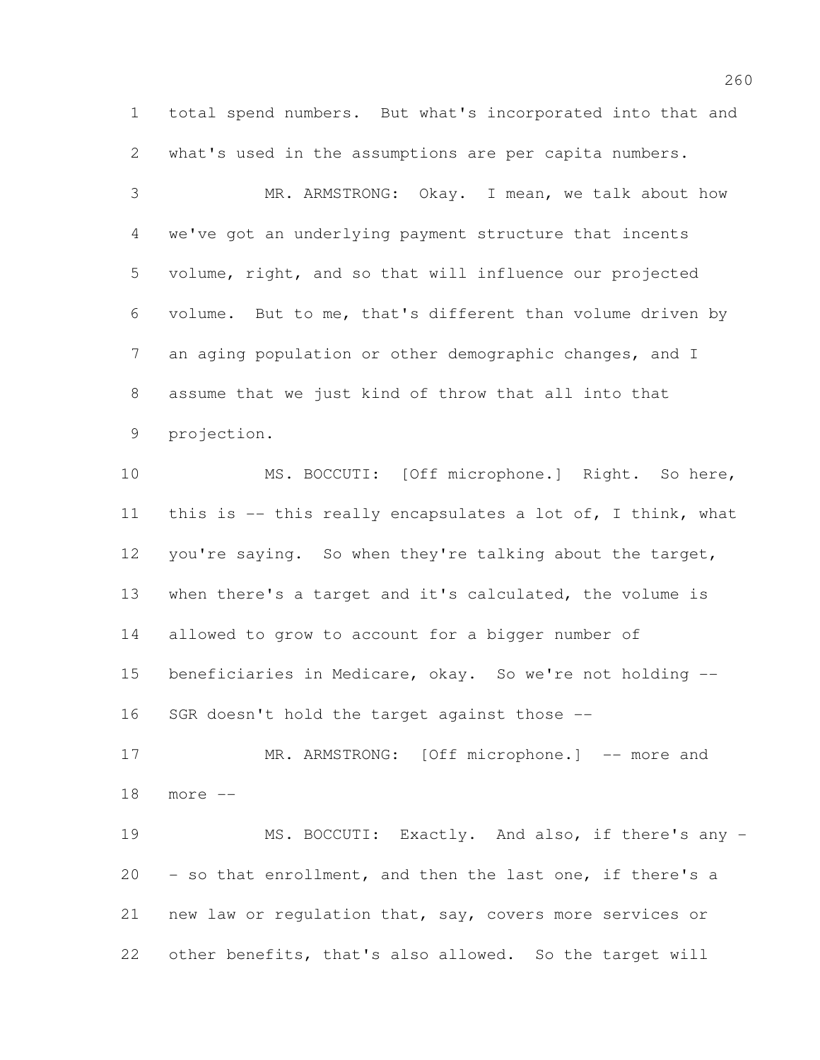total spend numbers. But what's incorporated into that and what's used in the assumptions are per capita numbers.

 MR. ARMSTRONG: Okay. I mean, we talk about how we've got an underlying payment structure that incents volume, right, and so that will influence our projected volume. But to me, that's different than volume driven by an aging population or other demographic changes, and I assume that we just kind of throw that all into that projection.

 MS. BOCCUTI: [Off microphone.] Right. So here, this is -- this really encapsulates a lot of, I think, what you're saying. So when they're talking about the target, when there's a target and it's calculated, the volume is allowed to grow to account for a bigger number of beneficiaries in Medicare, okay. So we're not holding -- SGR doesn't hold the target against those --

17 MR. ARMSTRONG: [Off microphone.] -- more and more --

19 MS. BOCCUTI: Exactly. And also, if there's any - - so that enrollment, and then the last one, if there's a new law or regulation that, say, covers more services or other benefits, that's also allowed. So the target will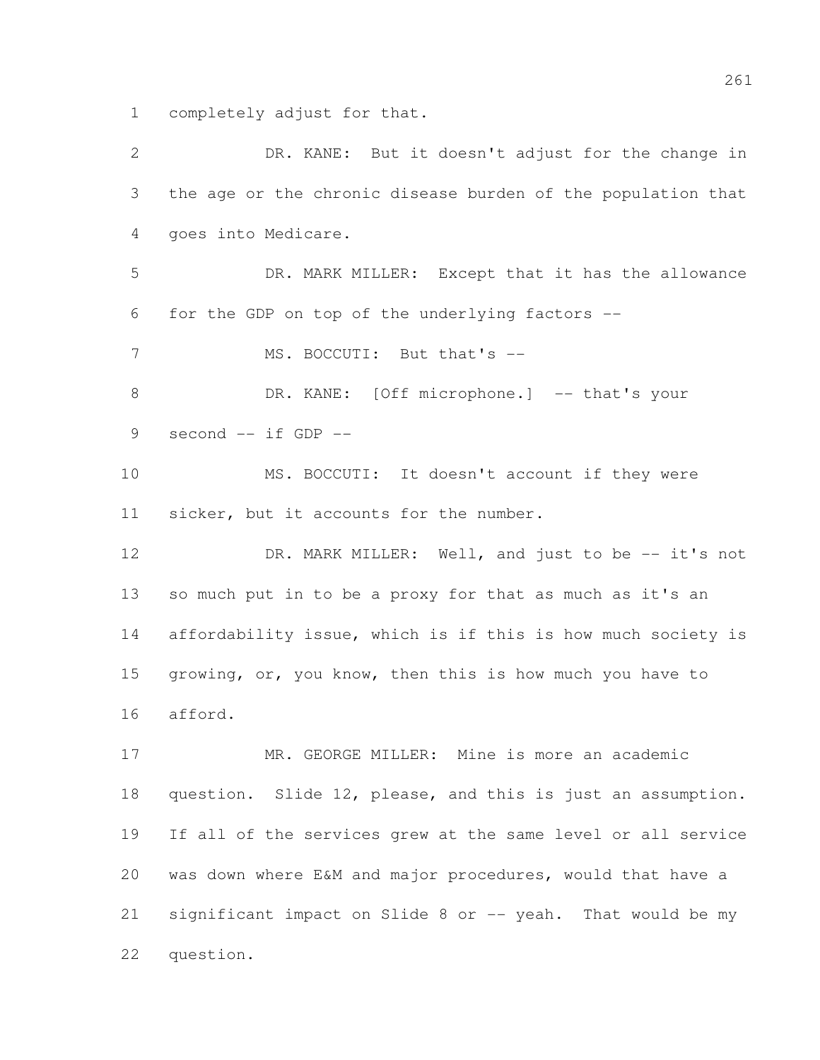completely adjust for that.

 DR. KANE: But it doesn't adjust for the change in the age or the chronic disease burden of the population that goes into Medicare. DR. MARK MILLER: Except that it has the allowance for the GDP on top of the underlying factors -- 7 MS. BOCCUTI: But that's --8 DR. KANE: [Off microphone.] -- that's your second -- if GDP -- MS. BOCCUTI: It doesn't account if they were sicker, but it accounts for the number. 12 DR. MARK MILLER: Well, and just to be -- it's not so much put in to be a proxy for that as much as it's an affordability issue, which is if this is how much society is growing, or, you know, then this is how much you have to afford. MR. GEORGE MILLER: Mine is more an academic question. Slide 12, please, and this is just an assumption. If all of the services grew at the same level or all service was down where E&M and major procedures, would that have a 21 significant impact on Slide 8 or -- yeah. That would be my question.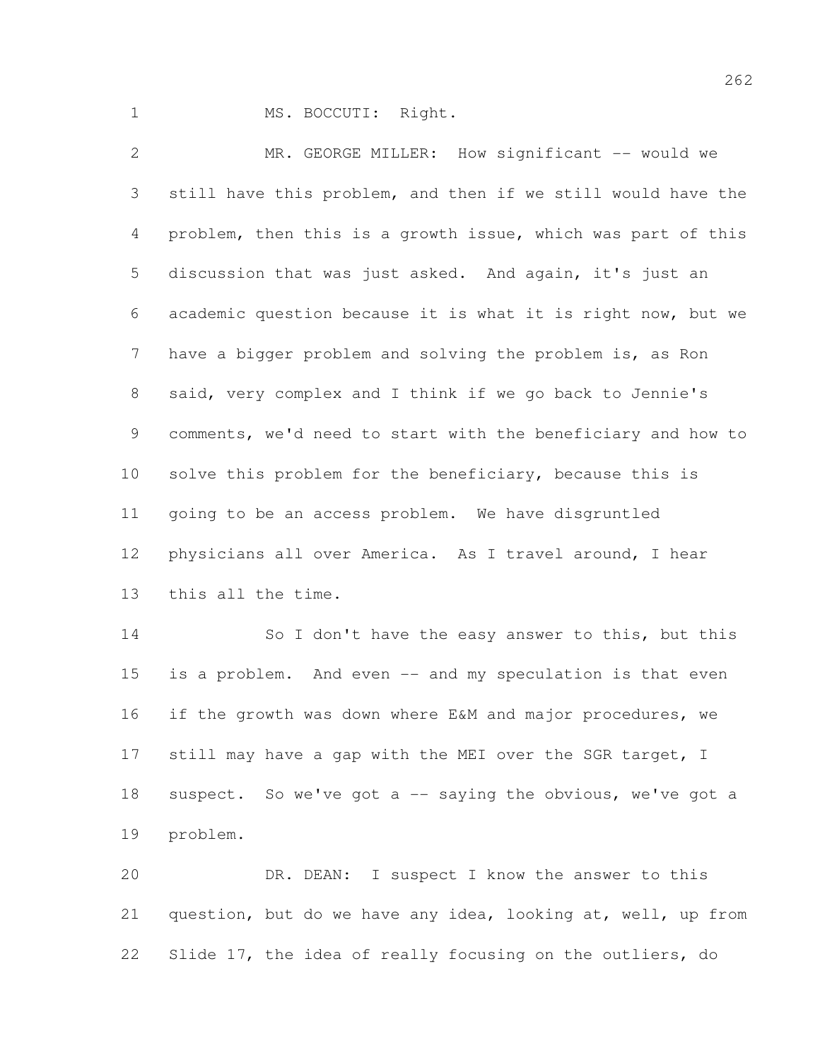1 MS. BOCCUTI: Right.

 MR. GEORGE MILLER: How significant -- would we still have this problem, and then if we still would have the problem, then this is a growth issue, which was part of this discussion that was just asked. And again, it's just an academic question because it is what it is right now, but we have a bigger problem and solving the problem is, as Ron said, very complex and I think if we go back to Jennie's comments, we'd need to start with the beneficiary and how to 10 solve this problem for the beneficiary, because this is going to be an access problem. We have disgruntled physicians all over America. As I travel around, I hear this all the time. 14 So I don't have the easy answer to this, but this is a problem. And even -- and my speculation is that even if the growth was down where E&M and major procedures, we 17 still may have a gap with the MEI over the SGR target, I 18 suspect. So we've got a -- saying the obvious, we've got a

problem.

 DR. DEAN: I suspect I know the answer to this question, but do we have any idea, looking at, well, up from Slide 17, the idea of really focusing on the outliers, do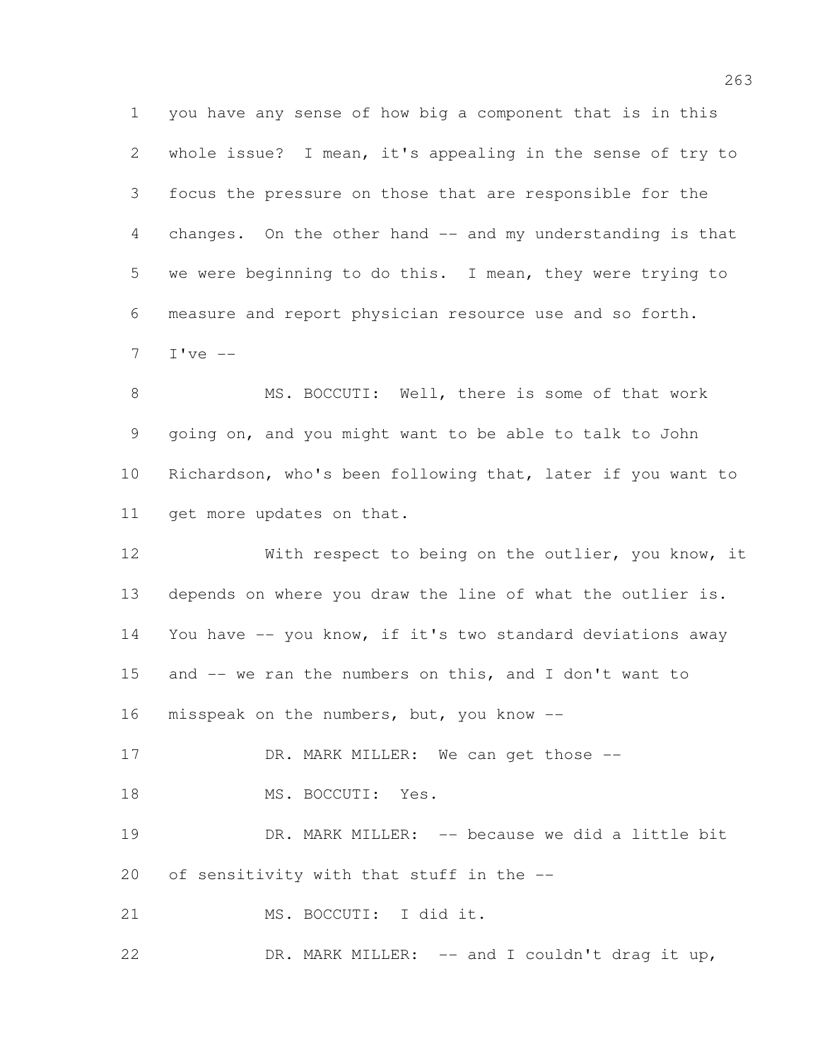you have any sense of how big a component that is in this whole issue? I mean, it's appealing in the sense of try to focus the pressure on those that are responsible for the changes. On the other hand -- and my understanding is that we were beginning to do this. I mean, they were trying to measure and report physician resource use and so forth. I've  $-$ 

8 MS. BOCCUTI: Well, there is some of that work going on, and you might want to be able to talk to John Richardson, who's been following that, later if you want to get more updates on that.

 With respect to being on the outlier, you know, it depends on where you draw the line of what the outlier is. You have -- you know, if it's two standard deviations away and -- we ran the numbers on this, and I don't want to 16 misspeak on the numbers, but, you know --17 DR. MARK MILLER: We can get those --

18 MS. BOCCUTI: Yes.

19 DR. MARK MILLER: -- because we did a little bit of sensitivity with that stuff in the --

MS. BOCCUTI: I did it.

DR. MARK MILLER: -- and I couldn't drag it up,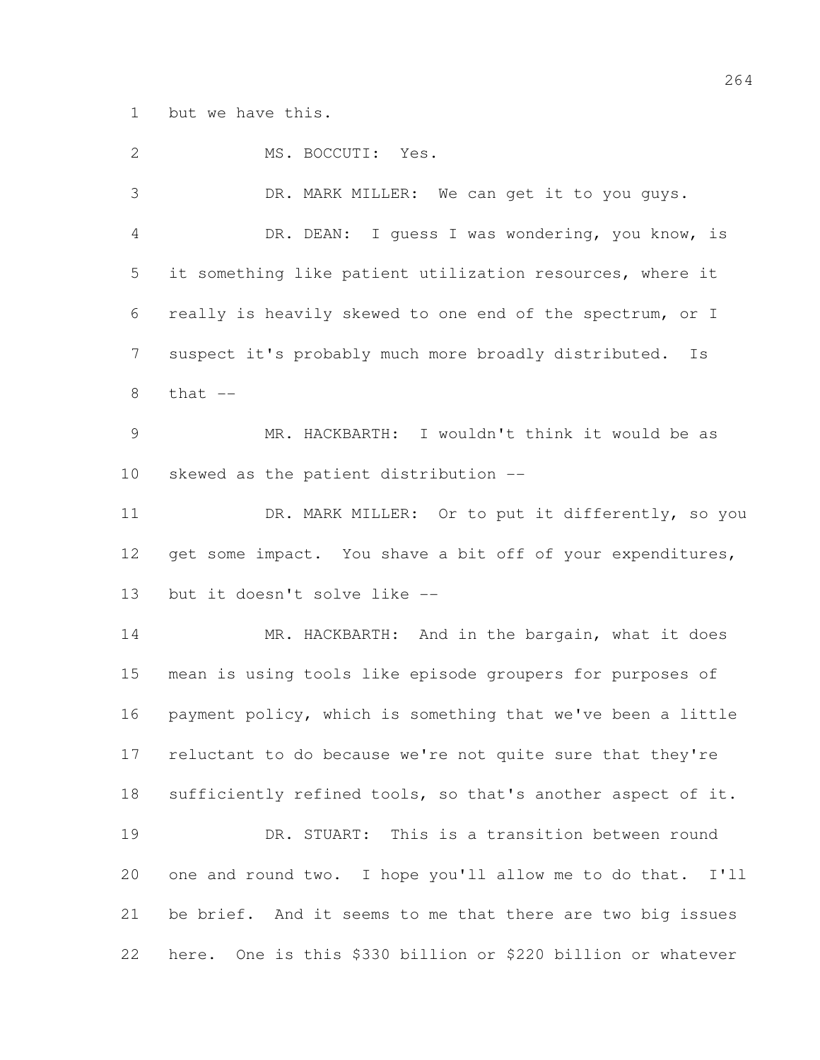but we have this.

2 MS. BOCCUTI: Yes. DR. MARK MILLER: We can get it to you guys. DR. DEAN: I guess I was wondering, you know, is it something like patient utilization resources, where it really is heavily skewed to one end of the spectrum, or I suspect it's probably much more broadly distributed. Is that  $-$  MR. HACKBARTH: I wouldn't think it would be as skewed as the patient distribution -- 11 DR. MARK MILLER: Or to put it differently, so you 12 get some impact. You shave a bit off of your expenditures, but it doesn't solve like -- 14 MR. HACKBARTH: And in the bargain, what it does mean is using tools like episode groupers for purposes of payment policy, which is something that we've been a little reluctant to do because we're not quite sure that they're sufficiently refined tools, so that's another aspect of it. DR. STUART: This is a transition between round one and round two. I hope you'll allow me to do that. I'll be brief. And it seems to me that there are two big issues here. One is this \$330 billion or \$220 billion or whatever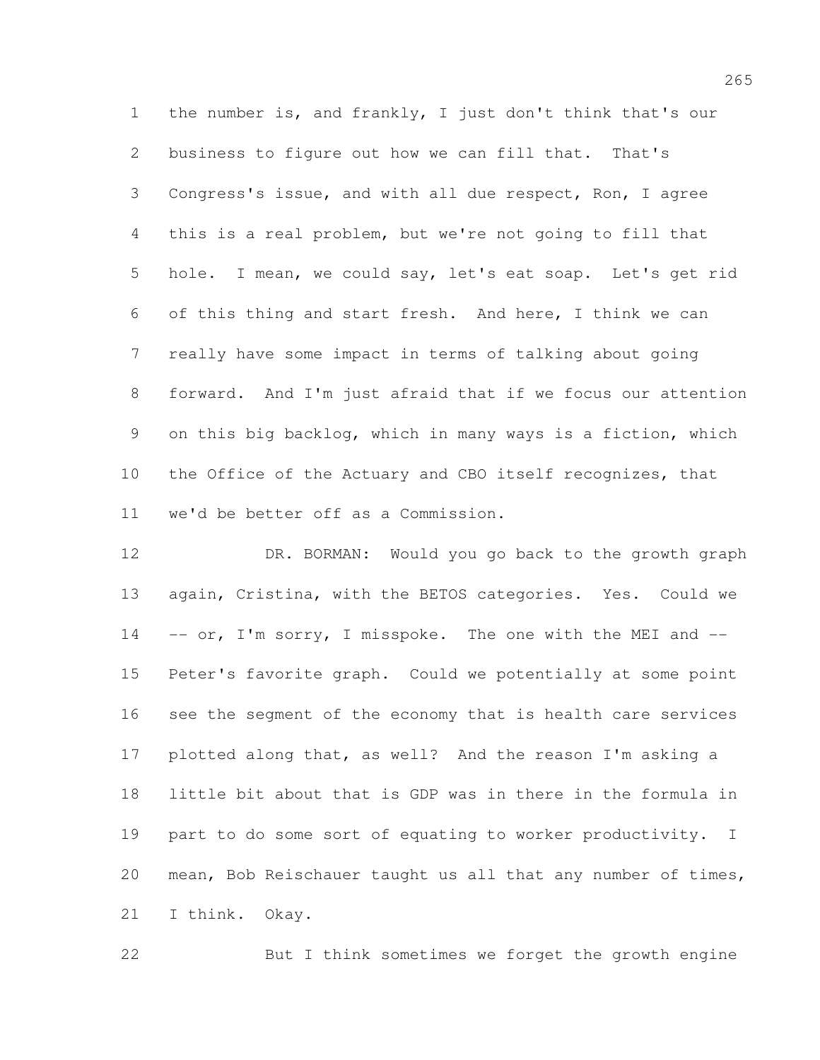the number is, and frankly, I just don't think that's our business to figure out how we can fill that. That's Congress's issue, and with all due respect, Ron, I agree this is a real problem, but we're not going to fill that hole. I mean, we could say, let's eat soap. Let's get rid of this thing and start fresh. And here, I think we can really have some impact in terms of talking about going forward. And I'm just afraid that if we focus our attention on this big backlog, which in many ways is a fiction, which the Office of the Actuary and CBO itself recognizes, that we'd be better off as a Commission.

 DR. BORMAN: Would you go back to the growth graph again, Cristina, with the BETOS categories. Yes. Could we -- or, I'm sorry, I misspoke. The one with the MEI and  $-$  Peter's favorite graph. Could we potentially at some point see the segment of the economy that is health care services plotted along that, as well? And the reason I'm asking a little bit about that is GDP was in there in the formula in part to do some sort of equating to worker productivity. I mean, Bob Reischauer taught us all that any number of times, I think. Okay.

But I think sometimes we forget the growth engine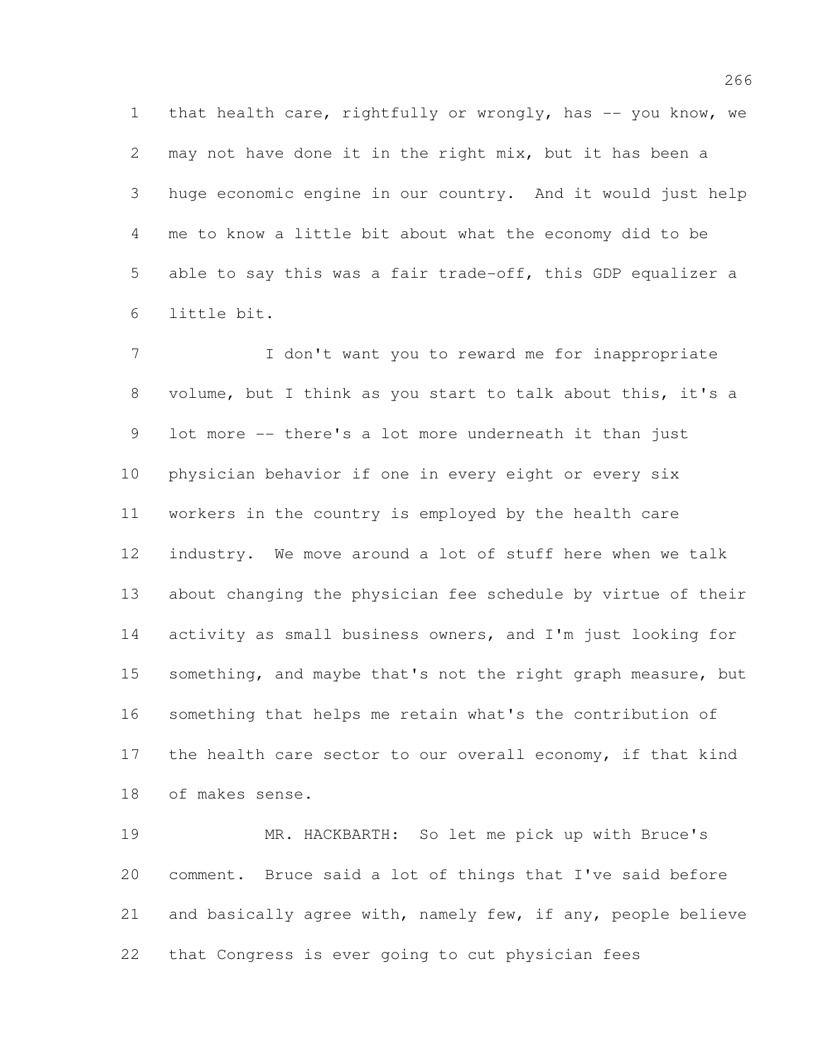1 that health care, rightfully or wrongly, has -- you know, we may not have done it in the right mix, but it has been a huge economic engine in our country. And it would just help me to know a little bit about what the economy did to be able to say this was a fair trade-off, this GDP equalizer a little bit.

 I don't want you to reward me for inappropriate volume, but I think as you start to talk about this, it's a lot more -- there's a lot more underneath it than just physician behavior if one in every eight or every six workers in the country is employed by the health care industry. We move around a lot of stuff here when we talk about changing the physician fee schedule by virtue of their 14 activity as small business owners, and I'm just looking for 15 something, and maybe that's not the right graph measure, but something that helps me retain what's the contribution of 17 the health care sector to our overall economy, if that kind of makes sense.

 MR. HACKBARTH: So let me pick up with Bruce's comment. Bruce said a lot of things that I've said before and basically agree with, namely few, if any, people believe that Congress is ever going to cut physician fees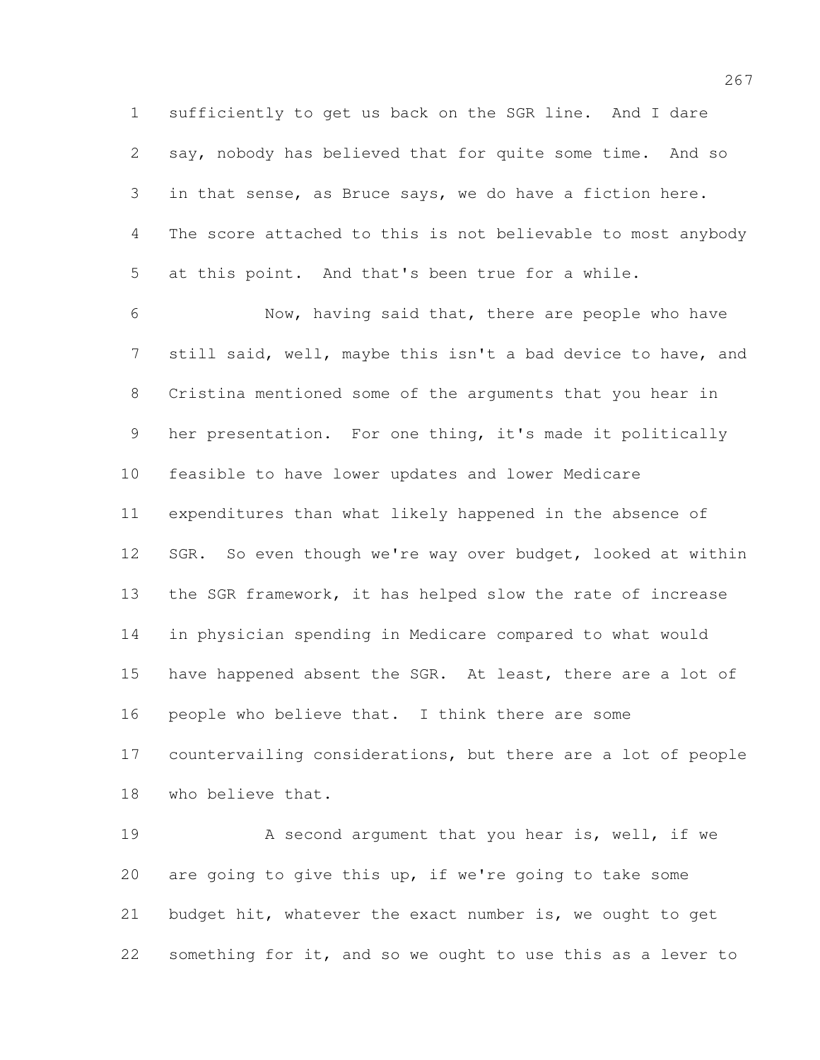sufficiently to get us back on the SGR line. And I dare say, nobody has believed that for quite some time. And so in that sense, as Bruce says, we do have a fiction here. The score attached to this is not believable to most anybody at this point. And that's been true for a while.

 Now, having said that, there are people who have still said, well, maybe this isn't a bad device to have, and Cristina mentioned some of the arguments that you hear in her presentation. For one thing, it's made it politically feasible to have lower updates and lower Medicare expenditures than what likely happened in the absence of SGR. So even though we're way over budget, looked at within the SGR framework, it has helped slow the rate of increase in physician spending in Medicare compared to what would 15 have happened absent the SGR. At least, there are a lot of people who believe that. I think there are some countervailing considerations, but there are a lot of people who believe that.

19 A second argument that you hear is, well, if we are going to give this up, if we're going to take some budget hit, whatever the exact number is, we ought to get something for it, and so we ought to use this as a lever to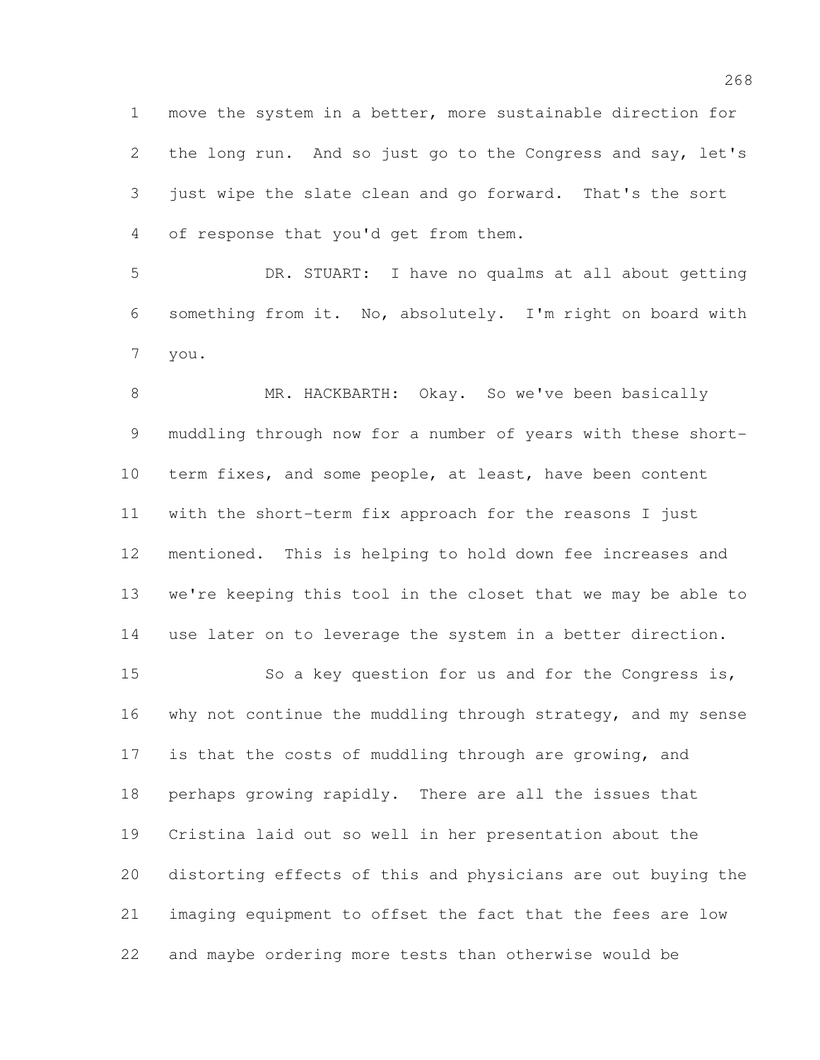move the system in a better, more sustainable direction for the long run. And so just go to the Congress and say, let's just wipe the slate clean and go forward. That's the sort of response that you'd get from them.

 DR. STUART: I have no qualms at all about getting something from it. No, absolutely. I'm right on board with you.

8 MR. HACKBARTH: Okay. So we've been basically muddling through now for a number of years with these short- term fixes, and some people, at least, have been content with the short-term fix approach for the reasons I just mentioned. This is helping to hold down fee increases and we're keeping this tool in the closet that we may be able to use later on to leverage the system in a better direction.

 So a key question for us and for the Congress is, why not continue the muddling through strategy, and my sense is that the costs of muddling through are growing, and perhaps growing rapidly. There are all the issues that Cristina laid out so well in her presentation about the distorting effects of this and physicians are out buying the imaging equipment to offset the fact that the fees are low and maybe ordering more tests than otherwise would be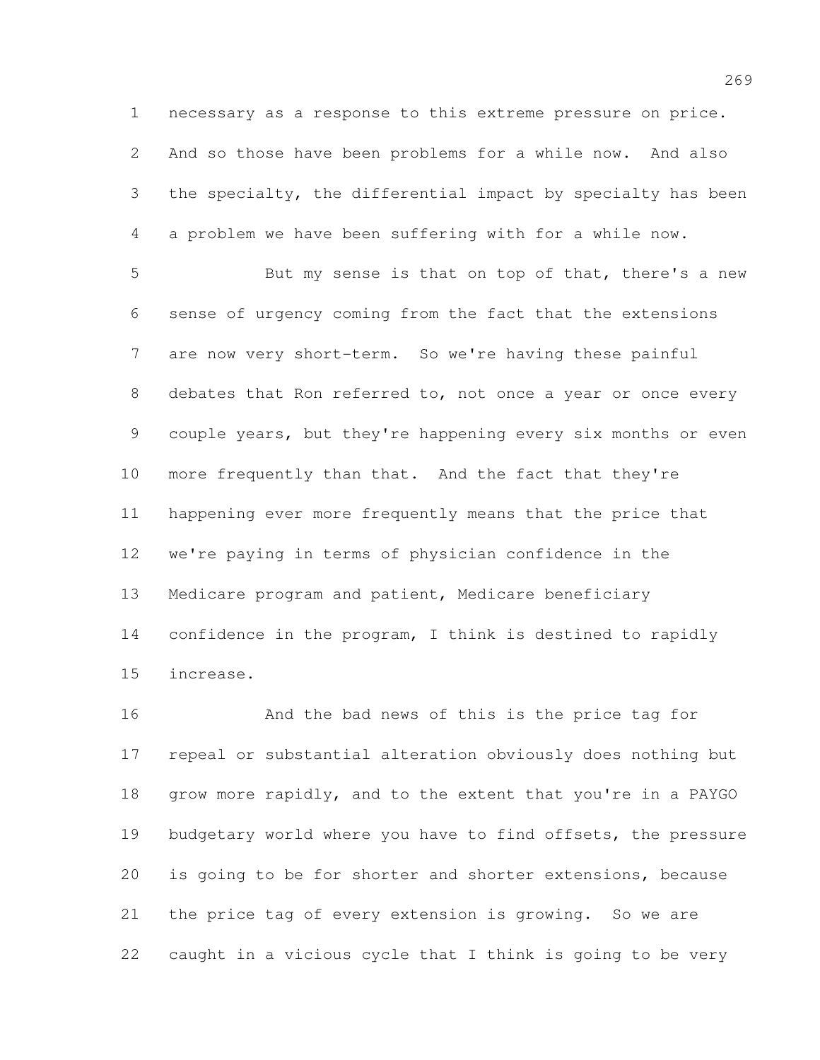necessary as a response to this extreme pressure on price. And so those have been problems for a while now. And also the specialty, the differential impact by specialty has been a problem we have been suffering with for a while now.

 But my sense is that on top of that, there's a new sense of urgency coming from the fact that the extensions 7 are now very short-term. So we're having these painful debates that Ron referred to, not once a year or once every couple years, but they're happening every six months or even more frequently than that. And the fact that they're happening ever more frequently means that the price that we're paying in terms of physician confidence in the Medicare program and patient, Medicare beneficiary 14 confidence in the program, I think is destined to rapidly increase.

 And the bad news of this is the price tag for repeal or substantial alteration obviously does nothing but grow more rapidly, and to the extent that you're in a PAYGO budgetary world where you have to find offsets, the pressure is going to be for shorter and shorter extensions, because the price tag of every extension is growing. So we are caught in a vicious cycle that I think is going to be very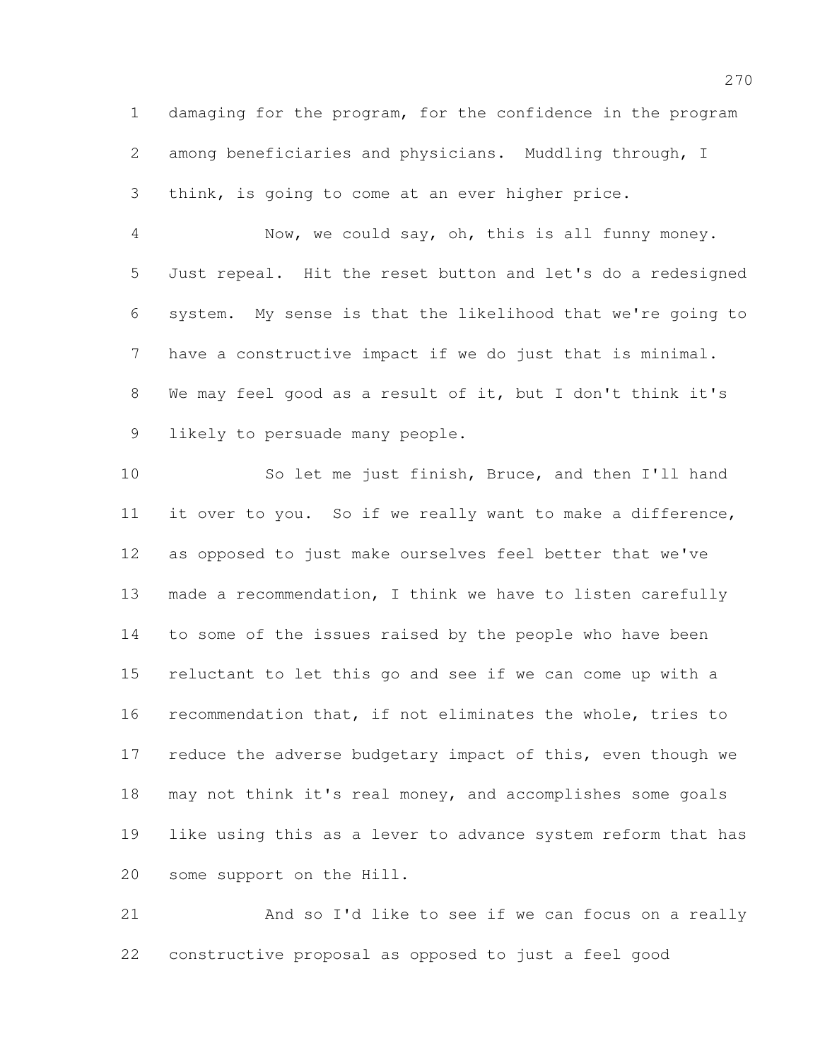damaging for the program, for the confidence in the program among beneficiaries and physicians. Muddling through, I think, is going to come at an ever higher price.

 Now, we could say, oh, this is all funny money. Just repeal. Hit the reset button and let's do a redesigned system. My sense is that the likelihood that we're going to have a constructive impact if we do just that is minimal. We may feel good as a result of it, but I don't think it's likely to persuade many people.

 So let me just finish, Bruce, and then I'll hand it over to you. So if we really want to make a difference, as opposed to just make ourselves feel better that we've made a recommendation, I think we have to listen carefully to some of the issues raised by the people who have been reluctant to let this go and see if we can come up with a recommendation that, if not eliminates the whole, tries to 17 reduce the adverse budgetary impact of this, even though we 18 may not think it's real money, and accomplishes some goals like using this as a lever to advance system reform that has some support on the Hill.

 And so I'd like to see if we can focus on a really constructive proposal as opposed to just a feel good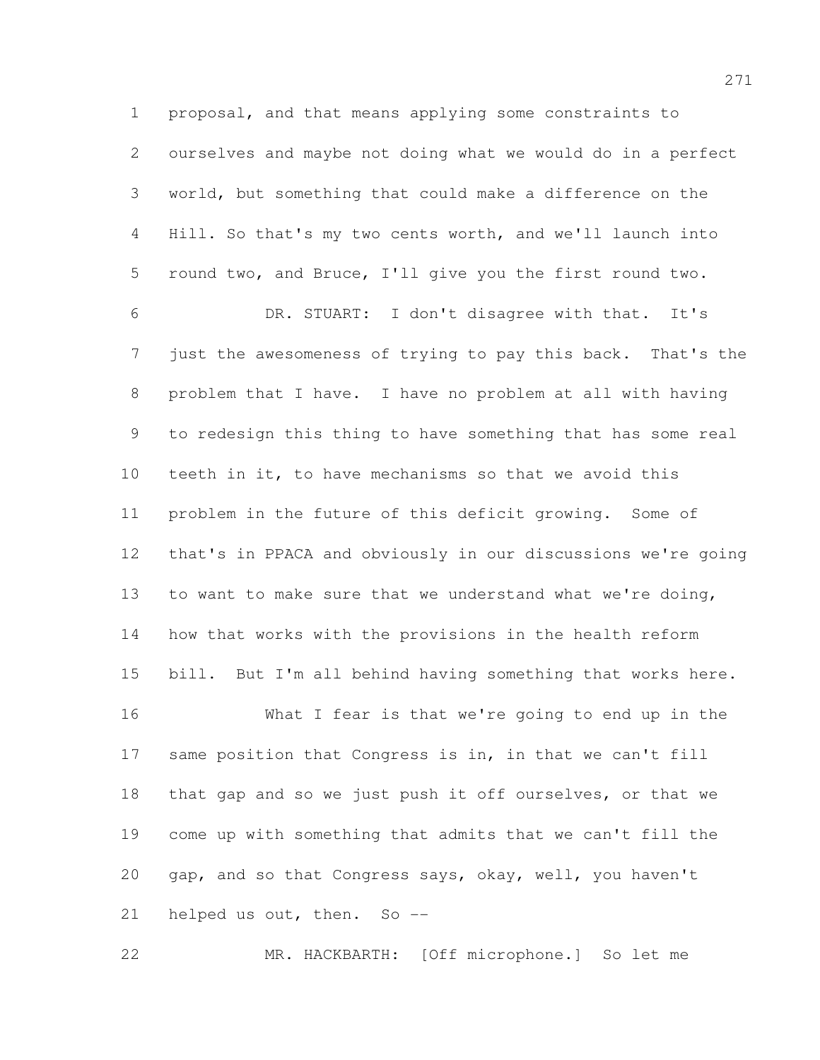proposal, and that means applying some constraints to ourselves and maybe not doing what we would do in a perfect world, but something that could make a difference on the Hill. So that's my two cents worth, and we'll launch into round two, and Bruce, I'll give you the first round two. DR. STUART: I don't disagree with that. It's just the awesomeness of trying to pay this back. That's the problem that I have. I have no problem at all with having to redesign this thing to have something that has some real teeth in it, to have mechanisms so that we avoid this problem in the future of this deficit growing. Some of that's in PPACA and obviously in our discussions we're going to want to make sure that we understand what we're doing, how that works with the provisions in the health reform bill. But I'm all behind having something that works here. What I fear is that we're going to end up in the same position that Congress is in, in that we can't fill that gap and so we just push it off ourselves, or that we come up with something that admits that we can't fill the gap, and so that Congress says, okay, well, you haven't

helped us out, then. So --

MR. HACKBARTH: [Off microphone.] So let me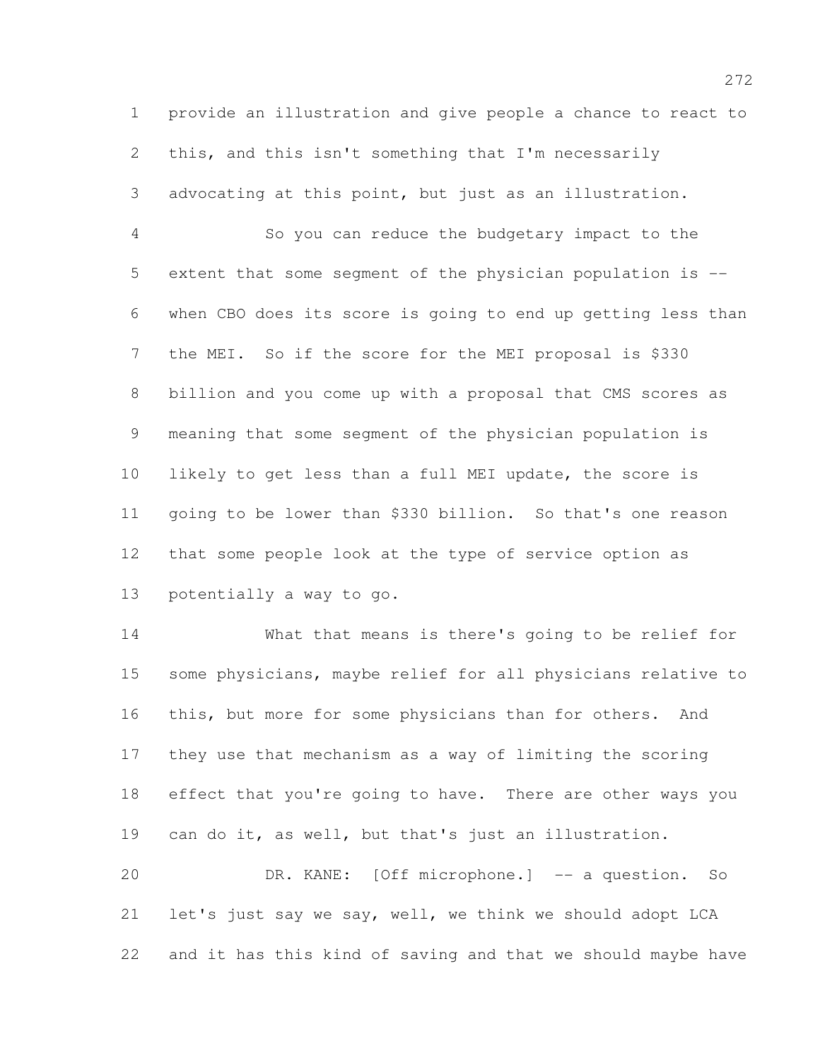provide an illustration and give people a chance to react to this, and this isn't something that I'm necessarily advocating at this point, but just as an illustration.

 So you can reduce the budgetary impact to the extent that some segment of the physician population is -- when CBO does its score is going to end up getting less than the MEI. So if the score for the MEI proposal is \$330 billion and you come up with a proposal that CMS scores as meaning that some segment of the physician population is likely to get less than a full MEI update, the score is going to be lower than \$330 billion. So that's one reason that some people look at the type of service option as potentially a way to go.

 What that means is there's going to be relief for some physicians, maybe relief for all physicians relative to this, but more for some physicians than for others. And they use that mechanism as a way of limiting the scoring 18 effect that you're going to have. There are other ways you can do it, as well, but that's just an illustration. DR. KANE: [Off microphone.] -- a question. So let's just say we say, well, we think we should adopt LCA

and it has this kind of saving and that we should maybe have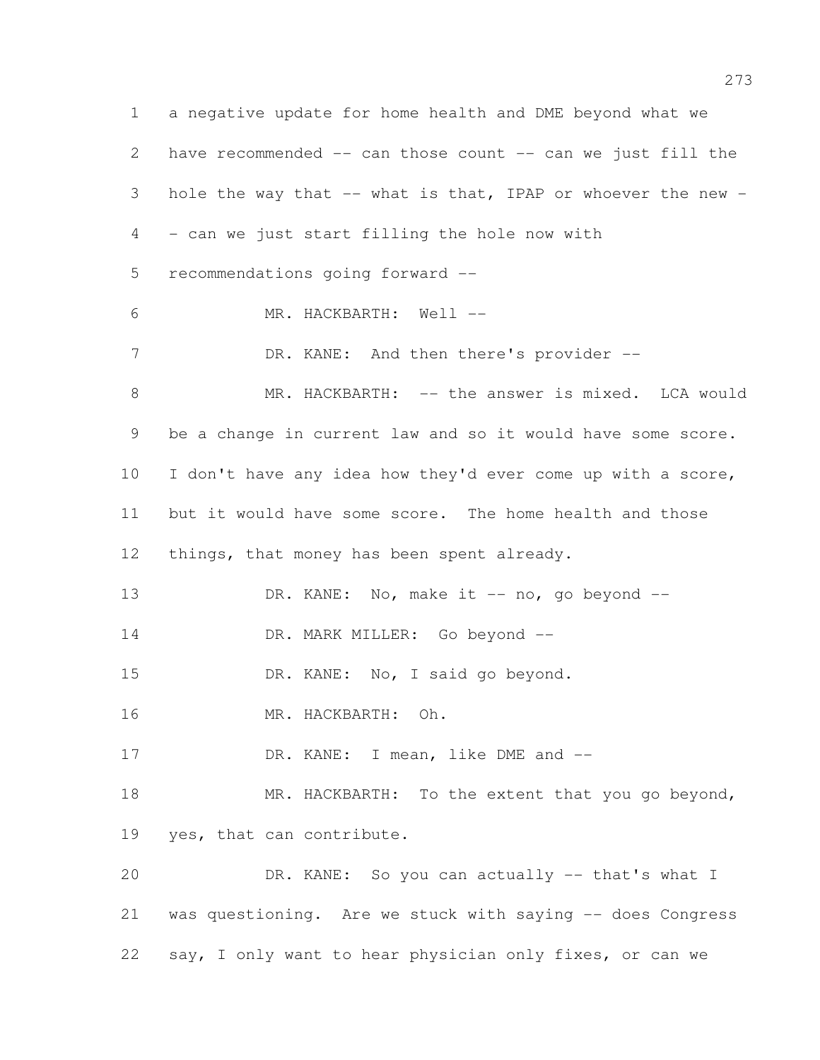a negative update for home health and DME beyond what we have recommended -- can those count -- can we just fill the hole the way that -- what is that, IPAP or whoever the new - - can we just start filling the hole now with recommendations going forward -- MR. HACKBARTH: Well -- 7 DR. KANE: And then there's provider --8 MR. HACKBARTH: -- the answer is mixed. LCA would be a change in current law and so it would have some score. 10 I don't have any idea how they'd ever come up with a score, but it would have some score. The home health and those 12 things, that money has been spent already. 13 DR. KANE: No, make it -- no, go beyond --14 DR. MARK MILLER: Go beyond -- DR. KANE: No, I said go beyond. MR. HACKBARTH: Oh. 17 DR. KANE: I mean, like DME and --18 MR. HACKBARTH: To the extent that you go beyond, yes, that can contribute. DR. KANE: So you can actually -- that's what I was questioning. Are we stuck with saying -- does Congress say, I only want to hear physician only fixes, or can we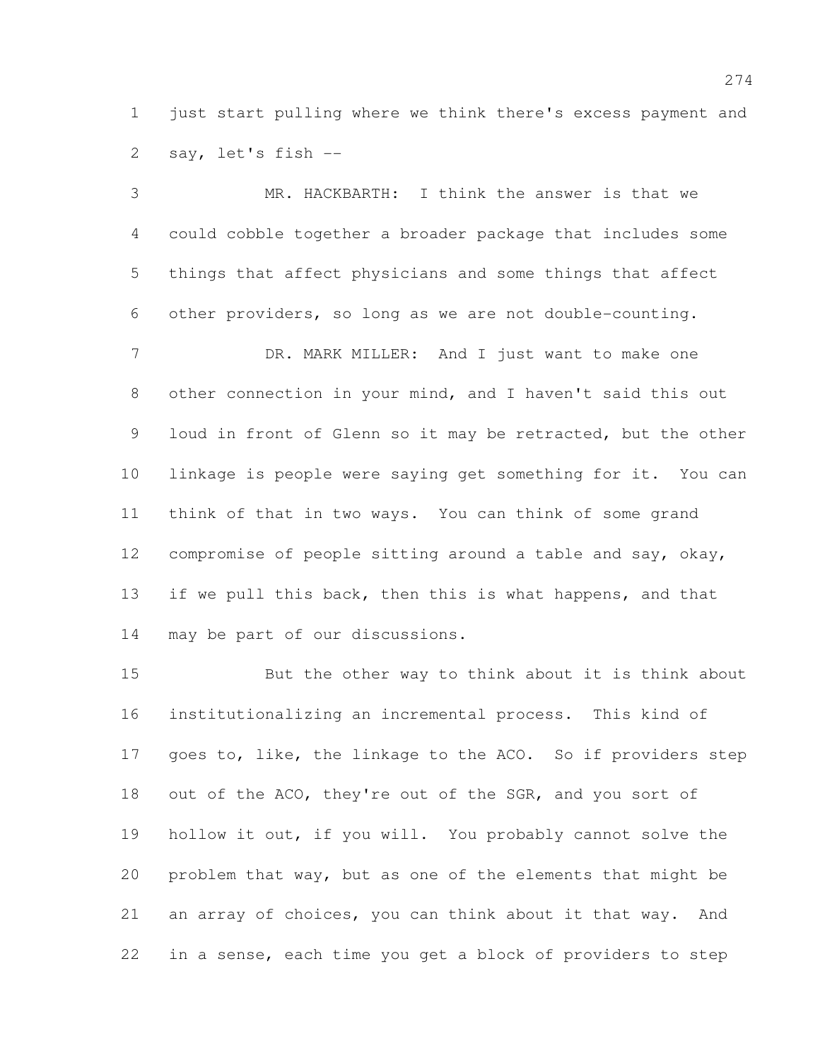1 just start pulling where we think there's excess payment and say, let's fish --

 MR. HACKBARTH: I think the answer is that we could cobble together a broader package that includes some things that affect physicians and some things that affect other providers, so long as we are not double-counting. 7 DR. MARK MILLER: And I just want to make one other connection in your mind, and I haven't said this out loud in front of Glenn so it may be retracted, but the other linkage is people were saying get something for it. You can think of that in two ways. You can think of some grand compromise of people sitting around a table and say, okay, 13 if we pull this back, then this is what happens, and that may be part of our discussions.

 But the other way to think about it is think about institutionalizing an incremental process. This kind of 17 goes to, like, the linkage to the ACO. So if providers step out of the ACO, they're out of the SGR, and you sort of hollow it out, if you will. You probably cannot solve the problem that way, but as one of the elements that might be an array of choices, you can think about it that way. And in a sense, each time you get a block of providers to step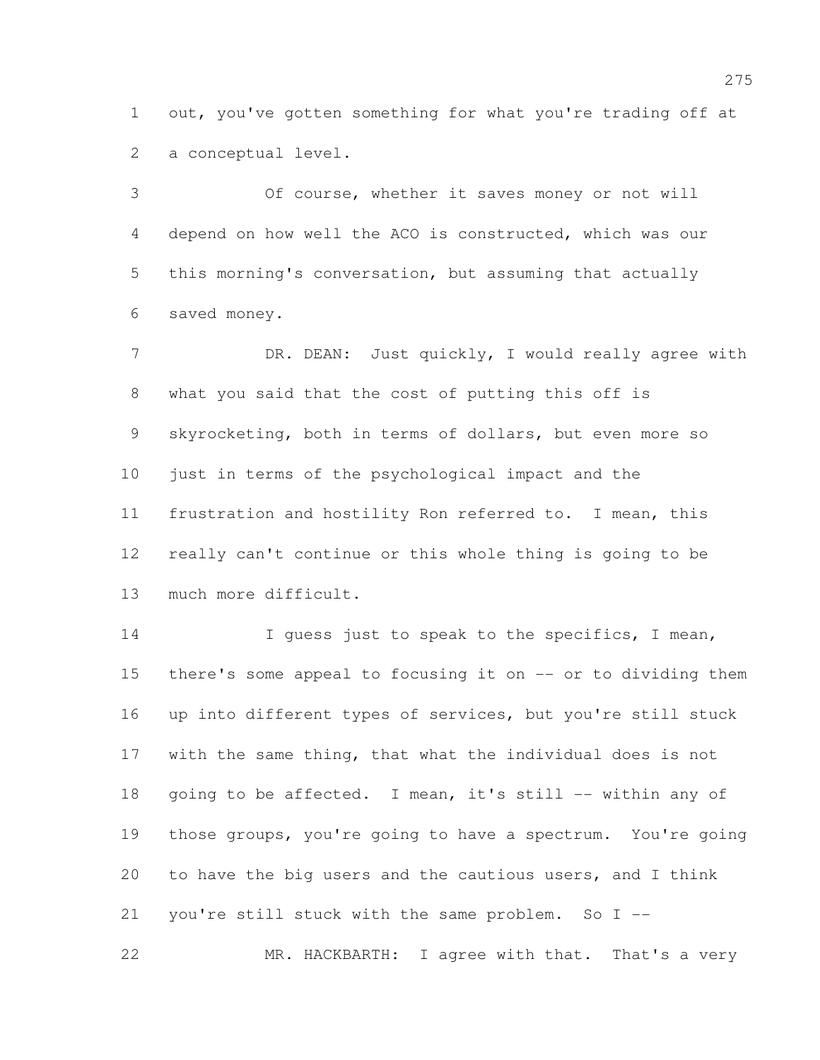out, you've gotten something for what you're trading off at a conceptual level.

 Of course, whether it saves money or not will depend on how well the ACO is constructed, which was our this morning's conversation, but assuming that actually saved money.

7 DR. DEAN: Just quickly, I would really agree with what you said that the cost of putting this off is skyrocketing, both in terms of dollars, but even more so just in terms of the psychological impact and the frustration and hostility Ron referred to. I mean, this really can't continue or this whole thing is going to be much more difficult.

14 I guess just to speak to the specifics, I mean, there's some appeal to focusing it on -- or to dividing them up into different types of services, but you're still stuck with the same thing, that what the individual does is not 18 going to be affected. I mean, it's still -- within any of those groups, you're going to have a spectrum. You're going to have the big users and the cautious users, and I think you're still stuck with the same problem. So I -- MR. HACKBARTH: I agree with that. That's a very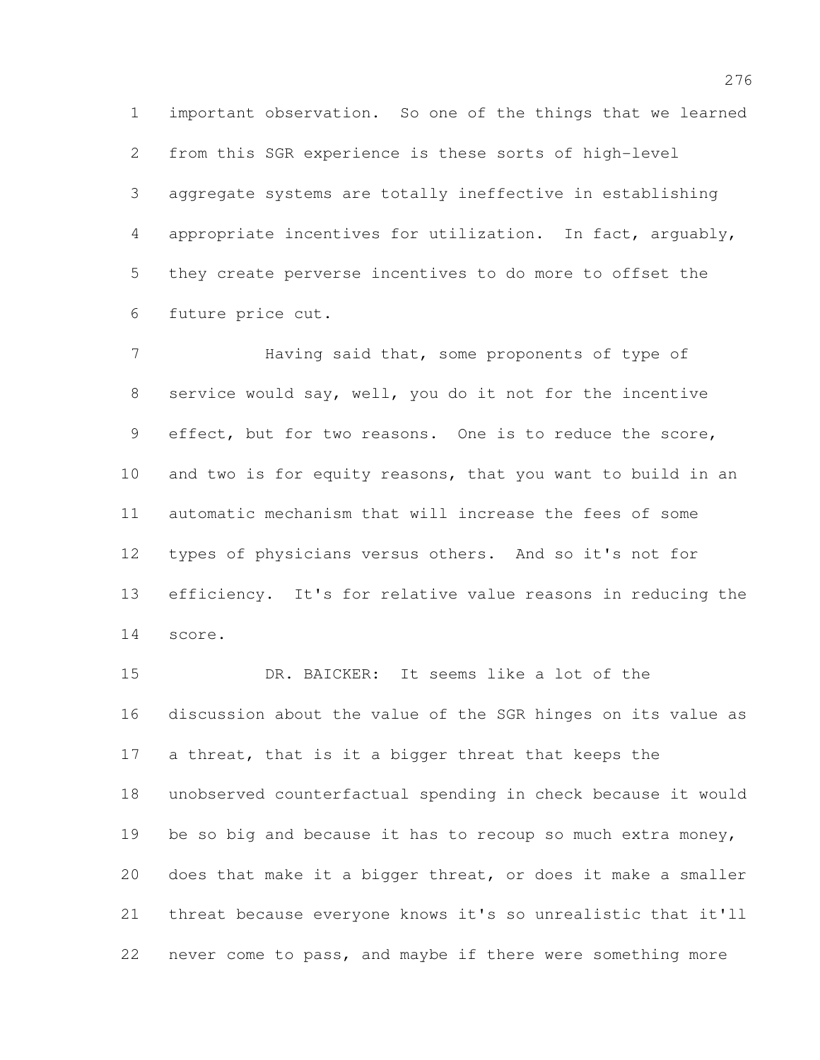important observation. So one of the things that we learned from this SGR experience is these sorts of high-level aggregate systems are totally ineffective in establishing appropriate incentives for utilization. In fact, arguably, they create perverse incentives to do more to offset the future price cut.

 Having said that, some proponents of type of service would say, well, you do it not for the incentive effect, but for two reasons. One is to reduce the score, and two is for equity reasons, that you want to build in an automatic mechanism that will increase the fees of some types of physicians versus others. And so it's not for efficiency. It's for relative value reasons in reducing the score.

 DR. BAICKER: It seems like a lot of the discussion about the value of the SGR hinges on its value as a threat, that is it a bigger threat that keeps the unobserved counterfactual spending in check because it would 19 be so big and because it has to recoup so much extra money, does that make it a bigger threat, or does it make a smaller threat because everyone knows it's so unrealistic that it'll never come to pass, and maybe if there were something more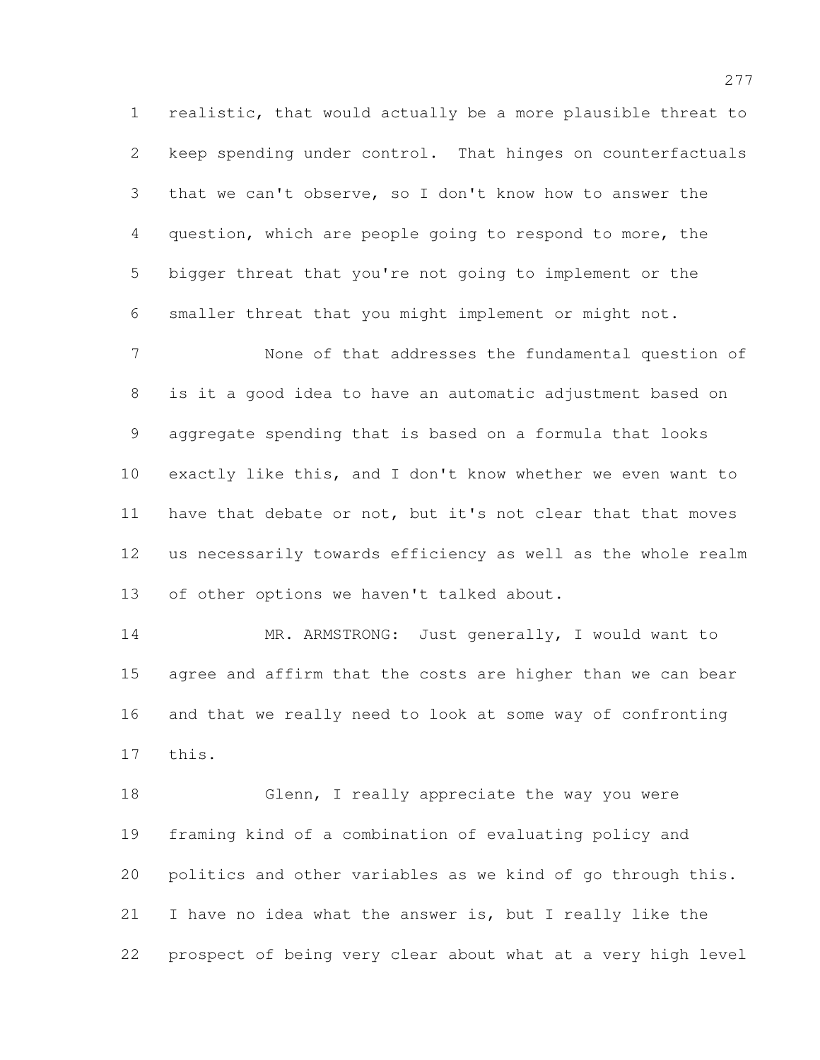realistic, that would actually be a more plausible threat to keep spending under control. That hinges on counterfactuals that we can't observe, so I don't know how to answer the question, which are people going to respond to more, the bigger threat that you're not going to implement or the smaller threat that you might implement or might not.

 None of that addresses the fundamental question of is it a good idea to have an automatic adjustment based on aggregate spending that is based on a formula that looks exactly like this, and I don't know whether we even want to 11 have that debate or not, but it's not clear that that moves us necessarily towards efficiency as well as the whole realm of other options we haven't talked about.

14 MR. ARMSTRONG: Just generally, I would want to agree and affirm that the costs are higher than we can bear and that we really need to look at some way of confronting this.

 Glenn, I really appreciate the way you were framing kind of a combination of evaluating policy and politics and other variables as we kind of go through this. I have no idea what the answer is, but I really like the prospect of being very clear about what at a very high level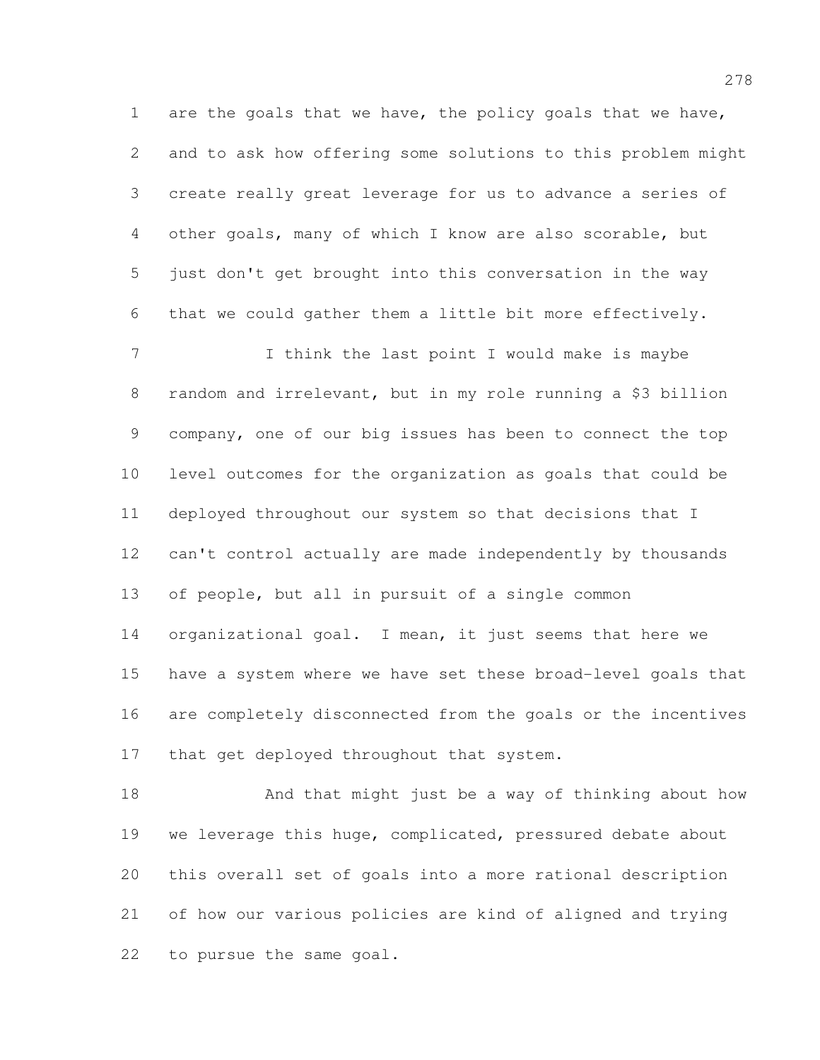are the goals that we have, the policy goals that we have, and to ask how offering some solutions to this problem might create really great leverage for us to advance a series of other goals, many of which I know are also scorable, but just don't get brought into this conversation in the way that we could gather them a little bit more effectively.

7 1 I think the last point I would make is maybe random and irrelevant, but in my role running a \$3 billion company, one of our big issues has been to connect the top level outcomes for the organization as goals that could be deployed throughout our system so that decisions that I can't control actually are made independently by thousands of people, but all in pursuit of a single common organizational goal. I mean, it just seems that here we have a system where we have set these broad-level goals that are completely disconnected from the goals or the incentives 17 that get deployed throughout that system.

 And that might just be a way of thinking about how 19 we leverage this huge, complicated, pressured debate about this overall set of goals into a more rational description of how our various policies are kind of aligned and trying to pursue the same goal.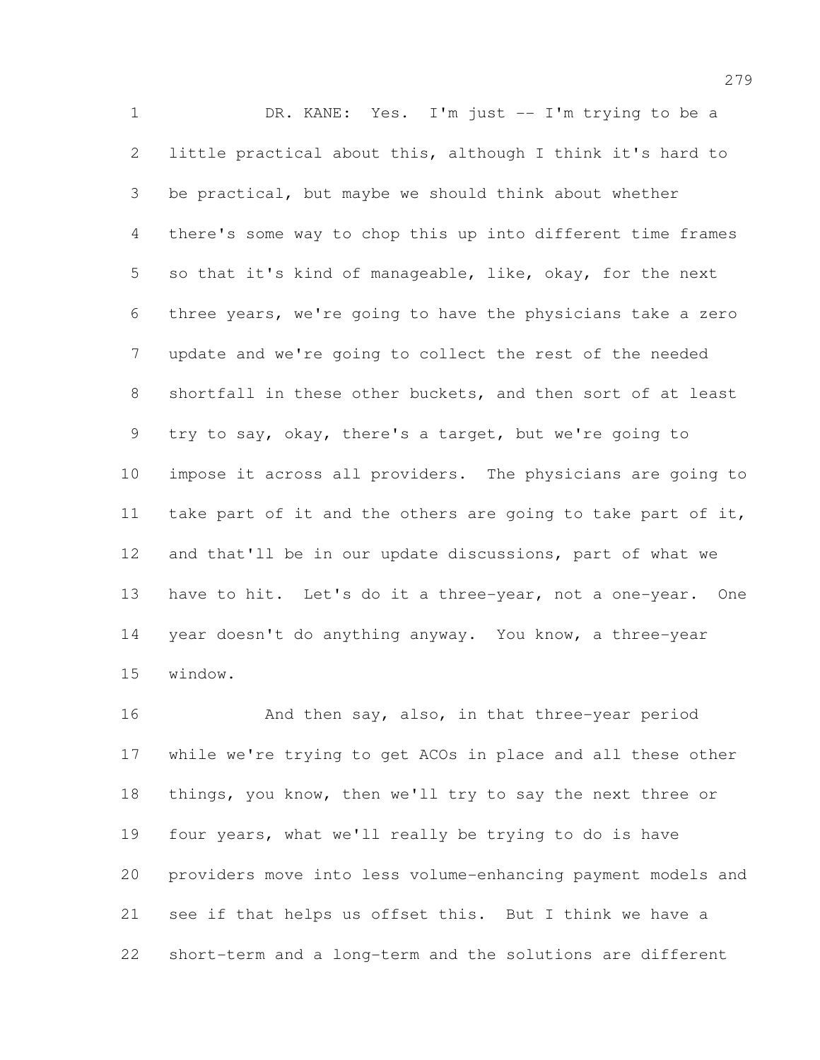DR. KANE: Yes. I'm just -- I'm trying to be a little practical about this, although I think it's hard to be practical, but maybe we should think about whether there's some way to chop this up into different time frames so that it's kind of manageable, like, okay, for the next three years, we're going to have the physicians take a zero update and we're going to collect the rest of the needed shortfall in these other buckets, and then sort of at least try to say, okay, there's a target, but we're going to impose it across all providers. The physicians are going to take part of it and the others are going to take part of it, and that'll be in our update discussions, part of what we have to hit. Let's do it a three-year, not a one-year. One year doesn't do anything anyway. You know, a three-year window.

16 And then say, also, in that three-year period while we're trying to get ACOs in place and all these other things, you know, then we'll try to say the next three or four years, what we'll really be trying to do is have providers move into less volume-enhancing payment models and see if that helps us offset this. But I think we have a short-term and a long-term and the solutions are different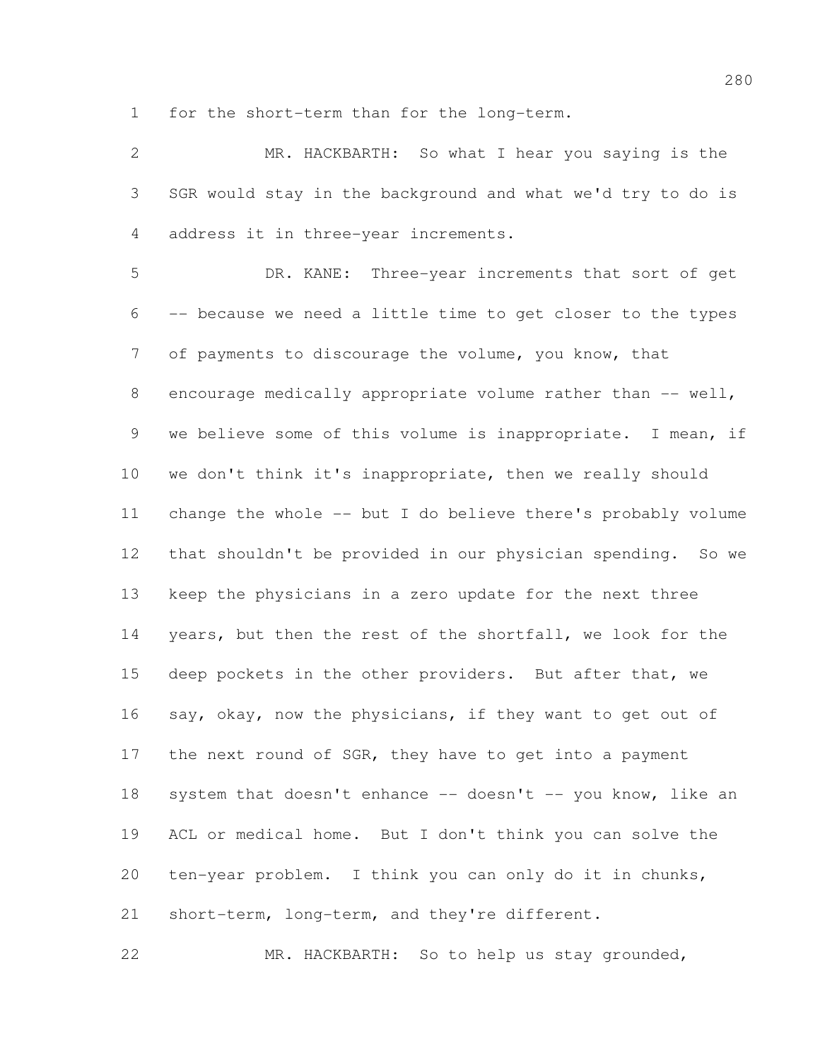for the short-term than for the long-term.

 MR. HACKBARTH: So what I hear you saying is the SGR would stay in the background and what we'd try to do is address it in three-year increments. DR. KANE: Three-year increments that sort of get -- because we need a little time to get closer to the types of payments to discourage the volume, you know, that 8 encourage medically appropriate volume rather than -- well, we believe some of this volume is inappropriate. I mean, if we don't think it's inappropriate, then we really should change the whole -- but I do believe there's probably volume that shouldn't be provided in our physician spending. So we keep the physicians in a zero update for the next three years, but then the rest of the shortfall, we look for the deep pockets in the other providers. But after that, we 16 say, okay, now the physicians, if they want to get out of 17 the next round of SGR, they have to get into a payment 18 system that doesn't enhance -- doesn't -- you know, like an ACL or medical home. But I don't think you can solve the ten-year problem. I think you can only do it in chunks, short-term, long-term, and they're different.

MR. HACKBARTH: So to help us stay grounded,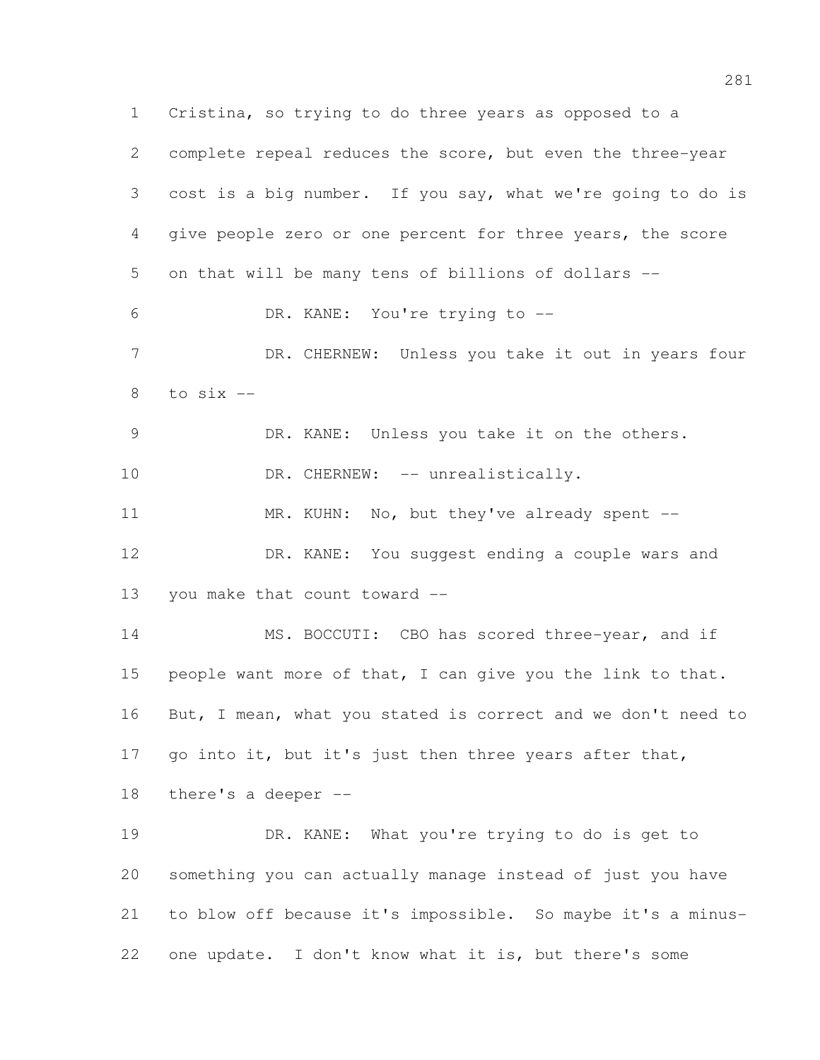Cristina, so trying to do three years as opposed to a complete repeal reduces the score, but even the three-year cost is a big number. If you say, what we're going to do is give people zero or one percent for three years, the score on that will be many tens of billions of dollars -- DR. KANE: You're trying to -- DR. CHERNEW: Unless you take it out in years four to  $six$  -- DR. KANE: Unless you take it on the others. 10 DR. CHERNEW: -- unrealistically. MR. KUHN: No, but they've already spent -- DR. KANE: You suggest ending a couple wars and you make that count toward -- MS. BOCCUTI: CBO has scored three-year, and if 15 people want more of that, I can give you the link to that. But, I mean, what you stated is correct and we don't need to 17 go into it, but it's just then three years after that, there's a deeper -- DR. KANE: What you're trying to do is get to something you can actually manage instead of just you have to blow off because it's impossible. So maybe it's a minus-one update. I don't know what it is, but there's some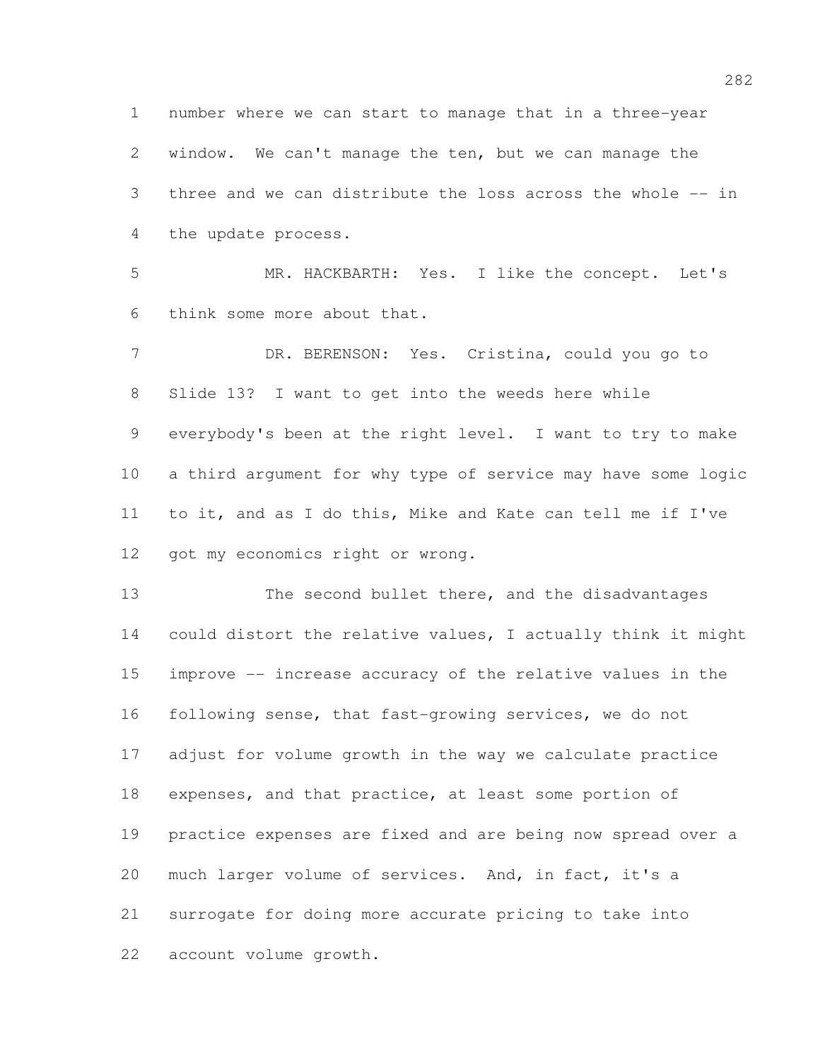number where we can start to manage that in a three-year window. We can't manage the ten, but we can manage the three and we can distribute the loss across the whole -- in the update process.

 MR. HACKBARTH: Yes. I like the concept. Let's think some more about that.

 DR. BERENSON: Yes. Cristina, could you go to Slide 13? I want to get into the weeds here while everybody's been at the right level. I want to try to make a third argument for why type of service may have some logic to it, and as I do this, Mike and Kate can tell me if I've 12 got my economics right or wrong.

 The second bullet there, and the disadvantages could distort the relative values, I actually think it might improve -- increase accuracy of the relative values in the following sense, that fast-growing services, we do not adjust for volume growth in the way we calculate practice expenses, and that practice, at least some portion of practice expenses are fixed and are being now spread over a 20 much larger volume of services. And, in fact, it's a surrogate for doing more accurate pricing to take into account volume growth.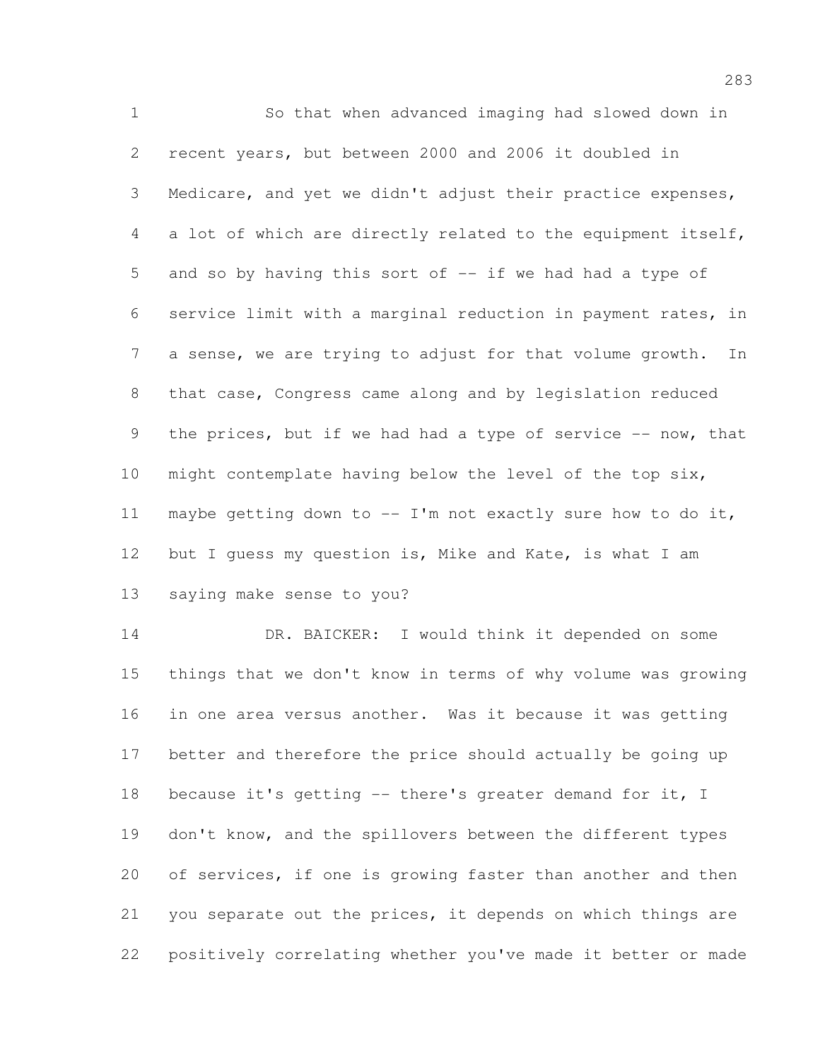So that when advanced imaging had slowed down in recent years, but between 2000 and 2006 it doubled in Medicare, and yet we didn't adjust their practice expenses, a lot of which are directly related to the equipment itself, and so by having this sort of -- if we had had a type of service limit with a marginal reduction in payment rates, in a sense, we are trying to adjust for that volume growth. In that case, Congress came along and by legislation reduced 9 the prices, but if we had had a type of service -- now, that might contemplate having below the level of the top six, 11 maybe getting down to  $--$  I'm not exactly sure how to do it, but I guess my question is, Mike and Kate, is what I am saying make sense to you?

 DR. BAICKER: I would think it depended on some things that we don't know in terms of why volume was growing in one area versus another. Was it because it was getting better and therefore the price should actually be going up 18 because it's getting -- there's greater demand for it, I don't know, and the spillovers between the different types 20 of services, if one is growing faster than another and then you separate out the prices, it depends on which things are positively correlating whether you've made it better or made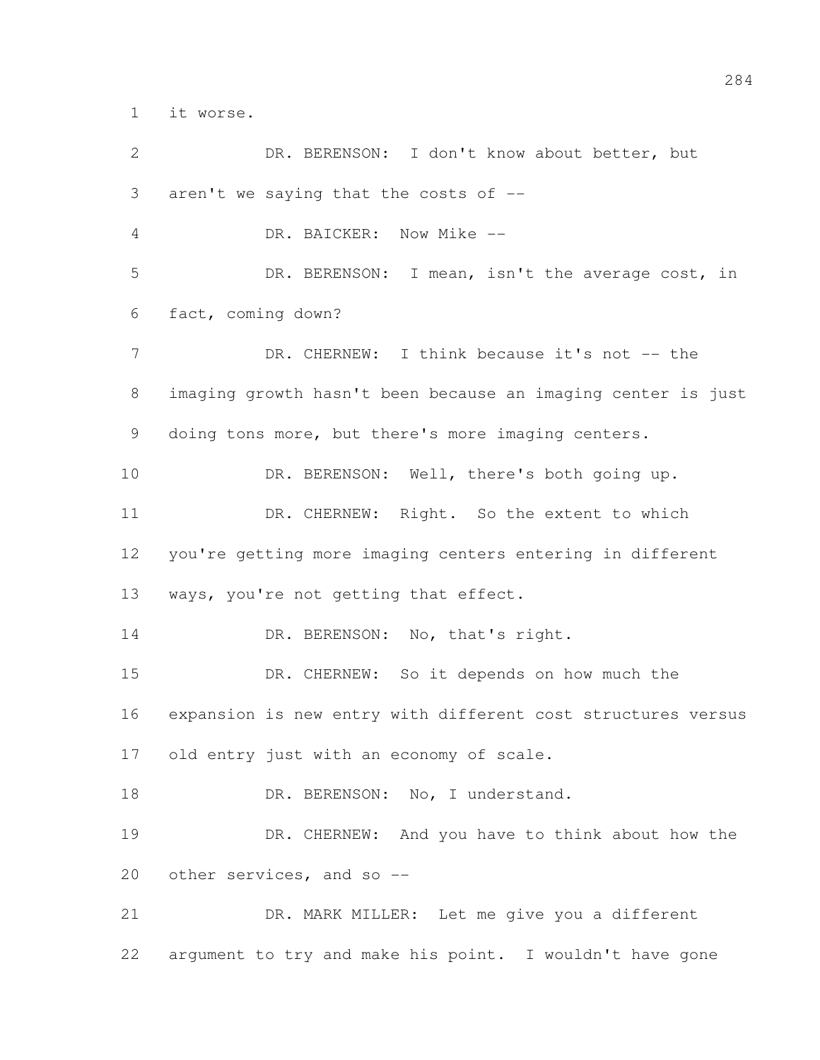it worse.

 DR. BERENSON: I don't know about better, but aren't we saying that the costs of -- DR. BAICKER: Now Mike -- DR. BERENSON: I mean, isn't the average cost, in fact, coming down? 7 DR. CHERNEW: I think because it's not -- the imaging growth hasn't been because an imaging center is just doing tons more, but there's more imaging centers. 10 DR. BERENSON: Well, there's both going up. 11 DR. CHERNEW: Right. So the extent to which you're getting more imaging centers entering in different ways, you're not getting that effect. 14 DR. BERENSON: No, that's right. DR. CHERNEW: So it depends on how much the expansion is new entry with different cost structures versus 17 old entry just with an economy of scale. 18 DR. BERENSON: No, I understand. DR. CHERNEW: And you have to think about how the other services, and so -- DR. MARK MILLER: Let me give you a different argument to try and make his point. I wouldn't have gone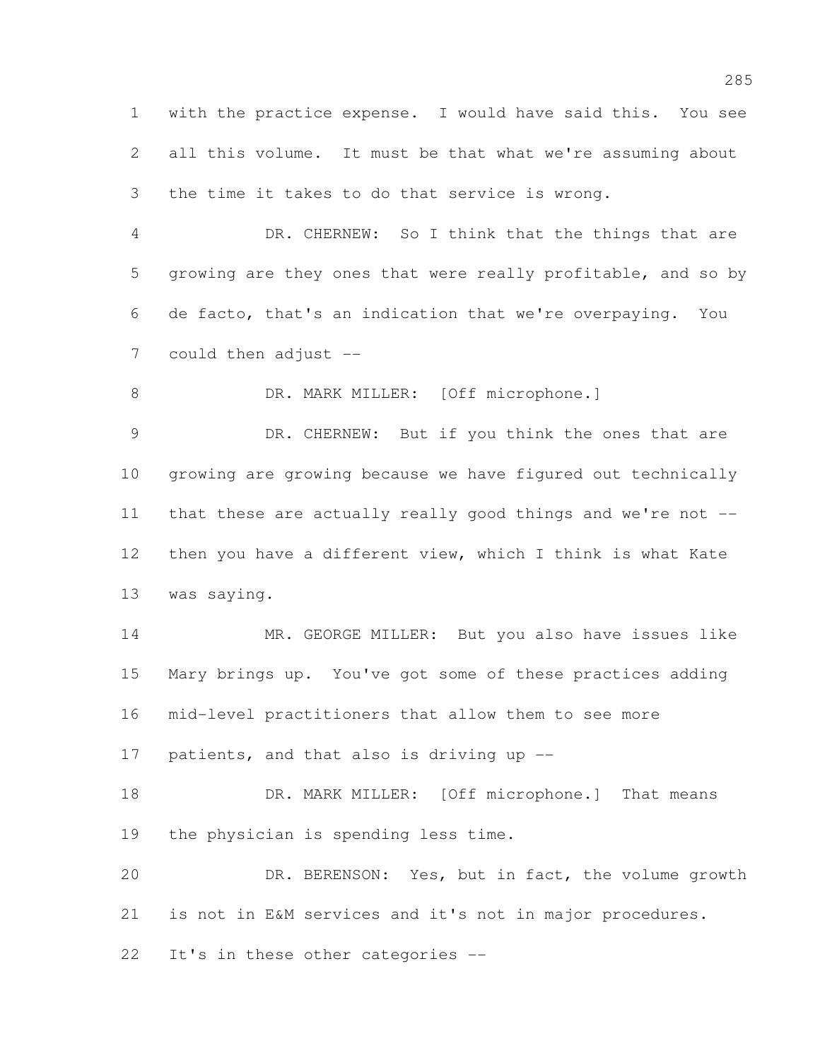with the practice expense. I would have said this. You see all this volume. It must be that what we're assuming about the time it takes to do that service is wrong.

 DR. CHERNEW: So I think that the things that are growing are they ones that were really profitable, and so by de facto, that's an indication that we're overpaying. You could then adjust --

8 DR. MARK MILLER: [Off microphone.]

9 DR. CHERNEW: But if you think the ones that are growing are growing because we have figured out technically that these are actually really good things and we're not -- then you have a different view, which I think is what Kate was saying.

 MR. GEORGE MILLER: But you also have issues like Mary brings up. You've got some of these practices adding mid-level practitioners that allow them to see more 17 patients, and that also is driving up --

18 DR. MARK MILLER: [Off microphone.] That means the physician is spending less time.

 DR. BERENSON: Yes, but in fact, the volume growth is not in E&M services and it's not in major procedures.

It's in these other categories --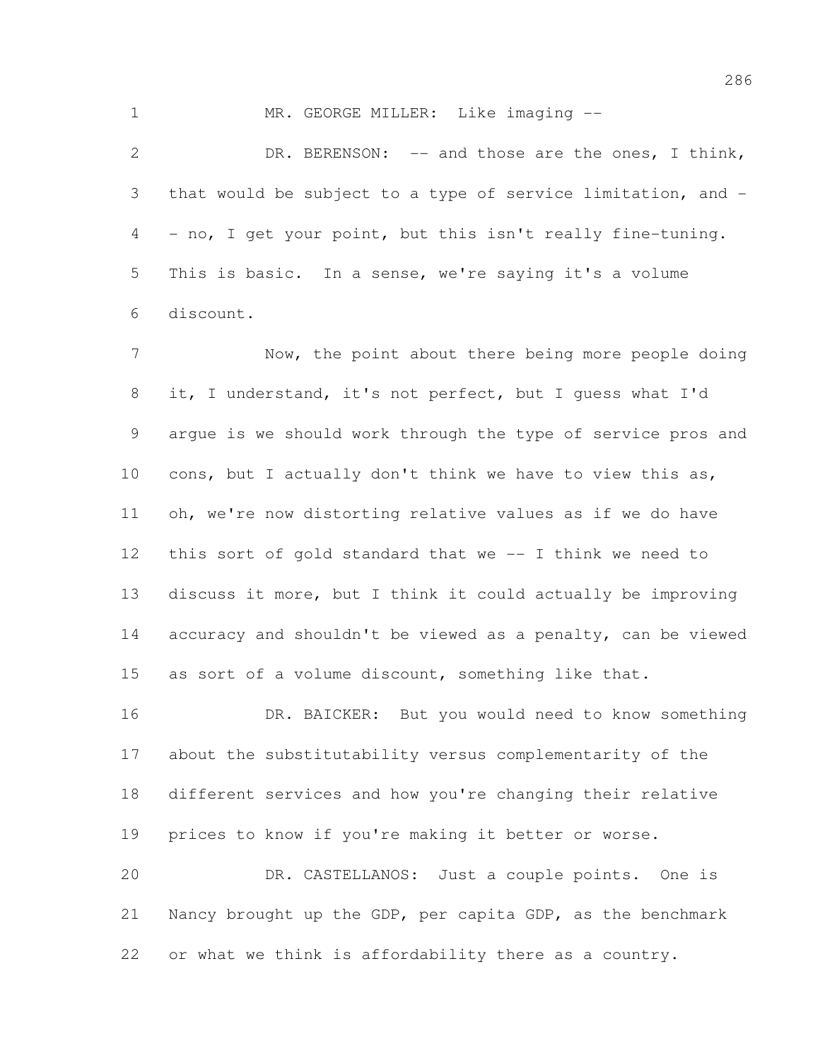1 MR. GEORGE MILLER: Like imaging --

2 DR. BERENSON: -- and those are the ones, I think, that would be subject to a type of service limitation, and - - no, I get your point, but this isn't really fine-tuning. This is basic. In a sense, we're saying it's a volume discount.

 Now, the point about there being more people doing it, I understand, it's not perfect, but I guess what I'd argue is we should work through the type of service pros and cons, but I actually don't think we have to view this as, oh, we're now distorting relative values as if we do have this sort of gold standard that we -- I think we need to discuss it more, but I think it could actually be improving accuracy and shouldn't be viewed as a penalty, can be viewed as sort of a volume discount, something like that.

 DR. BAICKER: But you would need to know something about the substitutability versus complementarity of the different services and how you're changing their relative prices to know if you're making it better or worse.

 DR. CASTELLANOS: Just a couple points. One is Nancy brought up the GDP, per capita GDP, as the benchmark or what we think is affordability there as a country.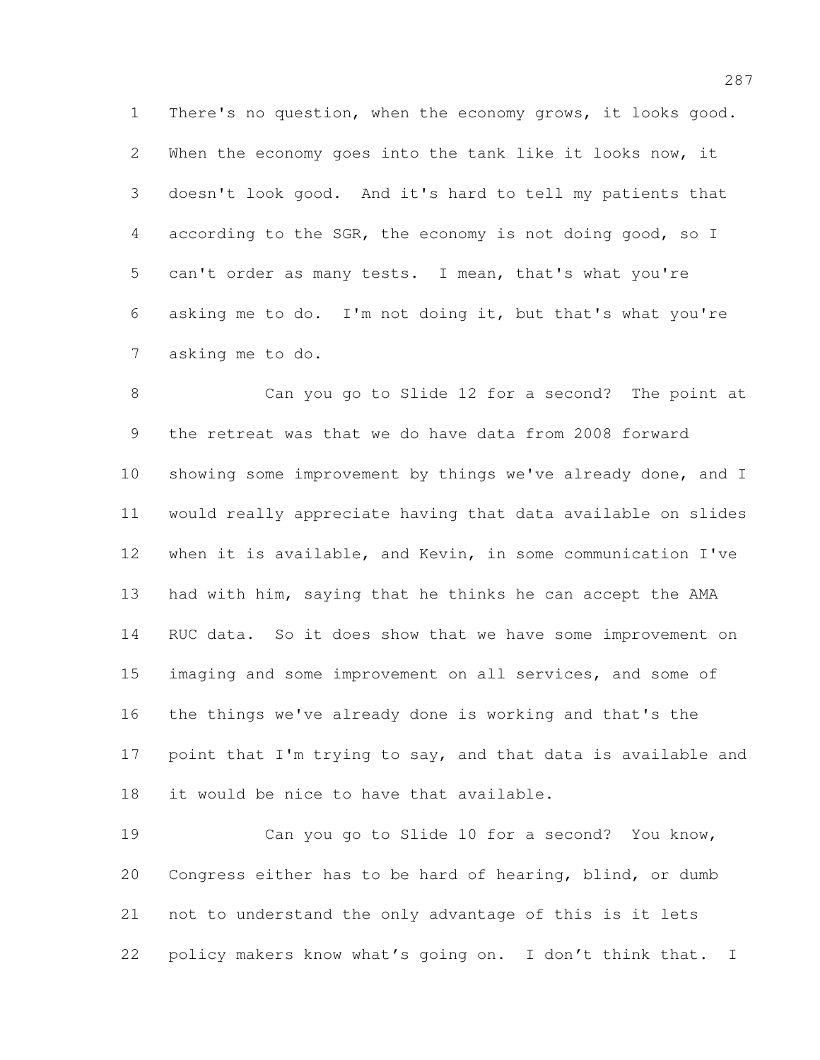There's no question, when the economy grows, it looks good. When the economy goes into the tank like it looks now, it doesn't look good. And it's hard to tell my patients that according to the SGR, the economy is not doing good, so I can't order as many tests. I mean, that's what you're asking me to do. I'm not doing it, but that's what you're asking me to do.

 Can you go to Slide 12 for a second? The point at the retreat was that we do have data from 2008 forward showing some improvement by things we've already done, and I would really appreciate having that data available on slides when it is available, and Kevin, in some communication I've had with him, saying that he thinks he can accept the AMA 14 RUC data. So it does show that we have some improvement on imaging and some improvement on all services, and some of the things we've already done is working and that's the 17 point that I'm trying to say, and that data is available and it would be nice to have that available.

 Can you go to Slide 10 for a second? You know, Congress either has to be hard of hearing, blind, or dumb not to understand the only advantage of this is it lets policy makers know what's going on. I don't think that. I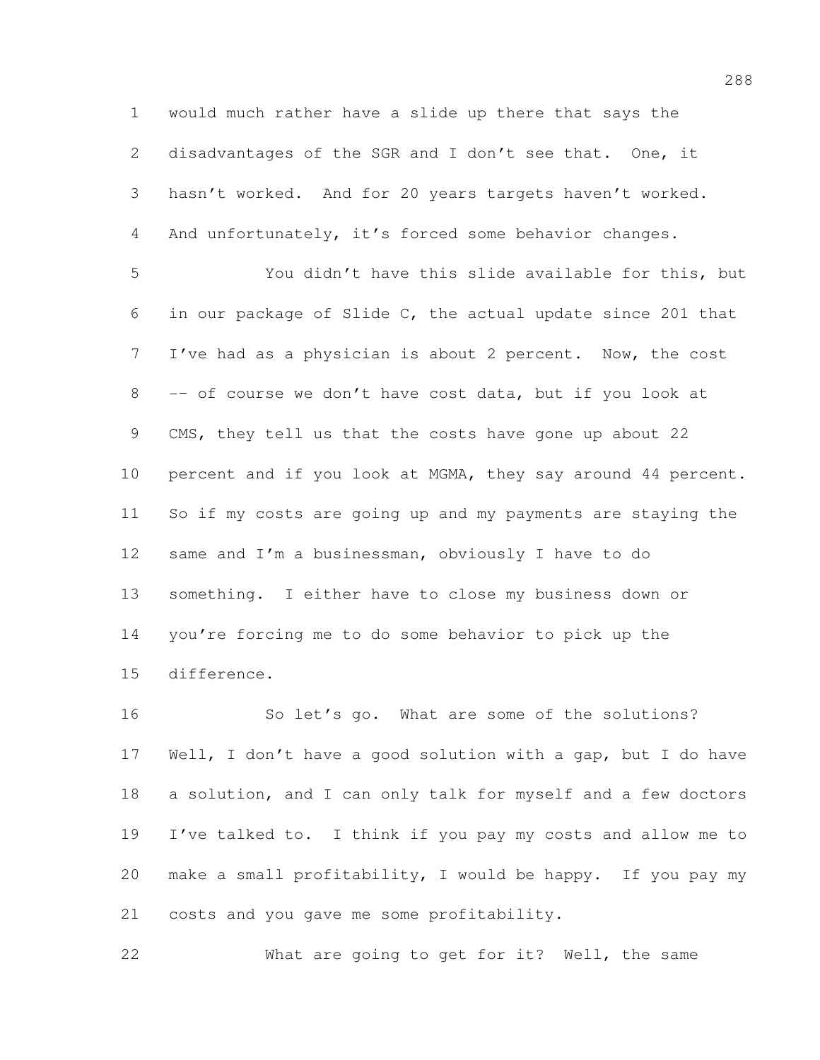would much rather have a slide up there that says the 2 disadvantages of the SGR and I don't see that. One, it hasn't worked. And for 20 years targets haven't worked. And unfortunately, it's forced some behavior changes.

 You didn't have this slide available for this, but in our package of Slide C, the actual update since 201 that I've had as a physician is about 2 percent. Now, the cost -– of course we don't have cost data, but if you look at CMS, they tell us that the costs have gone up about 22 percent and if you look at MGMA, they say around 44 percent. So if my costs are going up and my payments are staying the same and I'm a businessman, obviously I have to do something. I either have to close my business down or you're forcing me to do some behavior to pick up the difference.

 So let's go. What are some of the solutions? Well, I don't have a good solution with a gap, but I do have a solution, and I can only talk for myself and a few doctors I've talked to. I think if you pay my costs and allow me to make a small profitability, I would be happy. If you pay my costs and you gave me some profitability.

What are going to get for it? Well, the same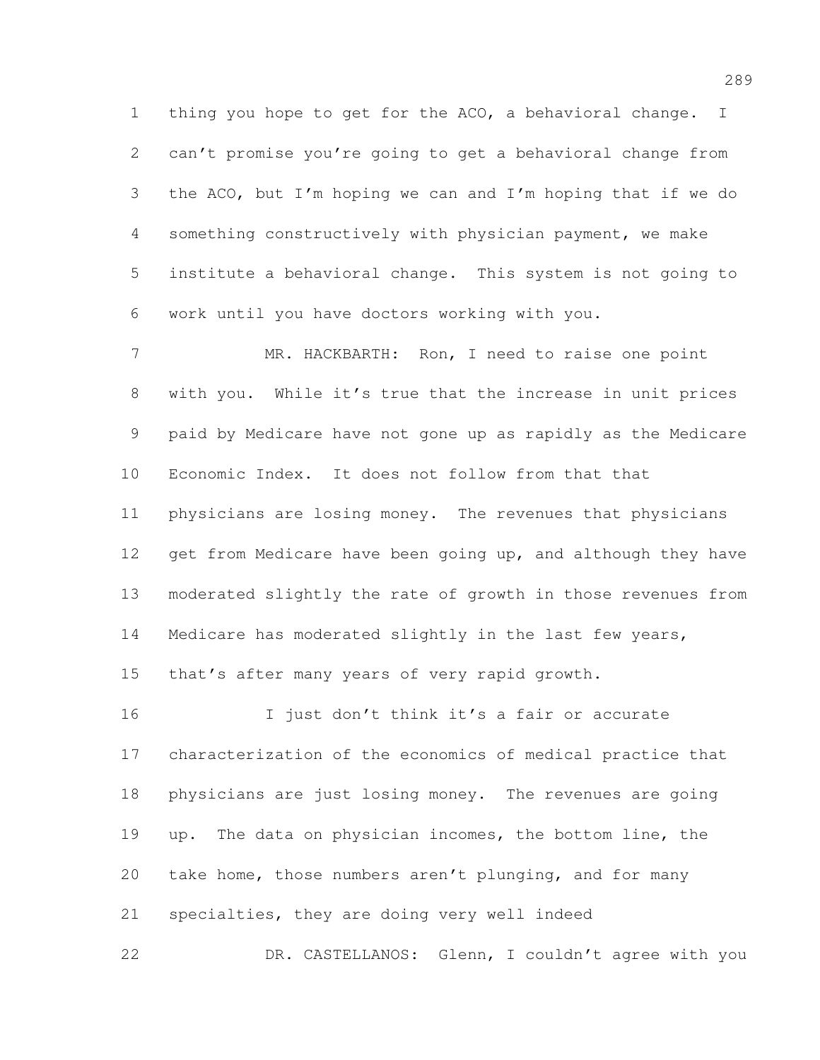thing you hope to get for the ACO, a behavioral change. I can't promise you're going to get a behavioral change from the ACO, but I'm hoping we can and I'm hoping that if we do something constructively with physician payment, we make institute a behavioral change. This system is not going to work until you have doctors working with you.

 MR. HACKBARTH: Ron, I need to raise one point with you. While it's true that the increase in unit prices paid by Medicare have not gone up as rapidly as the Medicare Economic Index. It does not follow from that that physicians are losing money. The revenues that physicians 12 get from Medicare have been going up, and although they have moderated slightly the rate of growth in those revenues from Medicare has moderated slightly in the last few years, that's after many years of very rapid growth.

 I just don't think it's a fair or accurate characterization of the economics of medical practice that physicians are just losing money. The revenues are going up. The data on physician incomes, the bottom line, the take home, those numbers aren't plunging, and for many specialties, they are doing very well indeed

DR. CASTELLANOS: Glenn, I couldn't agree with you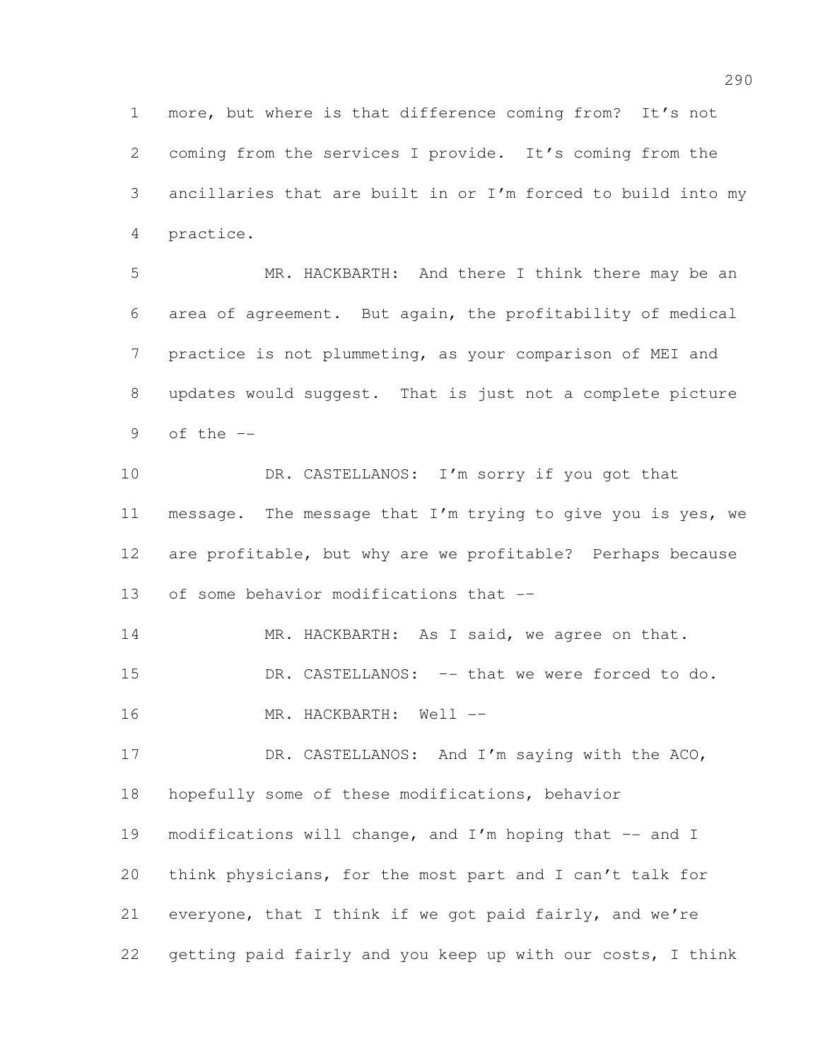more, but where is that difference coming from? It's not coming from the services I provide. It's coming from the ancillaries that are built in or I'm forced to build into my practice.

 MR. HACKBARTH: And there I think there may be an area of agreement. But again, the profitability of medical practice is not plummeting, as your comparison of MEI and updates would suggest. That is just not a complete picture 9 of the  $-$ 

10 DR. CASTELLANOS: I'm sorry if you got that message. The message that I'm trying to give you is yes, we are profitable, but why are we profitable? Perhaps because of some behavior modifications that -–

14 MR. HACKBARTH: As I said, we agree on that.

DR. CASTELLANOS: –- that we were forced to do.

16 MR. HACKBARTH: Well --

17 DR. CASTELLANOS: And I'm saying with the ACO, hopefully some of these modifications, behavior modifications will change, and I'm hoping that –- and I think physicians, for the most part and I can't talk for everyone, that I think if we got paid fairly, and we're getting paid fairly and you keep up with our costs, I think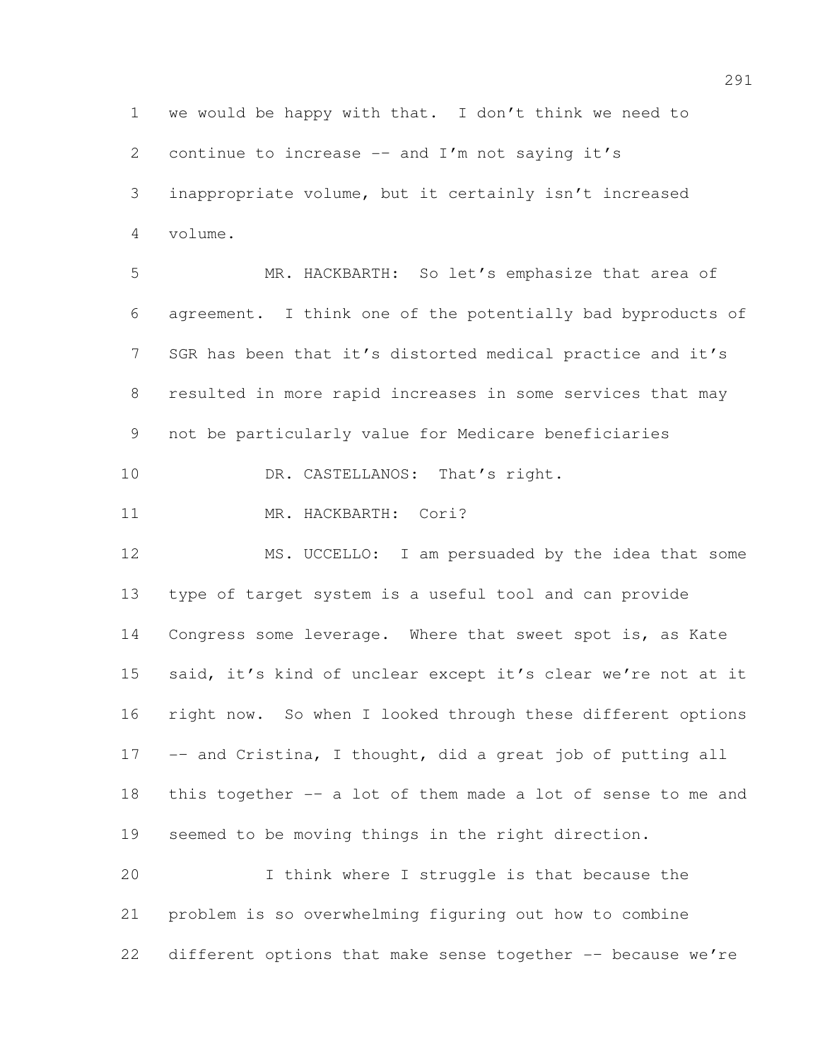we would be happy with that. I don't think we need to 2 continue to increase  $-$  and I'm not saying it's inappropriate volume, but it certainly isn't increased volume. MR. HACKBARTH: So let's emphasize that area of agreement. I think one of the potentially bad byproducts of SGR has been that it's distorted medical practice and it's resulted in more rapid increases in some services that may not be particularly value for Medicare beneficiaries 10 DR. CASTELLANOS: That's right. 11 MR. HACKBARTH: Cori? MS. UCCELLO: I am persuaded by the idea that some type of target system is a useful tool and can provide Congress some leverage. Where that sweet spot is, as Kate said, it's kind of unclear except it's clear we're not at it right now. So when I looked through these different options -– and Cristina, I thought, did a great job of putting all this together -– a lot of them made a lot of sense to me and seemed to be moving things in the right direction. I think where I struggle is that because the problem is so overwhelming figuring out how to combine

22 different options that make sense together -- because we're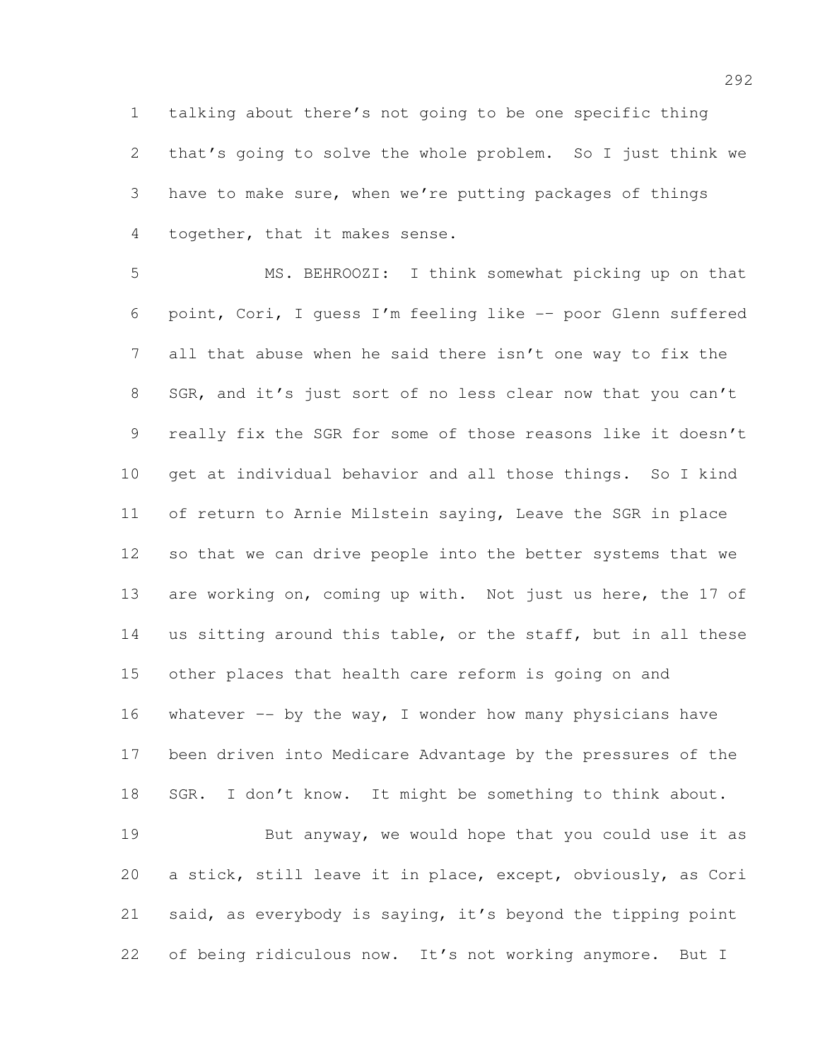talking about there's not going to be one specific thing that's going to solve the whole problem. So I just think we have to make sure, when we're putting packages of things together, that it makes sense.

 MS. BEHROOZI: I think somewhat picking up on that point, Cori, I guess I'm feeling like -– poor Glenn suffered all that abuse when he said there isn't one way to fix the 8 SGR, and it's just sort of no less clear now that you can't really fix the SGR for some of those reasons like it doesn't get at individual behavior and all those things. So I kind of return to Arnie Milstein saying, Leave the SGR in place so that we can drive people into the better systems that we 13 are working on, coming up with. Not just us here, the 17 of us sitting around this table, or the staff, but in all these other places that health care reform is going on and 16 whatever  $-$  by the way, I wonder how many physicians have been driven into Medicare Advantage by the pressures of the SGR. I don't know. It might be something to think about. But anyway, we would hope that you could use it as a stick, still leave it in place, except, obviously, as Cori said, as everybody is saying, it's beyond the tipping point of being ridiculous now. It's not working anymore. But I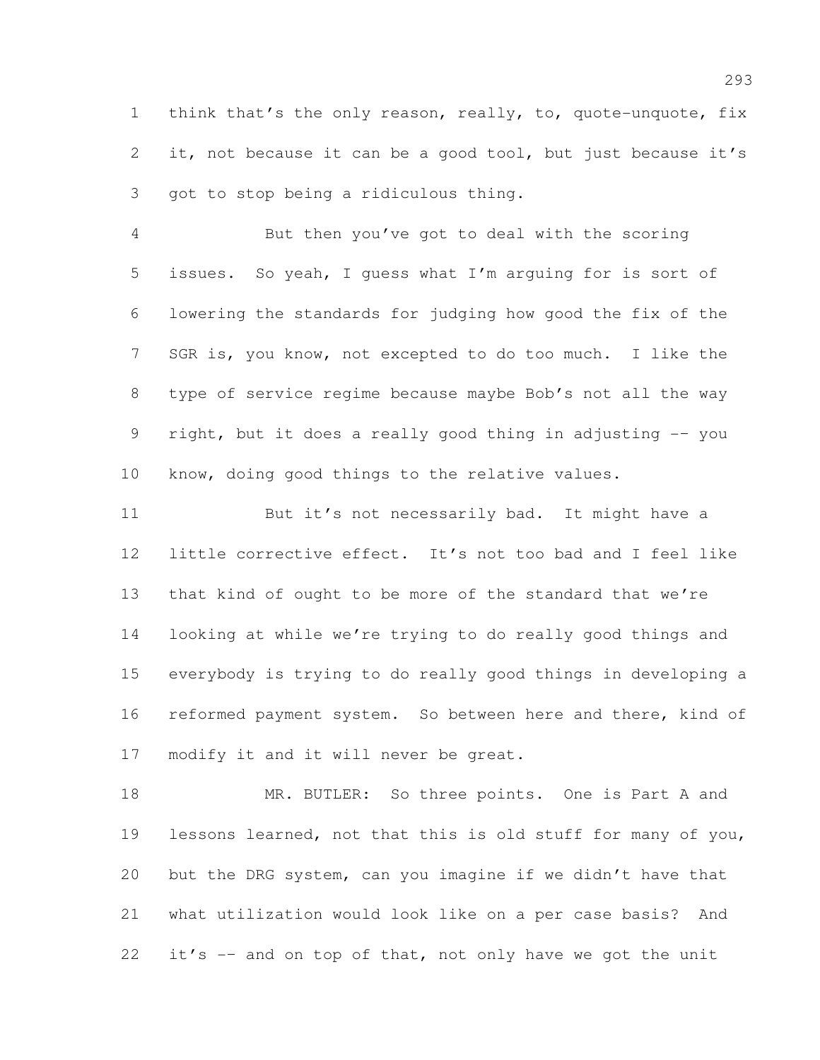think that's the only reason, really, to, quote-unquote, fix 2 it, not because it can be a good tool, but just because it's got to stop being a ridiculous thing.

 But then you've got to deal with the scoring issues. So yeah, I guess what I'm arguing for is sort of lowering the standards for judging how good the fix of the SGR is, you know, not excepted to do too much. I like the type of service regime because maybe Bob's not all the way right, but it does a really good thing in adjusting -– you know, doing good things to the relative values.

11 But it's not necessarily bad. It might have a little corrective effect. It's not too bad and I feel like that kind of ought to be more of the standard that we're looking at while we're trying to do really good things and everybody is trying to do really good things in developing a reformed payment system. So between here and there, kind of modify it and it will never be great.

18 MR. BUTLER: So three points. One is Part A and lessons learned, not that this is old stuff for many of you, but the DRG system, can you imagine if we didn't have that what utilization would look like on a per case basis? And it's -– and on top of that, not only have we got the unit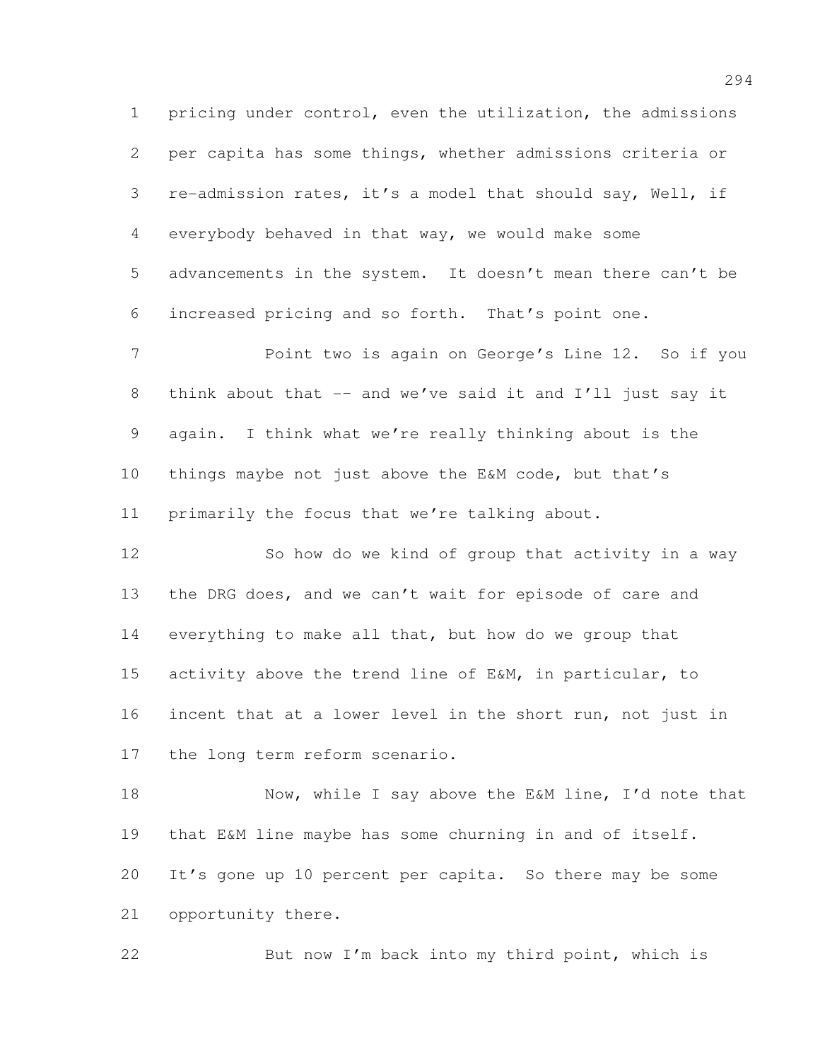pricing under control, even the utilization, the admissions per capita has some things, whether admissions criteria or re-admission rates, it's a model that should say, Well, if everybody behaved in that way, we would make some advancements in the system. It doesn't mean there can't be increased pricing and so forth. That's point one.

 Point two is again on George's Line 12. So if you 8 think about that -- and we've said it and I'll just say it again. I think what we're really thinking about is the things maybe not just above the E&M code, but that's primarily the focus that we're talking about.

12 So how do we kind of group that activity in a way the DRG does, and we can't wait for episode of care and everything to make all that, but how do we group that activity above the trend line of E&M, in particular, to incent that at a lower level in the short run, not just in the long term reform scenario.

18 Now, while I say above the E&M line, I'd note that that E&M line maybe has some churning in and of itself. It's gone up 10 percent per capita. So there may be some opportunity there.

But now I'm back into my third point, which is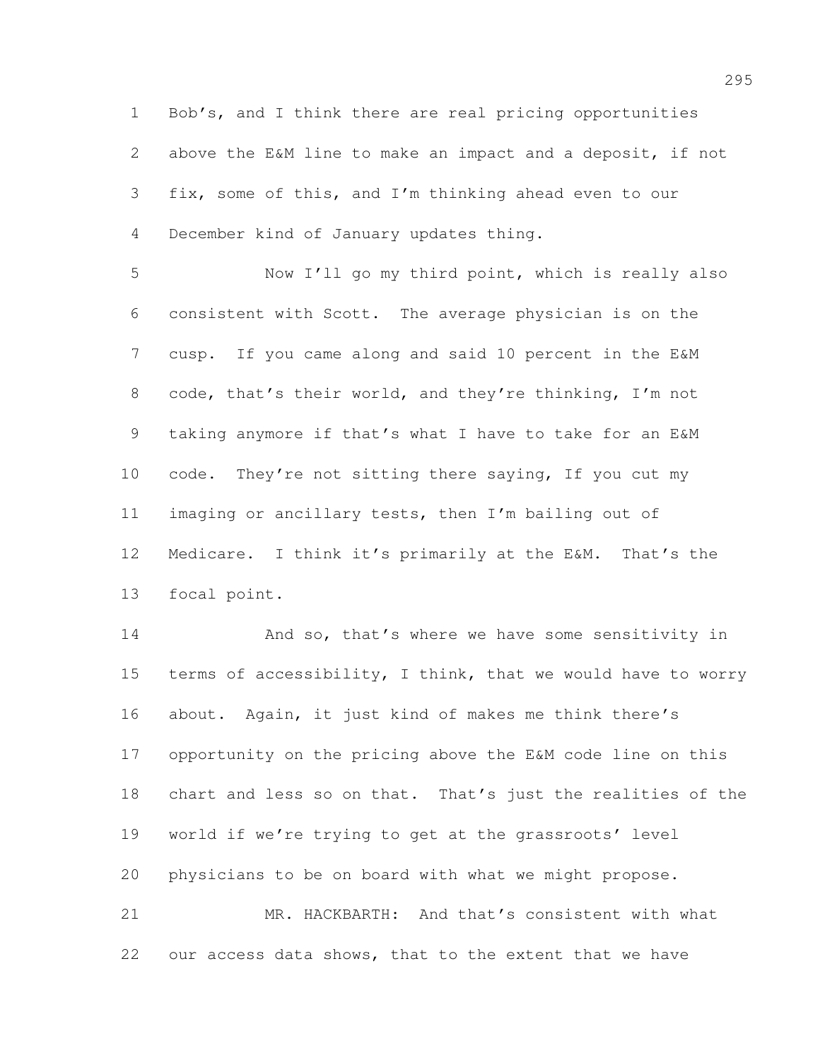Bob's, and I think there are real pricing opportunities above the E&M line to make an impact and a deposit, if not fix, some of this, and I'm thinking ahead even to our December kind of January updates thing.

 Now I'll go my third point, which is really also consistent with Scott. The average physician is on the cusp. If you came along and said 10 percent in the E&M code, that's their world, and they're thinking, I'm not taking anymore if that's what I have to take for an E&M 10 code. They're not sitting there saying, If you cut my imaging or ancillary tests, then I'm bailing out of Medicare. I think it's primarily at the E&M. That's the focal point.

14 And so, that's where we have some sensitivity in 15 terms of accessibility, I think, that we would have to worry about. Again, it just kind of makes me think there's opportunity on the pricing above the E&M code line on this chart and less so on that. That's just the realities of the world if we're trying to get at the grassroots' level physicians to be on board with what we might propose. MR. HACKBARTH: And that's consistent with what

our access data shows, that to the extent that we have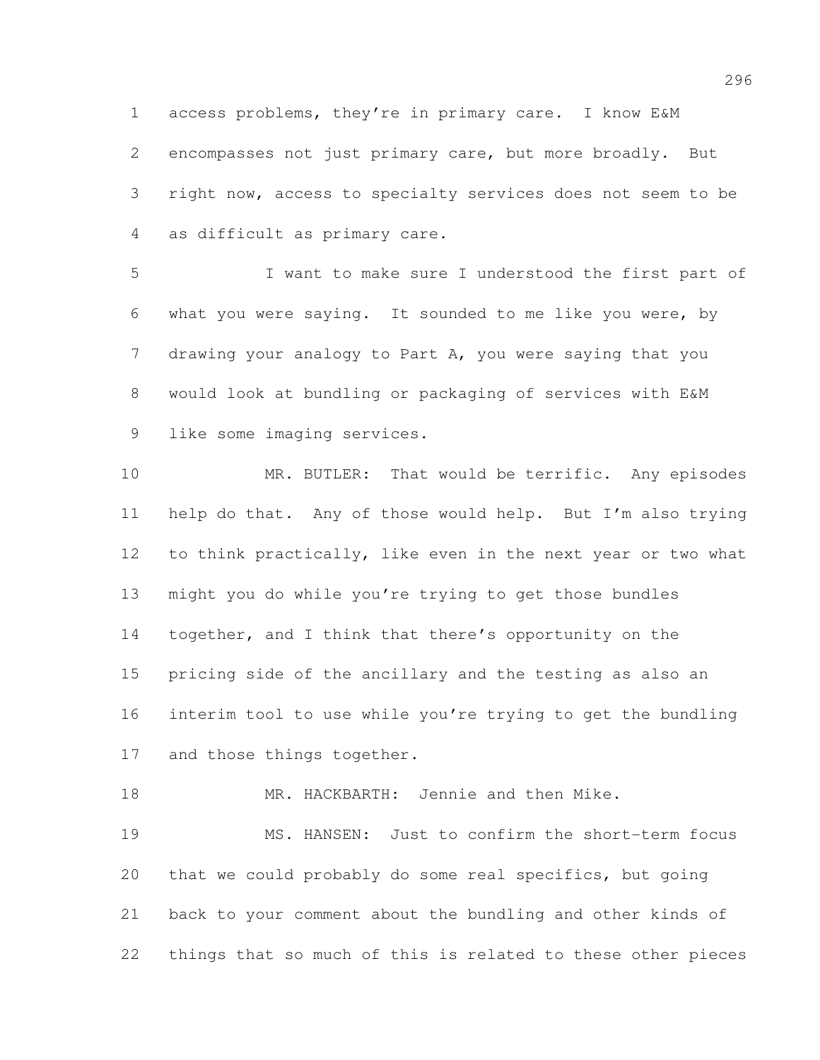access problems, they're in primary care. I know E&M encompasses not just primary care, but more broadly. But right now, access to specialty services does not seem to be as difficult as primary care.

 I want to make sure I understood the first part of what you were saying. It sounded to me like you were, by drawing your analogy to Part A, you were saying that you would look at bundling or packaging of services with E&M like some imaging services.

 MR. BUTLER: That would be terrific. Any episodes help do that. Any of those would help. But I'm also trying to think practically, like even in the next year or two what might you do while you're trying to get those bundles 14 together, and I think that there's opportunity on the pricing side of the ancillary and the testing as also an interim tool to use while you're trying to get the bundling 17 and those things together.

18 MR. HACKBARTH: Jennie and then Mike.

 MS. HANSEN: Just to confirm the short-term focus that we could probably do some real specifics, but going back to your comment about the bundling and other kinds of things that so much of this is related to these other pieces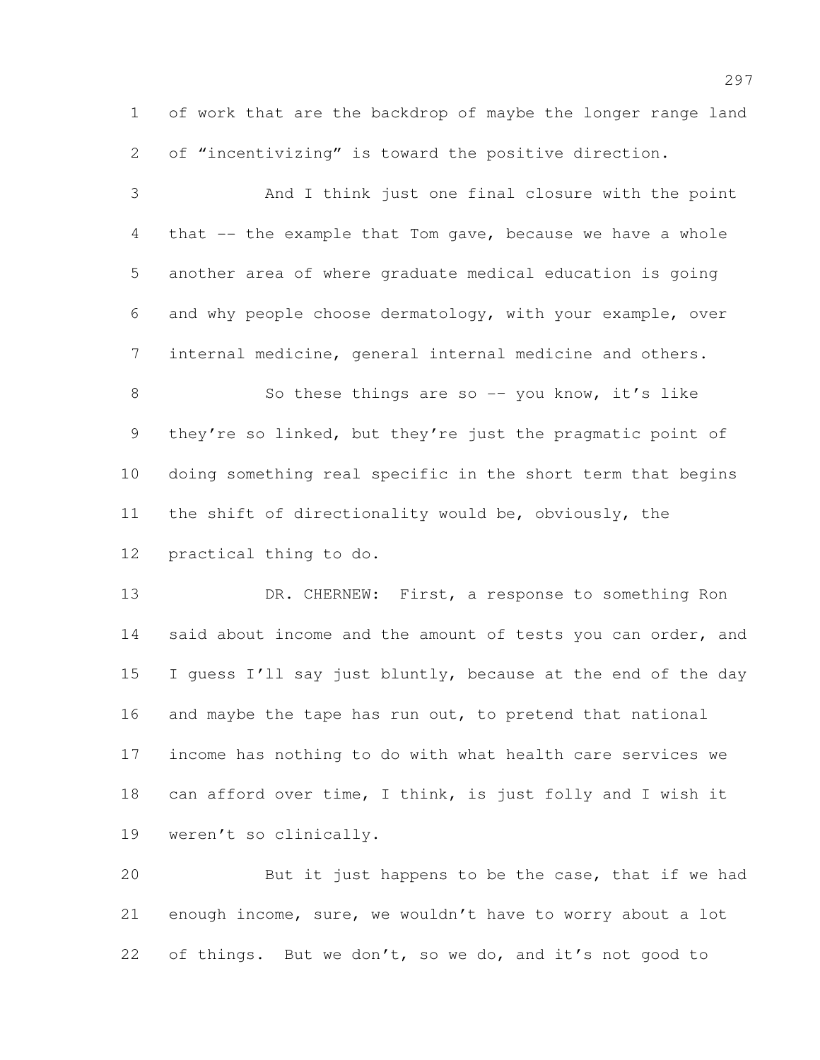of work that are the backdrop of maybe the longer range land of "incentivizing" is toward the positive direction.

 And I think just one final closure with the point that -- the example that Tom gave, because we have a whole another area of where graduate medical education is going and why people choose dermatology, with your example, over internal medicine, general internal medicine and others. 8 So these things are so -- you know, it's like they're so linked, but they're just the pragmatic point of doing something real specific in the short term that begins the shift of directionality would be, obviously, the

practical thing to do.

13 DR. CHERNEW: First, a response to something Ron 14 said about income and the amount of tests you can order, and I guess I'll say just bluntly, because at the end of the day 16 and maybe the tape has run out, to pretend that national income has nothing to do with what health care services we can afford over time, I think, is just folly and I wish it weren't so clinically.

 But it just happens to be the case, that if we had enough income, sure, we wouldn't have to worry about a lot of things. But we don't, so we do, and it's not good to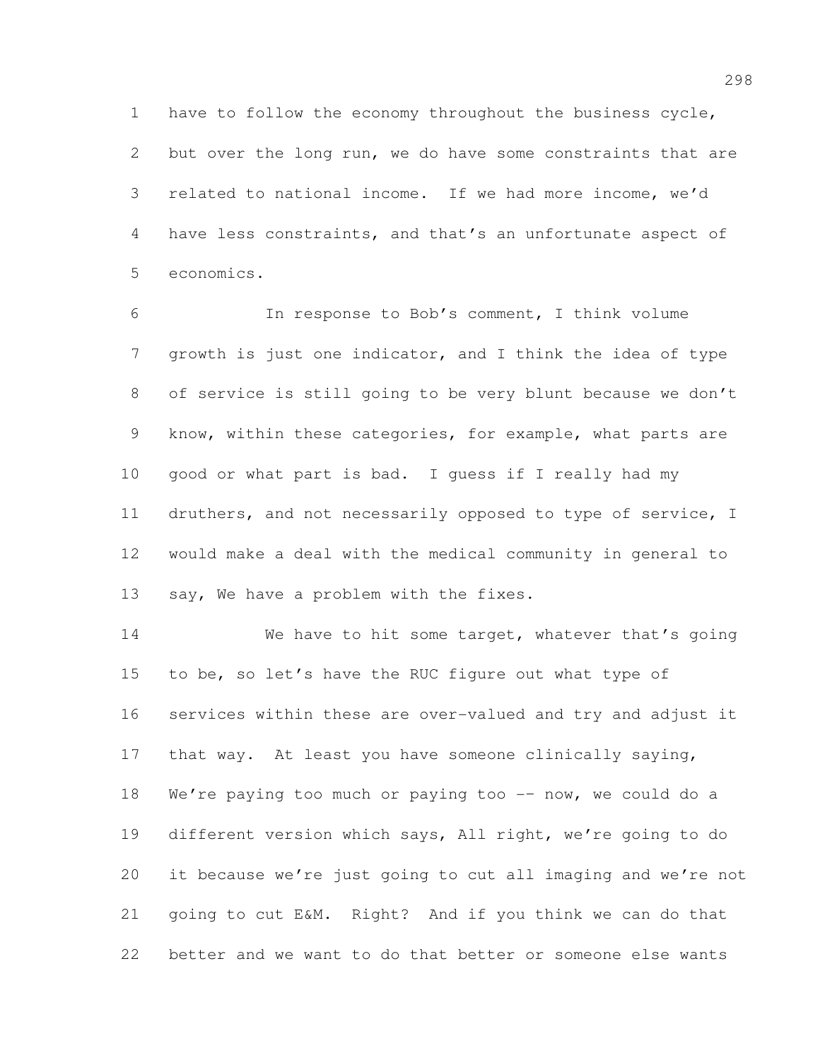have to follow the economy throughout the business cycle, but over the long run, we do have some constraints that are related to national income. If we had more income, we'd have less constraints, and that's an unfortunate aspect of economics.

 In response to Bob's comment, I think volume growth is just one indicator, and I think the idea of type of service is still going to be very blunt because we don't know, within these categories, for example, what parts are good or what part is bad. I guess if I really had my druthers, and not necessarily opposed to type of service, I would make a deal with the medical community in general to say, We have a problem with the fixes.

14 We have to hit some target, whatever that's going 15 to be, so let's have the RUC figure out what type of services within these are over-valued and try and adjust it that way. At least you have someone clinically saying, 18 We're paying too much or paying too -- now, we could do a different version which says, All right, we're going to do it because we're just going to cut all imaging and we're not going to cut E&M. Right? And if you think we can do that better and we want to do that better or someone else wants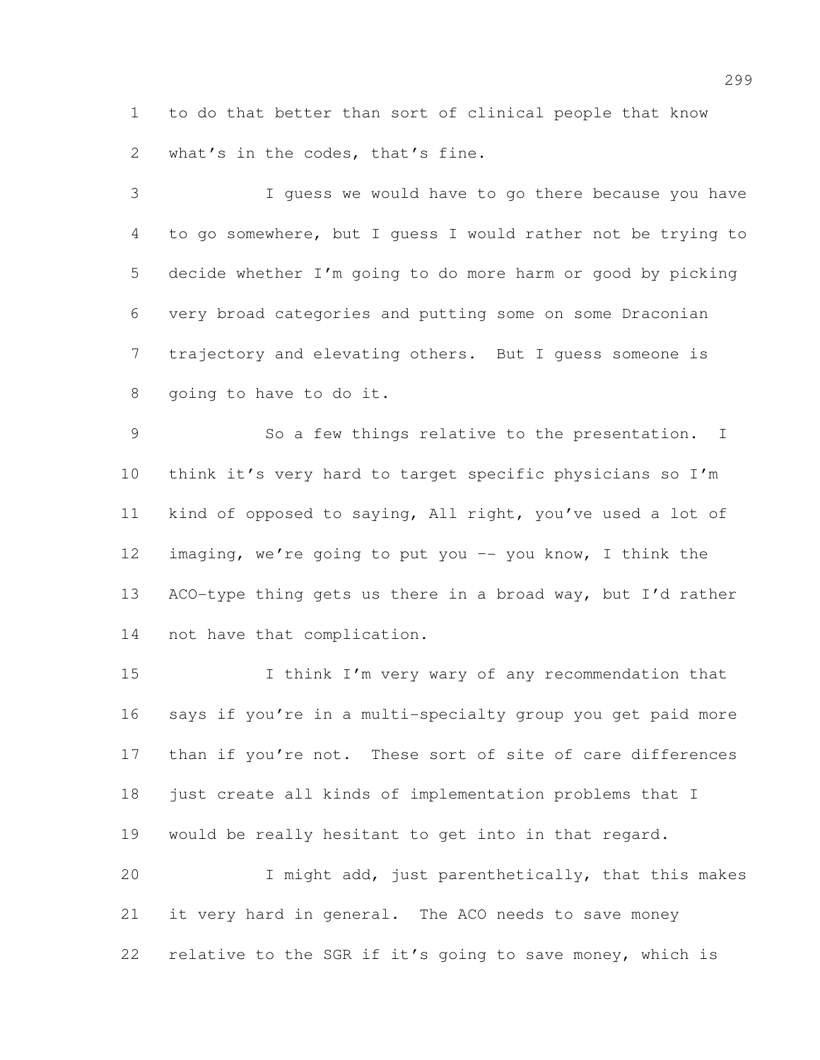to do that better than sort of clinical people that know 2 what's in the codes, that's fine.

 I guess we would have to go there because you have to go somewhere, but I guess I would rather not be trying to decide whether I'm going to do more harm or good by picking very broad categories and putting some on some Draconian trajectory and elevating others. But I guess someone is going to have to do it.

 So a few things relative to the presentation. I think it's very hard to target specific physicians so I'm kind of opposed to saying, All right, you've used a lot of imaging, we're going to put you –- you know, I think the 13 ACO-type thing gets us there in a broad way, but I'd rather not have that complication.

15 I think I'm very wary of any recommendation that says if you're in a multi-specialty group you get paid more 17 than if you're not. These sort of site of care differences just create all kinds of implementation problems that I would be really hesitant to get into in that regard. I might add, just parenthetically, that this makes it very hard in general. The ACO needs to save money

relative to the SGR if it's going to save money, which is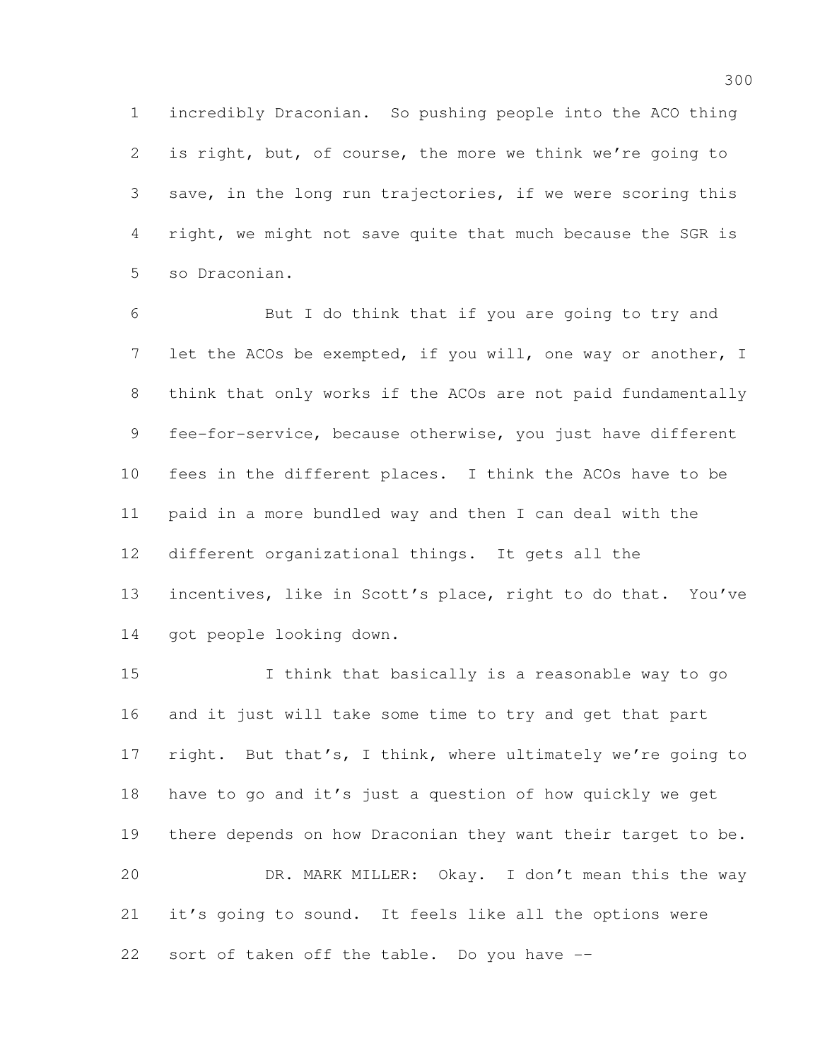incredibly Draconian. So pushing people into the ACO thing is right, but, of course, the more we think we're going to save, in the long run trajectories, if we were scoring this right, we might not save quite that much because the SGR is so Draconian.

 But I do think that if you are going to try and let the ACOs be exempted, if you will, one way or another, I think that only works if the ACOs are not paid fundamentally fee-for-service, because otherwise, you just have different fees in the different places. I think the ACOs have to be paid in a more bundled way and then I can deal with the different organizational things. It gets all the incentives, like in Scott's place, right to do that. You've 14 got people looking down.

 I think that basically is a reasonable way to go and it just will take some time to try and get that part 17 right. But that's, I think, where ultimately we're going to have to go and it's just a question of how quickly we get there depends on how Draconian they want their target to be. DR. MARK MILLER: Okay. I don't mean this the way it's going to sound. It feels like all the options were sort of taken off the table. Do you have -–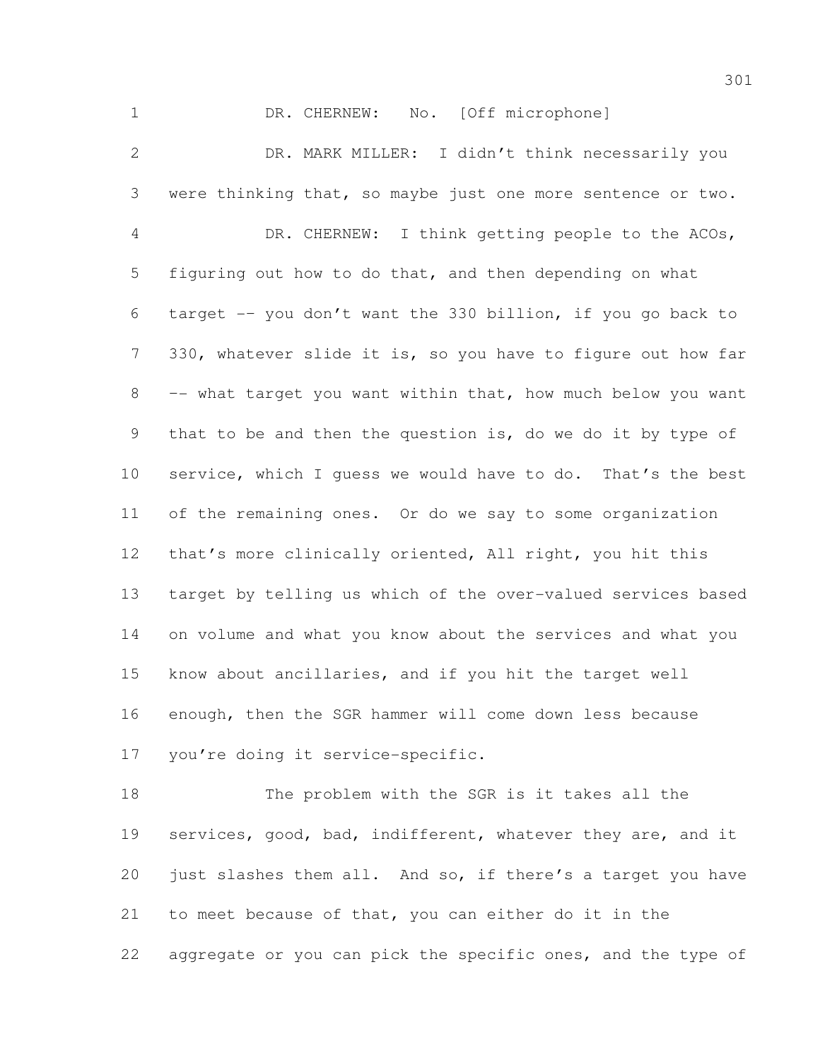1 DR. CHERNEW: No. [Off microphone]

 DR. MARK MILLER: I didn't think necessarily you were thinking that, so maybe just one more sentence or two. DR. CHERNEW: I think getting people to the ACOs, figuring out how to do that, and then depending on what target -– you don't want the 330 billion, if you go back to 330, whatever slide it is, so you have to figure out how far –- what target you want within that, how much below you want that to be and then the question is, do we do it by type of service, which I guess we would have to do. That's the best of the remaining ones. Or do we say to some organization that's more clinically oriented, All right, you hit this target by telling us which of the over-valued services based on volume and what you know about the services and what you know about ancillaries, and if you hit the target well enough, then the SGR hammer will come down less because you're doing it service-specific.

 The problem with the SGR is it takes all the 19 services, good, bad, indifferent, whatever they are, and it just slashes them all. And so, if there's a target you have to meet because of that, you can either do it in the 22 aggregate or you can pick the specific ones, and the type of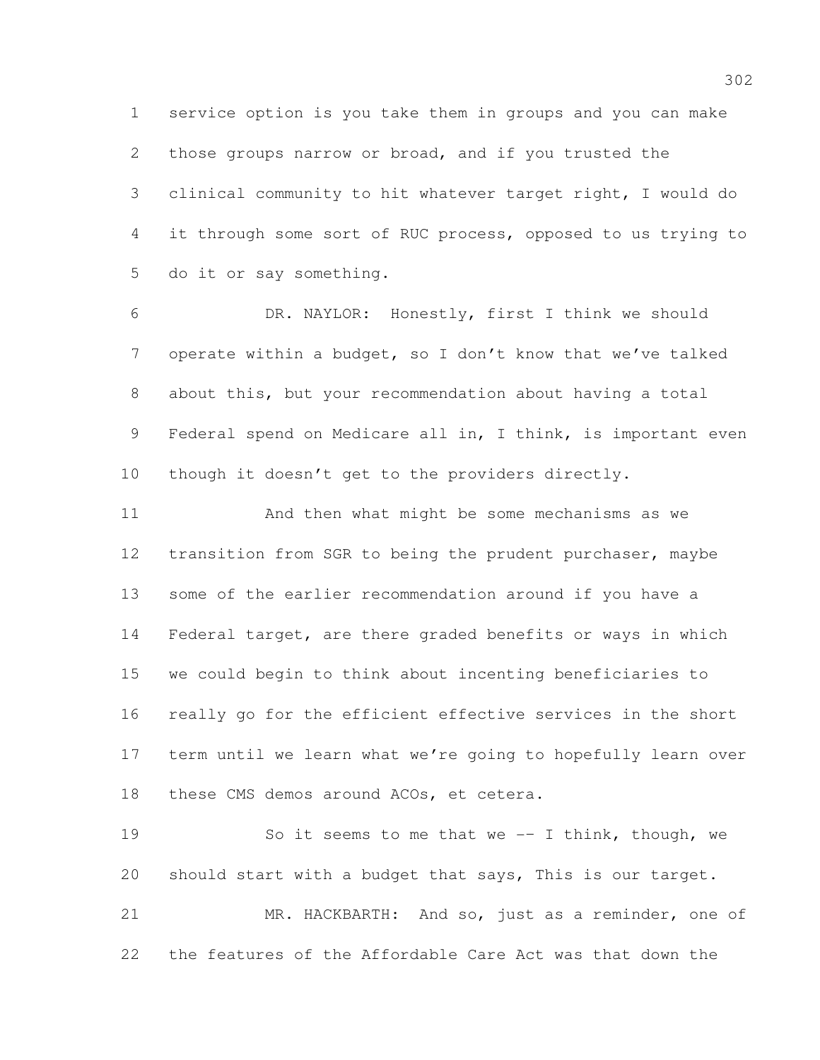service option is you take them in groups and you can make those groups narrow or broad, and if you trusted the clinical community to hit whatever target right, I would do it through some sort of RUC process, opposed to us trying to do it or say something.

 DR. NAYLOR: Honestly, first I think we should operate within a budget, so I don't know that we've talked about this, but your recommendation about having a total Federal spend on Medicare all in, I think, is important even though it doesn't get to the providers directly.

 And then what might be some mechanisms as we transition from SGR to being the prudent purchaser, maybe some of the earlier recommendation around if you have a Federal target, are there graded benefits or ways in which we could begin to think about incenting beneficiaries to really go for the efficient effective services in the short term until we learn what we're going to hopefully learn over these CMS demos around ACOs, et cetera.

19 So it seems to me that we -- I think, though, we should start with a budget that says, This is our target. MR. HACKBARTH: And so, just as a reminder, one of the features of the Affordable Care Act was that down the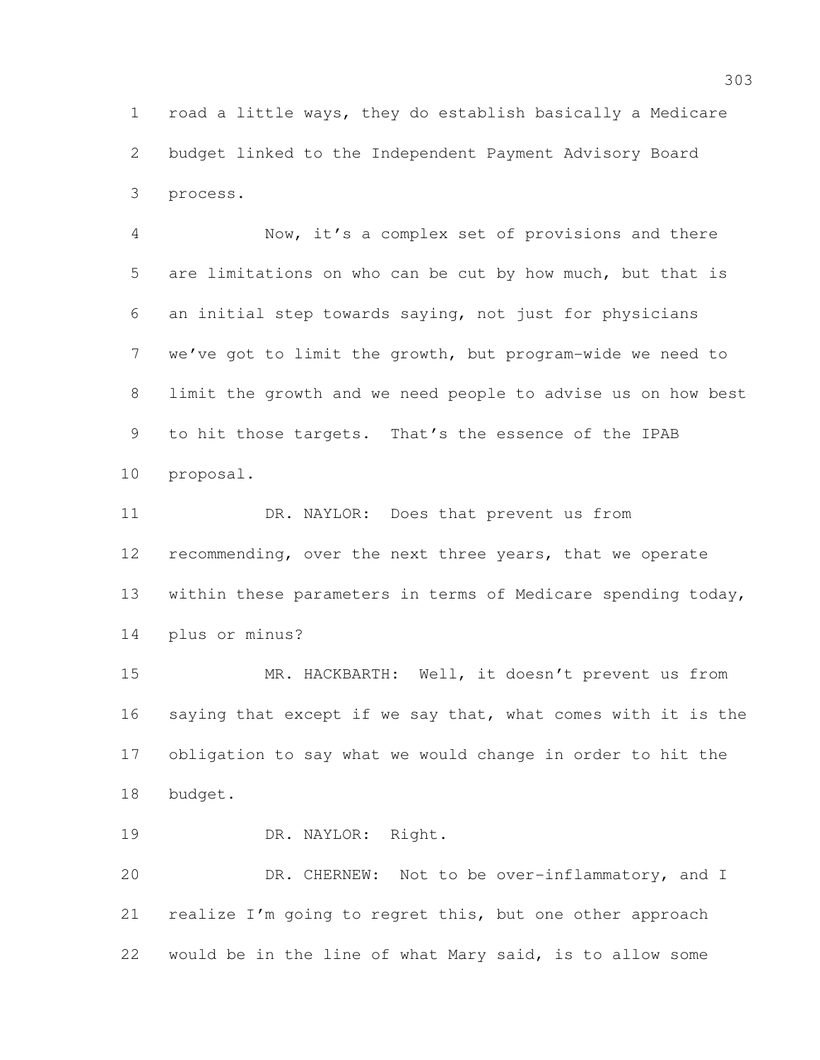road a little ways, they do establish basically a Medicare budget linked to the Independent Payment Advisory Board process.

 Now, it's a complex set of provisions and there are limitations on who can be cut by how much, but that is an initial step towards saying, not just for physicians we've got to limit the growth, but program-wide we need to limit the growth and we need people to advise us on how best to hit those targets. That's the essence of the IPAB proposal.

 DR. NAYLOR: Does that prevent us from 12 recommending, over the next three years, that we operate within these parameters in terms of Medicare spending today, plus or minus?

 MR. HACKBARTH: Well, it doesn't prevent us from saying that except if we say that, what comes with it is the obligation to say what we would change in order to hit the budget.

DR. NAYLOR: Right.

 DR. CHERNEW: Not to be over-inflammatory, and I realize I'm going to regret this, but one other approach would be in the line of what Mary said, is to allow some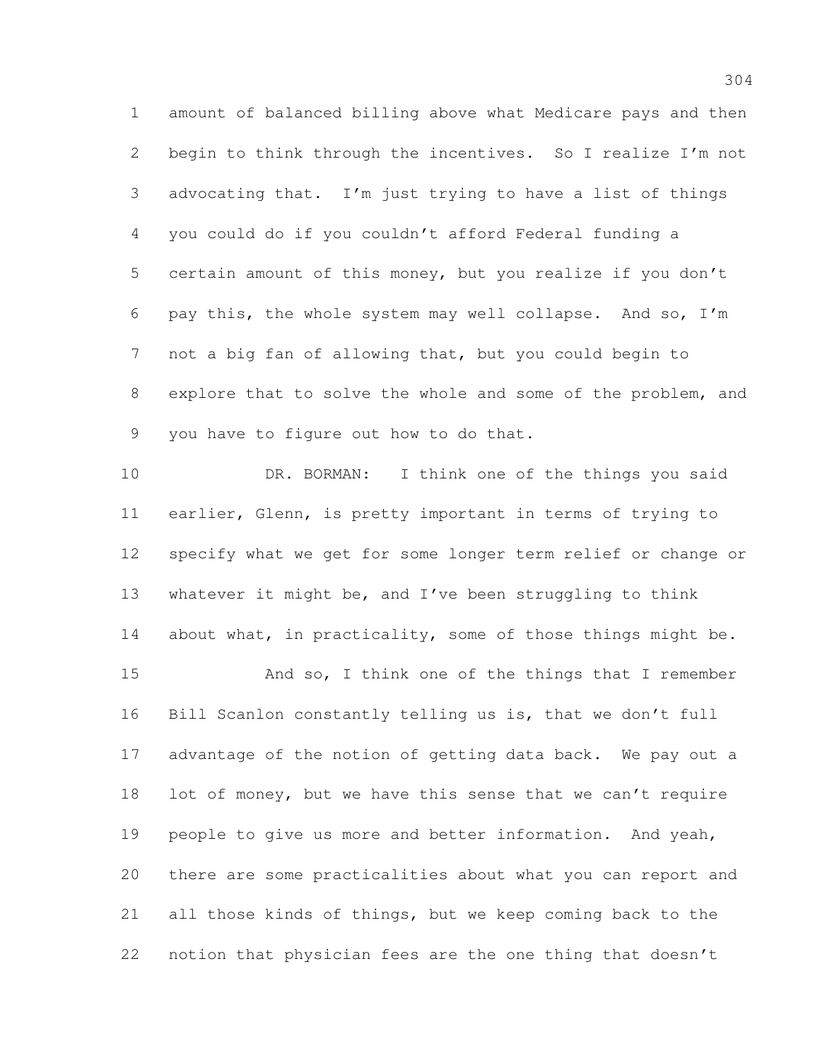amount of balanced billing above what Medicare pays and then begin to think through the incentives. So I realize I'm not advocating that. I'm just trying to have a list of things you could do if you couldn't afford Federal funding a certain amount of this money, but you realize if you don't pay this, the whole system may well collapse. And so, I'm not a big fan of allowing that, but you could begin to explore that to solve the whole and some of the problem, and you have to figure out how to do that.

 DR. BORMAN: I think one of the things you said earlier, Glenn, is pretty important in terms of trying to specify what we get for some longer term relief or change or whatever it might be, and I've been struggling to think 14 about what, in practicality, some of those things might be. And so, I think one of the things that I remember Bill Scanlon constantly telling us is, that we don't full advantage of the notion of getting data back. We pay out a 18 lot of money, but we have this sense that we can't require people to give us more and better information. And yeah, there are some practicalities about what you can report and all those kinds of things, but we keep coming back to the notion that physician fees are the one thing that doesn't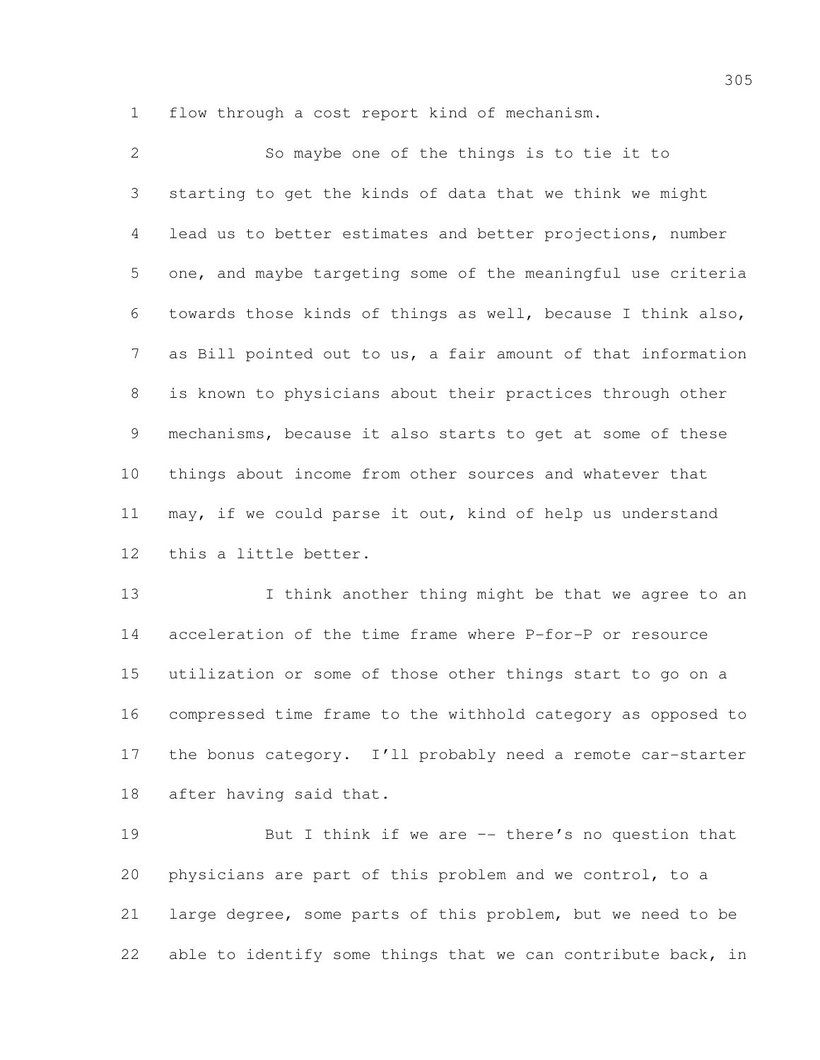flow through a cost report kind of mechanism.

 So maybe one of the things is to tie it to starting to get the kinds of data that we think we might lead us to better estimates and better projections, number one, and maybe targeting some of the meaningful use criteria towards those kinds of things as well, because I think also, as Bill pointed out to us, a fair amount of that information is known to physicians about their practices through other mechanisms, because it also starts to get at some of these things about income from other sources and whatever that may, if we could parse it out, kind of help us understand this a little better.

13 I think another thing might be that we agree to an acceleration of the time frame where P-for-P or resource utilization or some of those other things start to go on a compressed time frame to the withhold category as opposed to 17 the bonus category. I'll probably need a remote car-starter after having said that.

 But I think if we are –- there's no question that physicians are part of this problem and we control, to a large degree, some parts of this problem, but we need to be 22 able to identify some things that we can contribute back, in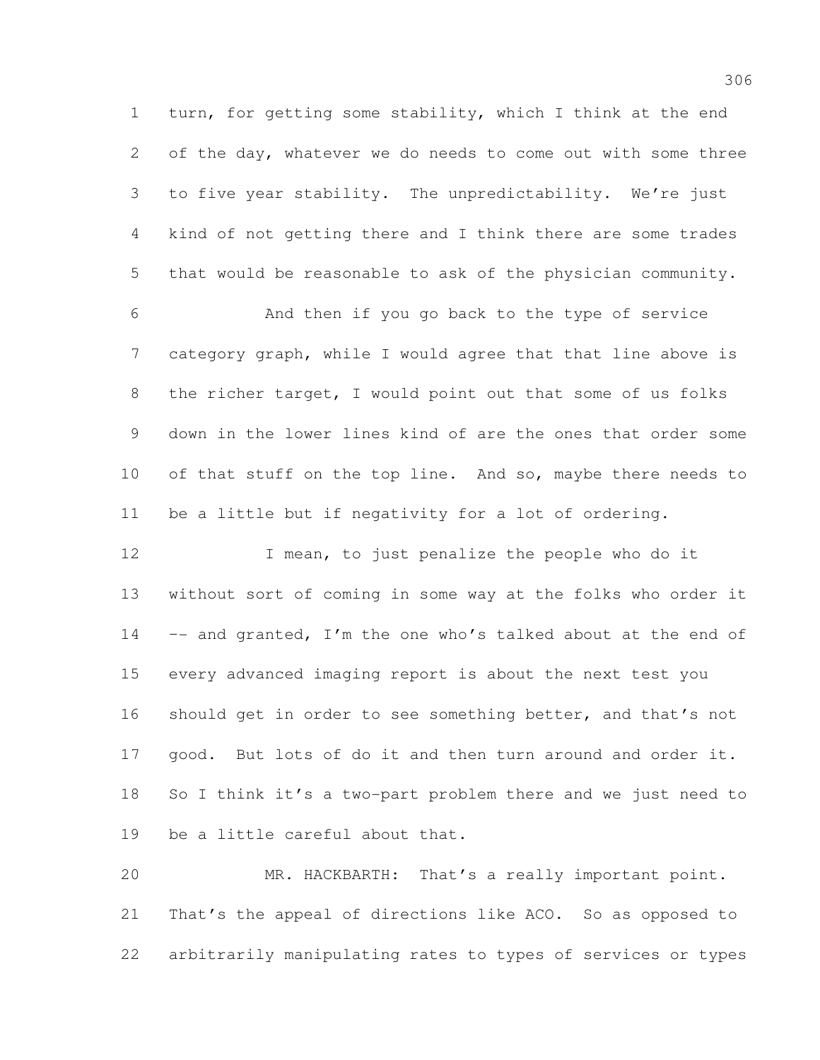turn, for getting some stability, which I think at the end of the day, whatever we do needs to come out with some three to five year stability. The unpredictability. We're just kind of not getting there and I think there are some trades that would be reasonable to ask of the physician community.

 And then if you go back to the type of service category graph, while I would agree that that line above is the richer target, I would point out that some of us folks down in the lower lines kind of are the ones that order some 10 of that stuff on the top line. And so, maybe there needs to be a little but if negativity for a lot of ordering.

12 I mean, to just penalize the people who do it without sort of coming in some way at the folks who order it –- and granted, I'm the one who's talked about at the end of every advanced imaging report is about the next test you should get in order to see something better, and that's not good. But lots of do it and then turn around and order it. So I think it's a two-part problem there and we just need to be a little careful about that.

 MR. HACKBARTH: That's a really important point. That's the appeal of directions like ACO. So as opposed to arbitrarily manipulating rates to types of services or types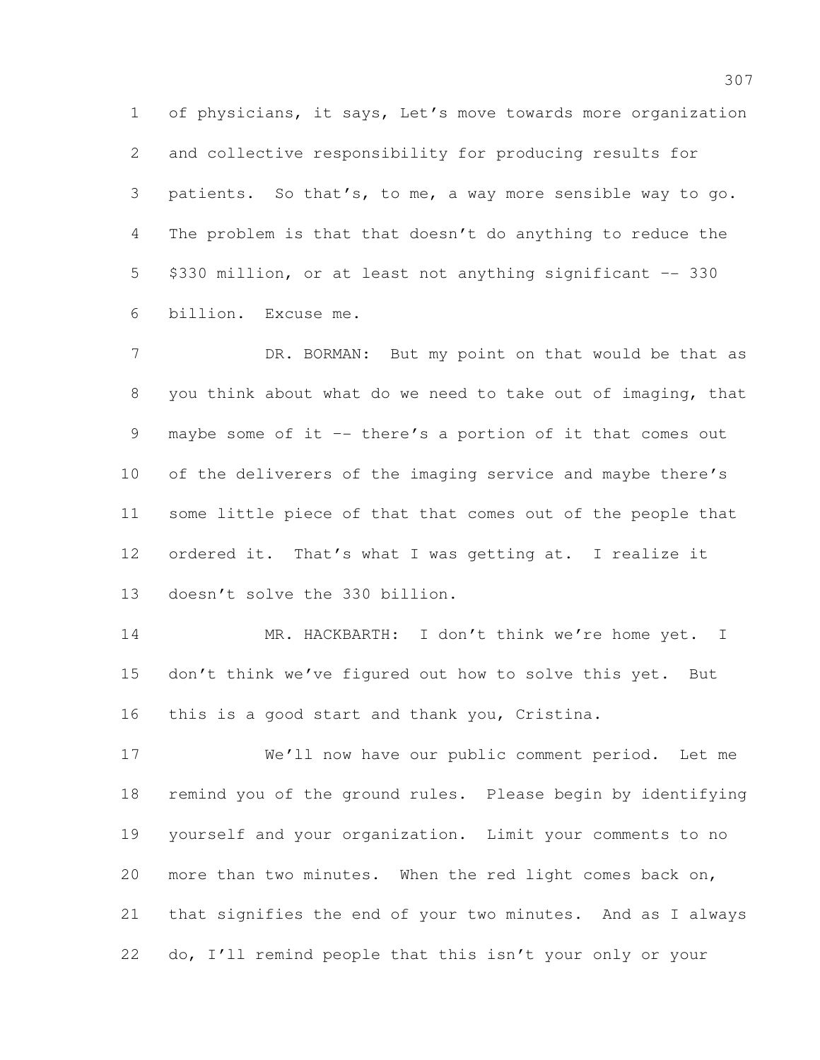of physicians, it says, Let's move towards more organization and collective responsibility for producing results for patients. So that's, to me, a way more sensible way to go. The problem is that that doesn't do anything to reduce the \$330 million, or at least not anything significant –- 330 billion. Excuse me.

7 DR. BORMAN: But my point on that would be that as you think about what do we need to take out of imaging, that maybe some of it –- there's a portion of it that comes out 10 of the deliverers of the imaging service and maybe there's some little piece of that that comes out of the people that ordered it. That's what I was getting at. I realize it doesn't solve the 330 billion.

14 MR. HACKBARTH: I don't think we're home yet. I don't think we've figured out how to solve this yet. But this is a good start and thank you, Cristina.

 We'll now have our public comment period. Let me remind you of the ground rules. Please begin by identifying yourself and your organization. Limit your comments to no more than two minutes. When the red light comes back on, that signifies the end of your two minutes. And as I always do, I'll remind people that this isn't your only or your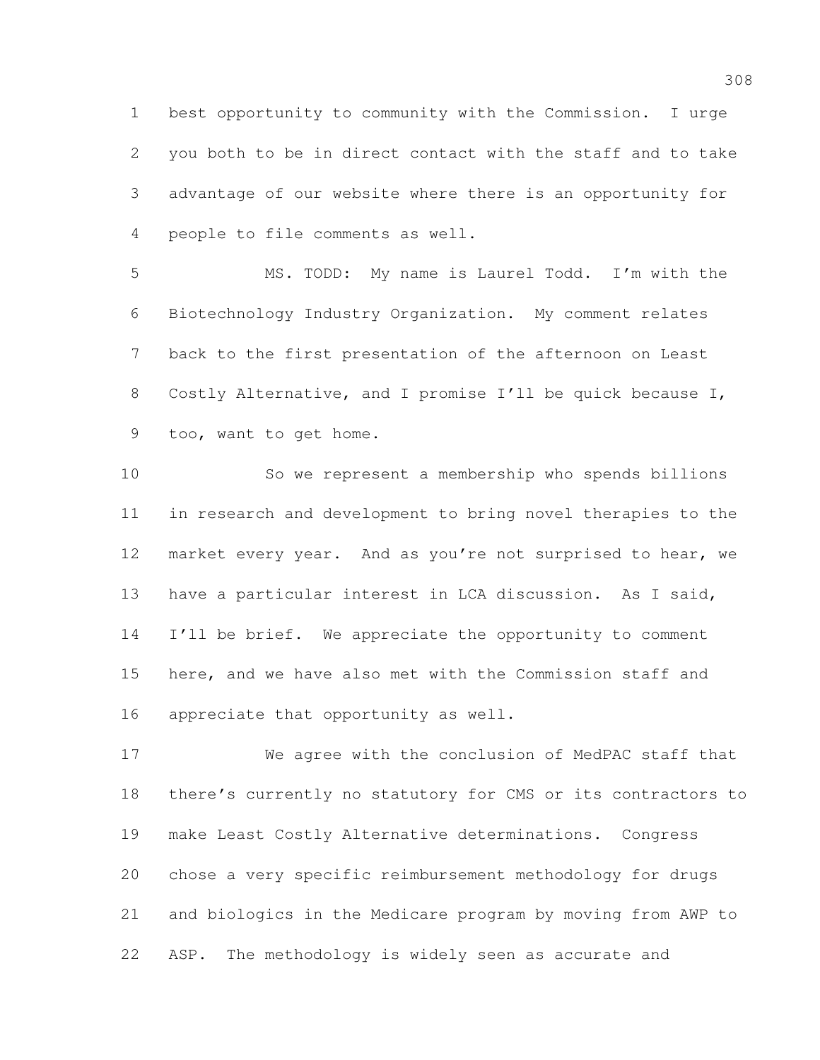best opportunity to community with the Commission. I urge you both to be in direct contact with the staff and to take advantage of our website where there is an opportunity for people to file comments as well.

 MS. TODD: My name is Laurel Todd. I'm with the Biotechnology Industry Organization. My comment relates back to the first presentation of the afternoon on Least Costly Alternative, and I promise I'll be quick because I, too, want to get home.

 So we represent a membership who spends billions in research and development to bring novel therapies to the market every year. And as you're not surprised to hear, we have a particular interest in LCA discussion. As I said, 14 I'll be brief. We appreciate the opportunity to comment here, and we have also met with the Commission staff and appreciate that opportunity as well.

 We agree with the conclusion of MedPAC staff that there's currently no statutory for CMS or its contractors to make Least Costly Alternative determinations. Congress chose a very specific reimbursement methodology for drugs and biologics in the Medicare program by moving from AWP to ASP. The methodology is widely seen as accurate and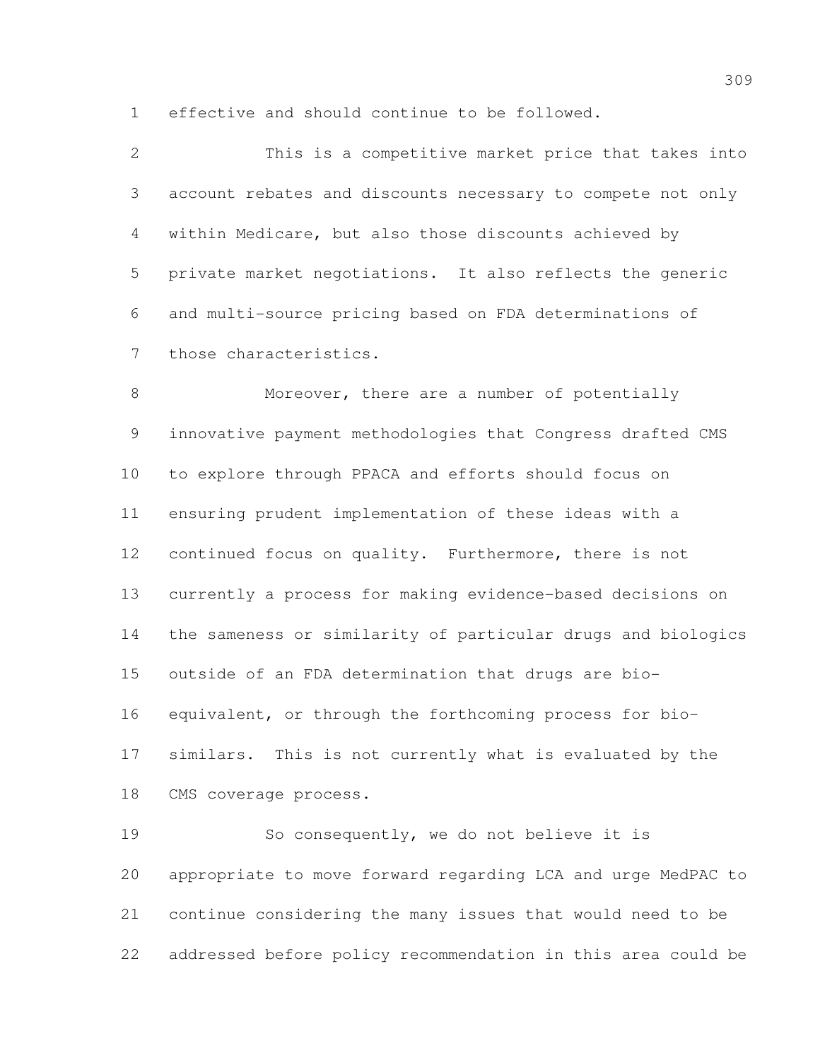effective and should continue to be followed.

| $\mathcal{L}$        | This is a competitive market price that takes into          |
|----------------------|-------------------------------------------------------------|
| $\mathcal{S}$        | account rebates and discounts necessary to compete not only |
| $4\phantom{.0000}\,$ | within Medicare, but also those discounts achieved by       |
| 5                    | private market negotiations. It also reflects the generic   |
| 6                    | and multi-source pricing based on FDA determinations of     |
|                      | those characteristics.                                      |

8 Moreover, there are a number of potentially innovative payment methodologies that Congress drafted CMS to explore through PPACA and efforts should focus on ensuring prudent implementation of these ideas with a continued focus on quality. Furthermore, there is not currently a process for making evidence-based decisions on the sameness or similarity of particular drugs and biologics outside of an FDA determination that drugs are bio- equivalent, or through the forthcoming process for bio- similars. This is not currently what is evaluated by the CMS coverage process.

 So consequently, we do not believe it is appropriate to move forward regarding LCA and urge MedPAC to continue considering the many issues that would need to be addressed before policy recommendation in this area could be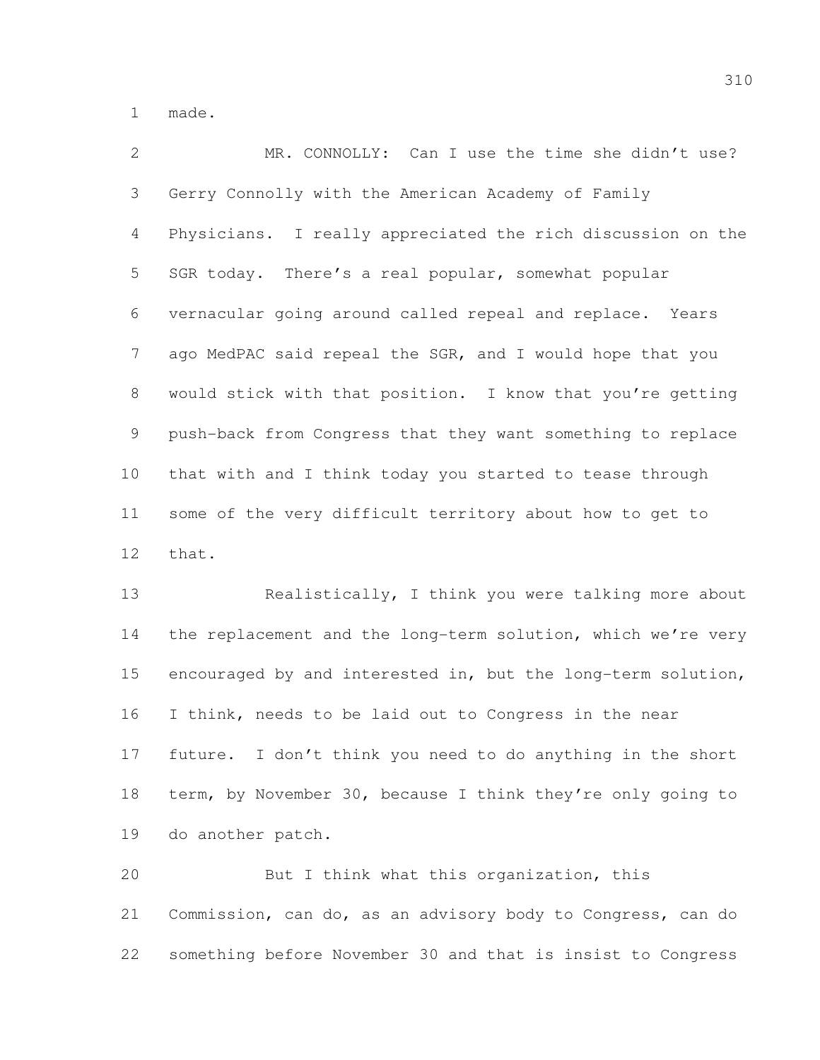made.

 MR. CONNOLLY: Can I use the time she didn't use? Gerry Connolly with the American Academy of Family Physicians. I really appreciated the rich discussion on the SGR today. There's a real popular, somewhat popular vernacular going around called repeal and replace. Years ago MedPAC said repeal the SGR, and I would hope that you would stick with that position. I know that you're getting push-back from Congress that they want something to replace that with and I think today you started to tease through some of the very difficult territory about how to get to that.

 Realistically, I think you were talking more about 14 the replacement and the long-term solution, which we're very encouraged by and interested in, but the long-term solution, I think, needs to be laid out to Congress in the near future. I don't think you need to do anything in the short term, by November 30, because I think they're only going to do another patch.

 But I think what this organization, this Commission, can do, as an advisory body to Congress, can do something before November 30 and that is insist to Congress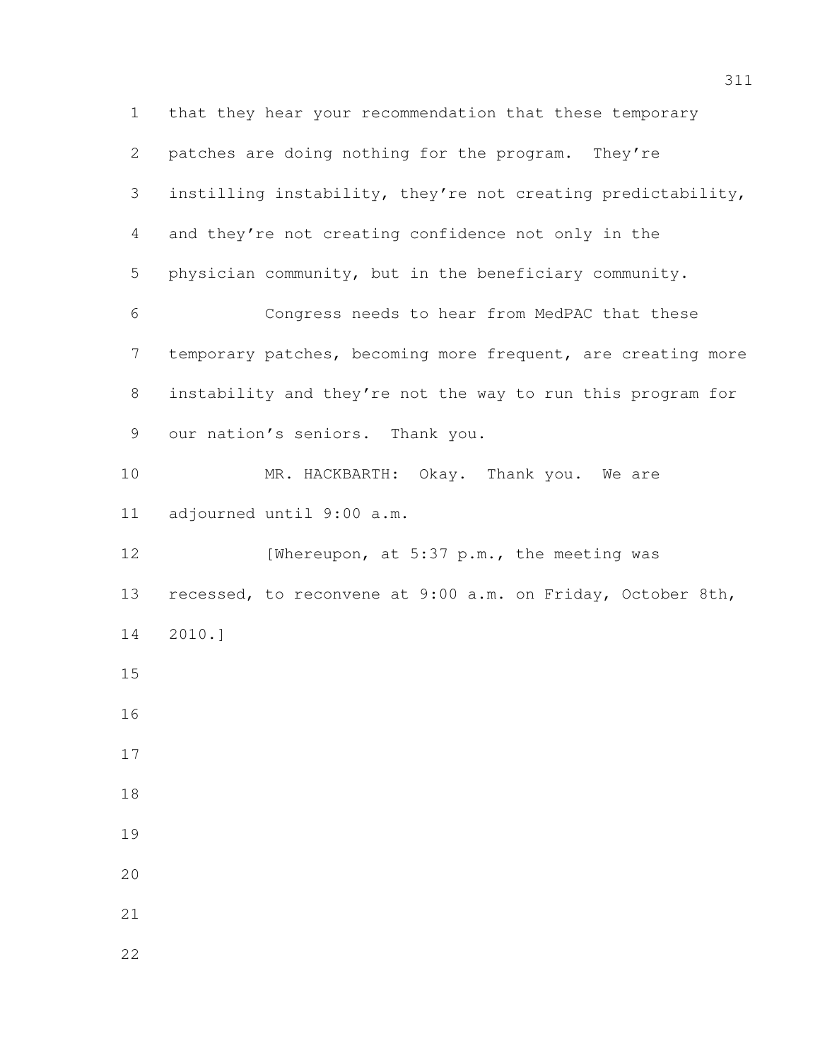that they hear your recommendation that these temporary patches are doing nothing for the program. They're instilling instability, they're not creating predictability, and they're not creating confidence not only in the physician community, but in the beneficiary community. Congress needs to hear from MedPAC that these temporary patches, becoming more frequent, are creating more instability and they're not the way to run this program for our nation's seniors. Thank you. 10 MR. HACKBARTH: Okay. Thank you. We are adjourned until 9:00 a.m. 12 [Whereupon, at 5:37 p.m., the meeting was recessed, to reconvene at 9:00 a.m. on Friday, October 8th, 2010.]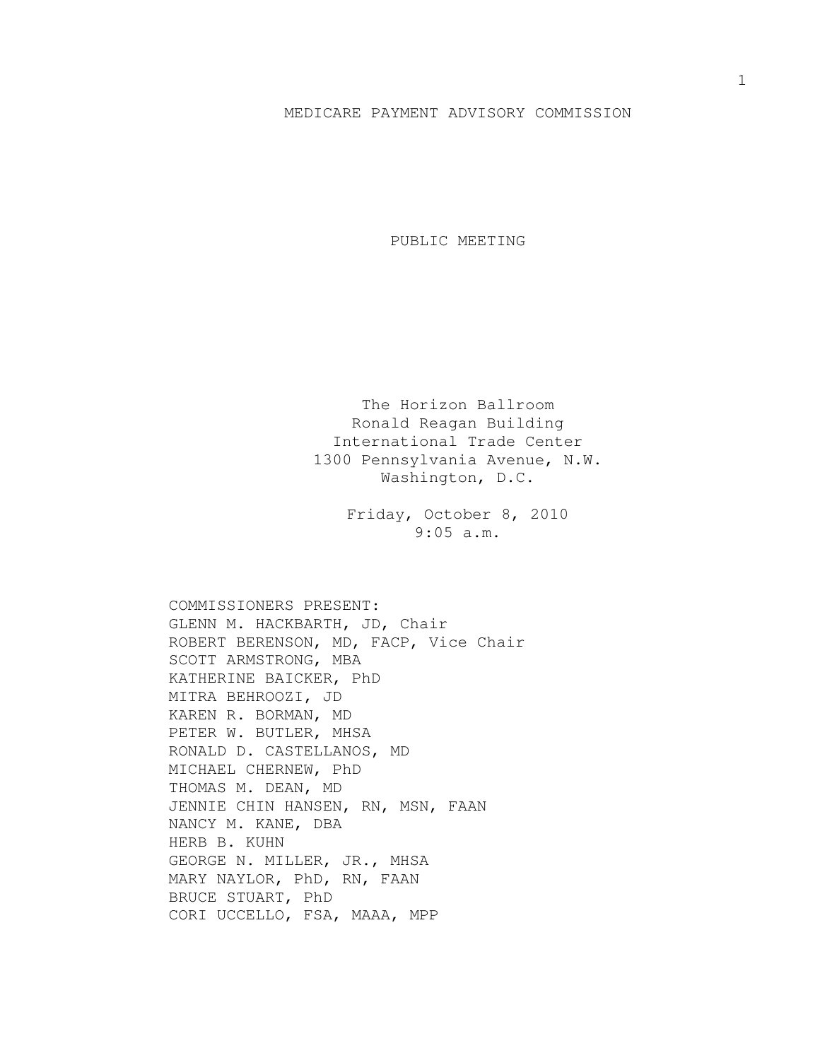## MEDICARE PAYMENT ADVISORY COMMISSION

PUBLIC MEETING

The Horizon Ballroom Ronald Reagan Building International Trade Center 1300 Pennsylvania Avenue, N.W. Washington, D.C.

> Friday, October 8, 2010 9:05 a.m.

COMMISSIONERS PRESENT: GLENN M. HACKBARTH, JD, Chair ROBERT BERENSON, MD, FACP, Vice Chair SCOTT ARMSTRONG, MBA KATHERINE BAICKER, PhD MITRA BEHROOZI, JD KAREN R. BORMAN, MD PETER W. BUTLER, MHSA RONALD D. CASTELLANOS, MD MICHAEL CHERNEW, PhD THOMAS M. DEAN, MD JENNIE CHIN HANSEN, RN, MSN, FAAN NANCY M. KANE, DBA HERB B. KUHN GEORGE N. MILLER, JR., MHSA MARY NAYLOR, PhD, RN, FAAN BRUCE STUART, PhD CORI UCCELLO, FSA, MAAA, MPP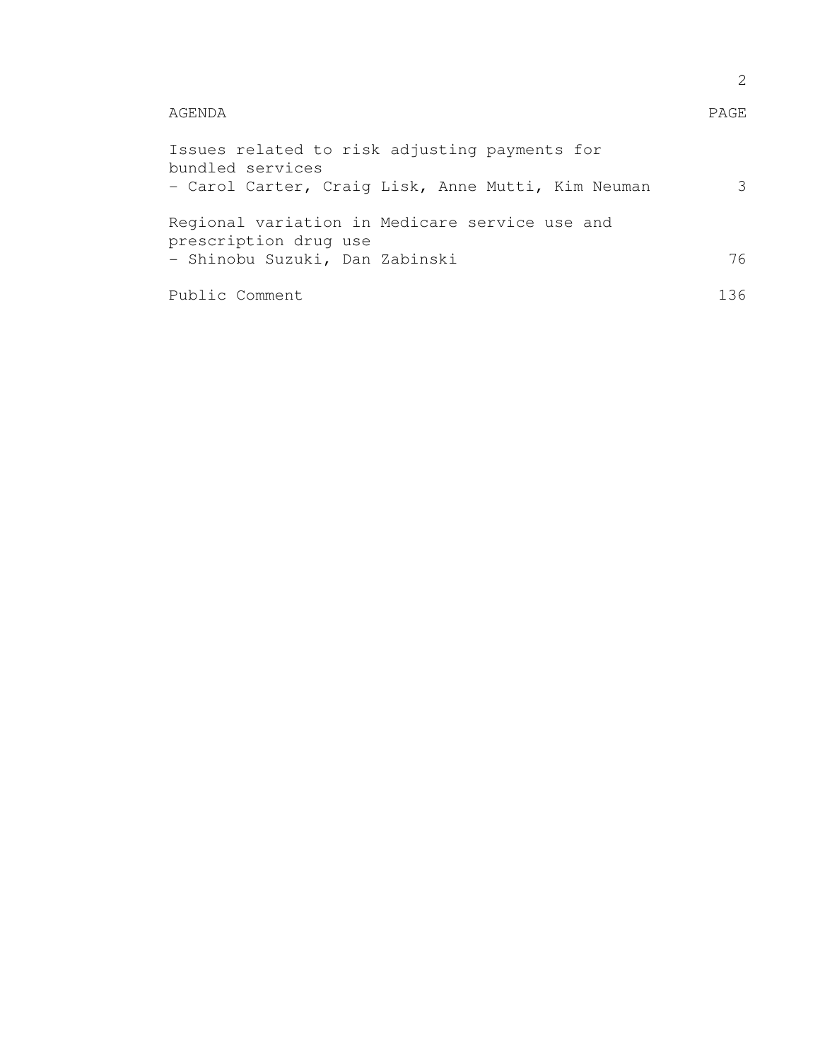| AGENDA                                                                                                                  | <b>PAGE</b>   |
|-------------------------------------------------------------------------------------------------------------------------|---------------|
| Issues related to risk adjusting payments for<br>bundled services<br>- Carol Carter, Craig Lisk, Anne Mutti, Kim Neuman | $\mathcal{E}$ |
| Regional variation in Medicare service use and<br>prescription drug use                                                 |               |
| - Shinobu Suzuki, Dan Zabinski                                                                                          | 76            |
| Public Comment                                                                                                          | 136           |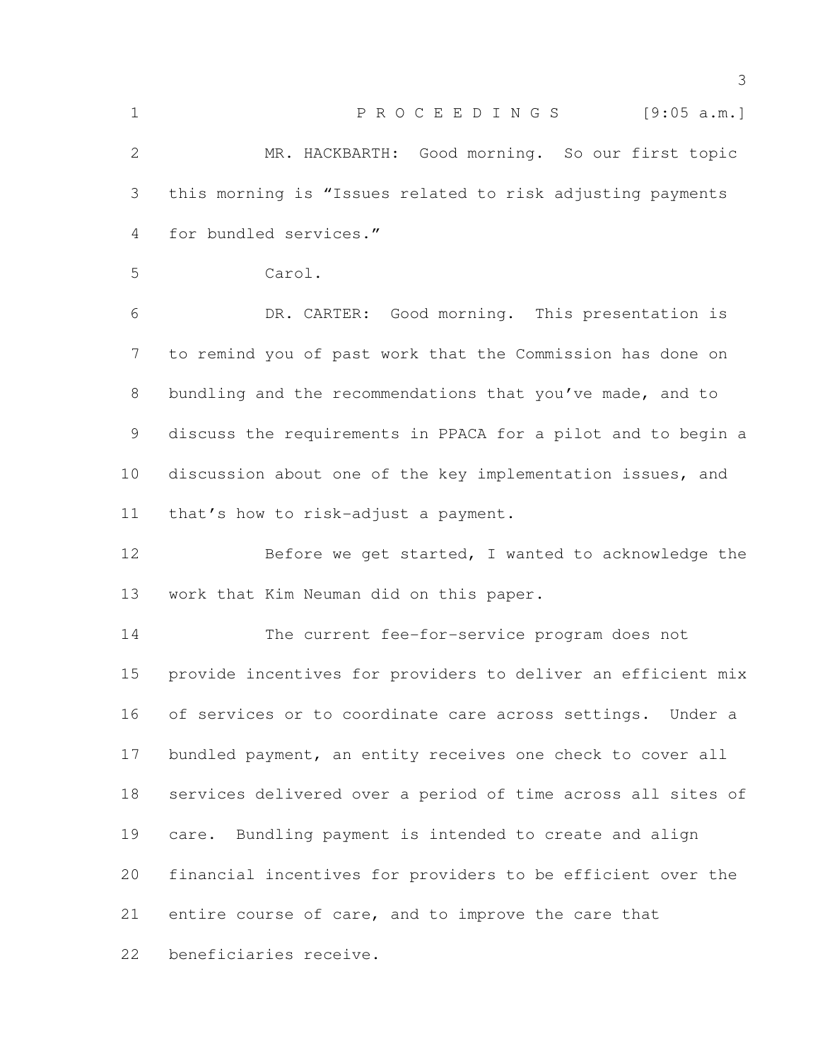| $\mathbf 1$   | P R O C E E D I N G S<br>[9:05 a.m.]                         |
|---------------|--------------------------------------------------------------|
| $\mathbf{2}$  | MR. HACKBARTH: Good morning. So our first topic              |
| 3             | this morning is "Issues related to risk adjusting payments   |
| 4             | for bundled services."                                       |
| 5             | Carol.                                                       |
| 6             | DR. CARTER: Good morning. This presentation is               |
| 7             | to remind you of past work that the Commission has done on   |
| 8             | bundling and the recommendations that you've made, and to    |
| $\mathcal{G}$ | discuss the requirements in PPACA for a pilot and to begin a |
| 10            | discussion about one of the key implementation issues, and   |
| 11            | that's how to risk-adjust a payment.                         |
| 12            | Before we get started, I wanted to acknowledge the           |
| 13            | work that Kim Neuman did on this paper.                      |
| 14            | The current fee-for-service program does not                 |
| 15            | provide incentives for providers to deliver an efficient mix |
| 16            | of services or to coordinate care across settings. Under a   |
| 17            | bundled payment, an entity receives one check to cover all   |
| 18            | services delivered over a period of time across all sites of |
| 19            | care. Bundling payment is intended to create and align       |
| 20            | financial incentives for providers to be efficient over the  |
| 21            | entire course of care, and to improve the care that          |
| 22            | beneficiaries receive.                                       |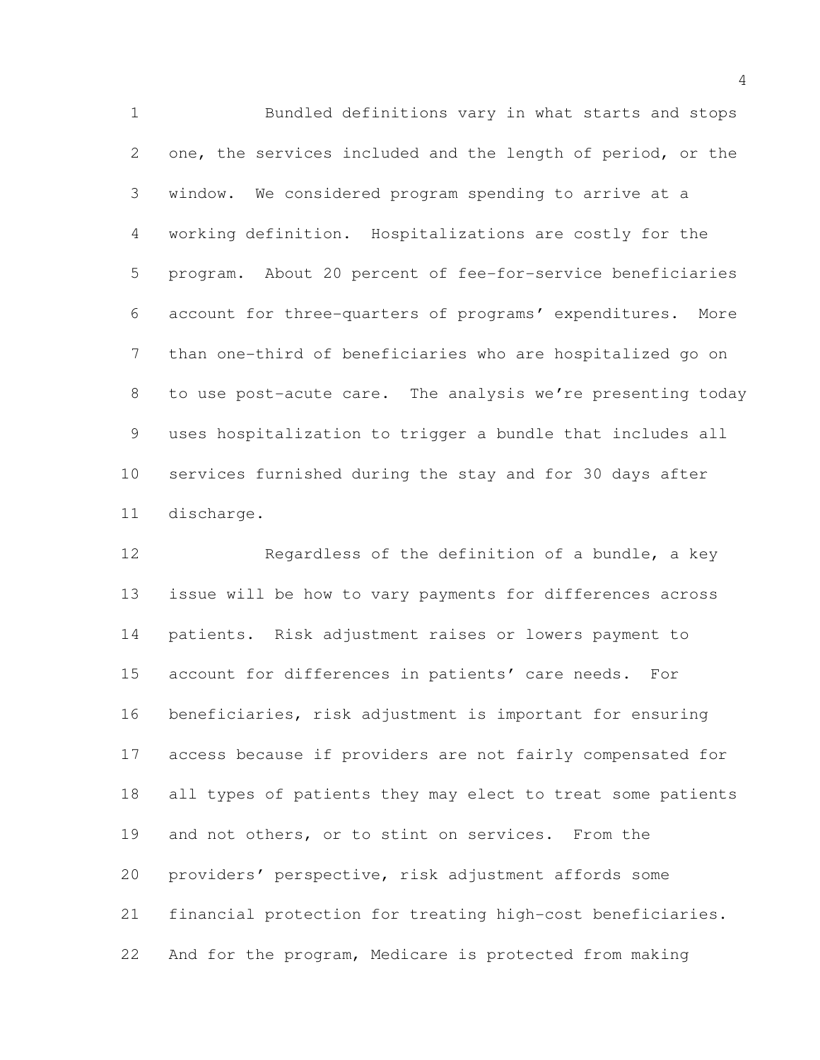Bundled definitions vary in what starts and stops one, the services included and the length of period, or the window. We considered program spending to arrive at a working definition. Hospitalizations are costly for the program. About 20 percent of fee-for-service beneficiaries account for three-quarters of programs' expenditures. More than one-third of beneficiaries who are hospitalized go on to use post-acute care. The analysis we're presenting today uses hospitalization to trigger a bundle that includes all services furnished during the stay and for 30 days after discharge.

 Regardless of the definition of a bundle, a key issue will be how to vary payments for differences across patients. Risk adjustment raises or lowers payment to account for differences in patients' care needs. For beneficiaries, risk adjustment is important for ensuring access because if providers are not fairly compensated for all types of patients they may elect to treat some patients and not others, or to stint on services. From the providers' perspective, risk adjustment affords some financial protection for treating high-cost beneficiaries. And for the program, Medicare is protected from making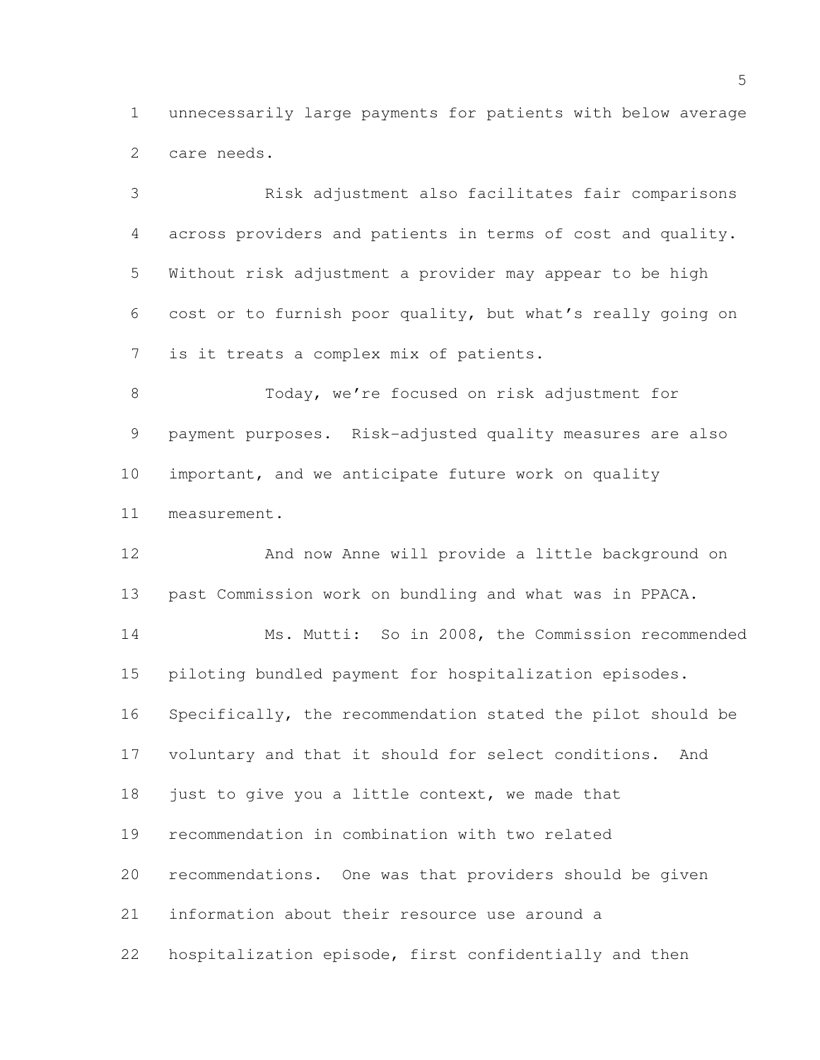unnecessarily large payments for patients with below average care needs.

 Risk adjustment also facilitates fair comparisons across providers and patients in terms of cost and quality. Without risk adjustment a provider may appear to be high cost or to furnish poor quality, but what's really going on is it treats a complex mix of patients.

8 Today, we're focused on risk adjustment for payment purposes. Risk-adjusted quality measures are also important, and we anticipate future work on quality measurement.

 And now Anne will provide a little background on past Commission work on bundling and what was in PPACA. Ms. Mutti: So in 2008, the Commission recommended piloting bundled payment for hospitalization episodes. Specifically, the recommendation stated the pilot should be voluntary and that it should for select conditions. And 18 just to give you a little context, we made that recommendation in combination with two related recommendations. One was that providers should be given information about their resource use around a hospitalization episode, first confidentially and then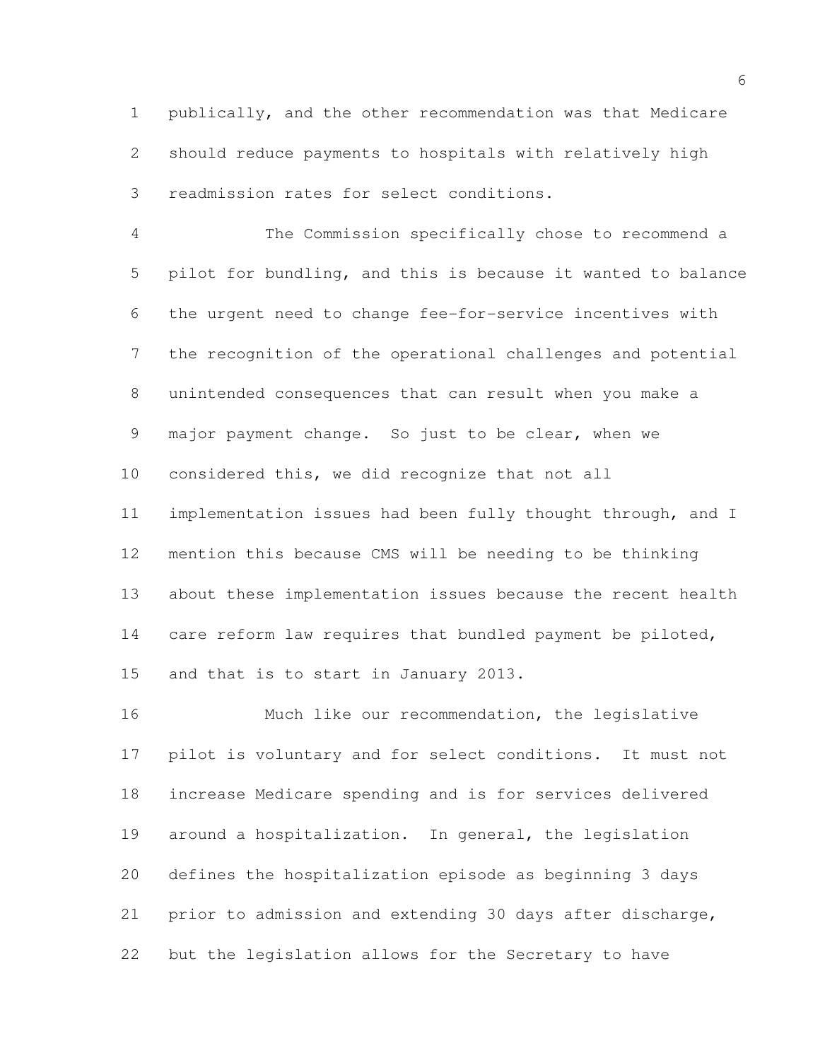publically, and the other recommendation was that Medicare should reduce payments to hospitals with relatively high readmission rates for select conditions.

 The Commission specifically chose to recommend a pilot for bundling, and this is because it wanted to balance the urgent need to change fee-for-service incentives with the recognition of the operational challenges and potential unintended consequences that can result when you make a major payment change. So just to be clear, when we considered this, we did recognize that not all implementation issues had been fully thought through, and I mention this because CMS will be needing to be thinking about these implementation issues because the recent health 14 care reform law requires that bundled payment be piloted, and that is to start in January 2013.

16 Much like our recommendation, the legislative pilot is voluntary and for select conditions. It must not increase Medicare spending and is for services delivered around a hospitalization. In general, the legislation defines the hospitalization episode as beginning 3 days prior to admission and extending 30 days after discharge, but the legislation allows for the Secretary to have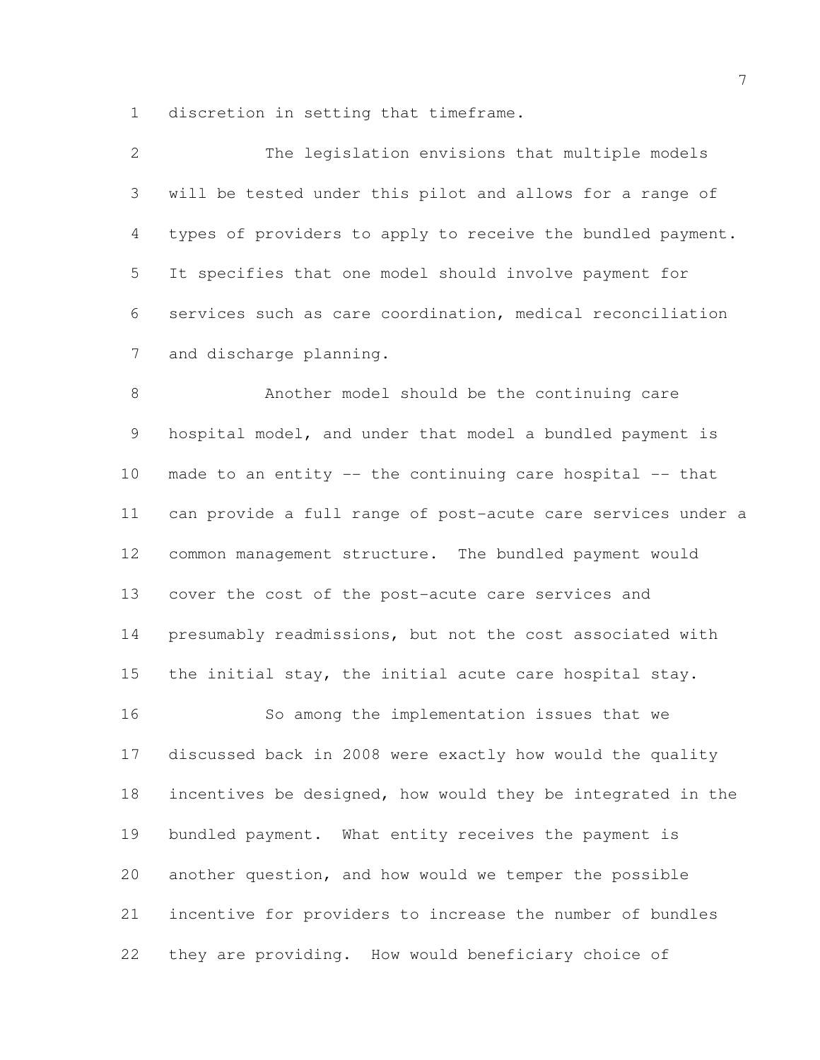discretion in setting that timeframe.

| 2             | The legislation envisions that multiple models              |
|---------------|-------------------------------------------------------------|
| $\mathcal{S}$ | will be tested under this pilot and allows for a range of   |
| 4             | types of providers to apply to receive the bundled payment. |
| 5             | It specifies that one model should involve payment for      |
| 6             | services such as care coordination, medical reconciliation  |
| 7             | and discharge planning.                                     |

 Another model should be the continuing care hospital model, and under that model a bundled payment is made to an entity -- the continuing care hospital -- that can provide a full range of post-acute care services under a common management structure. The bundled payment would cover the cost of the post-acute care services and presumably readmissions, but not the cost associated with the initial stay, the initial acute care hospital stay. So among the implementation issues that we discussed back in 2008 were exactly how would the quality incentives be designed, how would they be integrated in the bundled payment. What entity receives the payment is another question, and how would we temper the possible incentive for providers to increase the number of bundles they are providing. How would beneficiary choice of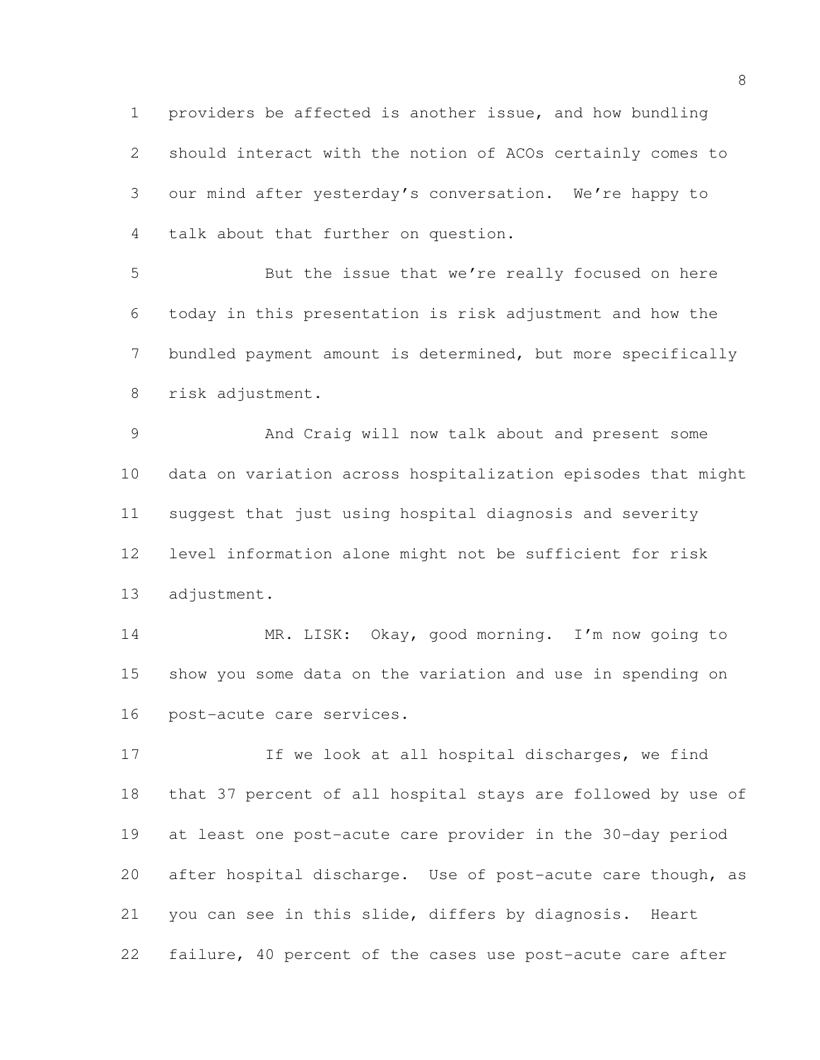providers be affected is another issue, and how bundling should interact with the notion of ACOs certainly comes to our mind after yesterday's conversation. We're happy to talk about that further on question.

 But the issue that we're really focused on here today in this presentation is risk adjustment and how the bundled payment amount is determined, but more specifically risk adjustment.

 And Craig will now talk about and present some data on variation across hospitalization episodes that might suggest that just using hospital diagnosis and severity level information alone might not be sufficient for risk adjustment.

 MR. LISK: Okay, good morning. I'm now going to show you some data on the variation and use in spending on post-acute care services.

17 If we look at all hospital discharges, we find that 37 percent of all hospital stays are followed by use of at least one post-acute care provider in the 30-day period after hospital discharge. Use of post-acute care though, as you can see in this slide, differs by diagnosis. Heart failure, 40 percent of the cases use post-acute care after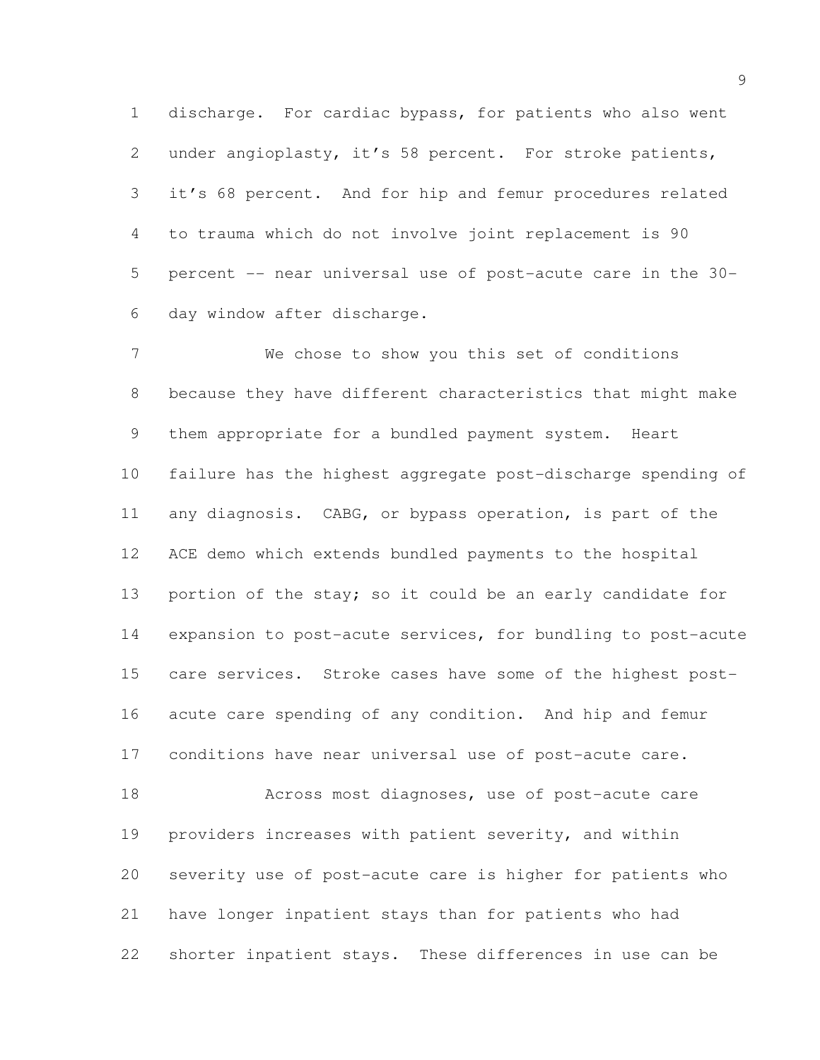discharge. For cardiac bypass, for patients who also went under angioplasty, it's 58 percent. For stroke patients, it's 68 percent. And for hip and femur procedures related to trauma which do not involve joint replacement is 90 percent -- near universal use of post-acute care in the 30- day window after discharge.

 We chose to show you this set of conditions because they have different characteristics that might make them appropriate for a bundled payment system. Heart failure has the highest aggregate post-discharge spending of any diagnosis. CABG, or bypass operation, is part of the ACE demo which extends bundled payments to the hospital 13 portion of the stay; so it could be an early candidate for expansion to post-acute services, for bundling to post-acute care services. Stroke cases have some of the highest post- acute care spending of any condition. And hip and femur conditions have near universal use of post-acute care. Across most diagnoses, use of post-acute care providers increases with patient severity, and within severity use of post-acute care is higher for patients who have longer inpatient stays than for patients who had

shorter inpatient stays. These differences in use can be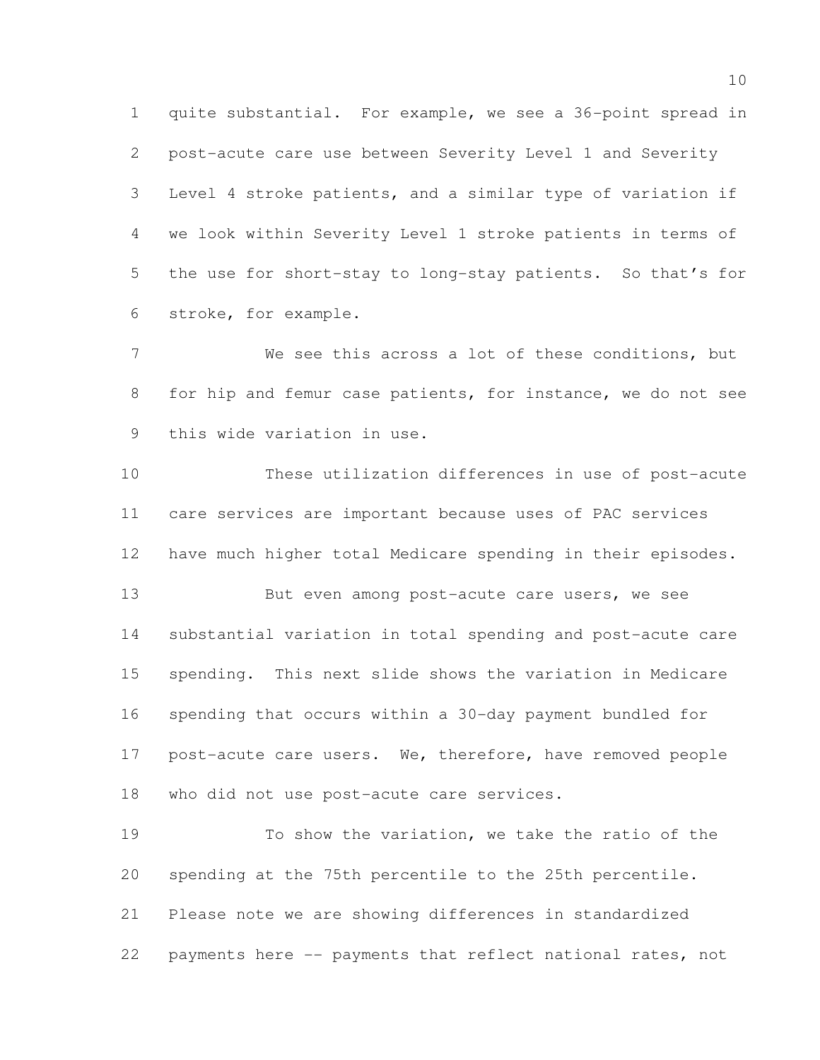quite substantial. For example, we see a 36-point spread in post-acute care use between Severity Level 1 and Severity Level 4 stroke patients, and a similar type of variation if we look within Severity Level 1 stroke patients in terms of the use for short-stay to long-stay patients. So that's for stroke, for example.

 We see this across a lot of these conditions, but for hip and femur case patients, for instance, we do not see this wide variation in use.

 These utilization differences in use of post-acute care services are important because uses of PAC services have much higher total Medicare spending in their episodes. 13 But even among post-acute care users, we see substantial variation in total spending and post-acute care spending. This next slide shows the variation in Medicare spending that occurs within a 30-day payment bundled for 17 post-acute care users. We, therefore, have removed people who did not use post-acute care services.

 To show the variation, we take the ratio of the spending at the 75th percentile to the 25th percentile. Please note we are showing differences in standardized payments here -- payments that reflect national rates, not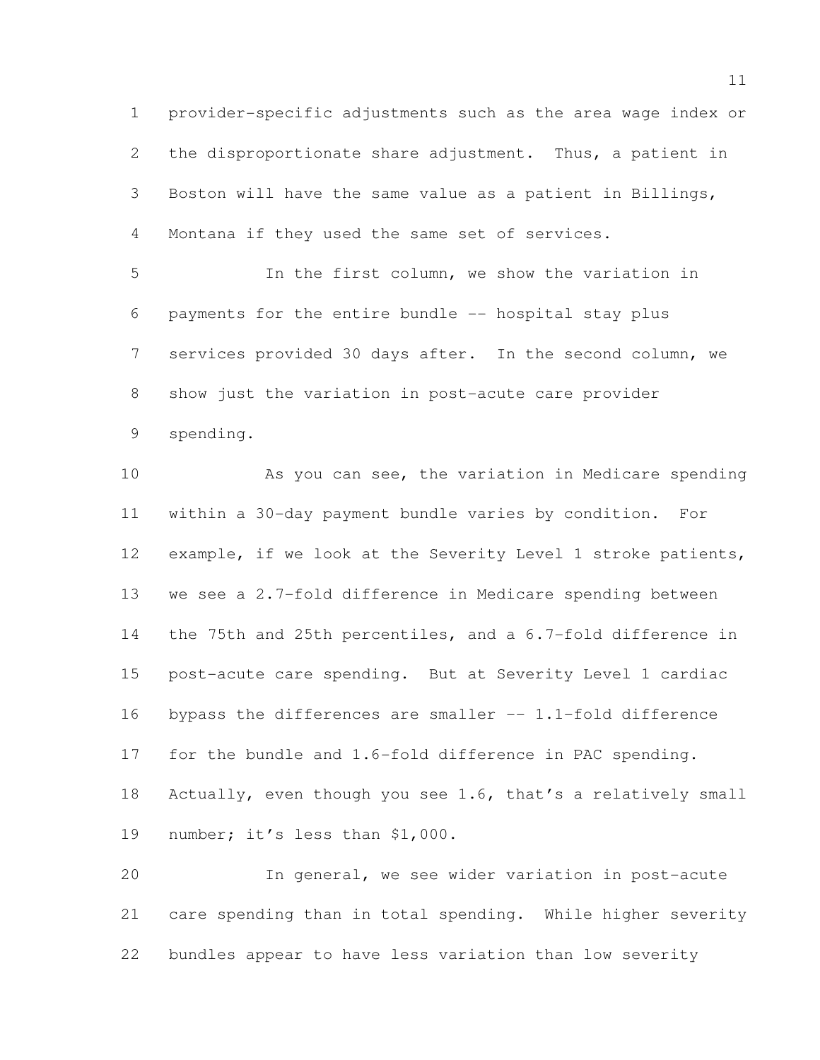provider-specific adjustments such as the area wage index or the disproportionate share adjustment. Thus, a patient in Boston will have the same value as a patient in Billings, Montana if they used the same set of services.

 In the first column, we show the variation in payments for the entire bundle -- hospital stay plus services provided 30 days after. In the second column, we show just the variation in post-acute care provider spending.

 As you can see, the variation in Medicare spending within a 30-day payment bundle varies by condition. For example, if we look at the Severity Level 1 stroke patients, we see a 2.7-fold difference in Medicare spending between the 75th and 25th percentiles, and a 6.7-fold difference in post-acute care spending. But at Severity Level 1 cardiac 16 bypass the differences are smaller -- 1.1-fold difference for the bundle and 1.6-fold difference in PAC spending. Actually, even though you see 1.6, that's a relatively small number; it's less than \$1,000.

 In general, we see wider variation in post-acute care spending than in total spending. While higher severity bundles appear to have less variation than low severity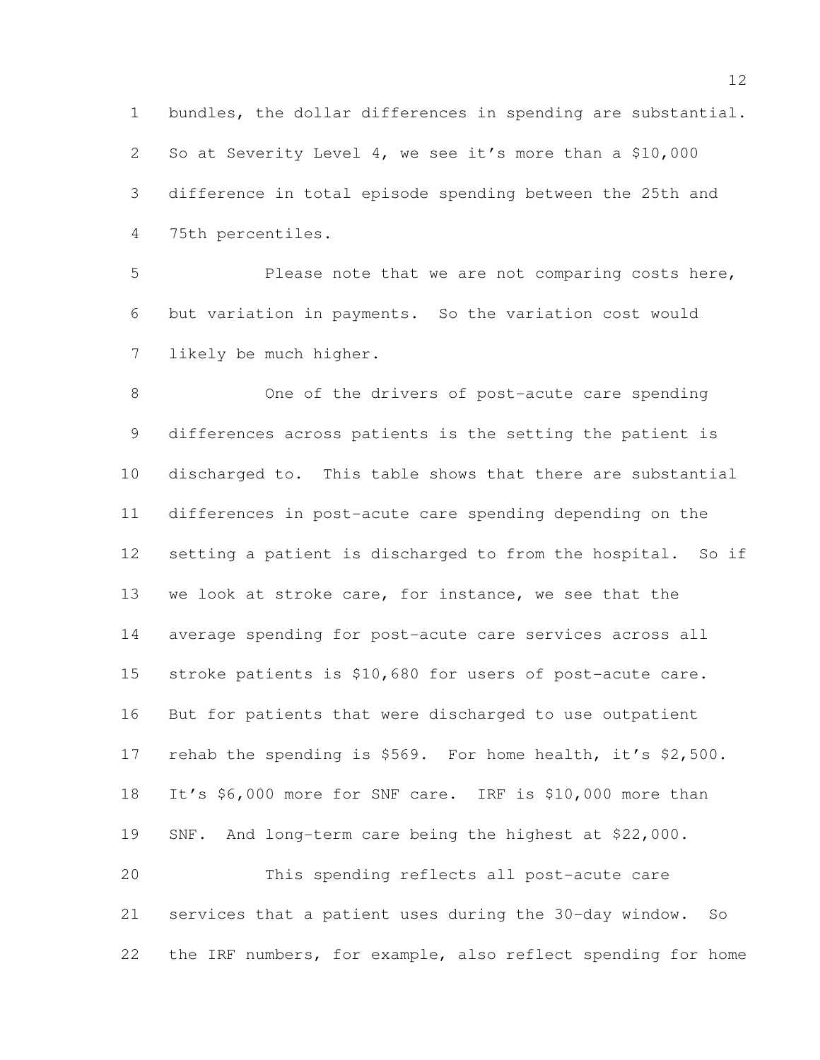bundles, the dollar differences in spending are substantial. So at Severity Level 4, we see it's more than a \$10,000 difference in total episode spending between the 25th and 75th percentiles.

 Please note that we are not comparing costs here, but variation in payments. So the variation cost would likely be much higher.

 One of the drivers of post-acute care spending differences across patients is the setting the patient is discharged to. This table shows that there are substantial differences in post-acute care spending depending on the setting a patient is discharged to from the hospital. So if we look at stroke care, for instance, we see that the average spending for post-acute care services across all stroke patients is \$10,680 for users of post-acute care. But for patients that were discharged to use outpatient rehab the spending is \$569. For home health, it's \$2,500. It's \$6,000 more for SNF care. IRF is \$10,000 more than SNF. And long-term care being the highest at \$22,000. This spending reflects all post-acute care services that a patient uses during the 30-day window. So the IRF numbers, for example, also reflect spending for home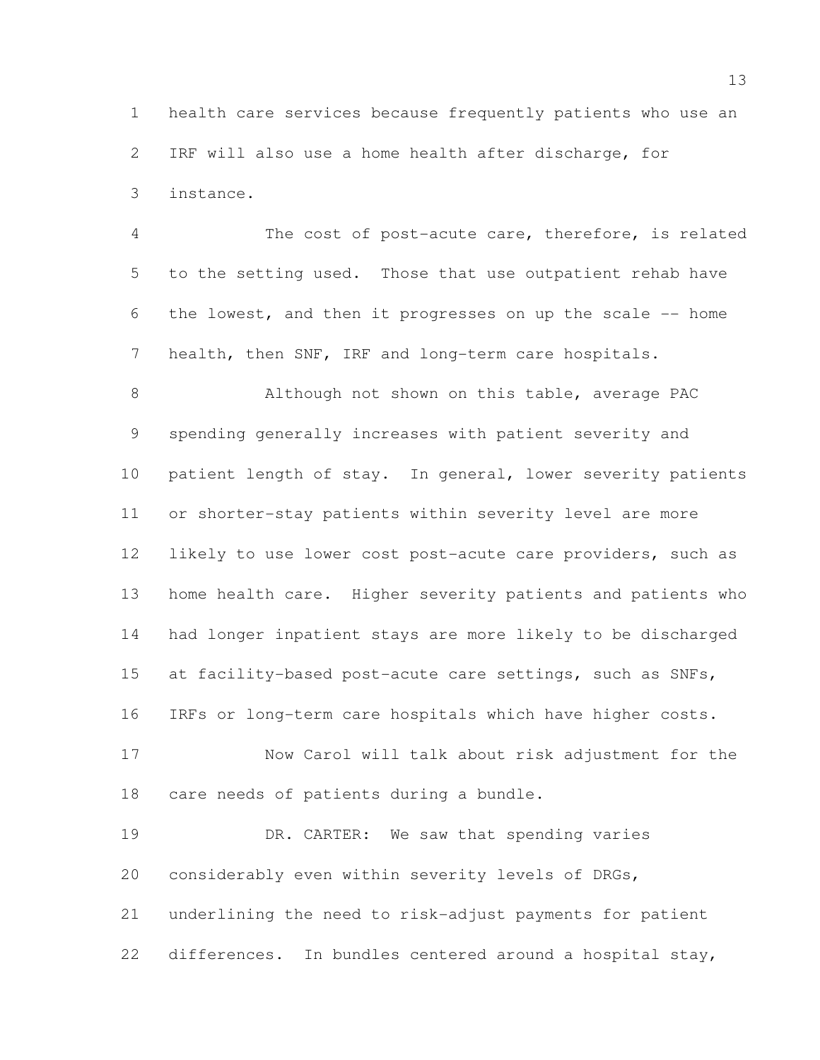health care services because frequently patients who use an IRF will also use a home health after discharge, for instance.

 The cost of post-acute care, therefore, is related to the setting used. Those that use outpatient rehab have the lowest, and then it progresses on up the scale -- home health, then SNF, IRF and long-term care hospitals.

 Although not shown on this table, average PAC spending generally increases with patient severity and patient length of stay. In general, lower severity patients or shorter-stay patients within severity level are more likely to use lower cost post-acute care providers, such as home health care. Higher severity patients and patients who had longer inpatient stays are more likely to be discharged 15 at facility-based post-acute care settings, such as SNFs, IRFs or long-term care hospitals which have higher costs.

 Now Carol will talk about risk adjustment for the care needs of patients during a bundle.

19 DR. CARTER: We saw that spending varies considerably even within severity levels of DRGs, underlining the need to risk-adjust payments for patient differences. In bundles centered around a hospital stay,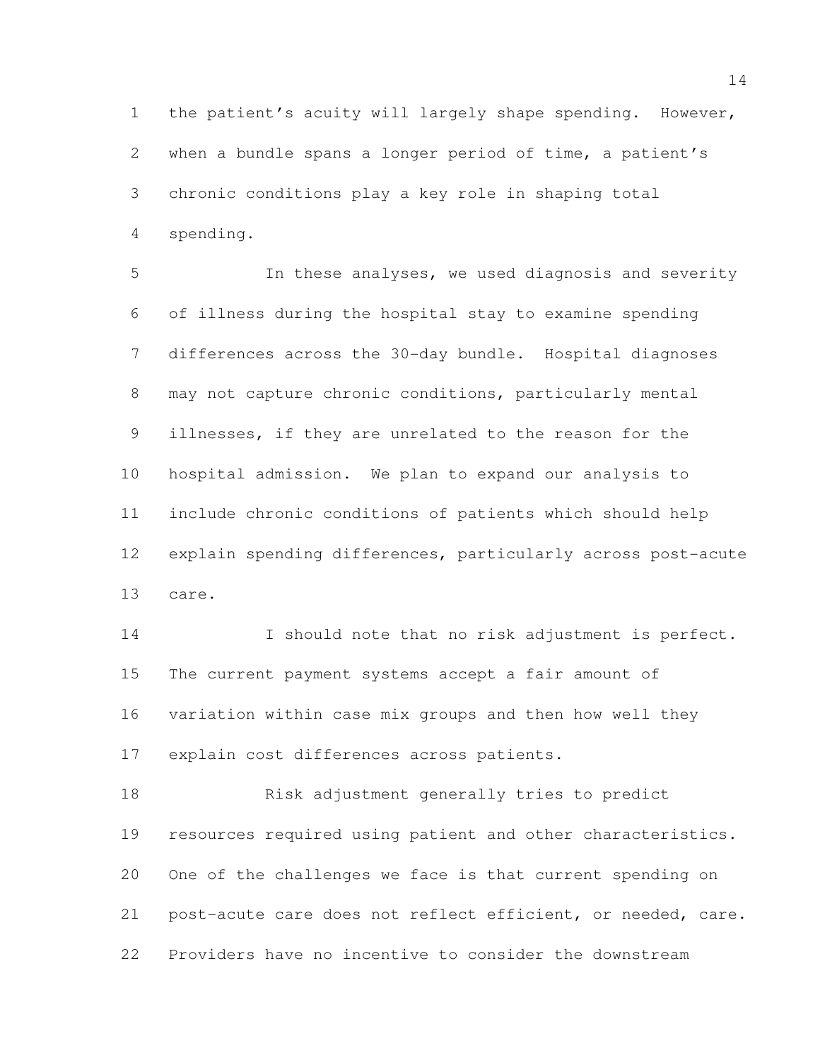the patient's acuity will largely shape spending. However, when a bundle spans a longer period of time, a patient's chronic conditions play a key role in shaping total spending.

 In these analyses, we used diagnosis and severity of illness during the hospital stay to examine spending differences across the 30-day bundle. Hospital diagnoses may not capture chronic conditions, particularly mental illnesses, if they are unrelated to the reason for the hospital admission. We plan to expand our analysis to include chronic conditions of patients which should help explain spending differences, particularly across post-acute care.

 I should note that no risk adjustment is perfect. The current payment systems accept a fair amount of variation within case mix groups and then how well they explain cost differences across patients.

 Risk adjustment generally tries to predict resources required using patient and other characteristics. One of the challenges we face is that current spending on post-acute care does not reflect efficient, or needed, care. Providers have no incentive to consider the downstream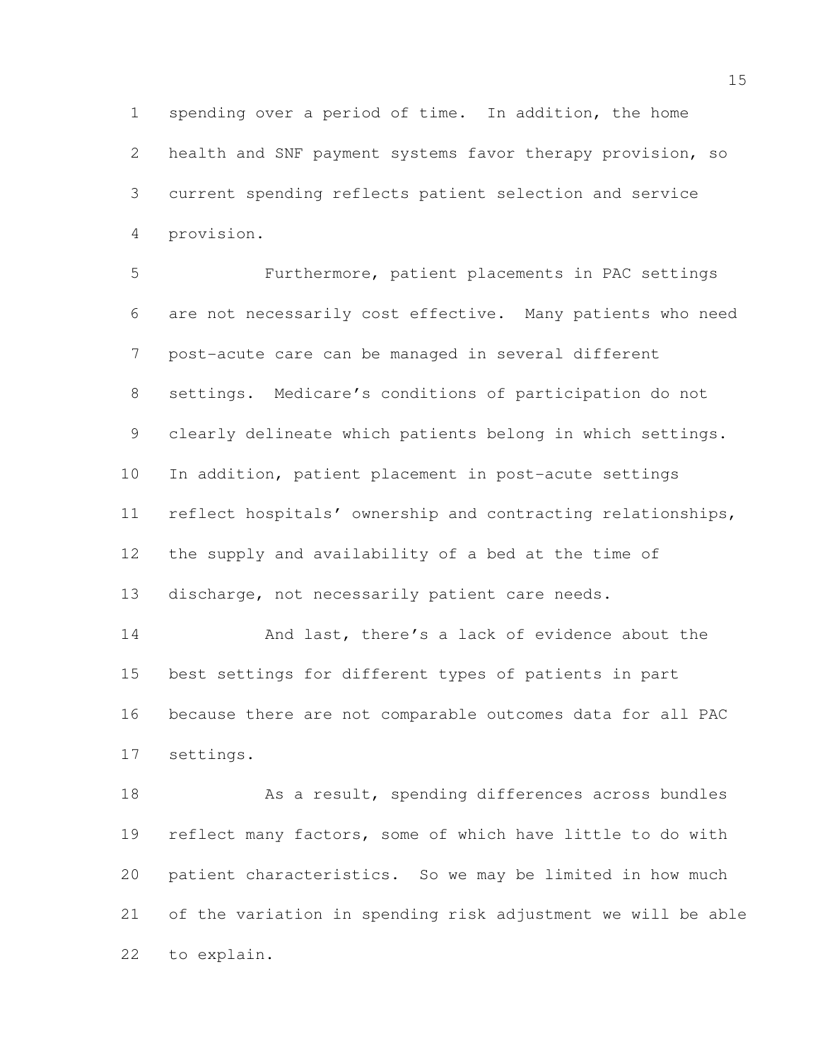spending over a period of time. In addition, the home health and SNF payment systems favor therapy provision, so current spending reflects patient selection and service provision.

 Furthermore, patient placements in PAC settings are not necessarily cost effective. Many patients who need post-acute care can be managed in several different settings. Medicare's conditions of participation do not clearly delineate which patients belong in which settings. In addition, patient placement in post-acute settings reflect hospitals' ownership and contracting relationships, the supply and availability of a bed at the time of discharge, not necessarily patient care needs.

14 And last, there's a lack of evidence about the best settings for different types of patients in part because there are not comparable outcomes data for all PAC settings.

18 As a result, spending differences across bundles reflect many factors, some of which have little to do with patient characteristics. So we may be limited in how much of the variation in spending risk adjustment we will be able to explain.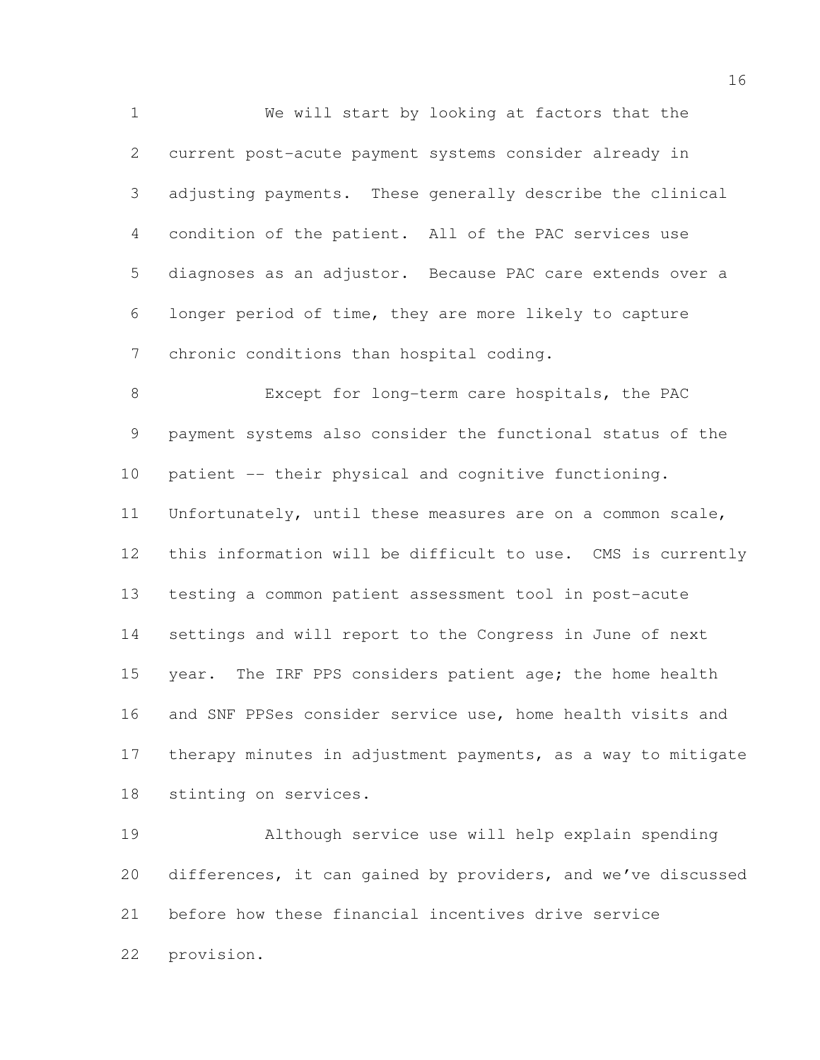We will start by looking at factors that the current post-acute payment systems consider already in adjusting payments. These generally describe the clinical condition of the patient. All of the PAC services use diagnoses as an adjustor. Because PAC care extends over a longer period of time, they are more likely to capture chronic conditions than hospital coding.

 Except for long-term care hospitals, the PAC payment systems also consider the functional status of the patient -- their physical and cognitive functioning. Unfortunately, until these measures are on a common scale, this information will be difficult to use. CMS is currently testing a common patient assessment tool in post-acute settings and will report to the Congress in June of next 15 year. The IRF PPS considers patient age; the home health and SNF PPSes consider service use, home health visits and therapy minutes in adjustment payments, as a way to mitigate stinting on services.

 Although service use will help explain spending differences, it can gained by providers, and we've discussed before how these financial incentives drive service provision.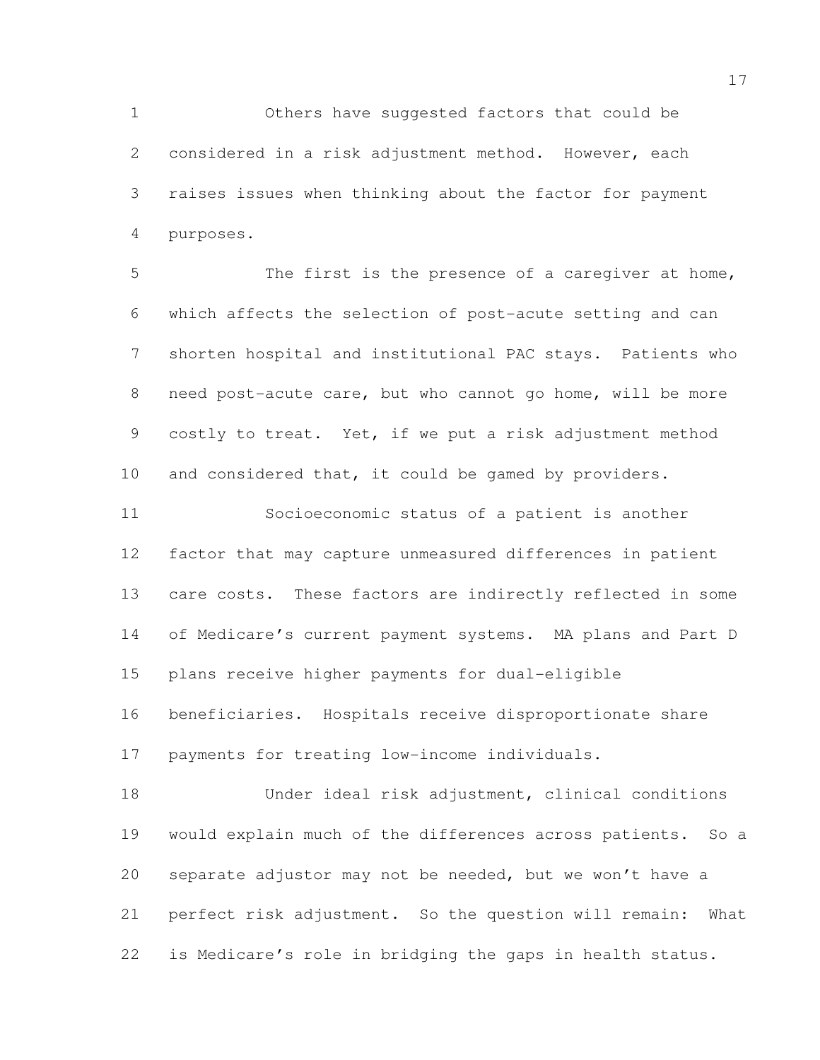Others have suggested factors that could be considered in a risk adjustment method. However, each raises issues when thinking about the factor for payment purposes.

 The first is the presence of a caregiver at home, which affects the selection of post-acute setting and can shorten hospital and institutional PAC stays. Patients who need post-acute care, but who cannot go home, will be more costly to treat. Yet, if we put a risk adjustment method 10 and considered that, it could be gamed by providers.

 Socioeconomic status of a patient is another factor that may capture unmeasured differences in patient care costs. These factors are indirectly reflected in some of Medicare's current payment systems. MA plans and Part D plans receive higher payments for dual-eligible beneficiaries. Hospitals receive disproportionate share payments for treating low-income individuals.

 Under ideal risk adjustment, clinical conditions would explain much of the differences across patients. So a separate adjustor may not be needed, but we won't have a perfect risk adjustment. So the question will remain: What is Medicare's role in bridging the gaps in health status.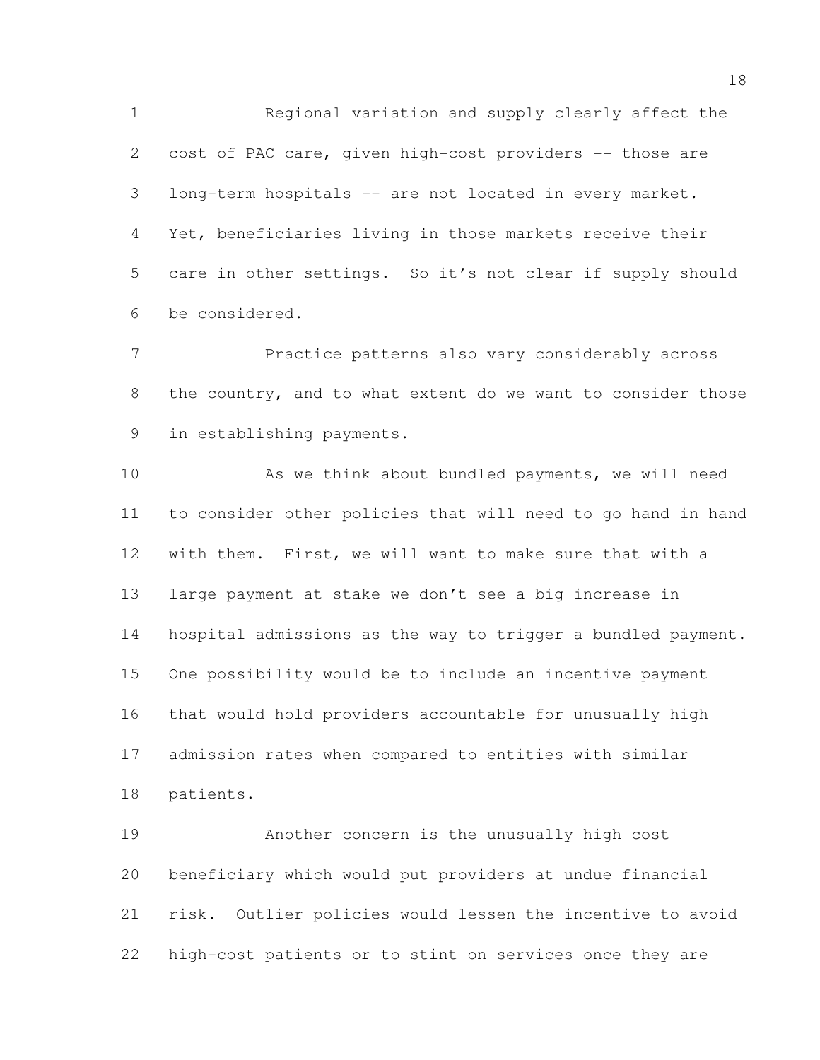Regional variation and supply clearly affect the cost of PAC care, given high-cost providers -- those are long-term hospitals -- are not located in every market. Yet, beneficiaries living in those markets receive their care in other settings. So it's not clear if supply should be considered.

 Practice patterns also vary considerably across 8 the country, and to what extent do we want to consider those in establishing payments.

 As we think about bundled payments, we will need to consider other policies that will need to go hand in hand with them. First, we will want to make sure that with a large payment at stake we don't see a big increase in hospital admissions as the way to trigger a bundled payment. One possibility would be to include an incentive payment that would hold providers accountable for unusually high admission rates when compared to entities with similar patients.

 Another concern is the unusually high cost beneficiary which would put providers at undue financial risk. Outlier policies would lessen the incentive to avoid high-cost patients or to stint on services once they are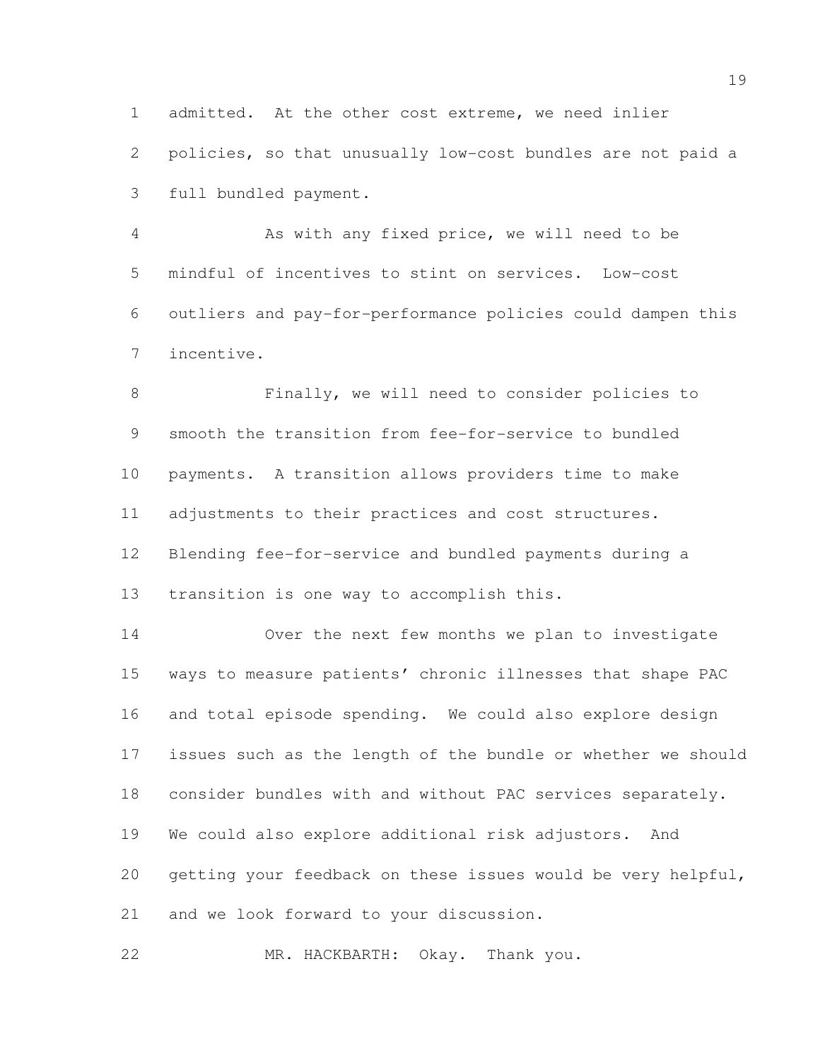admitted. At the other cost extreme, we need inlier policies, so that unusually low-cost bundles are not paid a full bundled payment.

 As with any fixed price, we will need to be mindful of incentives to stint on services. Low-cost outliers and pay-for-performance policies could dampen this incentive.

 Finally, we will need to consider policies to smooth the transition from fee-for-service to bundled payments. A transition allows providers time to make adjustments to their practices and cost structures. Blending fee-for-service and bundled payments during a transition is one way to accomplish this.

 Over the next few months we plan to investigate ways to measure patients' chronic illnesses that shape PAC and total episode spending. We could also explore design issues such as the length of the bundle or whether we should consider bundles with and without PAC services separately. We could also explore additional risk adjustors. And getting your feedback on these issues would be very helpful, and we look forward to your discussion.

MR. HACKBARTH: Okay. Thank you.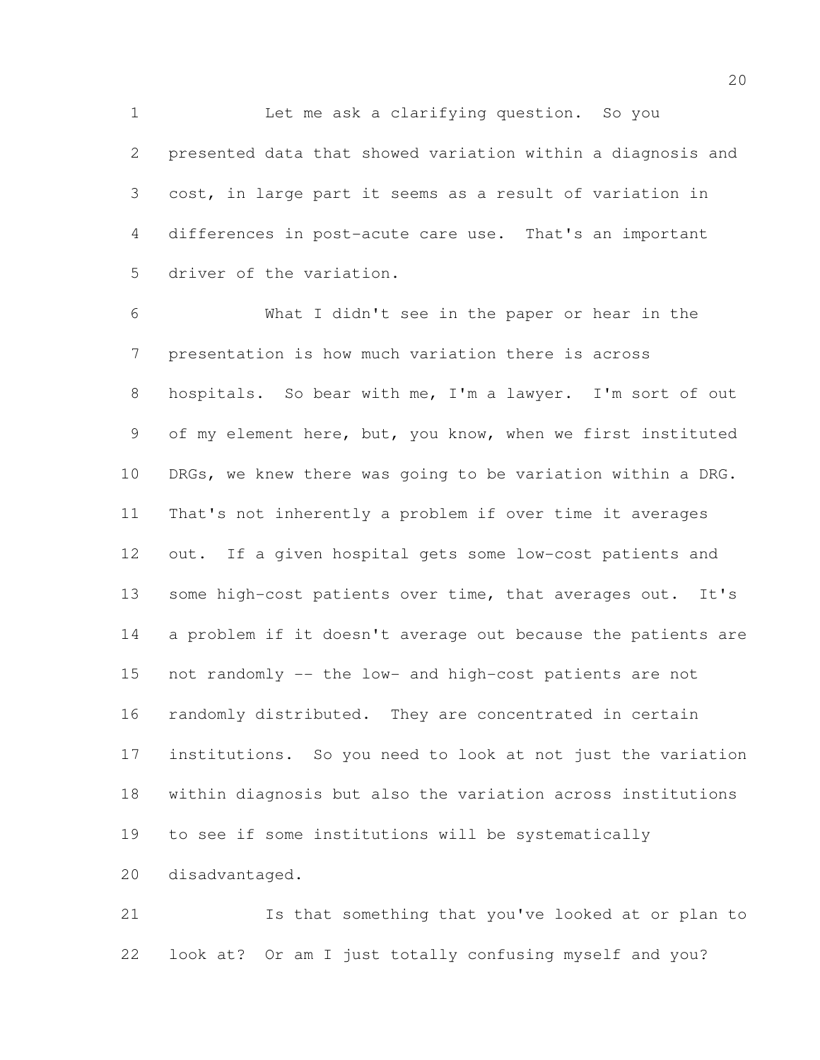Let me ask a clarifying question. So you presented data that showed variation within a diagnosis and cost, in large part it seems as a result of variation in differences in post-acute care use. That's an important driver of the variation.

 What I didn't see in the paper or hear in the presentation is how much variation there is across hospitals. So bear with me, I'm a lawyer. I'm sort of out of my element here, but, you know, when we first instituted DRGs, we knew there was going to be variation within a DRG. That's not inherently a problem if over time it averages out. If a given hospital gets some low-cost patients and 13 some high-cost patients over time, that averages out. It's a problem if it doesn't average out because the patients are not randomly -- the low- and high-cost patients are not randomly distributed. They are concentrated in certain institutions. So you need to look at not just the variation within diagnosis but also the variation across institutions to see if some institutions will be systematically disadvantaged.

 Is that something that you've looked at or plan to look at? Or am I just totally confusing myself and you?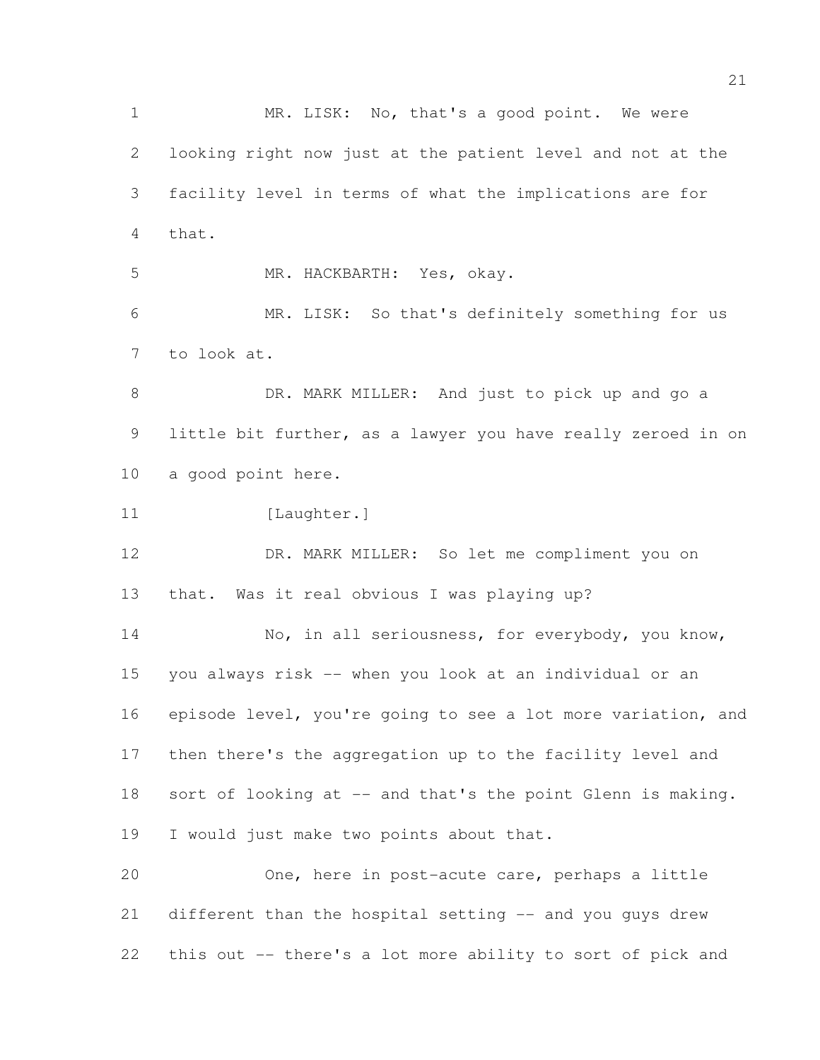1 MR. LISK: No, that's a good point. We were looking right now just at the patient level and not at the facility level in terms of what the implications are for that. MR. HACKBARTH: Yes, okay. MR. LISK: So that's definitely something for us to look at. 8 DR. MARK MILLER: And just to pick up and go a little bit further, as a lawyer you have really zeroed in on a good point here. 11 [Laughter.] DR. MARK MILLER: So let me compliment you on that. Was it real obvious I was playing up? 14 No, in all seriousness, for everybody, you know, you always risk -- when you look at an individual or an episode level, you're going to see a lot more variation, and then there's the aggregation up to the facility level and 18 sort of looking at -- and that's the point Glenn is making. I would just make two points about that. One, here in post-acute care, perhaps a little different than the hospital setting -- and you guys drew this out -- there's a lot more ability to sort of pick and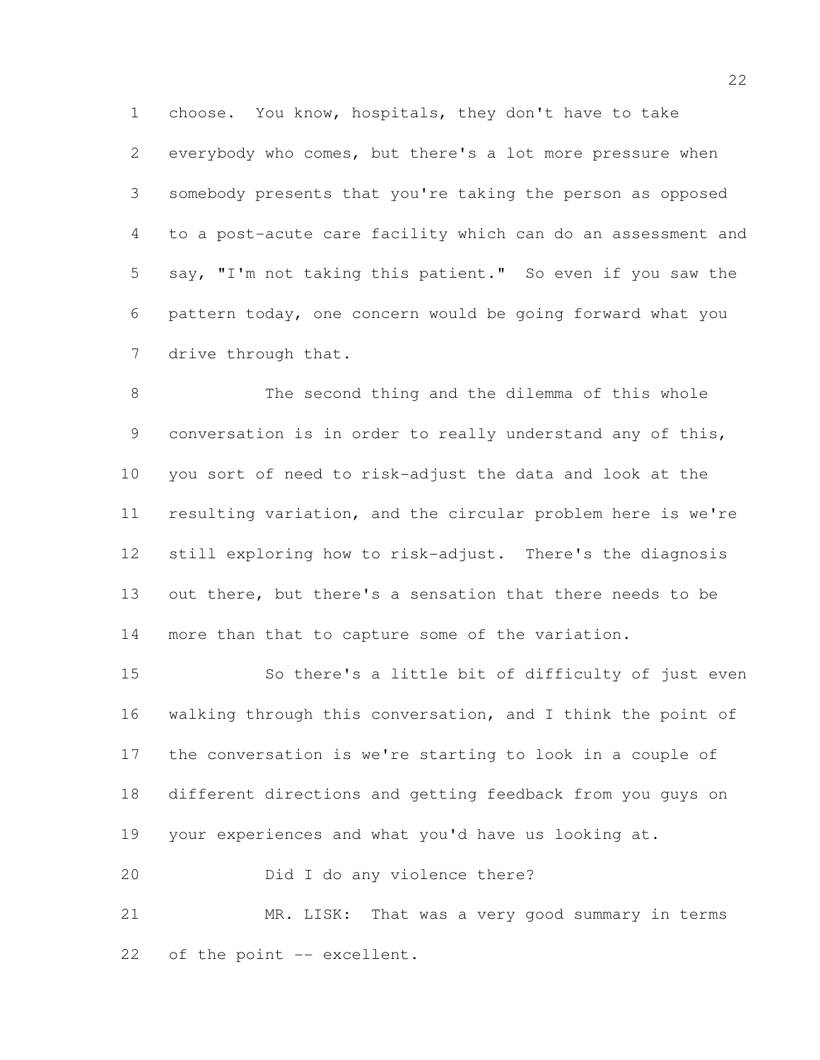choose. You know, hospitals, they don't have to take everybody who comes, but there's a lot more pressure when somebody presents that you're taking the person as opposed to a post-acute care facility which can do an assessment and say, "I'm not taking this patient." So even if you saw the pattern today, one concern would be going forward what you drive through that.

 The second thing and the dilemma of this whole conversation is in order to really understand any of this, you sort of need to risk-adjust the data and look at the resulting variation, and the circular problem here is we're still exploring how to risk-adjust. There's the diagnosis out there, but there's a sensation that there needs to be more than that to capture some of the variation.

 So there's a little bit of difficulty of just even walking through this conversation, and I think the point of the conversation is we're starting to look in a couple of different directions and getting feedback from you guys on your experiences and what you'd have us looking at.

Did I do any violence there?

 MR. LISK: That was a very good summary in terms 22 of the point -- excellent.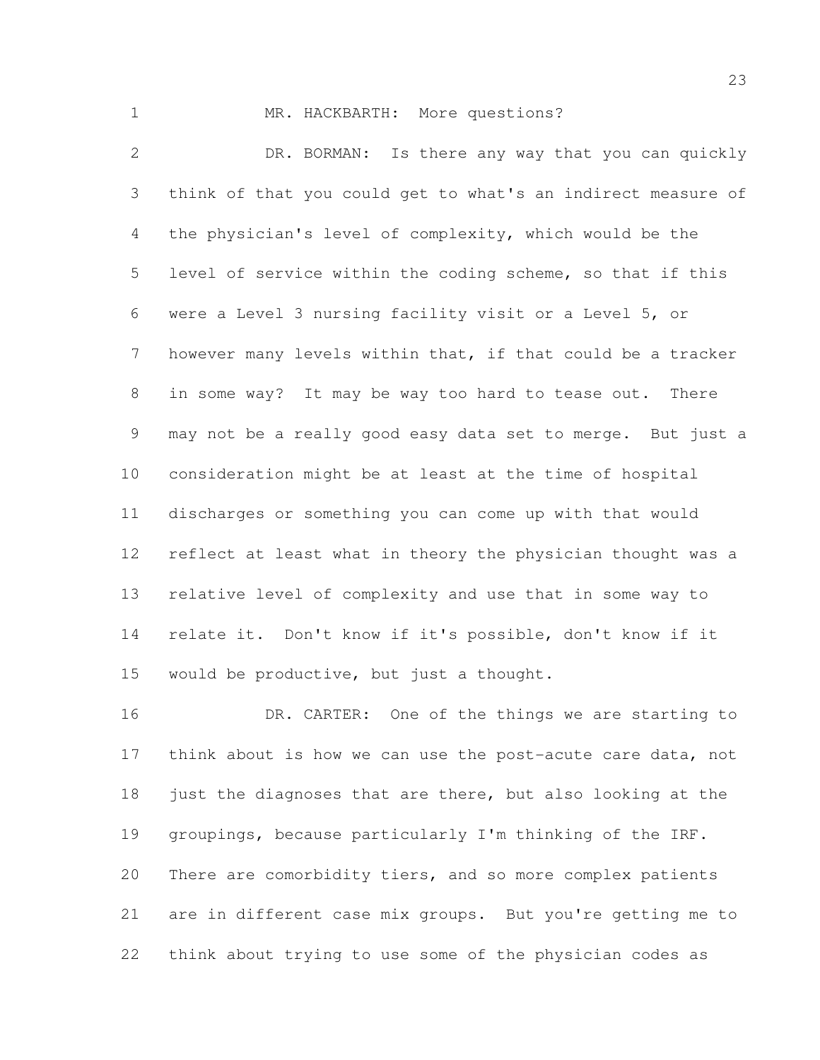1 MR. HACKBARTH: More questions? DR. BORMAN: Is there any way that you can quickly think of that you could get to what's an indirect measure of the physician's level of complexity, which would be the level of service within the coding scheme, so that if this were a Level 3 nursing facility visit or a Level 5, or 7 however many levels within that, if that could be a tracker in some way? It may be way too hard to tease out. There may not be a really good easy data set to merge. But just a consideration might be at least at the time of hospital discharges or something you can come up with that would reflect at least what in theory the physician thought was a relative level of complexity and use that in some way to relate it. Don't know if it's possible, don't know if it would be productive, but just a thought.

16 DR. CARTER: One of the things we are starting to 17 think about is how we can use the post-acute care data, not just the diagnoses that are there, but also looking at the groupings, because particularly I'm thinking of the IRF. There are comorbidity tiers, and so more complex patients are in different case mix groups. But you're getting me to think about trying to use some of the physician codes as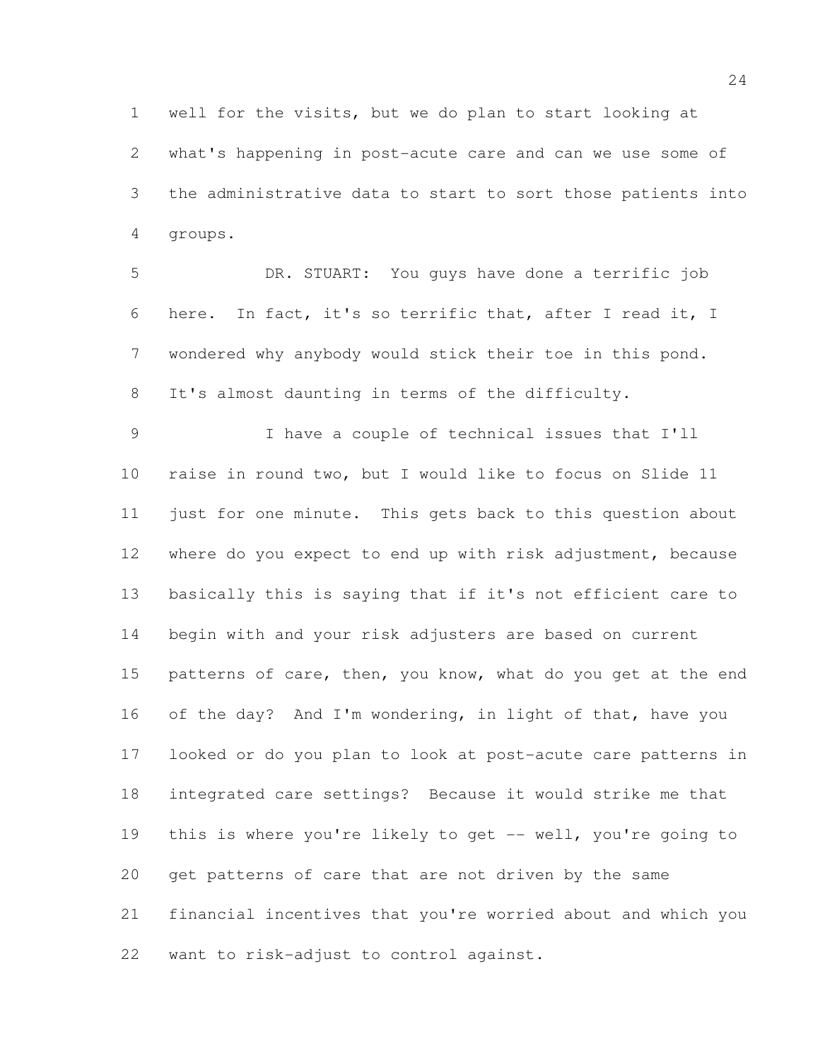well for the visits, but we do plan to start looking at what's happening in post-acute care and can we use some of the administrative data to start to sort those patients into groups.

 DR. STUART: You guys have done a terrific job here. In fact, it's so terrific that, after I read it, I wondered why anybody would stick their toe in this pond. It's almost daunting in terms of the difficulty.

 I have a couple of technical issues that I'll raise in round two, but I would like to focus on Slide 11 just for one minute. This gets back to this question about where do you expect to end up with risk adjustment, because basically this is saying that if it's not efficient care to begin with and your risk adjusters are based on current 15 patterns of care, then, you know, what do you get at the end of the day? And I'm wondering, in light of that, have you looked or do you plan to look at post-acute care patterns in integrated care settings? Because it would strike me that 19 this is where you're likely to get -- well, you're going to get patterns of care that are not driven by the same financial incentives that you're worried about and which you want to risk-adjust to control against.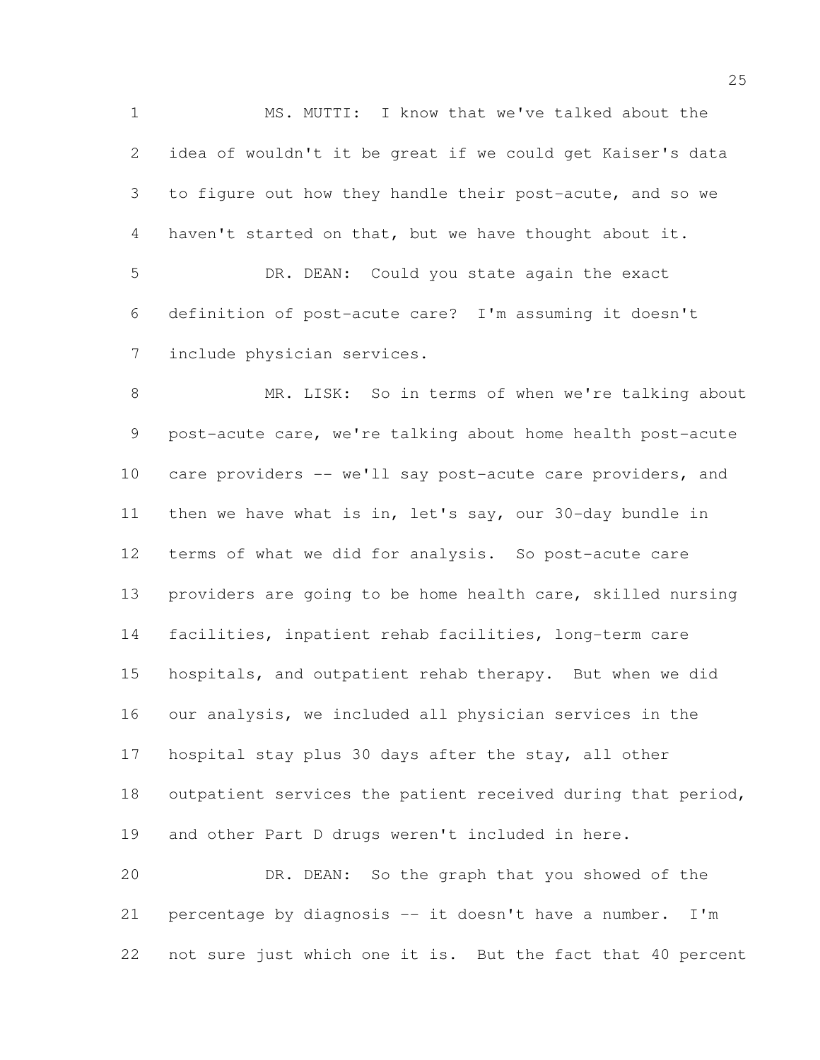MS. MUTTI: I know that we've talked about the idea of wouldn't it be great if we could get Kaiser's data to figure out how they handle their post-acute, and so we haven't started on that, but we have thought about it. DR. DEAN: Could you state again the exact definition of post-acute care? I'm assuming it doesn't include physician services. MR. LISK: So in terms of when we're talking about post-acute care, we're talking about home health post-acute care providers -- we'll say post-acute care providers, and then we have what is in, let's say, our 30-day bundle in terms of what we did for analysis. So post-acute care providers are going to be home health care, skilled nursing facilities, inpatient rehab facilities, long-term care hospitals, and outpatient rehab therapy. But when we did our analysis, we included all physician services in the hospital stay plus 30 days after the stay, all other outpatient services the patient received during that period, and other Part D drugs weren't included in here. DR. DEAN: So the graph that you showed of the percentage by diagnosis -- it doesn't have a number. I'm

not sure just which one it is. But the fact that 40 percent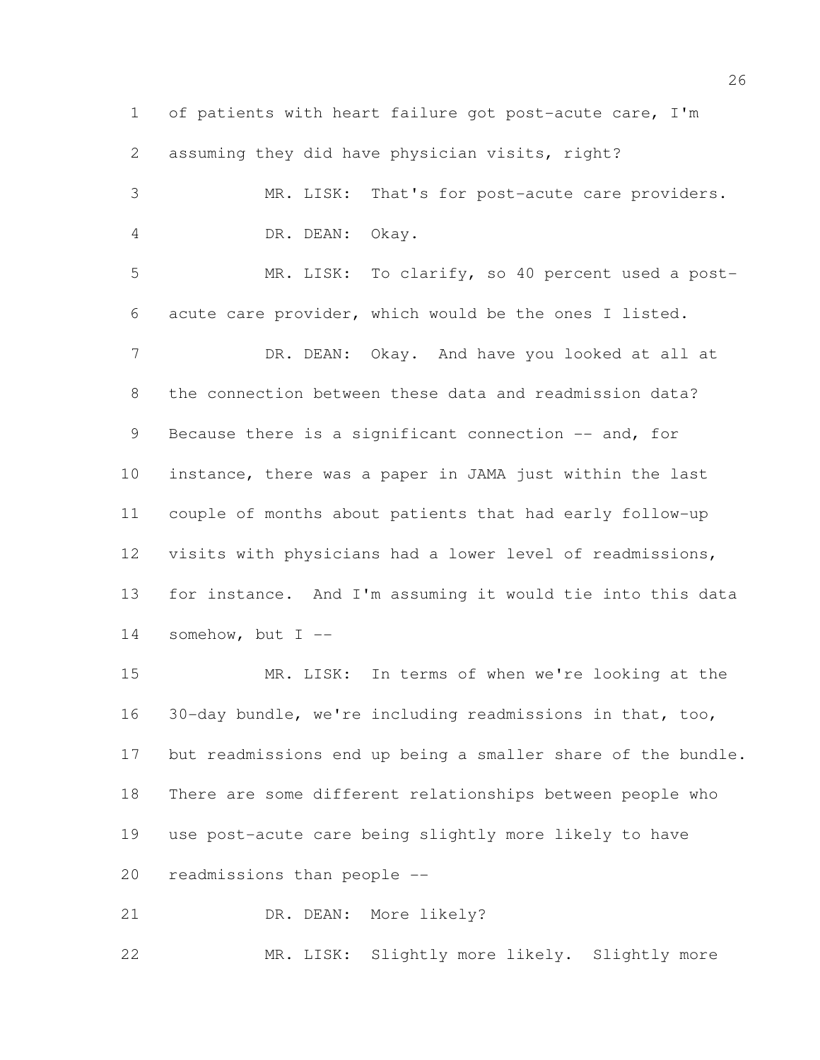of patients with heart failure got post-acute care, I'm assuming they did have physician visits, right? MR. LISK: That's for post-acute care providers. DR. DEAN: Okay. MR. LISK: To clarify, so 40 percent used a post- acute care provider, which would be the ones I listed. 7 DR. DEAN: Okay. And have you looked at all at the connection between these data and readmission data? 9 Because there is a significant connection -- and, for instance, there was a paper in JAMA just within the last couple of months about patients that had early follow-up visits with physicians had a lower level of readmissions, for instance. And I'm assuming it would tie into this data somehow, but I --

 MR. LISK: In terms of when we're looking at the 30-day bundle, we're including readmissions in that, too, but readmissions end up being a smaller share of the bundle. There are some different relationships between people who use post-acute care being slightly more likely to have readmissions than people --

21 DR. DEAN: More likely?

MR. LISK: Slightly more likely. Slightly more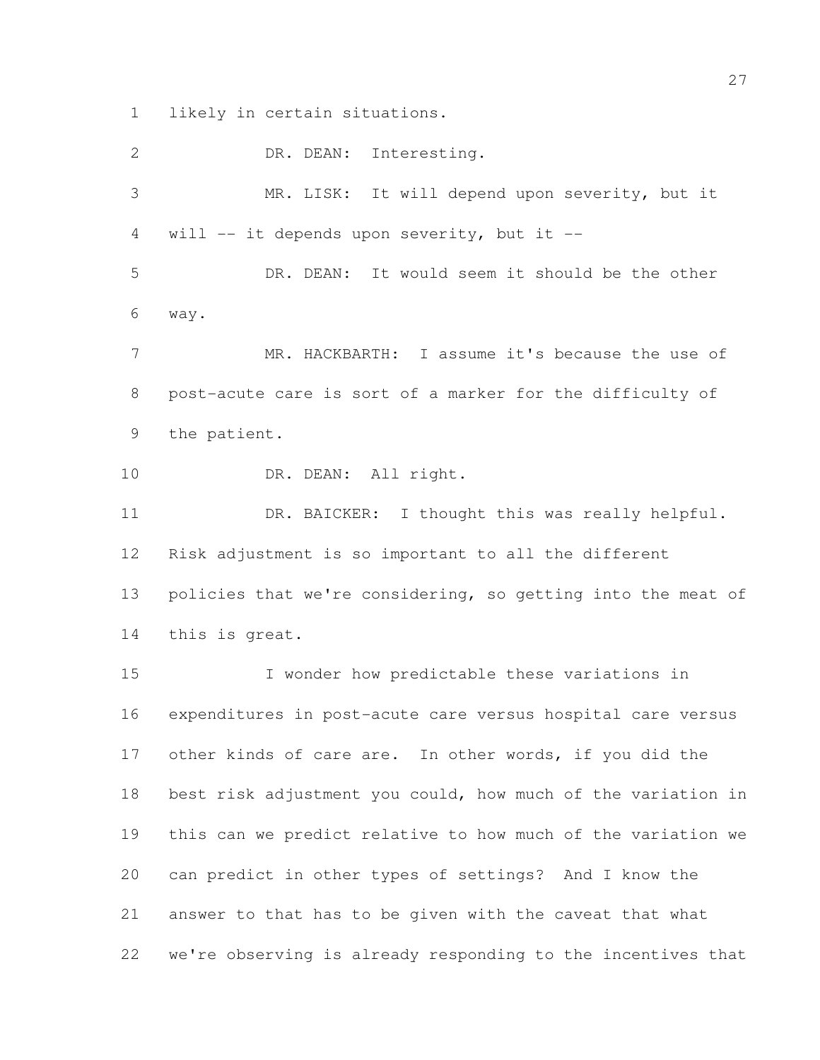likely in certain situations.

 DR. DEAN: Interesting. MR. LISK: It will depend upon severity, but it will -- it depends upon severity, but it -- DR. DEAN: It would seem it should be the other way. MR. HACKBARTH: I assume it's because the use of post-acute care is sort of a marker for the difficulty of the patient. 10 DR. DEAN: All right. DR. BAICKER: I thought this was really helpful. Risk adjustment is so important to all the different 13 policies that we're considering, so getting into the meat of this is great. I wonder how predictable these variations in expenditures in post-acute care versus hospital care versus 17 other kinds of care are. In other words, if you did the best risk adjustment you could, how much of the variation in this can we predict relative to how much of the variation we can predict in other types of settings? And I know the answer to that has to be given with the caveat that what we're observing is already responding to the incentives that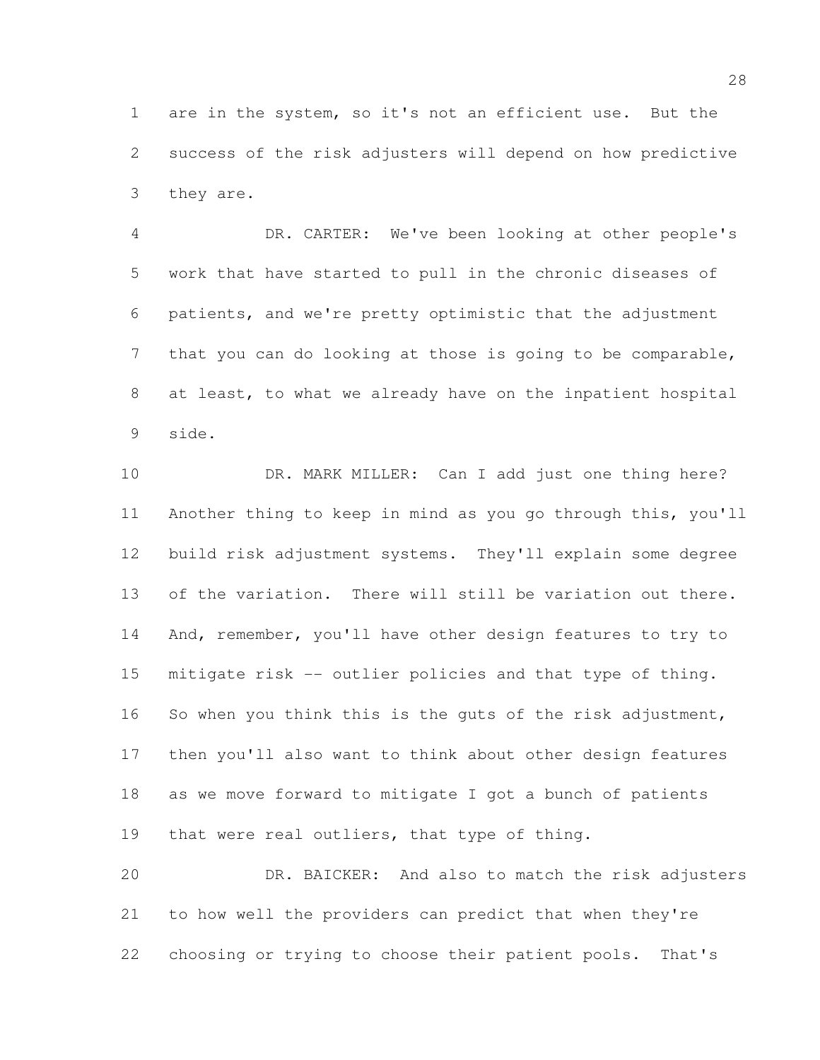are in the system, so it's not an efficient use. But the success of the risk adjusters will depend on how predictive they are.

 DR. CARTER: We've been looking at other people's work that have started to pull in the chronic diseases of patients, and we're pretty optimistic that the adjustment that you can do looking at those is going to be comparable, at least, to what we already have on the inpatient hospital side.

10 DR. MARK MILLER: Can I add just one thing here? Another thing to keep in mind as you go through this, you'll build risk adjustment systems. They'll explain some degree 13 of the variation. There will still be variation out there. 14 And, remember, you'll have other design features to try to mitigate risk -- outlier policies and that type of thing. 16 So when you think this is the guts of the risk adjustment, then you'll also want to think about other design features as we move forward to mitigate I got a bunch of patients that were real outliers, that type of thing. DR. BAICKER: And also to match the risk adjusters

 to how well the providers can predict that when they're choosing or trying to choose their patient pools. That's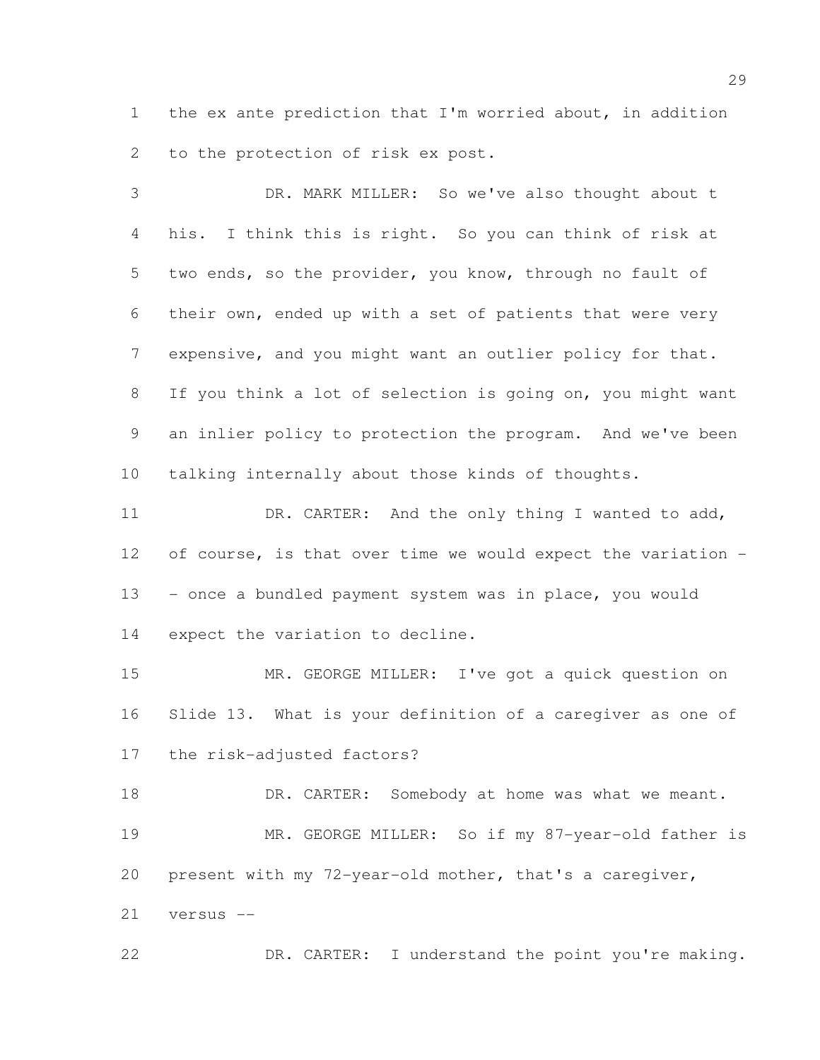the ex ante prediction that I'm worried about, in addition to the protection of risk ex post.

 DR. MARK MILLER: So we've also thought about t his. I think this is right. So you can think of risk at two ends, so the provider, you know, through no fault of their own, ended up with a set of patients that were very expensive, and you might want an outlier policy for that. If you think a lot of selection is going on, you might want an inlier policy to protection the program. And we've been talking internally about those kinds of thoughts.

11 DR. CARTER: And the only thing I wanted to add, of course, is that over time we would expect the variation - - once a bundled payment system was in place, you would expect the variation to decline.

 MR. GEORGE MILLER: I've got a quick question on Slide 13. What is your definition of a caregiver as one of the risk-adjusted factors?

18 DR. CARTER: Somebody at home was what we meant. MR. GEORGE MILLER: So if my 87-year-old father is present with my 72-year-old mother, that's a caregiver, versus --

DR. CARTER: I understand the point you're making.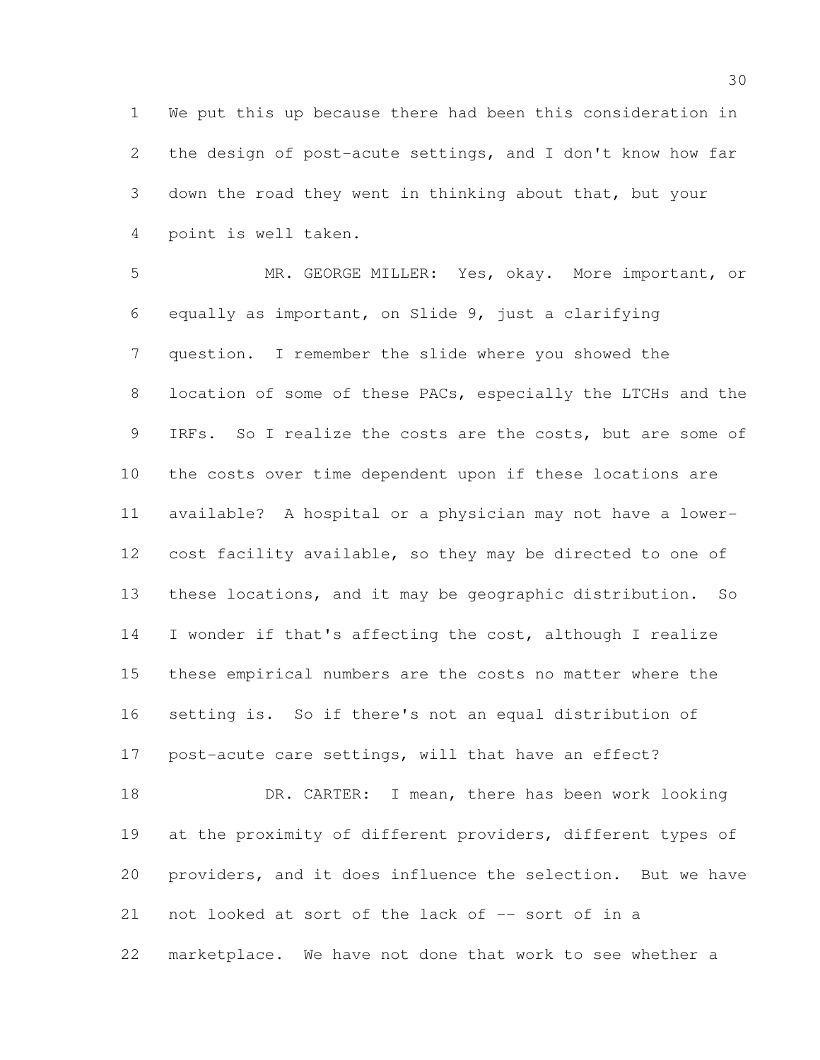We put this up because there had been this consideration in the design of post-acute settings, and I don't know how far down the road they went in thinking about that, but your point is well taken.

 MR. GEORGE MILLER: Yes, okay. More important, or equally as important, on Slide 9, just a clarifying question. I remember the slide where you showed the 8 location of some of these PACs, especially the LTCHs and the 9 IRFs. So I realize the costs are the costs, but are some of the costs over time dependent upon if these locations are available? A hospital or a physician may not have a lower- cost facility available, so they may be directed to one of these locations, and it may be geographic distribution. So I wonder if that's affecting the cost, although I realize these empirical numbers are the costs no matter where the setting is. So if there's not an equal distribution of post-acute care settings, will that have an effect? 18 DR. CARTER: I mean, there has been work looking 19 at the proximity of different providers, different types of

not looked at sort of the lack of -- sort of in a

marketplace. We have not done that work to see whether a

providers, and it does influence the selection. But we have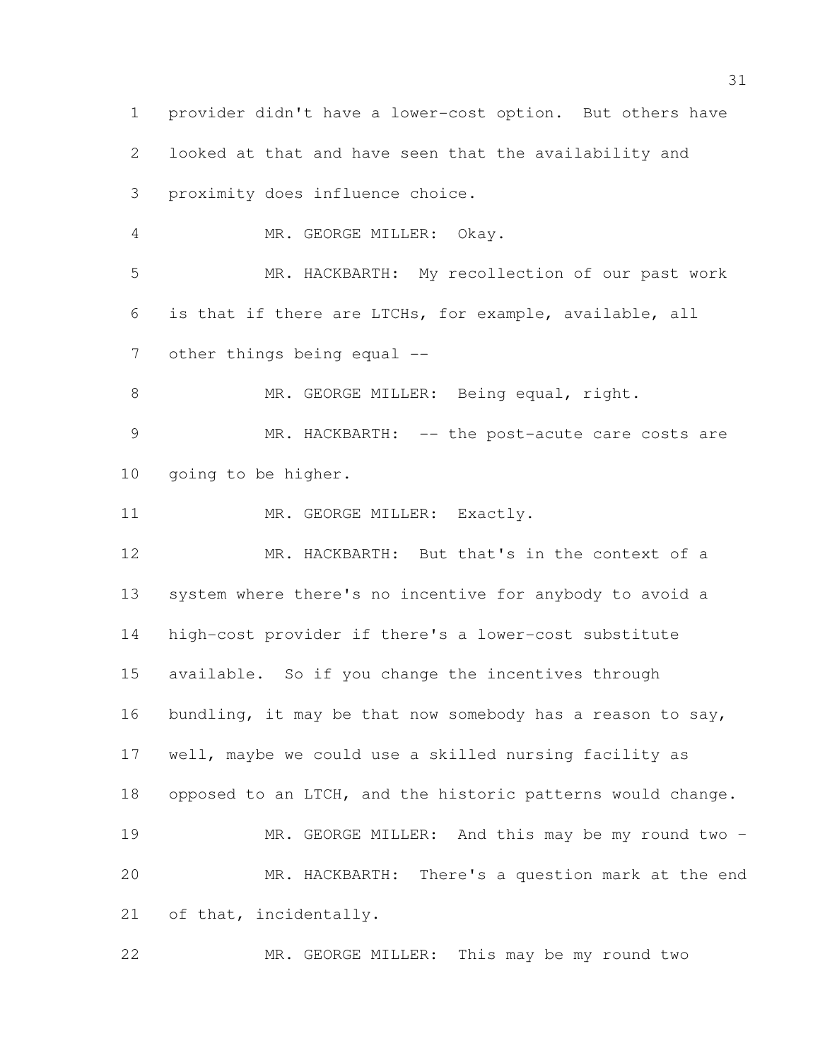provider didn't have a lower-cost option. But others have looked at that and have seen that the availability and proximity does influence choice. MR. GEORGE MILLER: Okay. MR. HACKBARTH: My recollection of our past work is that if there are LTCHs, for example, available, all 7 other things being equal --8 MR. GEORGE MILLER: Being equal, right. 9 MR. HACKBARTH: -- the post-acute care costs are going to be higher. 11 MR. GEORGE MILLER: Exactly. MR. HACKBARTH: But that's in the context of a system where there's no incentive for anybody to avoid a high-cost provider if there's a lower-cost substitute available. So if you change the incentives through 16 bundling, it may be that now somebody has a reason to say, well, maybe we could use a skilled nursing facility as opposed to an LTCH, and the historic patterns would change. MR. GEORGE MILLER: And this may be my round two – MR. HACKBARTH: There's a question mark at the end 21 of that, incidentally.

MR. GEORGE MILLER: This may be my round two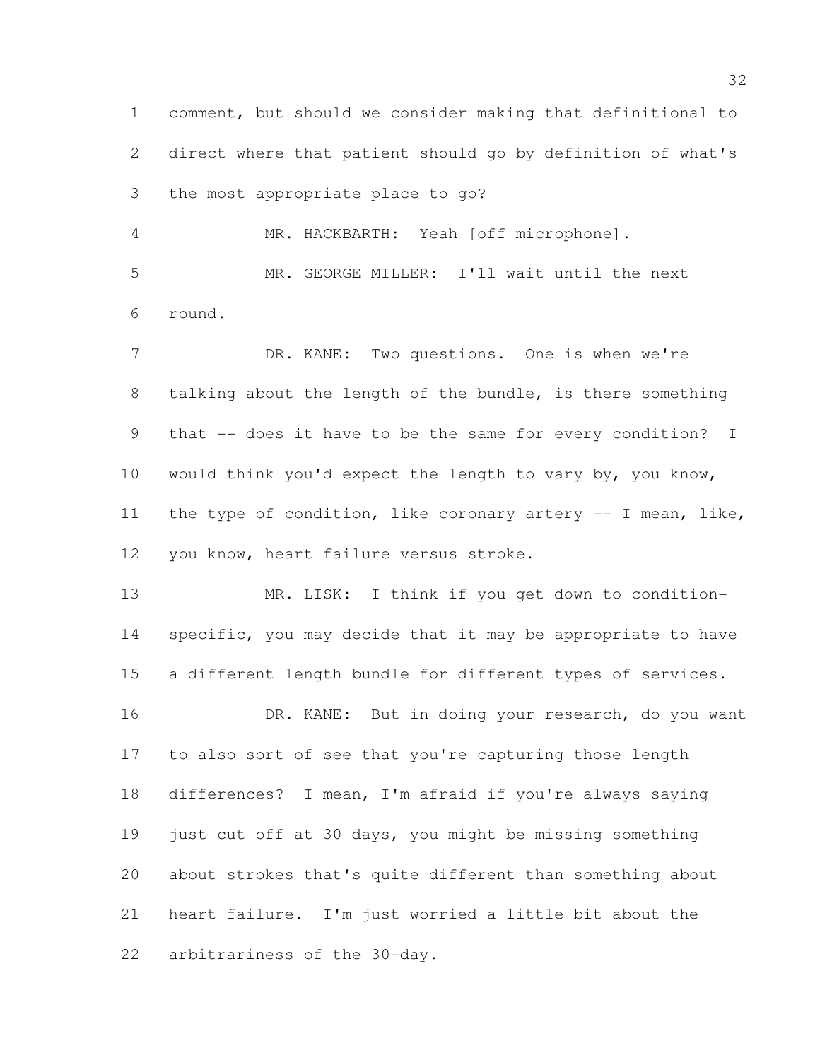comment, but should we consider making that definitional to direct where that patient should go by definition of what's the most appropriate place to go?

 MR. HACKBARTH: Yeah [off microphone]. MR. GEORGE MILLER: I'll wait until the next round.

7 DR. KANE: Two questions. One is when we're talking about the length of the bundle, is there something that -- does it have to be the same for every condition? I would think you'd expect the length to vary by, you know, the type of condition, like coronary artery -- I mean, like, you know, heart failure versus stroke.

 MR. LISK: I think if you get down to condition- specific, you may decide that it may be appropriate to have a different length bundle for different types of services.

16 DR. KANE: But in doing your research, do you want to also sort of see that you're capturing those length differences? I mean, I'm afraid if you're always saying just cut off at 30 days, you might be missing something about strokes that's quite different than something about heart failure. I'm just worried a little bit about the arbitrariness of the 30-day.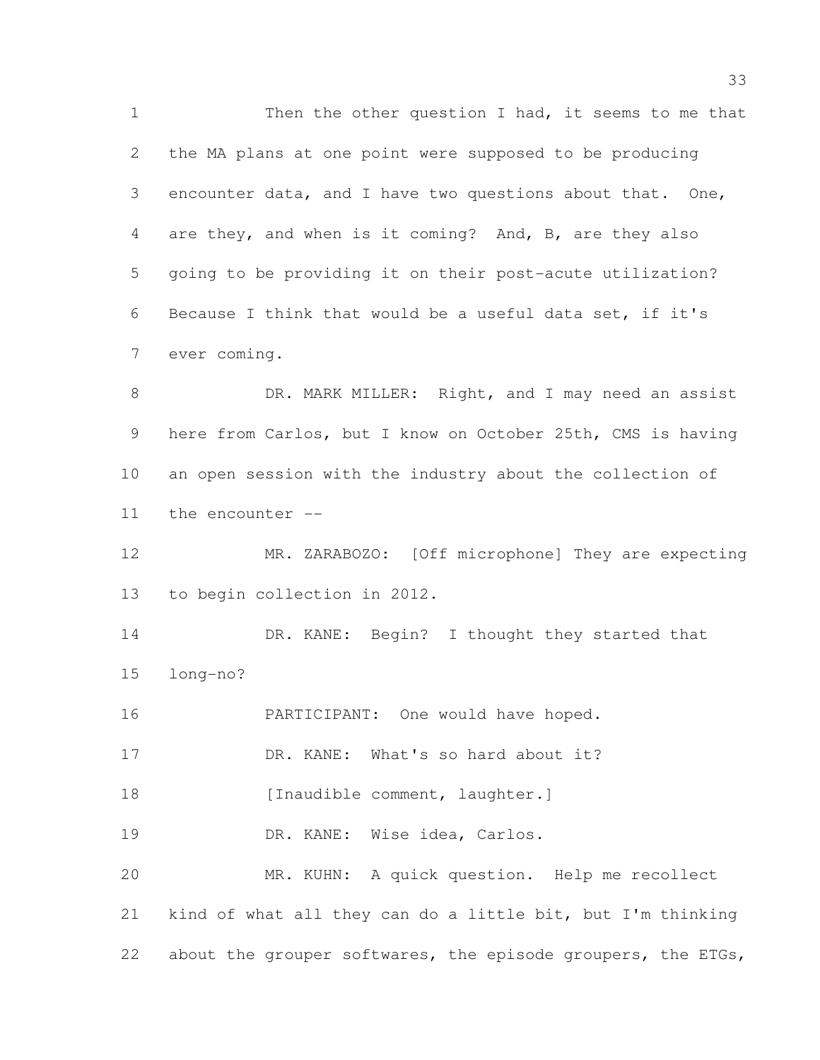1 Then the other question I had, it seems to me that the MA plans at one point were supposed to be producing encounter data, and I have two questions about that. One, are they, and when is it coming? And, B, are they also going to be providing it on their post-acute utilization? Because I think that would be a useful data set, if it's ever coming. 8 DR. MARK MILLER: Right, and I may need an assist here from Carlos, but I know on October 25th, CMS is having

 an open session with the industry about the collection of the encounter --

 MR. ZARABOZO: [Off microphone] They are expecting to begin collection in 2012.

14 DR. KANE: Begin? I thought they started that long-no?

16 PARTICIPANT: One would have hoped.

17 DR. KANE: What's so hard about it?

18 [Inaudible comment, laughter.]

19 DR. KANE: Wise idea, Carlos.

 MR. KUHN: A quick question. Help me recollect kind of what all they can do a little bit, but I'm thinking 22 about the grouper softwares, the episode groupers, the ETGs,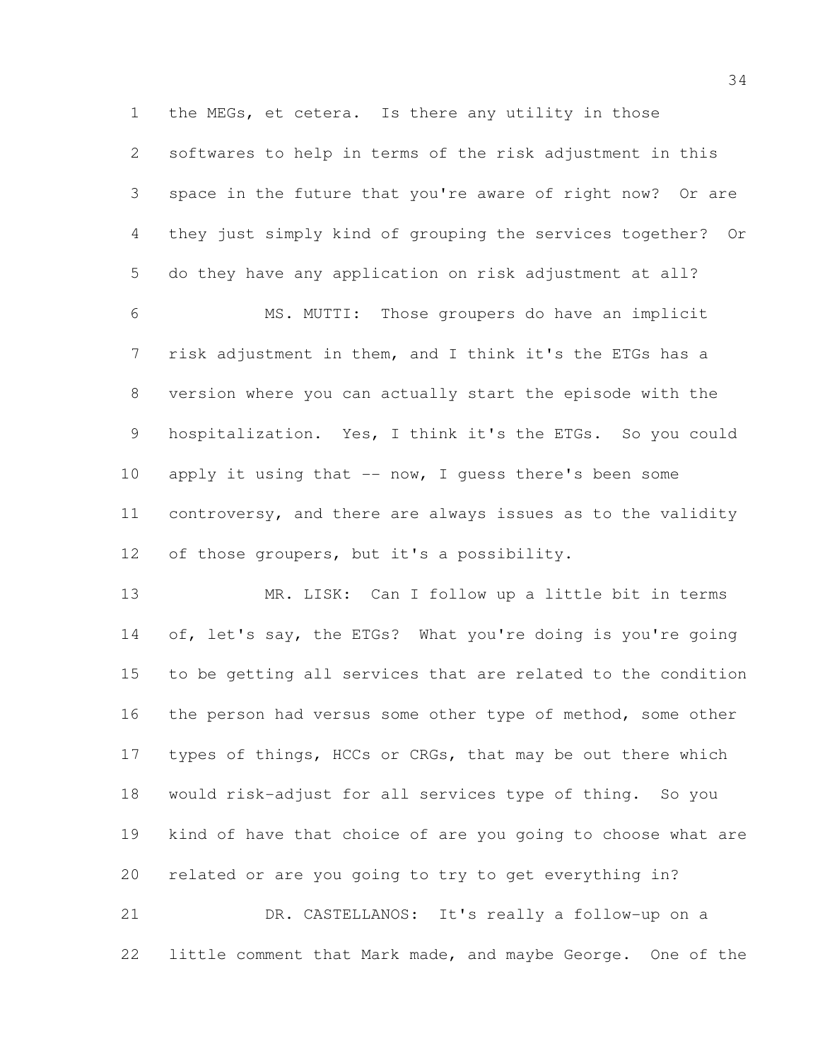the MEGs, et cetera. Is there any utility in those

 softwares to help in terms of the risk adjustment in this space in the future that you're aware of right now? Or are they just simply kind of grouping the services together? Or do they have any application on risk adjustment at all?

 MS. MUTTI: Those groupers do have an implicit risk adjustment in them, and I think it's the ETGs has a version where you can actually start the episode with the 9 hospitalization. Yes, I think it's the ETGs. So you could 10 apply it using that -- now, I guess there's been some controversy, and there are always issues as to the validity of those groupers, but it's a possibility.

 MR. LISK: Can I follow up a little bit in terms 14 of, let's say, the ETGs? What you're doing is you're going to be getting all services that are related to the condition 16 the person had versus some other type of method, some other 17 types of things, HCCs or CRGs, that may be out there which would risk-adjust for all services type of thing. So you kind of have that choice of are you going to choose what are related or are you going to try to get everything in?

 DR. CASTELLANOS: It's really a follow-up on a little comment that Mark made, and maybe George. One of the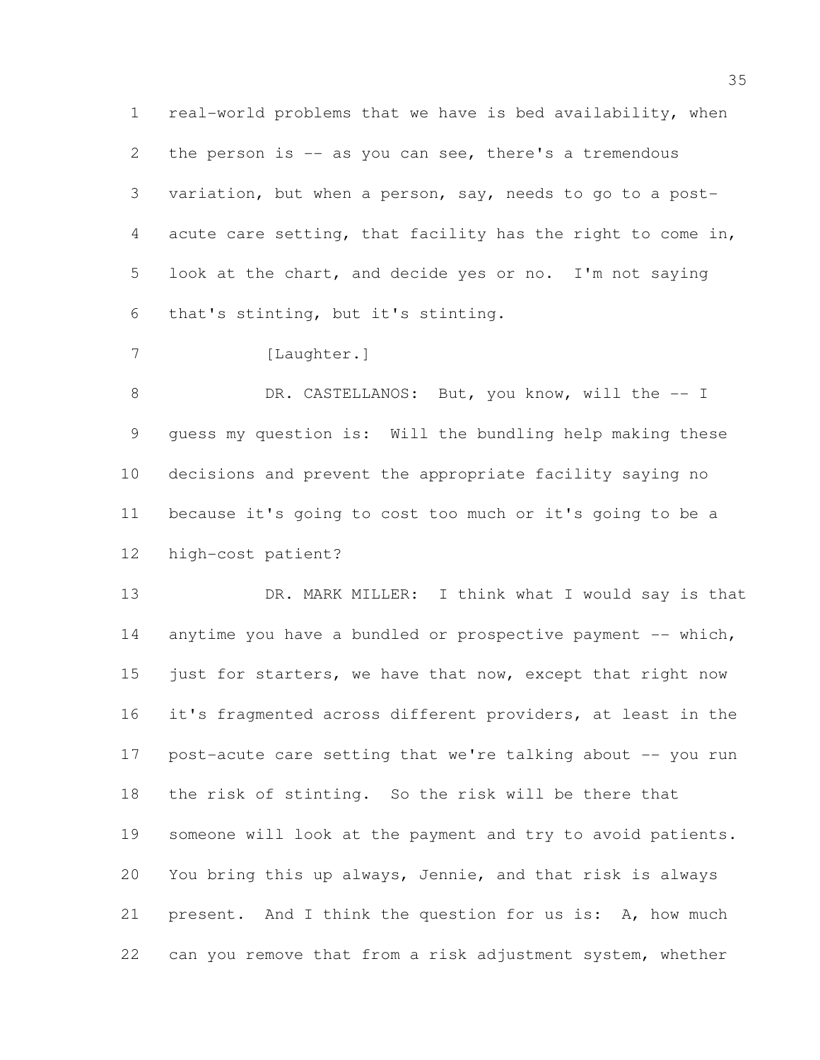real-world problems that we have is bed availability, when 2 the person is -- as you can see, there's a tremendous variation, but when a person, say, needs to go to a post- acute care setting, that facility has the right to come in, look at the chart, and decide yes or no. I'm not saying that's stinting, but it's stinting.

7 [Laughter.]

8 DR. CASTELLANOS: But, you know, will the -- I guess my question is: Will the bundling help making these decisions and prevent the appropriate facility saying no because it's going to cost too much or it's going to be a high-cost patient?

13 DR. MARK MILLER: I think what I would say is that 14 anytime you have a bundled or prospective payment -- which, 15 just for starters, we have that now, except that right now it's fragmented across different providers, at least in the post-acute care setting that we're talking about -- you run the risk of stinting. So the risk will be there that someone will look at the payment and try to avoid patients. You bring this up always, Jennie, and that risk is always present. And I think the question for us is: A, how much can you remove that from a risk adjustment system, whether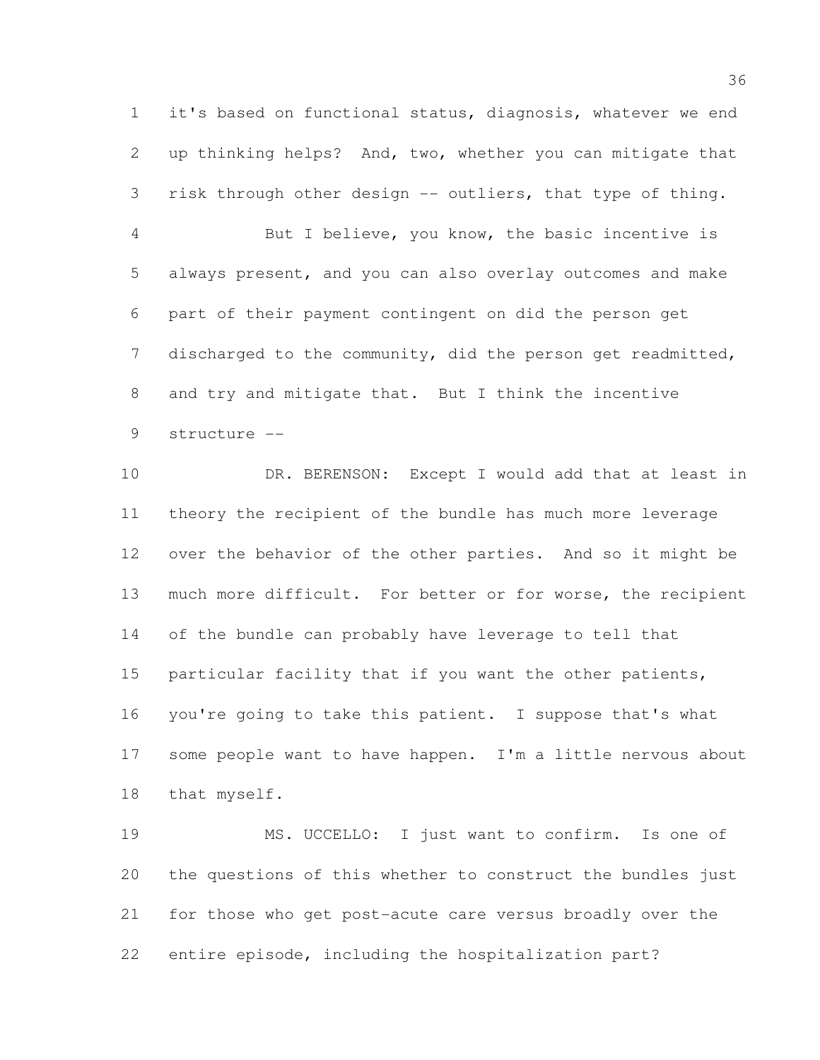it's based on functional status, diagnosis, whatever we end up thinking helps? And, two, whether you can mitigate that risk through other design -- outliers, that type of thing.

 But I believe, you know, the basic incentive is always present, and you can also overlay outcomes and make part of their payment contingent on did the person get discharged to the community, did the person get readmitted, and try and mitigate that. But I think the incentive structure --

 DR. BERENSON: Except I would add that at least in theory the recipient of the bundle has much more leverage over the behavior of the other parties. And so it might be much more difficult. For better or for worse, the recipient of the bundle can probably have leverage to tell that particular facility that if you want the other patients, you're going to take this patient. I suppose that's what some people want to have happen. I'm a little nervous about that myself.

 MS. UCCELLO: I just want to confirm. Is one of the questions of this whether to construct the bundles just for those who get post-acute care versus broadly over the entire episode, including the hospitalization part?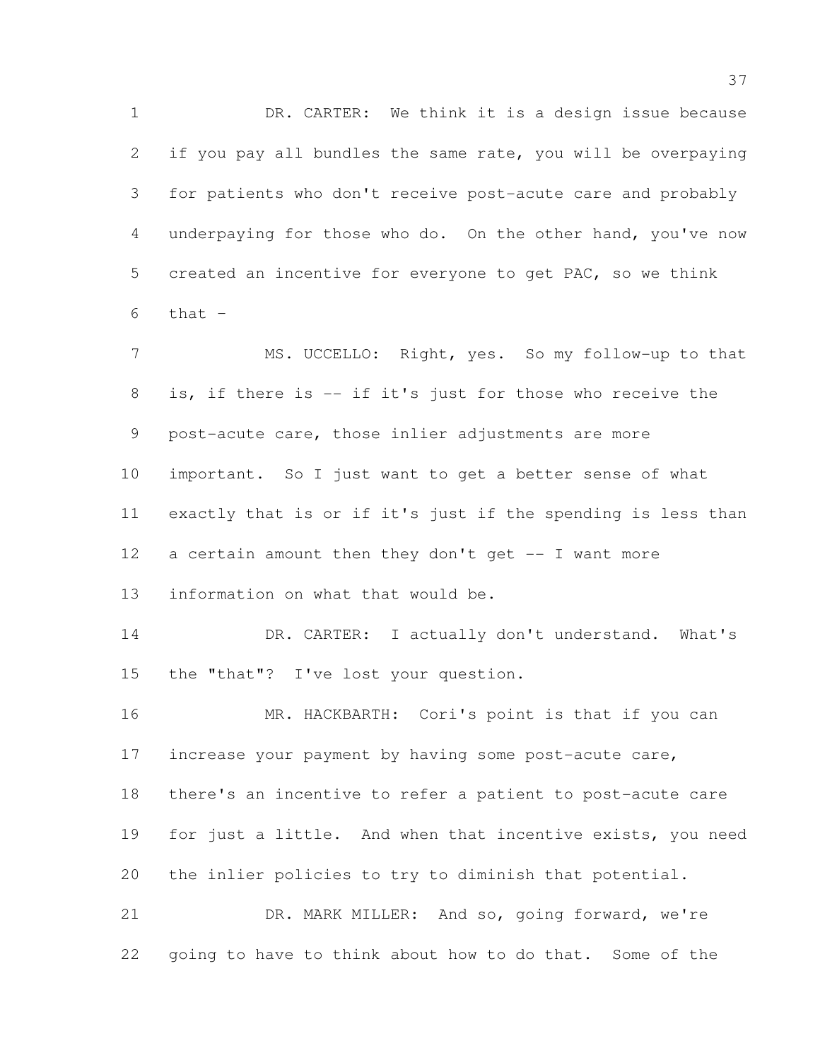DR. CARTER: We think it is a design issue because if you pay all bundles the same rate, you will be overpaying for patients who don't receive post-acute care and probably underpaying for those who do. On the other hand, you've now created an incentive for everyone to get PAC, so we think that  $-$ 

 MS. UCCELLO: Right, yes. So my follow-up to that is, if there is -- if it's just for those who receive the post-acute care, those inlier adjustments are more important. So I just want to get a better sense of what exactly that is or if it's just if the spending is less than a certain amount then they don't get -- I want more information on what that would be. 14 DR. CARTER: I actually don't understand. What's the "that"? I've lost your question. MR. HACKBARTH: Cori's point is that if you can

17 increase your payment by having some post-acute care, there's an incentive to refer a patient to post-acute care for just a little. And when that incentive exists, you need the inlier policies to try to diminish that potential. DR. MARK MILLER: And so, going forward, we're

going to have to think about how to do that. Some of the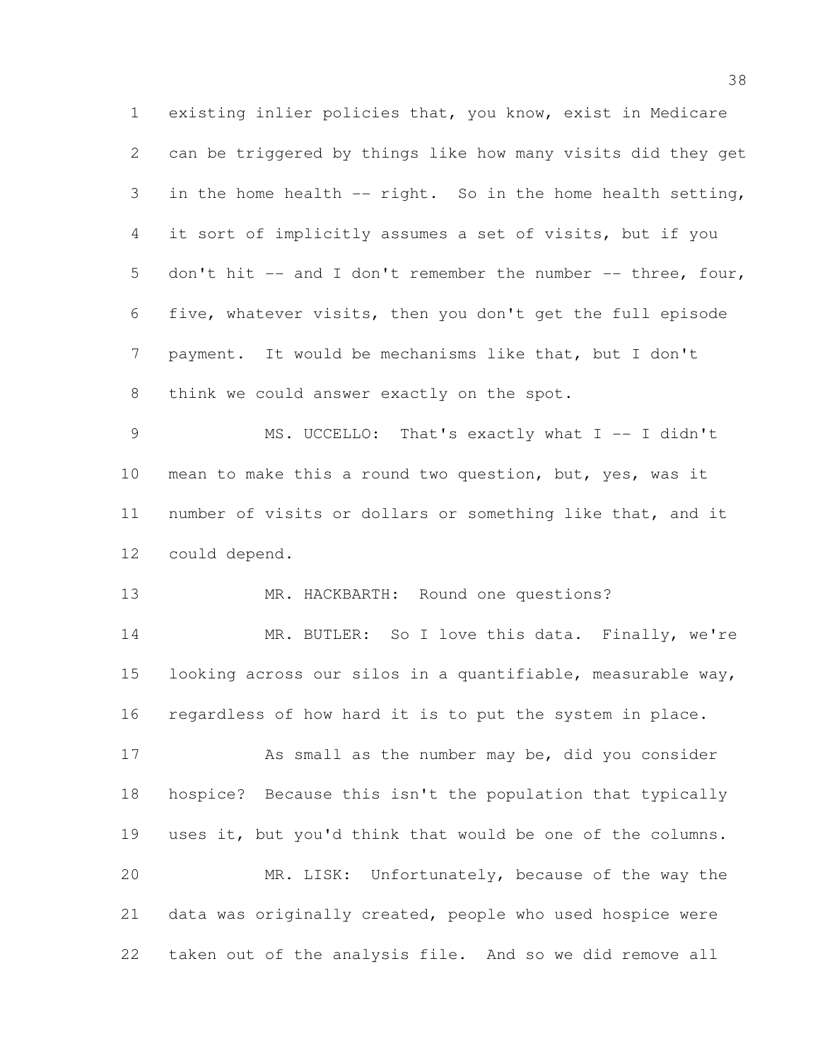existing inlier policies that, you know, exist in Medicare can be triggered by things like how many visits did they get in the home health -- right. So in the home health setting, it sort of implicitly assumes a set of visits, but if you don't hit -- and I don't remember the number -- three, four, five, whatever visits, then you don't get the full episode payment. It would be mechanisms like that, but I don't 8 think we could answer exactly on the spot. 9 MS. UCCELLO: That's exactly what I -- I didn't mean to make this a round two question, but, yes, was it number of visits or dollars or something like that, and it could depend. 13 MR. HACKBARTH: Round one questions? 14 MR. BUTLER: So I love this data. Finally, we're looking across our silos in a quantifiable, measurable way, regardless of how hard it is to put the system in place. As small as the number may be, did you consider hospice? Because this isn't the population that typically uses it, but you'd think that would be one of the columns. MR. LISK: Unfortunately, because of the way the data was originally created, people who used hospice were taken out of the analysis file. And so we did remove all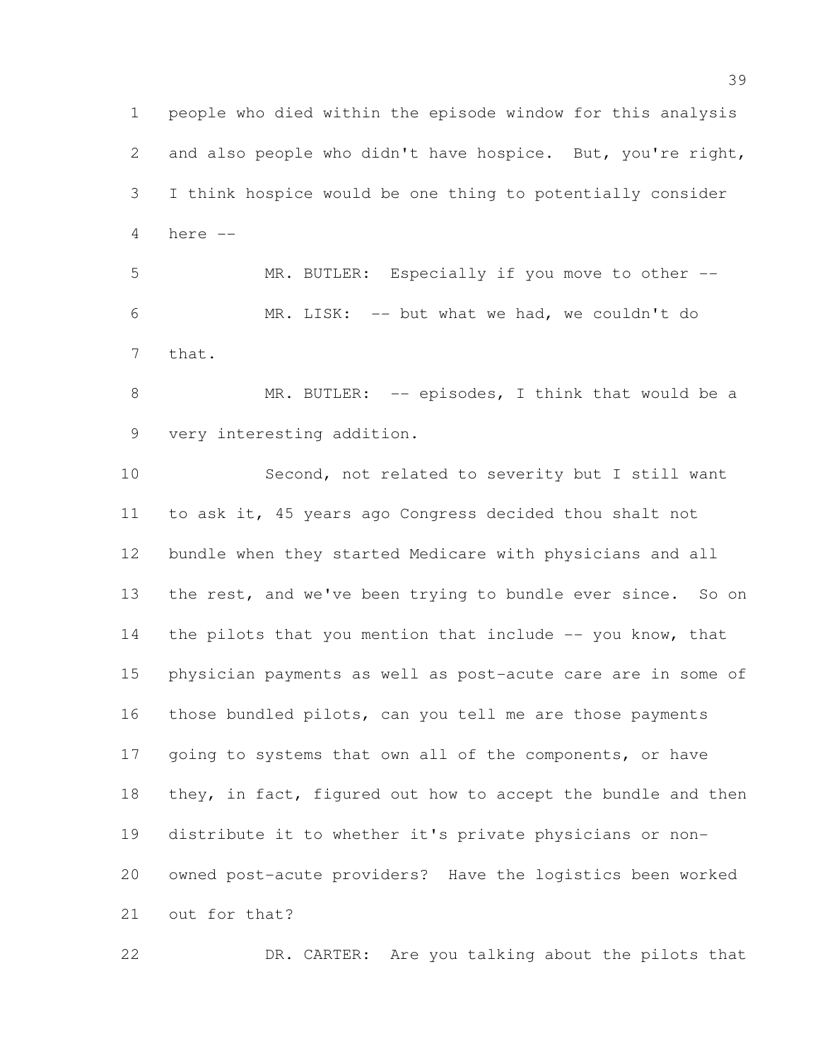people who died within the episode window for this analysis and also people who didn't have hospice. But, you're right, I think hospice would be one thing to potentially consider here -- MR. BUTLER: Especially if you move to other --

 MR. LISK: -- but what we had, we couldn't do that.

8 MR. BUTLER: -- episodes, I think that would be a very interesting addition.

 Second, not related to severity but I still want to ask it, 45 years ago Congress decided thou shalt not bundle when they started Medicare with physicians and all 13 the rest, and we've been trying to bundle ever since. So on 14 the pilots that you mention that include -- you know, that physician payments as well as post-acute care are in some of those bundled pilots, can you tell me are those payments 17 going to systems that own all of the components, or have 18 they, in fact, figured out how to accept the bundle and then distribute it to whether it's private physicians or non- owned post-acute providers? Have the logistics been worked out for that?

DR. CARTER: Are you talking about the pilots that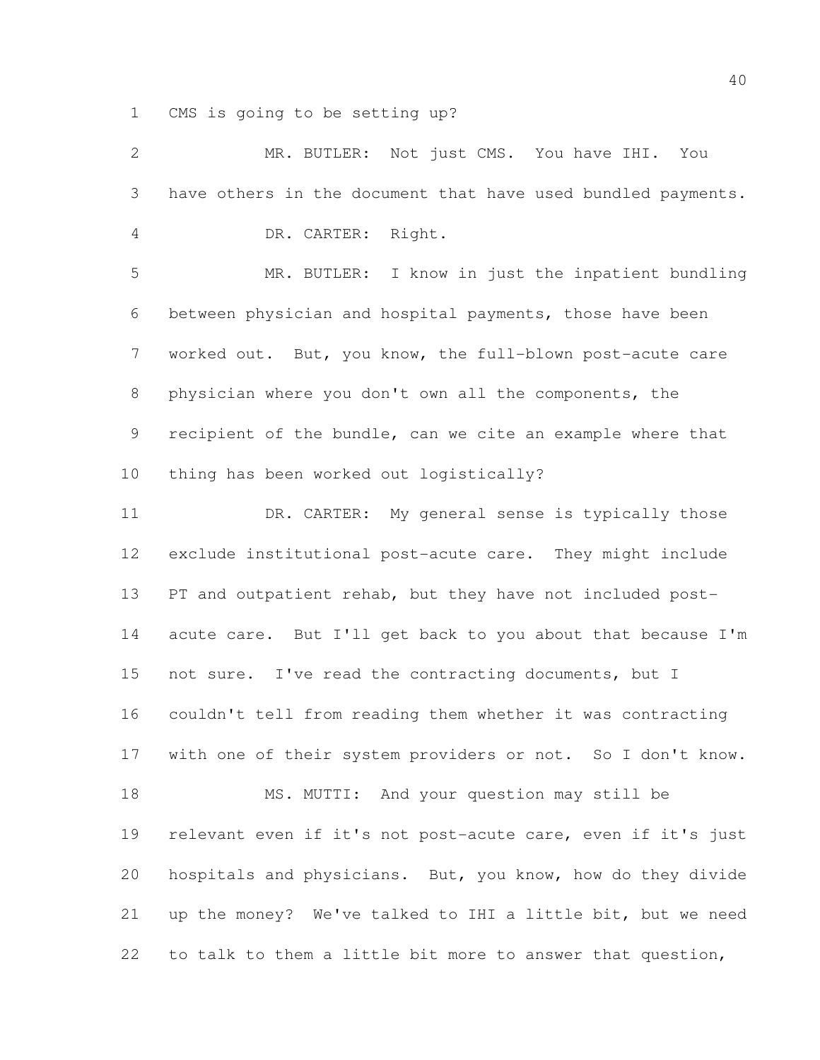CMS is going to be setting up?

| $\overline{2}$ | MR. BUTLER: Not just CMS. You have IHI. You                  |
|----------------|--------------------------------------------------------------|
| 3              | have others in the document that have used bundled payments. |
| $\overline{4}$ | DR. CARTER: Right.                                           |
| 5              | MR. BUTLER: I know in just the inpatient bundling            |
| 6              | between physician and hospital payments, those have been     |
| $\overline{7}$ | worked out. But, you know, the full-blown post-acute care    |
| 8              | physician where you don't own all the components, the        |
| 9              | recipient of the bundle, can we cite an example where that   |
| 10             | thing has been worked out logistically?                      |
| 11             | DR. CARTER: My general sense is typically those              |
| 12             | exclude institutional post-acute care. They might include    |
| 13             | PT and outpatient rehab, but they have not included post-    |
| 14             | acute care. But I'll get back to you about that because I'm  |
| 15             | not sure. I've read the contracting documents, but I         |
| 16             | couldn't tell from reading them whether it was contracting   |
| 17             | with one of their system providers or not. So I don't know.  |
| 18             | MS. MUTTI: And your question may still be                    |
| 19             | relevant even if it's not post-acute care, even if it's just |
| 20             | hospitals and physicians. But, you know, how do they divide  |
| 21             | up the money? We've talked to IHI a little bit, but we need  |
| 22             | to talk to them a little bit more to answer that question,   |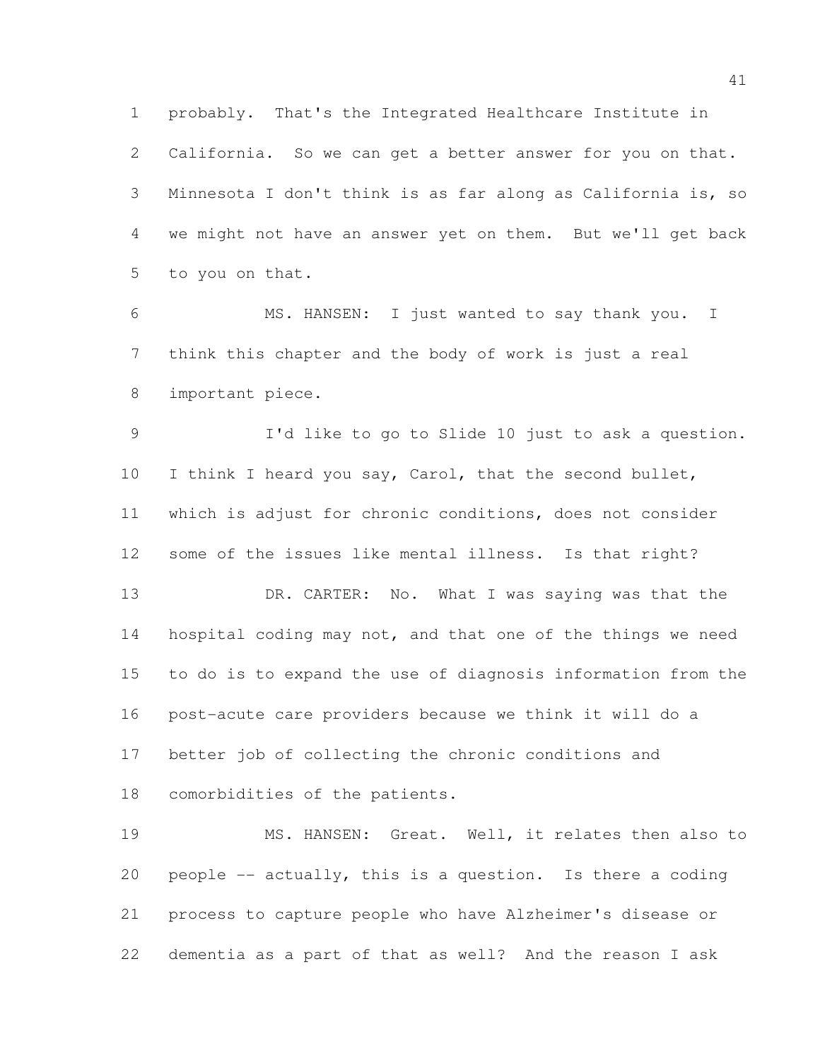probably. That's the Integrated Healthcare Institute in California. So we can get a better answer for you on that. Minnesota I don't think is as far along as California is, so we might not have an answer yet on them. But we'll get back to you on that.

 MS. HANSEN: I just wanted to say thank you. I think this chapter and the body of work is just a real important piece.

 I'd like to go to Slide 10 just to ask a question. I think I heard you say, Carol, that the second bullet, which is adjust for chronic conditions, does not consider some of the issues like mental illness. Is that right?

13 DR. CARTER: No. What I was saying was that the 14 hospital coding may not, and that one of the things we need to do is to expand the use of diagnosis information from the post-acute care providers because we think it will do a better job of collecting the chronic conditions and comorbidities of the patients.

 MS. HANSEN: Great. Well, it relates then also to people -- actually, this is a question. Is there a coding process to capture people who have Alzheimer's disease or dementia as a part of that as well? And the reason I ask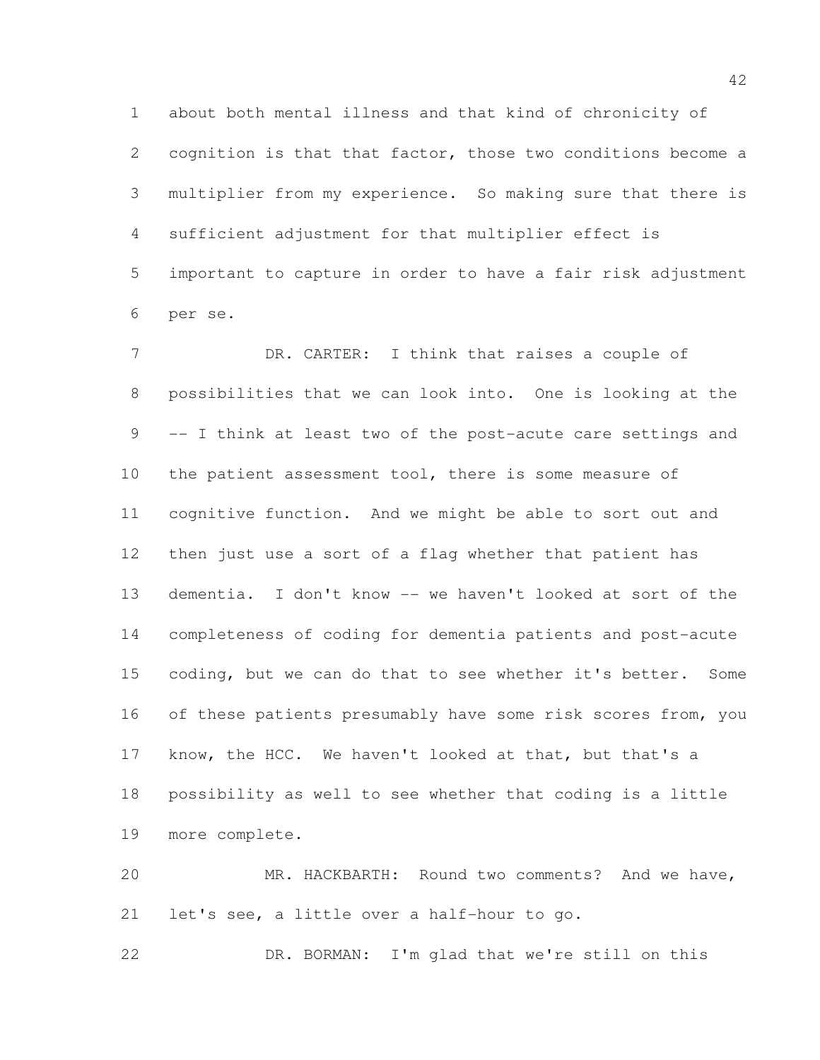about both mental illness and that kind of chronicity of cognition is that that factor, those two conditions become a multiplier from my experience. So making sure that there is sufficient adjustment for that multiplier effect is important to capture in order to have a fair risk adjustment per se.

7 DR. CARTER: I think that raises a couple of possibilities that we can look into. One is looking at the -- I think at least two of the post-acute care settings and 10 the patient assessment tool, there is some measure of cognitive function. And we might be able to sort out and then just use a sort of a flag whether that patient has dementia. I don't know -- we haven't looked at sort of the completeness of coding for dementia patients and post-acute coding, but we can do that to see whether it's better. Some 16 of these patients presumably have some risk scores from, you know, the HCC. We haven't looked at that, but that's a possibility as well to see whether that coding is a little more complete.

 MR. HACKBARTH: Round two comments? And we have, let's see, a little over a half-hour to go.

DR. BORMAN: I'm glad that we're still on this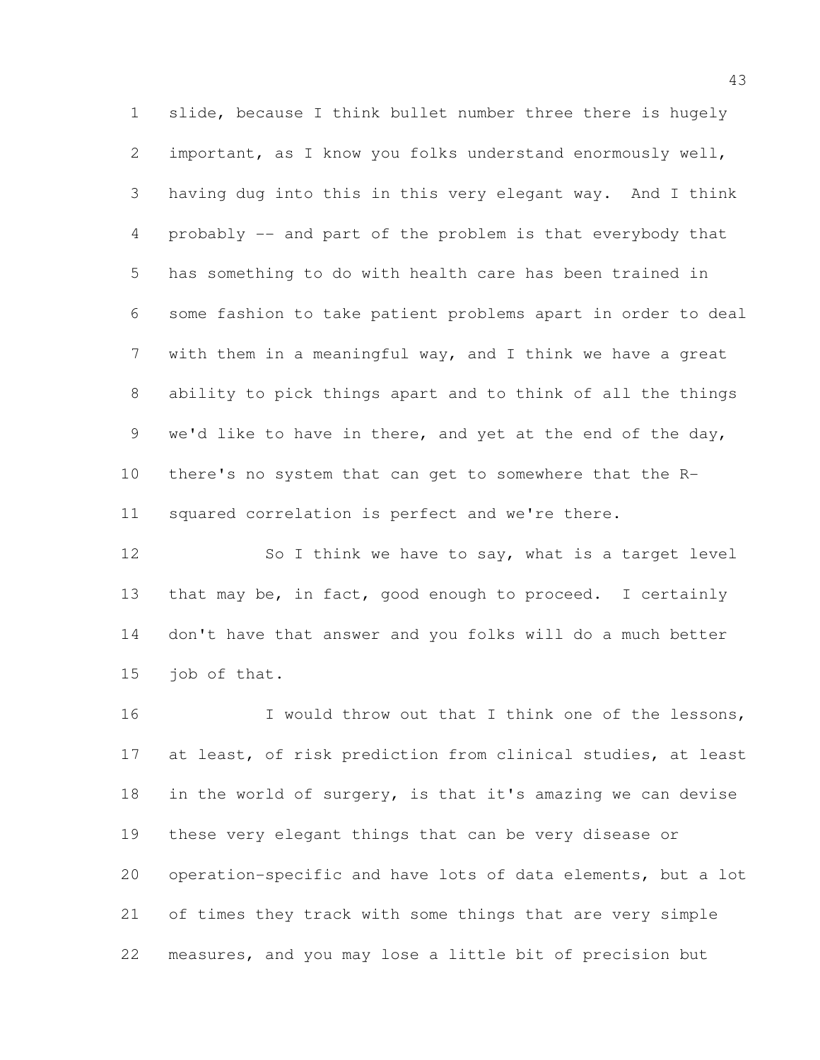slide, because I think bullet number three there is hugely important, as I know you folks understand enormously well, having dug into this in this very elegant way. And I think probably -- and part of the problem is that everybody that has something to do with health care has been trained in some fashion to take patient problems apart in order to deal with them in a meaningful way, and I think we have a great ability to pick things apart and to think of all the things 9 we'd like to have in there, and yet at the end of the day, there's no system that can get to somewhere that the R-squared correlation is perfect and we're there.

12 So I think we have to say, what is a target level that may be, in fact, good enough to proceed. I certainly don't have that answer and you folks will do a much better job of that.

16 I would throw out that I think one of the lessons, at least, of risk prediction from clinical studies, at least in the world of surgery, is that it's amazing we can devise these very elegant things that can be very disease or operation-specific and have lots of data elements, but a lot of times they track with some things that are very simple measures, and you may lose a little bit of precision but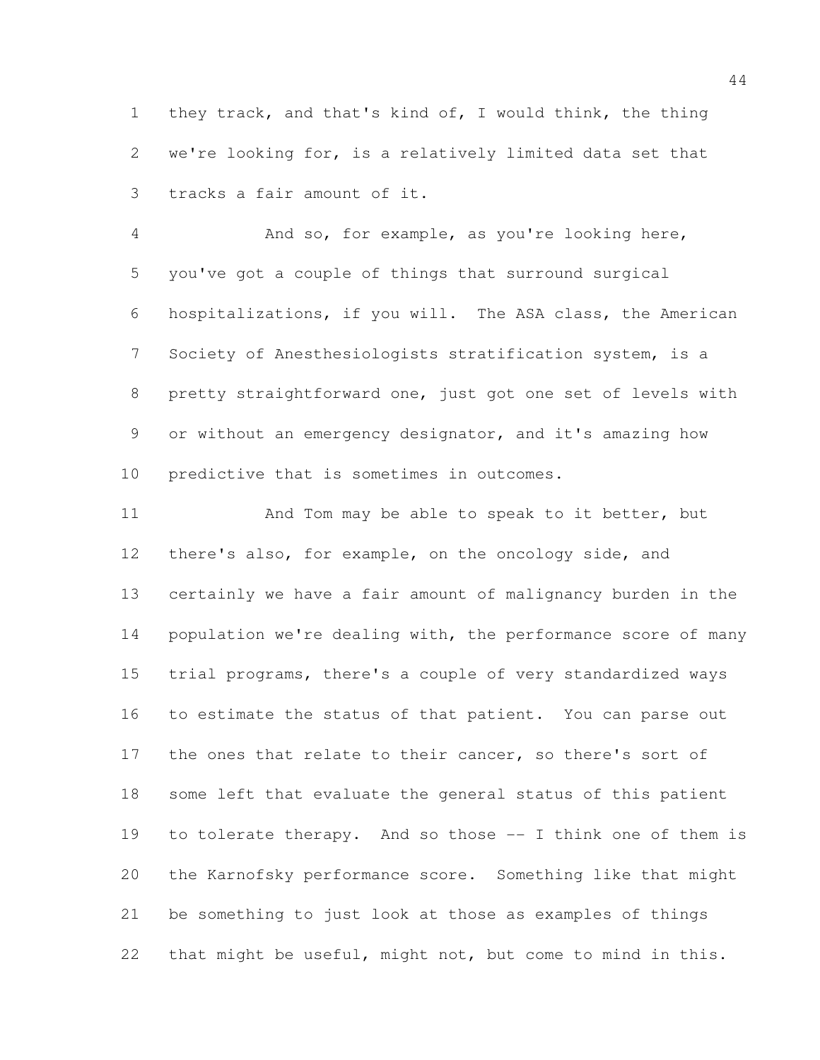they track, and that's kind of, I would think, the thing we're looking for, is a relatively limited data set that tracks a fair amount of it.

 And so, for example, as you're looking here, you've got a couple of things that surround surgical hospitalizations, if you will. The ASA class, the American Society of Anesthesiologists stratification system, is a pretty straightforward one, just got one set of levels with or without an emergency designator, and it's amazing how predictive that is sometimes in outcomes.

11 And Tom may be able to speak to it better, but there's also, for example, on the oncology side, and certainly we have a fair amount of malignancy burden in the 14 population we're dealing with, the performance score of many trial programs, there's a couple of very standardized ways to estimate the status of that patient. You can parse out 17 the ones that relate to their cancer, so there's sort of some left that evaluate the general status of this patient 19 to tolerate therapy. And so those -- I think one of them is the Karnofsky performance score. Something like that might be something to just look at those as examples of things that might be useful, might not, but come to mind in this.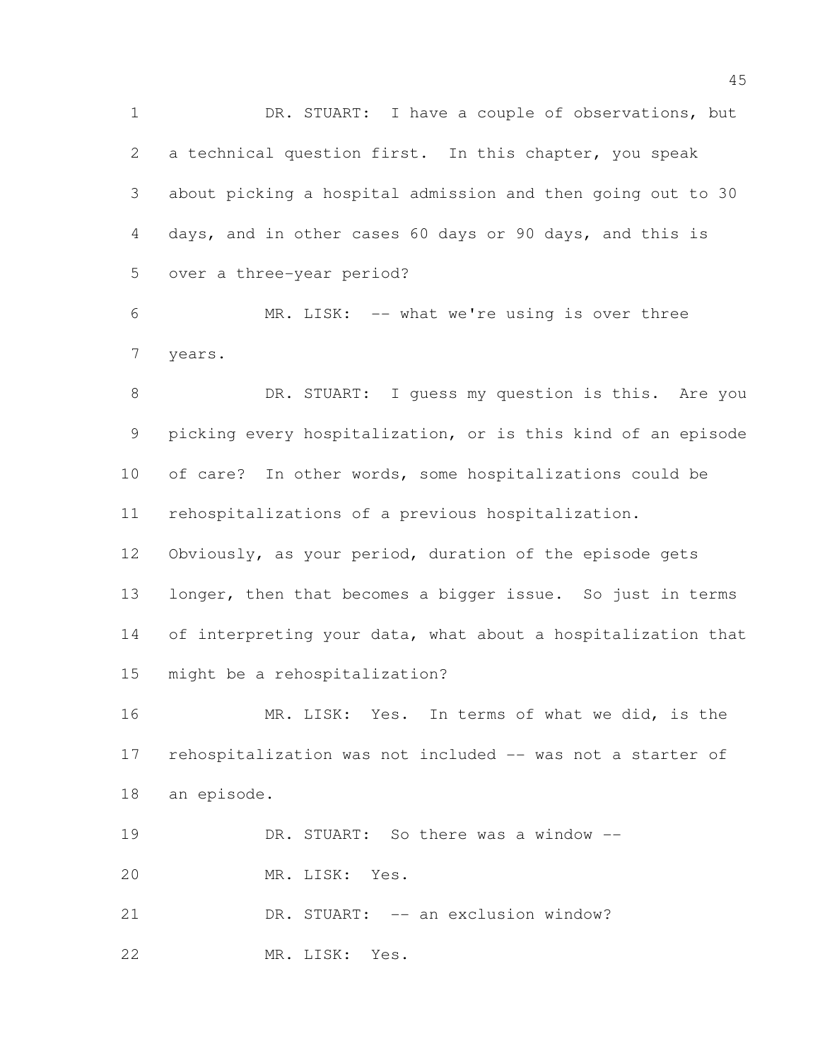DR. STUART: I have a couple of observations, but a technical question first. In this chapter, you speak about picking a hospital admission and then going out to 30 days, and in other cases 60 days or 90 days, and this is over a three-year period? MR. LISK: -- what we're using is over three years. 8 DR. STUART: I guess my question is this. Are you picking every hospitalization, or is this kind of an episode of care? In other words, some hospitalizations could be rehospitalizations of a previous hospitalization. Obviously, as your period, duration of the episode gets 13 longer, then that becomes a bigger issue. So just in terms 14 of interpreting your data, what about a hospitalization that might be a rehospitalization?

 MR. LISK: Yes. In terms of what we did, is the rehospitalization was not included -- was not a starter of an episode.

DR. STUART: So there was a window --

MR. LISK: Yes.

 DR. STUART: -- an exclusion window? MR. LISK: Yes.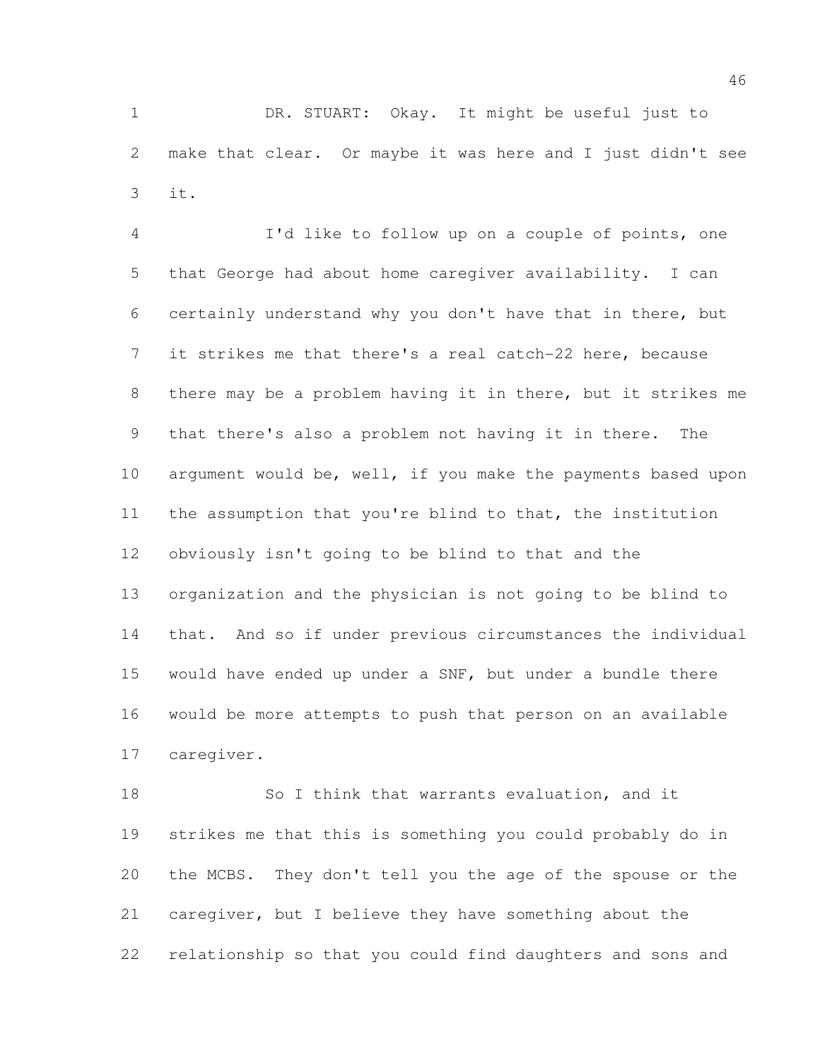DR. STUART: Okay. It might be useful just to make that clear. Or maybe it was here and I just didn't see it.

 I'd like to follow up on a couple of points, one that George had about home caregiver availability. I can certainly understand why you don't have that in there, but it strikes me that there's a real catch-22 here, because there may be a problem having it in there, but it strikes me that there's also a problem not having it in there. The argument would be, well, if you make the payments based upon the assumption that you're blind to that, the institution obviously isn't going to be blind to that and the organization and the physician is not going to be blind to that. And so if under previous circumstances the individual would have ended up under a SNF, but under a bundle there would be more attempts to push that person on an available caregiver.

 So I think that warrants evaluation, and it strikes me that this is something you could probably do in the MCBS. They don't tell you the age of the spouse or the caregiver, but I believe they have something about the relationship so that you could find daughters and sons and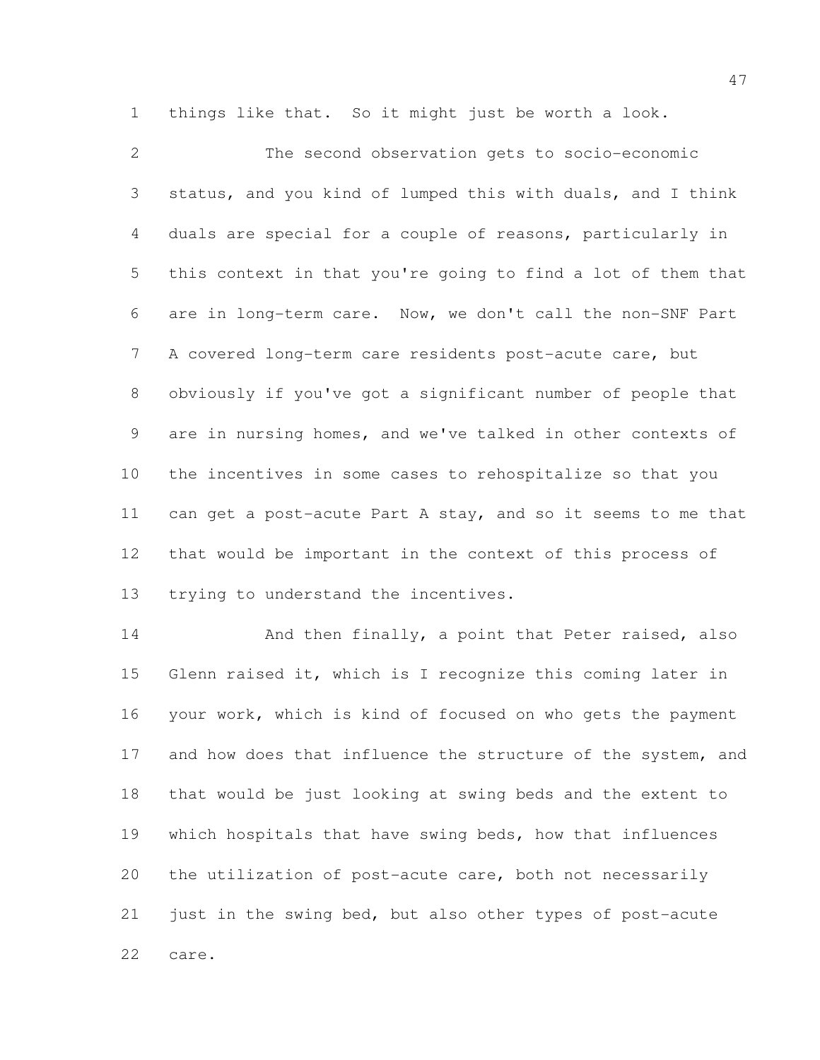things like that. So it might just be worth a look.

 The second observation gets to socio-economic status, and you kind of lumped this with duals, and I think duals are special for a couple of reasons, particularly in this context in that you're going to find a lot of them that are in long-term care. Now, we don't call the non-SNF Part A covered long-term care residents post-acute care, but obviously if you've got a significant number of people that are in nursing homes, and we've talked in other contexts of the incentives in some cases to rehospitalize so that you can get a post-acute Part A stay, and so it seems to me that that would be important in the context of this process of trying to understand the incentives.

14 And then finally, a point that Peter raised, also Glenn raised it, which is I recognize this coming later in your work, which is kind of focused on who gets the payment 17 and how does that influence the structure of the system, and that would be just looking at swing beds and the extent to which hospitals that have swing beds, how that influences the utilization of post-acute care, both not necessarily just in the swing bed, but also other types of post-acute care.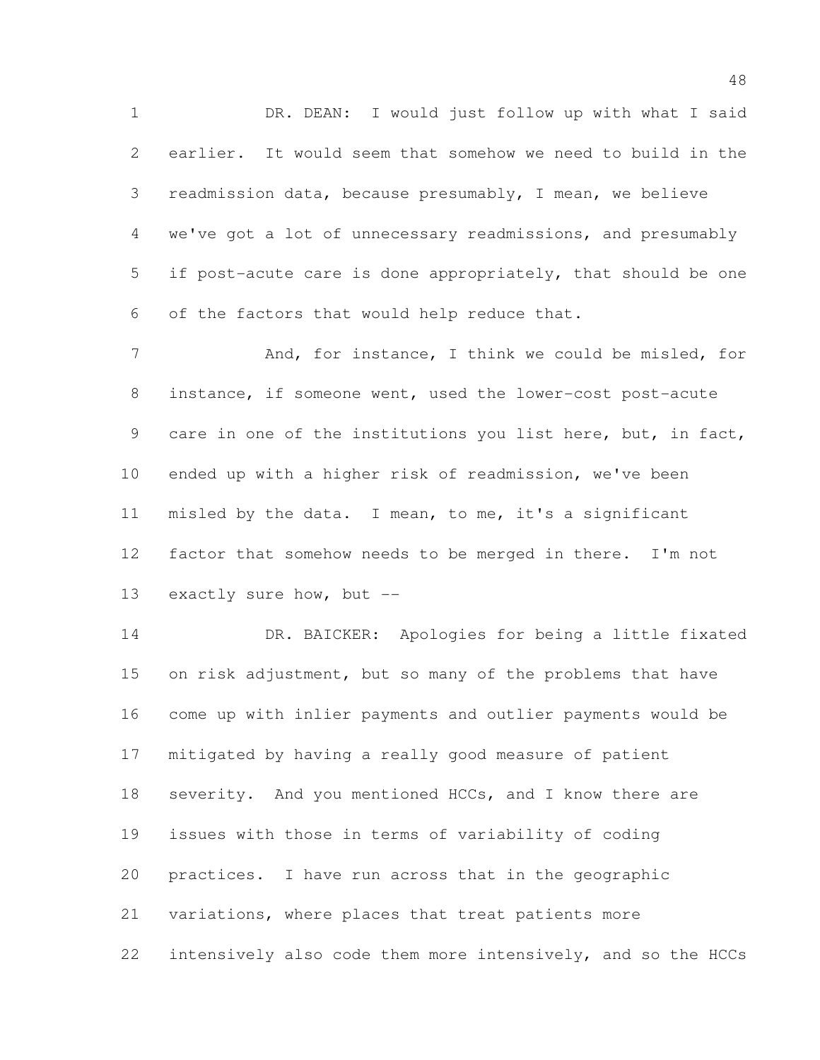DR. DEAN: I would just follow up with what I said earlier. It would seem that somehow we need to build in the readmission data, because presumably, I mean, we believe we've got a lot of unnecessary readmissions, and presumably if post-acute care is done appropriately, that should be one of the factors that would help reduce that.

7 And, for instance, I think we could be misled, for instance, if someone went, used the lower-cost post-acute care in one of the institutions you list here, but, in fact, ended up with a higher risk of readmission, we've been misled by the data. I mean, to me, it's a significant factor that somehow needs to be merged in there. I'm not exactly sure how, but --

 DR. BAICKER: Apologies for being a little fixated 15 on risk adjustment, but so many of the problems that have come up with inlier payments and outlier payments would be mitigated by having a really good measure of patient 18 severity. And you mentioned HCCs, and I know there are issues with those in terms of variability of coding practices. I have run across that in the geographic variations, where places that treat patients more intensively also code them more intensively, and so the HCCs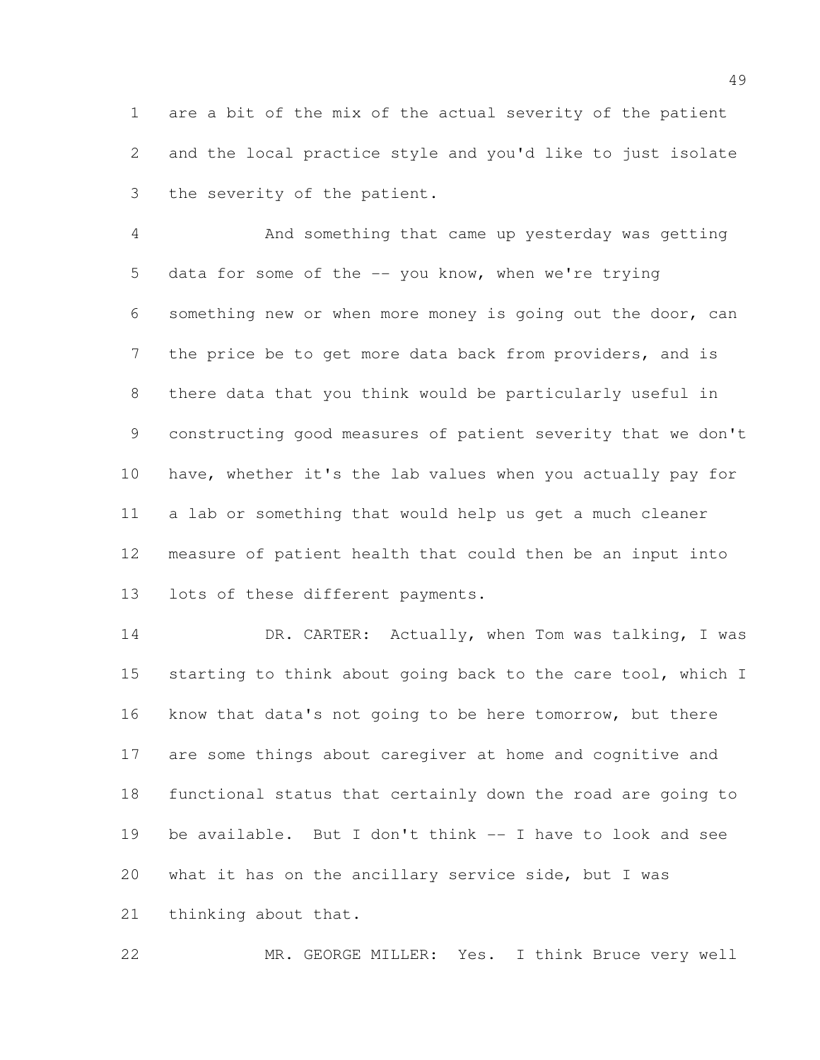are a bit of the mix of the actual severity of the patient and the local practice style and you'd like to just isolate the severity of the patient.

 And something that came up yesterday was getting data for some of the -- you know, when we're trying something new or when more money is going out the door, can the price be to get more data back from providers, and is there data that you think would be particularly useful in constructing good measures of patient severity that we don't have, whether it's the lab values when you actually pay for a lab or something that would help us get a much cleaner measure of patient health that could then be an input into lots of these different payments.

14 DR. CARTER: Actually, when Tom was talking, I was 15 starting to think about going back to the care tool, which I know that data's not going to be here tomorrow, but there are some things about caregiver at home and cognitive and functional status that certainly down the road are going to 19 be available. But I don't think -- I have to look and see what it has on the ancillary service side, but I was thinking about that.

MR. GEORGE MILLER: Yes. I think Bruce very well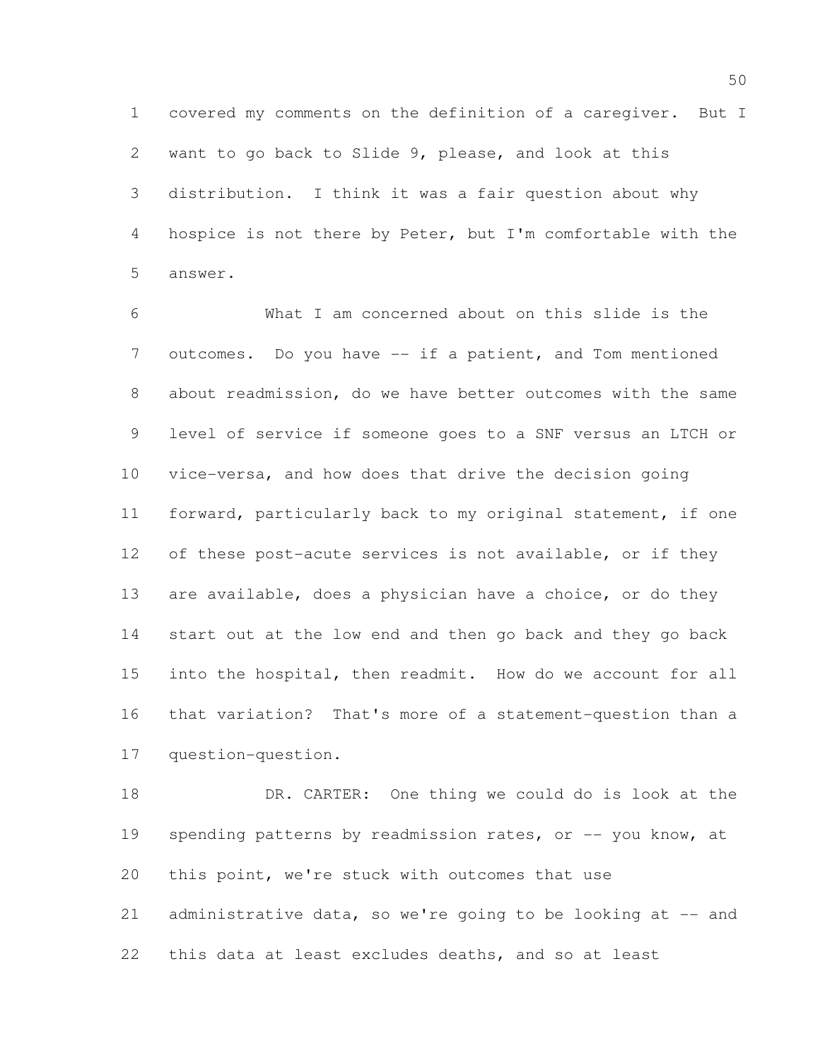covered my comments on the definition of a caregiver. But I want to go back to Slide 9, please, and look at this distribution. I think it was a fair question about why hospice is not there by Peter, but I'm comfortable with the answer.

 What I am concerned about on this slide is the outcomes. Do you have -- if a patient, and Tom mentioned about readmission, do we have better outcomes with the same level of service if someone goes to a SNF versus an LTCH or vice-versa, and how does that drive the decision going forward, particularly back to my original statement, if one of these post-acute services is not available, or if they 13 are available, does a physician have a choice, or do they start out at the low end and then go back and they go back into the hospital, then readmit. How do we account for all that variation? That's more of a statement-question than a question-question.

 DR. CARTER: One thing we could do is look at the 19 spending patterns by readmission rates, or -- you know, at this point, we're stuck with outcomes that use 21 administrative data, so we're going to be looking at  $-$  and this data at least excludes deaths, and so at least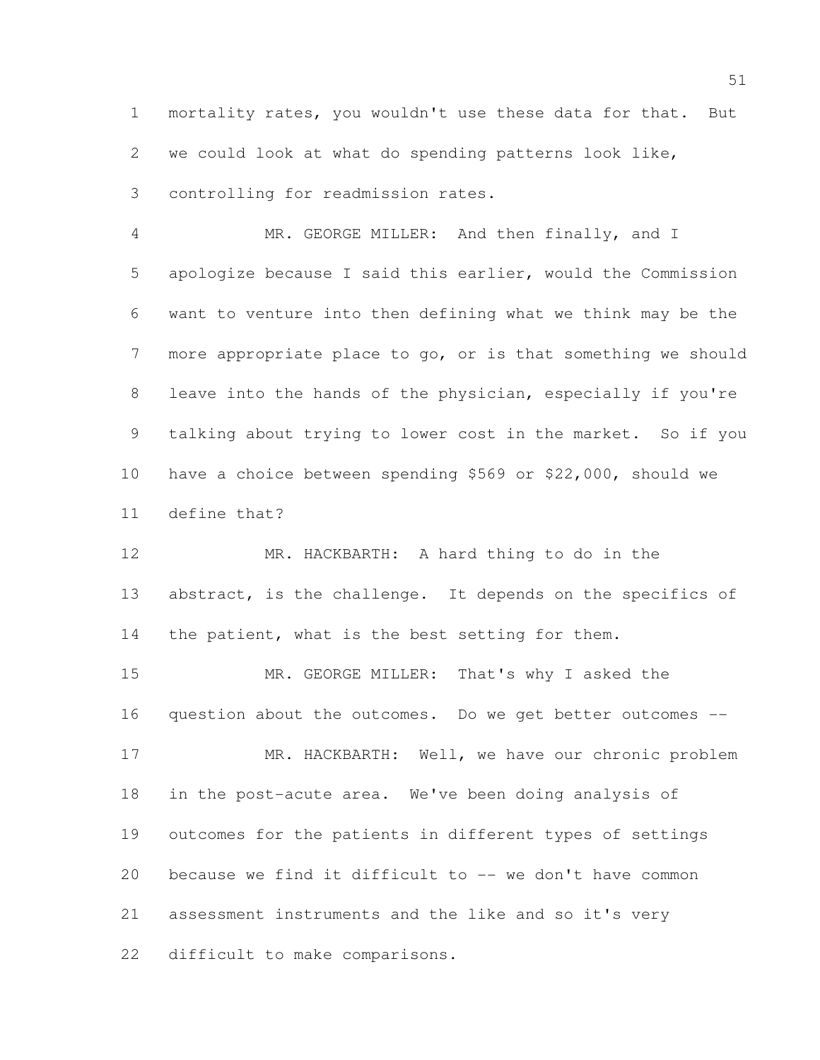mortality rates, you wouldn't use these data for that. But we could look at what do spending patterns look like, controlling for readmission rates.

 MR. GEORGE MILLER: And then finally, and I apologize because I said this earlier, would the Commission want to venture into then defining what we think may be the more appropriate place to go, or is that something we should leave into the hands of the physician, especially if you're talking about trying to lower cost in the market. So if you have a choice between spending \$569 or \$22,000, should we define that?

 MR. HACKBARTH: A hard thing to do in the 13 abstract, is the challenge. It depends on the specifics of 14 the patient, what is the best setting for them.

 MR. GEORGE MILLER: That's why I asked the question about the outcomes. Do we get better outcomes -- 17 MR. HACKBARTH: Well, we have our chronic problem in the post-acute area. We've been doing analysis of outcomes for the patients in different types of settings because we find it difficult to -- we don't have common assessment instruments and the like and so it's very

difficult to make comparisons.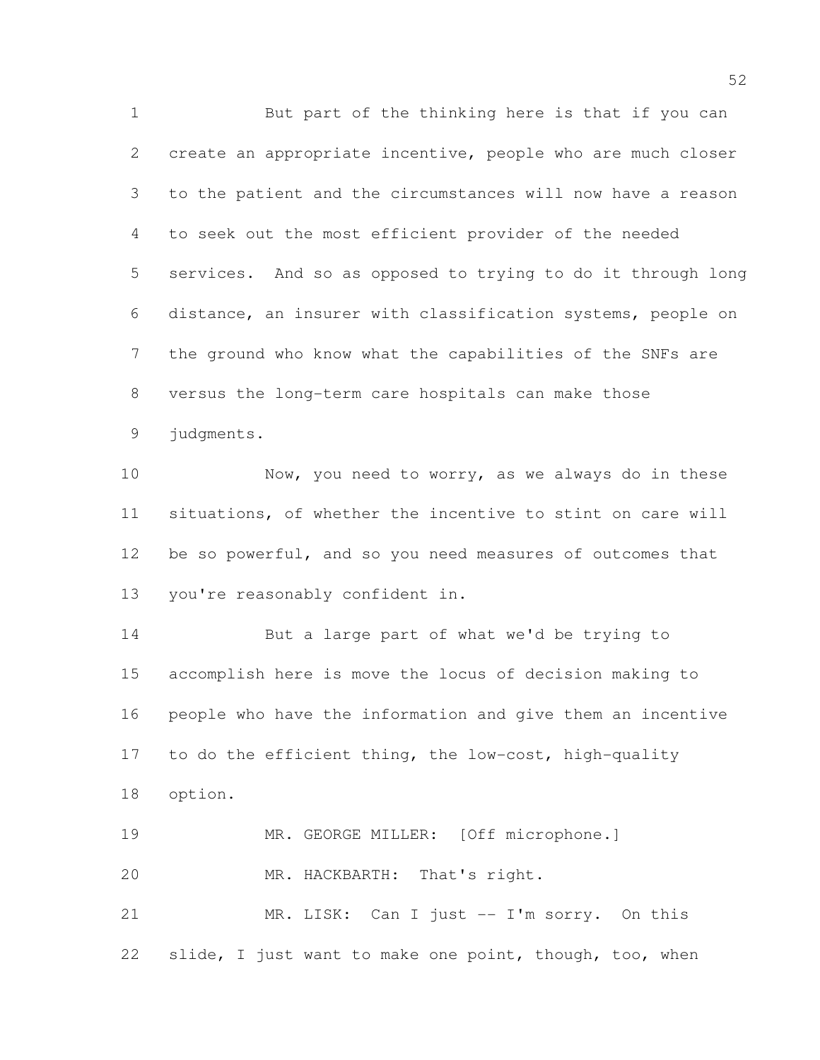But part of the thinking here is that if you can create an appropriate incentive, people who are much closer to the patient and the circumstances will now have a reason to seek out the most efficient provider of the needed services. And so as opposed to trying to do it through long distance, an insurer with classification systems, people on the ground who know what the capabilities of the SNFs are versus the long-term care hospitals can make those judgments.

10 Now, you need to worry, as we always do in these situations, of whether the incentive to stint on care will 12 be so powerful, and so you need measures of outcomes that you're reasonably confident in.

 But a large part of what we'd be trying to accomplish here is move the locus of decision making to people who have the information and give them an incentive to do the efficient thing, the low-cost, high-quality option. MR. GEORGE MILLER: [Off microphone.]

MR. HACKBARTH: That's right.

 MR. LISK: Can I just -- I'm sorry. On this slide, I just want to make one point, though, too, when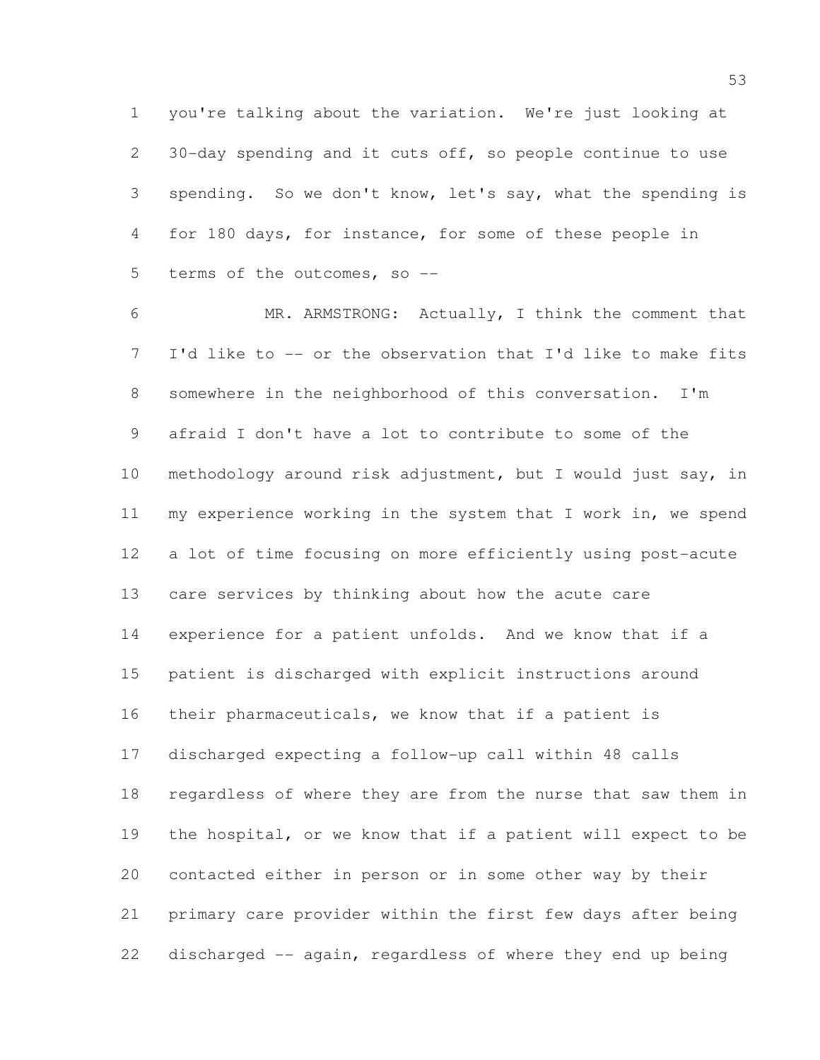you're talking about the variation. We're just looking at 30-day spending and it cuts off, so people continue to use spending. So we don't know, let's say, what the spending is for 180 days, for instance, for some of these people in terms of the outcomes, so --

 MR. ARMSTRONG: Actually, I think the comment that I'd like to -- or the observation that I'd like to make fits somewhere in the neighborhood of this conversation. I'm afraid I don't have a lot to contribute to some of the methodology around risk adjustment, but I would just say, in my experience working in the system that I work in, we spend a lot of time focusing on more efficiently using post-acute care services by thinking about how the acute care experience for a patient unfolds. And we know that if a patient is discharged with explicit instructions around their pharmaceuticals, we know that if a patient is discharged expecting a follow-up call within 48 calls regardless of where they are from the nurse that saw them in the hospital, or we know that if a patient will expect to be contacted either in person or in some other way by their primary care provider within the first few days after being discharged -- again, regardless of where they end up being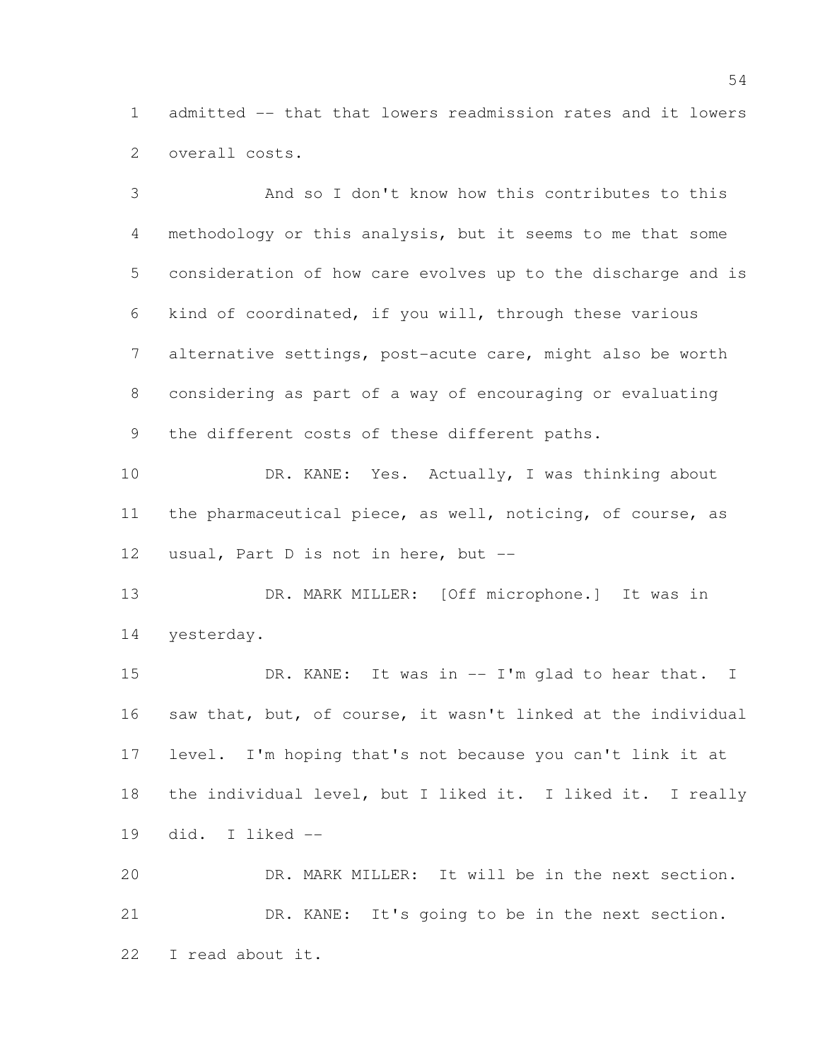admitted -- that that lowers readmission rates and it lowers overall costs.

 And so I don't know how this contributes to this methodology or this analysis, but it seems to me that some consideration of how care evolves up to the discharge and is kind of coordinated, if you will, through these various alternative settings, post-acute care, might also be worth considering as part of a way of encouraging or evaluating the different costs of these different paths.

10 DR. KANE: Yes. Actually, I was thinking about the pharmaceutical piece, as well, noticing, of course, as usual, Part D is not in here, but --

 DR. MARK MILLER: [Off microphone.] It was in yesterday.

15 DR. KANE: It was in -- I'm glad to hear that. I saw that, but, of course, it wasn't linked at the individual level. I'm hoping that's not because you can't link it at the individual level, but I liked it. I liked it. I really did. I liked --

 DR. MARK MILLER: It will be in the next section. DR. KANE: It's going to be in the next section. I read about it.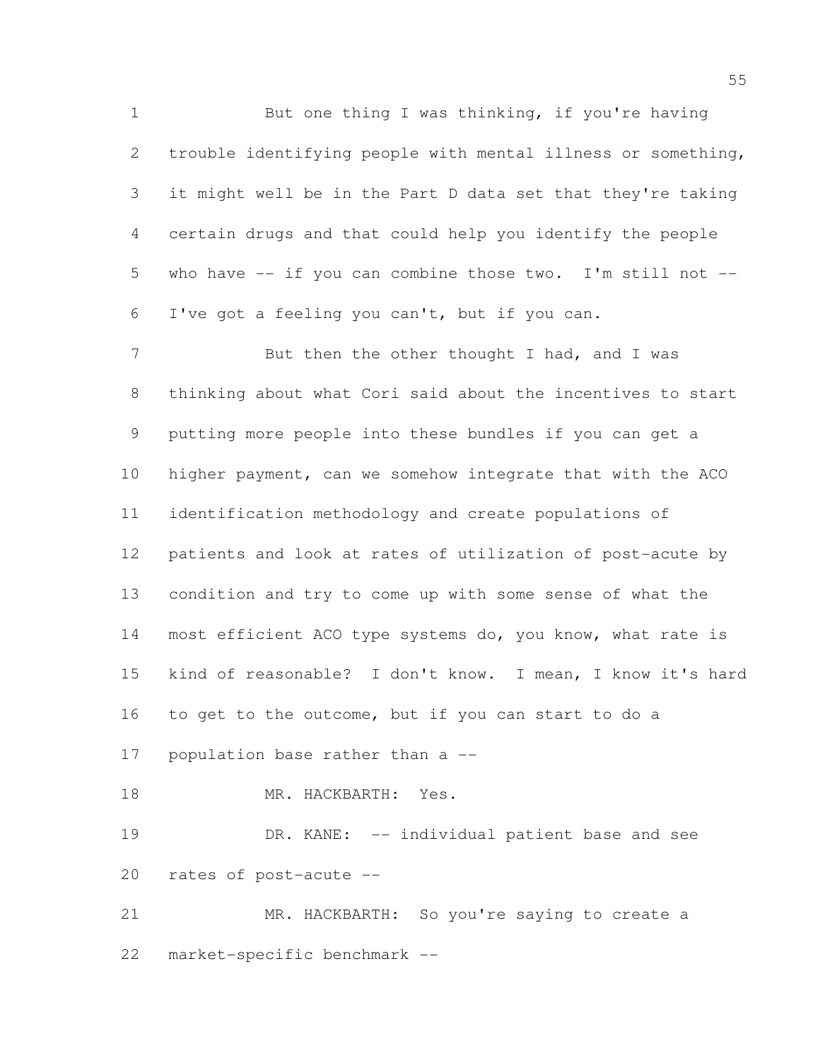But one thing I was thinking, if you're having trouble identifying people with mental illness or something, it might well be in the Part D data set that they're taking certain drugs and that could help you identify the people who have -- if you can combine those two. I'm still not -- I've got a feeling you can't, but if you can.

7 But then the other thought I had, and I was thinking about what Cori said about the incentives to start putting more people into these bundles if you can get a higher payment, can we somehow integrate that with the ACO identification methodology and create populations of patients and look at rates of utilization of post-acute by condition and try to come up with some sense of what the most efficient ACO type systems do, you know, what rate is kind of reasonable? I don't know. I mean, I know it's hard to get to the outcome, but if you can start to do a population base rather than a -- 18 MR. HACKBARTH: Yes. DR. KANE: -- individual patient base and see rates of post-acute --

 MR. HACKBARTH: So you're saying to create a market-specific benchmark --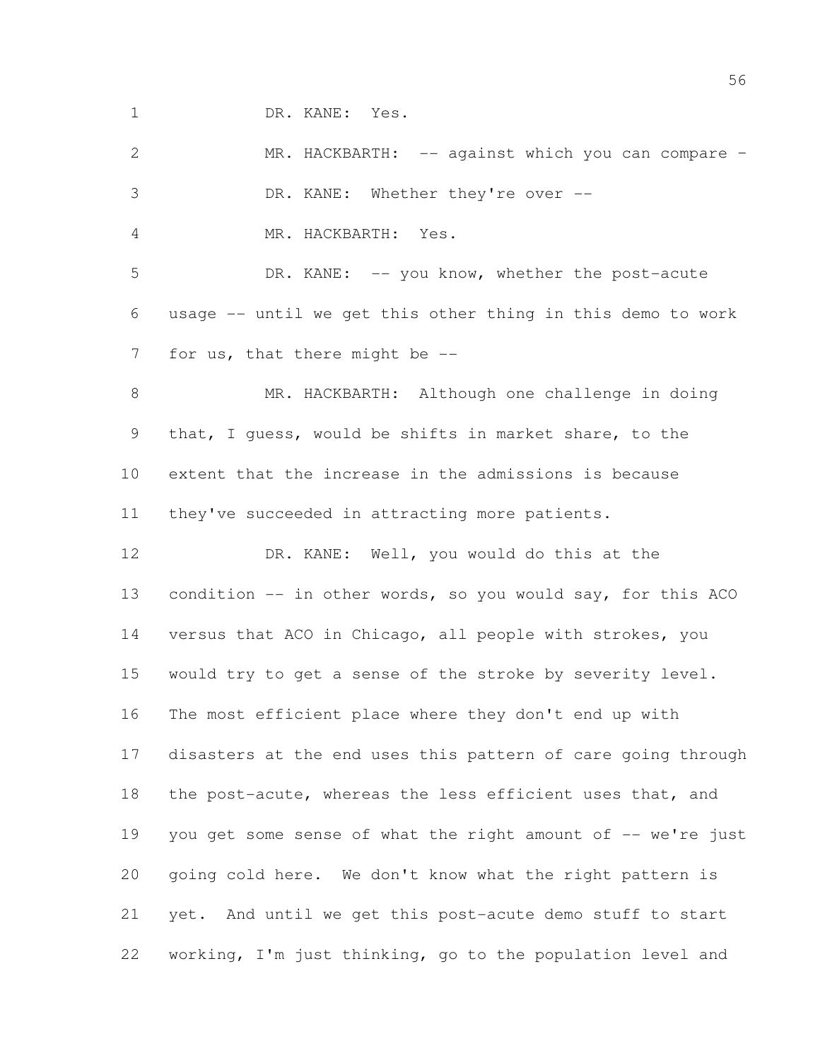DR. KANE: Yes.

 MR. HACKBARTH: -- against which you can compare – DR. KANE: Whether they're over -- MR. HACKBARTH: Yes. DR. KANE: -- you know, whether the post-acute usage -- until we get this other thing in this demo to work 7 for us, that there might be -- MR. HACKBARTH: Although one challenge in doing that, I guess, would be shifts in market share, to the extent that the increase in the admissions is because they've succeeded in attracting more patients. DR. KANE: Well, you would do this at the 13 condition -- in other words, so you would say, for this ACO versus that ACO in Chicago, all people with strokes, you would try to get a sense of the stroke by severity level. The most efficient place where they don't end up with disasters at the end uses this pattern of care going through the post-acute, whereas the less efficient uses that, and 19 you get some sense of what the right amount of -- we're just going cold here. We don't know what the right pattern is yet. And until we get this post-acute demo stuff to start working, I'm just thinking, go to the population level and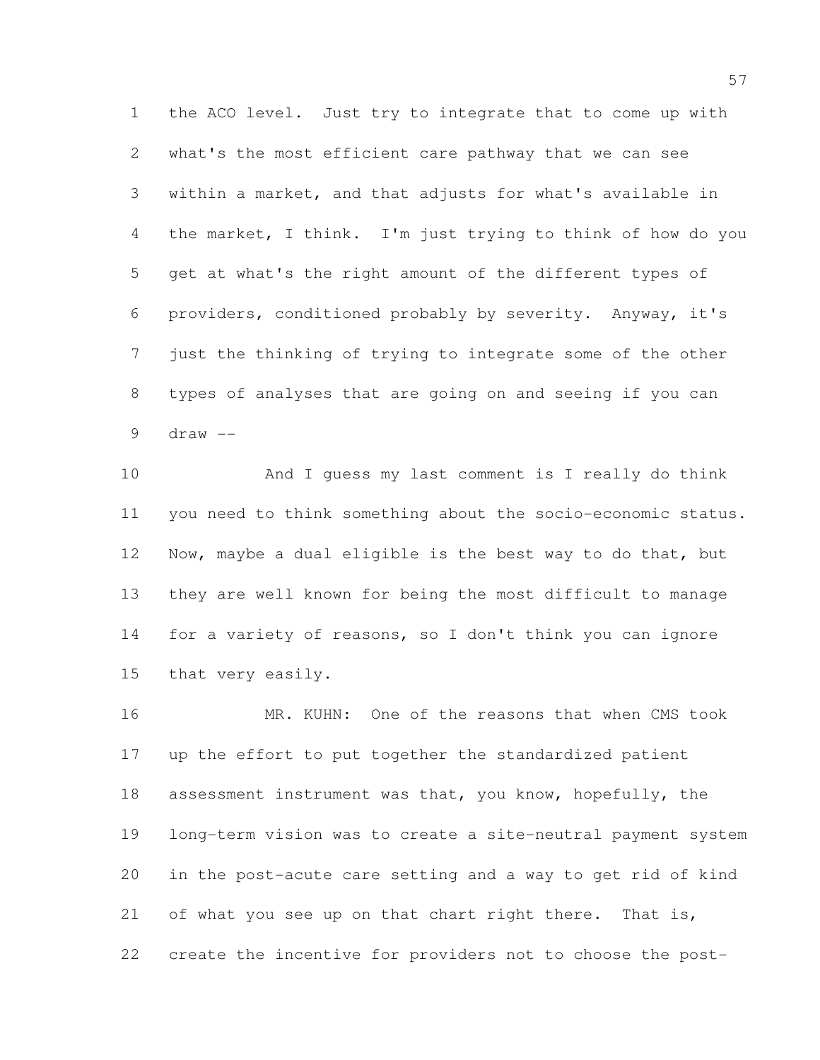the ACO level. Just try to integrate that to come up with what's the most efficient care pathway that we can see within a market, and that adjusts for what's available in the market, I think. I'm just trying to think of how do you get at what's the right amount of the different types of providers, conditioned probably by severity. Anyway, it's just the thinking of trying to integrate some of the other types of analyses that are going on and seeing if you can draw  $-$ 

 And I guess my last comment is I really do think you need to think something about the socio-economic status. Now, maybe a dual eligible is the best way to do that, but they are well known for being the most difficult to manage for a variety of reasons, so I don't think you can ignore that very easily.

 MR. KUHN: One of the reasons that when CMS took up the effort to put together the standardized patient assessment instrument was that, you know, hopefully, the long-term vision was to create a site-neutral payment system in the post-acute care setting and a way to get rid of kind 21 of what you see up on that chart right there. That is, create the incentive for providers not to choose the post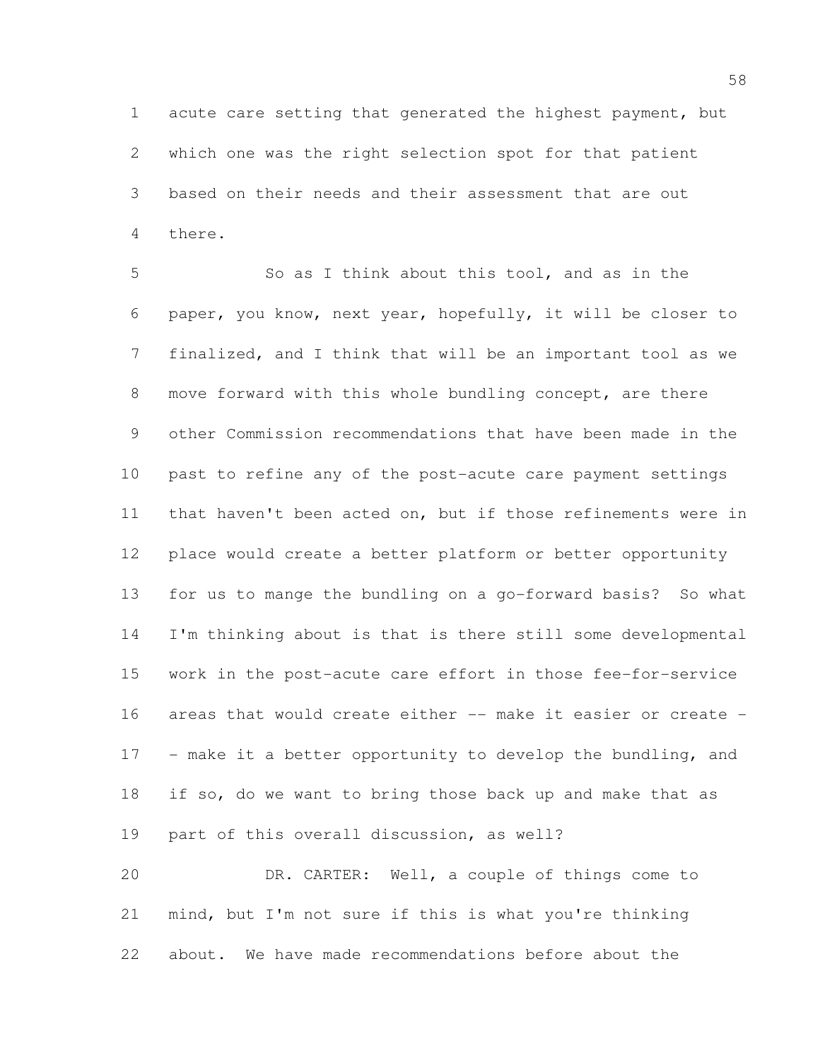acute care setting that generated the highest payment, but which one was the right selection spot for that patient based on their needs and their assessment that are out there.

 So as I think about this tool, and as in the paper, you know, next year, hopefully, it will be closer to finalized, and I think that will be an important tool as we move forward with this whole bundling concept, are there other Commission recommendations that have been made in the past to refine any of the post-acute care payment settings that haven't been acted on, but if those refinements were in place would create a better platform or better opportunity for us to mange the bundling on a go-forward basis? So what I'm thinking about is that is there still some developmental work in the post-acute care effort in those fee-for-service areas that would create either -- make it easier or create - 17 - make it a better opportunity to develop the bundling, and if so, do we want to bring those back up and make that as part of this overall discussion, as well? DR. CARTER: Well, a couple of things come to

 mind, but I'm not sure if this is what you're thinking about. We have made recommendations before about the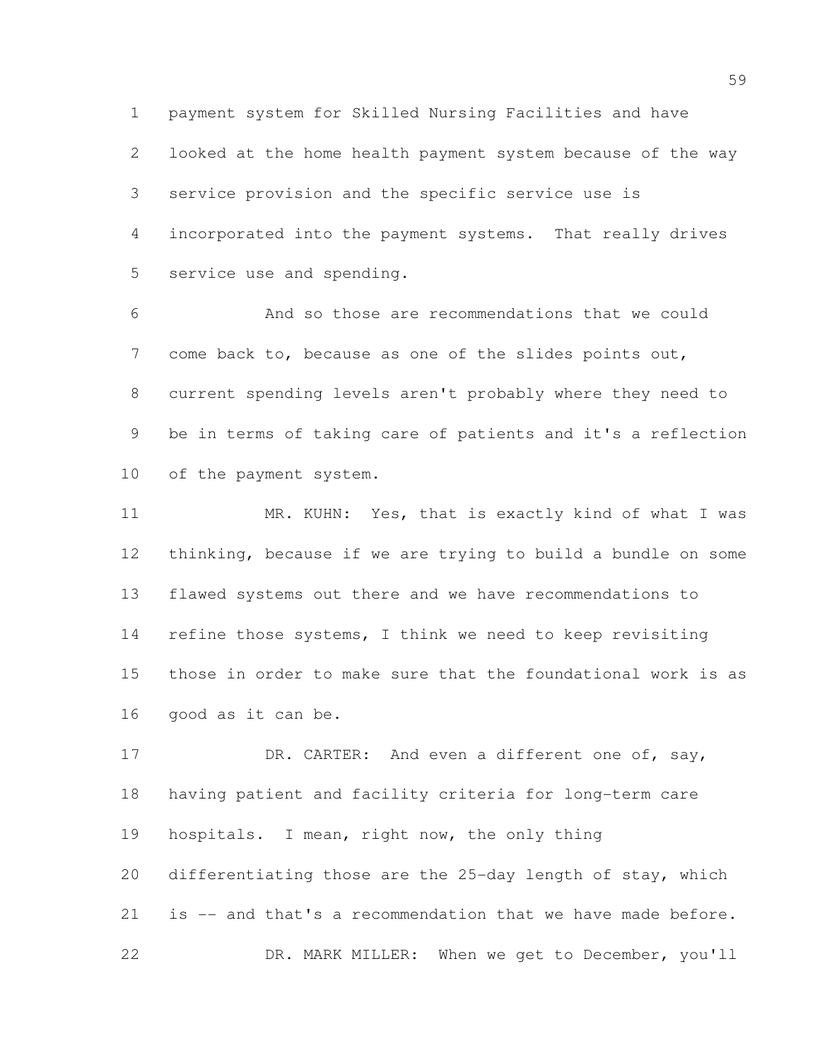payment system for Skilled Nursing Facilities and have

 looked at the home health payment system because of the way service provision and the specific service use is incorporated into the payment systems. That really drives service use and spending.

 And so those are recommendations that we could come back to, because as one of the slides points out, current spending levels aren't probably where they need to be in terms of taking care of patients and it's a reflection of the payment system.

 MR. KUHN: Yes, that is exactly kind of what I was thinking, because if we are trying to build a bundle on some flawed systems out there and we have recommendations to refine those systems, I think we need to keep revisiting those in order to make sure that the foundational work is as good as it can be.

17 DR. CARTER: And even a different one of, say, having patient and facility criteria for long-term care hospitals. I mean, right now, the only thing differentiating those are the 25-day length of stay, which is -- and that's a recommendation that we have made before. DR. MARK MILLER: When we get to December, you'll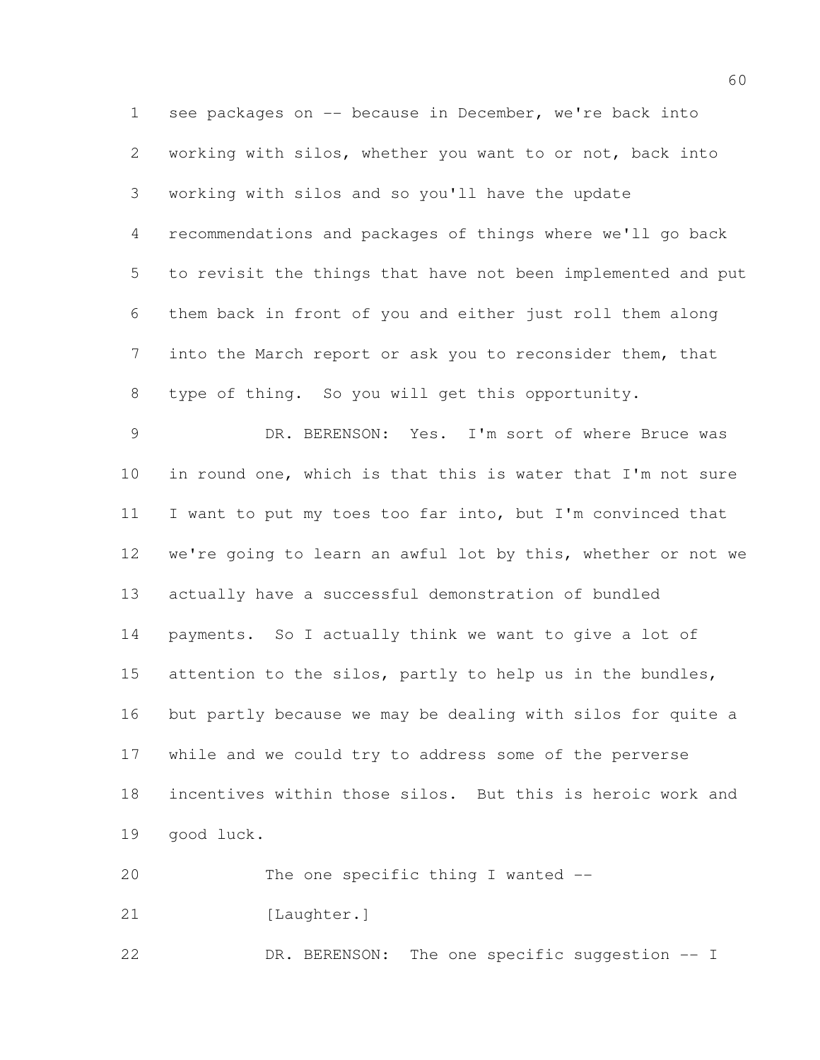see packages on -- because in December, we're back into working with silos, whether you want to or not, back into working with silos and so you'll have the update recommendations and packages of things where we'll go back to revisit the things that have not been implemented and put them back in front of you and either just roll them along into the March report or ask you to reconsider them, that type of thing. So you will get this opportunity. DR. BERENSON: Yes. I'm sort of where Bruce was in round one, which is that this is water that I'm not sure I want to put my toes too far into, but I'm convinced that we're going to learn an awful lot by this, whether or not we actually have a successful demonstration of bundled payments. So I actually think we want to give a lot of 15 attention to the silos, partly to help us in the bundles, but partly because we may be dealing with silos for quite a while and we could try to address some of the perverse incentives within those silos. But this is heroic work and

good luck.

20 The one specific thing I wanted --

21 [Laughter.]

DR. BERENSON: The one specific suggestion -- I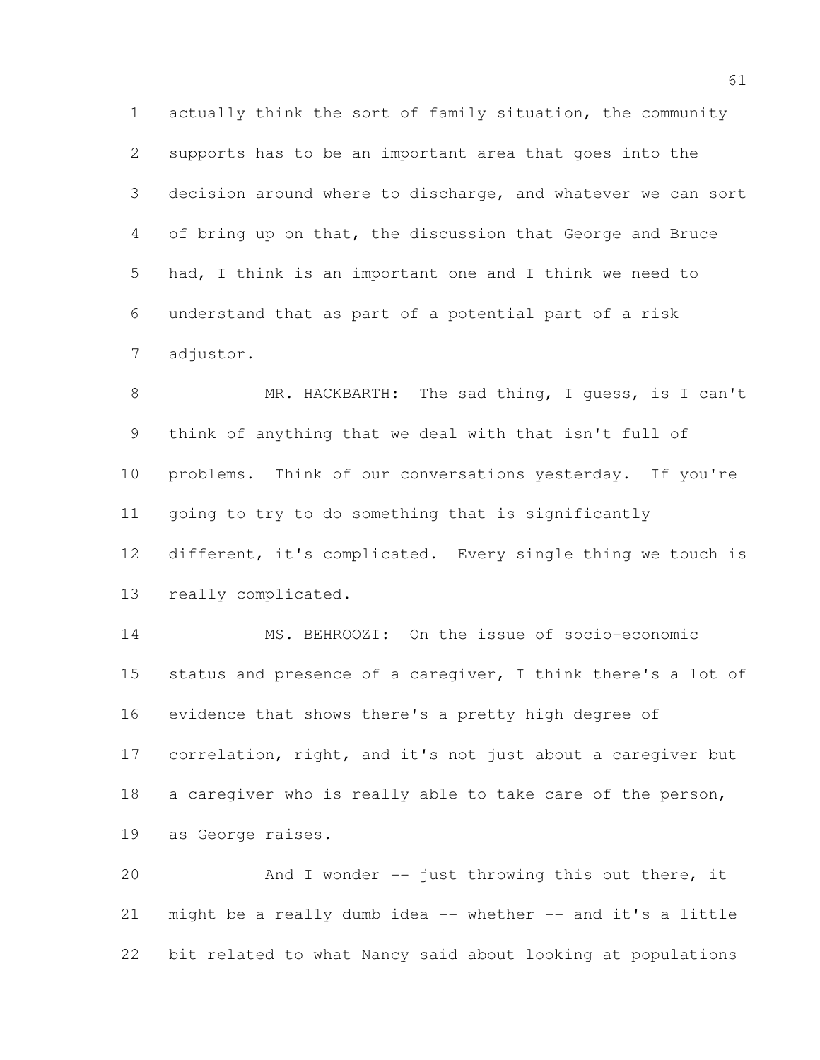actually think the sort of family situation, the community supports has to be an important area that goes into the decision around where to discharge, and whatever we can sort of bring up on that, the discussion that George and Bruce had, I think is an important one and I think we need to understand that as part of a potential part of a risk adjustor.

 MR. HACKBARTH: The sad thing, I guess, is I can't think of anything that we deal with that isn't full of problems. Think of our conversations yesterday. If you're going to try to do something that is significantly different, it's complicated. Every single thing we touch is really complicated.

 MS. BEHROOZI: On the issue of socio-economic 15 status and presence of a caregiver, I think there's a lot of evidence that shows there's a pretty high degree of correlation, right, and it's not just about a caregiver but 18 a caregiver who is really able to take care of the person, as George raises.

 And I wonder -- just throwing this out there, it might be a really dumb idea -- whether -- and it's a little bit related to what Nancy said about looking at populations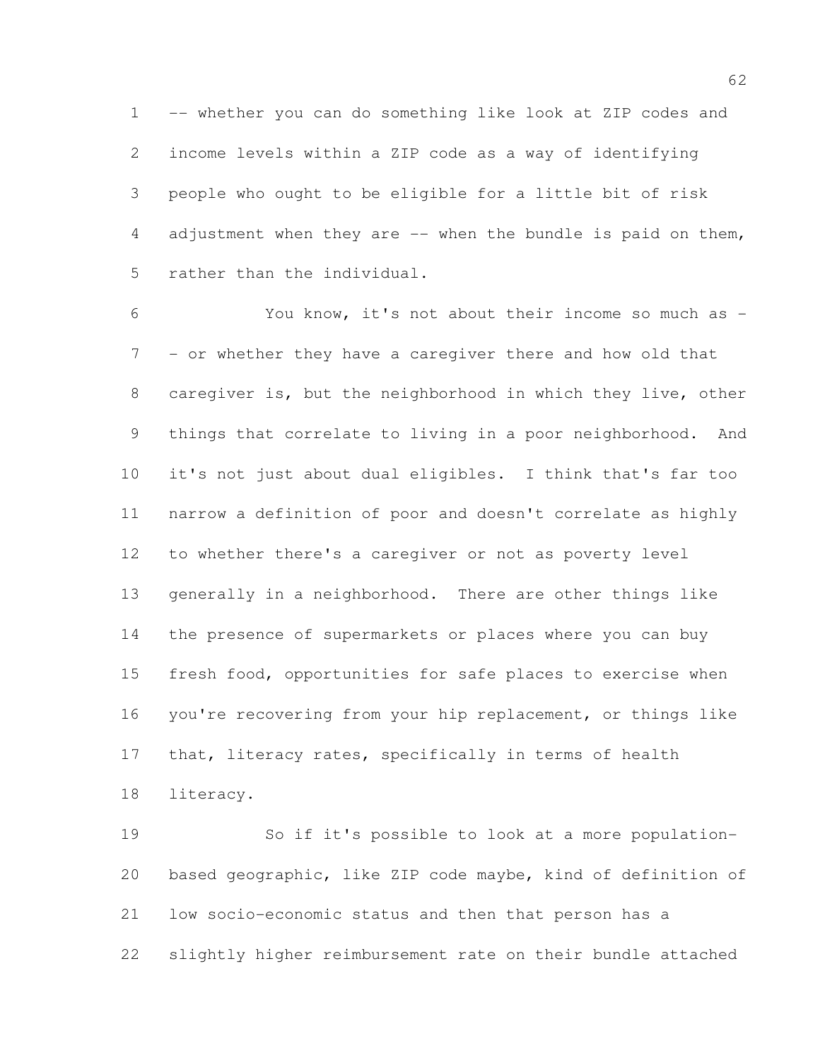-- whether you can do something like look at ZIP codes and income levels within a ZIP code as a way of identifying people who ought to be eligible for a little bit of risk adjustment when they are -- when the bundle is paid on them, rather than the individual.

 You know, it's not about their income so much as - - or whether they have a caregiver there and how old that caregiver is, but the neighborhood in which they live, other things that correlate to living in a poor neighborhood. And it's not just about dual eligibles. I think that's far too narrow a definition of poor and doesn't correlate as highly to whether there's a caregiver or not as poverty level generally in a neighborhood. There are other things like the presence of supermarkets or places where you can buy fresh food, opportunities for safe places to exercise when you're recovering from your hip replacement, or things like 17 that, literacy rates, specifically in terms of health literacy.

 So if it's possible to look at a more population- based geographic, like ZIP code maybe, kind of definition of low socio-economic status and then that person has a slightly higher reimbursement rate on their bundle attached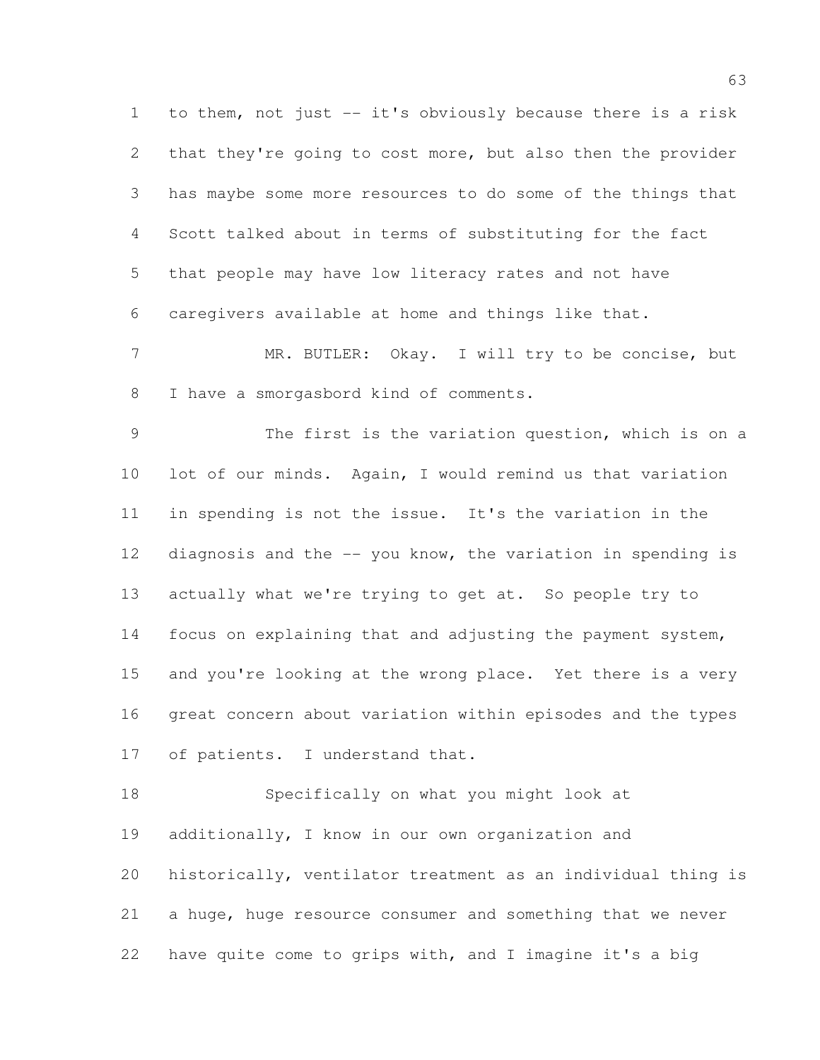to them, not just -- it's obviously because there is a risk 2 that they're going to cost more, but also then the provider has maybe some more resources to do some of the things that Scott talked about in terms of substituting for the fact that people may have low literacy rates and not have caregivers available at home and things like that.

 MR. BUTLER: Okay. I will try to be concise, but I have a smorgasbord kind of comments.

 The first is the variation question, which is on a lot of our minds. Again, I would remind us that variation in spending is not the issue. It's the variation in the diagnosis and the -- you know, the variation in spending is actually what we're trying to get at. So people try to focus on explaining that and adjusting the payment system, and you're looking at the wrong place. Yet there is a very great concern about variation within episodes and the types of patients. I understand that.

 Specifically on what you might look at additionally, I know in our own organization and historically, ventilator treatment as an individual thing is a huge, huge resource consumer and something that we never have quite come to grips with, and I imagine it's a big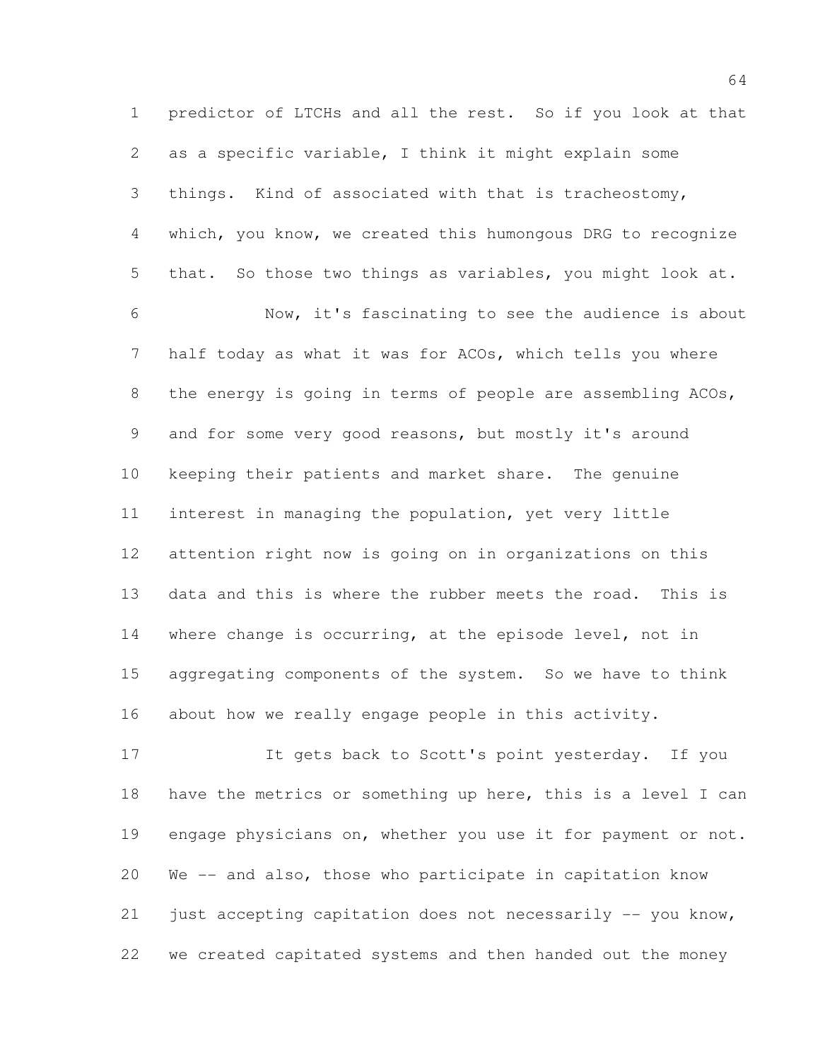predictor of LTCHs and all the rest. So if you look at that as a specific variable, I think it might explain some things. Kind of associated with that is tracheostomy, which, you know, we created this humongous DRG to recognize that. So those two things as variables, you might look at. Now, it's fascinating to see the audience is about half today as what it was for ACOs, which tells you where 8 the energy is going in terms of people are assembling ACOs, and for some very good reasons, but mostly it's around keeping their patients and market share. The genuine interest in managing the population, yet very little attention right now is going on in organizations on this data and this is where the rubber meets the road. This is where change is occurring, at the episode level, not in aggregating components of the system. So we have to think about how we really engage people in this activity.

 It gets back to Scott's point yesterday. If you have the metrics or something up here, this is a level I can engage physicians on, whether you use it for payment or not. We -- and also, those who participate in capitation know just accepting capitation does not necessarily -- you know, we created capitated systems and then handed out the money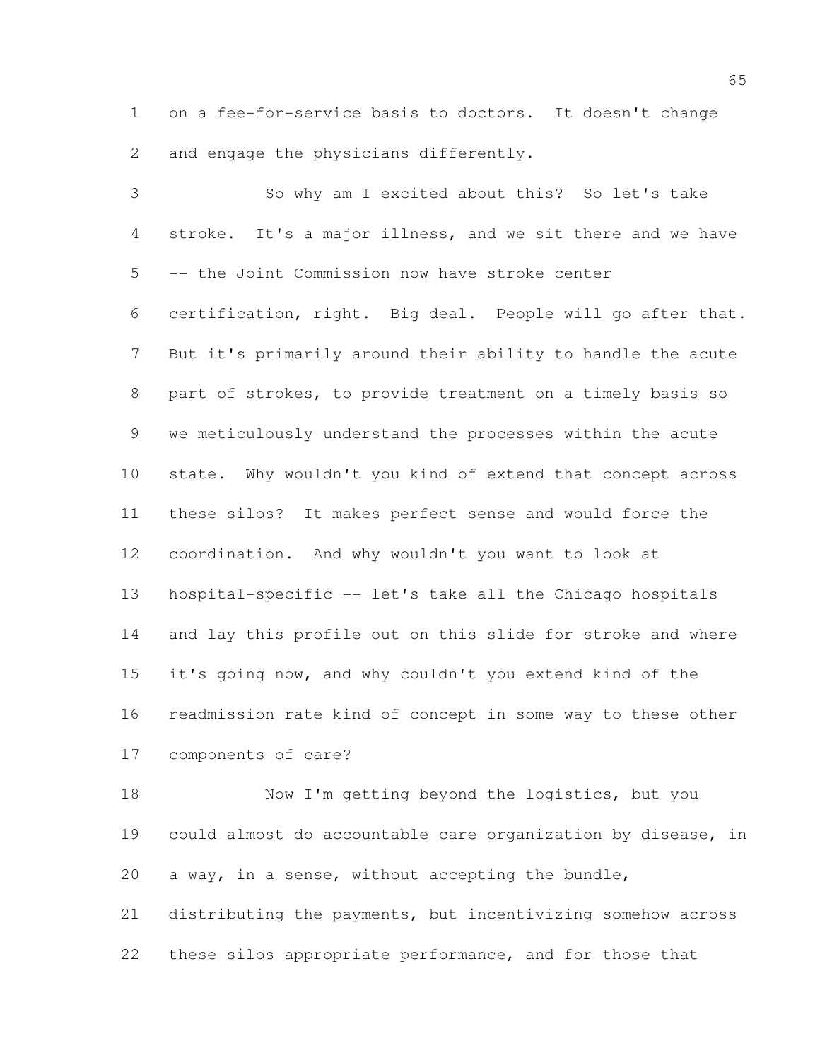on a fee-for-service basis to doctors. It doesn't change and engage the physicians differently.

 So why am I excited about this? So let's take stroke. It's a major illness, and we sit there and we have -- the Joint Commission now have stroke center certification, right. Big deal. People will go after that. But it's primarily around their ability to handle the acute part of strokes, to provide treatment on a timely basis so we meticulously understand the processes within the acute state. Why wouldn't you kind of extend that concept across these silos? It makes perfect sense and would force the coordination. And why wouldn't you want to look at hospital-specific -- let's take all the Chicago hospitals and lay this profile out on this slide for stroke and where it's going now, and why couldn't you extend kind of the readmission rate kind of concept in some way to these other components of care?

18 Now I'm getting beyond the logistics, but you could almost do accountable care organization by disease, in a way, in a sense, without accepting the bundle, distributing the payments, but incentivizing somehow across these silos appropriate performance, and for those that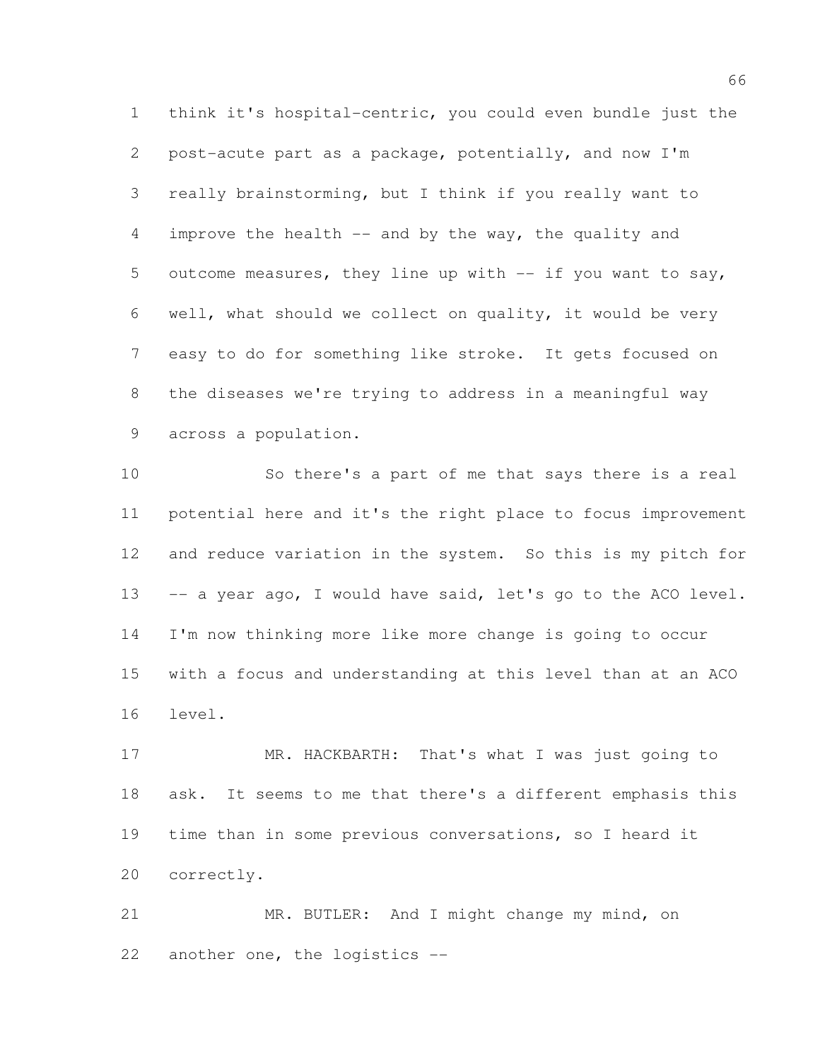think it's hospital-centric, you could even bundle just the post-acute part as a package, potentially, and now I'm really brainstorming, but I think if you really want to improve the health -- and by the way, the quality and 5 outcome measures, they line up with -- if you want to say, well, what should we collect on quality, it would be very easy to do for something like stroke. It gets focused on the diseases we're trying to address in a meaningful way across a population.

 So there's a part of me that says there is a real potential here and it's the right place to focus improvement 12 and reduce variation in the system. So this is my pitch for 13 -- a year ago, I would have said, let's go to the ACO level. I'm now thinking more like more change is going to occur with a focus and understanding at this level than at an ACO level.

 MR. HACKBARTH: That's what I was just going to ask. It seems to me that there's a different emphasis this time than in some previous conversations, so I heard it correctly.

 MR. BUTLER: And I might change my mind, on another one, the logistics --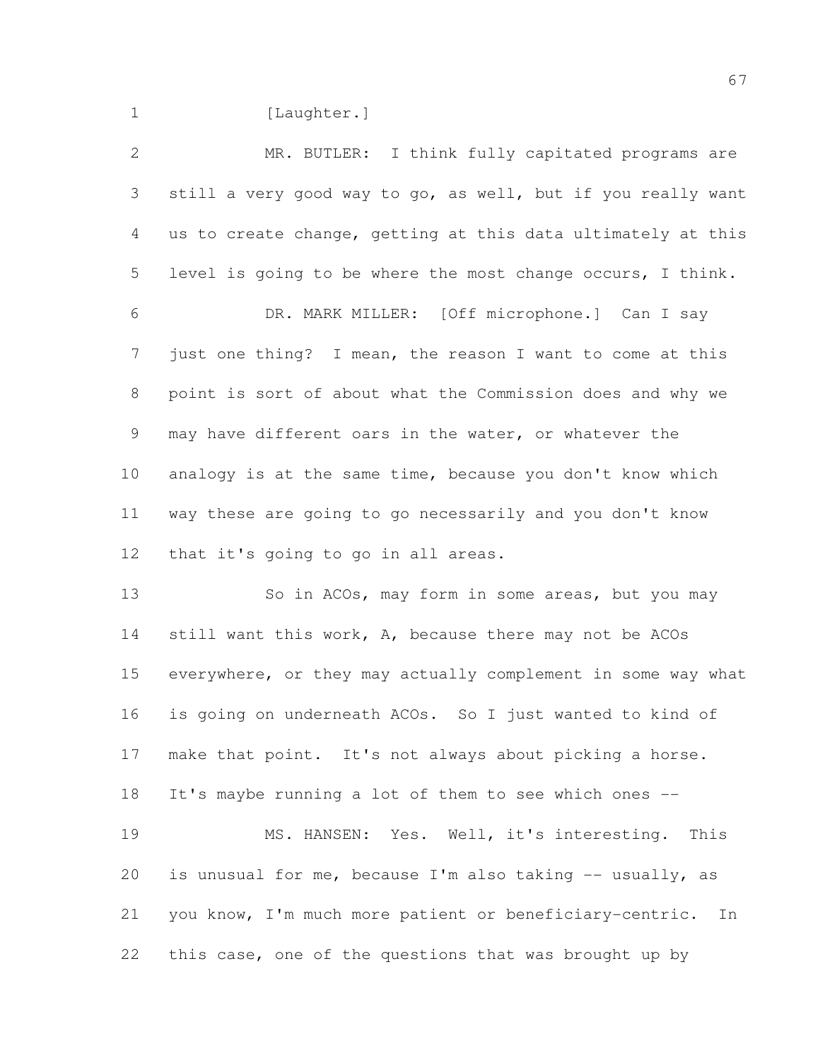1 [Laughter.]

 MR. BUTLER: I think fully capitated programs are still a very good way to go, as well, but if you really want us to create change, getting at this data ultimately at this level is going to be where the most change occurs, I think. DR. MARK MILLER: [Off microphone.] Can I say just one thing? I mean, the reason I want to come at this point is sort of about what the Commission does and why we may have different oars in the water, or whatever the analogy is at the same time, because you don't know which way these are going to go necessarily and you don't know that it's going to go in all areas. 13 So in ACOs, may form in some areas, but you may still want this work, A, because there may not be ACOs everywhere, or they may actually complement in some way what is going on underneath ACOs. So I just wanted to kind of make that point. It's not always about picking a horse. It's maybe running a lot of them to see which ones -- MS. HANSEN: Yes. Well, it's interesting. This is unusual for me, because I'm also taking -- usually, as you know, I'm much more patient or beneficiary-centric. In this case, one of the questions that was brought up by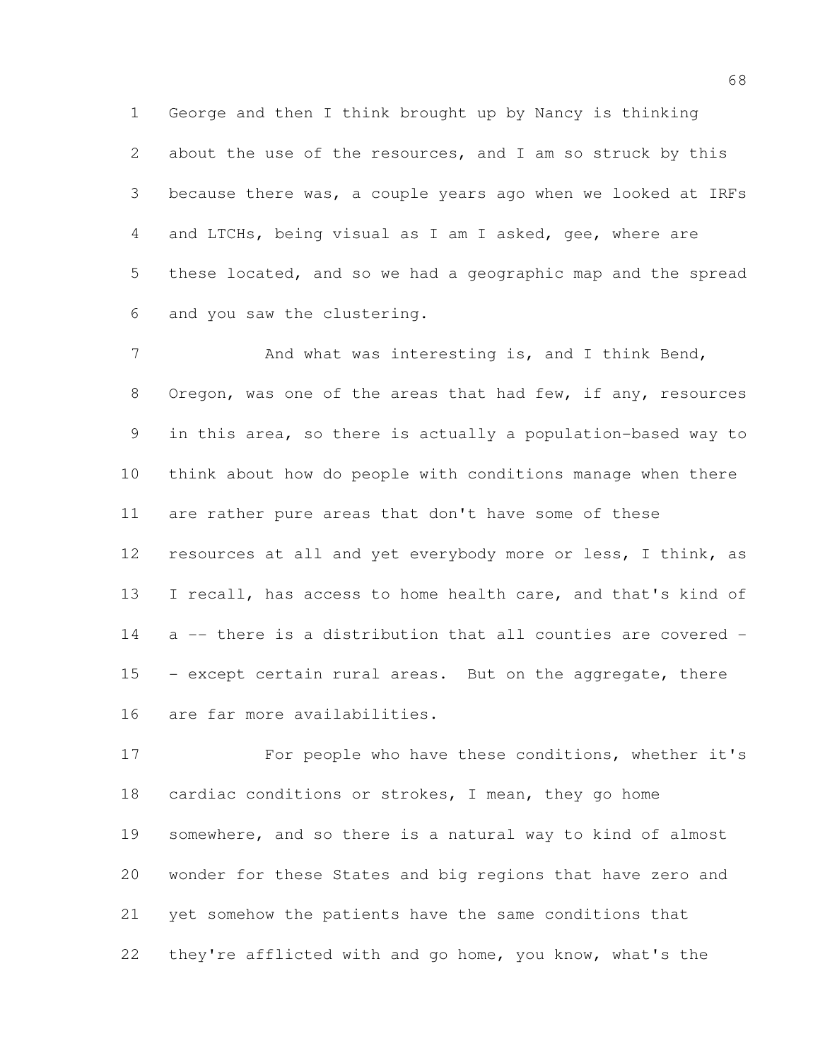George and then I think brought up by Nancy is thinking about the use of the resources, and I am so struck by this because there was, a couple years ago when we looked at IRFs and LTCHs, being visual as I am I asked, gee, where are these located, and so we had a geographic map and the spread and you saw the clustering.

7 And what was interesting is, and I think Bend, 8 Oregon, was one of the areas that had few, if any, resources in this area, so there is actually a population-based way to think about how do people with conditions manage when there are rather pure areas that don't have some of these resources at all and yet everybody more or less, I think, as I recall, has access to home health care, and that's kind of a -- there is a distribution that all counties are covered - - except certain rural areas. But on the aggregate, there are far more availabilities.

 For people who have these conditions, whether it's cardiac conditions or strokes, I mean, they go home somewhere, and so there is a natural way to kind of almost wonder for these States and big regions that have zero and yet somehow the patients have the same conditions that they're afflicted with and go home, you know, what's the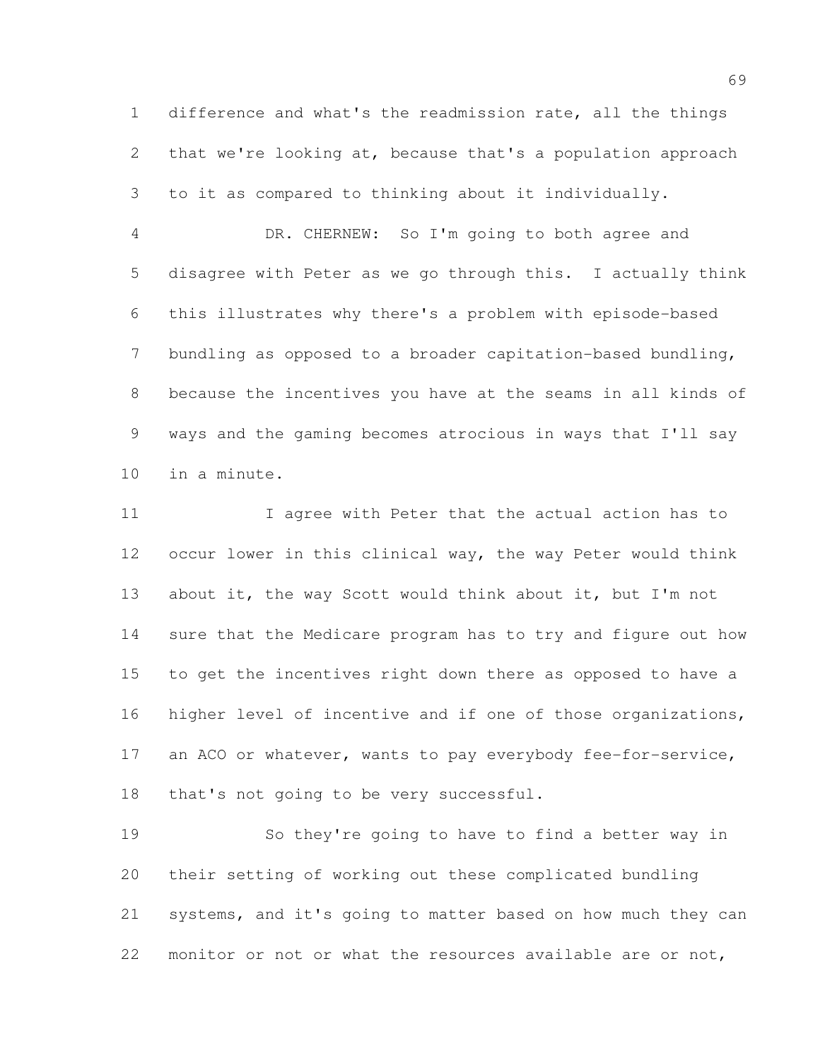difference and what's the readmission rate, all the things that we're looking at, because that's a population approach to it as compared to thinking about it individually.

 DR. CHERNEW: So I'm going to both agree and disagree with Peter as we go through this. I actually think this illustrates why there's a problem with episode-based bundling as opposed to a broader capitation-based bundling, because the incentives you have at the seams in all kinds of ways and the gaming becomes atrocious in ways that I'll say in a minute.

 I agree with Peter that the actual action has to occur lower in this clinical way, the way Peter would think about it, the way Scott would think about it, but I'm not sure that the Medicare program has to try and figure out how to get the incentives right down there as opposed to have a higher level of incentive and if one of those organizations, 17 an ACO or whatever, wants to pay everybody fee-for-service, that's not going to be very successful.

 So they're going to have to find a better way in their setting of working out these complicated bundling systems, and it's going to matter based on how much they can monitor or not or what the resources available are or not,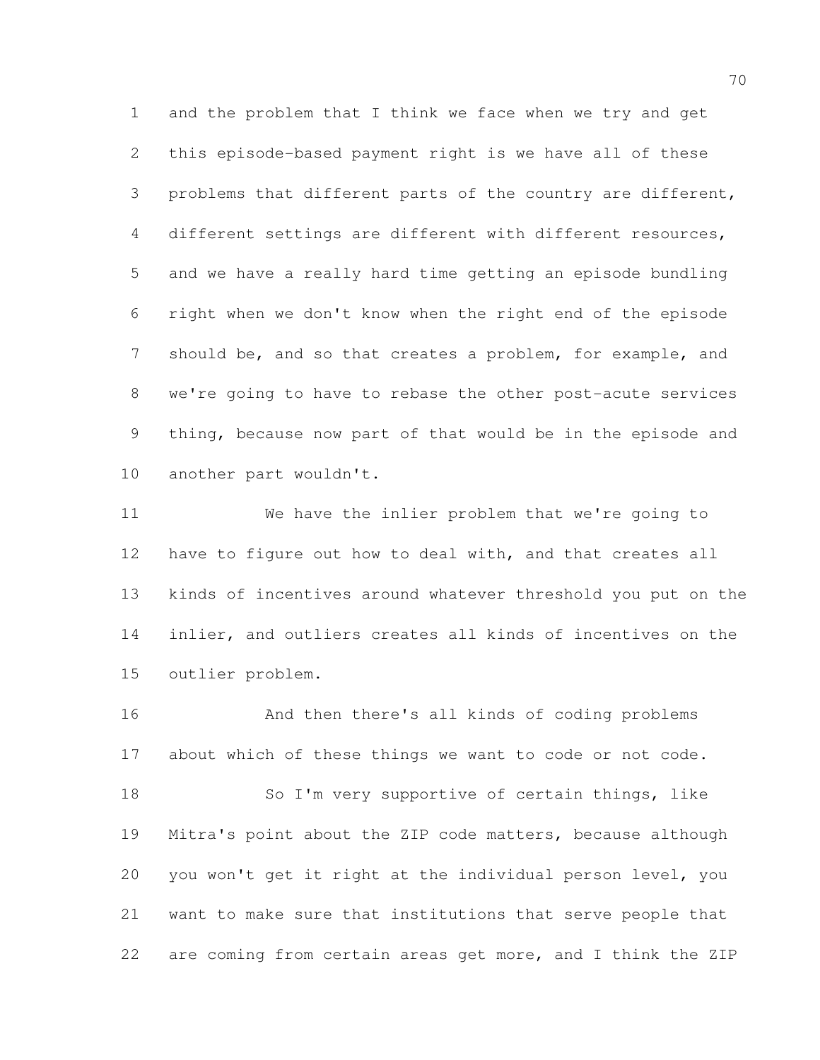and the problem that I think we face when we try and get this episode-based payment right is we have all of these problems that different parts of the country are different, different settings are different with different resources, and we have a really hard time getting an episode bundling right when we don't know when the right end of the episode 7 should be, and so that creates a problem, for example, and we're going to have to rebase the other post-acute services thing, because now part of that would be in the episode and another part wouldn't.

 We have the inlier problem that we're going to have to figure out how to deal with, and that creates all kinds of incentives around whatever threshold you put on the inlier, and outliers creates all kinds of incentives on the outlier problem.

 And then there's all kinds of coding problems about which of these things we want to code or not code. 18 So I'm very supportive of certain things, like Mitra's point about the ZIP code matters, because although you won't get it right at the individual person level, you want to make sure that institutions that serve people that are coming from certain areas get more, and I think the ZIP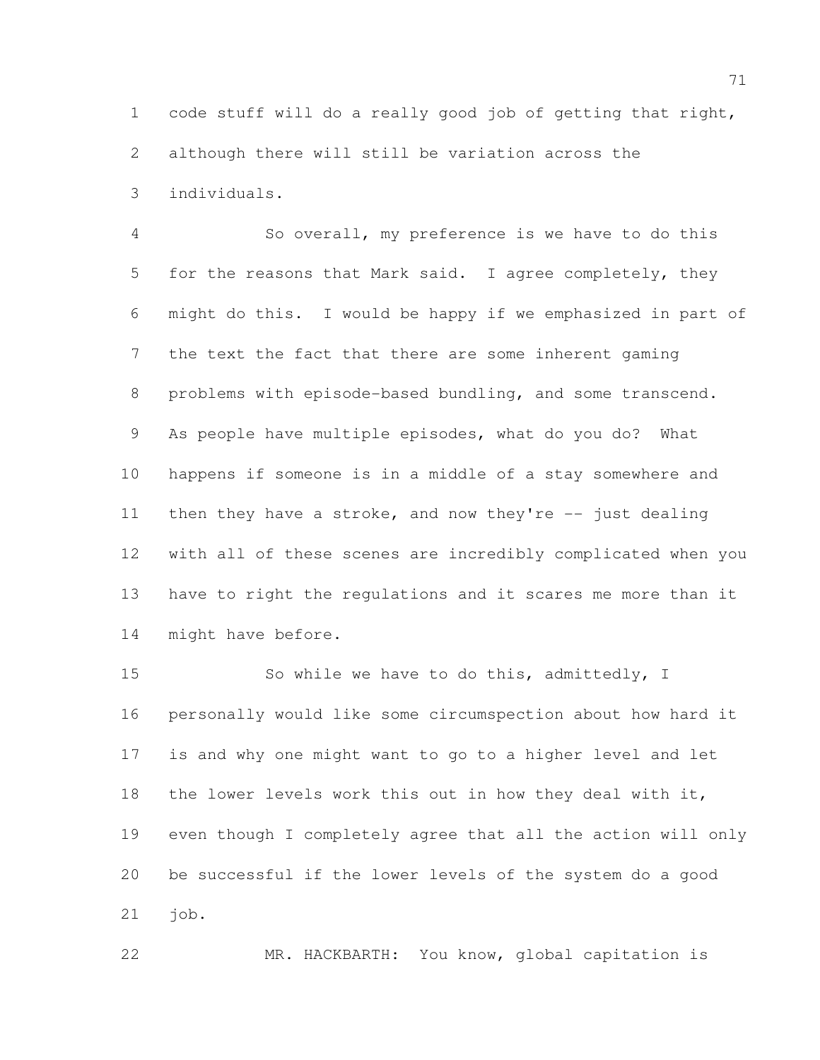code stuff will do a really good job of getting that right, although there will still be variation across the individuals.

 So overall, my preference is we have to do this for the reasons that Mark said. I agree completely, they might do this. I would be happy if we emphasized in part of the text the fact that there are some inherent gaming problems with episode-based bundling, and some transcend. As people have multiple episodes, what do you do? What happens if someone is in a middle of a stay somewhere and then they have a stroke, and now they're -- just dealing with all of these scenes are incredibly complicated when you have to right the regulations and it scares me more than it might have before.

 So while we have to do this, admittedly, I personally would like some circumspection about how hard it is and why one might want to go to a higher level and let the lower levels work this out in how they deal with it, even though I completely agree that all the action will only be successful if the lower levels of the system do a good job.

MR. HACKBARTH: You know, global capitation is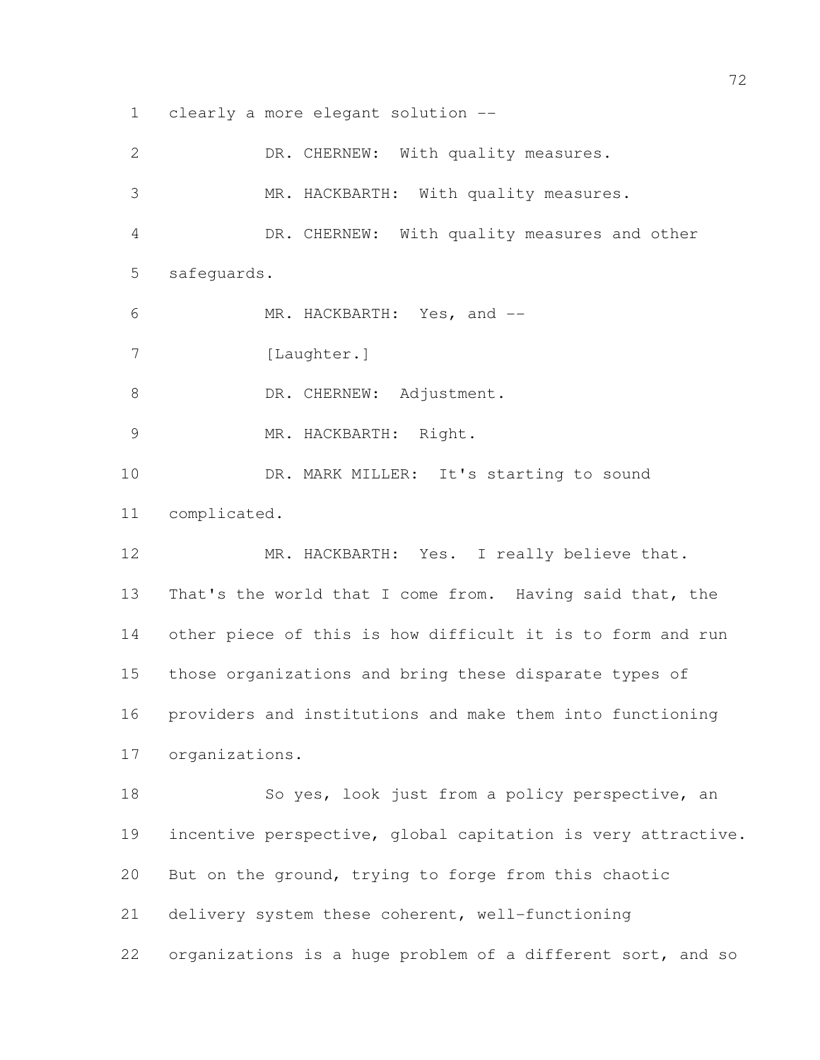clearly a more elegant solution --

| $\overline{2}$ | DR. CHERNEW: With quality measures.                          |
|----------------|--------------------------------------------------------------|
| 3              | MR. HACKBARTH: With quality measures.                        |
| 4              | DR. CHERNEW: With quality measures and other                 |
| 5              | safequards.                                                  |
| 6              | MR. HACKBARTH: Yes, and --                                   |
| 7              | [Laughter.]                                                  |
| 8              | DR. CHERNEW: Adjustment.                                     |
| 9              | MR. HACKBARTH: Right.                                        |
| 10             | DR. MARK MILLER: It's starting to sound                      |
| 11             | complicated.                                                 |
| 12             | MR. HACKBARTH: Yes. I really believe that.                   |
| 13             | That's the world that I come from. Having said that, the     |
| 14             | other piece of this is how difficult it is to form and run   |
| 15             | those organizations and bring these disparate types of       |
| 16             | providers and institutions and make them into functioning    |
| 17             | organizations.                                               |
| 18             | So yes, look just from a policy perspective, an              |
| 19             | incentive perspective, global capitation is very attractive. |
| 20             | But on the ground, trying to forge from this chaotic         |
| 21             | delivery system these coherent, well-functioning             |
| 22             | organizations is a huge problem of a different sort, and so  |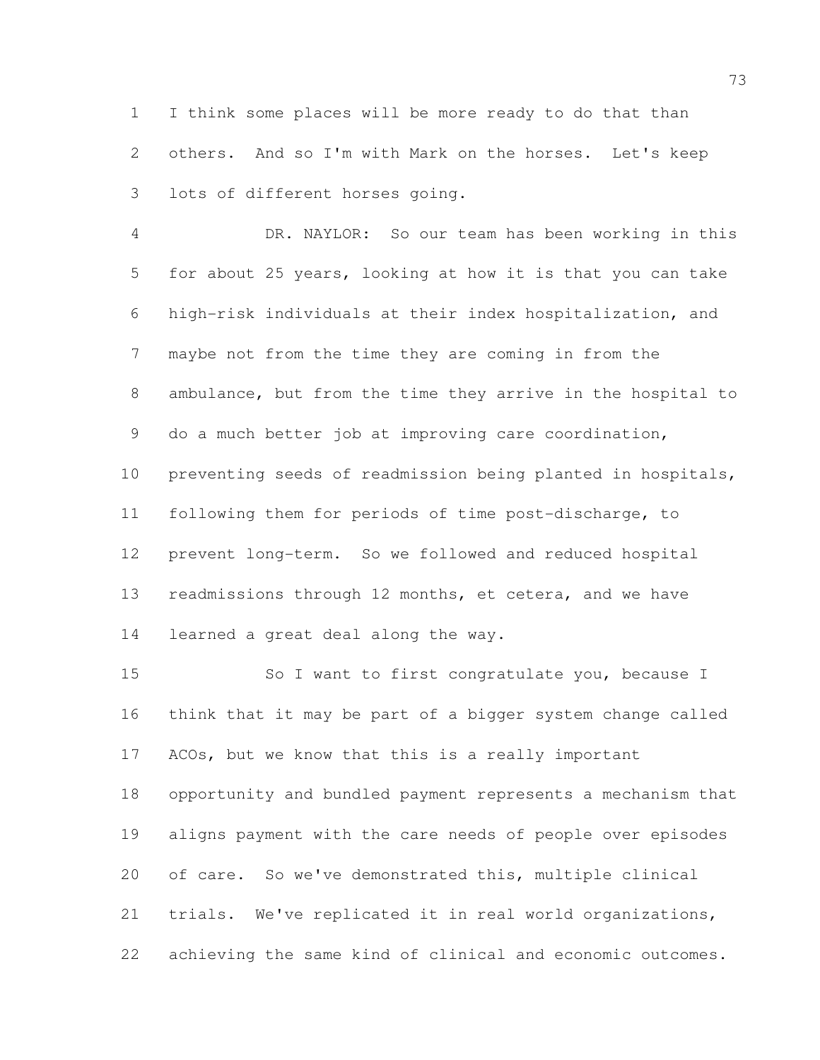I think some places will be more ready to do that than others. And so I'm with Mark on the horses. Let's keep lots of different horses going.

 DR. NAYLOR: So our team has been working in this for about 25 years, looking at how it is that you can take high-risk individuals at their index hospitalization, and maybe not from the time they are coming in from the ambulance, but from the time they arrive in the hospital to do a much better job at improving care coordination, preventing seeds of readmission being planted in hospitals, following them for periods of time post-discharge, to prevent long-term. So we followed and reduced hospital readmissions through 12 months, et cetera, and we have learned a great deal along the way.

 So I want to first congratulate you, because I think that it may be part of a bigger system change called ACOs, but we know that this is a really important opportunity and bundled payment represents a mechanism that aligns payment with the care needs of people over episodes of care. So we've demonstrated this, multiple clinical trials. We've replicated it in real world organizations, achieving the same kind of clinical and economic outcomes.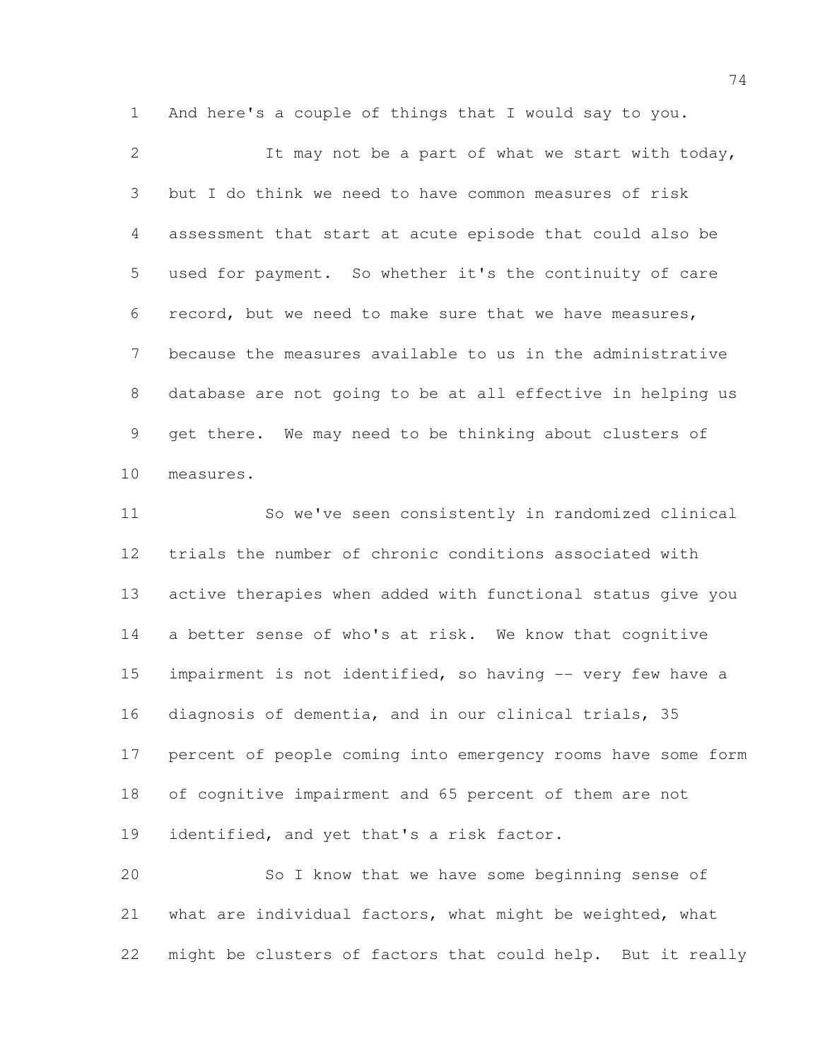And here's a couple of things that I would say to you.

2 It may not be a part of what we start with today, but I do think we need to have common measures of risk assessment that start at acute episode that could also be used for payment. So whether it's the continuity of care record, but we need to make sure that we have measures, because the measures available to us in the administrative database are not going to be at all effective in helping us get there. We may need to be thinking about clusters of measures.

 So we've seen consistently in randomized clinical trials the number of chronic conditions associated with active therapies when added with functional status give you a better sense of who's at risk. We know that cognitive 15 impairment is not identified, so having -- very few have a diagnosis of dementia, and in our clinical trials, 35 percent of people coming into emergency rooms have some form of cognitive impairment and 65 percent of them are not identified, and yet that's a risk factor.

 So I know that we have some beginning sense of what are individual factors, what might be weighted, what might be clusters of factors that could help. But it really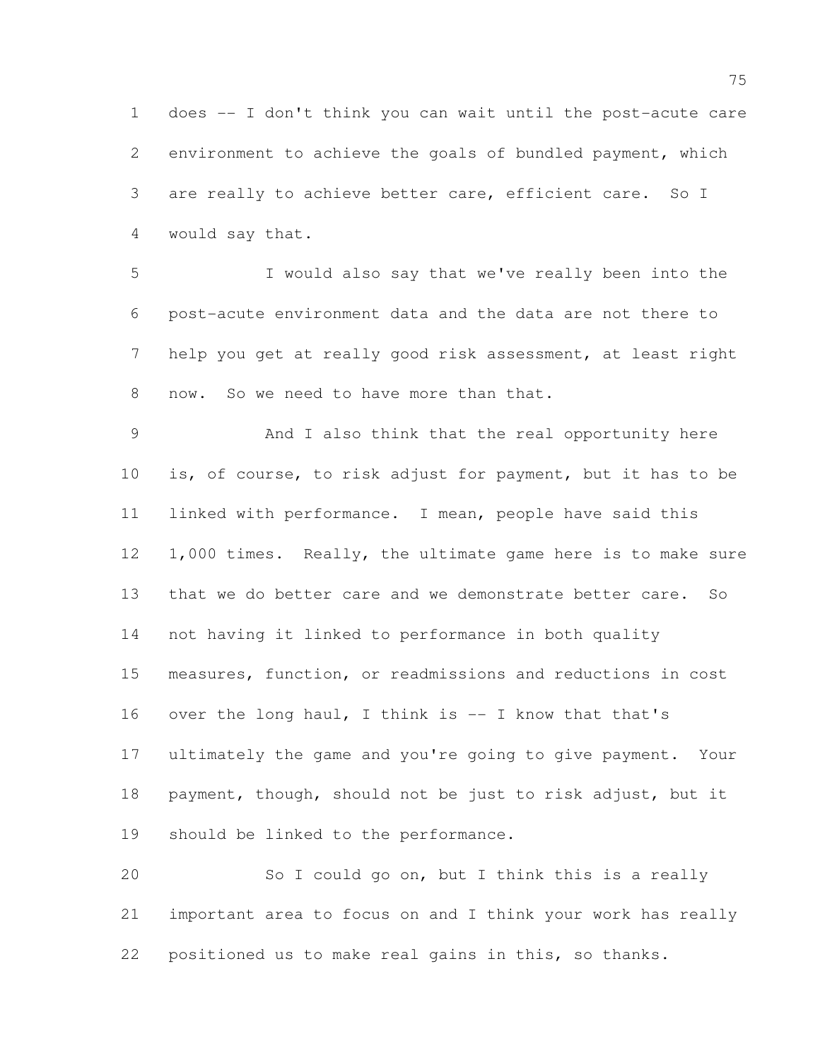does -- I don't think you can wait until the post-acute care environment to achieve the goals of bundled payment, which are really to achieve better care, efficient care. So I would say that.

 I would also say that we've really been into the post-acute environment data and the data are not there to help you get at really good risk assessment, at least right now. So we need to have more than that.

 And I also think that the real opportunity here is, of course, to risk adjust for payment, but it has to be linked with performance. I mean, people have said this 12 1,000 times. Really, the ultimate game here is to make sure that we do better care and we demonstrate better care. So not having it linked to performance in both quality measures, function, or readmissions and reductions in cost over the long haul, I think is -- I know that that's ultimately the game and you're going to give payment. Your payment, though, should not be just to risk adjust, but it should be linked to the performance.

 So I could go on, but I think this is a really important area to focus on and I think your work has really positioned us to make real gains in this, so thanks.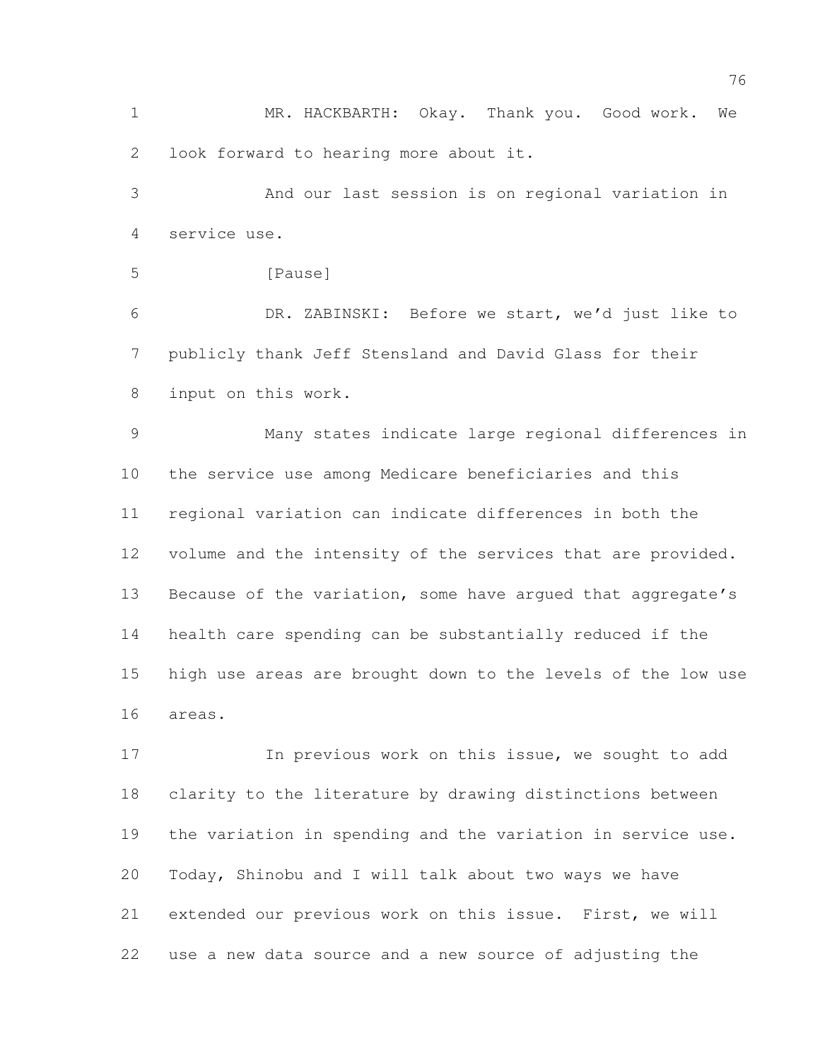MR. HACKBARTH: Okay. Thank you. Good work. We look forward to hearing more about it.

 And our last session is on regional variation in service use.

```
5 [Pause]
```
 DR. ZABINSKI: Before we start, we'd just like to publicly thank Jeff Stensland and David Glass for their input on this work.

 Many states indicate large regional differences in the service use among Medicare beneficiaries and this regional variation can indicate differences in both the volume and the intensity of the services that are provided. 13 Because of the variation, some have argued that aggregate's health care spending can be substantially reduced if the high use areas are brought down to the levels of the low use areas.

17 17 In previous work on this issue, we sought to add clarity to the literature by drawing distinctions between the variation in spending and the variation in service use. Today, Shinobu and I will talk about two ways we have extended our previous work on this issue. First, we will use a new data source and a new source of adjusting the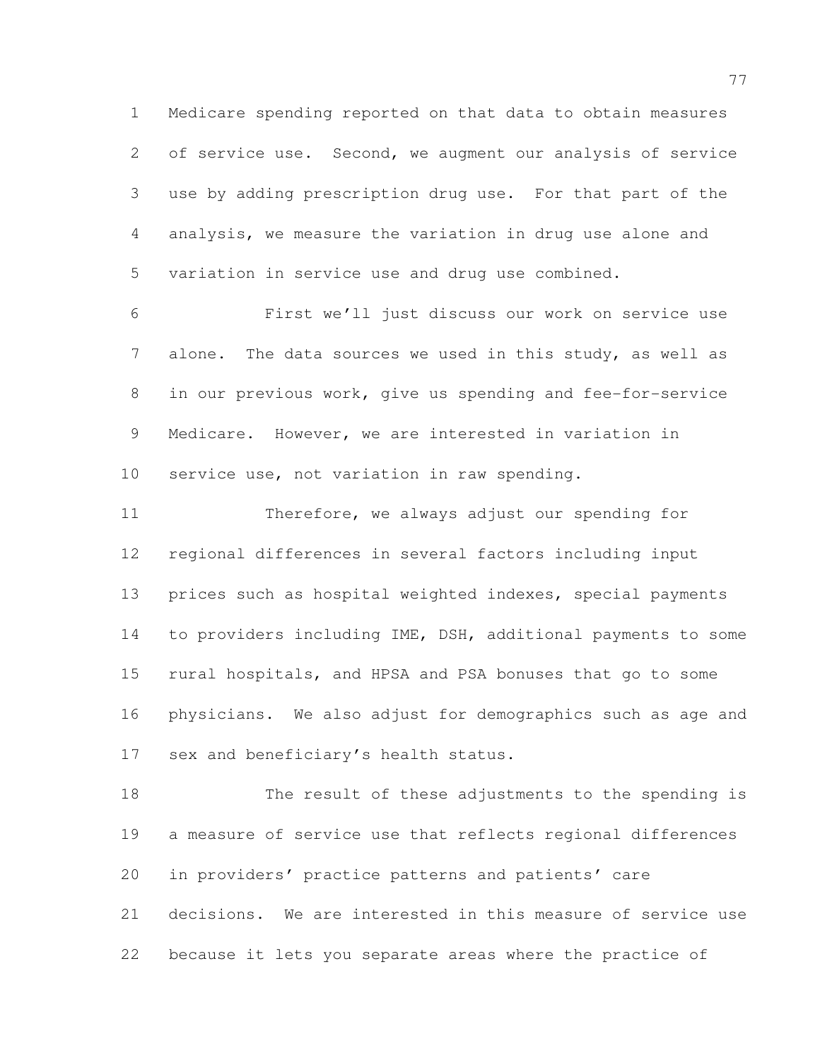Medicare spending reported on that data to obtain measures 2 of service use. Second, we augment our analysis of service use by adding prescription drug use. For that part of the analysis, we measure the variation in drug use alone and variation in service use and drug use combined.

 First we'll just discuss our work on service use alone. The data sources we used in this study, as well as in our previous work, give us spending and fee-for-service Medicare. However, we are interested in variation in service use, not variation in raw spending.

 Therefore, we always adjust our spending for regional differences in several factors including input prices such as hospital weighted indexes, special payments to providers including IME, DSH, additional payments to some rural hospitals, and HPSA and PSA bonuses that go to some physicians. We also adjust for demographics such as age and sex and beneficiary's health status.

 The result of these adjustments to the spending is a measure of service use that reflects regional differences in providers' practice patterns and patients' care decisions. We are interested in this measure of service use because it lets you separate areas where the practice of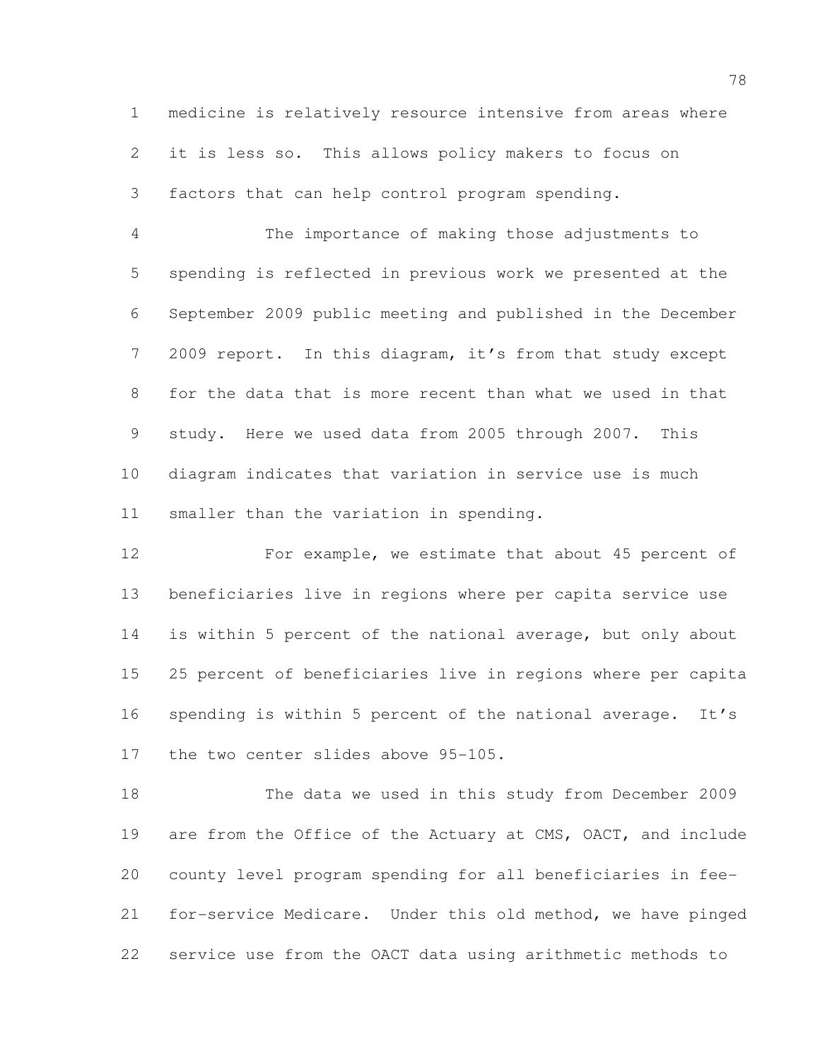medicine is relatively resource intensive from areas where it is less so. This allows policy makers to focus on factors that can help control program spending.

 The importance of making those adjustments to spending is reflected in previous work we presented at the September 2009 public meeting and published in the December 2009 report. In this diagram, it's from that study except for the data that is more recent than what we used in that study. Here we used data from 2005 through 2007. This diagram indicates that variation in service use is much smaller than the variation in spending.

 For example, we estimate that about 45 percent of beneficiaries live in regions where per capita service use is within 5 percent of the national average, but only about 25 percent of beneficiaries live in regions where per capita spending is within 5 percent of the national average. It's the two center slides above 95-105.

 The data we used in this study from December 2009 are from the Office of the Actuary at CMS, OACT, and include county level program spending for all beneficiaries in fee- for-service Medicare. Under this old method, we have pinged service use from the OACT data using arithmetic methods to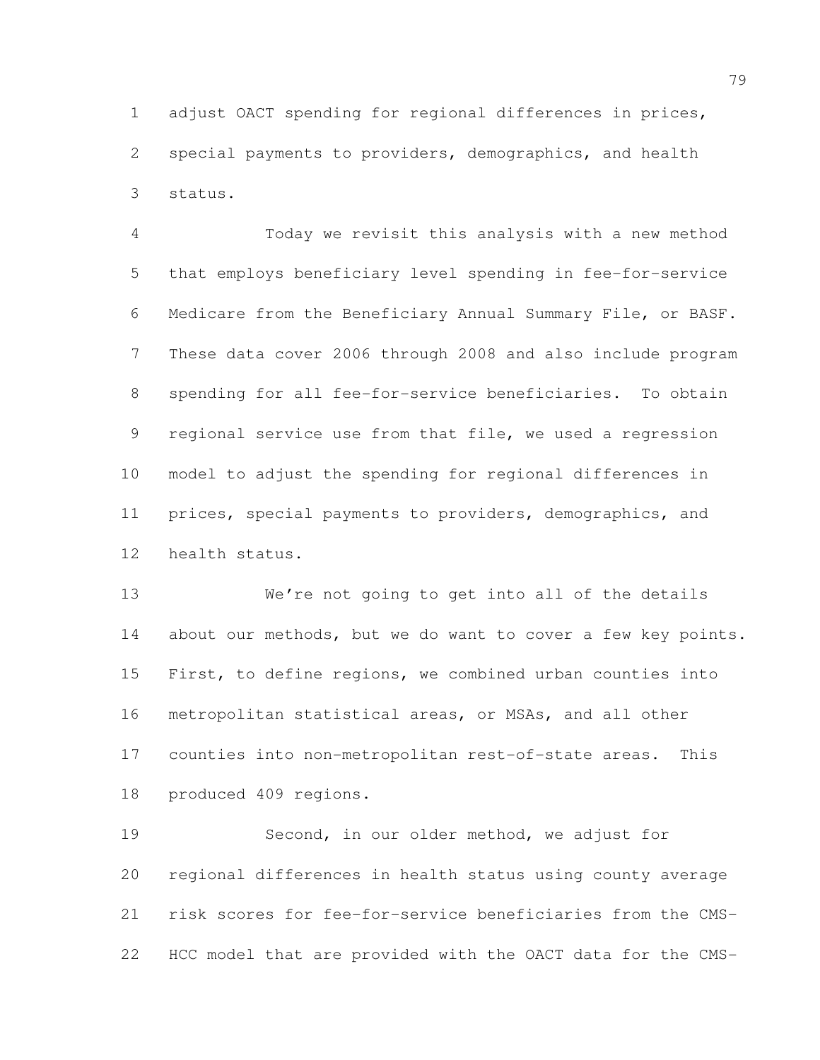adjust OACT spending for regional differences in prices, special payments to providers, demographics, and health status.

 Today we revisit this analysis with a new method that employs beneficiary level spending in fee-for-service Medicare from the Beneficiary Annual Summary File, or BASF. These data cover 2006 through 2008 and also include program spending for all fee-for-service beneficiaries. To obtain regional service use from that file, we used a regression model to adjust the spending for regional differences in prices, special payments to providers, demographics, and health status.

 We're not going to get into all of the details 14 about our methods, but we do want to cover a few key points. First, to define regions, we combined urban counties into metropolitan statistical areas, or MSAs, and all other counties into non-metropolitan rest-of-state areas. This produced 409 regions.

 Second, in our older method, we adjust for regional differences in health status using county average risk scores for fee-for-service beneficiaries from the CMS-HCC model that are provided with the OACT data for the CMS-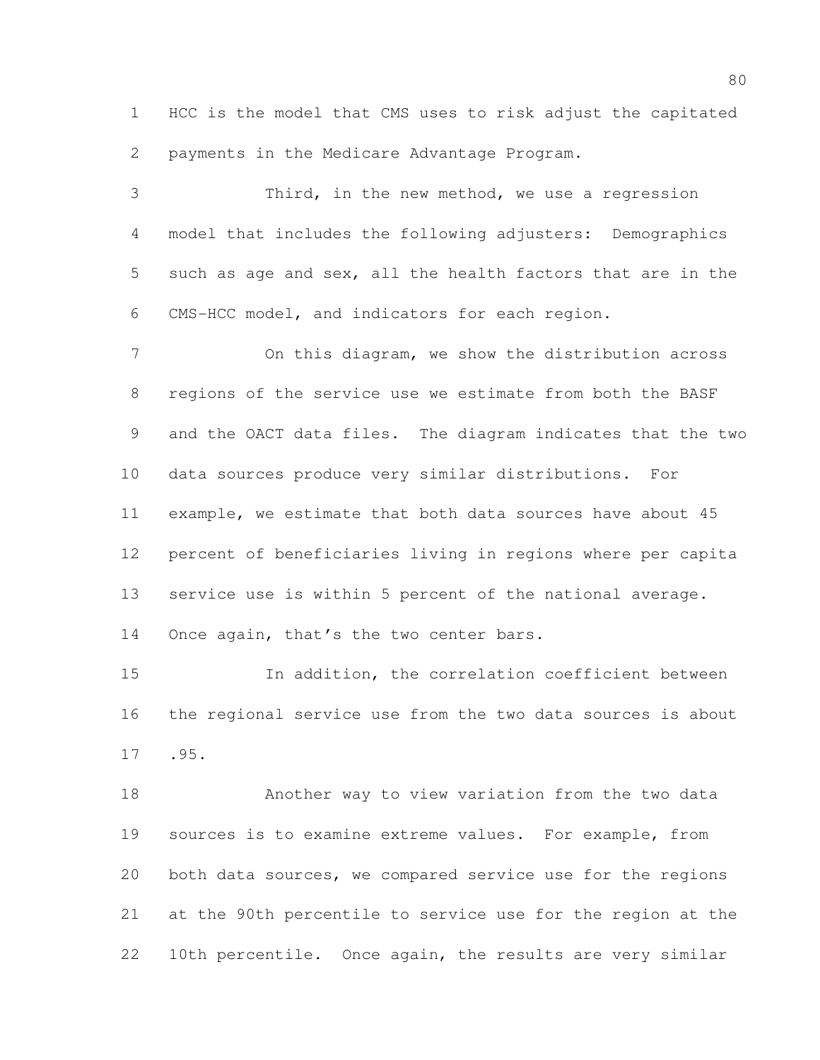HCC is the model that CMS uses to risk adjust the capitated payments in the Medicare Advantage Program.

 Third, in the new method, we use a regression model that includes the following adjusters: Demographics such as age and sex, all the health factors that are in the CMS-HCC model, and indicators for each region.

 On this diagram, we show the distribution across regions of the service use we estimate from both the BASF and the OACT data files. The diagram indicates that the two data sources produce very similar distributions. For example, we estimate that both data sources have about 45 percent of beneficiaries living in regions where per capita service use is within 5 percent of the national average. 14 Once again, that's the two center bars.

 In addition, the correlation coefficient between the regional service use from the two data sources is about .95.

 Another way to view variation from the two data sources is to examine extreme values. For example, from both data sources, we compared service use for the regions at the 90th percentile to service use for the region at the 10th percentile. Once again, the results are very similar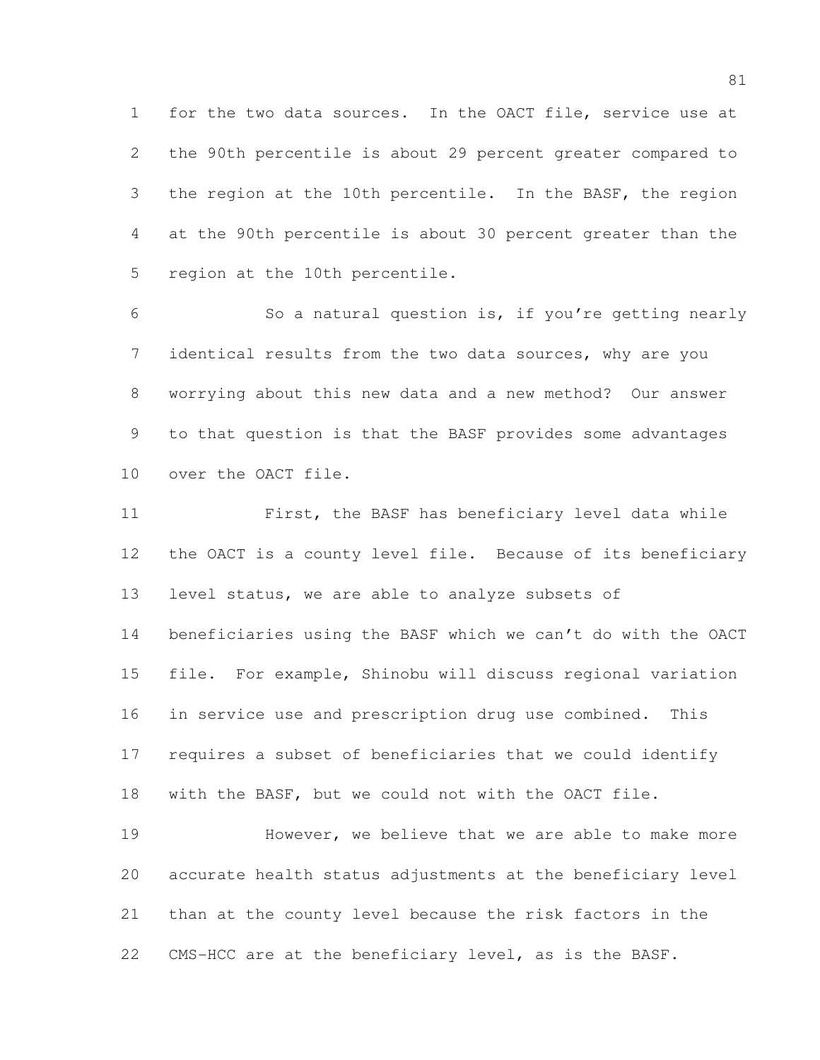for the two data sources. In the OACT file, service use at the 90th percentile is about 29 percent greater compared to the region at the 10th percentile. In the BASF, the region at the 90th percentile is about 30 percent greater than the region at the 10th percentile.

 So a natural question is, if you're getting nearly identical results from the two data sources, why are you worrying about this new data and a new method? Our answer to that question is that the BASF provides some advantages over the OACT file.

 First, the BASF has beneficiary level data while the OACT is a county level file. Because of its beneficiary 13 level status, we are able to analyze subsets of beneficiaries using the BASF which we can't do with the OACT file. For example, Shinobu will discuss regional variation in service use and prescription drug use combined. This requires a subset of beneficiaries that we could identify with the BASF, but we could not with the OACT file.

 However, we believe that we are able to make more accurate health status adjustments at the beneficiary level than at the county level because the risk factors in the CMS-HCC are at the beneficiary level, as is the BASF.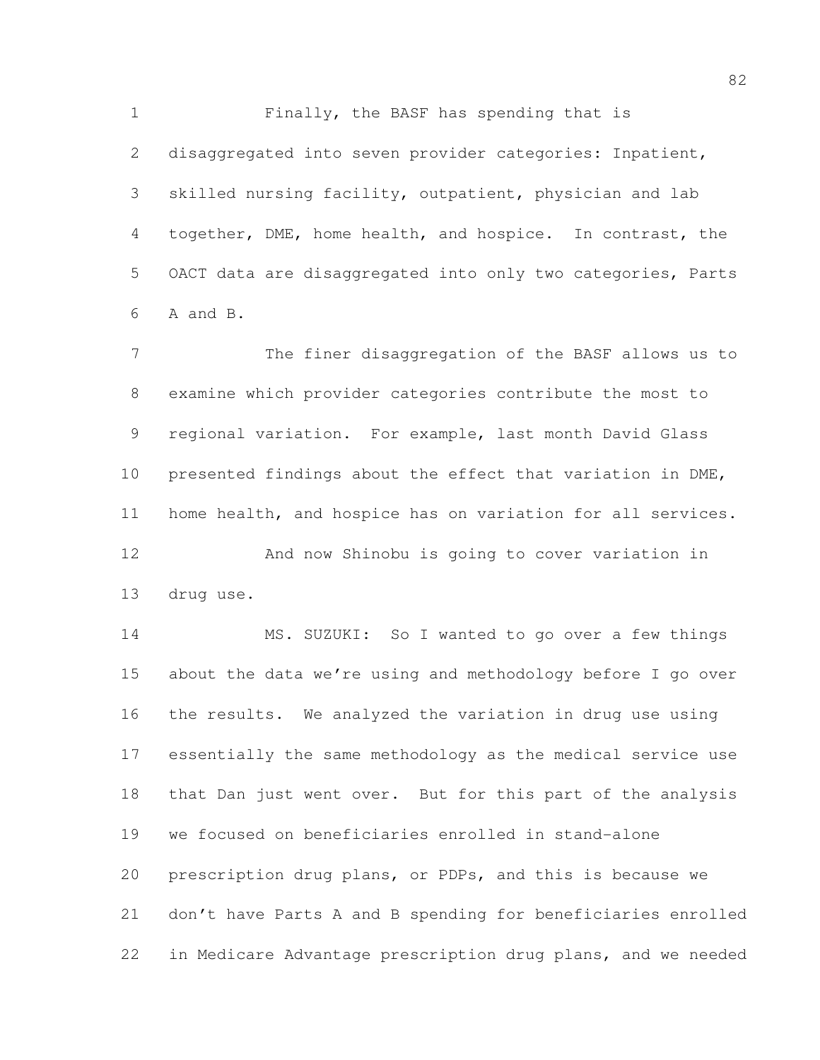Finally, the BASF has spending that is 2 disaggregated into seven provider categories: Inpatient, skilled nursing facility, outpatient, physician and lab together, DME, home health, and hospice. In contrast, the OACT data are disaggregated into only two categories, Parts A and B.

 The finer disaggregation of the BASF allows us to examine which provider categories contribute the most to regional variation. For example, last month David Glass presented findings about the effect that variation in DME, home health, and hospice has on variation for all services. And now Shinobu is going to cover variation in drug use.

 MS. SUZUKI: So I wanted to go over a few things about the data we're using and methodology before I go over the results. We analyzed the variation in drug use using essentially the same methodology as the medical service use that Dan just went over. But for this part of the analysis we focused on beneficiaries enrolled in stand-alone prescription drug plans, or PDPs, and this is because we don't have Parts A and B spending for beneficiaries enrolled in Medicare Advantage prescription drug plans, and we needed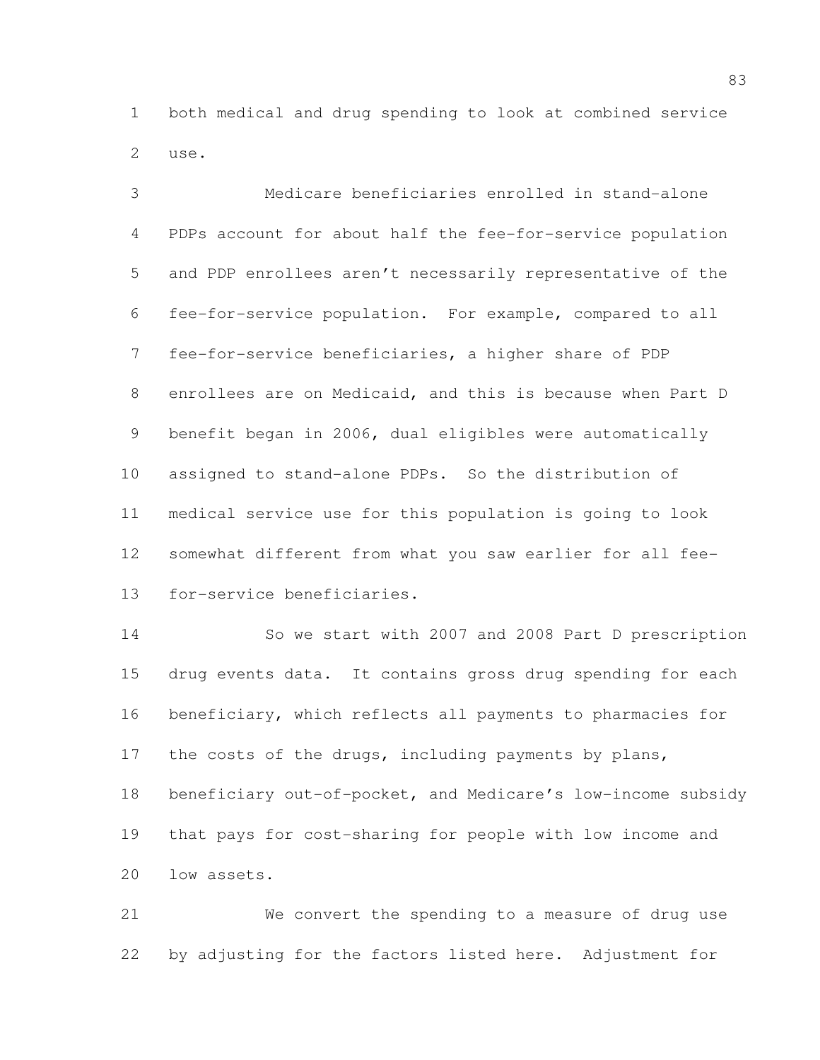both medical and drug spending to look at combined service use.

 Medicare beneficiaries enrolled in stand-alone PDPs account for about half the fee-for-service population and PDP enrollees aren't necessarily representative of the fee-for-service population. For example, compared to all fee-for-service beneficiaries, a higher share of PDP enrollees are on Medicaid, and this is because when Part D benefit began in 2006, dual eligibles were automatically assigned to stand-alone PDPs. So the distribution of medical service use for this population is going to look somewhat different from what you saw earlier for all fee-for-service beneficiaries.

 So we start with 2007 and 2008 Part D prescription drug events data. It contains gross drug spending for each beneficiary, which reflects all payments to pharmacies for 17 the costs of the drugs, including payments by plans, beneficiary out-of-pocket, and Medicare's low-income subsidy that pays for cost-sharing for people with low income and low assets.

 We convert the spending to a measure of drug use by adjusting for the factors listed here. Adjustment for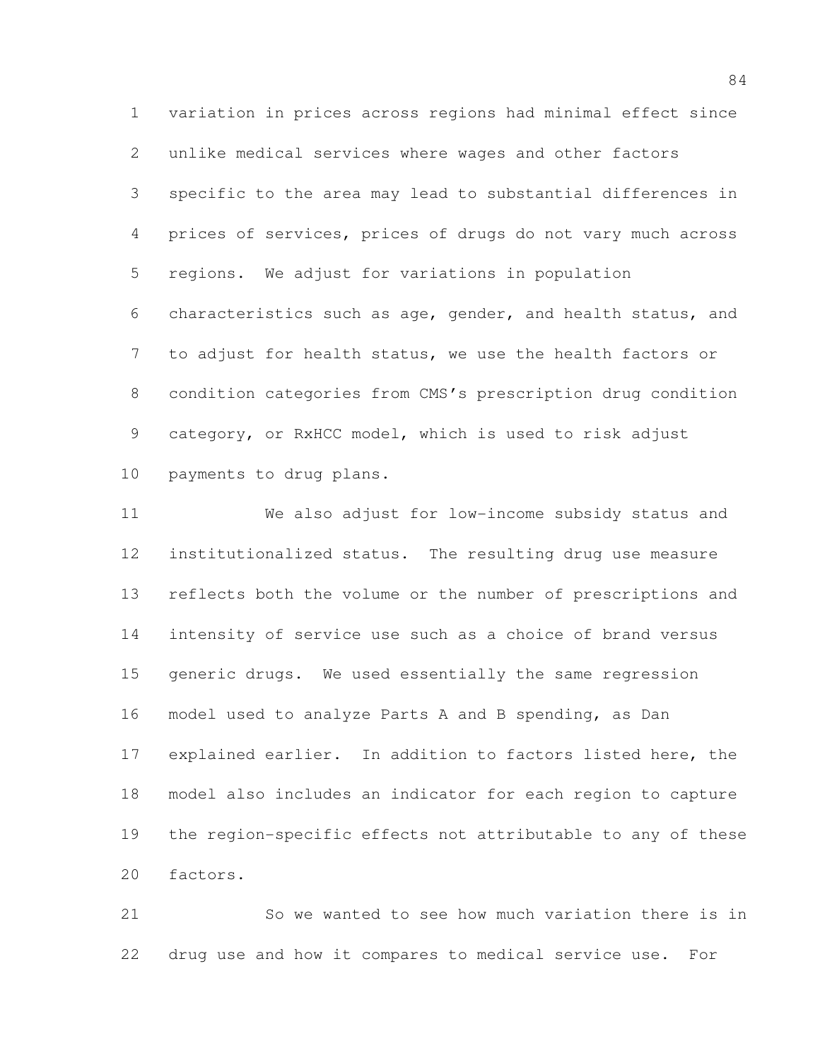variation in prices across regions had minimal effect since unlike medical services where wages and other factors specific to the area may lead to substantial differences in prices of services, prices of drugs do not vary much across regions. We adjust for variations in population characteristics such as age, gender, and health status, and to adjust for health status, we use the health factors or condition categories from CMS's prescription drug condition category, or RxHCC model, which is used to risk adjust payments to drug plans.

 We also adjust for low-income subsidy status and institutionalized status. The resulting drug use measure reflects both the volume or the number of prescriptions and intensity of service use such as a choice of brand versus generic drugs. We used essentially the same regression model used to analyze Parts A and B spending, as Dan explained earlier. In addition to factors listed here, the model also includes an indicator for each region to capture the region-specific effects not attributable to any of these factors.

 So we wanted to see how much variation there is in drug use and how it compares to medical service use. For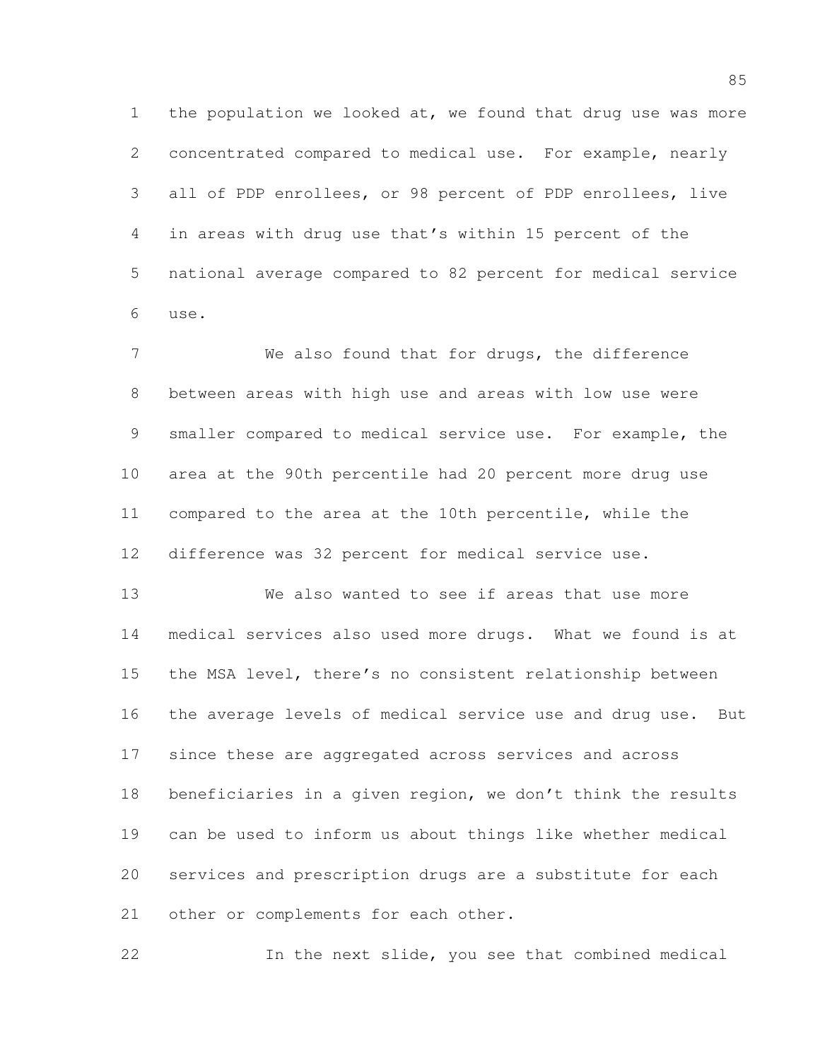1 the population we looked at, we found that drug use was more concentrated compared to medical use. For example, nearly all of PDP enrollees, or 98 percent of PDP enrollees, live in areas with drug use that's within 15 percent of the national average compared to 82 percent for medical service use.

 We also found that for drugs, the difference between areas with high use and areas with low use were smaller compared to medical service use. For example, the area at the 90th percentile had 20 percent more drug use compared to the area at the 10th percentile, while the difference was 32 percent for medical service use.

 We also wanted to see if areas that use more medical services also used more drugs. What we found is at the MSA level, there's no consistent relationship between the average levels of medical service use and drug use. But since these are aggregated across services and across beneficiaries in a given region, we don't think the results can be used to inform us about things like whether medical services and prescription drugs are a substitute for each 21 other or complements for each other.

In the next slide, you see that combined medical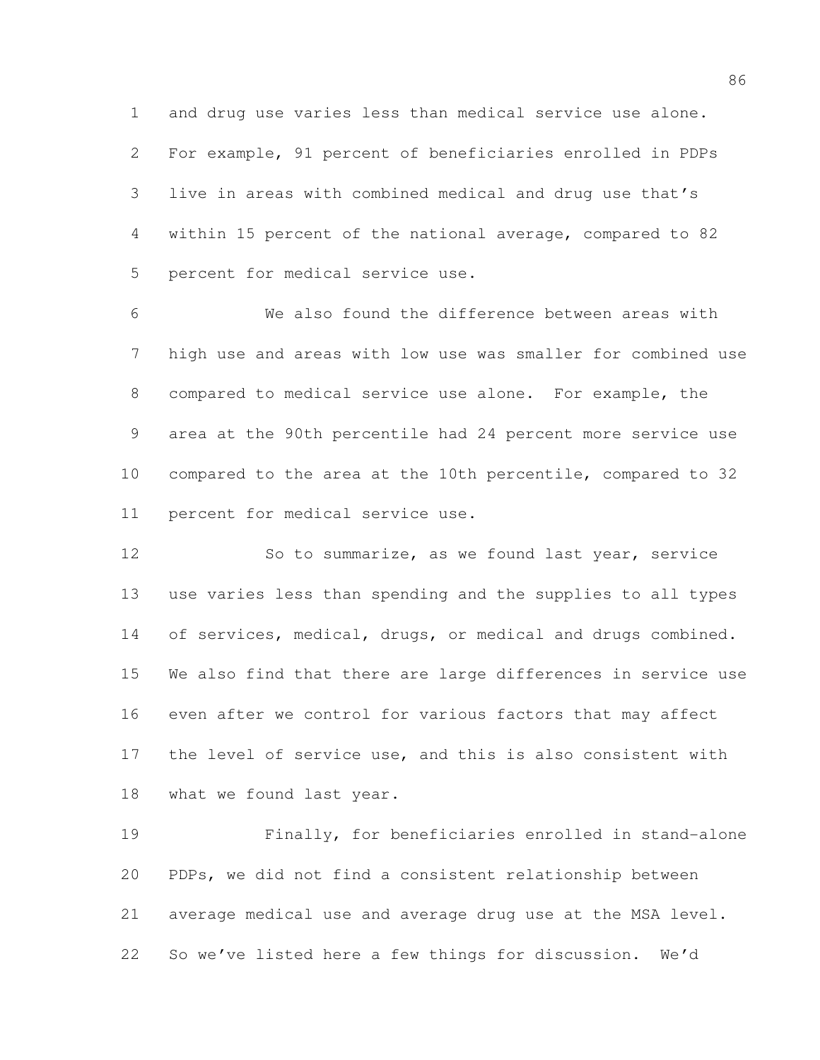and drug use varies less than medical service use alone. For example, 91 percent of beneficiaries enrolled in PDPs live in areas with combined medical and drug use that's within 15 percent of the national average, compared to 82 percent for medical service use.

 We also found the difference between areas with high use and areas with low use was smaller for combined use compared to medical service use alone. For example, the area at the 90th percentile had 24 percent more service use compared to the area at the 10th percentile, compared to 32 percent for medical service use.

 So to summarize, as we found last year, service use varies less than spending and the supplies to all types 14 of services, medical, drugs, or medical and drugs combined. We also find that there are large differences in service use even after we control for various factors that may affect the level of service use, and this is also consistent with what we found last year.

 Finally, for beneficiaries enrolled in stand-alone PDPs, we did not find a consistent relationship between average medical use and average drug use at the MSA level. So we've listed here a few things for discussion. We'd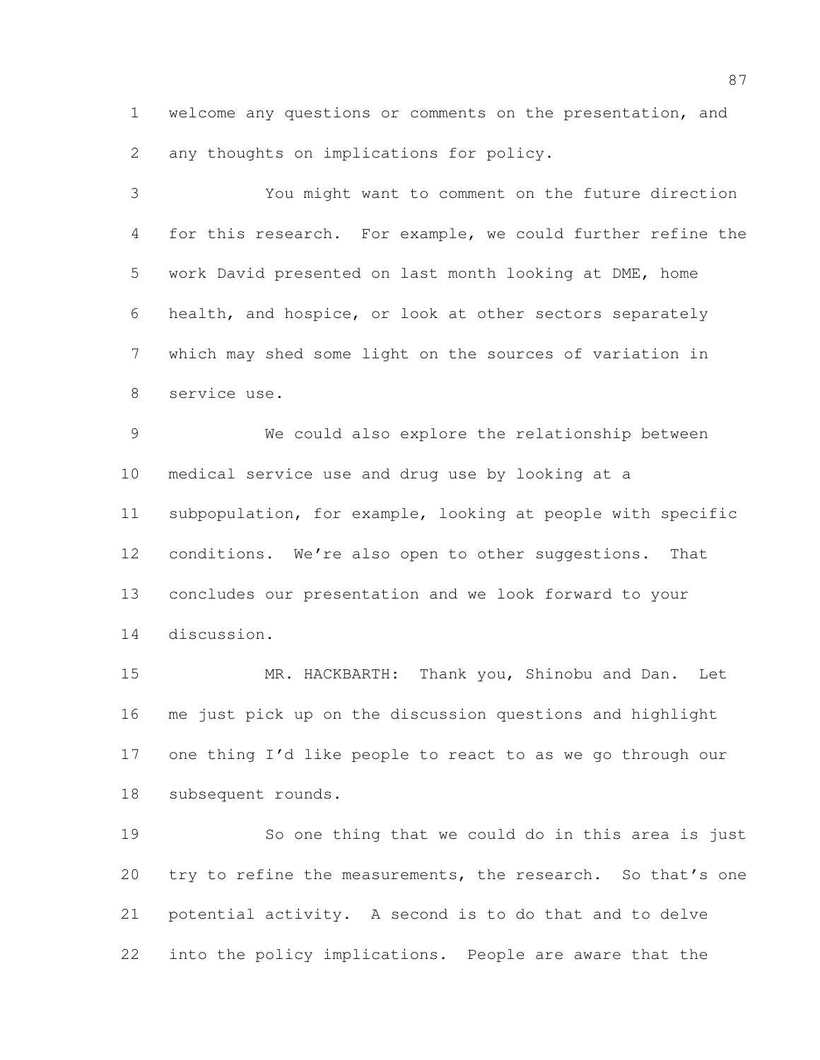welcome any questions or comments on the presentation, and any thoughts on implications for policy.

 You might want to comment on the future direction for this research. For example, we could further refine the work David presented on last month looking at DME, home health, and hospice, or look at other sectors separately which may shed some light on the sources of variation in service use.

 We could also explore the relationship between medical service use and drug use by looking at a subpopulation, for example, looking at people with specific conditions. We're also open to other suggestions. That concludes our presentation and we look forward to your discussion.

 MR. HACKBARTH: Thank you, Shinobu and Dan. Let me just pick up on the discussion questions and highlight one thing I'd like people to react to as we go through our subsequent rounds.

 So one thing that we could do in this area is just 20 try to refine the measurements, the research. So that's one potential activity. A second is to do that and to delve into the policy implications. People are aware that the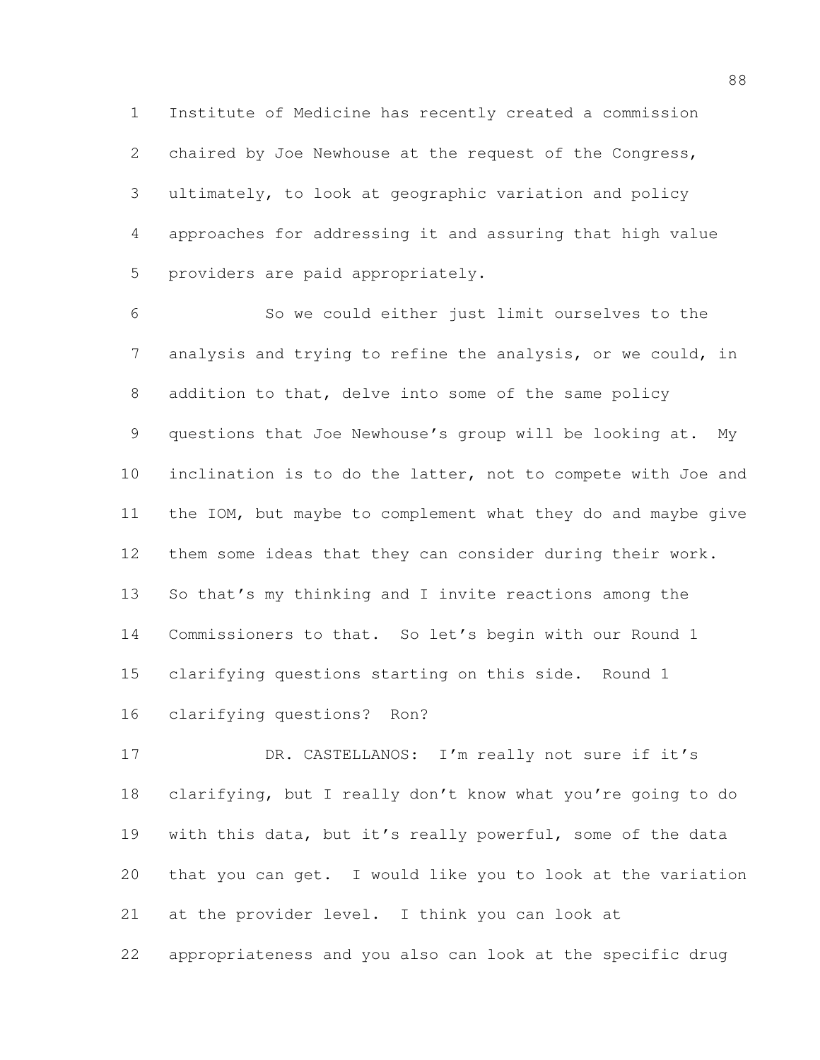Institute of Medicine has recently created a commission chaired by Joe Newhouse at the request of the Congress, ultimately, to look at geographic variation and policy approaches for addressing it and assuring that high value providers are paid appropriately.

 So we could either just limit ourselves to the analysis and trying to refine the analysis, or we could, in addition to that, delve into some of the same policy questions that Joe Newhouse's group will be looking at. My inclination is to do the latter, not to compete with Joe and the IOM, but maybe to complement what they do and maybe give them some ideas that they can consider during their work. So that's my thinking and I invite reactions among the Commissioners to that. So let's begin with our Round 1 clarifying questions starting on this side. Round 1 clarifying questions? Ron?

17 DR. CASTELLANOS: I'm really not sure if it's clarifying, but I really don't know what you're going to do with this data, but it's really powerful, some of the data that you can get. I would like you to look at the variation at the provider level. I think you can look at appropriateness and you also can look at the specific drug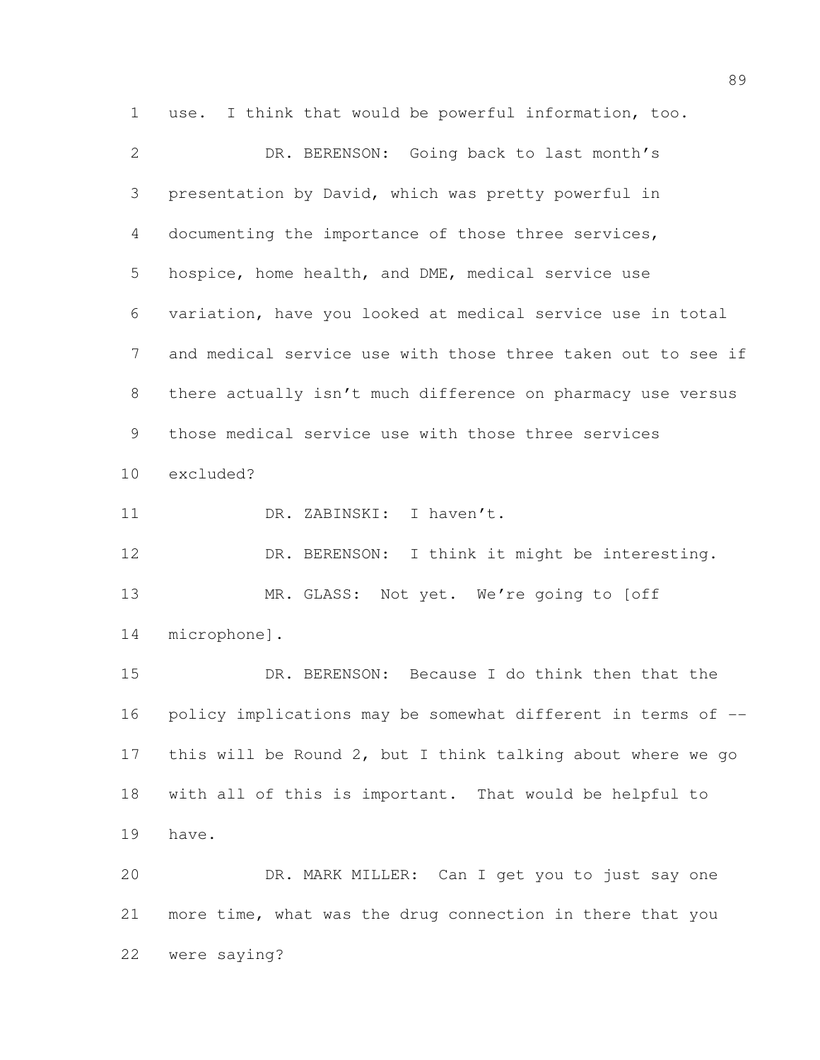use. I think that would be powerful information, too. DR. BERENSON: Going back to last month's presentation by David, which was pretty powerful in documenting the importance of those three services, hospice, home health, and DME, medical service use variation, have you looked at medical service use in total and medical service use with those three taken out to see if there actually isn't much difference on pharmacy use versus those medical service use with those three services excluded? 11 DR. ZABINSKI: I haven't. DR. BERENSON: I think it might be interesting. 13 MR. GLASS: Not yet. We're going to [off microphone]. DR. BERENSON: Because I do think then that the policy implications may be somewhat different in terms of -- this will be Round 2, but I think talking about where we go with all of this is important. That would be helpful to have. DR. MARK MILLER: Can I get you to just say one more time, what was the drug connection in there that you were saying?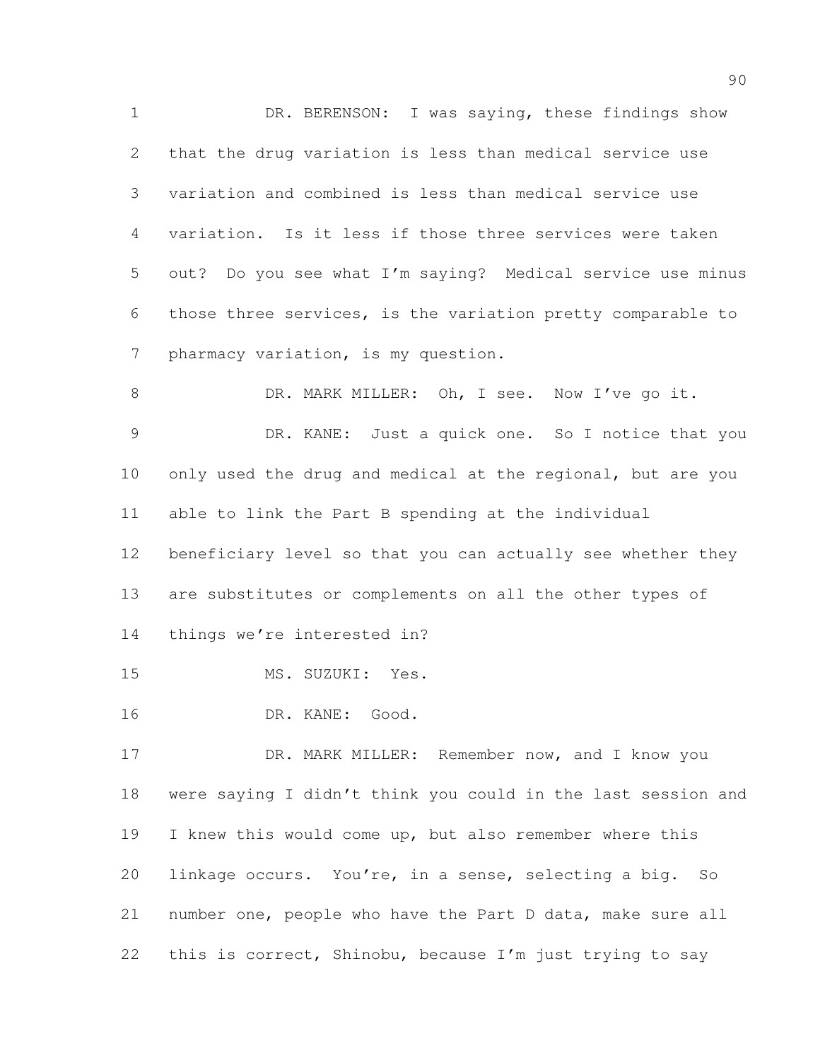DR. BERENSON: I was saying, these findings show that the drug variation is less than medical service use variation and combined is less than medical service use variation. Is it less if those three services were taken out? Do you see what I'm saying? Medical service use minus those three services, is the variation pretty comparable to pharmacy variation, is my question. 8 DR. MARK MILLER: Oh, I see. Now I've go it. DR. KANE: Just a quick one. So I notice that you only used the drug and medical at the regional, but are you able to link the Part B spending at the individual beneficiary level so that you can actually see whether they are substitutes or complements on all the other types of things we're interested in? MS. SUZUKI: Yes.

- 
- DR. KANE: Good.

 DR. MARK MILLER: Remember now, and I know you were saying I didn't think you could in the last session and I knew this would come up, but also remember where this linkage occurs. You're, in a sense, selecting a big. So number one, people who have the Part D data, make sure all this is correct, Shinobu, because I'm just trying to say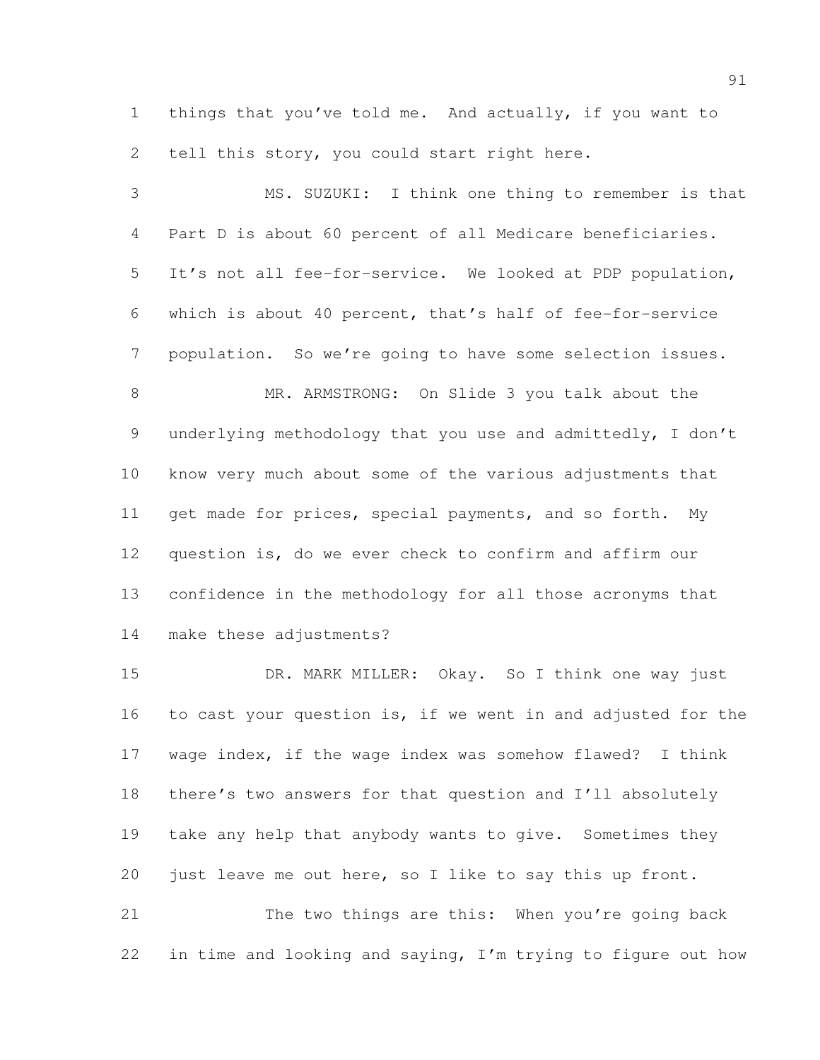things that you've told me. And actually, if you want to tell this story, you could start right here.

 MS. SUZUKI: I think one thing to remember is that Part D is about 60 percent of all Medicare beneficiaries. It's not all fee-for-service. We looked at PDP population, which is about 40 percent, that's half of fee-for-service population. So we're going to have some selection issues. MR. ARMSTRONG: On Slide 3 you talk about the underlying methodology that you use and admittedly, I don't know very much about some of the various adjustments that get made for prices, special payments, and so forth. My question is, do we ever check to confirm and affirm our

make these adjustments?

 DR. MARK MILLER: Okay. So I think one way just to cast your question is, if we went in and adjusted for the wage index, if the wage index was somehow flawed? I think there's two answers for that question and I'll absolutely take any help that anybody wants to give. Sometimes they just leave me out here, so I like to say this up front.

confidence in the methodology for all those acronyms that

 The two things are this: When you're going back in time and looking and saying, I'm trying to figure out how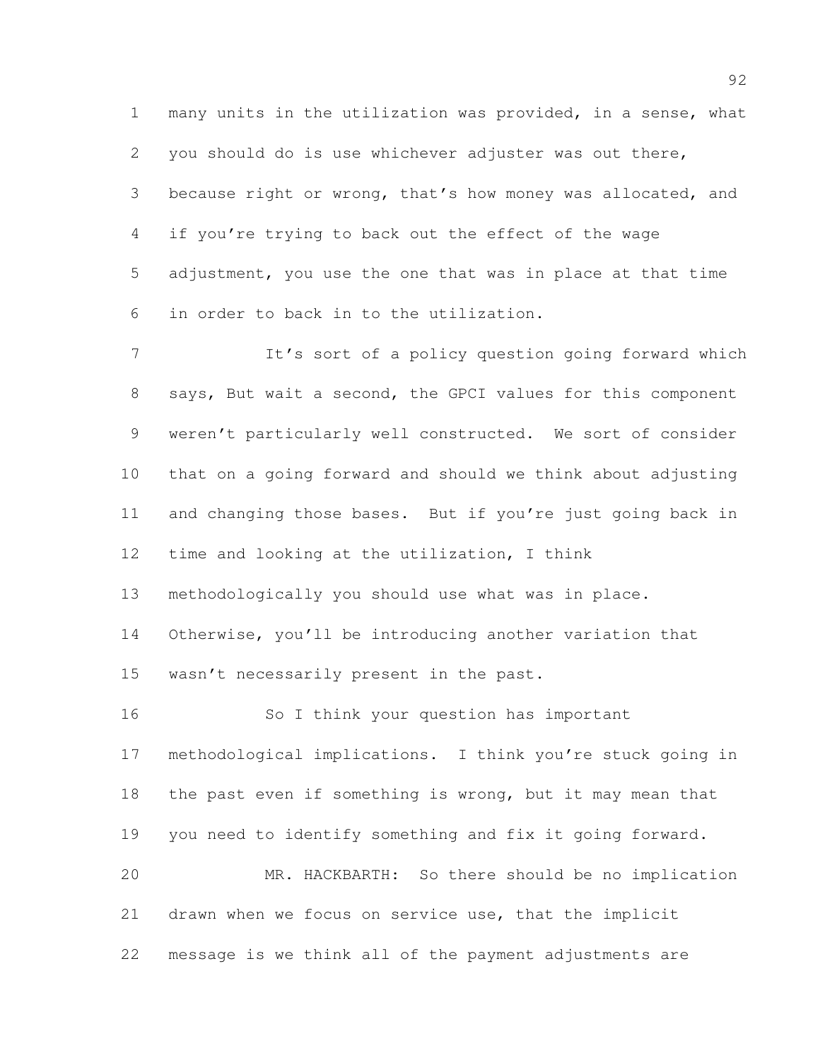many units in the utilization was provided, in a sense, what you should do is use whichever adjuster was out there, because right or wrong, that's how money was allocated, and if you're trying to back out the effect of the wage adjustment, you use the one that was in place at that time in order to back in to the utilization.

7 It's sort of a policy question going forward which says, But wait a second, the GPCI values for this component weren't particularly well constructed. We sort of consider that on a going forward and should we think about adjusting and changing those bases. But if you're just going back in time and looking at the utilization, I think

methodologically you should use what was in place.

Otherwise, you'll be introducing another variation that

15 wasn't necessarily present in the past.

 So I think your question has important methodological implications. I think you're stuck going in 18 the past even if something is wrong, but it may mean that you need to identify something and fix it going forward. MR. HACKBARTH: So there should be no implication drawn when we focus on service use, that the implicit message is we think all of the payment adjustments are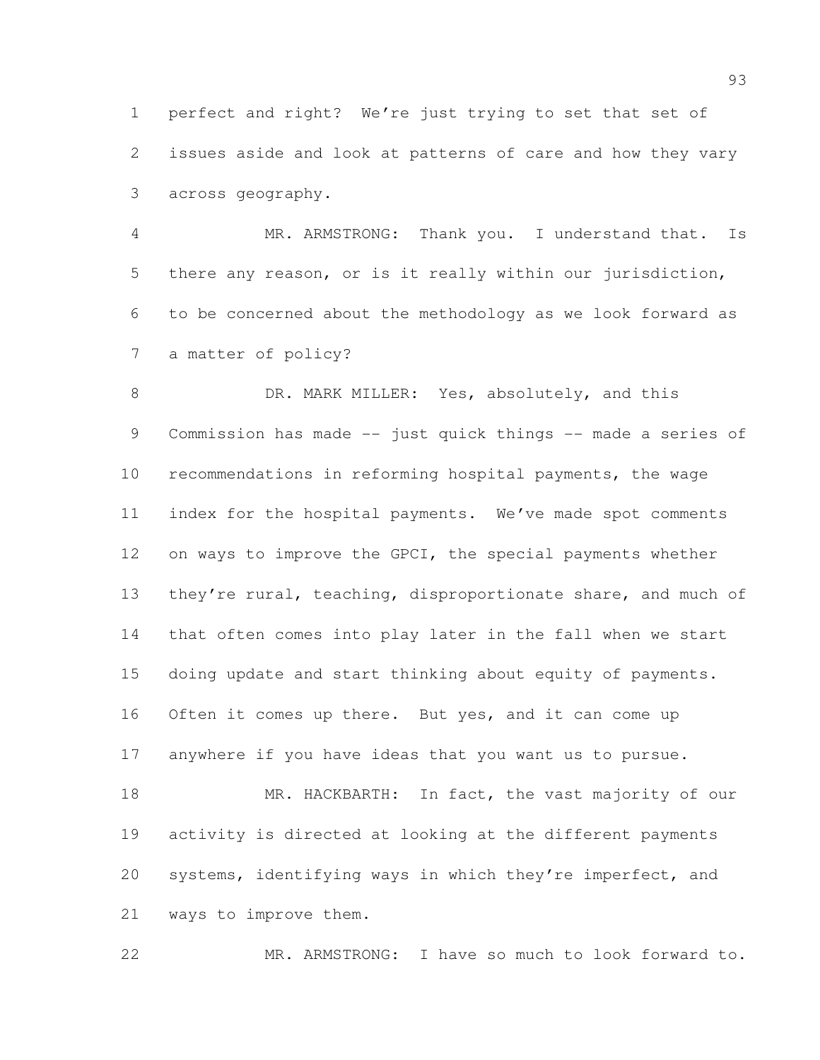perfect and right? We're just trying to set that set of issues aside and look at patterns of care and how they vary across geography.

 MR. ARMSTRONG: Thank you. I understand that. Is there any reason, or is it really within our jurisdiction, to be concerned about the methodology as we look forward as a matter of policy?

8 DR. MARK MILLER: Yes, absolutely, and this 9 Commission has made -- just quick things -- made a series of recommendations in reforming hospital payments, the wage index for the hospital payments. We've made spot comments on ways to improve the GPCI, the special payments whether 13 they're rural, teaching, disproportionate share, and much of that often comes into play later in the fall when we start doing update and start thinking about equity of payments. Often it comes up there. But yes, and it can come up anywhere if you have ideas that you want us to pursue. 18 MR. HACKBARTH: In fact, the vast majority of our activity is directed at looking at the different payments systems, identifying ways in which they're imperfect, and ways to improve them.

MR. ARMSTRONG: I have so much to look forward to.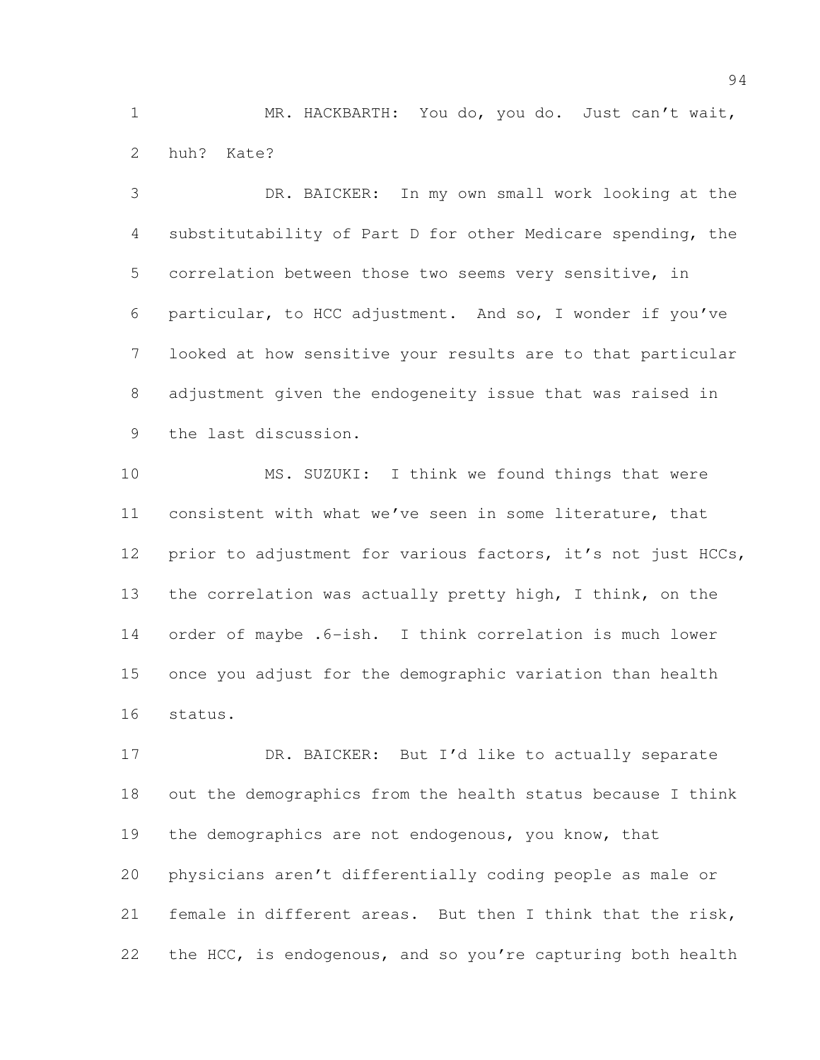MR. HACKBARTH: You do, you do. Just can't wait, huh? Kate?

 DR. BAICKER: In my own small work looking at the substitutability of Part D for other Medicare spending, the correlation between those two seems very sensitive, in particular, to HCC adjustment. And so, I wonder if you've looked at how sensitive your results are to that particular adjustment given the endogeneity issue that was raised in the last discussion.

 MS. SUZUKI: I think we found things that were consistent with what we've seen in some literature, that prior to adjustment for various factors, it's not just HCCs, the correlation was actually pretty high, I think, on the order of maybe .6-ish. I think correlation is much lower once you adjust for the demographic variation than health status.

17 DR. BAICKER: But I'd like to actually separate out the demographics from the health status because I think 19 the demographics are not endogenous, you know, that physicians aren't differentially coding people as male or female in different areas. But then I think that the risk, 22 the HCC, is endogenous, and so you're capturing both health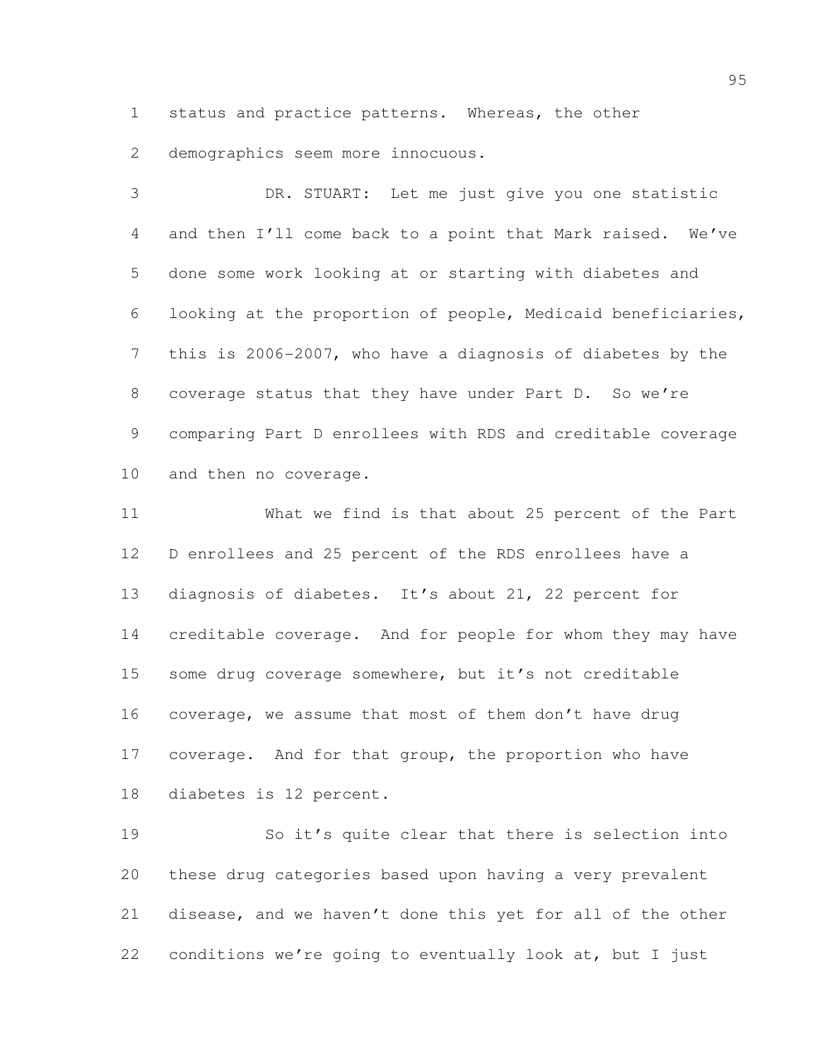status and practice patterns. Whereas, the other

demographics seem more innocuous.

 DR. STUART: Let me just give you one statistic and then I'll come back to a point that Mark raised. We've done some work looking at or starting with diabetes and looking at the proportion of people, Medicaid beneficiaries, this is 2006-2007, who have a diagnosis of diabetes by the coverage status that they have under Part D. So we're comparing Part D enrollees with RDS and creditable coverage and then no coverage.

 What we find is that about 25 percent of the Part D enrollees and 25 percent of the RDS enrollees have a diagnosis of diabetes. It's about 21, 22 percent for creditable coverage. And for people for whom they may have 15 some drug coverage somewhere, but it's not creditable coverage, we assume that most of them don't have drug 17 coverage. And for that group, the proportion who have diabetes is 12 percent.

 So it's quite clear that there is selection into these drug categories based upon having a very prevalent disease, and we haven't done this yet for all of the other conditions we're going to eventually look at, but I just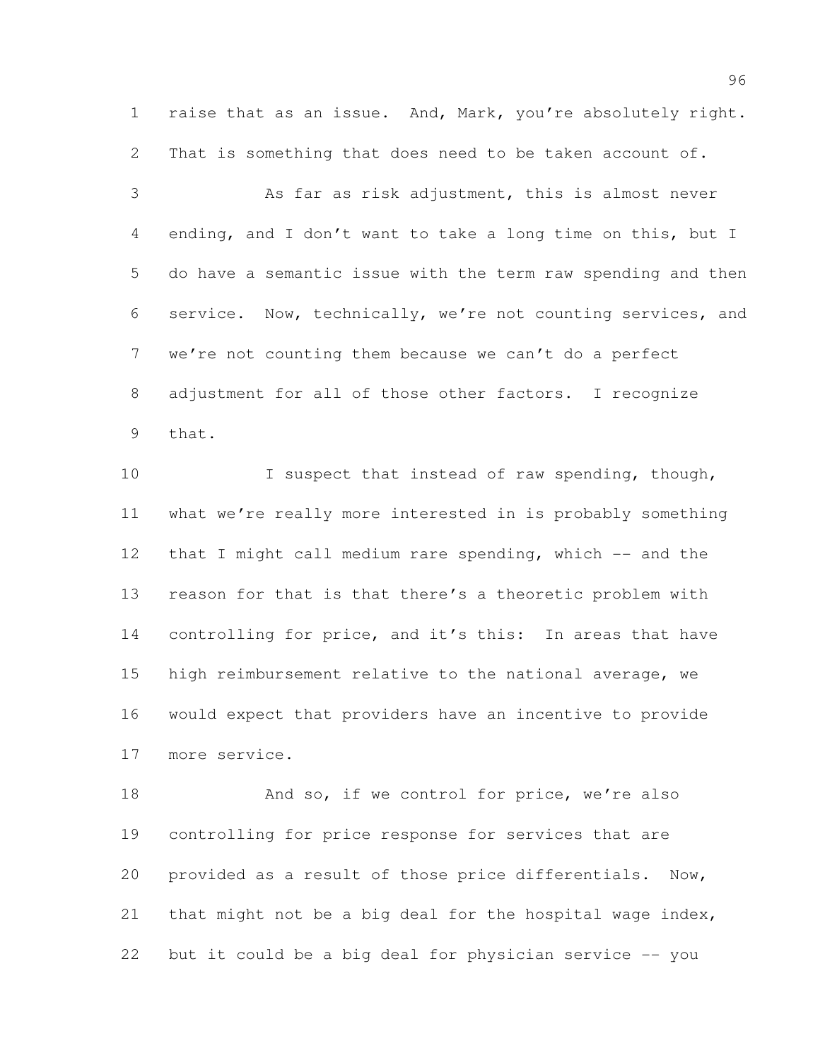raise that as an issue. And, Mark, you're absolutely right. That is something that does need to be taken account of.

 As far as risk adjustment, this is almost never ending, and I don't want to take a long time on this, but I do have a semantic issue with the term raw spending and then service. Now, technically, we're not counting services, and we're not counting them because we can't do a perfect adjustment for all of those other factors. I recognize that.

10 I suspect that instead of raw spending, though, what we're really more interested in is probably something that I might call medium rare spending, which -- and the reason for that is that there's a theoretic problem with controlling for price, and it's this: In areas that have high reimbursement relative to the national average, we would expect that providers have an incentive to provide more service.

18 And so, if we control for price, we're also controlling for price response for services that are provided as a result of those price differentials. Now, 21 that might not be a big deal for the hospital wage index, but it could be a big deal for physician service -- you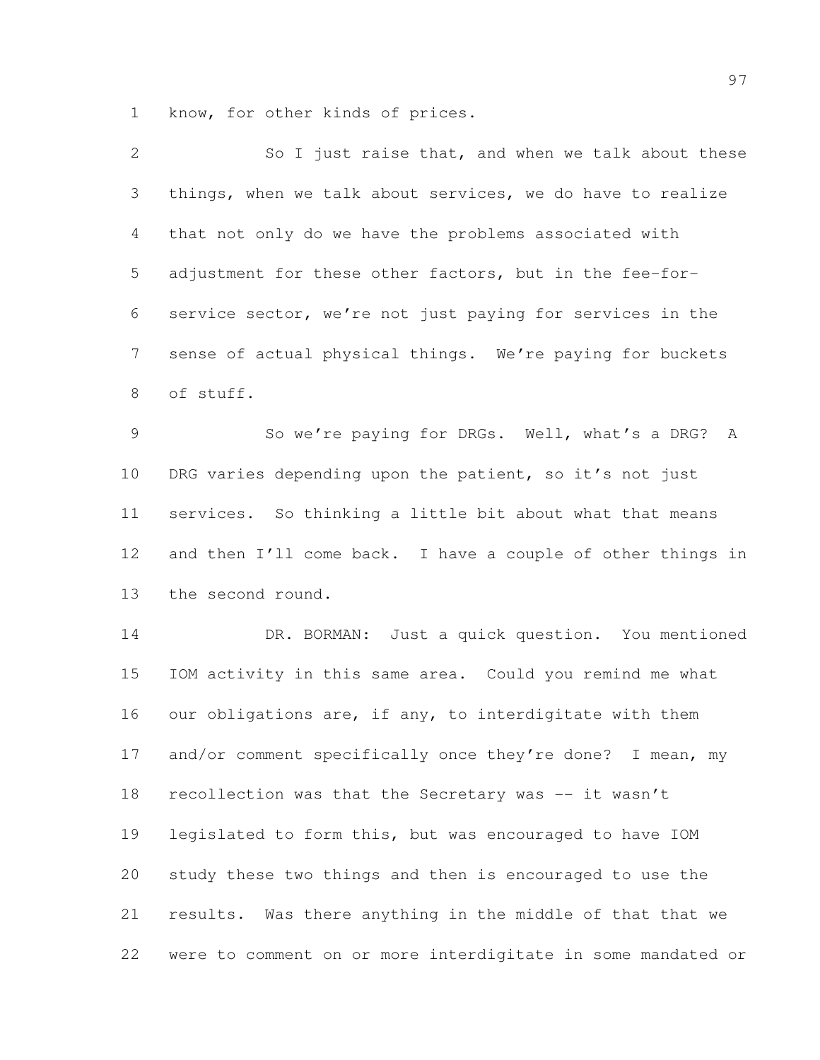know, for other kinds of prices.

| $\mathbf{2}$   | So I just raise that, and when we talk about these           |
|----------------|--------------------------------------------------------------|
| $\mathfrak{Z}$ | things, when we talk about services, we do have to realize   |
| 4              | that not only do we have the problems associated with        |
| 5              | adjustment for these other factors, but in the fee-for-      |
| 6              | service sector, we're not just paying for services in the    |
| $7\phantom{.}$ | sense of actual physical things. We're paying for buckets    |
| 8              | of stuff.                                                    |
| $\mathcal{G}$  | So we're paying for DRGs. Well, what's a DRG? A              |
| 10             | DRG varies depending upon the patient, so it's not just      |
| 11             | services. So thinking a little bit about what that means     |
| 12             | and then I'll come back. I have a couple of other things in  |
| 13             | the second round.                                            |
| 14             | DR. BORMAN: Just a quick question. You mentioned             |
| 15             | IOM activity in this same area. Could you remind me what     |
| 16             | our obligations are, if any, to interdigitate with them      |
| 17             | and/or comment specifically once they're done? I mean, my    |
| 18             | recollection was that the Secretary was -- it wasn't         |
| 19             | legislated to form this, but was encouraged to have IOM      |
| 20             | study these two things and then is encouraged to use the     |
| 21             | results. Was there anything in the middle of that that we    |
| 22             | were to comment on or more interdigitate in some mandated or |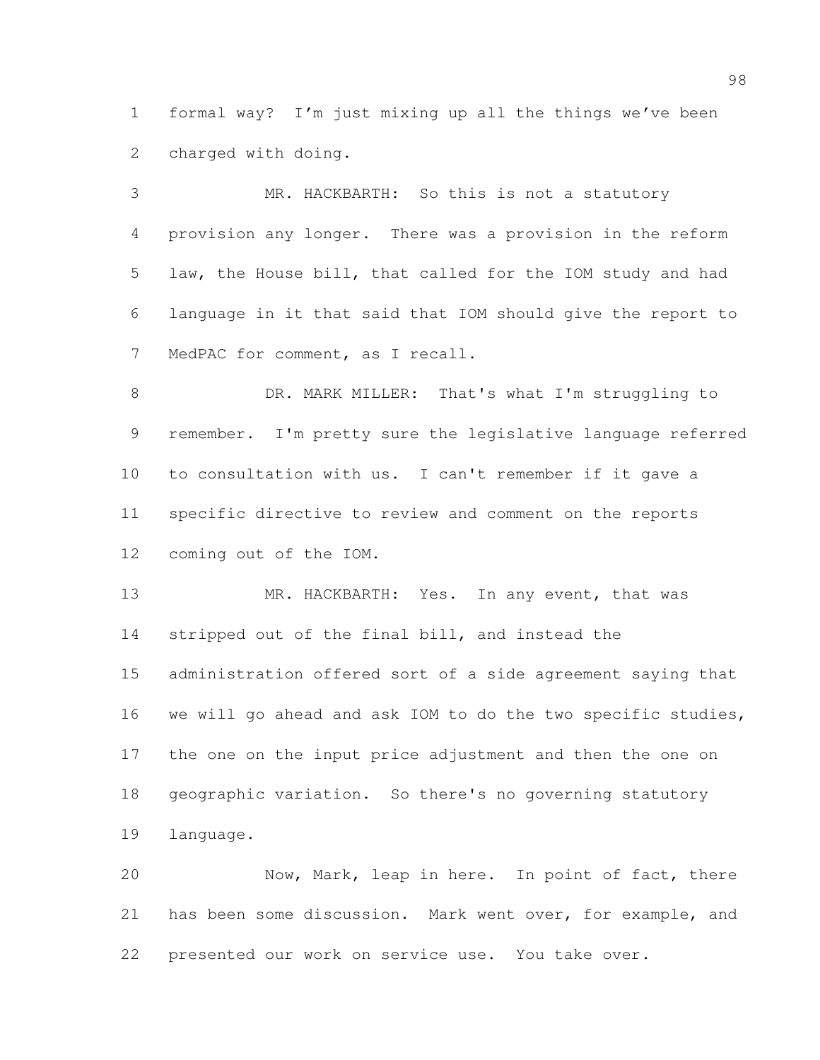formal way? I'm just mixing up all the things we've been charged with doing.

 MR. HACKBARTH: So this is not a statutory provision any longer. There was a provision in the reform law, the House bill, that called for the IOM study and had language in it that said that IOM should give the report to MedPAC for comment, as I recall.

 DR. MARK MILLER: That's what I'm struggling to remember. I'm pretty sure the legislative language referred to consultation with us. I can't remember if it gave a specific directive to review and comment on the reports coming out of the IOM.

13 MR. HACKBARTH: Yes. In any event, that was stripped out of the final bill, and instead the administration offered sort of a side agreement saying that we will go ahead and ask IOM to do the two specific studies, the one on the input price adjustment and then the one on geographic variation. So there's no governing statutory language.

 Now, Mark, leap in here. In point of fact, there has been some discussion. Mark went over, for example, and presented our work on service use. You take over.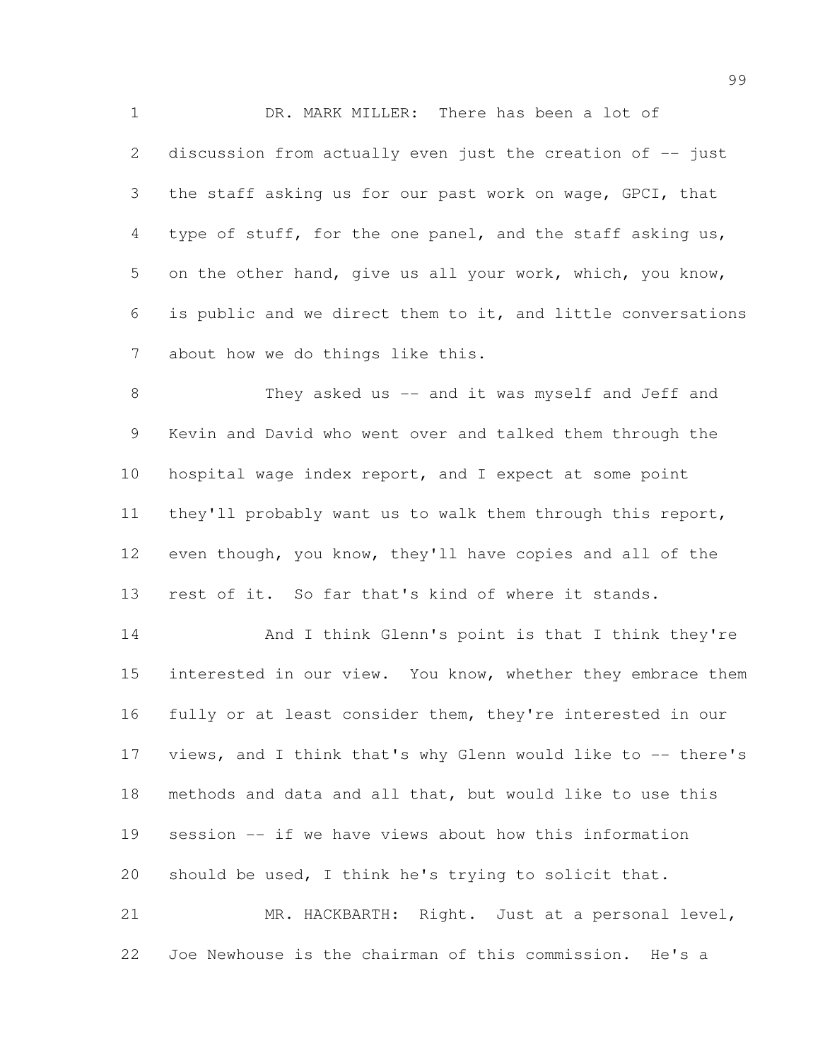DR. MARK MILLER: There has been a lot of 2 discussion from actually even just the creation of -- just the staff asking us for our past work on wage, GPCI, that type of stuff, for the one panel, and the staff asking us, on the other hand, give us all your work, which, you know, is public and we direct them to it, and little conversations about how we do things like this.

8 They asked us -- and it was myself and Jeff and Kevin and David who went over and talked them through the hospital wage index report, and I expect at some point they'll probably want us to walk them through this report, even though, you know, they'll have copies and all of the rest of it. So far that's kind of where it stands.

14 And I think Glenn's point is that I think they're 15 interested in our view. You know, whether they embrace them fully or at least consider them, they're interested in our views, and I think that's why Glenn would like to -- there's methods and data and all that, but would like to use this session -- if we have views about how this information should be used, I think he's trying to solicit that. MR. HACKBARTH: Right. Just at a personal level,

Joe Newhouse is the chairman of this commission. He's a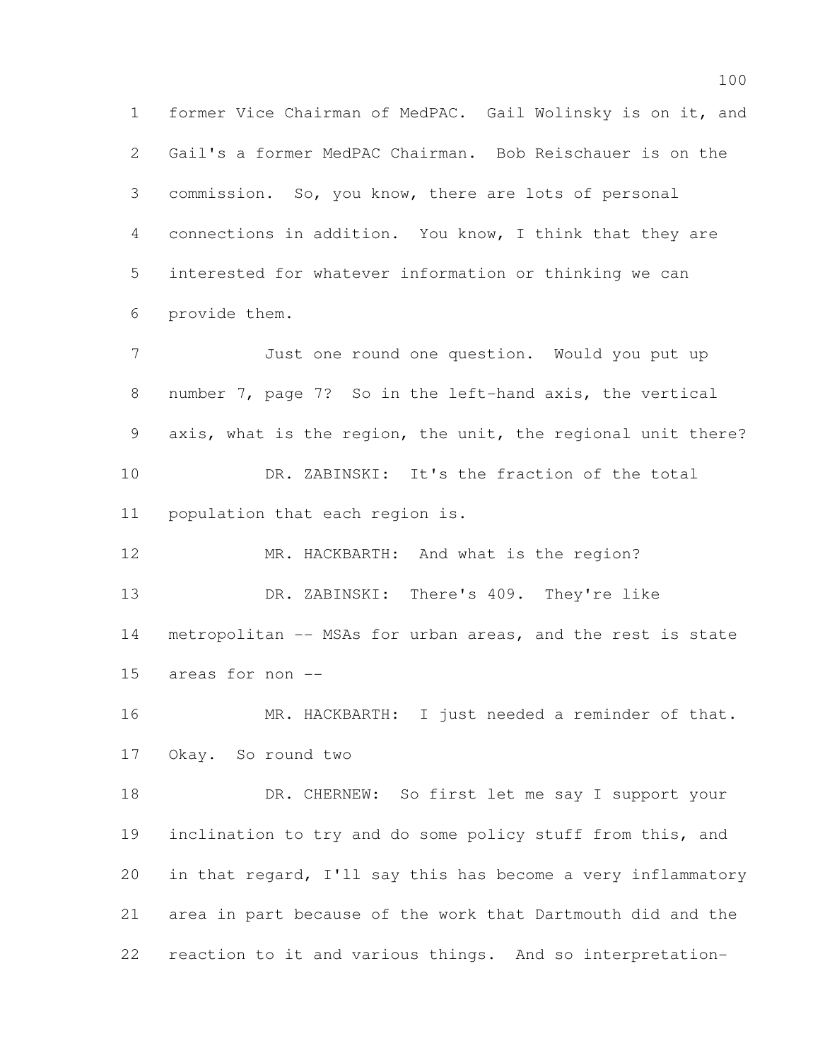former Vice Chairman of MedPAC. Gail Wolinsky is on it, and Gail's a former MedPAC Chairman. Bob Reischauer is on the commission. So, you know, there are lots of personal connections in addition. You know, I think that they are interested for whatever information or thinking we can provide them.

 Just one round one question. Would you put up number 7, page 7? So in the left-hand axis, the vertical axis, what is the region, the unit, the regional unit there? DR. ZABINSKI: It's the fraction of the total population that each region is.

 MR. HACKBARTH: And what is the region? DR. ZABINSKI: There's 409. They're like metropolitan -- MSAs for urban areas, and the rest is state areas for non --

16 MR. HACKBARTH: I just needed a reminder of that. Okay. So round two

18 DR. CHERNEW: So first let me say I support your inclination to try and do some policy stuff from this, and in that regard, I'll say this has become a very inflammatory area in part because of the work that Dartmouth did and the reaction to it and various things. And so interpretation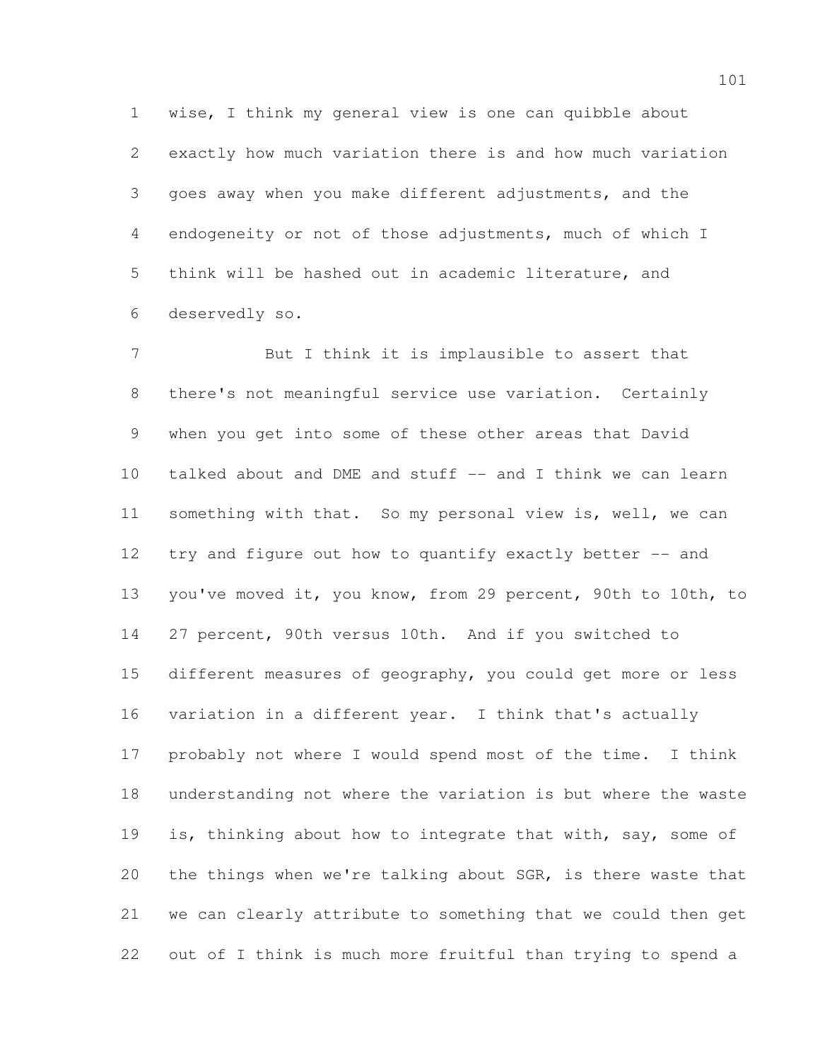wise, I think my general view is one can quibble about exactly how much variation there is and how much variation goes away when you make different adjustments, and the endogeneity or not of those adjustments, much of which I think will be hashed out in academic literature, and deservedly so.

7 But I think it is implausible to assert that there's not meaningful service use variation. Certainly when you get into some of these other areas that David talked about and DME and stuff -- and I think we can learn something with that. So my personal view is, well, we can try and figure out how to quantify exactly better -- and you've moved it, you know, from 29 percent, 90th to 10th, to 27 percent, 90th versus 10th. And if you switched to different measures of geography, you could get more or less variation in a different year. I think that's actually probably not where I would spend most of the time. I think understanding not where the variation is but where the waste 19 is, thinking about how to integrate that with, say, some of the things when we're talking about SGR, is there waste that we can clearly attribute to something that we could then get out of I think is much more fruitful than trying to spend a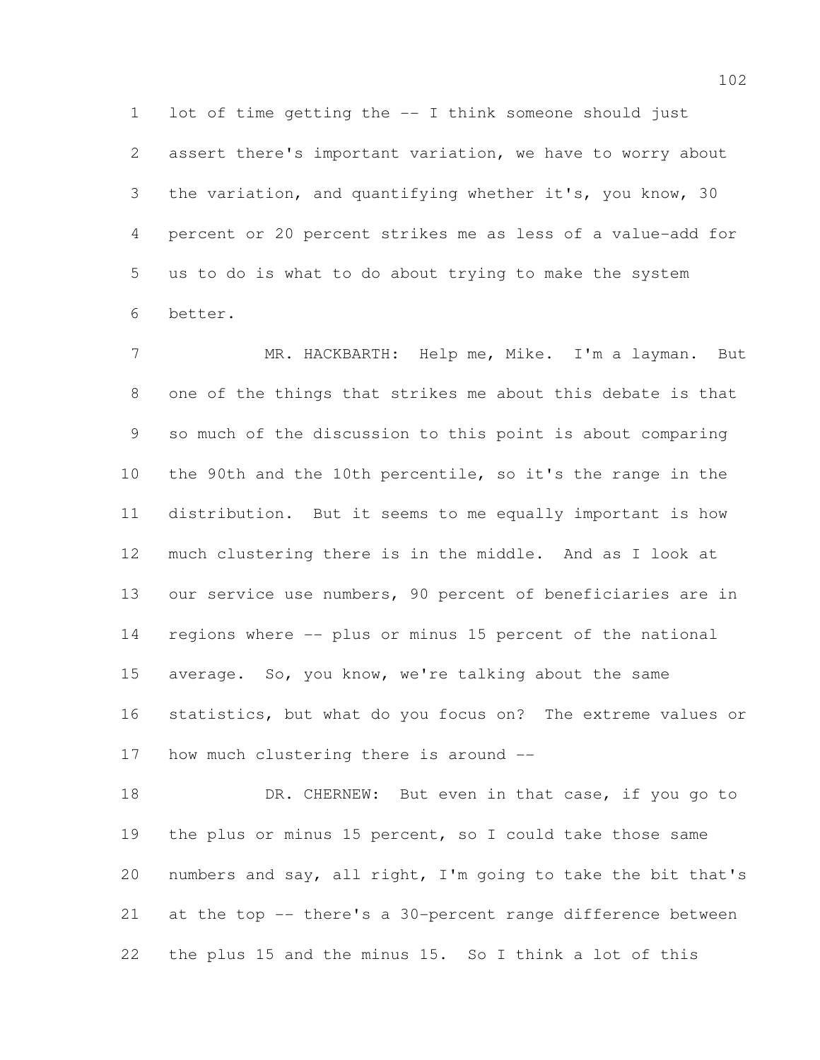lot of time getting the -- I think someone should just assert there's important variation, we have to worry about the variation, and quantifying whether it's, you know, 30 percent or 20 percent strikes me as less of a value-add for us to do is what to do about trying to make the system better.

7 MR. HACKBARTH: Help me, Mike. I'm a layman. But one of the things that strikes me about this debate is that so much of the discussion to this point is about comparing the 90th and the 10th percentile, so it's the range in the distribution. But it seems to me equally important is how much clustering there is in the middle. And as I look at our service use numbers, 90 percent of beneficiaries are in regions where -- plus or minus 15 percent of the national average. So, you know, we're talking about the same statistics, but what do you focus on? The extreme values or how much clustering there is around --

18 DR. CHERNEW: But even in that case, if you go to the plus or minus 15 percent, so I could take those same numbers and say, all right, I'm going to take the bit that's at the top -- there's a 30-percent range difference between the plus 15 and the minus 15. So I think a lot of this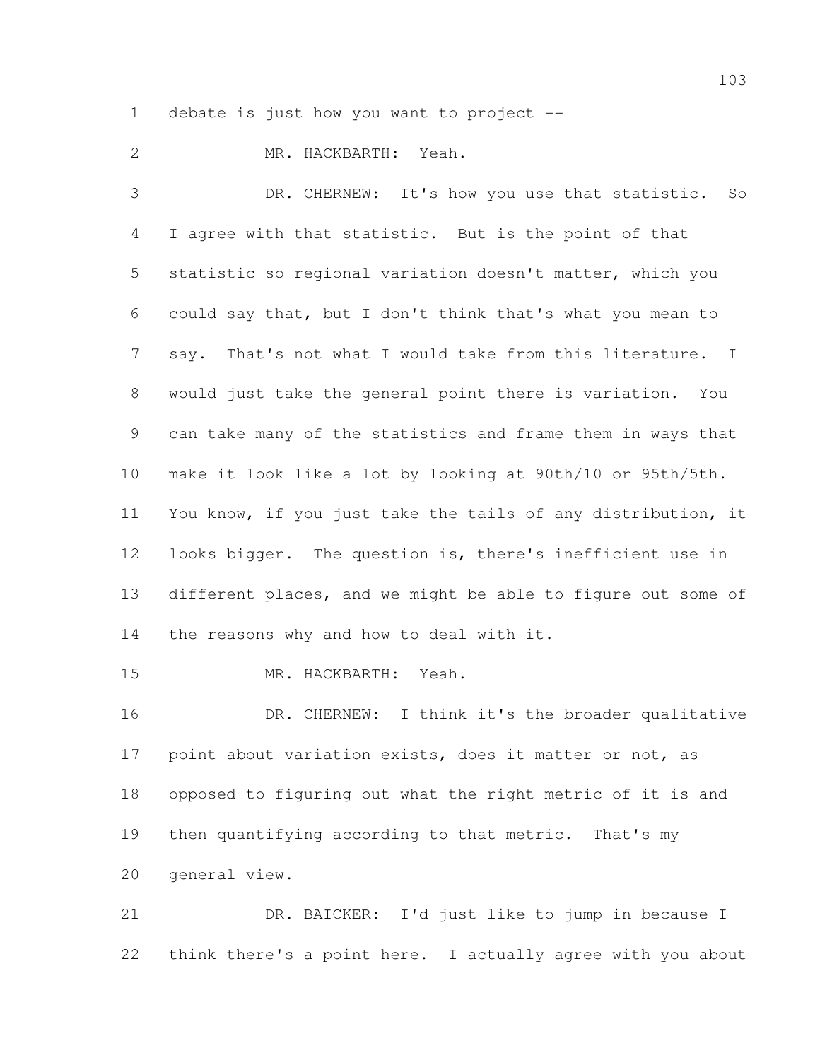debate is just how you want to project --

MR. HACKBARTH: Yeah.

 DR. CHERNEW: It's how you use that statistic. So I agree with that statistic. But is the point of that statistic so regional variation doesn't matter, which you could say that, but I don't think that's what you mean to say. That's not what I would take from this literature. I would just take the general point there is variation. You can take many of the statistics and frame them in ways that make it look like a lot by looking at 90th/10 or 95th/5th. You know, if you just take the tails of any distribution, it looks bigger. The question is, there's inefficient use in different places, and we might be able to figure out some of 14 the reasons why and how to deal with it.

MR. HACKBARTH: Yeah.

16 DR. CHERNEW: I think it's the broader qualitative point about variation exists, does it matter or not, as opposed to figuring out what the right metric of it is and then quantifying according to that metric. That's my general view.

 DR. BAICKER: I'd just like to jump in because I think there's a point here. I actually agree with you about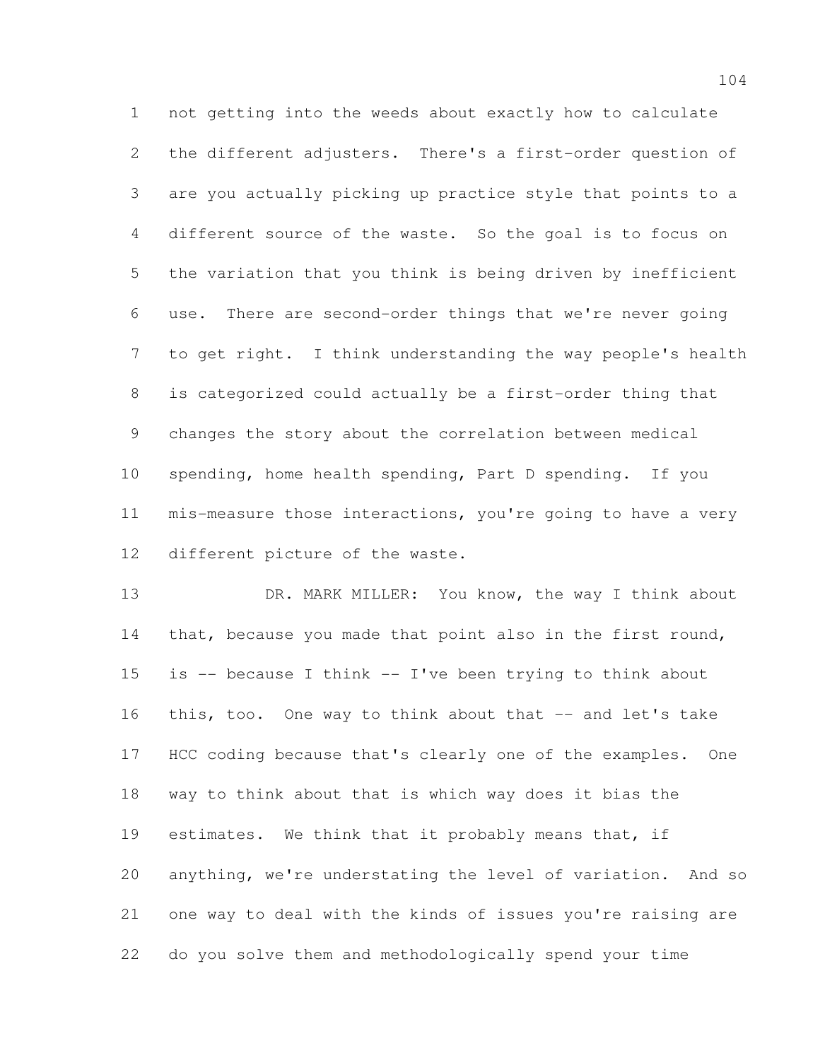not getting into the weeds about exactly how to calculate the different adjusters. There's a first-order question of are you actually picking up practice style that points to a different source of the waste. So the goal is to focus on the variation that you think is being driven by inefficient use. There are second-order things that we're never going to get right. I think understanding the way people's health is categorized could actually be a first-order thing that changes the story about the correlation between medical spending, home health spending, Part D spending. If you mis-measure those interactions, you're going to have a very different picture of the waste.

13 DR. MARK MILLER: You know, the way I think about 14 that, because you made that point also in the first round, 15 is  $-$  because I think  $-$  I've been trying to think about 16 this, too. One way to think about that -- and let's take HCC coding because that's clearly one of the examples. One way to think about that is which way does it bias the estimates. We think that it probably means that, if anything, we're understating the level of variation. And so one way to deal with the kinds of issues you're raising are do you solve them and methodologically spend your time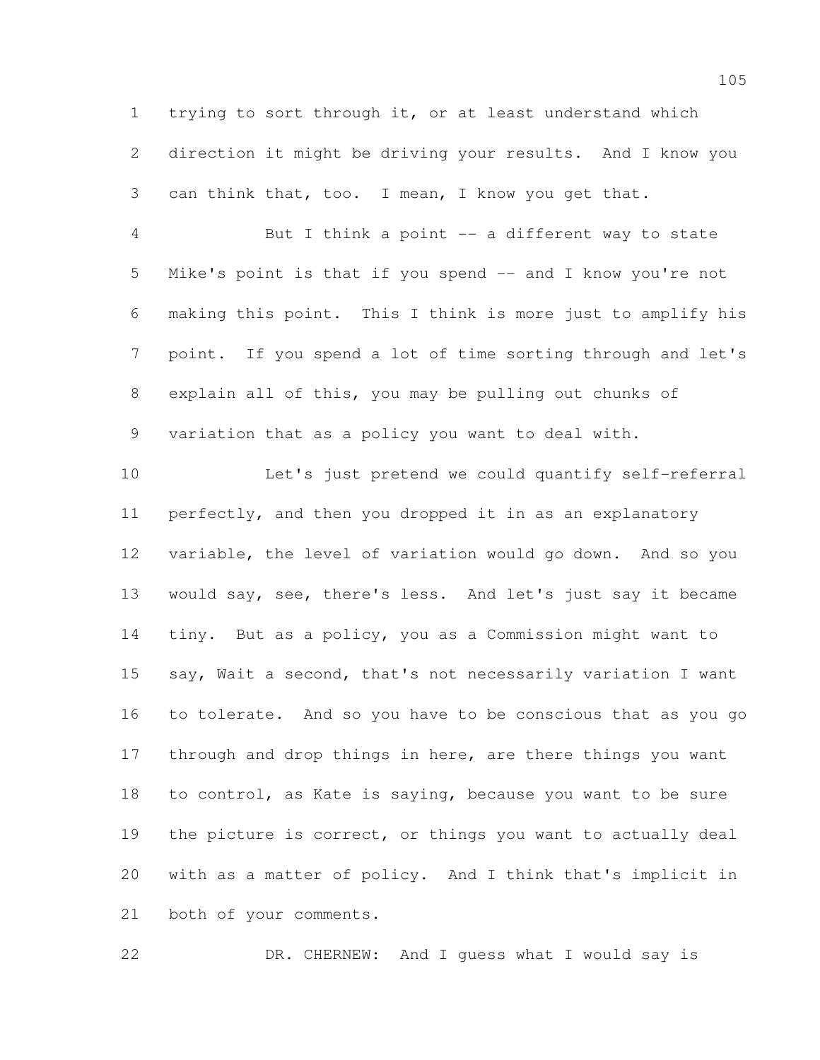trying to sort through it, or at least understand which direction it might be driving your results. And I know you can think that, too. I mean, I know you get that.

 But I think a point -- a different way to state Mike's point is that if you spend -- and I know you're not making this point. This I think is more just to amplify his point. If you spend a lot of time sorting through and let's explain all of this, you may be pulling out chunks of variation that as a policy you want to deal with.

 Let's just pretend we could quantify self-referral perfectly, and then you dropped it in as an explanatory variable, the level of variation would go down. And so you would say, see, there's less. And let's just say it became tiny. But as a policy, you as a Commission might want to say, Wait a second, that's not necessarily variation I want to tolerate. And so you have to be conscious that as you go 17 through and drop things in here, are there things you want to control, as Kate is saying, because you want to be sure the picture is correct, or things you want to actually deal with as a matter of policy. And I think that's implicit in both of your comments.

DR. CHERNEW: And I guess what I would say is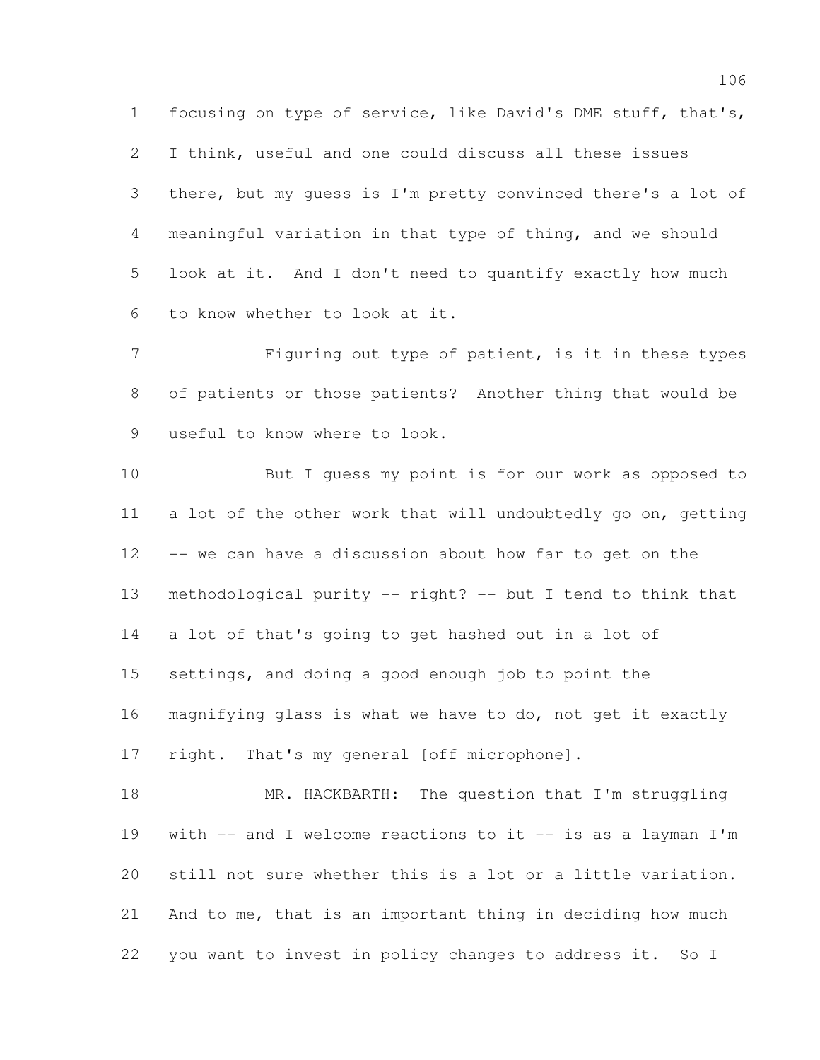focusing on type of service, like David's DME stuff, that's, I think, useful and one could discuss all these issues there, but my guess is I'm pretty convinced there's a lot of meaningful variation in that type of thing, and we should look at it. And I don't need to quantify exactly how much to know whether to look at it.

 Figuring out type of patient, is it in these types of patients or those patients? Another thing that would be useful to know where to look.

 But I guess my point is for our work as opposed to a lot of the other work that will undoubtedly go on, getting -- we can have a discussion about how far to get on the methodological purity -- right? -- but I tend to think that a lot of that's going to get hashed out in a lot of settings, and doing a good enough job to point the magnifying glass is what we have to do, not get it exactly 17 right. That's my general [off microphone].

18 MR. HACKBARTH: The question that I'm struggling with -- and I welcome reactions to it -- is as a layman I'm still not sure whether this is a lot or a little variation. And to me, that is an important thing in deciding how much you want to invest in policy changes to address it. So I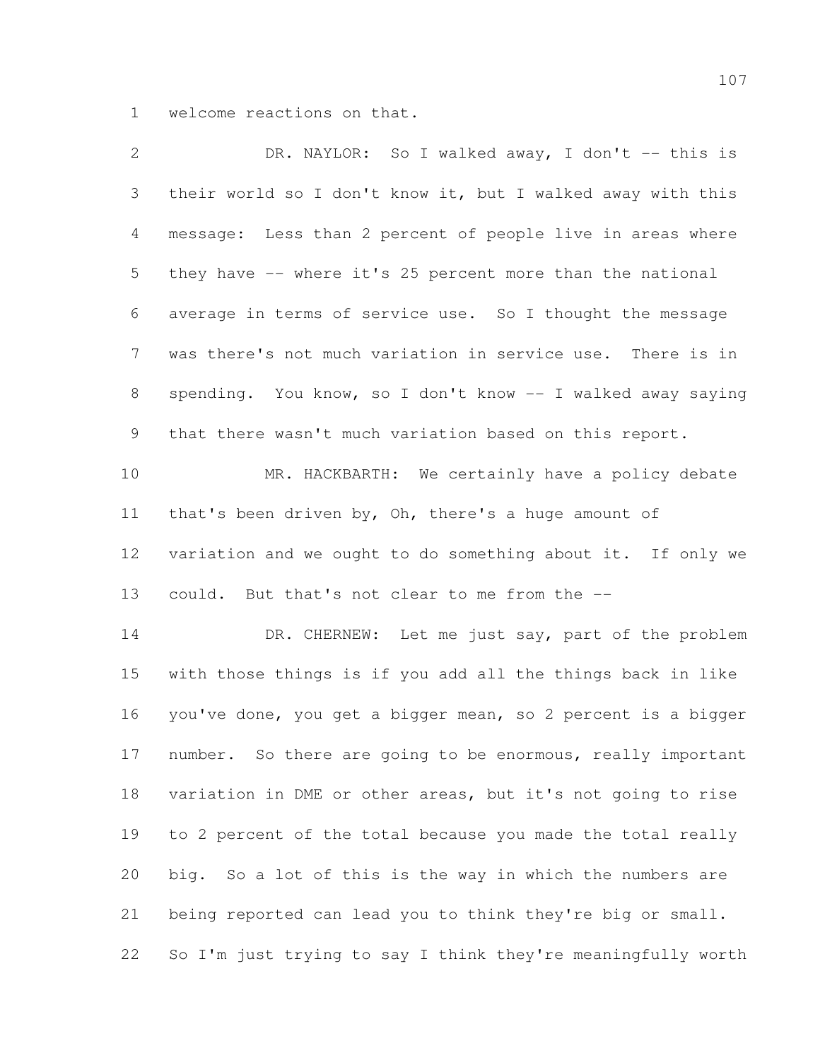welcome reactions on that.

| $\mathbf{2}$   | DR. NAYLOR: So I walked away, I don't -- this is             |
|----------------|--------------------------------------------------------------|
| 3              | their world so I don't know it, but I walked away with this  |
| 4              | message: Less than 2 percent of people live in areas where   |
| 5              | they have -- where it's 25 percent more than the national    |
| 6              | average in terms of service use. So I thought the message    |
| $7\phantom{.}$ | was there's not much variation in service use. There is in   |
| 8              | spending. You know, so I don't know -- I walked away saying  |
| 9              | that there wasn't much variation based on this report.       |
| 10             | MR. HACKBARTH: We certainly have a policy debate             |
| 11             | that's been driven by, Oh, there's a huge amount of          |
| 12             | variation and we ought to do something about it. If only we  |
| 13             | could. But that's not clear to me from the --                |
| 14             | DR. CHERNEW: Let me just say, part of the problem            |
| 15             | with those things is if you add all the things back in like  |
| 16             | you've done, you get a bigger mean, so 2 percent is a bigger |
| 17             | number. So there are going to be enormous, really important  |
| 18             | variation in DME or other areas, but it's not going to rise  |
| 19             | to 2 percent of the total because you made the total really  |
| 20             | big. So a lot of this is the way in which the numbers are    |
| 21             | being reported can lead you to think they're big or small.   |
| 22             | So I'm just trying to say I think they're meaningfully worth |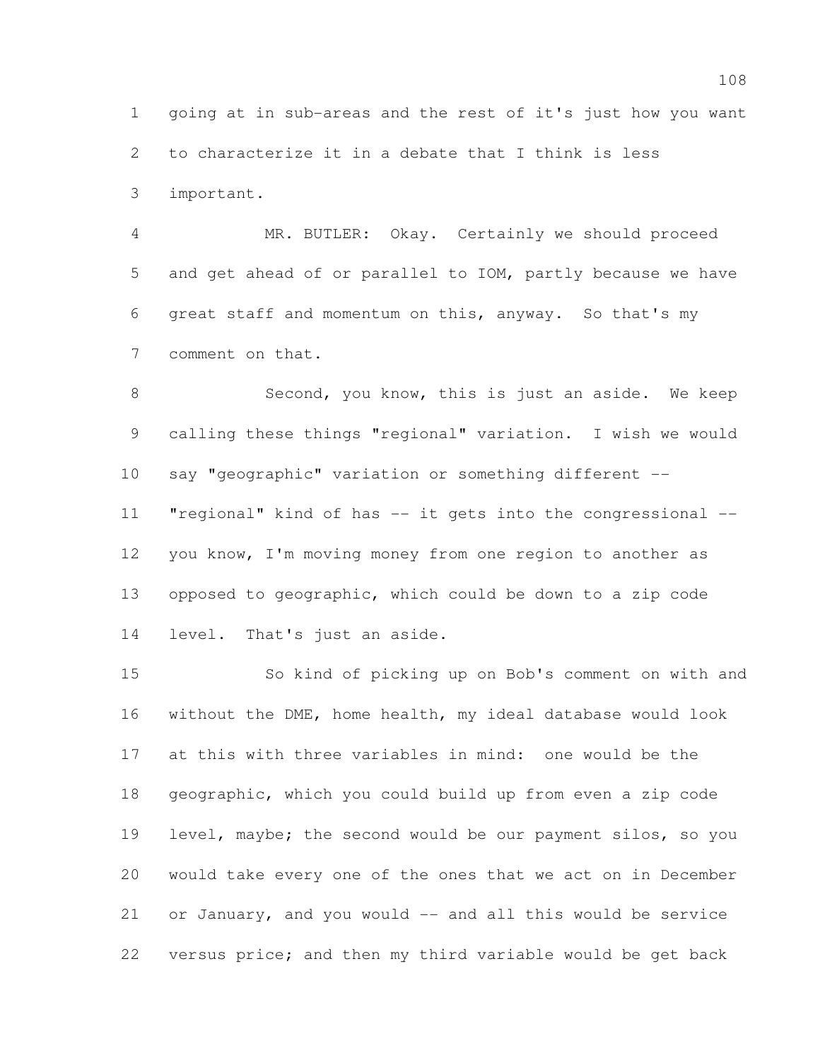going at in sub-areas and the rest of it's just how you want to characterize it in a debate that I think is less important.

 MR. BUTLER: Okay. Certainly we should proceed and get ahead of or parallel to IOM, partly because we have great staff and momentum on this, anyway. So that's my comment on that.

8 Second, you know, this is just an aside. We keep calling these things "regional" variation. I wish we would say "geographic" variation or something different -- "regional" kind of has -- it gets into the congressional -- you know, I'm moving money from one region to another as opposed to geographic, which could be down to a zip code level. That's just an aside.

 So kind of picking up on Bob's comment on with and without the DME, home health, my ideal database would look at this with three variables in mind: one would be the geographic, which you could build up from even a zip code level, maybe; the second would be our payment silos, so you would take every one of the ones that we act on in December or January, and you would -- and all this would be service versus price; and then my third variable would be get back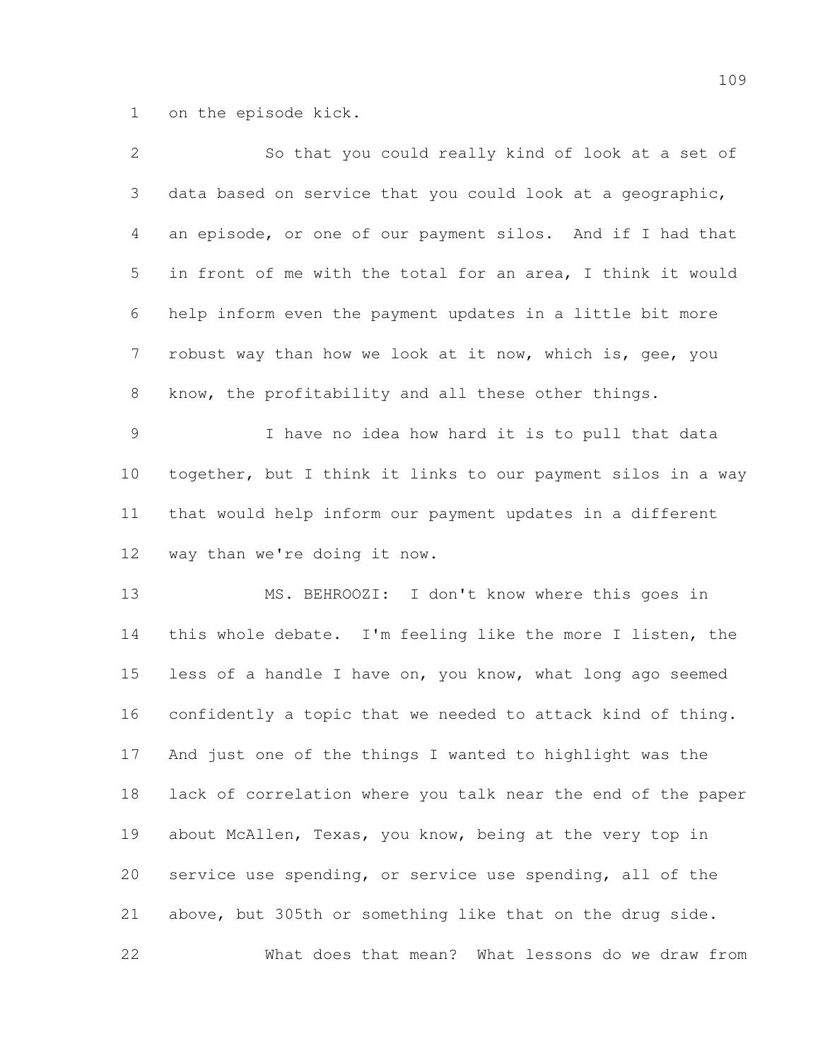on the episode kick.

| $\mathbf{2}$ | So that you could really kind of look at a set of            |
|--------------|--------------------------------------------------------------|
| 3            | data based on service that you could look at a geographic,   |
| 4            | an episode, or one of our payment silos. And if I had that   |
| 5            | in front of me with the total for an area, I think it would  |
| 6            | help inform even the payment updates in a little bit more    |
| 7            | robust way than how we look at it now, which is, gee, you    |
| $8\,$        | know, the profitability and all these other things.          |
| 9            | I have no idea how hard it is to pull that data              |
| 10           | together, but I think it links to our payment silos in a way |
| 11           | that would help inform our payment updates in a different    |
| 12           | way than we're doing it now.                                 |
| 13           | MS. BEHROOZI: I don't know where this goes in                |
| 14           | this whole debate. I'm feeling like the more I listen, the   |
| 15           | less of a handle I have on, you know, what long ago seemed   |
| 16           | confidently a topic that we needed to attack kind of thing.  |
| 17           | And just one of the things I wanted to highlight was the     |
| 18           | lack of correlation where you talk near the end of the paper |
| 19           | about McAllen, Texas, you know, being at the very top in     |
| 20           | service use spending, or service use spending, all of the    |
| 21           | above, but 305th or something like that on the drug side.    |
| 22           | What does that mean? What lessons do we draw from            |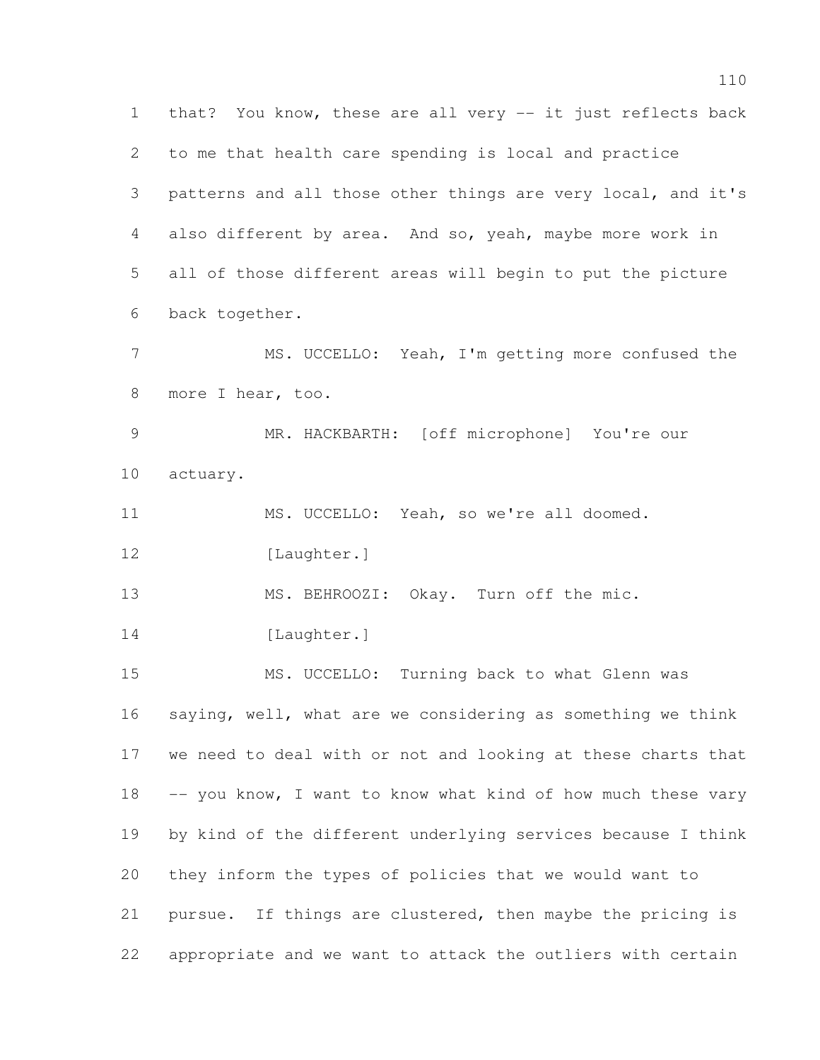that? You know, these are all very -- it just reflects back to me that health care spending is local and practice patterns and all those other things are very local, and it's also different by area. And so, yeah, maybe more work in all of those different areas will begin to put the picture back together. MS. UCCELLO: Yeah, I'm getting more confused the 8 more I hear, too. MR. HACKBARTH: [off microphone] You're our actuary. MS. UCCELLO: Yeah, so we're all doomed. 12 [Laughter.] 13 MS. BEHROOZI: Okay. Turn off the mic. 14 [Laughter.] MS. UCCELLO: Turning back to what Glenn was saying, well, what are we considering as something we think we need to deal with or not and looking at these charts that 18 -- you know, I want to know what kind of how much these vary by kind of the different underlying services because I think they inform the types of policies that we would want to pursue. If things are clustered, then maybe the pricing is appropriate and we want to attack the outliers with certain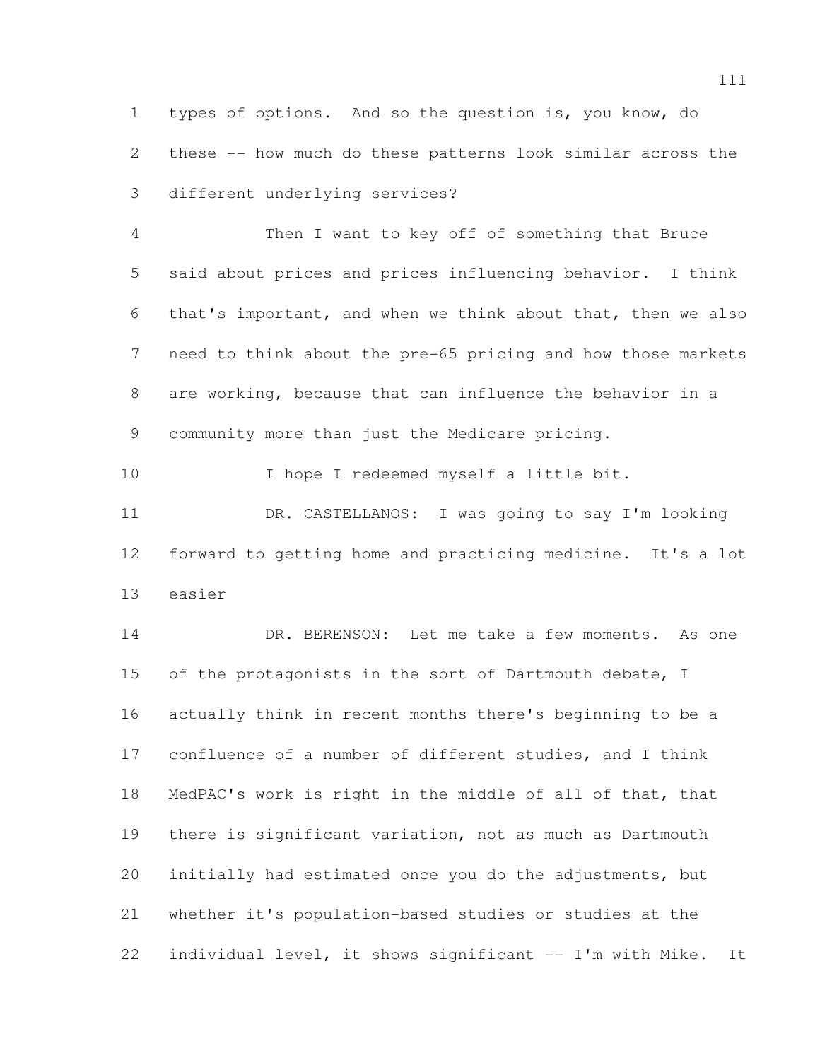types of options. And so the question is, you know, do these -- how much do these patterns look similar across the different underlying services?

 Then I want to key off of something that Bruce said about prices and prices influencing behavior. I think that's important, and when we think about that, then we also need to think about the pre-65 pricing and how those markets are working, because that can influence the behavior in a community more than just the Medicare pricing.

 I hope I redeemed myself a little bit. DR. CASTELLANOS: I was going to say I'm looking forward to getting home and practicing medicine. It's a lot easier

 DR. BERENSON: Let me take a few moments. As one 15 of the protagonists in the sort of Dartmouth debate, I actually think in recent months there's beginning to be a confluence of a number of different studies, and I think MedPAC's work is right in the middle of all of that, that there is significant variation, not as much as Dartmouth initially had estimated once you do the adjustments, but whether it's population-based studies or studies at the individual level, it shows significant -- I'm with Mike. It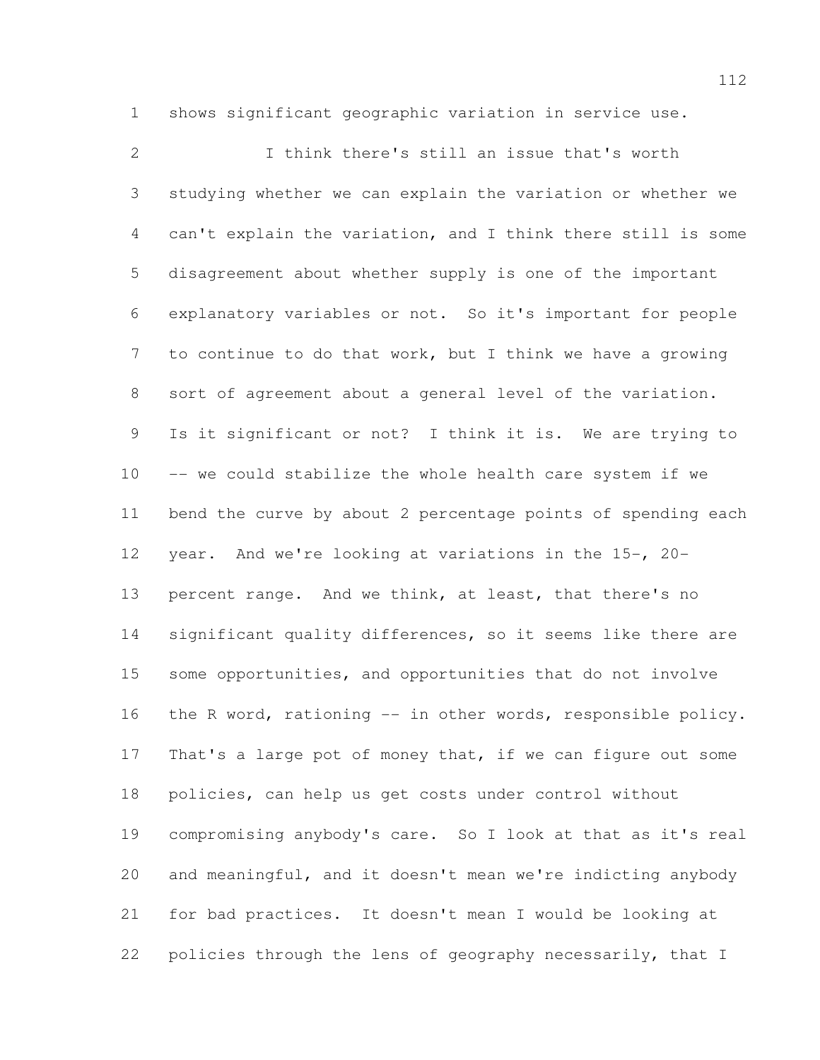shows significant geographic variation in service use.

 I think there's still an issue that's worth studying whether we can explain the variation or whether we can't explain the variation, and I think there still is some disagreement about whether supply is one of the important explanatory variables or not. So it's important for people to continue to do that work, but I think we have a growing sort of agreement about a general level of the variation. Is it significant or not? I think it is. We are trying to -- we could stabilize the whole health care system if we bend the curve by about 2 percentage points of spending each year. And we're looking at variations in the 15-, 20- percent range. And we think, at least, that there's no significant quality differences, so it seems like there are some opportunities, and opportunities that do not involve 16 the R word, rationing -- in other words, responsible policy. 17 That's a large pot of money that, if we can figure out some policies, can help us get costs under control without compromising anybody's care. So I look at that as it's real and meaningful, and it doesn't mean we're indicting anybody for bad practices. It doesn't mean I would be looking at policies through the lens of geography necessarily, that I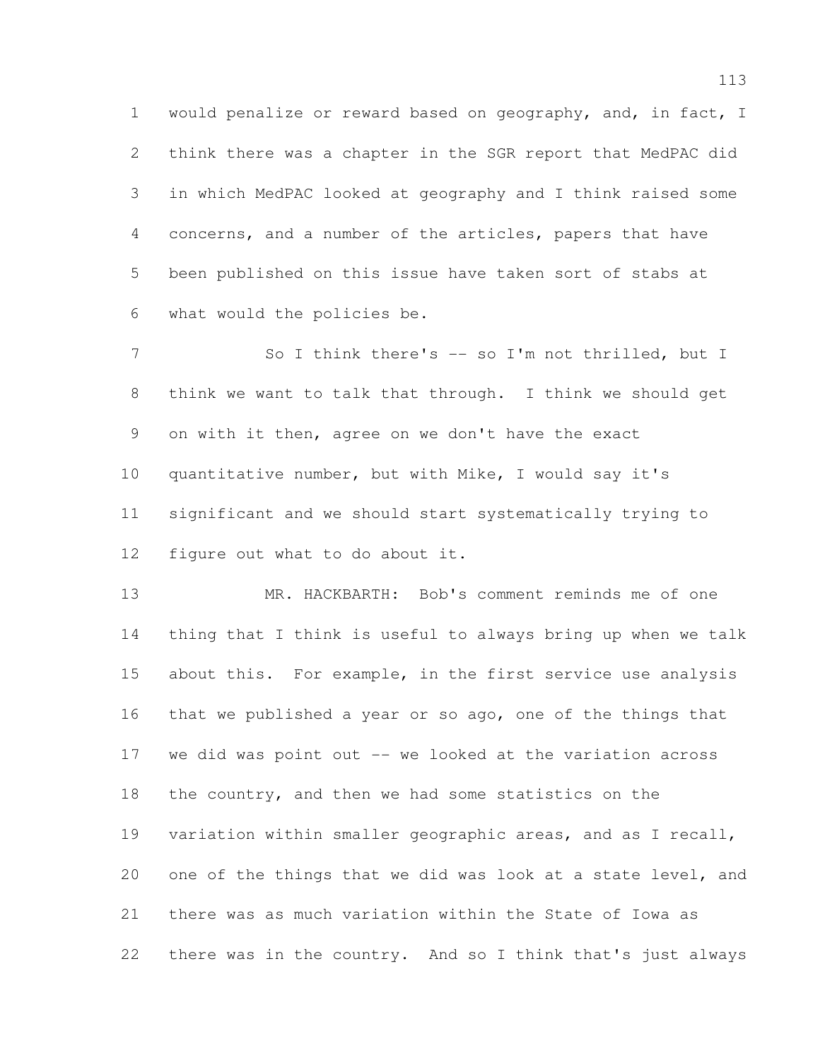would penalize or reward based on geography, and, in fact, I think there was a chapter in the SGR report that MedPAC did in which MedPAC looked at geography and I think raised some concerns, and a number of the articles, papers that have been published on this issue have taken sort of stabs at what would the policies be.

7 So I think there's -- so I'm not thrilled, but I think we want to talk that through. I think we should get on with it then, agree on we don't have the exact quantitative number, but with Mike, I would say it's significant and we should start systematically trying to figure out what to do about it.

 MR. HACKBARTH: Bob's comment reminds me of one thing that I think is useful to always bring up when we talk about this. For example, in the first service use analysis that we published a year or so ago, one of the things that we did was point out -- we looked at the variation across the country, and then we had some statistics on the variation within smaller geographic areas, and as I recall, one of the things that we did was look at a state level, and there was as much variation within the State of Iowa as there was in the country. And so I think that's just always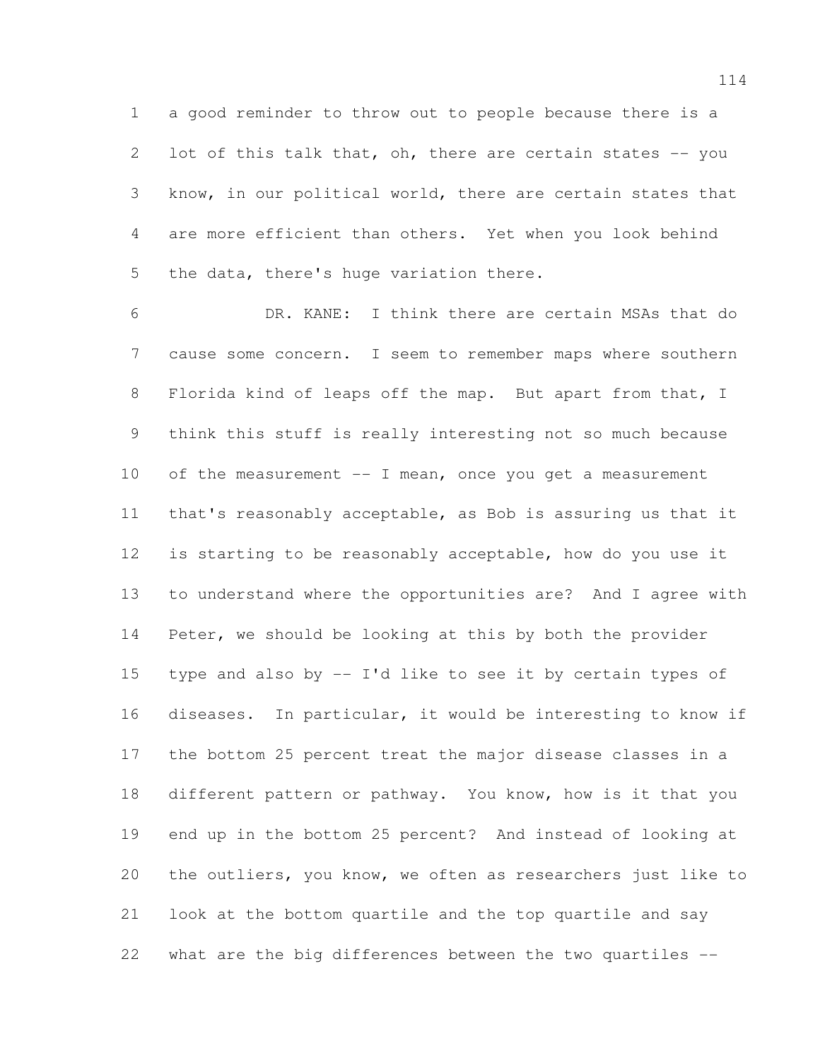a good reminder to throw out to people because there is a 2 lot of this talk that, oh, there are certain states -- you know, in our political world, there are certain states that are more efficient than others. Yet when you look behind the data, there's huge variation there.

 DR. KANE: I think there are certain MSAs that do cause some concern. I seem to remember maps where southern Florida kind of leaps off the map. But apart from that, I think this stuff is really interesting not so much because 10 of the measurement -- I mean, once you get a measurement that's reasonably acceptable, as Bob is assuring us that it is starting to be reasonably acceptable, how do you use it to understand where the opportunities are? And I agree with Peter, we should be looking at this by both the provider 15 type and also by  $-$  I'd like to see it by certain types of diseases. In particular, it would be interesting to know if the bottom 25 percent treat the major disease classes in a 18 different pattern or pathway. You know, how is it that you end up in the bottom 25 percent? And instead of looking at the outliers, you know, we often as researchers just like to look at the bottom quartile and the top quartile and say what are the big differences between the two quartiles --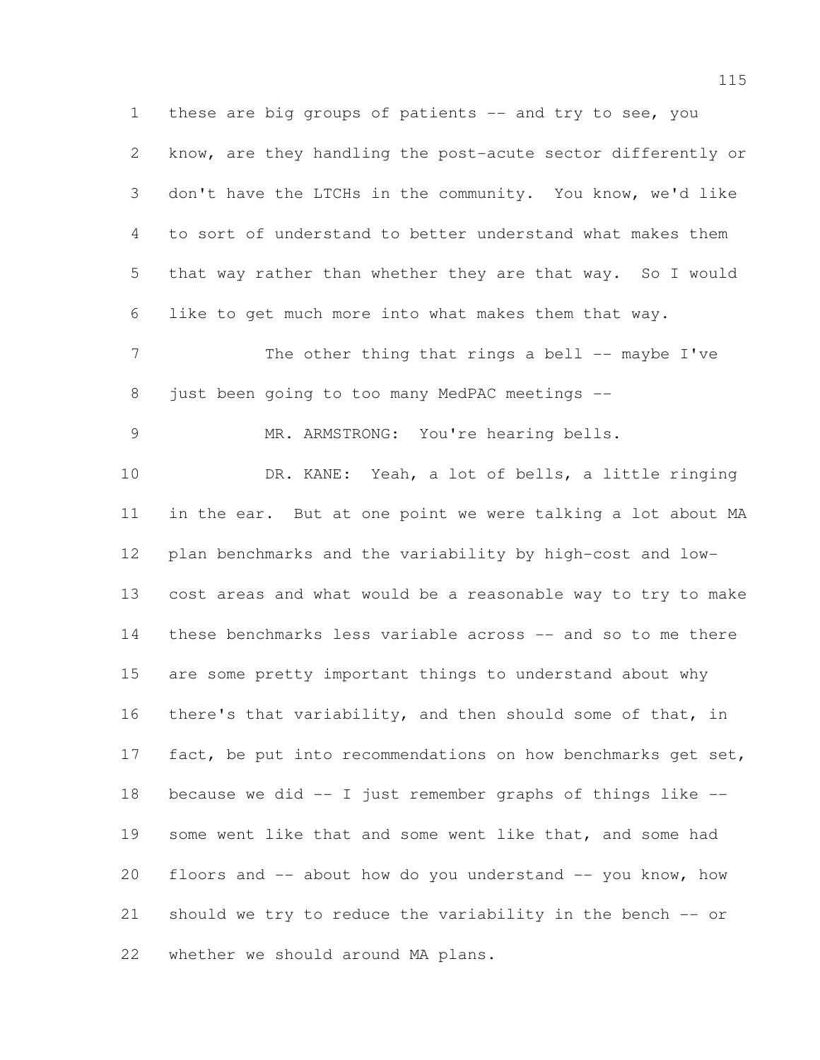1 these are big groups of patients -- and try to see, you know, are they handling the post-acute sector differently or don't have the LTCHs in the community. You know, we'd like to sort of understand to better understand what makes them that way rather than whether they are that way. So I would like to get much more into what makes them that way. 7 The other thing that rings a bell -- maybe I've just been going to too many MedPAC meetings -- MR. ARMSTRONG: You're hearing bells. DR. KANE: Yeah, a lot of bells, a little ringing in the ear. But at one point we were talking a lot about MA plan benchmarks and the variability by high-cost and low- cost areas and what would be a reasonable way to try to make these benchmarks less variable across -- and so to me there are some pretty important things to understand about why there's that variability, and then should some of that, in 17 fact, be put into recommendations on how benchmarks get set, because we did -- I just remember graphs of things like -- 19 some went like that and some went like that, and some had floors and -- about how do you understand -- you know, how should we try to reduce the variability in the bench -- or whether we should around MA plans.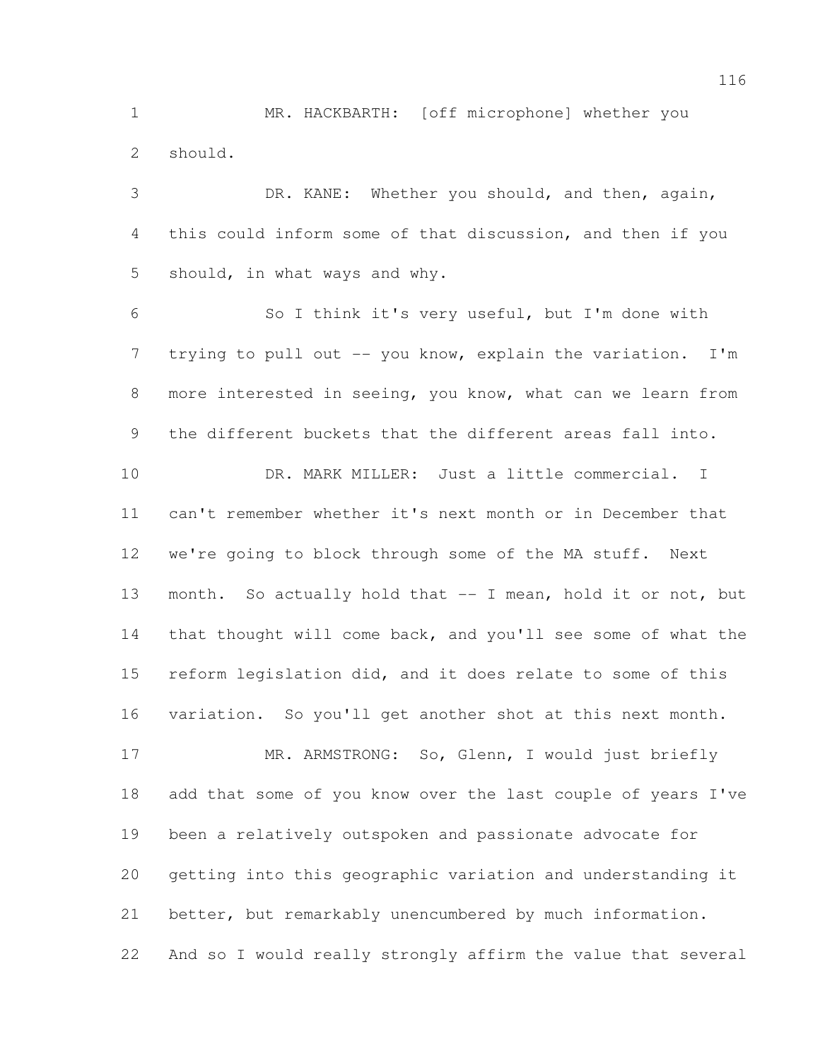MR. HACKBARTH: [off microphone] whether you should.

 DR. KANE: Whether you should, and then, again, this could inform some of that discussion, and then if you should, in what ways and why.

 So I think it's very useful, but I'm done with 7 trying to pull out -- you know, explain the variation. I'm more interested in seeing, you know, what can we learn from the different buckets that the different areas fall into.

 DR. MARK MILLER: Just a little commercial. I can't remember whether it's next month or in December that we're going to block through some of the MA stuff. Next month. So actually hold that -- I mean, hold it or not, but that thought will come back, and you'll see some of what the reform legislation did, and it does relate to some of this variation. So you'll get another shot at this next month.

 MR. ARMSTRONG: So, Glenn, I would just briefly add that some of you know over the last couple of years I've been a relatively outspoken and passionate advocate for getting into this geographic variation and understanding it better, but remarkably unencumbered by much information. And so I would really strongly affirm the value that several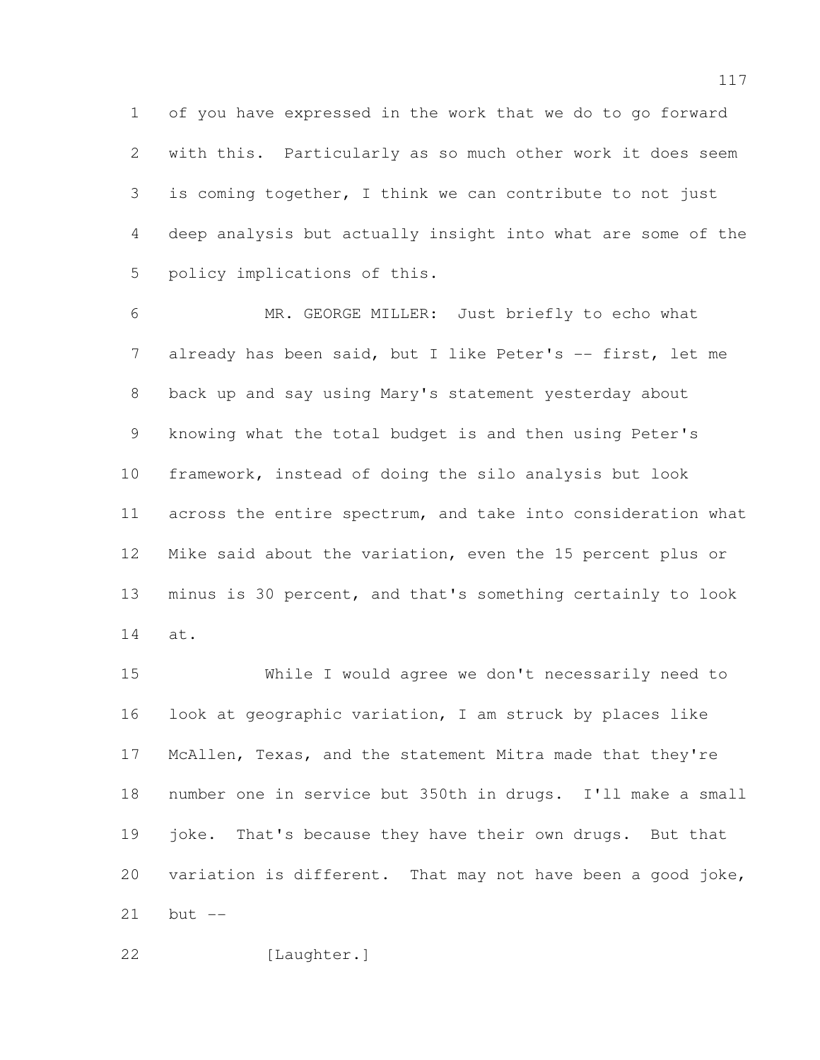of you have expressed in the work that we do to go forward with this. Particularly as so much other work it does seem is coming together, I think we can contribute to not just deep analysis but actually insight into what are some of the policy implications of this.

 MR. GEORGE MILLER: Just briefly to echo what 7 already has been said, but I like Peter's -- first, let me back up and say using Mary's statement yesterday about knowing what the total budget is and then using Peter's framework, instead of doing the silo analysis but look across the entire spectrum, and take into consideration what Mike said about the variation, even the 15 percent plus or minus is 30 percent, and that's something certainly to look at.

 While I would agree we don't necessarily need to look at geographic variation, I am struck by places like McAllen, Texas, and the statement Mitra made that they're number one in service but 350th in drugs. I'll make a small 19 joke. That's because they have their own drugs. But that variation is different. That may not have been a good joke, but --

[Laughter.]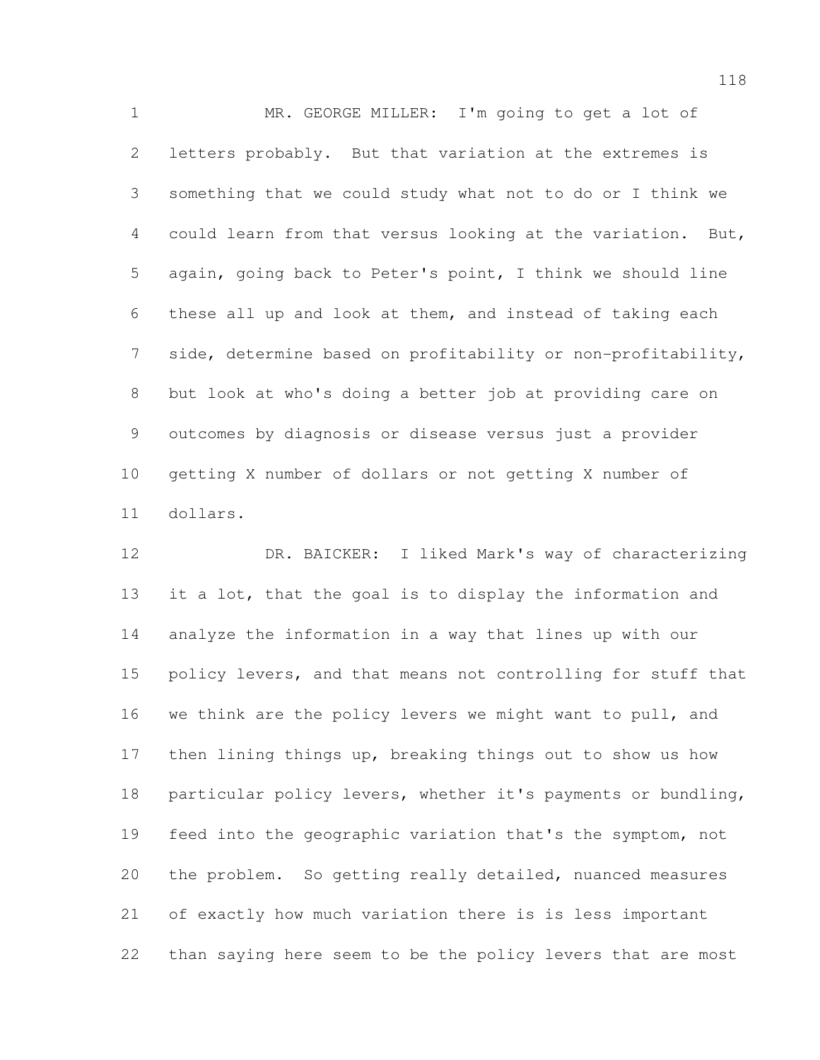MR. GEORGE MILLER: I'm going to get a lot of letters probably. But that variation at the extremes is something that we could study what not to do or I think we could learn from that versus looking at the variation. But, again, going back to Peter's point, I think we should line these all up and look at them, and instead of taking each side, determine based on profitability or non-profitability, but look at who's doing a better job at providing care on outcomes by diagnosis or disease versus just a provider getting X number of dollars or not getting X number of dollars.

 DR. BAICKER: I liked Mark's way of characterizing it a lot, that the goal is to display the information and analyze the information in a way that lines up with our policy levers, and that means not controlling for stuff that we think are the policy levers we might want to pull, and then lining things up, breaking things out to show us how particular policy levers, whether it's payments or bundling, feed into the geographic variation that's the symptom, not the problem. So getting really detailed, nuanced measures of exactly how much variation there is is less important than saying here seem to be the policy levers that are most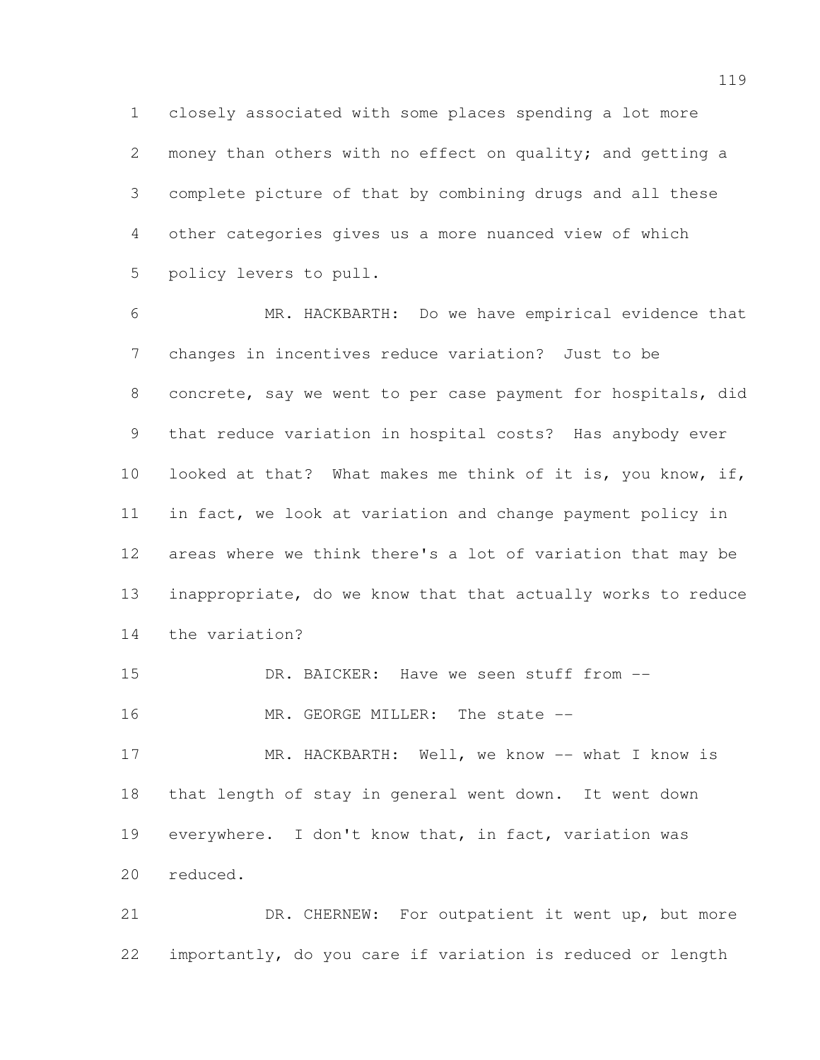closely associated with some places spending a lot more money than others with no effect on quality; and getting a complete picture of that by combining drugs and all these other categories gives us a more nuanced view of which policy levers to pull.

 MR. HACKBARTH: Do we have empirical evidence that changes in incentives reduce variation? Just to be concrete, say we went to per case payment for hospitals, did that reduce variation in hospital costs? Has anybody ever looked at that? What makes me think of it is, you know, if, in fact, we look at variation and change payment policy in areas where we think there's a lot of variation that may be inappropriate, do we know that that actually works to reduce the variation?

15 DR. BAICKER: Have we seen stuff from  $--$ 

16 MR. GEORGE MILLER: The state --

 MR. HACKBARTH: Well, we know -- what I know is that length of stay in general went down. It went down everywhere. I don't know that, in fact, variation was reduced.

21 DR. CHERNEW: For outpatient it went up, but more importantly, do you care if variation is reduced or length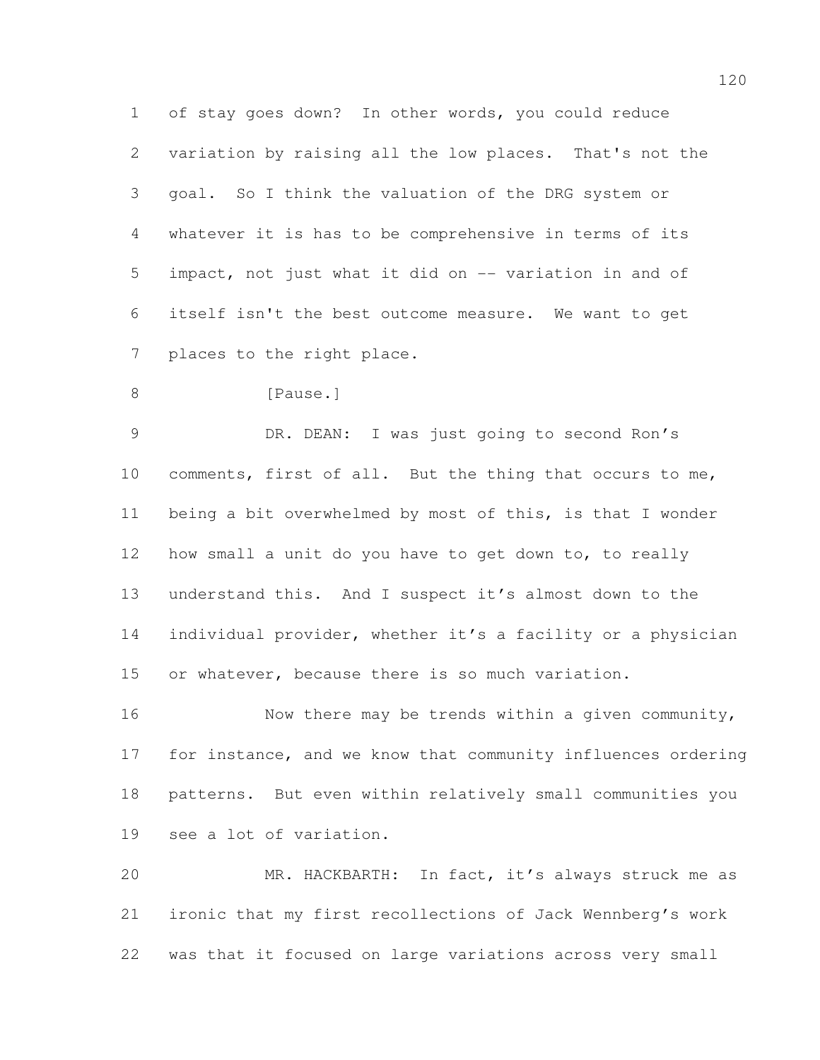of stay goes down? In other words, you could reduce variation by raising all the low places. That's not the goal. So I think the valuation of the DRG system or whatever it is has to be comprehensive in terms of its impact, not just what it did on -- variation in and of itself isn't the best outcome measure. We want to get places to the right place.

```
8 [Pause.]
```
9 DR. DEAN: I was just going to second Ron's comments, first of all. But the thing that occurs to me, being a bit overwhelmed by most of this, is that I wonder how small a unit do you have to get down to, to really understand this. And I suspect it's almost down to the 14 individual provider, whether it's a facility or a physician or whatever, because there is so much variation.

16 Now there may be trends within a given community, for instance, and we know that community influences ordering patterns. But even within relatively small communities you see a lot of variation.

 MR. HACKBARTH: In fact, it's always struck me as ironic that my first recollections of Jack Wennberg's work was that it focused on large variations across very small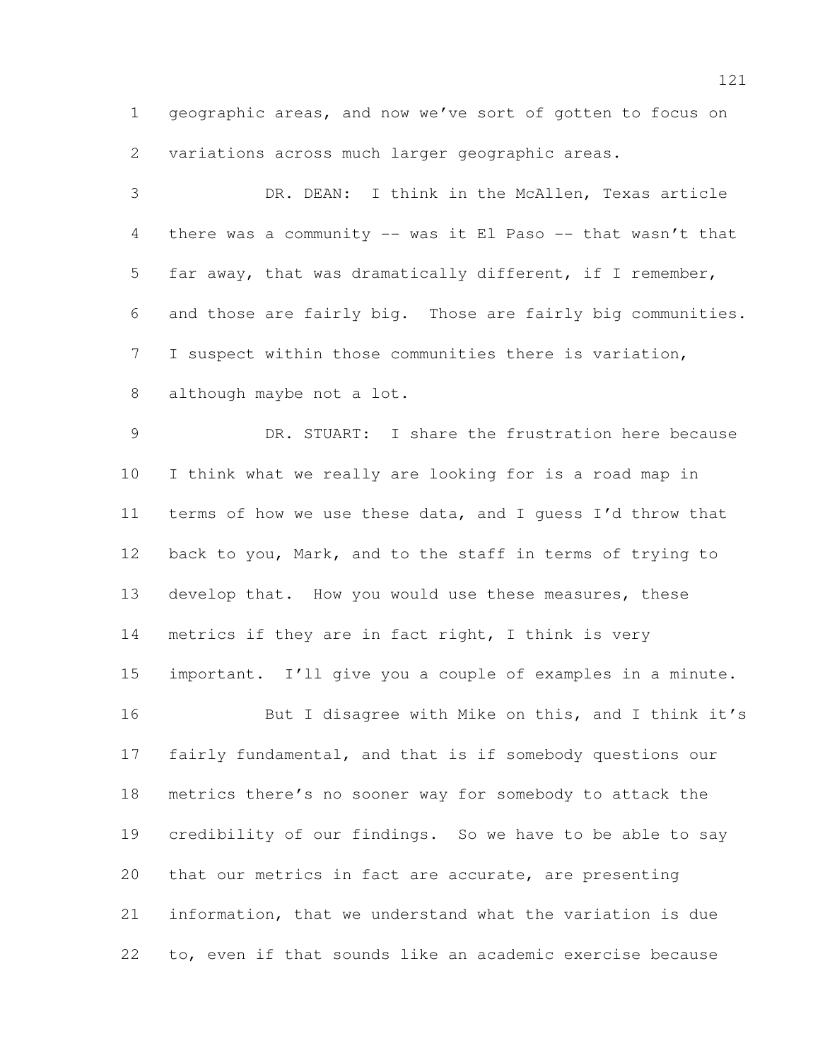geographic areas, and now we've sort of gotten to focus on variations across much larger geographic areas.

 DR. DEAN: I think in the McAllen, Texas article there was a community -- was it El Paso -- that wasn't that far away, that was dramatically different, if I remember, and those are fairly big. Those are fairly big communities. I suspect within those communities there is variation, although maybe not a lot.

 DR. STUART: I share the frustration here because I think what we really are looking for is a road map in terms of how we use these data, and I guess I'd throw that back to you, Mark, and to the staff in terms of trying to develop that. How you would use these measures, these metrics if they are in fact right, I think is very important. I'll give you a couple of examples in a minute. 16 But I disagree with Mike on this, and I think it's fairly fundamental, and that is if somebody questions our metrics there's no sooner way for somebody to attack the credibility of our findings. So we have to be able to say that our metrics in fact are accurate, are presenting information, that we understand what the variation is due

to, even if that sounds like an academic exercise because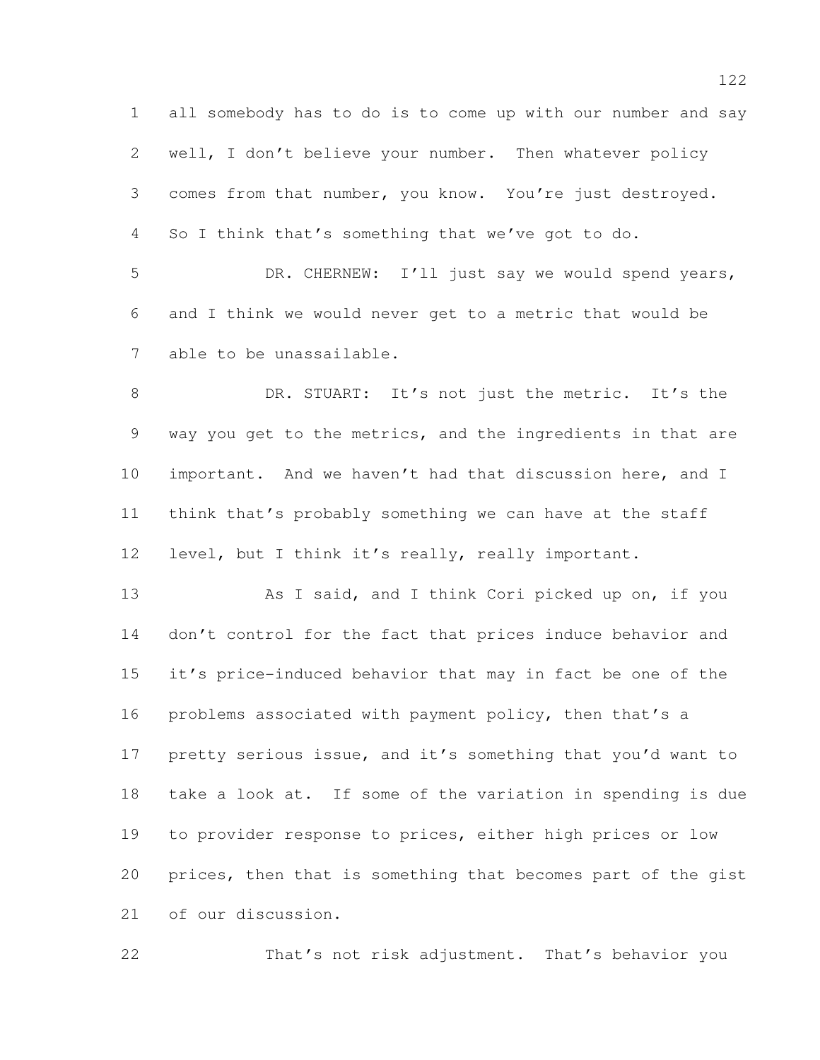all somebody has to do is to come up with our number and say well, I don't believe your number. Then whatever policy comes from that number, you know. You're just destroyed. So I think that's something that we've got to do. DR. CHERNEW: I'll just say we would spend years, and I think we would never get to a metric that would be able to be unassailable. 8 DR. STUART: It's not just the metric. It's the way you get to the metrics, and the ingredients in that are important. And we haven't had that discussion here, and I think that's probably something we can have at the staff level, but I think it's really, really important. 13 As I said, and I think Cori picked up on, if you don't control for the fact that prices induce behavior and it's price-induced behavior that may in fact be one of the problems associated with payment policy, then that's a pretty serious issue, and it's something that you'd want to take a look at. If some of the variation in spending is due to provider response to prices, either high prices or low prices, then that is something that becomes part of the gist of our discussion.

That's not risk adjustment. That's behavior you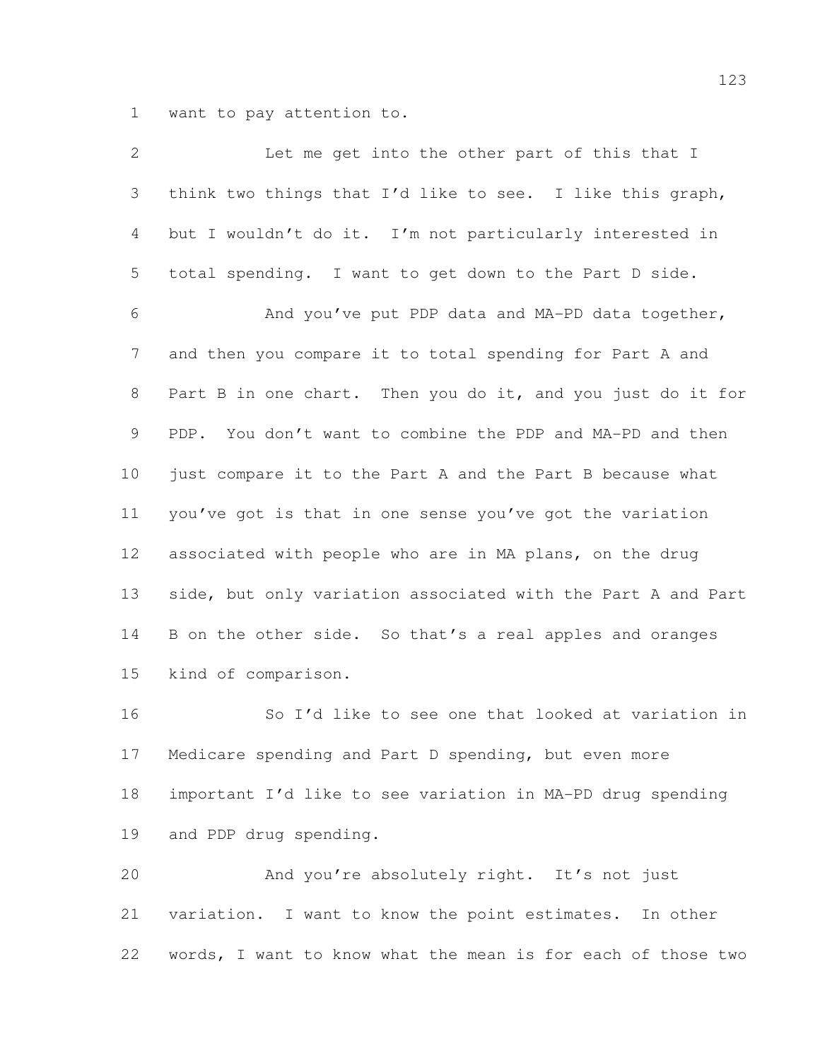want to pay attention to.

| $\mathbf{2}$   | Let me get into the other part of this that I                |
|----------------|--------------------------------------------------------------|
| 3              | think two things that I'd like to see. I like this graph,    |
| 4              | but I wouldn't do it. I'm not particularly interested in     |
| 5              | total spending. I want to get down to the Part D side.       |
| 6              | And you've put PDP data and MA-PD data together,             |
| 7              | and then you compare it to total spending for Part A and     |
| 8              | Part B in one chart. Then you do it, and you just do it for  |
| $\overline{9}$ | PDP. You don't want to combine the PDP and MA-PD and then    |
| 10             | just compare it to the Part A and the Part B because what    |
| 11             | you've got is that in one sense you've got the variation     |
| 12             | associated with people who are in MA plans, on the drug      |
| 13             | side, but only variation associated with the Part A and Part |
| 14             | B on the other side. So that's a real apples and oranges     |
| 15             | kind of comparison.                                          |
| 16             | So I'd like to see one that looked at variation in           |
| 17             | Medicare spending and Part D spending, but even more         |
|                |                                                              |

 important I'd like to see variation in MA-PD drug spending and PDP drug spending.

 And you're absolutely right. It's not just variation. I want to know the point estimates. In other words, I want to know what the mean is for each of those two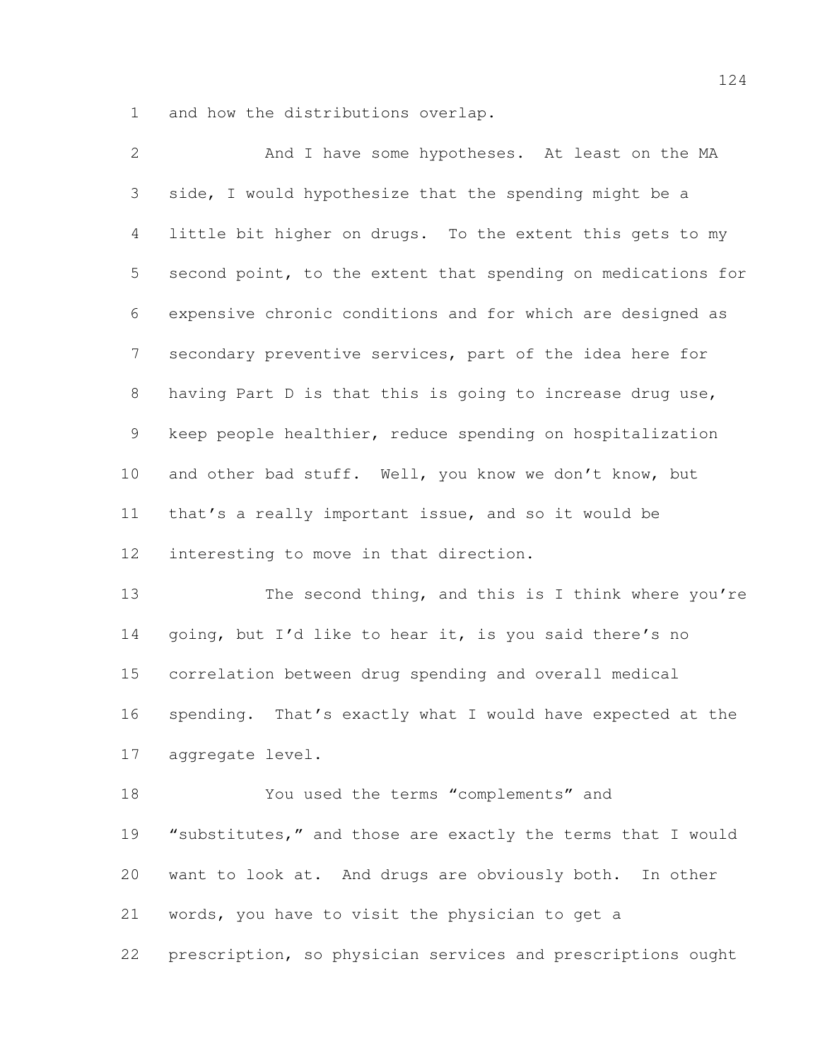and how the distributions overlap.

| $\mathbf{2}$    | And I have some hypotheses. At least on the MA               |
|-----------------|--------------------------------------------------------------|
| 3               | side, I would hypothesize that the spending might be a       |
| 4               | little bit higher on drugs. To the extent this gets to my    |
| 5               | second point, to the extent that spending on medications for |
| 6               | expensive chronic conditions and for which are designed as   |
| $7\phantom{.0}$ | secondary preventive services, part of the idea here for     |
| 8               | having Part D is that this is going to increase drug use,    |
| $\mathcal{G}$   | keep people healthier, reduce spending on hospitalization    |
| 10              | and other bad stuff. Well, you know we don't know, but       |
| 11              | that's a really important issue, and so it would be          |
| 12              | interesting to move in that direction.                       |
| 13              | The second thing, and this is I think where you're           |
| 14              | going, but I'd like to hear it, is you said there's no       |
| 15              | correlation between drug spending and overall medical        |
| 16              | spending. That's exactly what I would have expected at the   |
| 17              | aggregate level.                                             |
| 18              | You used the terms "complements" and                         |
| 19              | "substitutes," and those are exactly the terms that I would  |
| 20              | want to look at. And drugs are obviously both. In other      |
| 21              | words, you have to visit the physician to get a              |
|                 |                                                              |

prescription, so physician services and prescriptions ought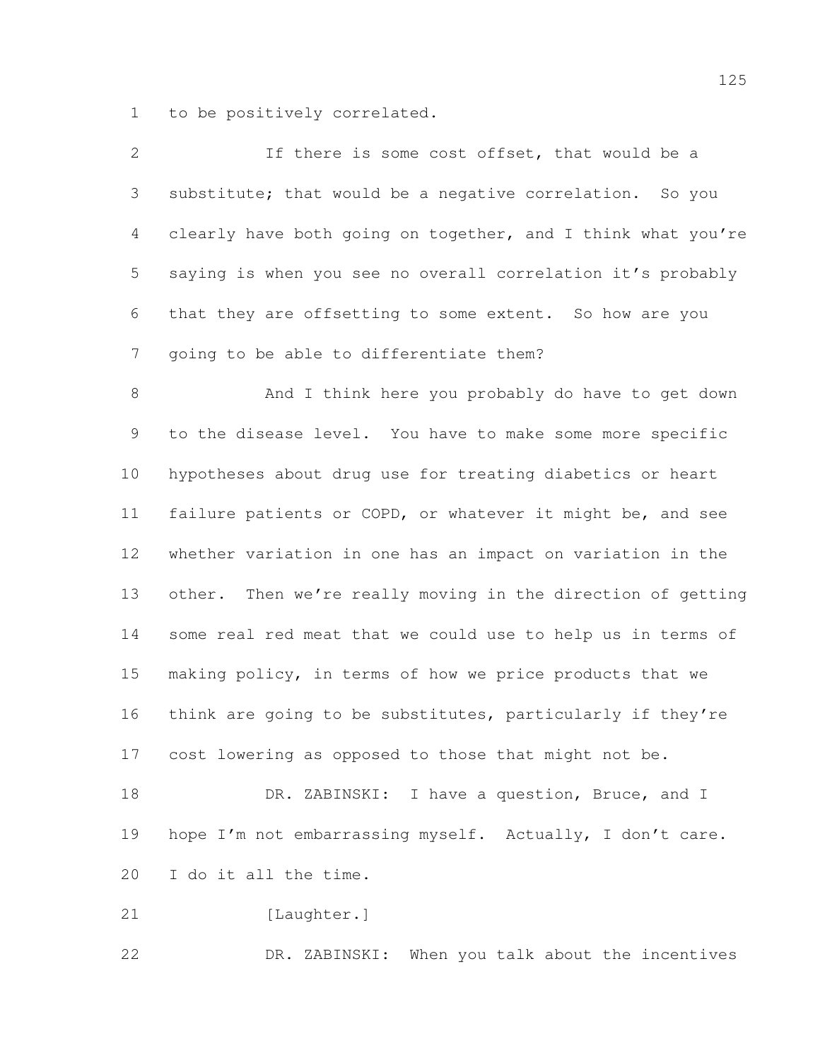to be positively correlated.

| $\overline{2}$ | If there is some cost offset, that would be a                |
|----------------|--------------------------------------------------------------|
| 3              | substitute; that would be a negative correlation. So you     |
| $\overline{4}$ | clearly have both going on together, and I think what you're |
| 5              | saying is when you see no overall correlation it's probably  |
| 6              | that they are offsetting to some extent. So how are you      |
| 7              | going to be able to differentiate them?                      |
| 8              | And I think here you probably do have to get down            |
| 9              | to the disease level. You have to make some more specific    |
| 10             | hypotheses about drug use for treating diabetics or heart    |
| 11             | failure patients or COPD, or whatever it might be, and see   |
| 12             | whether variation in one has an impact on variation in the   |
| 13             | other. Then we're really moving in the direction of getting  |
| 14             | some real red meat that we could use to help us in terms of  |
| 15             | making policy, in terms of how we price products that we     |
| 16             | think are going to be substitutes, particularly if they're   |
| 17             | cost lowering as opposed to those that might not be.         |
| 18             | DR. ZABINSKI: I have a question, Bruce, and I                |
| 19             | hope I'm not embarrassing myself. Actually, I don't care.    |
| 20             | I do it all the time.                                        |
| 21             | [Laughter.]                                                  |
| 22             | DR. ZABINSKI: When you talk about the incentives             |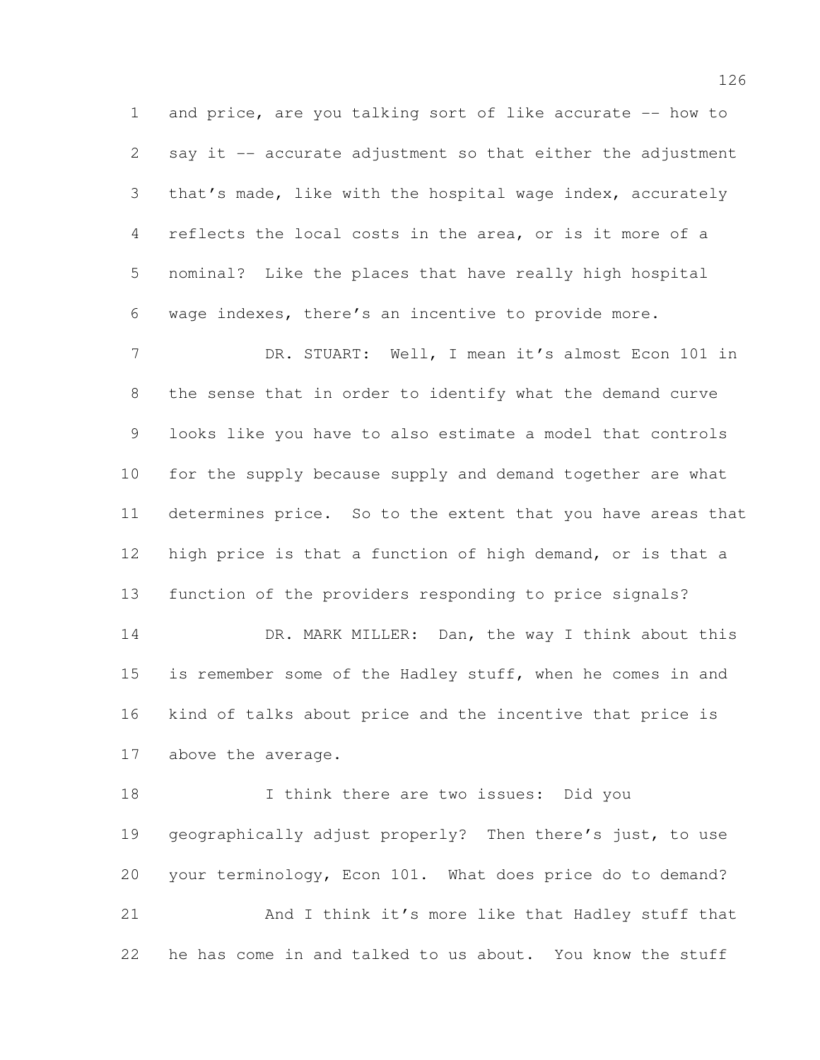and price, are you talking sort of like accurate -- how to say it -- accurate adjustment so that either the adjustment that's made, like with the hospital wage index, accurately reflects the local costs in the area, or is it more of a nominal? Like the places that have really high hospital wage indexes, there's an incentive to provide more.

7 DR. STUART: Well, I mean it's almost Econ 101 in the sense that in order to identify what the demand curve looks like you have to also estimate a model that controls for the supply because supply and demand together are what determines price. So to the extent that you have areas that high price is that a function of high demand, or is that a function of the providers responding to price signals?

14 DR. MARK MILLER: Dan, the way I think about this is remember some of the Hadley stuff, when he comes in and kind of talks about price and the incentive that price is above the average.

18 I think there are two issues: Did you geographically adjust properly? Then there's just, to use your terminology, Econ 101. What does price do to demand? And I think it's more like that Hadley stuff that he has come in and talked to us about. You know the stuff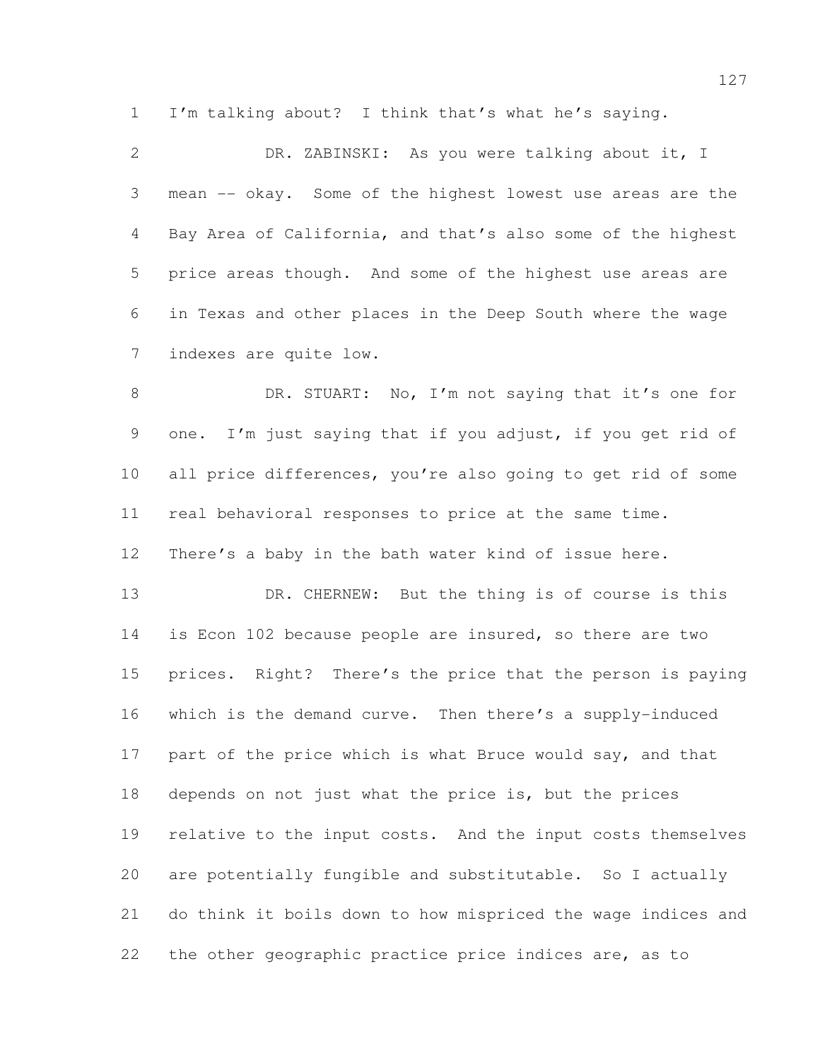I'm talking about? I think that's what he's saying.

 DR. ZABINSKI: As you were talking about it, I mean -- okay. Some of the highest lowest use areas are the Bay Area of California, and that's also some of the highest price areas though. And some of the highest use areas are in Texas and other places in the Deep South where the wage indexes are quite low.

8 DR. STUART: No, I'm not saying that it's one for one. I'm just saying that if you adjust, if you get rid of all price differences, you're also going to get rid of some real behavioral responses to price at the same time. There's a baby in the bath water kind of issue here.

13 DR. CHERNEW: But the thing is of course is this is Econ 102 because people are insured, so there are two prices. Right? There's the price that the person is paying which is the demand curve. Then there's a supply-induced 17 part of the price which is what Bruce would say, and that depends on not just what the price is, but the prices relative to the input costs. And the input costs themselves are potentially fungible and substitutable. So I actually do think it boils down to how mispriced the wage indices and the other geographic practice price indices are, as to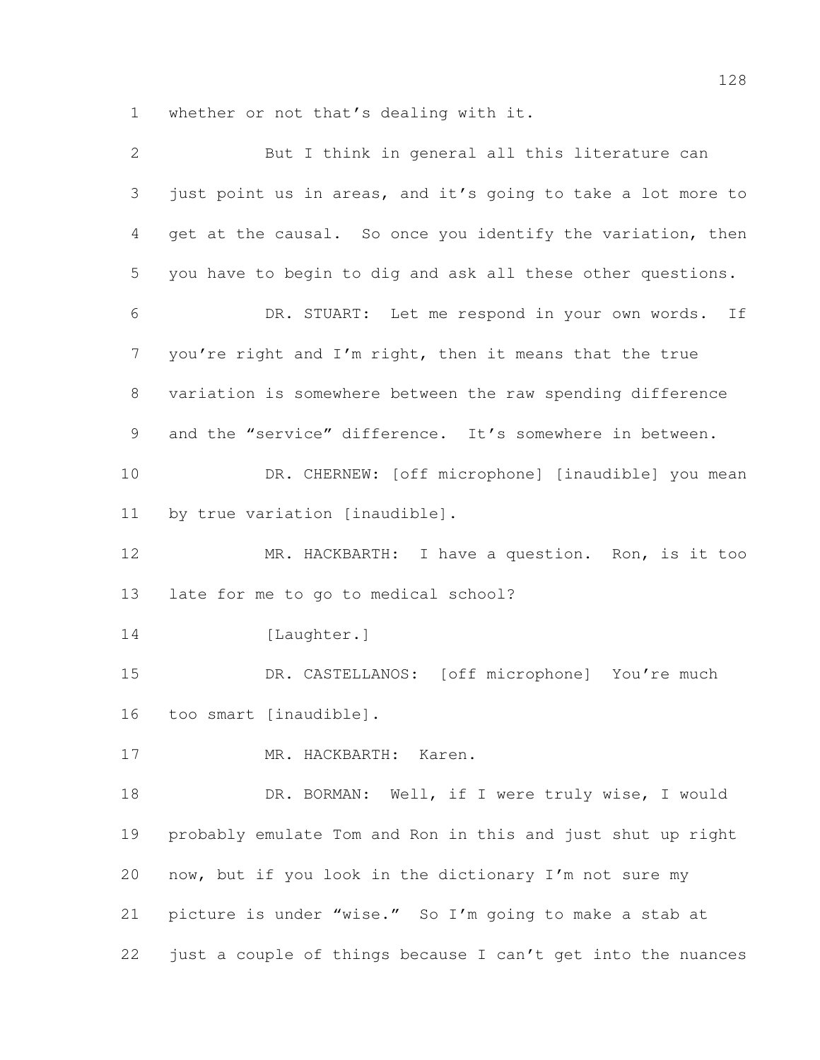whether or not that's dealing with it.

| $\overline{2}$ | But I think in general all this literature can               |
|----------------|--------------------------------------------------------------|
| 3              | just point us in areas, and it's going to take a lot more to |
| 4              | get at the causal. So once you identify the variation, then  |
| 5              | you have to begin to dig and ask all these other questions.  |
| 6              | DR. STUART: Let me respond in your own words. If             |
| $\overline{7}$ | you're right and I'm right, then it means that the true      |
| $\,8\,$        | variation is somewhere between the raw spending difference   |
| 9              | and the "service" difference. It's somewhere in between.     |
| 10             | DR. CHERNEW: [off microphone] [inaudible] you mean           |
| 11             | by true variation [inaudible].                               |
| 12             | MR. HACKBARTH: I have a question. Ron, is it too             |
| 13             | late for me to go to medical school?                         |
| 14             | [Laughter.]                                                  |
| 15             | DR. CASTELLANOS: [off microphone] You're much                |
| 16             | too smart [inaudible].                                       |
| 17             | MR. HACKBARTH:<br>Karen.                                     |
| 18             | DR. BORMAN: Well, if I were truly wise, I would              |
| 19             | probably emulate Tom and Ron in this and just shut up right  |
| 20             | now, but if you look in the dictionary I'm not sure my       |
| 21             | picture is under "wise." So I'm going to make a stab at      |
| 22             | just a couple of things because I can't get into the nuances |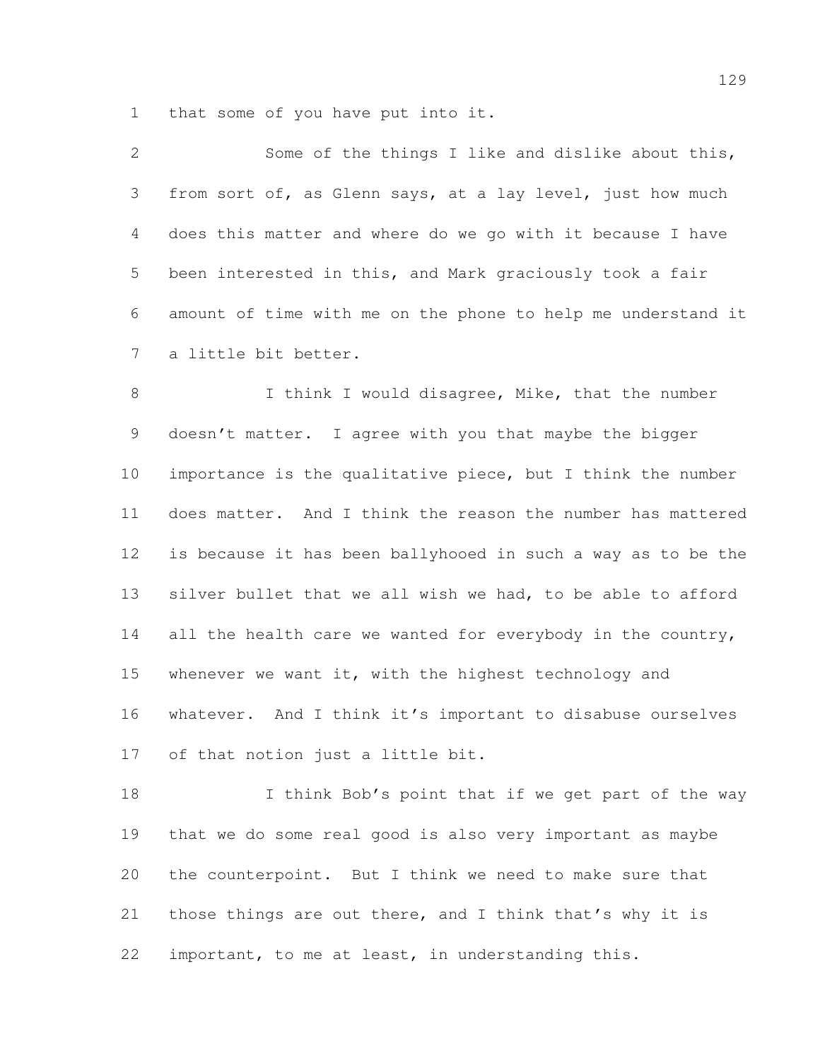that some of you have put into it.

| $\mathcal{L}$ | Some of the things I like and dislike about this,            |
|---------------|--------------------------------------------------------------|
| 3             | from sort of, as Glenn says, at a lay level, just how much   |
| 4             | does this matter and where do we go with it because I have   |
| 5             | been interested in this, and Mark graciously took a fair     |
| 6             | amount of time with me on the phone to help me understand it |
|               | 7 a little bit better.                                       |

8 I think I would disagree, Mike, that the number 9 doesn't matter. I agree with you that maybe the bigger importance is the qualitative piece, but I think the number does matter. And I think the reason the number has mattered is because it has been ballyhooed in such a way as to be the silver bullet that we all wish we had, to be able to afford 14 all the health care we wanted for everybody in the country, 15 whenever we want it, with the highest technology and whatever. And I think it's important to disabuse ourselves of that notion just a little bit.

18 I think Bob's point that if we get part of the way that we do some real good is also very important as maybe the counterpoint. But I think we need to make sure that those things are out there, and I think that's why it is important, to me at least, in understanding this.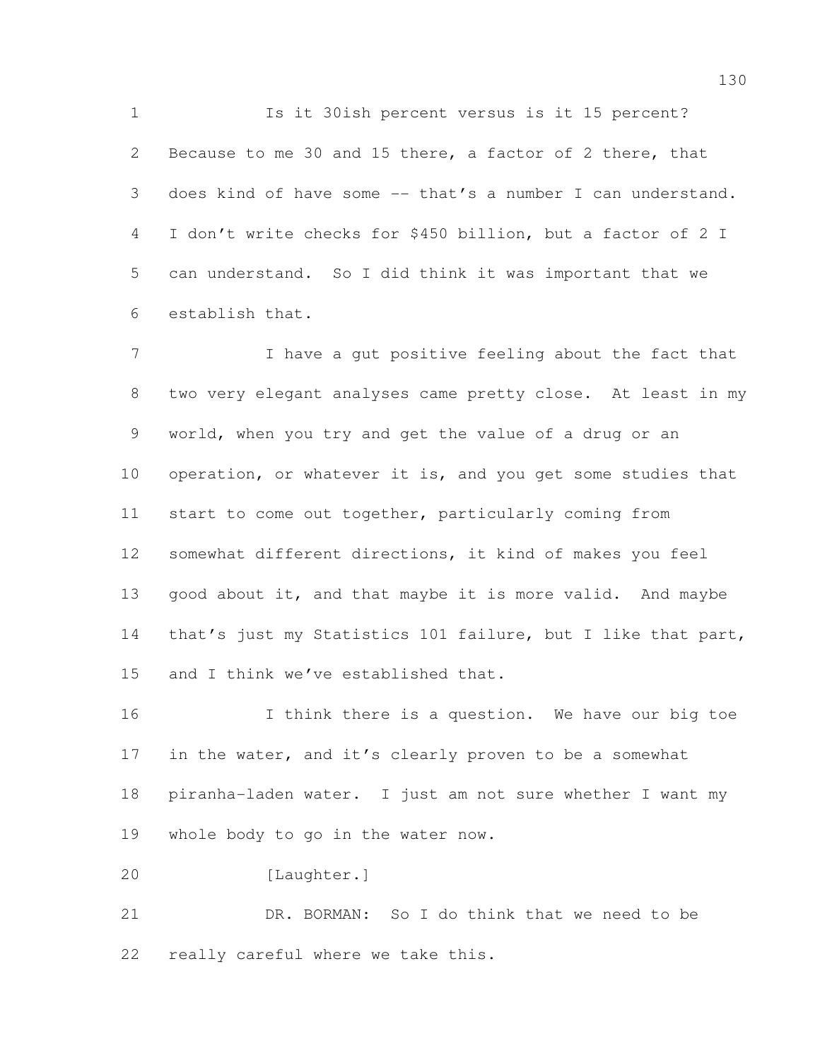Is it 30ish percent versus is it 15 percent? Because to me 30 and 15 there, a factor of 2 there, that does kind of have some -- that's a number I can understand. I don't write checks for \$450 billion, but a factor of 2 I can understand. So I did think it was important that we establish that.

 I have a gut positive feeling about the fact that two very elegant analyses came pretty close. At least in my world, when you try and get the value of a drug or an 10 operation, or whatever it is, and you get some studies that start to come out together, particularly coming from somewhat different directions, it kind of makes you feel 13 good about it, and that maybe it is more valid. And maybe 14 that's just my Statistics 101 failure, but I like that part, and I think we've established that.

16 16 I think there is a question. We have our big toe 17 in the water, and it's clearly proven to be a somewhat piranha-laden water. I just am not sure whether I want my whole body to go in the water now.

 DR. BORMAN: So I do think that we need to be really careful where we take this.

[Laughter.]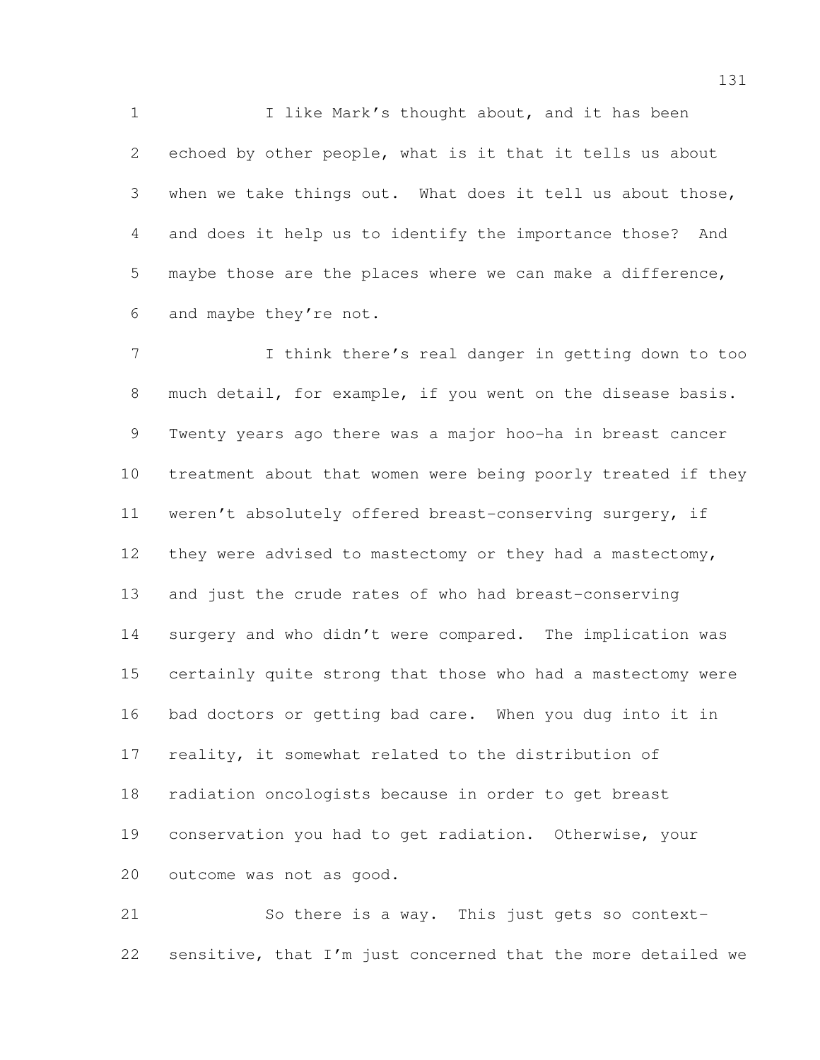1 1 I like Mark's thought about, and it has been echoed by other people, what is it that it tells us about when we take things out. What does it tell us about those, and does it help us to identify the importance those? And maybe those are the places where we can make a difference, and maybe they're not.

 I think there's real danger in getting down to too 8 much detail, for example, if you went on the disease basis. Twenty years ago there was a major hoo-ha in breast cancer treatment about that women were being poorly treated if they weren't absolutely offered breast-conserving surgery, if 12 they were advised to mastectomy or they had a mastectomy, and just the crude rates of who had breast-conserving surgery and who didn't were compared. The implication was certainly quite strong that those who had a mastectomy were bad doctors or getting bad care. When you dug into it in reality, it somewhat related to the distribution of radiation oncologists because in order to get breast conservation you had to get radiation. Otherwise, your outcome was not as good.

 So there is a way. This just gets so context-sensitive, that I'm just concerned that the more detailed we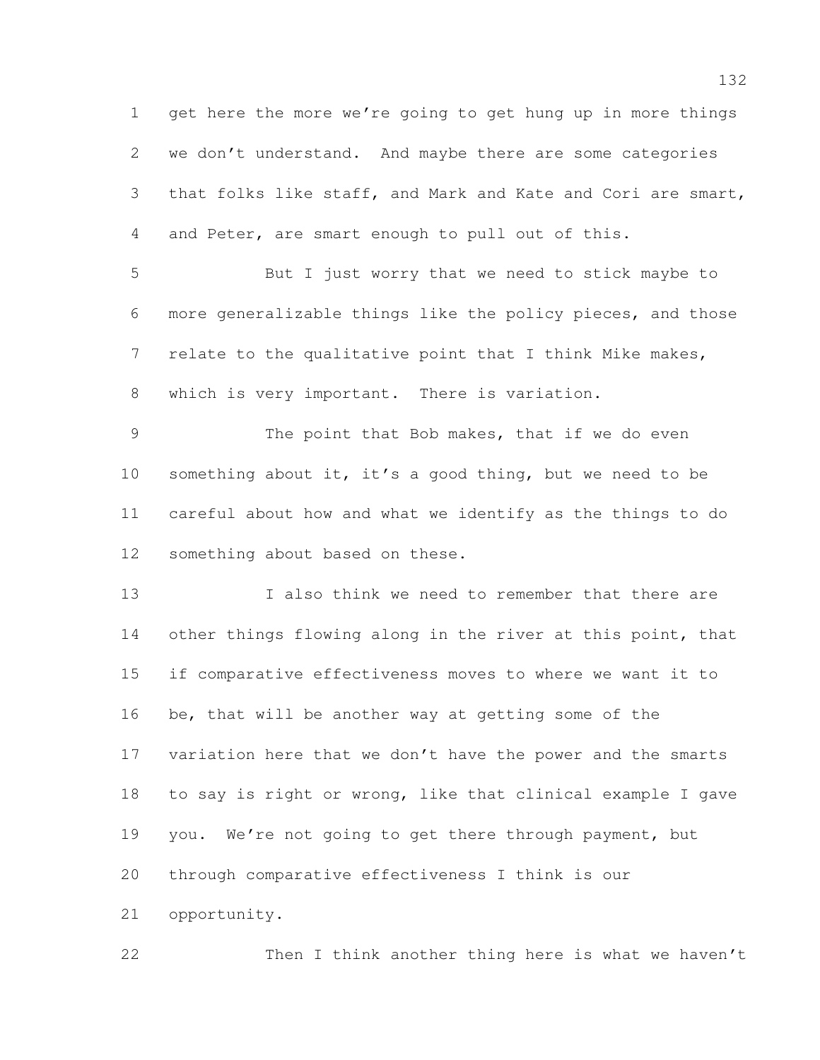get here the more we're going to get hung up in more things we don't understand. And maybe there are some categories that folks like staff, and Mark and Kate and Cori are smart, and Peter, are smart enough to pull out of this. But I just worry that we need to stick maybe to more generalizable things like the policy pieces, and those relate to the qualitative point that I think Mike makes, which is very important. There is variation. The point that Bob makes, that if we do even something about it, it's a good thing, but we need to be careful about how and what we identify as the things to do something about based on these. I also think we need to remember that there are 14 other things flowing along in the river at this point, that if comparative effectiveness moves to where we want it to be, that will be another way at getting some of the 17 variation here that we don't have the power and the smarts to say is right or wrong, like that clinical example I gave you. We're not going to get there through payment, but through comparative effectiveness I think is our opportunity.

Then I think another thing here is what we haven't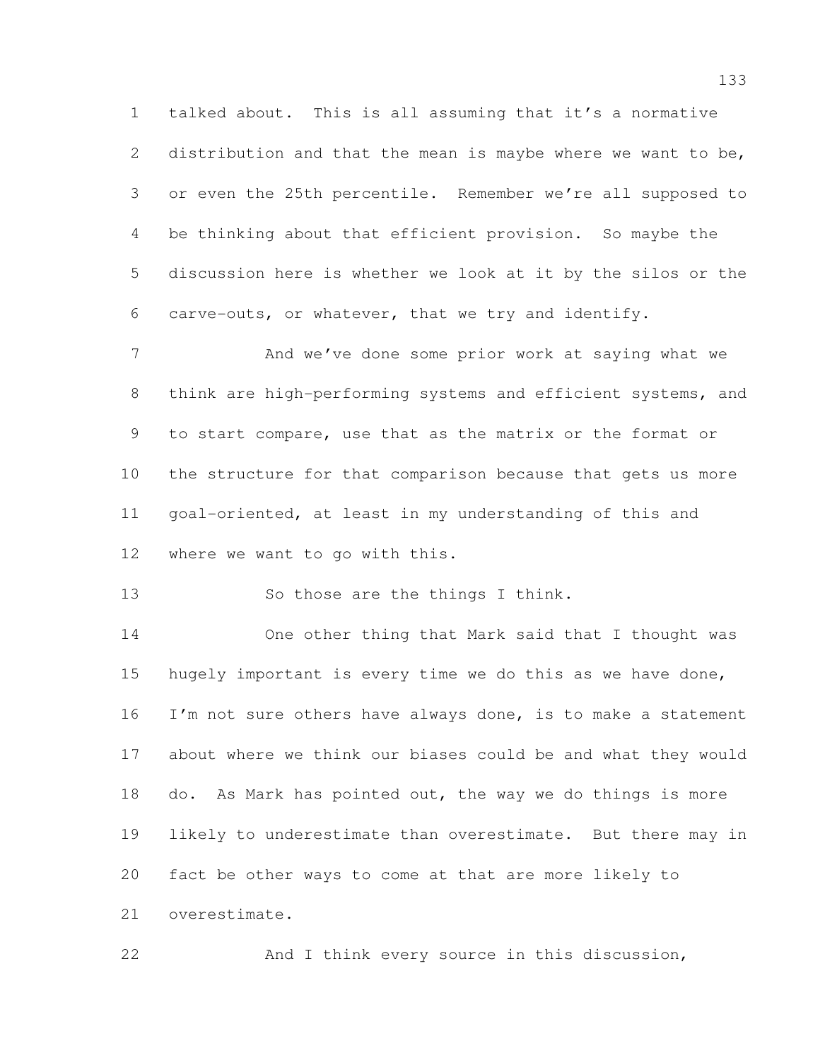talked about. This is all assuming that it's a normative 2 distribution and that the mean is maybe where we want to be, or even the 25th percentile. Remember we're all supposed to be thinking about that efficient provision. So maybe the discussion here is whether we look at it by the silos or the carve-outs, or whatever, that we try and identify.

7 And we've done some prior work at saying what we think are high-performing systems and efficient systems, and to start compare, use that as the matrix or the format or the structure for that comparison because that gets us more goal-oriented, at least in my understanding of this and where we want to go with this.

13 So those are the things I think.

 One other thing that Mark said that I thought was hugely important is every time we do this as we have done, 16 I'm not sure others have always done, is to make a statement about where we think our biases could be and what they would do. As Mark has pointed out, the way we do things is more likely to underestimate than overestimate. But there may in fact be other ways to come at that are more likely to overestimate.

And I think every source in this discussion,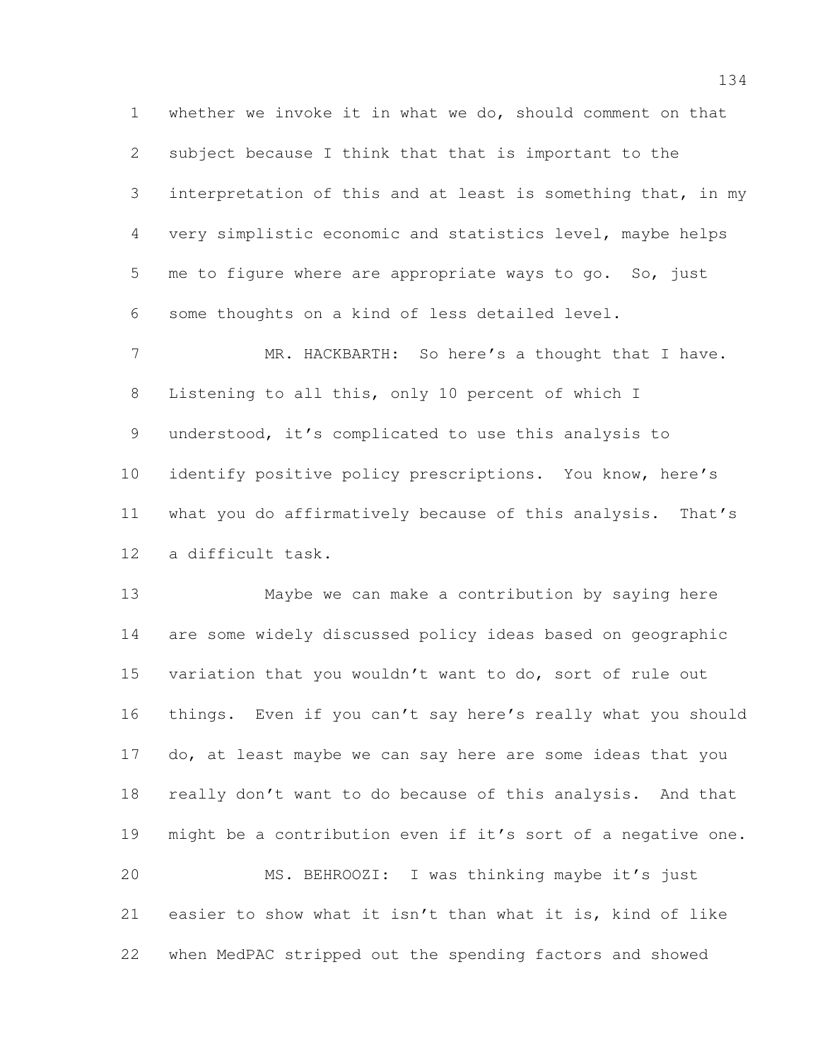whether we invoke it in what we do, should comment on that subject because I think that that is important to the interpretation of this and at least is something that, in my very simplistic economic and statistics level, maybe helps me to figure where are appropriate ways to go. So, just some thoughts on a kind of less detailed level.

7 MR. HACKBARTH: So here's a thought that I have. Listening to all this, only 10 percent of which I understood, it's complicated to use this analysis to identify positive policy prescriptions. You know, here's what you do affirmatively because of this analysis. That's a difficult task.

 Maybe we can make a contribution by saying here are some widely discussed policy ideas based on geographic variation that you wouldn't want to do, sort of rule out things. Even if you can't say here's really what you should do, at least maybe we can say here are some ideas that you really don't want to do because of this analysis. And that might be a contribution even if it's sort of a negative one. MS. BEHROOZI: I was thinking maybe it's just easier to show what it isn't than what it is, kind of like

when MedPAC stripped out the spending factors and showed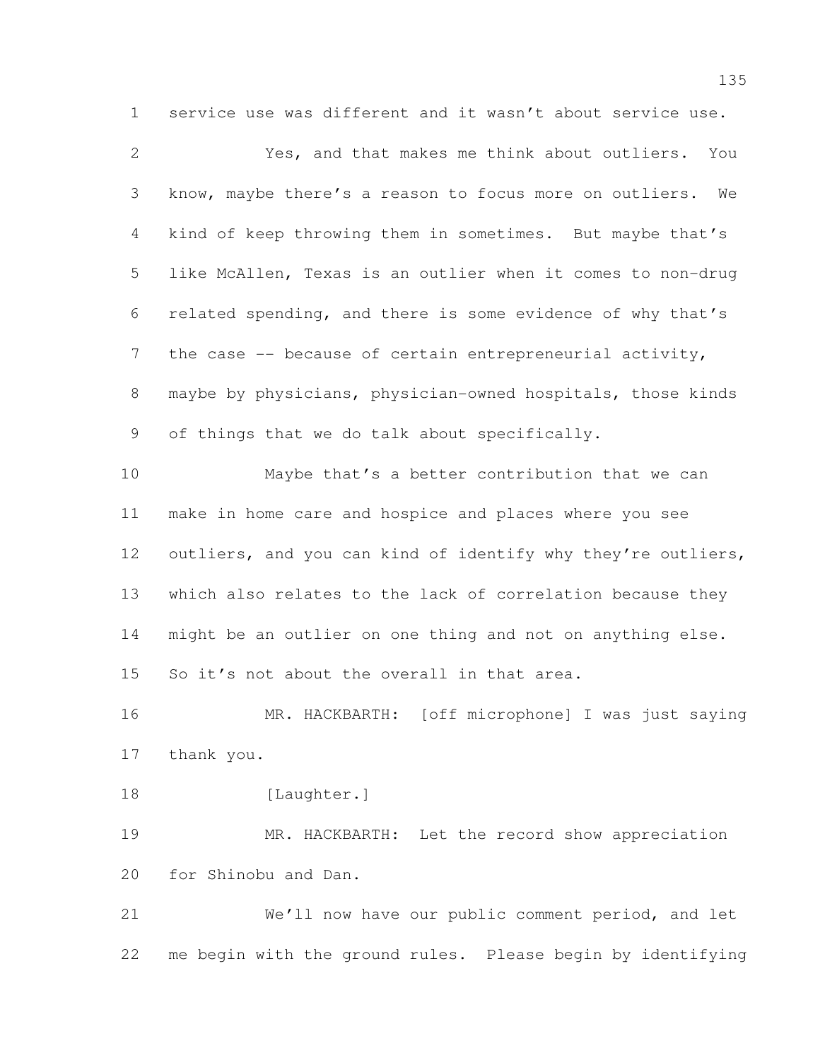service use was different and it wasn't about service use.

| $\mathbf{2}$    | Yes, and that makes me think about outliers. You              |
|-----------------|---------------------------------------------------------------|
| 3               | know, maybe there's a reason to focus more on outliers.<br>We |
| $\overline{4}$  | kind of keep throwing them in sometimes. But maybe that's     |
| 5               | like McAllen, Texas is an outlier when it comes to non-drug   |
| 6               | related spending, and there is some evidence of why that's    |
| $7\phantom{.0}$ | the case -- because of certain entrepreneurial activity,      |
| 8               | maybe by physicians, physician-owned hospitals, those kinds   |
| 9               | of things that we do talk about specifically.                 |
| 10              | Maybe that's a better contribution that we can                |
| 11              | make in home care and hospice and places where you see        |
| 12              | outliers, and you can kind of identify why they're outliers,  |
| 13              | which also relates to the lack of correlation because they    |
| 14              | might be an outlier on one thing and not on anything else.    |
| 15              | So it's not about the overall in that area.                   |
| 16              | MR. HACKBARTH: [off microphone] I was just saying             |
| 17              | thank you.                                                    |
| 18              | [Laughter.]                                                   |
| 19              | MR. HACKBARTH: Let the record show appreciation               |
| 20              | for Shinobu and Dan.                                          |
| 21              | We'll now have our public comment period, and let             |
| 22              | me begin with the ground rules. Please begin by identifying   |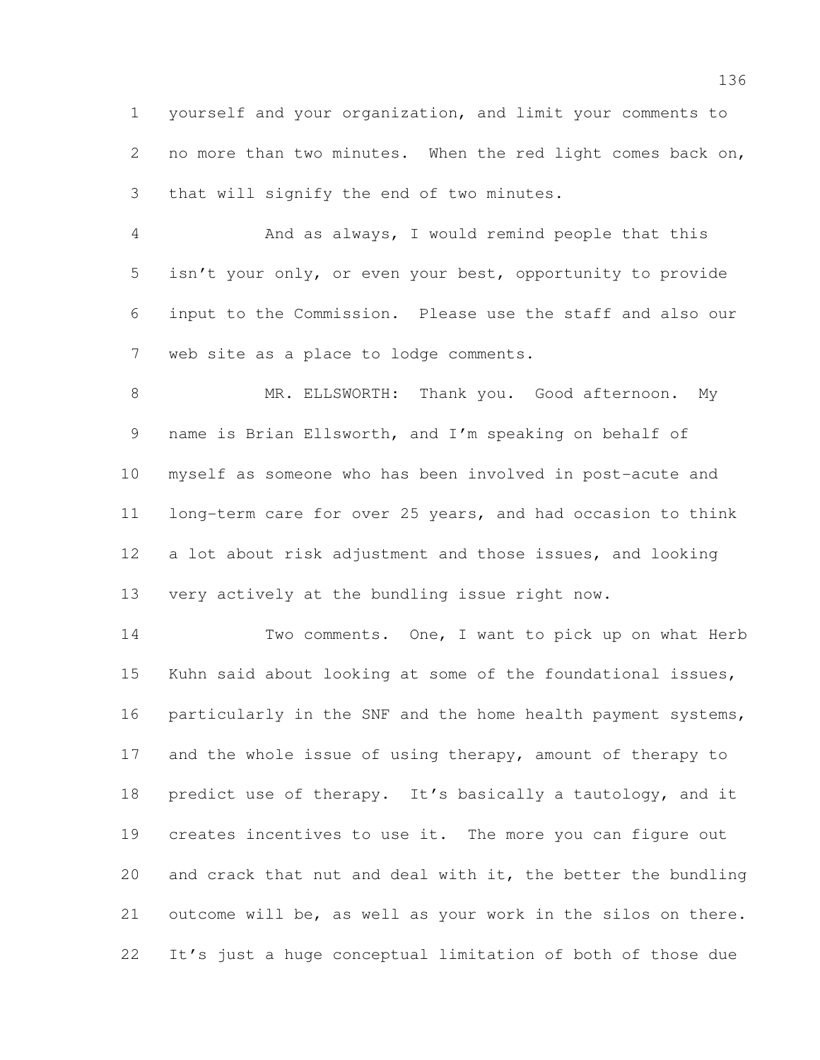yourself and your organization, and limit your comments to no more than two minutes. When the red light comes back on, that will signify the end of two minutes.

 And as always, I would remind people that this isn't your only, or even your best, opportunity to provide input to the Commission. Please use the staff and also our web site as a place to lodge comments.

8 MR. ELLSWORTH: Thank you. Good afternoon. My name is Brian Ellsworth, and I'm speaking on behalf of myself as someone who has been involved in post-acute and long-term care for over 25 years, and had occasion to think a lot about risk adjustment and those issues, and looking very actively at the bundling issue right now.

 Two comments. One, I want to pick up on what Herb Kuhn said about looking at some of the foundational issues, 16 particularly in the SNF and the home health payment systems, 17 and the whole issue of using therapy, amount of therapy to 18 predict use of therapy. It's basically a tautology, and it creates incentives to use it. The more you can figure out and crack that nut and deal with it, the better the bundling outcome will be, as well as your work in the silos on there. It's just a huge conceptual limitation of both of those due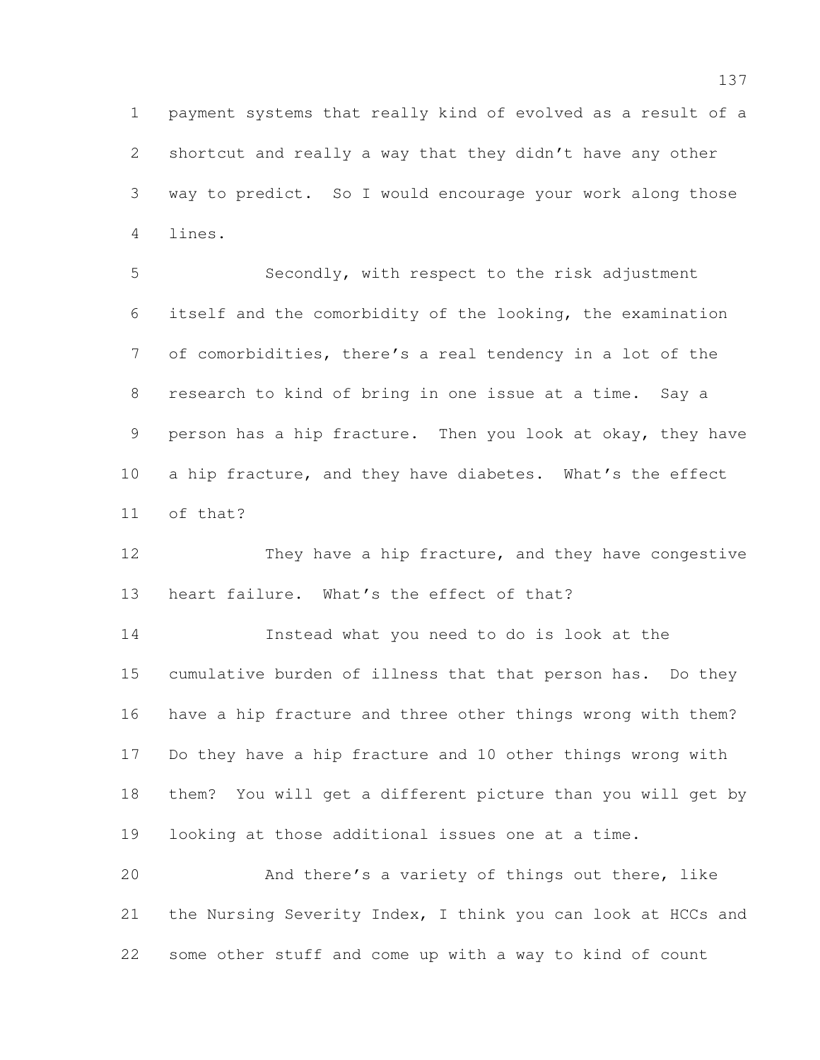payment systems that really kind of evolved as a result of a shortcut and really a way that they didn't have any other way to predict. So I would encourage your work along those lines.

 Secondly, with respect to the risk adjustment itself and the comorbidity of the looking, the examination of comorbidities, there's a real tendency in a lot of the research to kind of bring in one issue at a time. Say a person has a hip fracture. Then you look at okay, they have 10 a hip fracture, and they have diabetes. What's the effect of that?

12 They have a hip fracture, and they have congestive heart failure. What's the effect of that?

 Instead what you need to do is look at the cumulative burden of illness that that person has. Do they have a hip fracture and three other things wrong with them? Do they have a hip fracture and 10 other things wrong with them? You will get a different picture than you will get by looking at those additional issues one at a time.

 And there's a variety of things out there, like the Nursing Severity Index, I think you can look at HCCs and some other stuff and come up with a way to kind of count